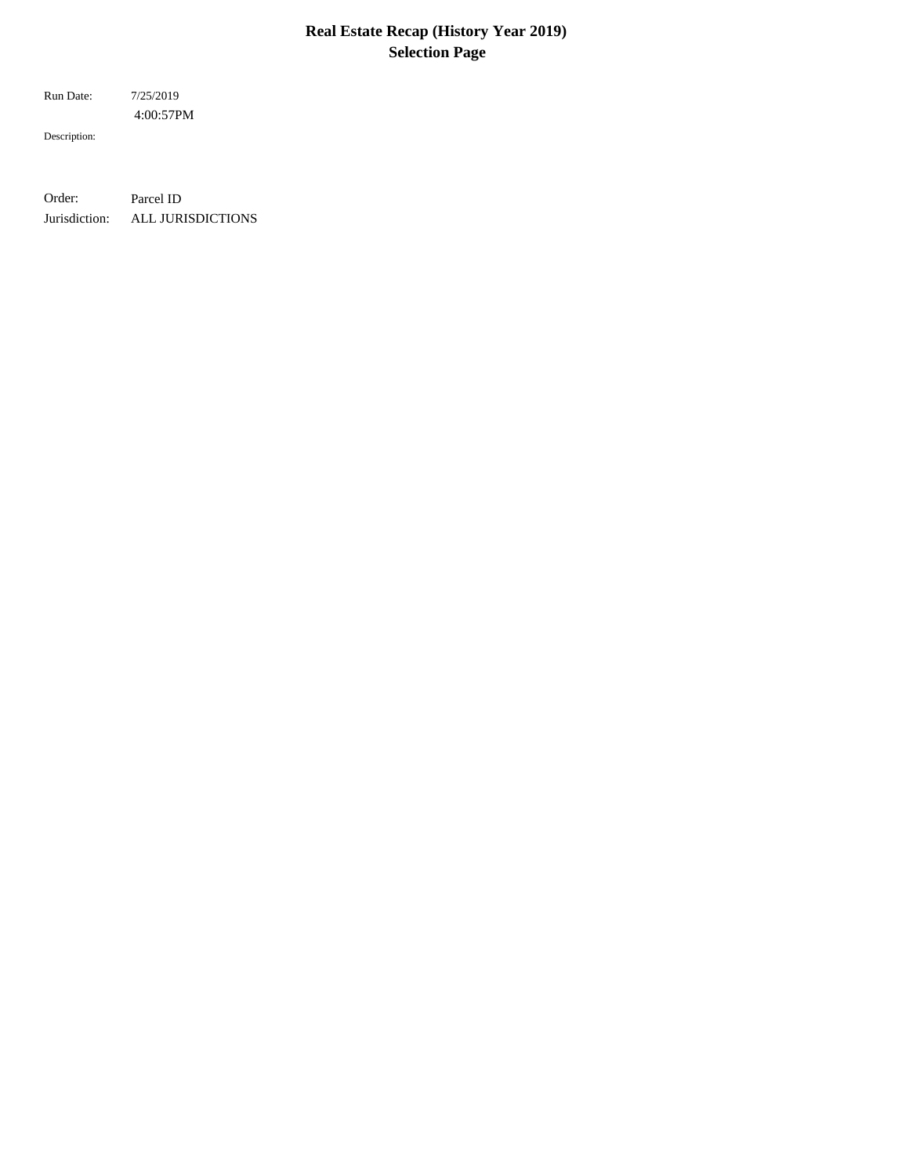# **Real Estate Recap (History Year 2019) Selection Page**

 4:00:57PM Run Date: 7/25/2019

Description:

Order: Parcel ID Jurisdiction: ALL JURISDICTIONS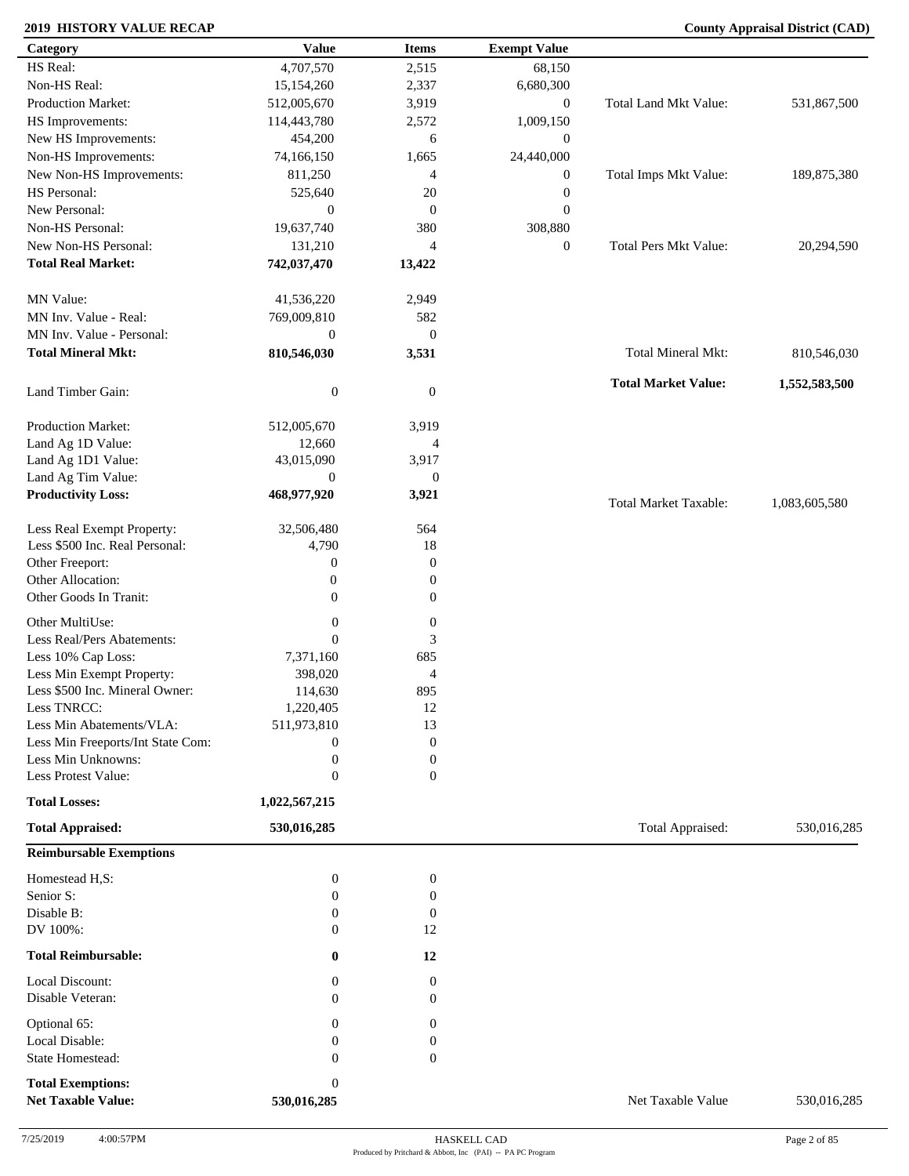| Category                          | <b>Value</b>     | <b>Items</b>     | <b>Exempt Value</b> |                              |               |
|-----------------------------------|------------------|------------------|---------------------|------------------------------|---------------|
| HS Real:                          | 4,707,570        | 2,515            | 68,150              |                              |               |
| Non-HS Real:                      | 15,154,260       | 2,337            | 6,680,300           |                              |               |
| <b>Production Market:</b>         | 512,005,670      | 3,919            | $\overline{0}$      | Total Land Mkt Value:        | 531,867,500   |
| HS Improvements:                  | 114,443,780      | 2,572            | 1,009,150           |                              |               |
| New HS Improvements:              | 454,200          | 6                | $\boldsymbol{0}$    |                              |               |
| Non-HS Improvements:              | 74,166,150       | 1,665            | 24,440,000          |                              |               |
| New Non-HS Improvements:          | 811,250          | 4                | $\mathbf{0}$        | Total Imps Mkt Value:        | 189,875,380   |
| HS Personal:                      | 525,640          | 20               | $\boldsymbol{0}$    |                              |               |
| New Personal:                     |                  |                  |                     |                              |               |
|                                   | $\mathbf{0}$     | $\boldsymbol{0}$ | $\boldsymbol{0}$    |                              |               |
| Non-HS Personal:                  | 19,637,740       | 380              | 308,880             |                              |               |
| New Non-HS Personal:              | 131,210          | $\overline{4}$   | $\overline{0}$      | Total Pers Mkt Value:        | 20,294,590    |
| <b>Total Real Market:</b>         | 742,037,470      | 13,422           |                     |                              |               |
| MN Value:                         | 41,536,220       | 2,949            |                     |                              |               |
| MN Inv. Value - Real:             | 769,009,810      | 582              |                     |                              |               |
| MN Inv. Value - Personal:         | $\boldsymbol{0}$ | $\boldsymbol{0}$ |                     |                              |               |
| <b>Total Mineral Mkt:</b>         | 810,546,030      | 3,531            |                     | <b>Total Mineral Mkt:</b>    | 810,546,030   |
| Land Timber Gain:                 | $\boldsymbol{0}$ | $\mathbf{0}$     |                     | <b>Total Market Value:</b>   | 1,552,583,500 |
| Production Market:                |                  |                  |                     |                              |               |
|                                   | 512,005,670      | 3,919            |                     |                              |               |
| Land Ag 1D Value:                 | 12,660           | 4                |                     |                              |               |
| Land Ag 1D1 Value:                | 43,015,090       | 3,917            |                     |                              |               |
| Land Ag Tim Value:                | $\mathbf{0}$     | $\boldsymbol{0}$ |                     |                              |               |
| <b>Productivity Loss:</b>         | 468,977,920      | 3,921            |                     | <b>Total Market Taxable:</b> | 1,083,605,580 |
| Less Real Exempt Property:        | 32,506,480       | 564              |                     |                              |               |
| Less \$500 Inc. Real Personal:    | 4,790            | 18               |                     |                              |               |
| Other Freeport:                   | 0                | $\boldsymbol{0}$ |                     |                              |               |
| Other Allocation:                 | $\boldsymbol{0}$ | $\boldsymbol{0}$ |                     |                              |               |
| Other Goods In Tranit:            | $\mathbf{0}$     | $\overline{0}$   |                     |                              |               |
| Other MultiUse:                   |                  |                  |                     |                              |               |
|                                   | $\boldsymbol{0}$ | $\boldsymbol{0}$ |                     |                              |               |
| Less Real/Pers Abatements:        | $\mathbf{0}$     | 3                |                     |                              |               |
| Less 10% Cap Loss:                | 7,371,160        | 685              |                     |                              |               |
| Less Min Exempt Property:         | 398,020          | $\overline{4}$   |                     |                              |               |
| Less \$500 Inc. Mineral Owner:    | 114,630          | 895              |                     |                              |               |
| Less TNRCC:                       | 1,220,405        | 12               |                     |                              |               |
| Less Min Abatements/VLA:          | 511,973,810      | 13               |                     |                              |               |
| Less Min Freeports/Int State Com: | $\boldsymbol{0}$ | $\boldsymbol{0}$ |                     |                              |               |
| Less Min Unknowns:                | $\boldsymbol{0}$ | $\boldsymbol{0}$ |                     |                              |               |
| Less Protest Value:               | $\boldsymbol{0}$ | $\overline{0}$   |                     |                              |               |
| <b>Total Losses:</b>              | 1,022,567,215    |                  |                     |                              |               |
| <b>Total Appraised:</b>           | 530,016,285      |                  |                     | Total Appraised:             | 530,016,285   |
| <b>Reimbursable Exemptions</b>    |                  |                  |                     |                              |               |
| Homestead H,S:                    | $\boldsymbol{0}$ | $\boldsymbol{0}$ |                     |                              |               |
| Senior S:                         | $\overline{0}$   | $\boldsymbol{0}$ |                     |                              |               |
| Disable B:                        | $\mathbf{0}$     | $\boldsymbol{0}$ |                     |                              |               |
| DV 100%:                          | $\mathbf{0}$     | 12               |                     |                              |               |
| <b>Total Reimbursable:</b>        | $\bf{0}$         | 12               |                     |                              |               |
| Local Discount:                   | $\mathbf{0}$     | $\boldsymbol{0}$ |                     |                              |               |
| Disable Veteran:                  | $\Omega$         | $\mathbf{0}$     |                     |                              |               |
| Optional 65:                      | $\mathbf{0}$     | $\mathbf{0}$     |                     |                              |               |
| Local Disable:                    | 0                | 0                |                     |                              |               |
| <b>State Homestead:</b>           | $\mathbf{0}$     | $\boldsymbol{0}$ |                     |                              |               |
| <b>Total Exemptions:</b>          | $\boldsymbol{0}$ |                  |                     |                              |               |
| <b>Net Taxable Value:</b>         | 530,016,285      |                  |                     | Net Taxable Value            | 530,016,285   |
|                                   |                  |                  |                     |                              |               |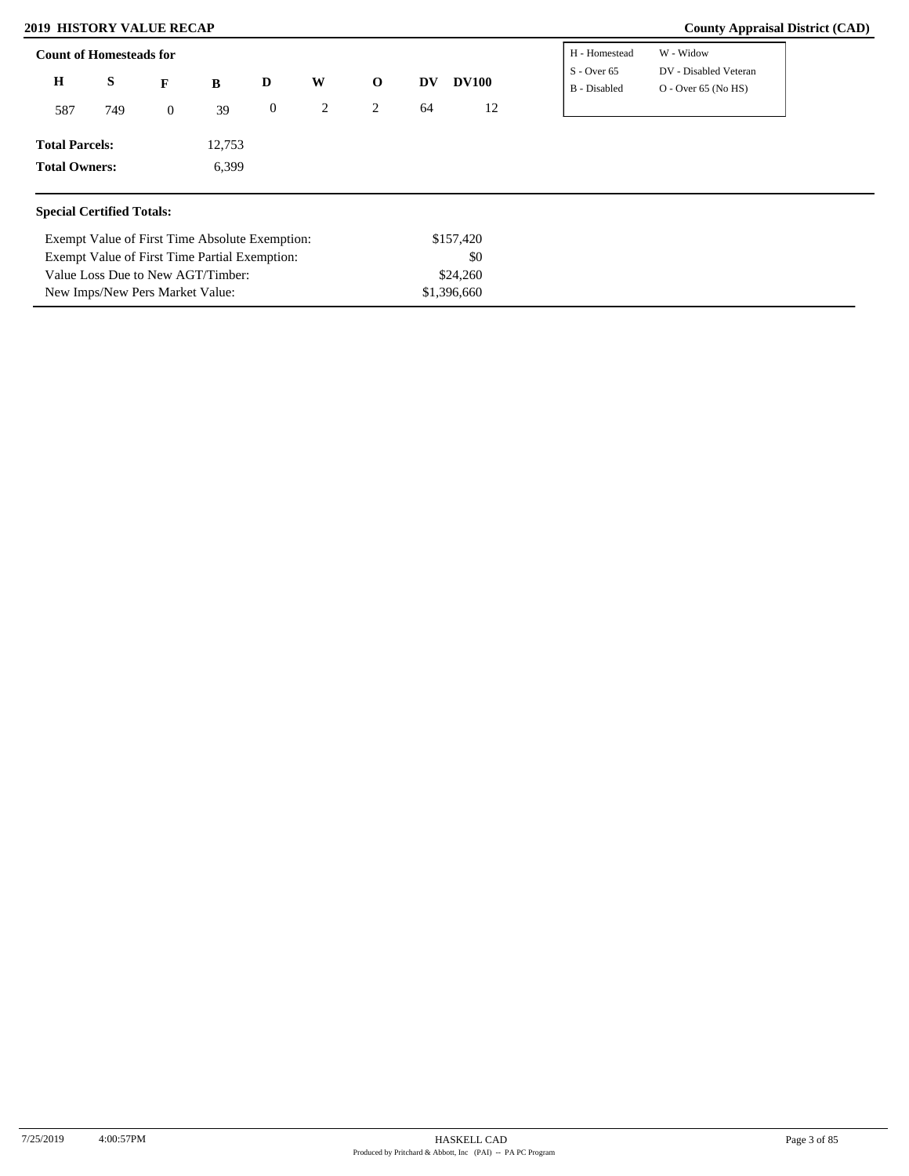Value Loss Due to New AGT/Timber: New Imps/New Pers Market Value:

| <b>Count of Homesteads for</b>   |        |                |                                                |                  |   |              |    |              | H - Homestead                 | W - Widow                                      |
|----------------------------------|--------|----------------|------------------------------------------------|------------------|---|--------------|----|--------------|-------------------------------|------------------------------------------------|
| $\mathbf H$                      | S<br>F |                | B                                              | D                | W | $\mathbf{o}$ | DV | <b>DV100</b> | $S - Over 65$<br>B - Disabled | DV - Disabled Veteran<br>$O - Over 65 (No HS)$ |
| 587                              | 749    | $\overline{0}$ | 39                                             | $\boldsymbol{0}$ | 2 | 2            | 64 | 12           |                               |                                                |
| <b>Total Parcels:</b>            |        |                | 12,753                                         |                  |   |              |    |              |                               |                                                |
| <b>Total Owners:</b>             |        |                | 6,399                                          |                  |   |              |    |              |                               |                                                |
| <b>Special Certified Totals:</b> |        |                |                                                |                  |   |              |    |              |                               |                                                |
|                                  |        |                | Exempt Value of First Time Absolute Exemption: |                  |   |              |    | \$157,420    |                               |                                                |
|                                  |        |                | Exempt Value of First Time Partial Exemption:  |                  |   |              |    | \$0          |                               |                                                |

\$24,260 \$1,396,660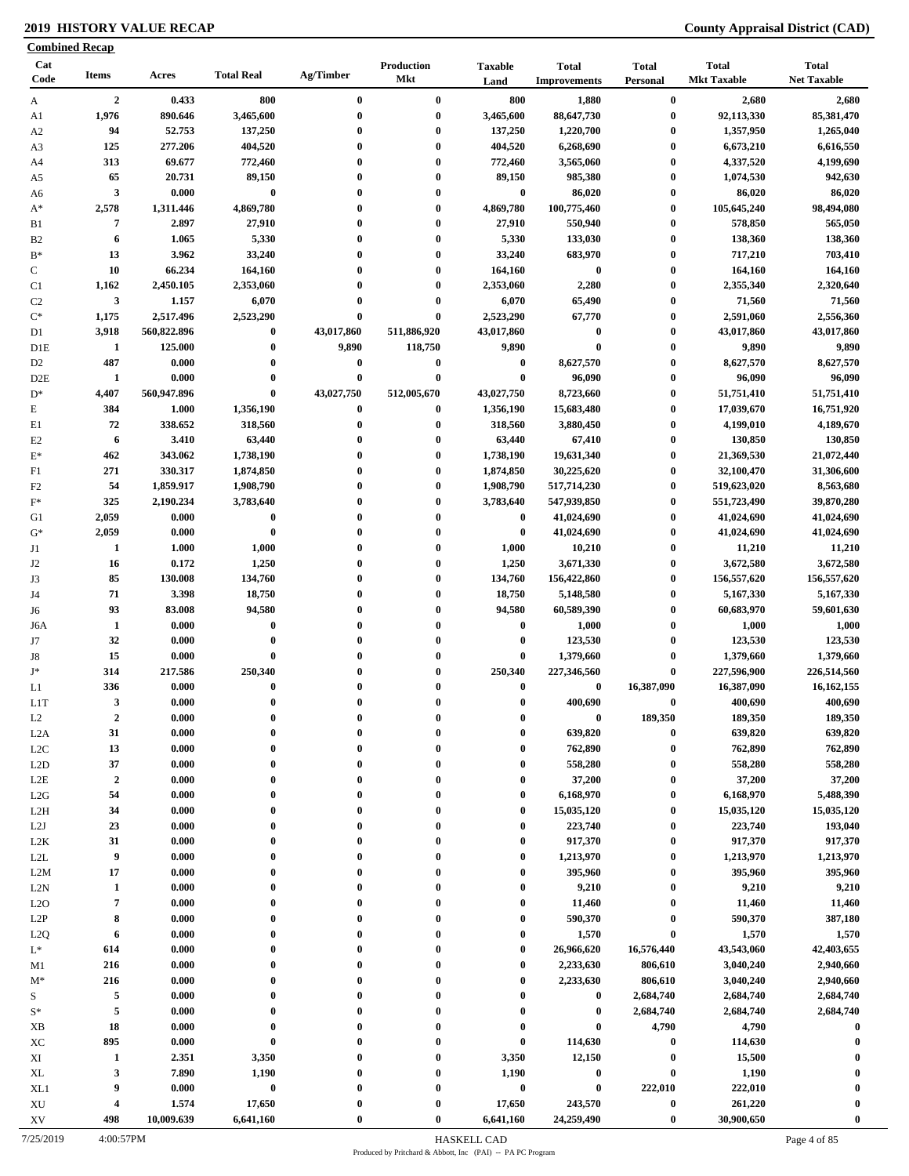|                                    | <b>Combined Recap</b> |                        |                       |                        |                          |                         |                                     |                              |                                    |                                    |
|------------------------------------|-----------------------|------------------------|-----------------------|------------------------|--------------------------|-------------------------|-------------------------------------|------------------------------|------------------------------------|------------------------------------|
| Cat<br>Code                        | <b>Items</b>          | Acres                  | <b>Total Real</b>     | Ag/Timber              | Production<br><b>Mkt</b> | <b>Taxable</b><br>Land  | <b>Total</b><br><b>Improvements</b> | <b>Total</b><br>Personal     | <b>Total</b><br><b>Mkt Taxable</b> | <b>Total</b><br><b>Net Taxable</b> |
| A                                  | $\overline{2}$        | 0.433                  | 800                   | $\bf{0}$               | $\bf{0}$                 | 800                     | 1,880                               | $\bf{0}$                     | 2,680                              | 2,680                              |
| A1                                 | 1,976                 | 890.646                | 3,465,600             | $\bf{0}$               | $\bf{0}$                 | 3,465,600               | 88,647,730                          | $\bf{0}$                     | 92,113,330                         | 85,381,470                         |
| A <sub>2</sub>                     | 94                    | 52.753                 | 137,250               | $\mathbf{0}$           | $\bf{0}$                 | 137,250                 | 1,220,700                           | $\boldsymbol{0}$             | 1,357,950                          | 1,265,040                          |
| A3                                 | 125                   | 277.206                | 404,520               | $\bf{0}$               | $\bf{0}$                 | 404,520                 | 6,268,690                           | $\boldsymbol{0}$             | 6,673,210                          | 6,616,550                          |
| A4                                 | 313                   | 69.677                 | 772,460               | 0                      | $\bf{0}$                 | 772,460                 | 3,565,060                           | $\boldsymbol{0}$             | 4,337,520                          | 4,199,690                          |
| A5                                 | 65                    | 20.731                 | 89,150                | $\bf{0}$               | $\bf{0}$                 | 89,150                  | 985,380                             | $\bf{0}$                     | 1,074,530                          | 942,630                            |
| A6                                 | $\mathbf{3}$          | 0.000                  | $\pmb{0}$             | $\bf{0}$               | $\bf{0}$                 | $\bf{0}$                | 86,020                              | $\boldsymbol{0}$             | 86,020                             | 86,020                             |
| $A^*$                              | 2,578                 | 1,311.446              | 4,869,780             | $\bf{0}$               | $\bf{0}$                 | 4,869,780               | 100,775,460                         | $\boldsymbol{0}$             | 105,645,240                        | 98,494,080                         |
| B1                                 | 7                     | 2.897                  | 27,910                | $\bf{0}$               | $\bf{0}$                 | 27,910                  | 550,940                             | $\boldsymbol{0}$             | 578,850                            | 565,050                            |
| B <sub>2</sub>                     | 6                     | 1.065                  | 5,330                 | $\bf{0}$               | $\bf{0}$                 | 5,330                   | 133,030                             | $\boldsymbol{0}$             | 138,360                            | 138,360                            |
| $B*$                               | 13                    | 3.962                  | 33,240                | $\mathbf{0}$           | $\bf{0}$                 | 33,240                  | 683,970                             | $\boldsymbol{0}$             | 717,210                            | 703,410                            |
| $\mathbf C$                        | 10                    | 66.234                 | 164,160               | $\bf{0}$<br>$\bf{0}$   | $\bf{0}$                 | 164,160                 | $\bf{0}$                            | $\boldsymbol{0}$             | 164,160                            | 164,160                            |
| C1                                 | 1,162                 | 2,450.105              | 2,353,060             |                        | $\bf{0}$                 | 2,353,060               | 2,280                               | $\bf{0}$                     | 2,355,340                          | 2,320,640                          |
| C <sub>2</sub>                     | $\mathbf{3}$          | 1.157                  | 6,070                 | 0                      | $\bf{0}$                 | 6,070                   | 65,490                              | $\bf{0}$                     | 71,560                             | 71,560                             |
| $\mathrm{C}^*$                     | 1,175                 | 2,517.496              | 2,523,290<br>$\bf{0}$ | $\bf{0}$<br>43,017,860 | $\bf{0}$<br>511,886,920  | 2,523,290<br>43,017,860 | 67,770<br>$\bf{0}$                  | $\boldsymbol{0}$<br>$\bf{0}$ | 2,591,060                          | 2,556,360                          |
| D1                                 | 3,918                 | 560,822.896<br>125.000 | $\bf{0}$              | 9,890                  | 118,750                  | 9,890                   | $\bf{0}$                            | $\bf{0}$                     | 43,017,860<br>9,890                | 43,017,860<br>9,890                |
| D1E                                | 1<br>487              | 0.000                  | $\bf{0}$              | $\bf{0}$               | $\bf{0}$                 | $\bf{0}$                | 8,627,570                           | $\bf{0}$                     | 8,627,570                          | 8,627,570                          |
| D <sub>2</sub><br>D <sub>2</sub> E | $\mathbf{1}$          | 0.000                  | $\bf{0}$              | $\bf{0}$               | $\bf{0}$                 | $\bf{0}$                | 96,090                              | $\bf{0}$                     | 96,090                             | 96,090                             |
| $D^*$                              | 4,407                 | 560,947.896            | $\bf{0}$              | 43,027,750             | 512,005,670              | 43,027,750              | 8,723,660                           | $\bf{0}$                     | 51,751,410                         | 51,751,410                         |
| $\mathbf E$                        | 384                   | 1.000                  | 1,356,190             | 0                      | $\bf{0}$                 | 1,356,190               | 15,683,480                          | $\bf{0}$                     | 17,039,670                         | 16,751,920                         |
| E1                                 | 72                    | 338.652                | 318,560               | $\bf{0}$               | $\bf{0}$                 | 318,560                 | 3,880,450                           | $\boldsymbol{0}$             | 4,199,010                          | 4,189,670                          |
| E2                                 | 6                     | 3.410                  | 63,440                | $\bf{0}$               | $\bf{0}$                 | 63,440                  | 67,410                              | $\bf{0}$                     | 130,850                            | 130,850                            |
| $\mathbf{E}^*$                     | 462                   | 343.062                | 1,738,190             | $\bf{0}$               | $\bf{0}$                 | 1,738,190               | 19,631,340                          | $\bf{0}$                     | 21,369,530                         | 21,072,440                         |
| F1                                 | 271                   | 330.317                | 1,874,850             | $\bf{0}$               | $\bf{0}$                 | 1,874,850               | 30,225,620                          | $\bf{0}$                     | 32,100,470                         | 31,306,600                         |
| F <sub>2</sub>                     | 54                    | 1,859.917              | 1,908,790             | 0                      | $\bf{0}$                 | 1,908,790               | 517,714,230                         | $\bf{0}$                     | 519,623,020                        | 8,563,680                          |
| $F^*$                              | 325                   | 2,190.234              | 3,783,640             | $\bf{0}$               | $\bf{0}$                 | 3,783,640               | 547,939,850                         | $\bf{0}$                     | 551,723,490                        | 39,870,280                         |
| G1                                 | 2,059                 | 0.000                  | $\pmb{0}$             | $\mathbf{0}$           | $\bf{0}$                 | $\bf{0}$                | 41,024,690                          | $\bf{0}$                     | 41,024,690                         | 41,024,690                         |
| $G^*$                              | 2,059                 | 0.000                  | $\bf{0}$              | $\bf{0}$               | $\bf{0}$                 | $\bf{0}$                | 41,024,690                          | $\bf{0}$                     | 41,024,690                         | 41,024,690                         |
| J1                                 | 1                     | 1.000                  | 1,000                 | $\mathbf{0}$           | $\bf{0}$                 | 1,000                   | 10,210                              | $\bf{0}$                     | 11,210                             | 11,210                             |
| J2                                 | 16                    | 0.172                  | 1,250                 | $\bf{0}$               | $\bf{0}$                 | 1,250                   | 3,671,330                           | $\bf{0}$                     | 3,672,580                          | 3,672,580                          |
| J3                                 | 85                    | 130.008                | 134,760               | $\bf{0}$               | $\bf{0}$                 | 134,760                 | 156,422,860                         | $\bf{0}$                     | 156,557,620                        | 156,557,620                        |
| J4                                 | 71                    | 3.398                  | 18,750                | $\bf{0}$               | $\bf{0}$                 | 18,750                  | 5,148,580                           | $\boldsymbol{0}$             | 5,167,330                          | 5,167,330                          |
| J6                                 | 93                    | 83.008                 | 94,580                | $\bf{0}$               | $\bf{0}$                 | 94,580                  | 60,589,390                          | $\bf{0}$                     | 60,683,970                         | 59,601,630                         |
| J6A                                | $\mathbf{1}$          | 0.000                  | $\bf{0}$              | 0                      | $\bf{0}$                 | $\bf{0}$                | 1,000                               | $\boldsymbol{0}$             | 1,000                              | 1,000                              |
| J7                                 | 32                    | 0.000                  | $\bf{0}$              | $\mathbf{0}$           | $\bf{0}$                 | $\bf{0}$                | 123,530                             | $\bf{0}$                     | 123,530                            | 123,530                            |
| J8                                 | 15                    | 0.000                  | $\bf{0}$              | $\mathbf{0}$           | $\bf{0}$                 | $\boldsymbol{0}$        | 1,379,660                           | $\bf{0}$                     | 1,379,660                          | 1,379,660                          |
| $\mathbf{J}^*$                     | 314                   | 217.586                | 250,340               | $\bf{0}$               | $\bf{0}$                 | 250,340                 | 227,346,560                         | $\bf{0}$                     | 227,596,900                        | 226,514,560                        |
| L1                                 | 336                   | 0.000                  | $\bf{0}$              | $\bf{0}$               | $\bf{0}$                 | $\bf{0}$                | $\bf{0}$                            | 16,387,090                   | 16,387,090                         | 16, 162, 155                       |
| LIT                                | 3                     | 0.000                  | $\theta$              |                        | $\theta$                 | $\Omega$                | 400,690                             | $\bf{0}$                     | 400,690                            | 400,690                            |
| L2                                 | $\boldsymbol{2}$      | 0.000                  | $\mathbf 0$           | 0                      | $\mathbf{0}$             | $\mathbf 0$             | $\bf{0}$                            | 189,350                      | 189,350                            | 189,350                            |
| L <sub>2</sub> A                   | 31                    | 0.000                  | $\bf{0}$              | $\bf{0}$               | $\bf{0}$                 | $\bf{0}$                | 639,820                             | $\bf{0}$                     | 639,820                            | 639,820                            |
| L2C                                | 13                    | 0.000                  | $\bf{0}$              |                        | $\boldsymbol{0}$         | $\boldsymbol{0}$        | 762,890                             | $\bf{0}$                     | 762,890                            | 762,890                            |
| L2D                                | 37                    | 0.000                  | $\bf{0}$              | 0                      | $\mathbf{0}$             | $\bf{0}$                | 558,280                             | $\bf{0}$                     | 558,280                            | 558,280                            |
| $_{\rm L2E}$                       | $\boldsymbol{2}$      | 0.000                  | $\bf{0}$              | 0                      | $\bf{0}$                 | $\bf{0}$                | 37,200                              | $\bf{0}$                     | 37,200                             | 37,200                             |
| L2G                                | 54                    | 0.000                  | $\bf{0}$              | 0                      | $\bf{0}$                 | $\bf{0}$                | 6,168,970                           | $\bf{0}$                     | 6,168,970                          | 5,488,390                          |
| L <sub>2</sub> H                   | 34                    | 0.000                  | $\bf{0}$              | 0                      | $\bf{0}$                 | $\boldsymbol{0}$        | 15,035,120                          | $\bf{0}$                     | 15,035,120                         | 15,035,120                         |
| L2J                                | 23                    | 0.000                  | $\bf{0}$              | $\bf{0}$               | $\bf{0}$                 | $\boldsymbol{0}$        | 223,740                             | $\bf{0}$                     | 223,740                            | 193,040                            |
| L <sub>2</sub> K                   | 31                    | 0.000                  | $\bf{0}$              | 0                      | $\bf{0}$                 | $\boldsymbol{0}$        | 917,370                             | $\bf{0}$                     | 917,370                            | 917,370                            |
| $\mbox{L2L}$                       | 9                     | 0.000                  | $\bf{0}$              | 0                      | $\boldsymbol{0}$         | $\bf{0}$                | 1,213,970                           | $\bf{0}$                     | 1,213,970                          | 1,213,970                          |
| L2M                                | 17                    | 0.000                  | $\bf{0}$              |                        | $\bf{0}$                 | $\boldsymbol{0}$        | 395,960                             | $\bf{0}$                     | 395,960                            | 395,960                            |
| L2N                                | $\mathbf{1}$          | 0.000                  | $\bf{0}$              | $\bf{0}$               | $\mathbf{0}$             | $\boldsymbol{0}$        | 9,210                               | $\bf{0}$                     | 9,210                              | 9,210                              |
| L2O                                | $\overline{7}$        | 0.000                  | $\bf{0}$              | 0                      | $\bf{0}$                 | $\bf{0}$                | 11,460                              | $\bf{0}$                     | 11,460                             | 11,460                             |
| L2P                                | 8                     | 0.000                  | $\bf{0}$              |                        | $\bf{0}$                 | $\bf{0}$                | 590,370                             | $\bf{0}$                     | 590,370                            | 387,180                            |
| L2Q                                | 6                     | 0.000                  | $\bf{0}$              | 0                      | $\mathbf{0}$             | $\bf{0}$                | 1,570                               | $\bf{0}$                     | 1,570                              | 1,570                              |
| $L^*$                              | 614                   | 0.000                  | $\bf{0}$              | 0                      | $\mathbf{0}$             | $\bf{0}$                | 26,966,620                          | 16,576,440                   | 43,543,060                         | 42,403,655                         |
| M1                                 | 216                   | 0.000                  | $\bf{0}$              | 0                      | $\boldsymbol{0}$         | $\boldsymbol{0}$        | 2,233,630                           | 806,610                      | 3,040,240                          | 2,940,660                          |
| $M^*$                              | 216                   | 0.000                  | $\bf{0}$              |                        | $\boldsymbol{0}$         | $\boldsymbol{0}$        | 2,233,630                           | 806,610                      | 3,040,240                          | 2,940,660                          |
| S                                  | 5                     | 0.000                  | $\bf{0}$              |                        | $\mathbf{0}$             | $\boldsymbol{0}$        | $\bf{0}$                            | 2,684,740                    | 2,684,740                          | 2,684,740                          |
| $S^*$                              | 5                     | 0.000                  | $\bf{0}$              | 0                      | $\boldsymbol{0}$         | $\bf{0}$                | $\bf{0}$                            | 2,684,740                    | 2,684,740                          | 2,684,740                          |
| XB                                 | 18                    | 0.000                  | $\bf{0}$              |                        | $\boldsymbol{0}$         | $\boldsymbol{0}$        | $\pmb{0}$                           | 4,790                        | 4,790                              | $\bf{0}$                           |
| XC                                 | 895                   | 0.000                  | $\pmb{0}$             |                        | $\bf{0}$                 | $\boldsymbol{0}$        | 114,630                             | $\bf{0}$                     | 114,630                            |                                    |
| XI                                 | 1                     | 2.351                  | 3,350                 | $\bf{0}$               | $\bf{0}$                 | 3,350                   | 12,150                              | $\boldsymbol{0}$             | 15,500                             |                                    |
| XL                                 | 3                     | 7.890                  | 1,190                 | 0                      | $\bf{0}$                 | 1,190                   | $\boldsymbol{0}$                    | $\bf{0}$                     | 1,190                              |                                    |
| XL1                                | 9                     | 0.000                  | $\bf{0}$              |                        | $\bf{0}$                 | $\pmb{0}$               | $\bf{0}$                            | 222,010                      | 222,010                            | $\boldsymbol{0}$                   |
| $\mathbf{X}\mathbf{U}$             | 4                     | 1.574                  | 17,650                |                        | $\bf{0}$                 | 17,650                  | 243,570                             | $\pmb{0}$                    | 261,220                            |                                    |
| XV                                 | 498                   | 10,009.639             | 6,641,160             |                        | $\bf{0}$                 | 6,641,160               | 24,259,490                          | $\boldsymbol{0}$             | 30,900,650                         | $\bf{0}$                           |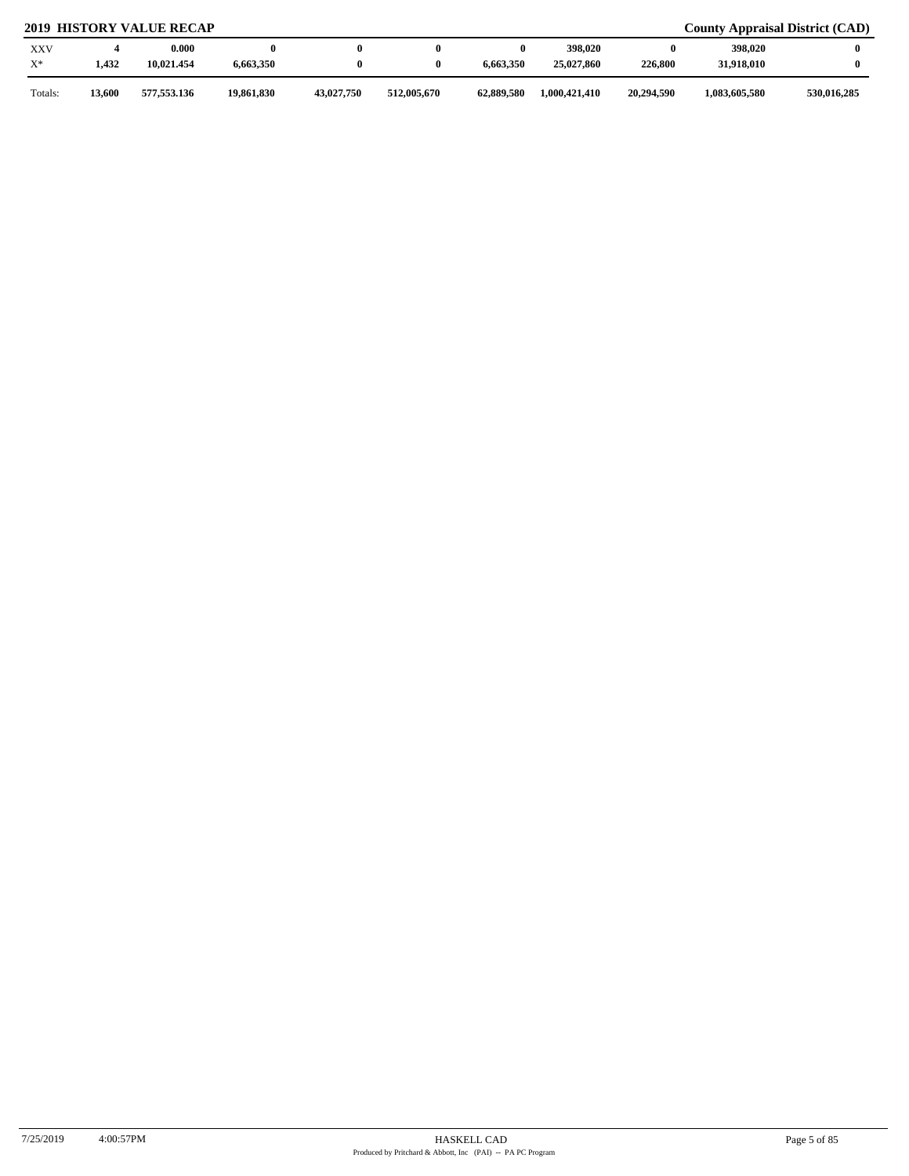| <b>XXV</b><br>$X^*$ | 1,432  | 0.000<br>10.021.454 | 6,663,350  |            |             | 6.663.350  | 398,020<br>25,027,860 | 0<br>226,800 | 398,020<br>31,918,010 |             |
|---------------------|--------|---------------------|------------|------------|-------------|------------|-----------------------|--------------|-----------------------|-------------|
| Totals:             | 13,600 | 577,553.136         | 19,861,830 | 43,027,750 | 512,005,670 | 62,889,580 | 1,000,421,410         | 20,294.590   | 1,083,605,580         | 530,016,285 |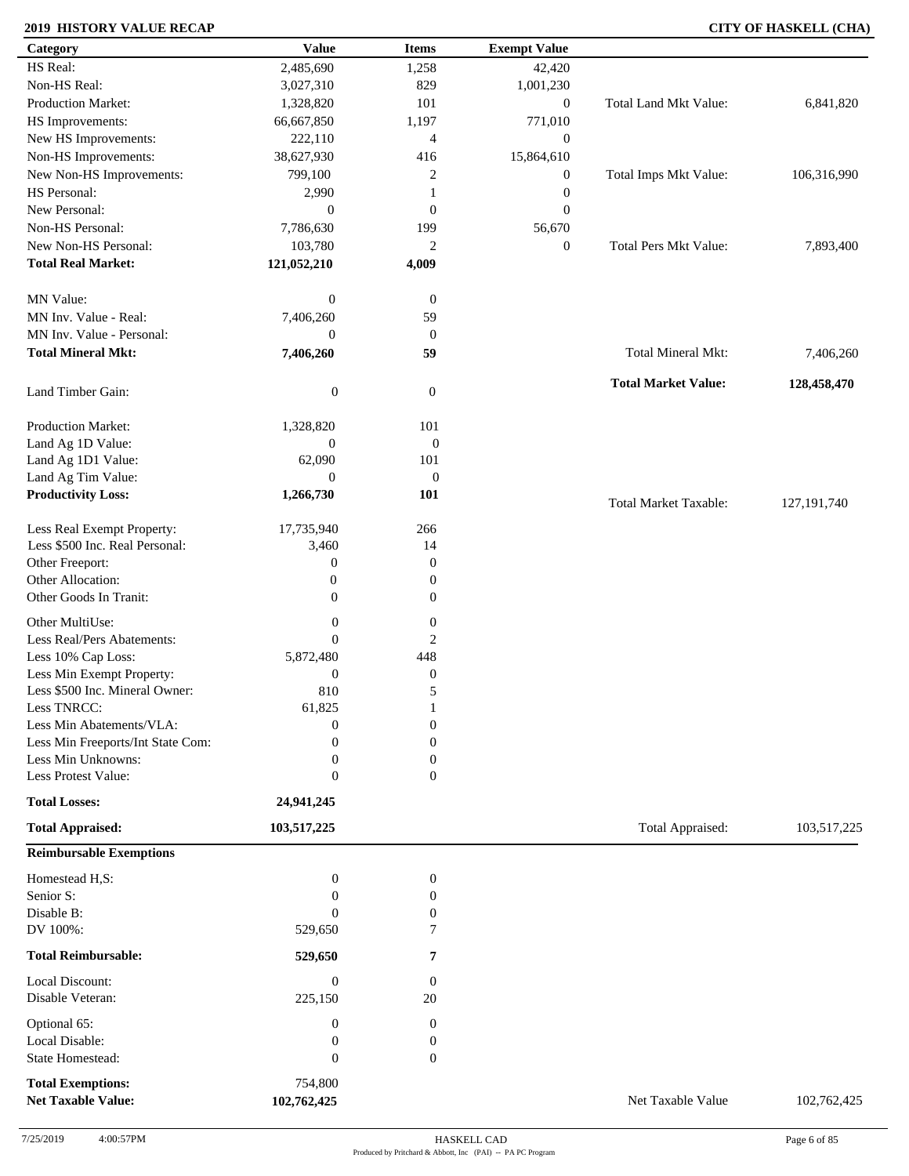### **2019 HISTORY VALUE RECAP CITY OF HASKELL (CHA)**

| Category                                              | <b>Value</b>     | <b>Items</b>     | <b>Exempt Value</b> |                              |               |
|-------------------------------------------------------|------------------|------------------|---------------------|------------------------------|---------------|
| HS Real:                                              | 2,485,690        | 1,258            | 42,420              |                              |               |
| Non-HS Real:                                          | 3,027,310        | 829              | 1,001,230           |                              |               |
| Production Market:                                    | 1,328,820        | 101              | $\boldsymbol{0}$    | <b>Total Land Mkt Value:</b> | 6,841,820     |
| HS Improvements:                                      | 66,667,850       | 1,197            | 771,010             |                              |               |
| New HS Improvements:                                  | 222,110          | $\overline{4}$   | $\boldsymbol{0}$    |                              |               |
| Non-HS Improvements:                                  | 38,627,930       | 416              | 15,864,610          |                              |               |
| New Non-HS Improvements:                              | 799,100          | 2                | $\boldsymbol{0}$    | Total Imps Mkt Value:        | 106,316,990   |
| HS Personal:                                          | 2,990            | 1                | $\boldsymbol{0}$    |                              |               |
| New Personal:                                         | $\boldsymbol{0}$ | $\boldsymbol{0}$ | $\mathbf{0}$        |                              |               |
| Non-HS Personal:                                      | 7,786,630        | 199              |                     |                              |               |
| New Non-HS Personal:                                  |                  |                  | 56,670              |                              |               |
|                                                       | 103,780          | $\overline{c}$   | $\boldsymbol{0}$    | <b>Total Pers Mkt Value:</b> | 7,893,400     |
| <b>Total Real Market:</b>                             | 121,052,210      | 4,009            |                     |                              |               |
| MN Value:                                             | $\boldsymbol{0}$ | $\boldsymbol{0}$ |                     |                              |               |
| MN Inv. Value - Real:                                 | 7,406,260        | 59               |                     |                              |               |
| MN Inv. Value - Personal:                             | $\boldsymbol{0}$ | $\boldsymbol{0}$ |                     |                              |               |
| <b>Total Mineral Mkt:</b>                             | 7,406,260        | 59               |                     | Total Mineral Mkt:           | 7,406,260     |
|                                                       |                  |                  |                     | <b>Total Market Value:</b>   | 128,458,470   |
| Land Timber Gain:                                     | $\boldsymbol{0}$ | $\mathbf{0}$     |                     |                              |               |
| Production Market:                                    | 1,328,820        | 101              |                     |                              |               |
| Land Ag 1D Value:                                     | $\boldsymbol{0}$ | $\boldsymbol{0}$ |                     |                              |               |
| Land Ag 1D1 Value:                                    | 62,090           | 101              |                     |                              |               |
| Land Ag Tim Value:                                    | $\overline{0}$   | $\boldsymbol{0}$ |                     |                              |               |
| <b>Productivity Loss:</b>                             | 1,266,730        | 101              |                     |                              |               |
|                                                       |                  |                  |                     | <b>Total Market Taxable:</b> | 127, 191, 740 |
| Less Real Exempt Property:                            | 17,735,940       | 266              |                     |                              |               |
| Less \$500 Inc. Real Personal:                        | 3,460            | 14               |                     |                              |               |
| Other Freeport:                                       | $\boldsymbol{0}$ | $\boldsymbol{0}$ |                     |                              |               |
| Other Allocation:                                     | $\boldsymbol{0}$ | $\boldsymbol{0}$ |                     |                              |               |
| Other Goods In Tranit:                                | $\boldsymbol{0}$ | $\boldsymbol{0}$ |                     |                              |               |
| Other MultiUse:                                       | $\boldsymbol{0}$ | $\boldsymbol{0}$ |                     |                              |               |
| Less Real/Pers Abatements:                            | $\overline{0}$   | 2                |                     |                              |               |
| Less 10% Cap Loss:                                    | 5,872,480        | 448              |                     |                              |               |
| Less Min Exempt Property:                             | $\boldsymbol{0}$ | $\boldsymbol{0}$ |                     |                              |               |
| Less \$500 Inc. Mineral Owner:                        | 810              | 5                |                     |                              |               |
| Less TNRCC:                                           | 61,825           | 1                |                     |                              |               |
| Less Min Abatements/VLA:                              | $\boldsymbol{0}$ | $\boldsymbol{0}$ |                     |                              |               |
| Less Min Freeports/Int State Com:                     | 0                | $\overline{0}$   |                     |                              |               |
| Less Min Unknowns:                                    | 0                | $\boldsymbol{0}$ |                     |                              |               |
| Less Protest Value:                                   | 0                | $\overline{0}$   |                     |                              |               |
| <b>Total Losses:</b>                                  | 24,941,245       |                  |                     |                              |               |
| <b>Total Appraised:</b>                               |                  |                  |                     | Total Appraised:             | 103,517,225   |
|                                                       | 103,517,225      |                  |                     |                              |               |
| <b>Reimbursable Exemptions</b>                        |                  |                  |                     |                              |               |
| Homestead H,S:                                        | $\boldsymbol{0}$ | $\boldsymbol{0}$ |                     |                              |               |
| Senior S:                                             | $\overline{0}$   | 0                |                     |                              |               |
| Disable B:                                            | $\Omega$         | $\boldsymbol{0}$ |                     |                              |               |
| DV 100%:                                              | 529,650          | 7                |                     |                              |               |
| <b>Total Reimbursable:</b>                            | 529,650          | 7                |                     |                              |               |
| Local Discount:                                       | $\boldsymbol{0}$ | $\boldsymbol{0}$ |                     |                              |               |
| Disable Veteran:                                      | 225,150          | 20               |                     |                              |               |
| Optional 65:                                          | $\boldsymbol{0}$ | $\boldsymbol{0}$ |                     |                              |               |
| Local Disable:                                        | 0                | $\boldsymbol{0}$ |                     |                              |               |
| <b>State Homestead:</b>                               | $\overline{0}$   | $\mathbf{0}$     |                     |                              |               |
|                                                       |                  |                  |                     |                              |               |
| <b>Total Exemptions:</b><br><b>Net Taxable Value:</b> | 754,800          |                  |                     | Net Taxable Value            |               |
|                                                       | 102,762,425      |                  |                     |                              | 102,762,425   |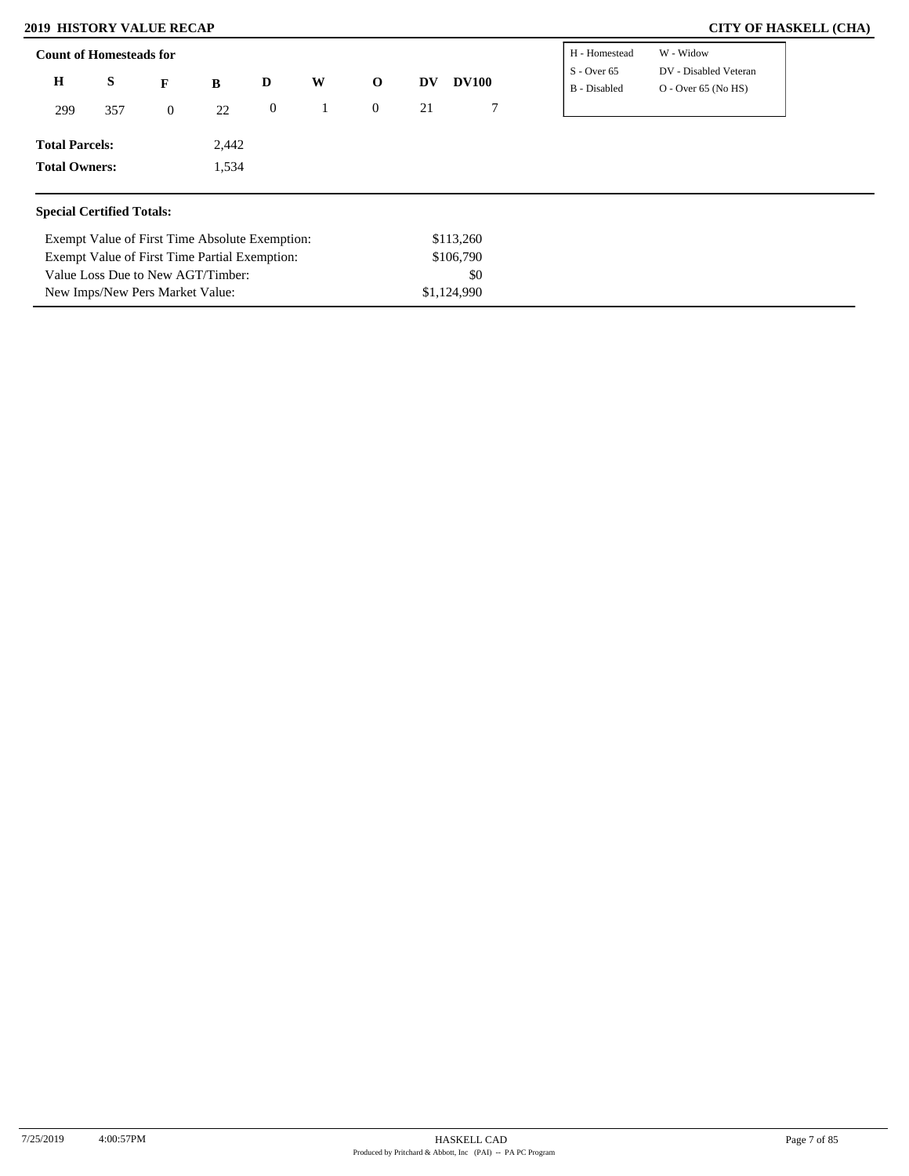### **2019 HISTORY VALUE RECAP**

Exempt Value of First Time Partial Exemption:

Value Loss Due to New AGT/Timber: New Imps/New Pers Market Value:

|  |  | <b>CITY OF HASKELL (CHA)</b> |  |
|--|--|------------------------------|--|
|--|--|------------------------------|--|

|                                  | <b>Count of Homesteads for</b>                 |              |       |                  |   |                |    |              | H - Homestead                 | W - Widow                                      |
|----------------------------------|------------------------------------------------|--------------|-------|------------------|---|----------------|----|--------------|-------------------------------|------------------------------------------------|
| H<br>S                           |                                                | F            | B     | D                | W | $\mathbf 0$    | DV | <b>DV100</b> | $S - Over 65$<br>B - Disabled | DV - Disabled Veteran<br>$O - Over 65 (No HS)$ |
| 299                              | 357                                            | $\mathbf{0}$ | 22    | $\boldsymbol{0}$ |   | $\overline{0}$ | 21 | 7            |                               |                                                |
| <b>Total Parcels:</b>            |                                                |              | 2,442 |                  |   |                |    |              |                               |                                                |
| <b>Total Owners:</b>             |                                                |              | 1,534 |                  |   |                |    |              |                               |                                                |
| <b>Special Certified Totals:</b> |                                                |              |       |                  |   |                |    |              |                               |                                                |
|                                  | Exempt Value of First Time Absolute Exemption: |              |       |                  |   |                |    | \$113,260    |                               |                                                |
|                                  | Exempt Value of First Time Partial Exemption:  |              |       |                  |   |                |    |              |                               |                                                |

\$0

\$1,124,990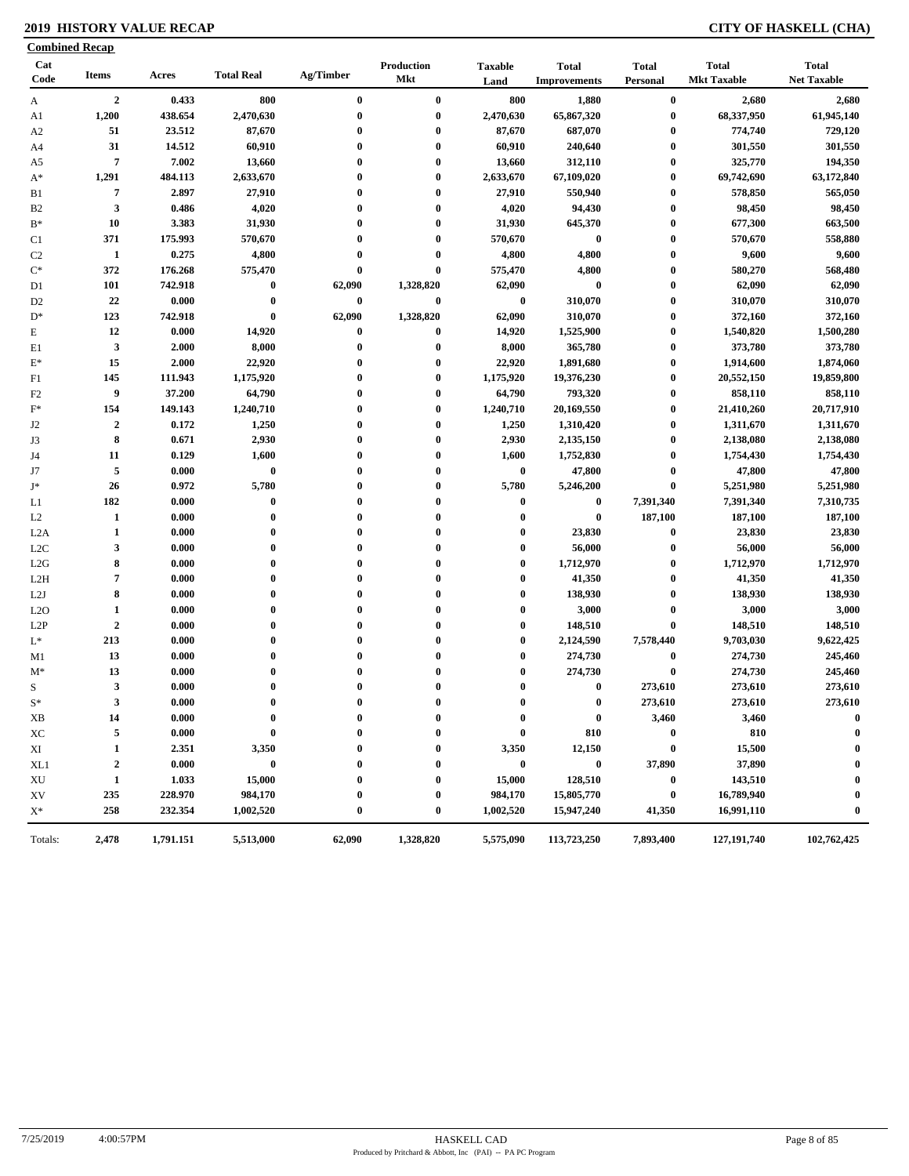### **2019 HISTORY VALUE RECAP CITY OF HASKELL (CHA)**

| Cat<br><b>Production</b><br><b>Total</b><br><b>Taxable</b><br><b>Total</b><br><b>Total</b><br><b>Total Real</b><br>Ag/Timber<br><b>Items</b><br>Acres<br>Code<br><b>Mkt</b><br><b>Mkt Taxable</b><br>Land<br><b>Improvements</b><br>Personal<br>1,880<br>$\overline{2}$<br>0.433<br>800<br>$\bf{0}$<br>$\bf{0}$<br>800<br>$\bf{0}$<br>A<br>1,200<br>438.654<br>$\bf{0}$<br>$\bf{0}$<br>2,470,630<br>65,867,320<br>$\bf{0}$<br>2,470,630<br>A1<br>23.512<br>87,670<br>87,670<br>687,070<br>51<br>$\bf{0}$<br>$\bf{0}$<br>$\boldsymbol{0}$<br>A <sub>2</sub><br>31<br>$\bf{0}$<br>$\bf{0}$<br>14.512<br>60,910<br>0<br>60,910<br>240,640<br>A4<br>7.002<br>$\overline{7}$<br>13,660<br>0<br>$\bf{0}$<br>13,660<br>312,110<br>$\boldsymbol{0}$<br>A5<br>$\bf{0}$<br>$\bf{0}$<br>1,291<br>484.113<br>2,633,670<br>$\bf{0}$<br>2,633,670<br>67,109,020<br>$A^*$<br>$\overline{7}$<br>2.897<br>27,910<br>$\bf{0}$<br>$\bf{0}$<br>27,910<br>550,940<br>$\boldsymbol{0}$<br>B1<br>$\mathbf{3}$<br>B <sub>2</sub><br>0.486<br>4,020<br>$\bf{0}$<br>$\bf{0}$<br>4,020<br>94,430<br>$\boldsymbol{0}$<br>$B*$<br>10<br>3.383<br>31,930<br>$\bf{0}$<br>$\bf{0}$<br>31,930<br>645,370<br>$\boldsymbol{0}$<br>371<br>175.993<br>570,670<br>$\bf{0}$<br>$\bf{0}$<br>570,670<br>$\bf{0}$<br>$\boldsymbol{0}$<br>C1<br>0.275<br>4,800<br>1<br>4,800<br>$\bf{0}$<br>$\bf{0}$<br>4,800<br>$\boldsymbol{0}$<br>C <sub>2</sub><br>4,800<br>$\mathrm{C}^*$<br>372<br>176.268<br>575,470<br>$\bf{0}$<br>$\bf{0}$<br>575,470<br>$\boldsymbol{0}$<br>$\bf{0}$<br>$\bf{0}$<br>101<br>742.918<br>$\bf{0}$<br>62,090<br>1,328,820<br>62,090<br>D1<br>22<br>0.000<br>$\bf{0}$<br>0<br>$\bf{0}$<br>$\bf{0}$<br>310,070<br>$\boldsymbol{0}$<br>D <sub>2</sub><br>1,328,820<br>62,090<br>123<br>742.918<br>$\bf{0}$<br>62,090<br>310,070<br>$\boldsymbol{0}$<br>$D^*$<br>14,920<br>12<br>0.000<br>$\bf{0}$<br>14,920<br>1,525,900<br>$\bf{0}$<br>E<br>$\bf{0}$<br>$\mathbf{3}$<br>8,000<br>8,000<br>365,780<br>$\boldsymbol{0}$<br>2.000<br>0<br>$\bf{0}$<br>E1<br>15<br>22,920<br>$\boldsymbol{0}$<br>2.000<br>0<br>$\bf{0}$<br>22,920<br>1,891,680<br>$E^*$<br>145<br>$\boldsymbol{0}$<br>111.943<br>1,175,920<br>$\bf{0}$<br>$\bf{0}$<br>1,175,920<br>19,376,230<br>F1<br>9<br>793,320<br>37.200<br>64,790<br>0<br>$\bf{0}$<br>64,790<br>$\boldsymbol{0}$<br>F <sub>2</sub><br>$\bf{0}$<br>$F^*$<br>154<br>149.143<br>1,240,710<br>$\bf{0}$<br>$\bf{0}$<br>1,240,710<br>20,169,550<br>$\overline{2}$<br>0.172<br>1,250<br>$\bf{0}$<br>$\bf{0}$<br>1,250<br>1,310,420<br>$\boldsymbol{0}$<br>J2<br>8<br>2,930<br>2,930<br>J3<br>0.671<br>$\bf{0}$<br>$\bf{0}$<br>2,135,150<br>$\boldsymbol{0}$<br>11<br>0.129<br>1,600<br>$\bf{0}$<br>$\bf{0}$<br>1,600<br>1,752,830<br>$\boldsymbol{0}$<br>J4<br>$\overline{5}$<br>$\bf{0}$<br>$\bf{0}$<br>0.000<br>$\bf{0}$<br>$\bf{0}$<br>47,800<br>$\boldsymbol{0}$<br>J7<br>26<br>0.972<br>5,780<br>$\bf{0}$<br>5,780<br>5,246,200<br>$\bf{0}$<br>$J^*$<br>$\bf{0}$<br>182<br>$\bf{0}$<br>$\bf{0}$<br>0<br>$\bf{0}$<br>$\bf{0}$<br>7,391,340<br>0.000<br>L1<br>$\bf{0}$<br>$\bf{0}$<br>$\bf{0}$<br>187,100<br>1<br>$\bf{0}$<br>$\bf{0}$<br>L2<br>0.000<br>1<br>$\bf{0}$<br>$\mathbf{0}$<br>$\bf{0}$<br>$\bf{0}$<br>23,830<br>$\boldsymbol{0}$<br>L2A<br>0.000<br>3<br>$\bf{0}$<br>$\bf{0}$<br>$\bf{0}$<br>56,000<br>$\boldsymbol{0}$<br>L <sub>2</sub> C<br>0.000<br>$\mathbf{0}$<br>8<br>$\bf{0}$<br>0.000<br>$\bf{0}$<br>$\bf{0}$<br>1,712,970<br>$\boldsymbol{0}$<br>L2G<br>$\bf{0}$<br>$\overline{7}$<br>$\bf{0}$<br>$\bf{0}$<br>$\bf{0}$<br>41,350<br>$\boldsymbol{0}$<br>0.000<br>L2H<br>$\bf{0}$<br>8<br>$\bf{0}$<br>138,930<br>$\boldsymbol{0}$<br>0.000<br>$\bf{0}$<br>$\bf{0}$<br>L2J<br>$\bf{0}$<br>$\bf{0}$<br>$\bf{0}$<br>3,000<br>$\bf{0}$<br>$\mathbf{1}$<br>0.000<br>$\bf{0}$<br>L2O<br>$\bf{0}$<br>$\boldsymbol{2}$<br>$\bf{0}$<br>0.000<br>$\bf{0}$<br>$\bf{0}$<br>$\bf{0}$<br>148,510<br>$\bf{0}$<br>L <sub>2</sub> P | <b>Total</b><br><b>Net Taxable</b><br>2,680<br>2,680<br>68,337,950<br>61,945,140<br>774,740<br>729,120<br>301,550<br>301,550<br>325,770<br>194,350<br>69,742,690<br>63,172,840<br>565,050<br>578,850<br>98,450<br>98,450<br>677,300<br>663,500<br>570,670<br>558,880<br>9,600<br>9,600<br>580,270<br>568,480<br>62,090<br>62,090<br>310,070<br>310,070<br>372,160<br>372,160<br>1,540,820<br>1,500,280<br>373,780<br>373,780<br>1,914,600<br>1,874,060<br>20,552,150<br>19,859,800<br>858,110<br>858,110 |
|------------------------------------------------------------------------------------------------------------------------------------------------------------------------------------------------------------------------------------------------------------------------------------------------------------------------------------------------------------------------------------------------------------------------------------------------------------------------------------------------------------------------------------------------------------------------------------------------------------------------------------------------------------------------------------------------------------------------------------------------------------------------------------------------------------------------------------------------------------------------------------------------------------------------------------------------------------------------------------------------------------------------------------------------------------------------------------------------------------------------------------------------------------------------------------------------------------------------------------------------------------------------------------------------------------------------------------------------------------------------------------------------------------------------------------------------------------------------------------------------------------------------------------------------------------------------------------------------------------------------------------------------------------------------------------------------------------------------------------------------------------------------------------------------------------------------------------------------------------------------------------------------------------------------------------------------------------------------------------------------------------------------------------------------------------------------------------------------------------------------------------------------------------------------------------------------------------------------------------------------------------------------------------------------------------------------------------------------------------------------------------------------------------------------------------------------------------------------------------------------------------------------------------------------------------------------------------------------------------------------------------------------------------------------------------------------------------------------------------------------------------------------------------------------------------------------------------------------------------------------------------------------------------------------------------------------------------------------------------------------------------------------------------------------------------------------------------------------------------------------------------------------------------------------------------------------------------------------------------------------------------------------------------------------------------------------------------------------------------------------------------------------------------------------------------------------------------------------------------------------------------------------------------------------------------------------------------------------------------------------------------------------------------------------------------------------------------------------------------------------------------------------------------------------------------------------------------------------------------------------------------------------------------------------------------------------|----------------------------------------------------------------------------------------------------------------------------------------------------------------------------------------------------------------------------------------------------------------------------------------------------------------------------------------------------------------------------------------------------------------------------------------------------------------------------------------------------------|
|                                                                                                                                                                                                                                                                                                                                                                                                                                                                                                                                                                                                                                                                                                                                                                                                                                                                                                                                                                                                                                                                                                                                                                                                                                                                                                                                                                                                                                                                                                                                                                                                                                                                                                                                                                                                                                                                                                                                                                                                                                                                                                                                                                                                                                                                                                                                                                                                                                                                                                                                                                                                                                                                                                                                                                                                                                                                                                                                                                                                                                                                                                                                                                                                                                                                                                                                                                                                                                                                                                                                                                                                                                                                                                                                                                                                                                                                                                                                                |                                                                                                                                                                                                                                                                                                                                                                                                                                                                                                          |
|                                                                                                                                                                                                                                                                                                                                                                                                                                                                                                                                                                                                                                                                                                                                                                                                                                                                                                                                                                                                                                                                                                                                                                                                                                                                                                                                                                                                                                                                                                                                                                                                                                                                                                                                                                                                                                                                                                                                                                                                                                                                                                                                                                                                                                                                                                                                                                                                                                                                                                                                                                                                                                                                                                                                                                                                                                                                                                                                                                                                                                                                                                                                                                                                                                                                                                                                                                                                                                                                                                                                                                                                                                                                                                                                                                                                                                                                                                                                                |                                                                                                                                                                                                                                                                                                                                                                                                                                                                                                          |
|                                                                                                                                                                                                                                                                                                                                                                                                                                                                                                                                                                                                                                                                                                                                                                                                                                                                                                                                                                                                                                                                                                                                                                                                                                                                                                                                                                                                                                                                                                                                                                                                                                                                                                                                                                                                                                                                                                                                                                                                                                                                                                                                                                                                                                                                                                                                                                                                                                                                                                                                                                                                                                                                                                                                                                                                                                                                                                                                                                                                                                                                                                                                                                                                                                                                                                                                                                                                                                                                                                                                                                                                                                                                                                                                                                                                                                                                                                                                                |                                                                                                                                                                                                                                                                                                                                                                                                                                                                                                          |
|                                                                                                                                                                                                                                                                                                                                                                                                                                                                                                                                                                                                                                                                                                                                                                                                                                                                                                                                                                                                                                                                                                                                                                                                                                                                                                                                                                                                                                                                                                                                                                                                                                                                                                                                                                                                                                                                                                                                                                                                                                                                                                                                                                                                                                                                                                                                                                                                                                                                                                                                                                                                                                                                                                                                                                                                                                                                                                                                                                                                                                                                                                                                                                                                                                                                                                                                                                                                                                                                                                                                                                                                                                                                                                                                                                                                                                                                                                                                                |                                                                                                                                                                                                                                                                                                                                                                                                                                                                                                          |
|                                                                                                                                                                                                                                                                                                                                                                                                                                                                                                                                                                                                                                                                                                                                                                                                                                                                                                                                                                                                                                                                                                                                                                                                                                                                                                                                                                                                                                                                                                                                                                                                                                                                                                                                                                                                                                                                                                                                                                                                                                                                                                                                                                                                                                                                                                                                                                                                                                                                                                                                                                                                                                                                                                                                                                                                                                                                                                                                                                                                                                                                                                                                                                                                                                                                                                                                                                                                                                                                                                                                                                                                                                                                                                                                                                                                                                                                                                                                                |                                                                                                                                                                                                                                                                                                                                                                                                                                                                                                          |
|                                                                                                                                                                                                                                                                                                                                                                                                                                                                                                                                                                                                                                                                                                                                                                                                                                                                                                                                                                                                                                                                                                                                                                                                                                                                                                                                                                                                                                                                                                                                                                                                                                                                                                                                                                                                                                                                                                                                                                                                                                                                                                                                                                                                                                                                                                                                                                                                                                                                                                                                                                                                                                                                                                                                                                                                                                                                                                                                                                                                                                                                                                                                                                                                                                                                                                                                                                                                                                                                                                                                                                                                                                                                                                                                                                                                                                                                                                                                                |                                                                                                                                                                                                                                                                                                                                                                                                                                                                                                          |
|                                                                                                                                                                                                                                                                                                                                                                                                                                                                                                                                                                                                                                                                                                                                                                                                                                                                                                                                                                                                                                                                                                                                                                                                                                                                                                                                                                                                                                                                                                                                                                                                                                                                                                                                                                                                                                                                                                                                                                                                                                                                                                                                                                                                                                                                                                                                                                                                                                                                                                                                                                                                                                                                                                                                                                                                                                                                                                                                                                                                                                                                                                                                                                                                                                                                                                                                                                                                                                                                                                                                                                                                                                                                                                                                                                                                                                                                                                                                                |                                                                                                                                                                                                                                                                                                                                                                                                                                                                                                          |
|                                                                                                                                                                                                                                                                                                                                                                                                                                                                                                                                                                                                                                                                                                                                                                                                                                                                                                                                                                                                                                                                                                                                                                                                                                                                                                                                                                                                                                                                                                                                                                                                                                                                                                                                                                                                                                                                                                                                                                                                                                                                                                                                                                                                                                                                                                                                                                                                                                                                                                                                                                                                                                                                                                                                                                                                                                                                                                                                                                                                                                                                                                                                                                                                                                                                                                                                                                                                                                                                                                                                                                                                                                                                                                                                                                                                                                                                                                                                                |                                                                                                                                                                                                                                                                                                                                                                                                                                                                                                          |
|                                                                                                                                                                                                                                                                                                                                                                                                                                                                                                                                                                                                                                                                                                                                                                                                                                                                                                                                                                                                                                                                                                                                                                                                                                                                                                                                                                                                                                                                                                                                                                                                                                                                                                                                                                                                                                                                                                                                                                                                                                                                                                                                                                                                                                                                                                                                                                                                                                                                                                                                                                                                                                                                                                                                                                                                                                                                                                                                                                                                                                                                                                                                                                                                                                                                                                                                                                                                                                                                                                                                                                                                                                                                                                                                                                                                                                                                                                                                                |                                                                                                                                                                                                                                                                                                                                                                                                                                                                                                          |
|                                                                                                                                                                                                                                                                                                                                                                                                                                                                                                                                                                                                                                                                                                                                                                                                                                                                                                                                                                                                                                                                                                                                                                                                                                                                                                                                                                                                                                                                                                                                                                                                                                                                                                                                                                                                                                                                                                                                                                                                                                                                                                                                                                                                                                                                                                                                                                                                                                                                                                                                                                                                                                                                                                                                                                                                                                                                                                                                                                                                                                                                                                                                                                                                                                                                                                                                                                                                                                                                                                                                                                                                                                                                                                                                                                                                                                                                                                                                                |                                                                                                                                                                                                                                                                                                                                                                                                                                                                                                          |
|                                                                                                                                                                                                                                                                                                                                                                                                                                                                                                                                                                                                                                                                                                                                                                                                                                                                                                                                                                                                                                                                                                                                                                                                                                                                                                                                                                                                                                                                                                                                                                                                                                                                                                                                                                                                                                                                                                                                                                                                                                                                                                                                                                                                                                                                                                                                                                                                                                                                                                                                                                                                                                                                                                                                                                                                                                                                                                                                                                                                                                                                                                                                                                                                                                                                                                                                                                                                                                                                                                                                                                                                                                                                                                                                                                                                                                                                                                                                                |                                                                                                                                                                                                                                                                                                                                                                                                                                                                                                          |
|                                                                                                                                                                                                                                                                                                                                                                                                                                                                                                                                                                                                                                                                                                                                                                                                                                                                                                                                                                                                                                                                                                                                                                                                                                                                                                                                                                                                                                                                                                                                                                                                                                                                                                                                                                                                                                                                                                                                                                                                                                                                                                                                                                                                                                                                                                                                                                                                                                                                                                                                                                                                                                                                                                                                                                                                                                                                                                                                                                                                                                                                                                                                                                                                                                                                                                                                                                                                                                                                                                                                                                                                                                                                                                                                                                                                                                                                                                                                                |                                                                                                                                                                                                                                                                                                                                                                                                                                                                                                          |
|                                                                                                                                                                                                                                                                                                                                                                                                                                                                                                                                                                                                                                                                                                                                                                                                                                                                                                                                                                                                                                                                                                                                                                                                                                                                                                                                                                                                                                                                                                                                                                                                                                                                                                                                                                                                                                                                                                                                                                                                                                                                                                                                                                                                                                                                                                                                                                                                                                                                                                                                                                                                                                                                                                                                                                                                                                                                                                                                                                                                                                                                                                                                                                                                                                                                                                                                                                                                                                                                                                                                                                                                                                                                                                                                                                                                                                                                                                                                                |                                                                                                                                                                                                                                                                                                                                                                                                                                                                                                          |
|                                                                                                                                                                                                                                                                                                                                                                                                                                                                                                                                                                                                                                                                                                                                                                                                                                                                                                                                                                                                                                                                                                                                                                                                                                                                                                                                                                                                                                                                                                                                                                                                                                                                                                                                                                                                                                                                                                                                                                                                                                                                                                                                                                                                                                                                                                                                                                                                                                                                                                                                                                                                                                                                                                                                                                                                                                                                                                                                                                                                                                                                                                                                                                                                                                                                                                                                                                                                                                                                                                                                                                                                                                                                                                                                                                                                                                                                                                                                                |                                                                                                                                                                                                                                                                                                                                                                                                                                                                                                          |
|                                                                                                                                                                                                                                                                                                                                                                                                                                                                                                                                                                                                                                                                                                                                                                                                                                                                                                                                                                                                                                                                                                                                                                                                                                                                                                                                                                                                                                                                                                                                                                                                                                                                                                                                                                                                                                                                                                                                                                                                                                                                                                                                                                                                                                                                                                                                                                                                                                                                                                                                                                                                                                                                                                                                                                                                                                                                                                                                                                                                                                                                                                                                                                                                                                                                                                                                                                                                                                                                                                                                                                                                                                                                                                                                                                                                                                                                                                                                                |                                                                                                                                                                                                                                                                                                                                                                                                                                                                                                          |
|                                                                                                                                                                                                                                                                                                                                                                                                                                                                                                                                                                                                                                                                                                                                                                                                                                                                                                                                                                                                                                                                                                                                                                                                                                                                                                                                                                                                                                                                                                                                                                                                                                                                                                                                                                                                                                                                                                                                                                                                                                                                                                                                                                                                                                                                                                                                                                                                                                                                                                                                                                                                                                                                                                                                                                                                                                                                                                                                                                                                                                                                                                                                                                                                                                                                                                                                                                                                                                                                                                                                                                                                                                                                                                                                                                                                                                                                                                                                                |                                                                                                                                                                                                                                                                                                                                                                                                                                                                                                          |
|                                                                                                                                                                                                                                                                                                                                                                                                                                                                                                                                                                                                                                                                                                                                                                                                                                                                                                                                                                                                                                                                                                                                                                                                                                                                                                                                                                                                                                                                                                                                                                                                                                                                                                                                                                                                                                                                                                                                                                                                                                                                                                                                                                                                                                                                                                                                                                                                                                                                                                                                                                                                                                                                                                                                                                                                                                                                                                                                                                                                                                                                                                                                                                                                                                                                                                                                                                                                                                                                                                                                                                                                                                                                                                                                                                                                                                                                                                                                                |                                                                                                                                                                                                                                                                                                                                                                                                                                                                                                          |
|                                                                                                                                                                                                                                                                                                                                                                                                                                                                                                                                                                                                                                                                                                                                                                                                                                                                                                                                                                                                                                                                                                                                                                                                                                                                                                                                                                                                                                                                                                                                                                                                                                                                                                                                                                                                                                                                                                                                                                                                                                                                                                                                                                                                                                                                                                                                                                                                                                                                                                                                                                                                                                                                                                                                                                                                                                                                                                                                                                                                                                                                                                                                                                                                                                                                                                                                                                                                                                                                                                                                                                                                                                                                                                                                                                                                                                                                                                                                                |                                                                                                                                                                                                                                                                                                                                                                                                                                                                                                          |
|                                                                                                                                                                                                                                                                                                                                                                                                                                                                                                                                                                                                                                                                                                                                                                                                                                                                                                                                                                                                                                                                                                                                                                                                                                                                                                                                                                                                                                                                                                                                                                                                                                                                                                                                                                                                                                                                                                                                                                                                                                                                                                                                                                                                                                                                                                                                                                                                                                                                                                                                                                                                                                                                                                                                                                                                                                                                                                                                                                                                                                                                                                                                                                                                                                                                                                                                                                                                                                                                                                                                                                                                                                                                                                                                                                                                                                                                                                                                                |                                                                                                                                                                                                                                                                                                                                                                                                                                                                                                          |
|                                                                                                                                                                                                                                                                                                                                                                                                                                                                                                                                                                                                                                                                                                                                                                                                                                                                                                                                                                                                                                                                                                                                                                                                                                                                                                                                                                                                                                                                                                                                                                                                                                                                                                                                                                                                                                                                                                                                                                                                                                                                                                                                                                                                                                                                                                                                                                                                                                                                                                                                                                                                                                                                                                                                                                                                                                                                                                                                                                                                                                                                                                                                                                                                                                                                                                                                                                                                                                                                                                                                                                                                                                                                                                                                                                                                                                                                                                                                                |                                                                                                                                                                                                                                                                                                                                                                                                                                                                                                          |
|                                                                                                                                                                                                                                                                                                                                                                                                                                                                                                                                                                                                                                                                                                                                                                                                                                                                                                                                                                                                                                                                                                                                                                                                                                                                                                                                                                                                                                                                                                                                                                                                                                                                                                                                                                                                                                                                                                                                                                                                                                                                                                                                                                                                                                                                                                                                                                                                                                                                                                                                                                                                                                                                                                                                                                                                                                                                                                                                                                                                                                                                                                                                                                                                                                                                                                                                                                                                                                                                                                                                                                                                                                                                                                                                                                                                                                                                                                                                                |                                                                                                                                                                                                                                                                                                                                                                                                                                                                                                          |
|                                                                                                                                                                                                                                                                                                                                                                                                                                                                                                                                                                                                                                                                                                                                                                                                                                                                                                                                                                                                                                                                                                                                                                                                                                                                                                                                                                                                                                                                                                                                                                                                                                                                                                                                                                                                                                                                                                                                                                                                                                                                                                                                                                                                                                                                                                                                                                                                                                                                                                                                                                                                                                                                                                                                                                                                                                                                                                                                                                                                                                                                                                                                                                                                                                                                                                                                                                                                                                                                                                                                                                                                                                                                                                                                                                                                                                                                                                                                                |                                                                                                                                                                                                                                                                                                                                                                                                                                                                                                          |
|                                                                                                                                                                                                                                                                                                                                                                                                                                                                                                                                                                                                                                                                                                                                                                                                                                                                                                                                                                                                                                                                                                                                                                                                                                                                                                                                                                                                                                                                                                                                                                                                                                                                                                                                                                                                                                                                                                                                                                                                                                                                                                                                                                                                                                                                                                                                                                                                                                                                                                                                                                                                                                                                                                                                                                                                                                                                                                                                                                                                                                                                                                                                                                                                                                                                                                                                                                                                                                                                                                                                                                                                                                                                                                                                                                                                                                                                                                                                                | 21,410,260<br>20,717,910                                                                                                                                                                                                                                                                                                                                                                                                                                                                                 |
|                                                                                                                                                                                                                                                                                                                                                                                                                                                                                                                                                                                                                                                                                                                                                                                                                                                                                                                                                                                                                                                                                                                                                                                                                                                                                                                                                                                                                                                                                                                                                                                                                                                                                                                                                                                                                                                                                                                                                                                                                                                                                                                                                                                                                                                                                                                                                                                                                                                                                                                                                                                                                                                                                                                                                                                                                                                                                                                                                                                                                                                                                                                                                                                                                                                                                                                                                                                                                                                                                                                                                                                                                                                                                                                                                                                                                                                                                                                                                | 1,311,670<br>1,311,670                                                                                                                                                                                                                                                                                                                                                                                                                                                                                   |
|                                                                                                                                                                                                                                                                                                                                                                                                                                                                                                                                                                                                                                                                                                                                                                                                                                                                                                                                                                                                                                                                                                                                                                                                                                                                                                                                                                                                                                                                                                                                                                                                                                                                                                                                                                                                                                                                                                                                                                                                                                                                                                                                                                                                                                                                                                                                                                                                                                                                                                                                                                                                                                                                                                                                                                                                                                                                                                                                                                                                                                                                                                                                                                                                                                                                                                                                                                                                                                                                                                                                                                                                                                                                                                                                                                                                                                                                                                                                                | 2,138,080<br>2,138,080                                                                                                                                                                                                                                                                                                                                                                                                                                                                                   |
|                                                                                                                                                                                                                                                                                                                                                                                                                                                                                                                                                                                                                                                                                                                                                                                                                                                                                                                                                                                                                                                                                                                                                                                                                                                                                                                                                                                                                                                                                                                                                                                                                                                                                                                                                                                                                                                                                                                                                                                                                                                                                                                                                                                                                                                                                                                                                                                                                                                                                                                                                                                                                                                                                                                                                                                                                                                                                                                                                                                                                                                                                                                                                                                                                                                                                                                                                                                                                                                                                                                                                                                                                                                                                                                                                                                                                                                                                                                                                | 1,754,430<br>1,754,430                                                                                                                                                                                                                                                                                                                                                                                                                                                                                   |
|                                                                                                                                                                                                                                                                                                                                                                                                                                                                                                                                                                                                                                                                                                                                                                                                                                                                                                                                                                                                                                                                                                                                                                                                                                                                                                                                                                                                                                                                                                                                                                                                                                                                                                                                                                                                                                                                                                                                                                                                                                                                                                                                                                                                                                                                                                                                                                                                                                                                                                                                                                                                                                                                                                                                                                                                                                                                                                                                                                                                                                                                                                                                                                                                                                                                                                                                                                                                                                                                                                                                                                                                                                                                                                                                                                                                                                                                                                                                                | 47,800<br>47,800                                                                                                                                                                                                                                                                                                                                                                                                                                                                                         |
|                                                                                                                                                                                                                                                                                                                                                                                                                                                                                                                                                                                                                                                                                                                                                                                                                                                                                                                                                                                                                                                                                                                                                                                                                                                                                                                                                                                                                                                                                                                                                                                                                                                                                                                                                                                                                                                                                                                                                                                                                                                                                                                                                                                                                                                                                                                                                                                                                                                                                                                                                                                                                                                                                                                                                                                                                                                                                                                                                                                                                                                                                                                                                                                                                                                                                                                                                                                                                                                                                                                                                                                                                                                                                                                                                                                                                                                                                                                                                | 5,251,980<br>5,251,980                                                                                                                                                                                                                                                                                                                                                                                                                                                                                   |
|                                                                                                                                                                                                                                                                                                                                                                                                                                                                                                                                                                                                                                                                                                                                                                                                                                                                                                                                                                                                                                                                                                                                                                                                                                                                                                                                                                                                                                                                                                                                                                                                                                                                                                                                                                                                                                                                                                                                                                                                                                                                                                                                                                                                                                                                                                                                                                                                                                                                                                                                                                                                                                                                                                                                                                                                                                                                                                                                                                                                                                                                                                                                                                                                                                                                                                                                                                                                                                                                                                                                                                                                                                                                                                                                                                                                                                                                                                                                                | 7,391,340<br>7,310,735                                                                                                                                                                                                                                                                                                                                                                                                                                                                                   |
|                                                                                                                                                                                                                                                                                                                                                                                                                                                                                                                                                                                                                                                                                                                                                                                                                                                                                                                                                                                                                                                                                                                                                                                                                                                                                                                                                                                                                                                                                                                                                                                                                                                                                                                                                                                                                                                                                                                                                                                                                                                                                                                                                                                                                                                                                                                                                                                                                                                                                                                                                                                                                                                                                                                                                                                                                                                                                                                                                                                                                                                                                                                                                                                                                                                                                                                                                                                                                                                                                                                                                                                                                                                                                                                                                                                                                                                                                                                                                | 187,100<br>187,100                                                                                                                                                                                                                                                                                                                                                                                                                                                                                       |
|                                                                                                                                                                                                                                                                                                                                                                                                                                                                                                                                                                                                                                                                                                                                                                                                                                                                                                                                                                                                                                                                                                                                                                                                                                                                                                                                                                                                                                                                                                                                                                                                                                                                                                                                                                                                                                                                                                                                                                                                                                                                                                                                                                                                                                                                                                                                                                                                                                                                                                                                                                                                                                                                                                                                                                                                                                                                                                                                                                                                                                                                                                                                                                                                                                                                                                                                                                                                                                                                                                                                                                                                                                                                                                                                                                                                                                                                                                                                                | 23,830<br>23,830                                                                                                                                                                                                                                                                                                                                                                                                                                                                                         |
|                                                                                                                                                                                                                                                                                                                                                                                                                                                                                                                                                                                                                                                                                                                                                                                                                                                                                                                                                                                                                                                                                                                                                                                                                                                                                                                                                                                                                                                                                                                                                                                                                                                                                                                                                                                                                                                                                                                                                                                                                                                                                                                                                                                                                                                                                                                                                                                                                                                                                                                                                                                                                                                                                                                                                                                                                                                                                                                                                                                                                                                                                                                                                                                                                                                                                                                                                                                                                                                                                                                                                                                                                                                                                                                                                                                                                                                                                                                                                | 56,000<br>56,000                                                                                                                                                                                                                                                                                                                                                                                                                                                                                         |
|                                                                                                                                                                                                                                                                                                                                                                                                                                                                                                                                                                                                                                                                                                                                                                                                                                                                                                                                                                                                                                                                                                                                                                                                                                                                                                                                                                                                                                                                                                                                                                                                                                                                                                                                                                                                                                                                                                                                                                                                                                                                                                                                                                                                                                                                                                                                                                                                                                                                                                                                                                                                                                                                                                                                                                                                                                                                                                                                                                                                                                                                                                                                                                                                                                                                                                                                                                                                                                                                                                                                                                                                                                                                                                                                                                                                                                                                                                                                                | 1,712,970<br>1,712,970                                                                                                                                                                                                                                                                                                                                                                                                                                                                                   |
|                                                                                                                                                                                                                                                                                                                                                                                                                                                                                                                                                                                                                                                                                                                                                                                                                                                                                                                                                                                                                                                                                                                                                                                                                                                                                                                                                                                                                                                                                                                                                                                                                                                                                                                                                                                                                                                                                                                                                                                                                                                                                                                                                                                                                                                                                                                                                                                                                                                                                                                                                                                                                                                                                                                                                                                                                                                                                                                                                                                                                                                                                                                                                                                                                                                                                                                                                                                                                                                                                                                                                                                                                                                                                                                                                                                                                                                                                                                                                | 41,350<br>41,350                                                                                                                                                                                                                                                                                                                                                                                                                                                                                         |
|                                                                                                                                                                                                                                                                                                                                                                                                                                                                                                                                                                                                                                                                                                                                                                                                                                                                                                                                                                                                                                                                                                                                                                                                                                                                                                                                                                                                                                                                                                                                                                                                                                                                                                                                                                                                                                                                                                                                                                                                                                                                                                                                                                                                                                                                                                                                                                                                                                                                                                                                                                                                                                                                                                                                                                                                                                                                                                                                                                                                                                                                                                                                                                                                                                                                                                                                                                                                                                                                                                                                                                                                                                                                                                                                                                                                                                                                                                                                                | 138,930<br>138,930                                                                                                                                                                                                                                                                                                                                                                                                                                                                                       |
|                                                                                                                                                                                                                                                                                                                                                                                                                                                                                                                                                                                                                                                                                                                                                                                                                                                                                                                                                                                                                                                                                                                                                                                                                                                                                                                                                                                                                                                                                                                                                                                                                                                                                                                                                                                                                                                                                                                                                                                                                                                                                                                                                                                                                                                                                                                                                                                                                                                                                                                                                                                                                                                                                                                                                                                                                                                                                                                                                                                                                                                                                                                                                                                                                                                                                                                                                                                                                                                                                                                                                                                                                                                                                                                                                                                                                                                                                                                                                | 3,000<br>3,000                                                                                                                                                                                                                                                                                                                                                                                                                                                                                           |
|                                                                                                                                                                                                                                                                                                                                                                                                                                                                                                                                                                                                                                                                                                                                                                                                                                                                                                                                                                                                                                                                                                                                                                                                                                                                                                                                                                                                                                                                                                                                                                                                                                                                                                                                                                                                                                                                                                                                                                                                                                                                                                                                                                                                                                                                                                                                                                                                                                                                                                                                                                                                                                                                                                                                                                                                                                                                                                                                                                                                                                                                                                                                                                                                                                                                                                                                                                                                                                                                                                                                                                                                                                                                                                                                                                                                                                                                                                                                                | 148,510<br>148,510                                                                                                                                                                                                                                                                                                                                                                                                                                                                                       |
| 213<br>$\bf{0}$<br>$\bf{0}$<br>$\mathrm{L}^*$<br>0.000<br>$\mathbf{0}$<br>$\bf{0}$<br>2,124,590<br>7,578,440                                                                                                                                                                                                                                                                                                                                                                                                                                                                                                                                                                                                                                                                                                                                                                                                                                                                                                                                                                                                                                                                                                                                                                                                                                                                                                                                                                                                                                                                                                                                                                                                                                                                                                                                                                                                                                                                                                                                                                                                                                                                                                                                                                                                                                                                                                                                                                                                                                                                                                                                                                                                                                                                                                                                                                                                                                                                                                                                                                                                                                                                                                                                                                                                                                                                                                                                                                                                                                                                                                                                                                                                                                                                                                                                                                                                                                   | 9,703,030<br>9,622,425                                                                                                                                                                                                                                                                                                                                                                                                                                                                                   |
| 13<br>0.000<br>$\bf{0}$<br>$\bf{0}$<br>$\bf{0}$<br>274,730<br>$\bf{0}$<br>0<br>M1                                                                                                                                                                                                                                                                                                                                                                                                                                                                                                                                                                                                                                                                                                                                                                                                                                                                                                                                                                                                                                                                                                                                                                                                                                                                                                                                                                                                                                                                                                                                                                                                                                                                                                                                                                                                                                                                                                                                                                                                                                                                                                                                                                                                                                                                                                                                                                                                                                                                                                                                                                                                                                                                                                                                                                                                                                                                                                                                                                                                                                                                                                                                                                                                                                                                                                                                                                                                                                                                                                                                                                                                                                                                                                                                                                                                                                                              | 274,730<br>245,460                                                                                                                                                                                                                                                                                                                                                                                                                                                                                       |
| 13<br>274,730<br>$M^*$<br>0.000<br>$\bf{0}$<br>$\bf{0}$<br>$\bf{0}$<br>$\boldsymbol{0}$<br>$\bf{0}$                                                                                                                                                                                                                                                                                                                                                                                                                                                                                                                                                                                                                                                                                                                                                                                                                                                                                                                                                                                                                                                                                                                                                                                                                                                                                                                                                                                                                                                                                                                                                                                                                                                                                                                                                                                                                                                                                                                                                                                                                                                                                                                                                                                                                                                                                                                                                                                                                                                                                                                                                                                                                                                                                                                                                                                                                                                                                                                                                                                                                                                                                                                                                                                                                                                                                                                                                                                                                                                                                                                                                                                                                                                                                                                                                                                                                                            | 274,730<br>245,460                                                                                                                                                                                                                                                                                                                                                                                                                                                                                       |
| $\mathbf{3}$<br>$\bf{0}$<br>0.000<br>$\bf{0}$<br>$\bf{0}$<br>$\bf{0}$<br>273,610<br>S<br>$\bf{0}$                                                                                                                                                                                                                                                                                                                                                                                                                                                                                                                                                                                                                                                                                                                                                                                                                                                                                                                                                                                                                                                                                                                                                                                                                                                                                                                                                                                                                                                                                                                                                                                                                                                                                                                                                                                                                                                                                                                                                                                                                                                                                                                                                                                                                                                                                                                                                                                                                                                                                                                                                                                                                                                                                                                                                                                                                                                                                                                                                                                                                                                                                                                                                                                                                                                                                                                                                                                                                                                                                                                                                                                                                                                                                                                                                                                                                                              | 273,610<br>273,610                                                                                                                                                                                                                                                                                                                                                                                                                                                                                       |
| 273,610<br>$\mathbf{S}^*$<br>3<br>0.000<br>$\bf{0}$<br>$\mathbf{0}$<br>$\mathbf{0}$<br>$\bf{0}$                                                                                                                                                                                                                                                                                                                                                                                                                                                                                                                                                                                                                                                                                                                                                                                                                                                                                                                                                                                                                                                                                                                                                                                                                                                                                                                                                                                                                                                                                                                                                                                                                                                                                                                                                                                                                                                                                                                                                                                                                                                                                                                                                                                                                                                                                                                                                                                                                                                                                                                                                                                                                                                                                                                                                                                                                                                                                                                                                                                                                                                                                                                                                                                                                                                                                                                                                                                                                                                                                                                                                                                                                                                                                                                                                                                                                                                | 273,610<br>273,610                                                                                                                                                                                                                                                                                                                                                                                                                                                                                       |
| 14<br>0.000<br>$\bf{0}$<br>3,460<br>XВ<br>$\boldsymbol{0}$<br>$\bf{0}$<br>$\bf{0}$<br>0                                                                                                                                                                                                                                                                                                                                                                                                                                                                                                                                                                                                                                                                                                                                                                                                                                                                                                                                                                                                                                                                                                                                                                                                                                                                                                                                                                                                                                                                                                                                                                                                                                                                                                                                                                                                                                                                                                                                                                                                                                                                                                                                                                                                                                                                                                                                                                                                                                                                                                                                                                                                                                                                                                                                                                                                                                                                                                                                                                                                                                                                                                                                                                                                                                                                                                                                                                                                                                                                                                                                                                                                                                                                                                                                                                                                                                                        | 3,460<br>$\bf{0}$                                                                                                                                                                                                                                                                                                                                                                                                                                                                                        |
| 810<br>XC<br>5<br>0.000<br>$\bf{0}$<br>$\bf{0}$<br>$\bf{0}$<br>$\bf{0}$<br>0                                                                                                                                                                                                                                                                                                                                                                                                                                                                                                                                                                                                                                                                                                                                                                                                                                                                                                                                                                                                                                                                                                                                                                                                                                                                                                                                                                                                                                                                                                                                                                                                                                                                                                                                                                                                                                                                                                                                                                                                                                                                                                                                                                                                                                                                                                                                                                                                                                                                                                                                                                                                                                                                                                                                                                                                                                                                                                                                                                                                                                                                                                                                                                                                                                                                                                                                                                                                                                                                                                                                                                                                                                                                                                                                                                                                                                                                   | 810<br>$\bf{0}$                                                                                                                                                                                                                                                                                                                                                                                                                                                                                          |
| XI<br>1<br>2.351<br>3,350<br>3,350<br>12,150<br>$\bf{0}$<br>0                                                                                                                                                                                                                                                                                                                                                                                                                                                                                                                                                                                                                                                                                                                                                                                                                                                                                                                                                                                                                                                                                                                                                                                                                                                                                                                                                                                                                                                                                                                                                                                                                                                                                                                                                                                                                                                                                                                                                                                                                                                                                                                                                                                                                                                                                                                                                                                                                                                                                                                                                                                                                                                                                                                                                                                                                                                                                                                                                                                                                                                                                                                                                                                                                                                                                                                                                                                                                                                                                                                                                                                                                                                                                                                                                                                                                                                                                  | 15,500                                                                                                                                                                                                                                                                                                                                                                                                                                                                                                   |
| $\mathbf{2}$<br>$\bf{0}$<br>$\bf{0}$<br>0.000<br>$\bf{0}$<br>37,890<br>XL1<br>$\bf{0}$                                                                                                                                                                                                                                                                                                                                                                                                                                                                                                                                                                                                                                                                                                                                                                                                                                                                                                                                                                                                                                                                                                                                                                                                                                                                                                                                                                                                                                                                                                                                                                                                                                                                                                                                                                                                                                                                                                                                                                                                                                                                                                                                                                                                                                                                                                                                                                                                                                                                                                                                                                                                                                                                                                                                                                                                                                                                                                                                                                                                                                                                                                                                                                                                                                                                                                                                                                                                                                                                                                                                                                                                                                                                                                                                                                                                                                                         | 37,890                                                                                                                                                                                                                                                                                                                                                                                                                                                                                                   |
| 15,000<br>128,510<br>XU<br>1<br>1.033<br>15,000<br>$\bf{0}$<br>$\bf{0}$                                                                                                                                                                                                                                                                                                                                                                                                                                                                                                                                                                                                                                                                                                                                                                                                                                                                                                                                                                                                                                                                                                                                                                                                                                                                                                                                                                                                                                                                                                                                                                                                                                                                                                                                                                                                                                                                                                                                                                                                                                                                                                                                                                                                                                                                                                                                                                                                                                                                                                                                                                                                                                                                                                                                                                                                                                                                                                                                                                                                                                                                                                                                                                                                                                                                                                                                                                                                                                                                                                                                                                                                                                                                                                                                                                                                                                                                        | 143,510                                                                                                                                                                                                                                                                                                                                                                                                                                                                                                  |
| 235<br>228.970<br>15,805,770<br>XV<br>984,170<br>984,170<br>$\bf{0}$<br>$\bf{0}$                                                                                                                                                                                                                                                                                                                                                                                                                                                                                                                                                                                                                                                                                                                                                                                                                                                                                                                                                                                                                                                                                                                                                                                                                                                                                                                                                                                                                                                                                                                                                                                                                                                                                                                                                                                                                                                                                                                                                                                                                                                                                                                                                                                                                                                                                                                                                                                                                                                                                                                                                                                                                                                                                                                                                                                                                                                                                                                                                                                                                                                                                                                                                                                                                                                                                                                                                                                                                                                                                                                                                                                                                                                                                                                                                                                                                                                               | 16,789,940                                                                                                                                                                                                                                                                                                                                                                                                                                                                                               |
| 258<br>232.354<br>1,002,520<br>1,002,520<br>15,947,240<br>$X^*$<br>$\bf{0}$<br>41,350<br>0                                                                                                                                                                                                                                                                                                                                                                                                                                                                                                                                                                                                                                                                                                                                                                                                                                                                                                                                                                                                                                                                                                                                                                                                                                                                                                                                                                                                                                                                                                                                                                                                                                                                                                                                                                                                                                                                                                                                                                                                                                                                                                                                                                                                                                                                                                                                                                                                                                                                                                                                                                                                                                                                                                                                                                                                                                                                                                                                                                                                                                                                                                                                                                                                                                                                                                                                                                                                                                                                                                                                                                                                                                                                                                                                                                                                                                                     | 16,991,110<br>$\bf{0}$                                                                                                                                                                                                                                                                                                                                                                                                                                                                                   |
| 2,478<br>1,791.151<br>62,090<br>1,328,820<br>113,723,250<br>Totals:<br>5,513,000<br>5,575,090<br>7,893,400<br>127, 191, 740                                                                                                                                                                                                                                                                                                                                                                                                                                                                                                                                                                                                                                                                                                                                                                                                                                                                                                                                                                                                                                                                                                                                                                                                                                                                                                                                                                                                                                                                                                                                                                                                                                                                                                                                                                                                                                                                                                                                                                                                                                                                                                                                                                                                                                                                                                                                                                                                                                                                                                                                                                                                                                                                                                                                                                                                                                                                                                                                                                                                                                                                                                                                                                                                                                                                                                                                                                                                                                                                                                                                                                                                                                                                                                                                                                                                                    |                                                                                                                                                                                                                                                                                                                                                                                                                                                                                                          |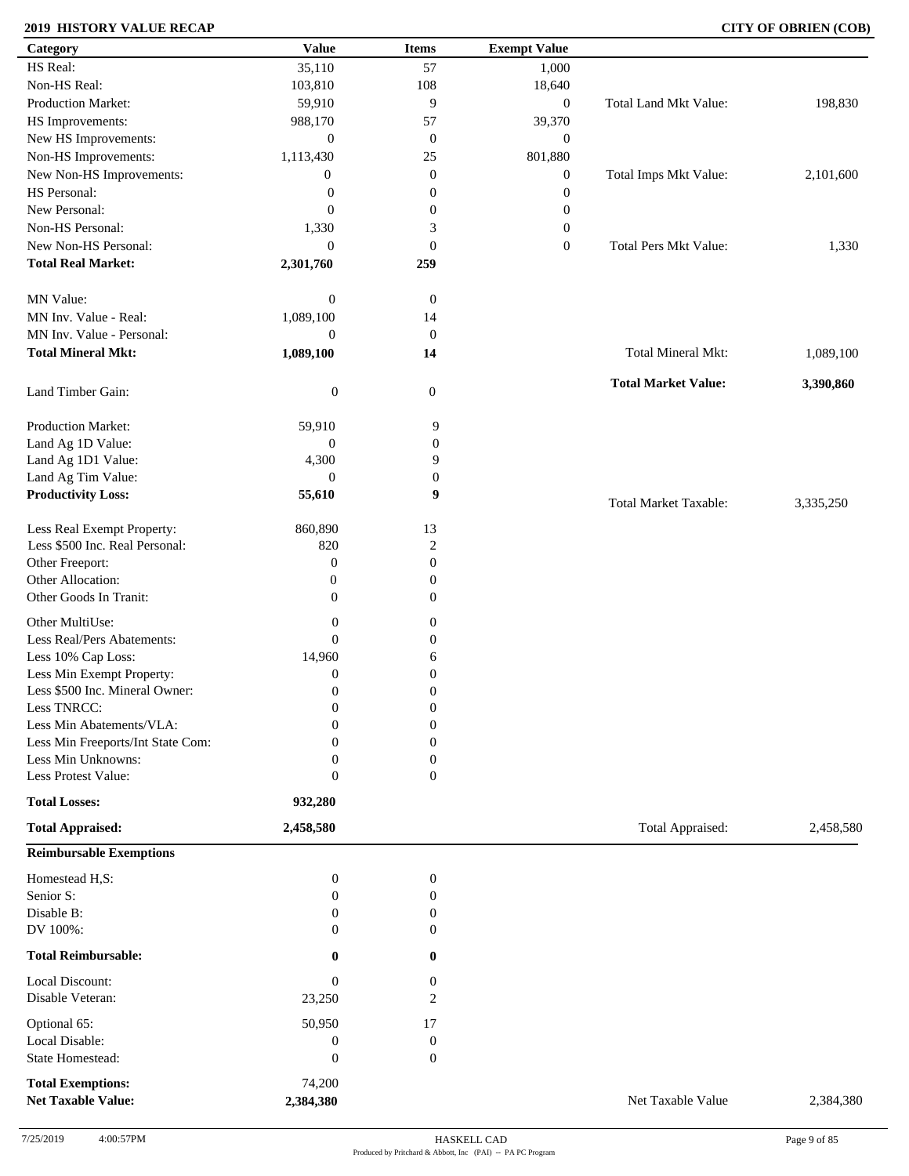### **2019 HISTORY VALUE RECAP CITY OF OBRIEN (COB)**

| Category                          | <b>Value</b>     | <b>Items</b>     | <b>Exempt Value</b> |                              |           |
|-----------------------------------|------------------|------------------|---------------------|------------------------------|-----------|
| HS Real:                          | 35,110           | 57               | 1,000               |                              |           |
| Non-HS Real:                      | 103,810          | 108              | 18,640              |                              |           |
| Production Market:                | 59,910           | 9                | $\boldsymbol{0}$    | Total Land Mkt Value:        | 198,830   |
| HS Improvements:                  | 988,170          | 57               | 39,370              |                              |           |
| New HS Improvements:              | $\mathbf{0}$     | $\boldsymbol{0}$ | $\mathbf{0}$        |                              |           |
|                                   |                  |                  |                     |                              |           |
| Non-HS Improvements:              | 1,113,430        | 25               | 801,880             |                              |           |
| New Non-HS Improvements:          | $\boldsymbol{0}$ | $\mathbf{0}$     | $\boldsymbol{0}$    | Total Imps Mkt Value:        | 2,101,600 |
| HS Personal:                      | $\boldsymbol{0}$ | $\boldsymbol{0}$ | $\boldsymbol{0}$    |                              |           |
| New Personal:                     | $\mathbf{0}$     | $\boldsymbol{0}$ | $\boldsymbol{0}$    |                              |           |
| Non-HS Personal:                  | 1,330            | 3                | $\boldsymbol{0}$    |                              |           |
| New Non-HS Personal:              | $\mathbf{0}$     | $\boldsymbol{0}$ | $\boldsymbol{0}$    | <b>Total Pers Mkt Value:</b> | 1,330     |
| <b>Total Real Market:</b>         | 2,301,760        | 259              |                     |                              |           |
|                                   |                  |                  |                     |                              |           |
| MN Value:                         | $\boldsymbol{0}$ | $\boldsymbol{0}$ |                     |                              |           |
|                                   |                  |                  |                     |                              |           |
| MN Inv. Value - Real:             | 1,089,100        | 14               |                     |                              |           |
| MN Inv. Value - Personal:         | $\boldsymbol{0}$ | $\boldsymbol{0}$ |                     |                              |           |
| <b>Total Mineral Mkt:</b>         | 1,089,100        | 14               |                     | Total Mineral Mkt:           | 1,089,100 |
|                                   |                  |                  |                     |                              |           |
| Land Timber Gain:                 | $\boldsymbol{0}$ | $\mathbf{0}$     |                     | <b>Total Market Value:</b>   | 3,390,860 |
|                                   |                  |                  |                     |                              |           |
| Production Market:                | 59,910           | 9                |                     |                              |           |
| Land Ag 1D Value:                 | $\boldsymbol{0}$ | $\boldsymbol{0}$ |                     |                              |           |
| Land Ag 1D1 Value:                | 4,300            | 9                |                     |                              |           |
| Land Ag Tim Value:                | $\mathbf{0}$     | $\boldsymbol{0}$ |                     |                              |           |
| <b>Productivity Loss:</b>         | 55,610           | 9                |                     |                              |           |
|                                   |                  |                  |                     | <b>Total Market Taxable:</b> | 3,335,250 |
| Less Real Exempt Property:        | 860,890          | 13               |                     |                              |           |
| Less \$500 Inc. Real Personal:    | 820              | $\boldsymbol{2}$ |                     |                              |           |
|                                   |                  |                  |                     |                              |           |
| Other Freeport:                   | $\boldsymbol{0}$ | $\boldsymbol{0}$ |                     |                              |           |
| Other Allocation:                 | $\boldsymbol{0}$ | $\boldsymbol{0}$ |                     |                              |           |
| Other Goods In Tranit:            | $\mathbf{0}$     | $\overline{0}$   |                     |                              |           |
| Other MultiUse:                   | $\boldsymbol{0}$ | $\boldsymbol{0}$ |                     |                              |           |
| Less Real/Pers Abatements:        | $\mathbf{0}$     | $\boldsymbol{0}$ |                     |                              |           |
| Less 10% Cap Loss:                | 14,960           | 6                |                     |                              |           |
| Less Min Exempt Property:         | $\mathbf{0}$     | $\boldsymbol{0}$ |                     |                              |           |
| Less \$500 Inc. Mineral Owner:    | $\mathbf{0}$     |                  |                     |                              |           |
|                                   |                  | $\boldsymbol{0}$ |                     |                              |           |
| Less TNRCC:                       | $\mathbf{0}$     | $\boldsymbol{0}$ |                     |                              |           |
| Less Min Abatements/VLA:          | $\mathbf{0}$     | $\boldsymbol{0}$ |                     |                              |           |
| Less Min Freeports/Int State Com: | 0                | $\theta$         |                     |                              |           |
| Less Min Unknowns:                | $\Omega$         | $\boldsymbol{0}$ |                     |                              |           |
| Less Protest Value:               | $\mathbf{0}$     | $\overline{0}$   |                     |                              |           |
| <b>Total Losses:</b>              | 932,280          |                  |                     |                              |           |
|                                   |                  |                  |                     |                              |           |
| <b>Total Appraised:</b>           | 2,458,580        |                  |                     | Total Appraised:             | 2,458,580 |
| <b>Reimbursable Exemptions</b>    |                  |                  |                     |                              |           |
|                                   |                  |                  |                     |                              |           |
| Homestead H,S:                    | $\mathbf{0}$     | $\boldsymbol{0}$ |                     |                              |           |
| Senior S:                         | 0                | $\boldsymbol{0}$ |                     |                              |           |
| Disable B:                        | $\Omega$         | $\boldsymbol{0}$ |                     |                              |           |
| DV 100%:                          | $\Omega$         | $\overline{0}$   |                     |                              |           |
| <b>Total Reimbursable:</b>        | $\bf{0}$         | $\bf{0}$         |                     |                              |           |
| Local Discount:                   | $\boldsymbol{0}$ | $\boldsymbol{0}$ |                     |                              |           |
| Disable Veteran:                  |                  | 2                |                     |                              |           |
|                                   | 23,250           |                  |                     |                              |           |
| Optional 65:                      | 50,950           | 17               |                     |                              |           |
| Local Disable:                    | $\boldsymbol{0}$ | $\boldsymbol{0}$ |                     |                              |           |
| State Homestead:                  | $\boldsymbol{0}$ | $\mathbf{0}$     |                     |                              |           |
|                                   |                  |                  |                     |                              |           |
| <b>Total Exemptions:</b>          | 74,200           |                  |                     |                              |           |
| <b>Net Taxable Value:</b>         | 2,384,380        |                  |                     | Net Taxable Value            | 2,384,380 |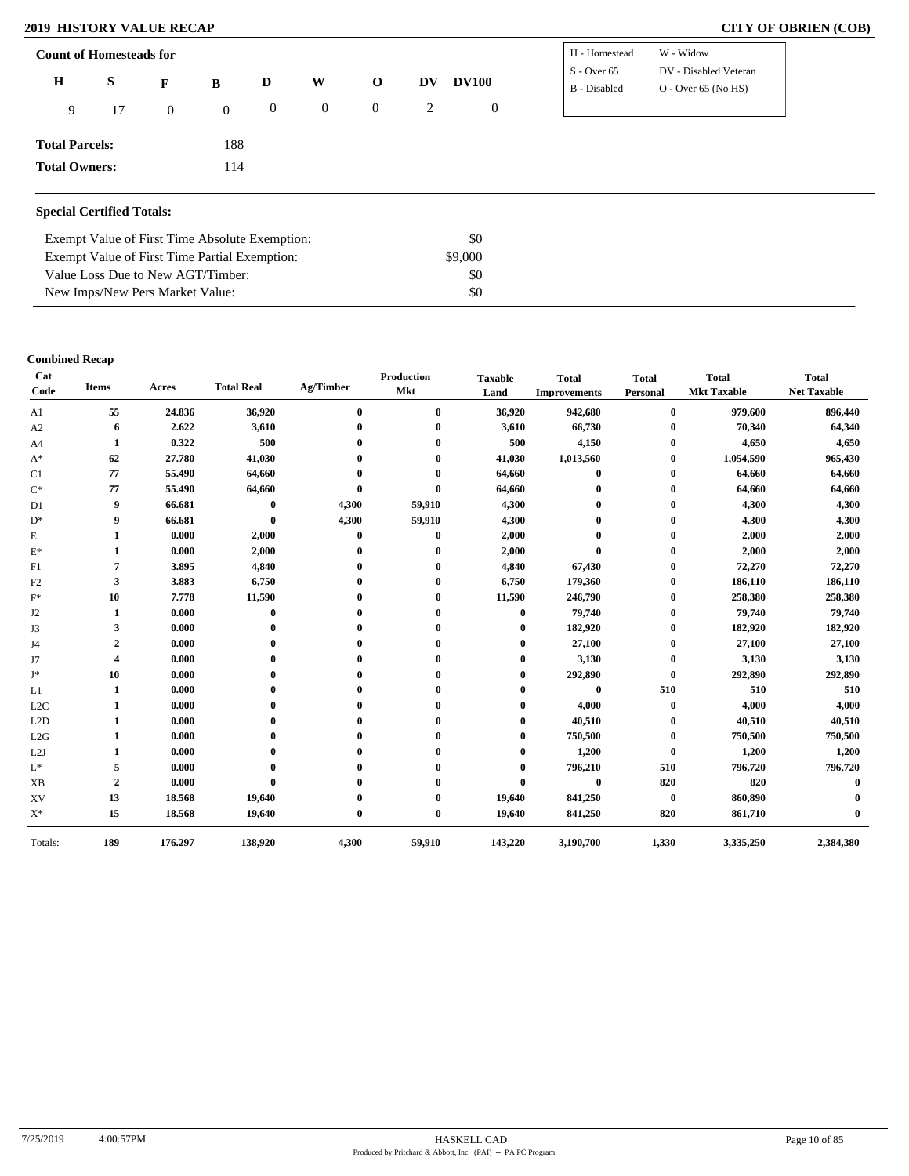### **2019 HISTORY VALUE RECAP CITY OF OBRIEN (COB)**

| <b>Count of Homesteads for</b> |    |                |                |                |                |              |    |                  | H - Homestead                 | W - Widow                                      |
|--------------------------------|----|----------------|----------------|----------------|----------------|--------------|----|------------------|-------------------------------|------------------------------------------------|
| $\bf H$                        | S  | $\mathbf{F}$   | B              | D              | W              | $\mathbf 0$  | DV | <b>DV100</b>     | $S -$ Over 65<br>B - Disabled | DV - Disabled Veteran<br>$O - Over 65 (No HS)$ |
| 9                              | 17 | $\overline{0}$ | $\overline{0}$ | $\overline{0}$ | $\overline{0}$ | $\mathbf{0}$ | 2  | $\boldsymbol{0}$ |                               |                                                |
| <b>Total Parcels:</b>          |    |                | 188            |                |                |              |    |                  |                               |                                                |
| <b>Total Owners:</b>           |    |                | 114            |                |                |              |    |                  |                               |                                                |

| Exempt Value of First Time Absolute Exemption: | \$0     |  |
|------------------------------------------------|---------|--|
| Exempt Value of First Time Partial Exemption:  | \$9,000 |  |
| Value Loss Due to New AGT/Timber:              | SO.     |  |
| New Imps/New Pers Market Value:                | SO.     |  |

### **Combined Recap**

| Cat<br>Code    | <b>Items</b>   | Acres   | <b>Total Real</b> | Ag/Timber | Production<br><b>Mkt</b> | <b>Taxable</b><br>Land | <b>Total</b><br><b>Improvements</b> | <b>Total</b><br>Personal | <b>Total</b><br><b>Mkt Taxable</b> | <b>Total</b><br><b>Net Taxable</b> |
|----------------|----------------|---------|-------------------|-----------|--------------------------|------------------------|-------------------------------------|--------------------------|------------------------------------|------------------------------------|
| A1             | 55             | 24.836  | 36,920            | $\bf{0}$  | $\bf{0}$                 | 36,920                 | 942,680                             | $\bf{0}$                 | 979,600                            | 896,440                            |
| A2             | 6              | 2.622   | 3,610             |           | $\mathbf{0}$             | 3,610                  | 66,730                              | $\mathbf{0}$             | 70,340                             | 64,340                             |
| A <sub>4</sub> | 1              | 0.322   | 500               |           | $\mathbf{0}$             | 500                    | 4,150                               | $\bf{0}$                 | 4,650                              | 4,650                              |
| $A^*$          | 62             | 27.780  | 41,030            |           | 0                        | 41,030                 | 1,013,560                           | $\bf{0}$                 | 1,054,590                          | 965,430                            |
| C1             | 77             | 55.490  | 64,660            |           | 0                        | 64,660                 | $\bf{0}$                            | $\bf{0}$                 | 64,660                             | 64,660                             |
| $C^*$          | 77             | 55.490  | 64,660            |           | $\mathbf{0}$             | 64,660                 |                                     | $\bf{0}$                 | 64,660                             | 64,660                             |
| D <sub>1</sub> | 9              | 66.681  | $\bf{0}$          | 4,300     | 59,910                   | 4,300                  |                                     | $\bf{0}$                 | 4,300                              | 4,300                              |
| $D^*$          | 9              | 66.681  | $\bf{0}$          | 4,300     | 59,910                   | 4,300                  |                                     | $\mathbf{0}$             | 4,300                              | 4,300                              |
| E              | 1              | 0.000   | 2,000             | $\bf{0}$  | $\bf{0}$                 | 2,000                  |                                     | 0                        | 2,000                              | 2,000                              |
| $E^*$          | 1              | 0.000   | 2,000             |           | $\mathbf 0$              | 2,000                  | $\mathbf{0}$                        | $\bf{0}$                 | 2,000                              | 2,000                              |
| F1             | 7              | 3.895   | 4,840             |           |                          | 4,840                  | 67,430                              | 0                        | 72,270                             | 72,270                             |
| F2             | 3              | 3.883   | 6,750             |           | $\mathbf{0}$             | 6,750                  | 179,360                             | $\bf{0}$                 | 186,110                            | 186,110                            |
| $F^*$          | 10             | 7.778   | 11,590            |           | 0                        | 11,590                 | 246,790                             | $\bf{0}$                 | 258,380                            | 258,380                            |
| J2             | 1              | 0.000   | $\bf{0}$          |           |                          | 0                      | 79,740                              | 0                        | 79,740                             | 79,740                             |
| J3             | 3              | 0.000   | $\mathbf{0}$      |           | 0                        | $_{0}$                 | 182,920                             | $\mathbf{0}$             | 182,920                            | 182,920                            |
| J4             | $\overline{2}$ | 0.000   |                   |           |                          |                        | 27,100                              | $\bf{0}$                 | 27,100                             | 27,100                             |
| J7             | 4              | 0.000   |                   |           |                          | 0                      | 3,130                               | $\bf{0}$                 | 3,130                              | 3,130                              |
| J*             | 10             | 0.000   |                   |           | 0                        | 0                      | 292,890                             | $\mathbf{0}$             | 292,890                            | 292,890                            |
| L1             | 1              | 0.000   |                   |           |                          |                        | $\bf{0}$                            | 510                      | 510                                | 510                                |
| L2C            |                | 0.000   |                   |           | 0                        | 0                      | 4,000                               | $\bf{0}$                 | 4,000                              | 4,000                              |
| L2D            |                | 0.000   |                   |           |                          |                        | 40,510                              | $\bf{0}$                 | 40,510                             | 40,510                             |
| L2G            |                | 0.000   |                   |           |                          |                        | 750,500                             | $\bf{0}$                 | 750,500                            | 750,500                            |
| L2J            |                | 0.000   |                   |           |                          | 0                      | 1,200                               | $\bf{0}$                 | 1,200                              | 1,200                              |
| $\mathbf{L}^*$ | 5              | 0.000   |                   |           |                          | 0                      | 796,210                             | 510                      | 796,720                            | 796,720                            |
| <b>XB</b>      | $\overline{2}$ | 0.000   | $\mathbf 0$       |           |                          | $\bf{0}$               | $\bf{0}$                            | 820                      | 820                                | 0                                  |
| XV             | 13             | 18.568  | 19,640            |           | 0                        | 19,640                 | 841,250                             | $\bf{0}$                 | 860,890                            |                                    |
| $\mathbf{X}^*$ | 15             | 18.568  | 19,640            | $\bf{0}$  | $\bf{0}$                 | 19,640                 | 841,250                             | 820                      | 861,710                            |                                    |
| Totals:        | 189            | 176.297 | 138,920           | 4,300     | 59,910                   | 143,220                | 3,190,700                           | 1,330                    | 3,335,250                          | 2,384,380                          |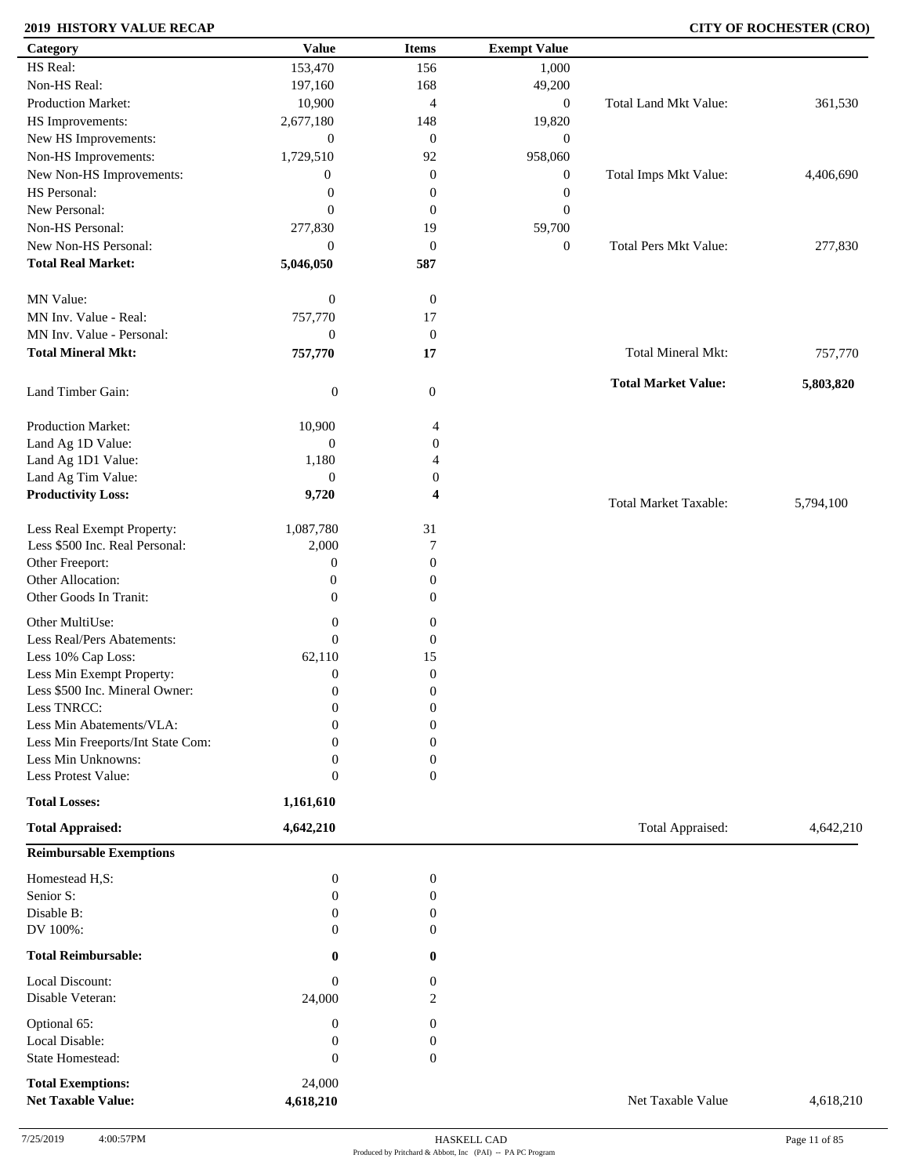### **2019 HISTORY VALUE RECAP CITY OF ROCHESTER (CRO)**

| Category                                              | <b>Value</b>                 | <b>Items</b>                       | <b>Exempt Value</b> |                              |           |
|-------------------------------------------------------|------------------------------|------------------------------------|---------------------|------------------------------|-----------|
| HS Real:                                              | 153,470                      | 156                                | 1,000               |                              |           |
| Non-HS Real:                                          | 197,160                      | 168                                | 49,200              |                              |           |
| Production Market:                                    | 10,900                       | $\overline{4}$                     | $\boldsymbol{0}$    | Total Land Mkt Value:        | 361,530   |
| HS Improvements:                                      | 2,677,180                    | 148                                | 19,820              |                              |           |
| New HS Improvements:                                  | $\mathbf{0}$                 | $\boldsymbol{0}$                   | $\mathbf{0}$        |                              |           |
| Non-HS Improvements:                                  | 1,729,510                    | 92                                 | 958,060             |                              |           |
| New Non-HS Improvements:                              | $\boldsymbol{0}$             | $\mathbf{0}$                       | $\boldsymbol{0}$    | Total Imps Mkt Value:        | 4,406,690 |
| HS Personal:                                          | $\boldsymbol{0}$             | $\boldsymbol{0}$                   | $\boldsymbol{0}$    |                              |           |
| New Personal:                                         | $\mathbf{0}$                 | $\boldsymbol{0}$                   | $\boldsymbol{0}$    |                              |           |
| Non-HS Personal:                                      |                              |                                    |                     |                              |           |
|                                                       | 277,830                      | 19                                 | 59,700              |                              |           |
| New Non-HS Personal:                                  | $\boldsymbol{0}$             | $\boldsymbol{0}$                   | $\boldsymbol{0}$    | <b>Total Pers Mkt Value:</b> | 277,830   |
| <b>Total Real Market:</b>                             | 5,046,050                    | 587                                |                     |                              |           |
| MN Value:                                             | $\boldsymbol{0}$             | $\boldsymbol{0}$                   |                     |                              |           |
| MN Inv. Value - Real:                                 | 757,770                      | 17                                 |                     |                              |           |
| MN Inv. Value - Personal:                             | $\boldsymbol{0}$             | $\boldsymbol{0}$                   |                     |                              |           |
| <b>Total Mineral Mkt:</b>                             | 757,770                      | 17                                 |                     | Total Mineral Mkt:           | 757,770   |
| Land Timber Gain:                                     | $\boldsymbol{0}$             | $\mathbf{0}$                       |                     | <b>Total Market Value:</b>   | 5,803,820 |
|                                                       |                              |                                    |                     |                              |           |
| Production Market:                                    | 10,900                       | 4                                  |                     |                              |           |
| Land Ag 1D Value:                                     | $\boldsymbol{0}$             | $\boldsymbol{0}$                   |                     |                              |           |
| Land Ag 1D1 Value:                                    | 1,180                        | 4                                  |                     |                              |           |
| Land Ag Tim Value:                                    | $\boldsymbol{0}$             | 0                                  |                     |                              |           |
| <b>Productivity Loss:</b>                             | 9,720                        | 4                                  |                     | <b>Total Market Taxable:</b> | 5,794,100 |
| Less Real Exempt Property:                            | 1,087,780                    | 31                                 |                     |                              |           |
| Less \$500 Inc. Real Personal:                        | 2,000                        | 7                                  |                     |                              |           |
| Other Freeport:                                       | $\boldsymbol{0}$             | $\boldsymbol{0}$                   |                     |                              |           |
| Other Allocation:                                     | $\mathbf{0}$                 | $\boldsymbol{0}$                   |                     |                              |           |
| Other Goods In Tranit:                                | $\boldsymbol{0}$             | $\boldsymbol{0}$                   |                     |                              |           |
| Other MultiUse:                                       | $\boldsymbol{0}$             | $\boldsymbol{0}$                   |                     |                              |           |
| Less Real/Pers Abatements:                            | $\mathbf{0}$                 | $\mathbf{0}$                       |                     |                              |           |
| Less 10% Cap Loss:                                    |                              |                                    |                     |                              |           |
| Less Min Exempt Property:                             | 62,110                       | 15<br>$\mathbf{0}$                 |                     |                              |           |
|                                                       | $\mathbf{0}$                 |                                    |                     |                              |           |
| Less \$500 Inc. Mineral Owner:                        | $\mathbf{0}$                 | $\boldsymbol{0}$                   |                     |                              |           |
| Less TNRCC:                                           | $\mathbf{0}$                 | $\boldsymbol{0}$                   |                     |                              |           |
| Less Min Abatements/VLA:                              | $\mathbf{0}$                 | $\boldsymbol{0}$                   |                     |                              |           |
| Less Min Freeports/Int State Com:                     | 0                            | $\overline{0}$                     |                     |                              |           |
| Less Min Unknowns:<br>Less Protest Value:             | $\mathbf{0}$<br>$\mathbf{0}$ | $\boldsymbol{0}$<br>$\overline{0}$ |                     |                              |           |
|                                                       |                              |                                    |                     |                              |           |
| <b>Total Losses:</b>                                  | 1,161,610                    |                                    |                     |                              |           |
| <b>Total Appraised:</b>                               | 4,642,210                    |                                    |                     | Total Appraised:             | 4,642,210 |
| <b>Reimbursable Exemptions</b>                        |                              |                                    |                     |                              |           |
| Homestead H,S:                                        | $\mathbf{0}$                 | $\boldsymbol{0}$                   |                     |                              |           |
| Senior S:                                             | 0                            | $\boldsymbol{0}$                   |                     |                              |           |
| Disable B:                                            | $\Omega$                     | $\boldsymbol{0}$                   |                     |                              |           |
| DV 100%:                                              | $\Omega$                     | $\overline{0}$                     |                     |                              |           |
| <b>Total Reimbursable:</b>                            | 0                            | $\bf{0}$                           |                     |                              |           |
| Local Discount:                                       | $\boldsymbol{0}$             | $\mathbf{0}$                       |                     |                              |           |
| Disable Veteran:                                      | 24,000                       | 2                                  |                     |                              |           |
| Optional 65:                                          | $\boldsymbol{0}$             | $\boldsymbol{0}$                   |                     |                              |           |
| Local Disable:                                        | $\boldsymbol{0}$             | $\boldsymbol{0}$                   |                     |                              |           |
| State Homestead:                                      | $\mathbf{0}$                 | $\boldsymbol{0}$                   |                     |                              |           |
|                                                       |                              |                                    |                     |                              |           |
| <b>Total Exemptions:</b><br><b>Net Taxable Value:</b> | 24,000<br>4,618,210          |                                    |                     | Net Taxable Value            | 4,618,210 |
|                                                       |                              |                                    |                     |                              |           |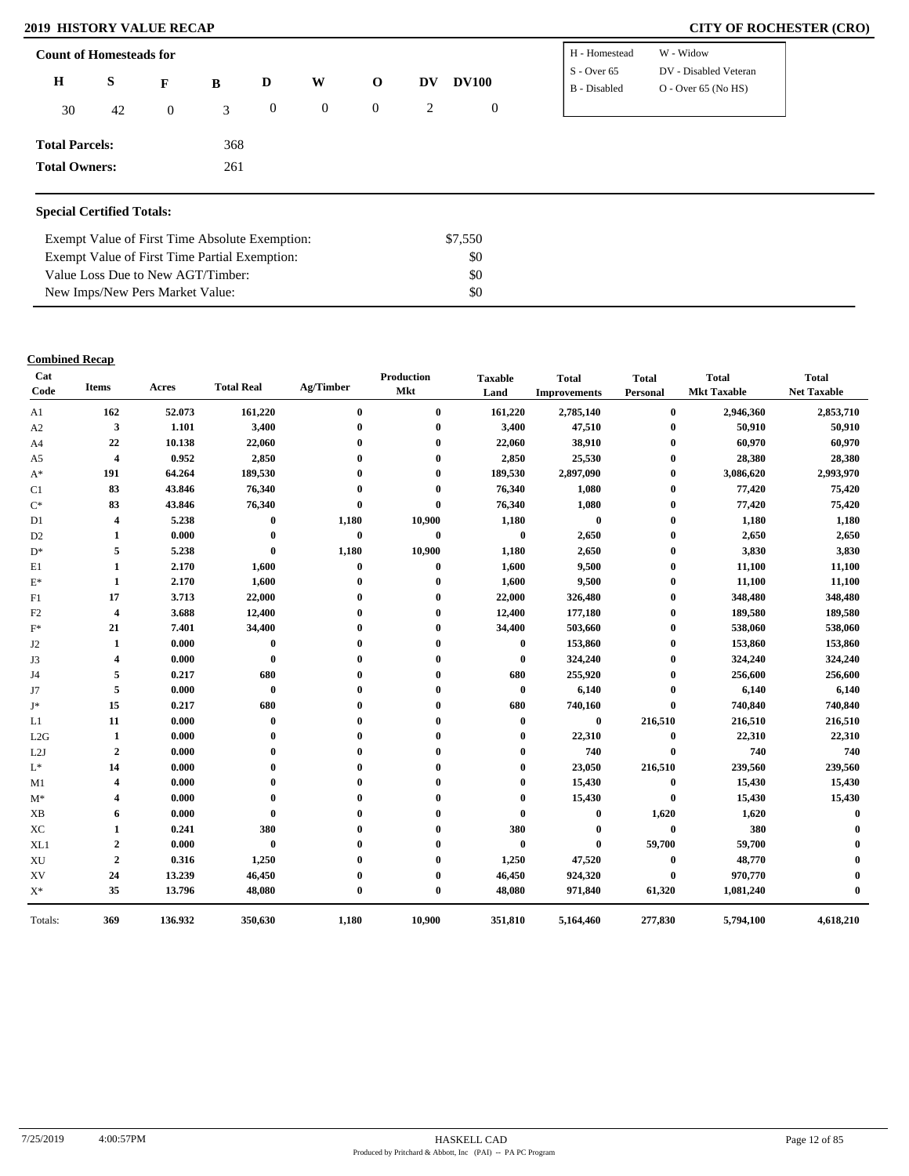### **2019 HISTORY VALUE RECAP CITY OF ROCHESTER (CRO)**

| <b>Count of Homesteads for</b> |    |                                                        |               |                       |              |                |   |              | H - Homestead | W - Widow             |
|--------------------------------|----|--------------------------------------------------------|---------------|-----------------------|--------------|----------------|---|--------------|---------------|-----------------------|
| $\bf H$                        | S  | W<br><b>DV100</b><br>D<br>DV<br>$\mathbf{O}$<br>F<br>B | $S -$ Over 65 | DV - Disabled Veteran |              |                |   |              |               |                       |
|                                |    |                                                        |               |                       |              |                |   |              | B - Disabled  | $O -$ Over 65 (No HS) |
| 30                             | 42 | $\theta$                                               | 3             | $\mathbf{0}$          | $\mathbf{0}$ | $\overline{0}$ | 2 | $\mathbf{0}$ |               |                       |
|                                |    |                                                        |               |                       |              |                |   |              |               |                       |
| <b>Total Parcels:</b>          |    |                                                        | 368           |                       |              |                |   |              |               |                       |
| <b>Total Owners:</b>           |    |                                                        | 261           |                       |              |                |   |              |               |                       |
|                                |    |                                                        |               |                       |              |                |   |              |               |                       |
|                                |    |                                                        |               |                       |              |                |   |              |               |                       |

### **Special Certified Totals:**

| Exempt Value of First Time Absolute Exemption: | \$7.550 |  |
|------------------------------------------------|---------|--|
| Exempt Value of First Time Partial Exemption:  | -80     |  |
| Value Loss Due to New AGT/Timber:              | -80     |  |
| New Imps/New Pers Market Value:                | -80     |  |

### **Combined Recap**

| Cat<br>Code     | <b>Items</b>            | Acres   | <b>Total Real</b> | Ag/Timber        | <b>Production</b><br><b>Mkt</b> | <b>Taxable</b><br>Land | <b>Total</b><br><b>Improvements</b> | <b>Total</b><br>Personal | <b>Total</b><br><b>Mkt Taxable</b> | <b>Total</b><br><b>Net Taxable</b> |
|-----------------|-------------------------|---------|-------------------|------------------|---------------------------------|------------------------|-------------------------------------|--------------------------|------------------------------------|------------------------------------|
| A1              | 162                     | 52.073  | 161,220           | $\bf{0}$         | $\bf{0}$                        | 161,220                | 2,785,140                           | $\bf{0}$                 | 2,946,360                          | 2,853,710                          |
| A2              | 3                       | 1.101   | 3,400             | $\boldsymbol{0}$ | $\bf{0}$                        | 3,400                  | 47,510                              | $\bf{0}$                 | 50,910                             | 50,910                             |
| A4              | 22                      | 10.138  | 22,060            |                  | $\mathbf{0}$                    | 22,060                 | 38,910                              | $\bf{0}$                 | 60,970                             | 60,970                             |
| A <sub>5</sub>  | $\overline{\mathbf{4}}$ | 0.952   | 2,850             |                  | $\mathbf{0}$                    | 2,850                  | 25,530                              | $\bf{0}$                 | 28,380                             | 28,380                             |
| $A^*$           | 191                     | 64.264  | 189,530           |                  | $\mathbf{0}$                    | 189,530                | 2,897,090                           | $\bf{0}$                 | 3,086,620                          | 2,993,970                          |
| C1              | 83                      | 43.846  | 76,340            |                  | 0                               | 76,340                 | 1,080                               | $\bf{0}$                 | 77,420                             | 75,420                             |
| $C^*$           | 83                      | 43.846  | 76,340            | $\mathbf 0$      | $\mathbf 0$                     | 76,340                 | 1,080                               | $\bf{0}$                 | 77,420                             | 75,420                             |
| D <sub>1</sub>  | 4                       | 5.238   | $\bf{0}$          | 1,180            | 10,900                          | 1,180                  | $\bf{0}$                            | $\bf{0}$                 | 1,180                              | 1,180                              |
| D <sub>2</sub>  | 1                       | 0.000   | $\bf{0}$          | $\bf{0}$         | $\bf{0}$                        | $\bf{0}$               | 2,650                               | $\bf{0}$                 | 2,650                              | 2,650                              |
| $D^*$           | 5                       | 5.238   | $\bf{0}$          | 1,180            | 10,900                          | 1,180                  | 2,650                               | $\bf{0}$                 | 3,830                              | 3,830                              |
| E1              | 1                       | 2.170   | 1,600             | $\mathbf 0$      | $\bf{0}$                        | 1,600                  | 9,500                               | $\mathbf{0}$             | 11,100                             | 11,100                             |
| $E^*$           | 1                       | 2.170   | 1,600             | 0                | $\bf{0}$                        | 1,600                  | 9,500                               | $\bf{0}$                 | 11,100                             | 11,100                             |
| F1              | 17                      | 3.713   | 22,000            | 0                | 0                               | 22,000                 | 326,480                             | $\bf{0}$                 | 348,480                            | 348,480                            |
| F2              | $\overline{\mathbf{4}}$ | 3.688   | 12,400            | 0                | 0                               | 12,400                 | 177,180                             | $\bf{0}$                 | 189,580                            | 189,580                            |
| $F^*$           | 21                      | 7.401   | 34,400            |                  | $\mathbf{0}$                    | 34,400                 | 503,660                             | $\bf{0}$                 | 538,060                            | 538,060                            |
| J <sub>2</sub>  | 1                       | 0.000   | $\bf{0}$          |                  |                                 | $\bf{0}$               | 153,860                             | $\bf{0}$                 | 153,860                            | 153,860                            |
| J3              | $\boldsymbol{4}$        | 0.000   | $\bf{0}$          |                  | 0                               | $\bf{0}$               | 324,240                             | $\bf{0}$                 | 324,240                            | 324,240                            |
| J4              | 5                       | 0.217   | 680               |                  |                                 | 680                    | 255,920                             | $\bf{0}$                 | 256,600                            | 256,600                            |
| J7              | 5                       | 0.000   | $\bf{0}$          |                  |                                 | $\bf{0}$               | 6,140                               | $\bf{0}$                 | 6,140                              | 6,140                              |
| J*              | 15                      | 0.217   | 680               |                  |                                 | 680                    | 740,160                             | $\theta$                 | 740,840                            | 740,840                            |
| L1              | 11                      | 0.000   | $\bf{0}$          |                  |                                 | $\bf{0}$               | $\bf{0}$                            | 216,510                  | 216,510                            | 216,510                            |
| L2G             | 1                       | 0.000   | $\bf{0}$          |                  |                                 | $\bf{0}$               | 22,310                              | $\bf{0}$                 | 22,310                             | 22,310                             |
| L2J             | $\boldsymbol{2}$        | 0.000   | 0                 |                  |                                 | $\bf{0}$               | 740                                 | 0                        | 740                                | 740                                |
| $\mathcal{L}^*$ | 14                      | 0.000   | 0                 |                  |                                 | $\bf{0}$               | 23,050                              | 216,510                  | 239,560                            | 239,560                            |
| M1              | 4                       | 0.000   | 0                 |                  |                                 | $\bf{0}$               | 15,430                              | $\bf{0}$                 | 15,430                             | 15,430                             |
| $M^*$           | 4                       | 0.000   |                   |                  |                                 | $\mathbf{0}$           | 15,430                              | $\mathbf{0}$             | 15,430                             | 15,430                             |
| XB              | 6                       | 0.000   | $\bf{0}$          |                  |                                 | $\bf{0}$               | $\bf{0}$                            | 1,620                    | 1,620                              | $\mathbf{0}$                       |
| XC              | 1                       | 0.241   | 380               |                  | 0                               | 380                    | $\bf{0}$                            | $\bf{0}$                 | 380                                |                                    |
| XL1             | $\overline{2}$          | 0.000   | $\bf{0}$          |                  |                                 | $\bf{0}$               | $\mathbf{0}$                        | 59,700                   | 59,700                             |                                    |
| XU              | $\boldsymbol{2}$        | 0.316   | 1,250             |                  | $\mathbf{0}$                    | 1,250                  | 47,520                              | $\bf{0}$                 | 48,770                             |                                    |
| XV              | 24                      | 13.239  | 46,450            |                  | 0                               | 46,450                 | 924,320                             | $\bf{0}$                 | 970,770                            |                                    |
| $\mathbf{X}^*$  | 35                      | 13.796  | 48,080            | $\bf{0}$         | $\bf{0}$                        | 48,080                 | 971,840                             | 61,320                   | 1,081,240                          |                                    |
| Totals:         | 369                     | 136.932 | 350,630           | 1,180            | 10,900                          | 351,810                | 5,164,460                           | 277,830                  | 5,794,100                          | 4,618,210                          |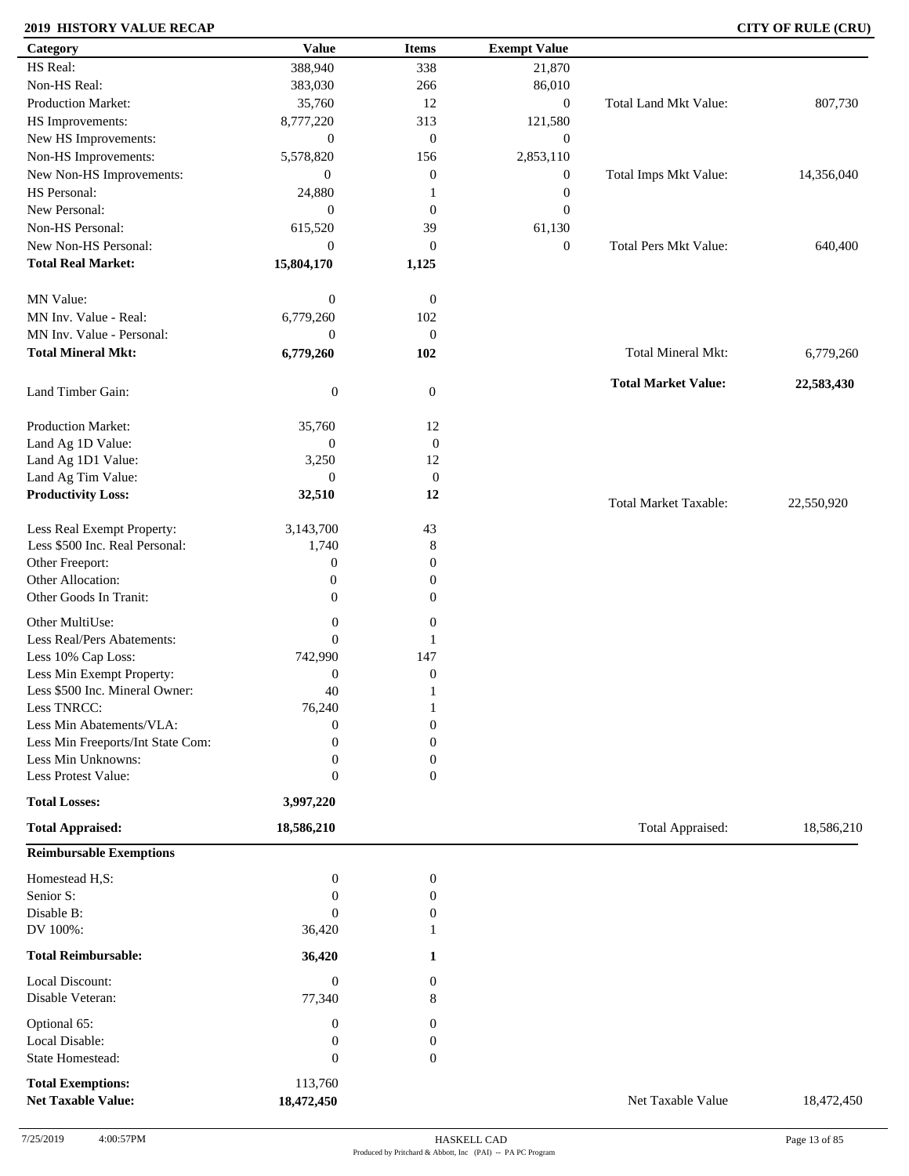### **2019 HISTORY VALUE RECAP CITY OF RULE (CRU)**

| Category                          | <b>Value</b>     | <b>Items</b>     | <b>Exempt Value</b> |                              |            |
|-----------------------------------|------------------|------------------|---------------------|------------------------------|------------|
| HS Real:                          | 388,940          | 338              | 21,870              |                              |            |
| Non-HS Real:                      | 383,030          | 266              | 86,010              |                              |            |
| <b>Production Market:</b>         | 35,760           | 12               | $\boldsymbol{0}$    | Total Land Mkt Value:        | 807,730    |
| HS Improvements:                  | 8,777,220        | 313              | 121,580             |                              |            |
| New HS Improvements:              | $\boldsymbol{0}$ | $\mathbf{0}$     | $\boldsymbol{0}$    |                              |            |
| Non-HS Improvements:              | 5,578,820        | 156              | 2,853,110           |                              |            |
| New Non-HS Improvements:          | $\overline{0}$   | $\boldsymbol{0}$ | $\boldsymbol{0}$    | Total Imps Mkt Value:        | 14,356,040 |
| HS Personal:                      |                  |                  |                     |                              |            |
| New Personal:                     | 24,880           |                  | $\boldsymbol{0}$    |                              |            |
|                                   | $\mathbf{0}$     | $\overline{0}$   | $\mathbf{0}$        |                              |            |
| Non-HS Personal:                  | 615,520          | 39               | 61,130              |                              |            |
| New Non-HS Personal:              | $\mathbf{0}$     | $\mathbf{0}$     | $\mathbf{0}$        | <b>Total Pers Mkt Value:</b> | 640,400    |
| <b>Total Real Market:</b>         | 15,804,170       | 1,125            |                     |                              |            |
| MN Value:                         | $\boldsymbol{0}$ | $\mathbf{0}$     |                     |                              |            |
| MN Inv. Value - Real:             | 6,779,260        |                  |                     |                              |            |
|                                   |                  | 102              |                     |                              |            |
| MN Inv. Value - Personal:         | $\mathbf{0}$     | $\mathbf{0}$     |                     |                              |            |
| <b>Total Mineral Mkt:</b>         | 6,779,260        | 102              |                     | Total Mineral Mkt:           | 6,779,260  |
| Land Timber Gain:                 | $\boldsymbol{0}$ | $\mathbf{0}$     |                     | <b>Total Market Value:</b>   | 22,583,430 |
|                                   |                  |                  |                     |                              |            |
| Production Market:                | 35,760           | 12               |                     |                              |            |
| Land Ag 1D Value:                 | $\boldsymbol{0}$ | $\boldsymbol{0}$ |                     |                              |            |
| Land Ag 1D1 Value:                | 3,250            | 12               |                     |                              |            |
| Land Ag Tim Value:                | $\theta$         | $\mathbf{0}$     |                     |                              |            |
| <b>Productivity Loss:</b>         | 32,510           | 12               |                     | <b>Total Market Taxable:</b> | 22,550,920 |
| Less Real Exempt Property:        | 3,143,700        | 43               |                     |                              |            |
| Less \$500 Inc. Real Personal:    | 1,740            | $\,8\,$          |                     |                              |            |
| Other Freeport:                   | $\boldsymbol{0}$ | $\boldsymbol{0}$ |                     |                              |            |
| Other Allocation:                 | $\boldsymbol{0}$ | $\overline{0}$   |                     |                              |            |
| Other Goods In Tranit:            | $\overline{0}$   | $\mathbf{0}$     |                     |                              |            |
|                                   |                  |                  |                     |                              |            |
| Other MultiUse:                   | $\boldsymbol{0}$ | $\boldsymbol{0}$ |                     |                              |            |
| Less Real/Pers Abatements:        | $\overline{0}$   |                  |                     |                              |            |
| Less 10% Cap Loss:                | 742,990          | 147              |                     |                              |            |
| Less Min Exempt Property:         | $\boldsymbol{0}$ | $\boldsymbol{0}$ |                     |                              |            |
| Less \$500 Inc. Mineral Owner:    | 40               | -1               |                     |                              |            |
| Less TNRCC:                       | 76,240           | $\mathbf{1}$     |                     |                              |            |
| Less Min Abatements/VLA:          | $\boldsymbol{0}$ | $\boldsymbol{0}$ |                     |                              |            |
| Less Min Freeports/Int State Com: | $\Omega$         | $\overline{0}$   |                     |                              |            |
| Less Min Unknowns:                | $\theta$         | $\mathbf{0}$     |                     |                              |            |
| Less Protest Value:               | $\overline{0}$   | $\overline{0}$   |                     |                              |            |
| <b>Total Losses:</b>              | 3,997,220        |                  |                     |                              |            |
| <b>Total Appraised:</b>           | 18,586,210       |                  |                     | Total Appraised:             | 18,586,210 |
| <b>Reimbursable Exemptions</b>    |                  |                  |                     |                              |            |
| Homestead H,S:                    | $\boldsymbol{0}$ | $\boldsymbol{0}$ |                     |                              |            |
| Senior S:                         | $\overline{0}$   | $\boldsymbol{0}$ |                     |                              |            |
| Disable B:                        | $\overline{0}$   | 0                |                     |                              |            |
| DV 100%:                          | 36,420           |                  |                     |                              |            |
|                                   |                  |                  |                     |                              |            |
| <b>Total Reimbursable:</b>        | 36,420           | 1                |                     |                              |            |
| Local Discount:                   | $\boldsymbol{0}$ | $\overline{0}$   |                     |                              |            |
| Disable Veteran:                  | 77,340           | 8                |                     |                              |            |
| Optional 65:                      | $\boldsymbol{0}$ | $\mathbf{0}$     |                     |                              |            |
| Local Disable:                    | $\boldsymbol{0}$ | $\boldsymbol{0}$ |                     |                              |            |
| <b>State Homestead:</b>           | $\boldsymbol{0}$ | $\theta$         |                     |                              |            |
| <b>Total Exemptions:</b>          | 113,760          |                  |                     |                              |            |
| <b>Net Taxable Value:</b>         | 18,472,450       |                  |                     | Net Taxable Value            | 18,472,450 |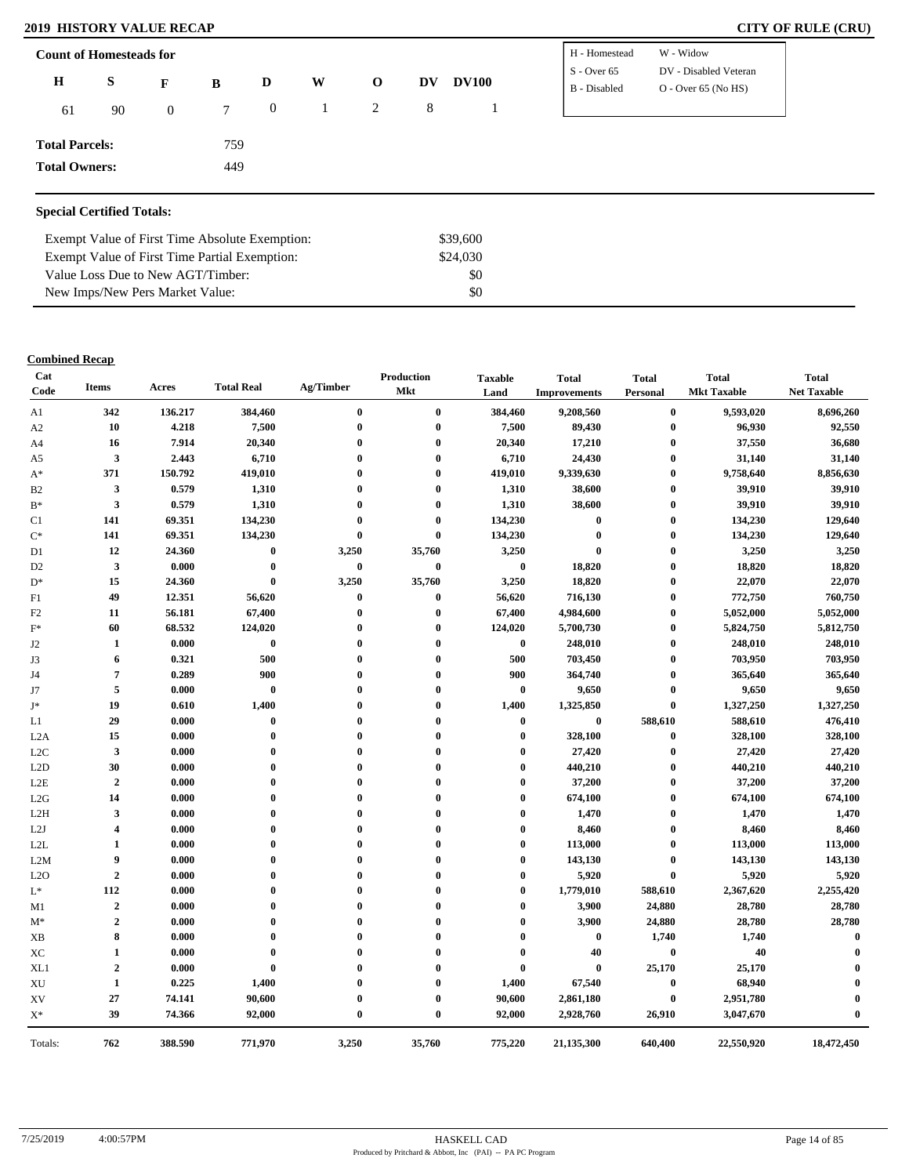### **2019 HISTORY VALUE RECAP**

| <b>CITY OF RULE (CRU)</b> |  |  |  |  |
|---------------------------|--|--|--|--|
|---------------------------|--|--|--|--|

| <b>Count of Homesteads for</b> |    |                |     |              |   |             |    |              | H - Homestead                 | W - Widow                                      |
|--------------------------------|----|----------------|-----|--------------|---|-------------|----|--------------|-------------------------------|------------------------------------------------|
| $\bf H$                        | S  | F              | B   | D            | W | $\mathbf 0$ | DV | <b>DV100</b> | $S -$ Over 65<br>B - Disabled | DV - Disabled Veteran<br>$O -$ Over 65 (No HS) |
| 61                             | 90 | $\overline{0}$ | 7   | $\mathbf{0}$ |   | 2           | 8  |              |                               |                                                |
| <b>Total Parcels:</b>          |    |                | 759 |              |   |             |    |              |                               |                                                |
| <b>Total Owners:</b>           |    |                | 449 |              |   |             |    |              |                               |                                                |
|                                |    |                |     |              |   |             |    |              |                               |                                                |

### **Special Certified Totals:**

| Exempt Value of First Time Absolute Exemption: | \$39.600 |  |
|------------------------------------------------|----------|--|
| Exempt Value of First Time Partial Exemption:  | \$24,030 |  |
| Value Loss Due to New AGT/Timber:              | \$0      |  |
| New Imps/New Pers Market Value:                | \$0      |  |

### **Combined Recap**

| A1               | 342                     |         |                  |                  | Mkt              | Land             |                                  |                      | <b>Mkt Taxable</b> | <b>Net Taxable</b> |
|------------------|-------------------------|---------|------------------|------------------|------------------|------------------|----------------------------------|----------------------|--------------------|--------------------|
|                  |                         | 136.217 | 384,460          | $\bf{0}$         | $\bf{0}$         | 384,460          | <b>Improvements</b><br>9,208,560 | Personal<br>$\bf{0}$ | 9,593,020          | 8,696,260          |
| A2               | 10                      | 4.218   | 7,500            | $\bf{0}$         | $\mathbf 0$      | 7,500            | 89,430                           | $\bf{0}$             | 96,930             | 92,550             |
| A4               | 16                      | 7.914   | 20,340           | $\mathbf 0$      | $\mathbf 0$      | 20,340           | 17,210                           | $\bf{0}$             | 37,550             | 36,680             |
| A5               | 3                       | 2.443   | 6,710            | $\mathbf 0$      | $\mathbf 0$      | 6,710            | 24,430                           | $\bf{0}$             | 31,140             | 31,140             |
| $A^*$            | 371                     | 150.792 | 419,010          | $\mathbf 0$      | $\mathbf 0$      | 419,010          | 9,339,630                        | $\bf{0}$             | 9,758,640          | 8,856,630          |
| B <sub>2</sub>   | 3                       | 0.579   | 1,310            | $\boldsymbol{0}$ | $\mathbf 0$      | 1,310            | 38,600                           | $\bf{0}$             | 39,910             | 39,910             |
| $B^*$            | $\overline{\mathbf{3}}$ | 0.579   | 1,310            | $\mathbf 0$      | $\mathbf 0$      | 1,310            | 38,600                           | $\bf{0}$             | 39,910             | 39,910             |
| C1               | 141                     | 69.351  | 134,230          | $\mathbf 0$      | $\bf{0}$         | 134,230          | $\bf{0}$                         | $\bf{0}$             | 134,230            | 129,640            |
| $C^*$            | 141                     | 69.351  | 134,230          | $\mathbf 0$      | $\bf{0}$         | 134,230          | $\bf{0}$                         | $\bf{0}$             | 134,230            | 129,640            |
| D <sub>1</sub>   | 12                      | 24.360  | $\bf{0}$         | 3,250            | 35,760           | 3,250            | $\bf{0}$                         | $\bf{0}$             | 3,250              | 3,250              |
| D <sub>2</sub>   | $\mathbf{3}$            | 0.000   | $\bf{0}$         | $\bf{0}$         | $\bf{0}$         | $\boldsymbol{0}$ | 18,820                           | $\bf{0}$             | 18,820             | 18,820             |
| $D^*$            | 15                      | 24.360  | $\bf{0}$         | 3,250            | 35,760           | 3,250            | 18,820                           | $\bf{0}$             | 22,070             | 22,070             |
| F1               | 49                      | 12.351  | 56,620           | $\bf{0}$         | $\bf{0}$         | 56,620           | 716,130                          | $\bf{0}$             | 772,750            | 760,750            |
| F <sub>2</sub>   | 11                      | 56.181  | 67,400           | $\boldsymbol{0}$ | $\bf{0}$         | 67,400           | 4,984,600                        | $\bf{0}$             | 5,052,000          | 5,052,000          |
| $\mathbf{F}^*$   | 60                      | 68.532  | 124,020          | $\boldsymbol{0}$ | $\boldsymbol{0}$ | 124,020          | 5,700,730                        | $\bf{0}$             | 5,824,750          | 5,812,750          |
| J <sub>2</sub>   | 1                       | 0.000   | $\bf{0}$         | $\mathbf 0$      | $\mathbf 0$      | $\bf{0}$         | 248,010                          | $\bf{0}$             | 248,010            | 248,010            |
| J3               | 6                       | 0.321   | 500              | $\mathbf 0$      | $\mathbf 0$      | 500              | 703,450                          | $\bf{0}$             | 703,950            | 703,950            |
| J4               | $\overline{7}$          | 0.289   | 900              | $\mathbf 0$      | 0                | 900              | 364,740                          | $\bf{0}$             | 365,640            | 365,640            |
| J7               | 5                       | 0.000   | $\pmb{0}$        | $\boldsymbol{0}$ | $\mathbf 0$      | $\bf{0}$         | 9,650                            | $\bf{0}$             | 9,650              | 9,650              |
| J*               | 19                      | 0.610   | 1,400            | $\mathbf 0$      | $\mathbf 0$      | 1,400            | 1,325,850                        | $\bf{0}$             | 1,327,250          | 1,327,250          |
| L1               | 29                      | 0.000   | $\boldsymbol{0}$ | $\mathbf 0$      | $\mathbf{0}$     | $\bf{0}$         | $\bf{0}$                         | 588,610              | 588,610            | 476,410            |
| L <sub>2</sub> A | 15                      | 0.000   | $\bf{0}$         | $\boldsymbol{0}$ | 0                | $\bf{0}$         | 328,100                          | $\bf{0}$             | 328,100            | 328,100            |
| L <sub>2</sub> C | $\mathbf{3}$            | 0.000   | $\bf{0}$         | $\bf{0}$         | $\mathbf 0$      | $\bf{0}$         | 27,420                           | $\bf{0}$             | 27,420             | 27,420             |
| L2D              | 30                      | 0.000   | $\theta$         | $\mathbf{0}$     | $\mathbf{0}$     | $\bf{0}$         | 440,210                          | $\bf{0}$             | 440,210            | 440,210            |
| L2E              | $\overline{2}$          | 0.000   | $\bf{0}$         | $\mathbf 0$      | 0                | $\bf{0}$         | 37,200                           | $\bf{0}$             | 37,200             | 37,200             |
| L2G              | 14                      | 0.000   | $\mathbf{0}$     | $\mathbf 0$      | 0                | $\bf{0}$         | 674,100                          | $\bf{0}$             | 674,100            | 674,100            |
| L2H              | 3                       | 0.000   | $\bf{0}$         | $\mathbf 0$      | $\mathbf 0$      | $\bf{0}$         | 1,470                            | $\bf{0}$             | 1,470              | 1,470              |
| L2J              | 4                       | 0.000   | $\boldsymbol{0}$ | $\mathbf{0}$     | $\mathbf{0}$     | $\bf{0}$         | 8,460                            | $\bf{0}$             | 8,460              | 8,460              |
| L2L              | 1                       | 0.000   | $\mathbf{0}$     | $\mathbf 0$      | $\mathbf{0}$     | $\bf{0}$         | 113,000                          | $\bf{0}$             | 113,000            | 113,000            |
| L2M              | 9                       | 0.000   | $\bf{0}$         | $\mathbf 0$      | $\mathbf 0$      | $\bf{0}$         | 143,130                          | $\bf{0}$             | 143,130            | 143,130            |
| L2O              | $\overline{2}$          | 0.000   | $\bf{0}$         | $\mathbf 0$      | $\mathbf 0$      | $\bf{0}$         | 5,920                            | $\bf{0}$             | 5,920              | 5,920              |
| $\mathrm{L}^*$   | 112                     | 0.000   | $\mathbf{0}$     | $\mathbf 0$      | $\mathbf{0}$     | $\bf{0}$         | 1,779,010                        | 588,610              | 2,367,620          | 2,255,420          |
| M1               | $\overline{2}$          | 0.000   | $\mathbf{0}$     | $\mathbf 0$      | $\mathbf{0}$     | $\bf{0}$         | 3,900                            | 24,880               | 28,780             | 28,780             |
| $M^*$            | $\boldsymbol{2}$        | 0.000   | $\theta$         | $\mathbf 0$      | $\mathbf{0}$     | $\bf{0}$         | 3,900                            | 24,880               | 28,780             | 28,780             |
| <b>XB</b>        | 8                       | 0.000   | $\mathbf 0$      | $\mathbf 0$      | Ô                | $\bf{0}$         | $\bf{0}$                         | 1,740                | 1,740              | $\mathbf{0}$       |
| XC               | 1                       | 0.000   | $\mathbf 0$      | $\mathbf 0$      | 0                | $\bf{0}$         | 40                               | $\bf{0}$             | 40                 | $\mathbf{0}$       |
| XL1              | $\boldsymbol{2}$        | 0.000   | $\bf{0}$         | $\mathbf{0}$     | $\mathbf{0}$     | $\bf{0}$         | $\mathbf{0}$                     | 25,170               | 25,170             |                    |
| XU               | 1                       | 0.225   | 1,400            | $\mathbf 0$      | $\mathbf 0$      | 1,400            | 67,540                           | $\bf{0}$             | 68,940             |                    |
| XV               | 27                      | 74.141  | 90,600           | $\boldsymbol{0}$ | $\boldsymbol{0}$ | 90,600           | 2,861,180                        | $\bf{0}$             | 2,951,780          | $\bf{0}$           |
| $\mathbf{X}^*$   | 39                      | 74.366  | 92,000           | $\mathbf 0$      | $\mathbf{0}$     | 92,000           | 2,928,760                        | 26,910               | 3,047,670          | $\theta$           |
| Totals:          | 762                     | 388.590 | 771,970          | 3,250            | 35,760           | 775,220          | 21,135,300                       | 640,400              | 22,550,920         | 18,472,450         |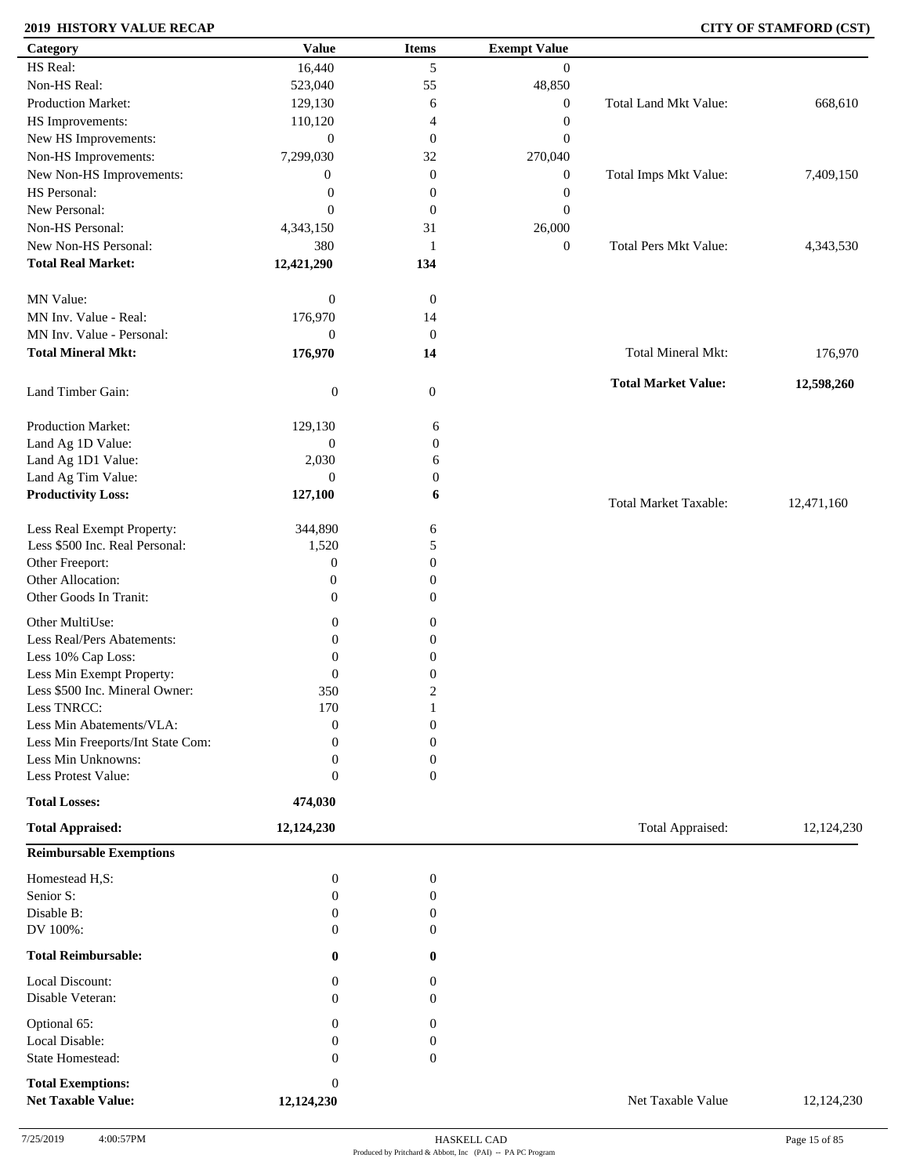### **2019 HISTORY VALUE RECAP CITY OF STAMFORD (CST)**

| Category                          | <b>Value</b>     | <b>Items</b>     | <b>Exempt Value</b> |                              |            |
|-----------------------------------|------------------|------------------|---------------------|------------------------------|------------|
| HS Real:                          | 16,440           | 5                | $\overline{0}$      |                              |            |
| Non-HS Real:                      | 523,040          | 55               | 48,850              |                              |            |
| Production Market:                | 129,130          | 6                | $\boldsymbol{0}$    | Total Land Mkt Value:        | 668,610    |
| HS Improvements:                  | 110,120          | 4                | $\boldsymbol{0}$    |                              |            |
| New HS Improvements:              | $\mathbf{0}$     | $\mathbf{0}$     | $\boldsymbol{0}$    |                              |            |
| Non-HS Improvements:              | 7,299,030        | 32               | 270,040             |                              |            |
| New Non-HS Improvements:          | $\boldsymbol{0}$ | $\boldsymbol{0}$ | $\boldsymbol{0}$    | Total Imps Mkt Value:        | 7,409,150  |
| HS Personal:                      | $\boldsymbol{0}$ | $\boldsymbol{0}$ | $\boldsymbol{0}$    |                              |            |
| New Personal:                     | $\mathbf{0}$     | $\boldsymbol{0}$ | $\boldsymbol{0}$    |                              |            |
| Non-HS Personal:                  | 4,343,150        | 31               | 26,000              |                              |            |
| New Non-HS Personal:              |                  |                  |                     | <b>Total Pers Mkt Value:</b> |            |
|                                   | 380              | -1               | $\boldsymbol{0}$    |                              | 4,343,530  |
| <b>Total Real Market:</b>         | 12,421,290       | 134              |                     |                              |            |
| MN Value:                         | $\mathbf{0}$     | $\mathbf{0}$     |                     |                              |            |
| MN Inv. Value - Real:             | 176,970          | 14               |                     |                              |            |
| MN Inv. Value - Personal:         | $\mathbf{0}$     | $\mathbf{0}$     |                     |                              |            |
| <b>Total Mineral Mkt:</b>         |                  | 14               |                     | <b>Total Mineral Mkt:</b>    |            |
|                                   | 176,970          |                  |                     |                              | 176,970    |
| Land Timber Gain:                 | $\boldsymbol{0}$ | $\mathbf{0}$     |                     | <b>Total Market Value:</b>   | 12,598,260 |
|                                   |                  |                  |                     |                              |            |
| Production Market:                | 129,130          | 6                |                     |                              |            |
| Land Ag 1D Value:                 | $\boldsymbol{0}$ | $\boldsymbol{0}$ |                     |                              |            |
| Land Ag 1D1 Value:                | 2,030            | 6                |                     |                              |            |
| Land Ag Tim Value:                | $\overline{0}$   | $\boldsymbol{0}$ |                     |                              |            |
| <b>Productivity Loss:</b>         | 127,100          | 6                |                     | <b>Total Market Taxable:</b> | 12,471,160 |
| Less Real Exempt Property:        | 344,890          | 6                |                     |                              |            |
| Less \$500 Inc. Real Personal:    | 1,520            | 5                |                     |                              |            |
| Other Freeport:                   | $\boldsymbol{0}$ | 0                |                     |                              |            |
| Other Allocation:                 | $\boldsymbol{0}$ | 0                |                     |                              |            |
| Other Goods In Tranit:            | $\boldsymbol{0}$ | 0                |                     |                              |            |
|                                   |                  |                  |                     |                              |            |
| Other MultiUse:                   | $\boldsymbol{0}$ | 0                |                     |                              |            |
| Less Real/Pers Abatements:        | $\mathbf{0}$     | $\boldsymbol{0}$ |                     |                              |            |
| Less 10% Cap Loss:                | $\mathbf{0}$     | 0                |                     |                              |            |
| Less Min Exempt Property:         | $\mathbf{0}$     | $\boldsymbol{0}$ |                     |                              |            |
| Less \$500 Inc. Mineral Owner:    | 350              | $\overline{c}$   |                     |                              |            |
| Less TNRCC:                       | 170              | -1               |                     |                              |            |
| Less Min Abatements/VLA:          | $\mathbf{0}$     | $\boldsymbol{0}$ |                     |                              |            |
| Less Min Freeports/Int State Com: | $\Omega$         | $\boldsymbol{0}$ |                     |                              |            |
| Less Min Unknowns:                | $\mathbf{0}$     | 0                |                     |                              |            |
| Less Protest Value:               | $\theta$         | $\overline{0}$   |                     |                              |            |
| <b>Total Losses:</b>              | 474,030          |                  |                     |                              |            |
| <b>Total Appraised:</b>           | 12,124,230       |                  |                     | Total Appraised:             | 12,124,230 |
| <b>Reimbursable Exemptions</b>    |                  |                  |                     |                              |            |
| Homestead H,S:                    | $\boldsymbol{0}$ | $\boldsymbol{0}$ |                     |                              |            |
| Senior S:                         | $\mathbf{0}$     | $\overline{0}$   |                     |                              |            |
| Disable B:                        | $\mathbf{0}$     | 0                |                     |                              |            |
| DV 100%:                          | $\Omega$         | 0                |                     |                              |            |
| <b>Total Reimbursable:</b>        | $\bf{0}$         | $\bf{0}$         |                     |                              |            |
| Local Discount:                   | $\mathbf{0}$     | 0                |                     |                              |            |
| Disable Veteran:                  | $\Omega$         | 0                |                     |                              |            |
| Optional 65:                      | $\mathbf{0}$     | $\boldsymbol{0}$ |                     |                              |            |
| Local Disable:                    | $\overline{0}$   | 0                |                     |                              |            |
| State Homestead:                  | $\Omega$         | $\boldsymbol{0}$ |                     |                              |            |
| <b>Total Exemptions:</b>          | $\theta$         |                  |                     |                              |            |
| <b>Net Taxable Value:</b>         | 12,124,230       |                  |                     | Net Taxable Value            | 12,124,230 |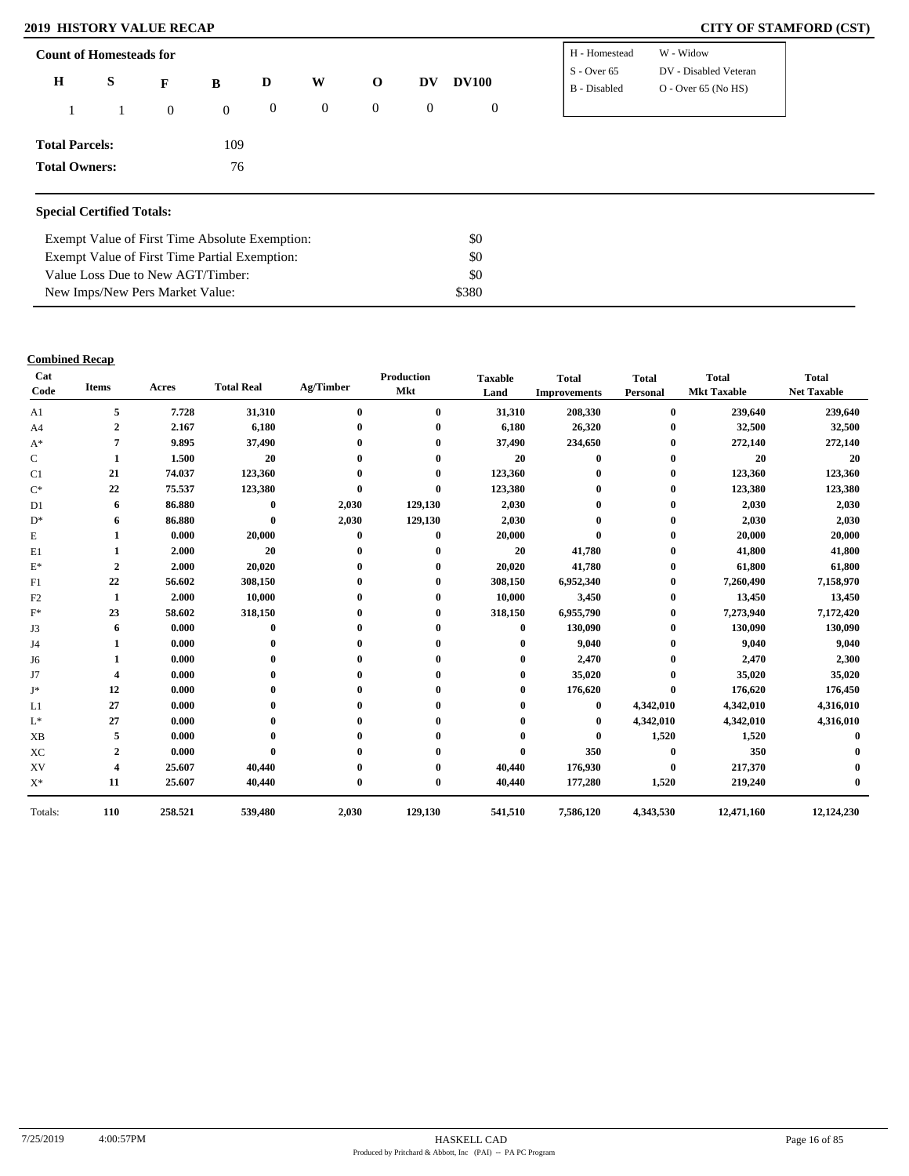### **2019 HISTORY VALUE RECAP CITY OF STAMFORD (CST)**

| DV - Disabled Veteran<br>$S -$ Over 65<br>$\mathbf H$<br>S<br>W<br><b>DV100</b><br>$\mathbf{o}$<br>DV<br>D<br>B<br>F<br>$O -$ Over 65 (No HS)<br>B - Disabled<br>$\overline{0}$<br>$\boldsymbol{0}$<br>$\boldsymbol{0}$<br>$\overline{0}$<br>$\mathbf{0}$<br>$\overline{0}$<br>$\overline{0}$<br><b>Total Parcels:</b><br>109<br>76<br><b>Total Owners:</b> | <b>Count of Homesteads for</b>   |  |  |  |  | H - Homestead | W - Widow |
|-------------------------------------------------------------------------------------------------------------------------------------------------------------------------------------------------------------------------------------------------------------------------------------------------------------------------------------------------------------|----------------------------------|--|--|--|--|---------------|-----------|
|                                                                                                                                                                                                                                                                                                                                                             |                                  |  |  |  |  |               |           |
|                                                                                                                                                                                                                                                                                                                                                             |                                  |  |  |  |  |               |           |
|                                                                                                                                                                                                                                                                                                                                                             |                                  |  |  |  |  |               |           |
|                                                                                                                                                                                                                                                                                                                                                             |                                  |  |  |  |  |               |           |
|                                                                                                                                                                                                                                                                                                                                                             | <b>Special Certified Totals:</b> |  |  |  |  |               |           |

| Exempt Value of First Time Absolute Exemption: | SO.   |  |
|------------------------------------------------|-------|--|
| Exempt Value of First Time Partial Exemption:  | \$0   |  |
| Value Loss Due to New AGT/Timber:              | -80   |  |
| New Imps/New Pers Market Value:                | \$380 |  |

### **Combined Recap**

| Cat<br>Code    | <b>Items</b>   | Acres   | <b>Total Real</b> | Ag/Timber | <b>Production</b><br><b>Mkt</b> | <b>Taxable</b><br>Land | <b>Total</b><br><b>Improvements</b> | <b>Total</b><br>Personal | <b>Total</b><br><b>Mkt Taxable</b> | <b>Total</b><br><b>Net Taxable</b> |
|----------------|----------------|---------|-------------------|-----------|---------------------------------|------------------------|-------------------------------------|--------------------------|------------------------------------|------------------------------------|
| A1             | 5              | 7.728   | 31,310            | $\bf{0}$  | $\bf{0}$                        | 31,310                 | 208,330                             | $\bf{0}$                 | 239,640                            | 239,640                            |
| A <sub>4</sub> | $\mathbf{2}$   | 2.167   | 6,180             | 0         | $\mathbf{0}$                    | 6,180                  | 26,320                              | $\bf{0}$                 | 32,500                             | 32,500                             |
| $A^*$          | 7              | 9.895   | 37,490            |           | 0                               | 37,490                 | 234,650                             | $\bf{0}$                 | 272,140                            | 272,140                            |
| C              |                | 1.500   | 20                |           |                                 | 20                     | 0                                   | $\bf{0}$                 | 20                                 | 20                                 |
| C1             | 21             | 74.037  | 123,360           | 0         | 0                               | 123,360                | 0                                   | $\bf{0}$                 | 123,360                            | 123,360                            |
| $C^*$          | 22             | 75.537  | 123,380           | $\bf{0}$  | $\mathbf{0}$                    | 123,380                | 0                                   | $\bf{0}$                 | 123,380                            | 123,380                            |
| D1             | 6              | 86.880  | $\bf{0}$          | 2,030     | 129,130                         | 2,030                  | 0                                   | $\mathbf{0}$             | 2,030                              | 2,030                              |
| $D^*$          | 6              | 86.880  | $\mathbf{0}$      | 2,030     | 129,130                         | 2,030                  | 0                                   | $\bf{0}$                 | 2,030                              | 2,030                              |
| E              |                | 0.000   | 20,000            | $\bf{0}$  | $\bf{0}$                        | 20,000                 | 0                                   | $\bf{0}$                 | 20,000                             | 20,000                             |
| E1             |                | 2.000   | 20                | $\bf{0}$  |                                 | 20                     | 41,780                              | $\bf{0}$                 | 41,800                             | 41,800                             |
| $E^*$          | $\overline{2}$ | 2.000   | 20,020            |           |                                 | 20,020                 | 41,780                              | $\bf{0}$                 | 61,800                             | 61,800                             |
| F1             | 22             | 56.602  | 308,150           |           | 0                               | 308,150                | 6,952,340                           | $\bf{0}$                 | 7,260,490                          | 7,158,970                          |
| F2             | 1              | 2.000   | 10,000            |           |                                 | 10,000                 | 3,450                               | $\bf{0}$                 | 13,450                             | 13,450                             |
| $F^*$          | 23             | 58.602  | 318,150           |           | 0                               | 318,150                | 6,955,790                           | $\bf{0}$                 | 7,273,940                          | 7,172,420                          |
| J3             | 6              | 0.000   | $\bf{0}$          |           |                                 | $\mathbf 0$            | 130,090                             | $\bf{0}$                 | 130,090                            | 130,090                            |
| J4             |                | 0.000   |                   |           |                                 |                        | 9,040                               | $\mathbf{0}$             | 9,040                              | 9,040                              |
| J6             |                | 0.000   |                   |           |                                 |                        | 2,470                               | $\bf{0}$                 | 2,470                              | 2,300                              |
| J7             | 4              | 0.000   |                   |           |                                 | 0                      | 35,020                              | $\mathbf{0}$             | 35,020                             | 35,020                             |
| J*             | 12             | 0.000   |                   |           |                                 | $\mathbf 0$            | 176,620                             | $\bf{0}$                 | 176,620                            | 176,450                            |
| L1             | 27             | 0.000   |                   |           |                                 |                        | $\bf{0}$                            | 4,342,010                | 4,342,010                          | 4,316,010                          |
| $\mathbf{L}^*$ | 27             | 0.000   |                   |           |                                 |                        | $\bf{0}$                            | 4,342,010                | 4,342,010                          | 4,316,010                          |
| <b>XB</b>      | 5              | 0.000   |                   |           |                                 |                        | $\bf{0}$                            | 1,520                    | 1,520                              |                                    |
| XC             | 2              | 0.000   |                   | 0         |                                 | $\mathbf{0}$           | 350                                 | $\bf{0}$                 | 350                                |                                    |
| XV             | 4              | 25.607  | 40,440            | $\bf{0}$  |                                 | 40,440                 | 176,930                             | $\bf{0}$                 | 217,370                            |                                    |
| $\mathbf{X}^*$ | 11             | 25.607  | 40,440            | $\bf{0}$  | $\mathbf{0}$                    | 40,440                 | 177,280                             | 1,520                    | 219,240                            |                                    |
| Totals:        | 110            | 258.521 | 539,480           | 2,030     | 129,130                         | 541,510                | 7,586,120                           | 4,343,530                | 12,471,160                         | 12,124,230                         |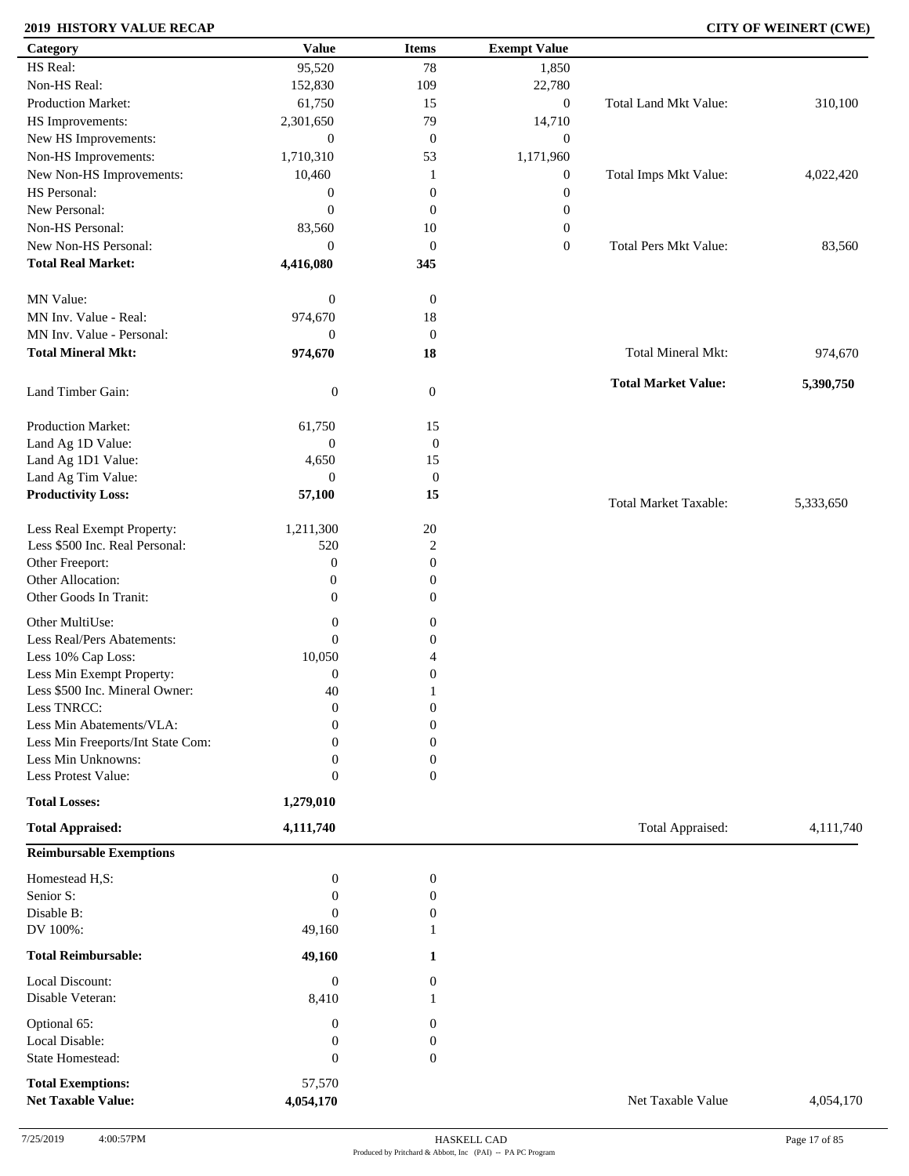### **2019 HISTORY VALUE RECAP CITY OF WEINERT (CWE)**

| Category                          | <b>Value</b>     | <b>Items</b>     | <b>Exempt Value</b> |                              |           |
|-----------------------------------|------------------|------------------|---------------------|------------------------------|-----------|
| HS Real:                          | 95,520           | 78               | 1,850               |                              |           |
| Non-HS Real:                      | 152,830          | 109              | 22,780              |                              |           |
| Production Market:                | 61,750           | 15               | $\boldsymbol{0}$    | Total Land Mkt Value:        | 310,100   |
| HS Improvements:                  | 2,301,650        | 79               | 14,710              |                              |           |
| New HS Improvements:              | $\boldsymbol{0}$ | $\boldsymbol{0}$ | $\mathbf{0}$        |                              |           |
| Non-HS Improvements:              | 1,710,310        | 53               | 1,171,960           |                              |           |
| New Non-HS Improvements:          | 10,460           | 1                | $\boldsymbol{0}$    | Total Imps Mkt Value:        | 4,022,420 |
| HS Personal:                      |                  | $\mathbf{0}$     |                     |                              |           |
| New Personal:                     | $\boldsymbol{0}$ |                  | $\boldsymbol{0}$    |                              |           |
|                                   | $\mathbf{0}$     | $\mathbf{0}$     | $\boldsymbol{0}$    |                              |           |
| Non-HS Personal:                  | 83,560           | 10               | $\boldsymbol{0}$    |                              |           |
| New Non-HS Personal:              | $\overline{0}$   | $\boldsymbol{0}$ | $\boldsymbol{0}$    | <b>Total Pers Mkt Value:</b> | 83,560    |
| <b>Total Real Market:</b>         | 4,416,080        | 345              |                     |                              |           |
| MN Value:                         | $\boldsymbol{0}$ | $\boldsymbol{0}$ |                     |                              |           |
| MN Inv. Value - Real:             | 974,670          | 18               |                     |                              |           |
| MN Inv. Value - Personal:         | $\boldsymbol{0}$ | $\boldsymbol{0}$ |                     |                              |           |
| <b>Total Mineral Mkt:</b>         | 974,670          | 18               |                     | <b>Total Mineral Mkt:</b>    | 974,670   |
| Land Timber Gain:                 | $\boldsymbol{0}$ | $\boldsymbol{0}$ |                     | <b>Total Market Value:</b>   | 5,390,750 |
|                                   |                  |                  |                     |                              |           |
| Production Market:                | 61,750           | 15               |                     |                              |           |
| Land Ag 1D Value:                 | $\boldsymbol{0}$ | $\boldsymbol{0}$ |                     |                              |           |
| Land Ag 1D1 Value:                | 4,650            | 15               |                     |                              |           |
| Land Ag Tim Value:                | $\boldsymbol{0}$ | $\boldsymbol{0}$ |                     |                              |           |
| <b>Productivity Loss:</b>         | 57,100           | 15               |                     | <b>Total Market Taxable:</b> | 5,333,650 |
| Less Real Exempt Property:        | 1,211,300        | $20\,$           |                     |                              |           |
| Less \$500 Inc. Real Personal:    | 520              | $\overline{c}$   |                     |                              |           |
| Other Freeport:                   | $\mathbf{0}$     | $\mathbf{0}$     |                     |                              |           |
| Other Allocation:                 | $\boldsymbol{0}$ | $\boldsymbol{0}$ |                     |                              |           |
| Other Goods In Tranit:            | $\mathbf{0}$     | $\boldsymbol{0}$ |                     |                              |           |
|                                   |                  |                  |                     |                              |           |
| Other MultiUse:                   | $\boldsymbol{0}$ | $\boldsymbol{0}$ |                     |                              |           |
| Less Real/Pers Abatements:        | $\boldsymbol{0}$ | $\boldsymbol{0}$ |                     |                              |           |
| Less 10% Cap Loss:                | 10,050           | $\overline{4}$   |                     |                              |           |
| Less Min Exempt Property:         | $\mathbf{0}$     | $\boldsymbol{0}$ |                     |                              |           |
| Less \$500 Inc. Mineral Owner:    | 40               | 1                |                     |                              |           |
| Less TNRCC:                       | $\overline{0}$   | $\boldsymbol{0}$ |                     |                              |           |
| Less Min Abatements/VLA:          | $\boldsymbol{0}$ | $\boldsymbol{0}$ |                     |                              |           |
| Less Min Freeports/Int State Com: | $\Omega$         | $\Omega$         |                     |                              |           |
| Less Min Unknowns:                | $\mathbf{0}$     | $\mathbf{0}$     |                     |                              |           |
| Less Protest Value:               | $\boldsymbol{0}$ | $\overline{0}$   |                     |                              |           |
| <b>Total Losses:</b>              | 1,279,010        |                  |                     |                              |           |
| <b>Total Appraised:</b>           | 4,111,740        |                  |                     | Total Appraised:             | 4,111,740 |
| <b>Reimbursable Exemptions</b>    |                  |                  |                     |                              |           |
| Homestead H,S:                    | $\boldsymbol{0}$ | $\boldsymbol{0}$ |                     |                              |           |
| Senior S:                         | $\boldsymbol{0}$ | $\boldsymbol{0}$ |                     |                              |           |
| Disable B:                        | $\mathbf{0}$     | 0                |                     |                              |           |
| DV 100%:                          | 49,160           |                  |                     |                              |           |
| <b>Total Reimbursable:</b>        | 49,160           | 1                |                     |                              |           |
| Local Discount:                   | $\boldsymbol{0}$ | $\overline{0}$   |                     |                              |           |
| Disable Veteran:                  | 8,410            | 1                |                     |                              |           |
| Optional 65:                      | $\boldsymbol{0}$ | 0                |                     |                              |           |
| Local Disable:                    | $\boldsymbol{0}$ | $\boldsymbol{0}$ |                     |                              |           |
| State Homestead:                  | $\boldsymbol{0}$ | $\boldsymbol{0}$ |                     |                              |           |
|                                   |                  |                  |                     |                              |           |
| <b>Total Exemptions:</b>          | 57,570           |                  |                     |                              |           |
| <b>Net Taxable Value:</b>         | 4,054,170        |                  |                     | Net Taxable Value            | 4,054,170 |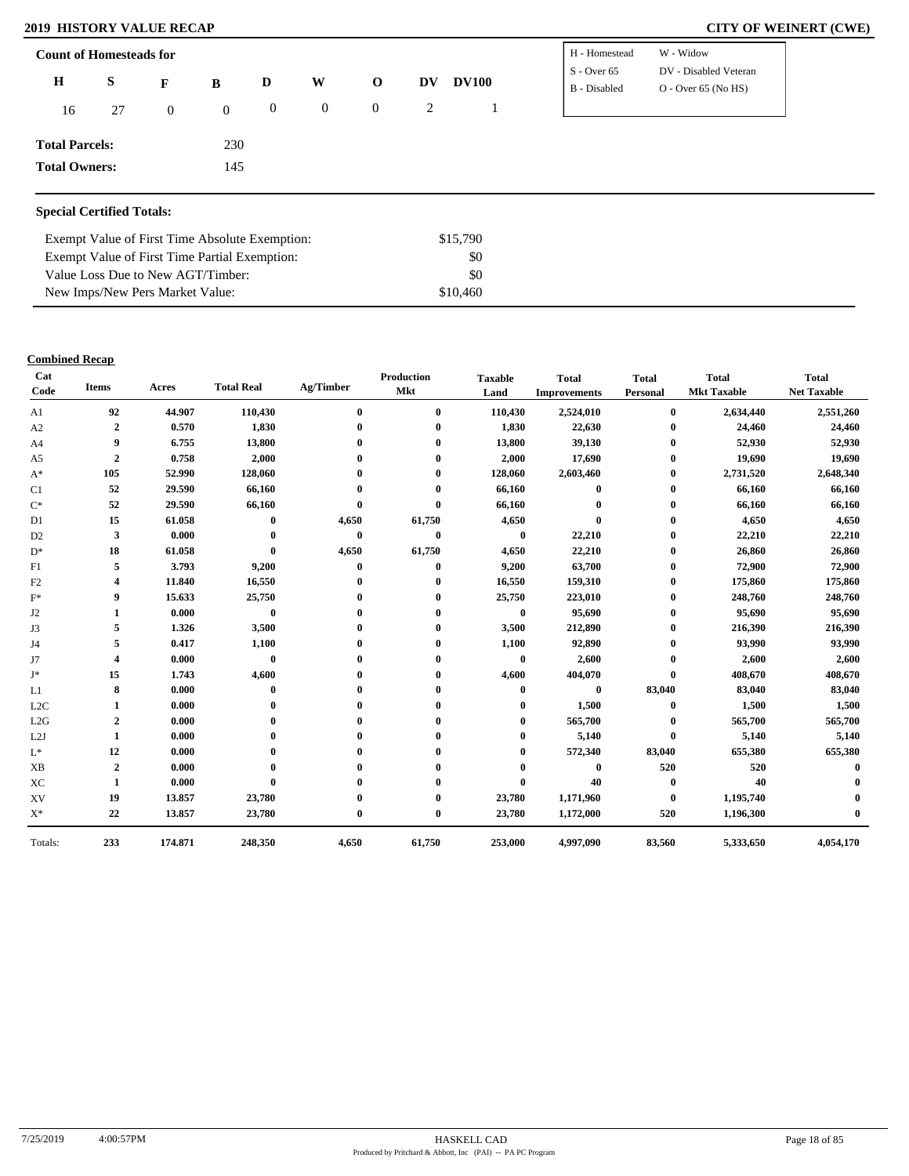### **2019 HISTORY VALUE RECAP CITY OF WEINERT (CWE)**

| <b>Count of Homesteads for</b> |    |                | H - Homestead  | W - Widow      |                |             |    |              |               |                       |
|--------------------------------|----|----------------|----------------|----------------|----------------|-------------|----|--------------|---------------|-----------------------|
| $\bf H$                        | S  |                |                | D              | W              | $\mathbf 0$ | DV | <b>DV100</b> | $S -$ Over 65 | DV - Disabled Veteran |
|                                |    | F              | B              |                |                |             |    |              | B - Disabled  | $O - Over 65 (No HS)$ |
| 16                             | 27 | $\overline{0}$ | $\overline{0}$ | $\overline{0}$ | $\overline{0}$ | $\mathbf 0$ | 2  |              |               |                       |
|                                |    |                |                |                |                |             |    |              |               |                       |
| <b>Total Parcels:</b>          |    |                | 230            |                |                |             |    |              |               |                       |
| <b>Total Owners:</b>           |    |                | 145            |                |                |             |    |              |               |                       |
|                                |    |                |                |                |                |             |    |              |               |                       |

### **Special Certified Totals:**

| Exempt Value of First Time Absolute Exemption: | \$15,790 |  |
|------------------------------------------------|----------|--|
| Exempt Value of First Time Partial Exemption:  | SO.      |  |
| Value Loss Due to New AGT/Timber:              | SO.      |  |
| New Imps/New Pers Market Value:                | \$10,460 |  |

### **Combined Recap**

| Cat<br>Code      | <b>Items</b>            | Acres   | <b>Total Real</b> | Ag/Timber    | <b>Production</b><br><b>Mkt</b> | <b>Taxable</b><br>Land | <b>Total</b><br><b>Improvements</b> | <b>Total</b><br>Personal | <b>Total</b><br><b>Mkt Taxable</b> | <b>Total</b><br><b>Net Taxable</b> |
|------------------|-------------------------|---------|-------------------|--------------|---------------------------------|------------------------|-------------------------------------|--------------------------|------------------------------------|------------------------------------|
| A1               | 92                      | 44.907  | 110,430           | $\bf{0}$     | $\bf{0}$                        | 110,430                | 2,524,010                           | $\bf{0}$                 | 2,634,440                          | 2,551,260                          |
| A2               | $\overline{\mathbf{2}}$ | 0.570   | 1,830             |              | $\boldsymbol{0}$                | 1,830                  | 22,630                              | $\bf{0}$                 | 24,460                             | 24,460                             |
| A <sub>4</sub>   | 9                       | 6.755   | 13,800            |              | $\mathbf 0$                     | 13,800                 | 39,130                              | $\bf{0}$                 | 52,930                             | 52,930                             |
| A <sub>5</sub>   | $\overline{2}$          | 0.758   | 2,000             |              |                                 | 2,000                  | 17,690                              | $\bf{0}$                 | 19,690                             | 19,690                             |
| $A^*$            | 105                     | 52.990  | 128,060           |              | $\mathbf 0$                     | 128,060                | 2,603,460                           | $\mathbf{0}$             | 2,731,520                          | 2,648,340                          |
| C1               | 52                      | 29.590  | 66,160            |              |                                 | 66,160                 | $\bf{0}$                            | $\bf{0}$                 | 66,160                             | 66,160                             |
| $C^*$            | 52                      | 29.590  | 66,160            | $\mathbf{0}$ | $\mathbf{0}$                    | 66,160                 | $\mathbf{0}$                        | $\bf{0}$                 | 66,160                             | 66,160                             |
| D <sub>1</sub>   | 15                      | 61.058  | $\bf{0}$          | 4,650        | 61,750                          | 4,650                  | $\bf{0}$                            | $\bf{0}$                 | 4,650                              | 4,650                              |
| D <sub>2</sub>   | 3                       | 0.000   | $\mathbf{0}$      | $\bf{0}$     | $\bf{0}$                        | $\bf{0}$               | 22,210                              | 0                        | 22,210                             | 22,210                             |
| $D^*$            | 18                      | 61.058  | $\mathbf{0}$      | 4,650        | 61,750                          | 4,650                  | 22,210                              | $\mathbf{0}$             | 26,860                             | 26,860                             |
| F1               | 5                       | 3.793   | 9,200             | $\mathbf{0}$ | $\bf{0}$                        | 9,200                  | 63,700                              | 0                        | 72,900                             | 72,900                             |
| F2               |                         | 11.840  | 16,550            |              | 0                               | 16,550                 | 159,310                             | $\bf{0}$                 | 175,860                            | 175,860                            |
| $F^*$            | 9                       | 15.633  | 25,750            |              | $\mathbf 0$                     | 25,750                 | 223,010                             | $\bf{0}$                 | 248,760                            | 248,760                            |
| J <sub>2</sub>   | 1                       | 0.000   | $\bf{0}$          |              | 0                               | $\bf{0}$               | 95,690                              | 0                        | 95,690                             | 95,690                             |
| J3               | 5                       | 1.326   | 3,500             |              | $\mathbf 0$                     | 3,500                  | 212,890                             | $\bf{0}$                 | 216,390                            | 216,390                            |
| J4               | 5                       | 0.417   | 1,100             |              | 0                               | 1,100                  | 92,890                              | $\mathbf{0}$             | 93,990                             | 93,990                             |
| J7               | 4                       | 0.000   | $\bf{0}$          |              | 0                               | $\bf{0}$               | 2,600                               | 0                        | 2,600                              | 2,600                              |
| J*               | 15                      | 1.743   | 4,600             |              | $\Omega$                        | 4,600                  | 404,070                             | $\mathbf{0}$             | 408,670                            | 408,670                            |
| L1               | 8                       | 0.000   | $\bf{0}$          |              |                                 | 0                      | $\bf{0}$                            | 83,040                   | 83,040                             | 83,040                             |
| L <sub>2</sub> C | 1                       | 0.000   |                   |              | 0                               | 0                      | 1,500                               | $\bf{0}$                 | 1,500                              | 1,500                              |
| L2G              | $\overline{2}$          | 0.000   |                   |              |                                 | 0                      | 565,700                             | $\bf{0}$                 | 565,700                            | 565,700                            |
| L2J              | 1                       | 0.000   |                   |              |                                 |                        | 5,140                               | $\bf{0}$                 | 5,140                              | 5,140                              |
| $\mathcal{L}^*$  | 12                      | 0.000   |                   |              | 0                               | 0                      | 572,340                             | 83,040                   | 655,380                            | 655,380                            |
| <b>XB</b>        | $\overline{2}$          | 0.000   |                   |              |                                 | 0                      | $\mathbf{0}$                        | 520                      | 520                                |                                    |
| XC               | 1                       | 0.000   | $\mathbf{0}$      |              | 0                               | $\bf{0}$               | 40                                  | $\bf{0}$                 | 40                                 |                                    |
| XV               | 19                      | 13.857  | 23,780            |              | 0                               | 23,780                 | 1,171,960                           | $\bf{0}$                 | 1,195,740                          |                                    |
| $X^*$            | 22                      | 13.857  | 23,780            | $\bf{0}$     | $\bf{0}$                        | 23,780                 | 1,172,000                           | 520                      | 1,196,300                          |                                    |
| Totals:          | 233                     | 174.871 | 248,350           | 4,650        | 61,750                          | 253,000                | 4,997,090                           | 83,560                   | 5,333,650                          | 4,054,170                          |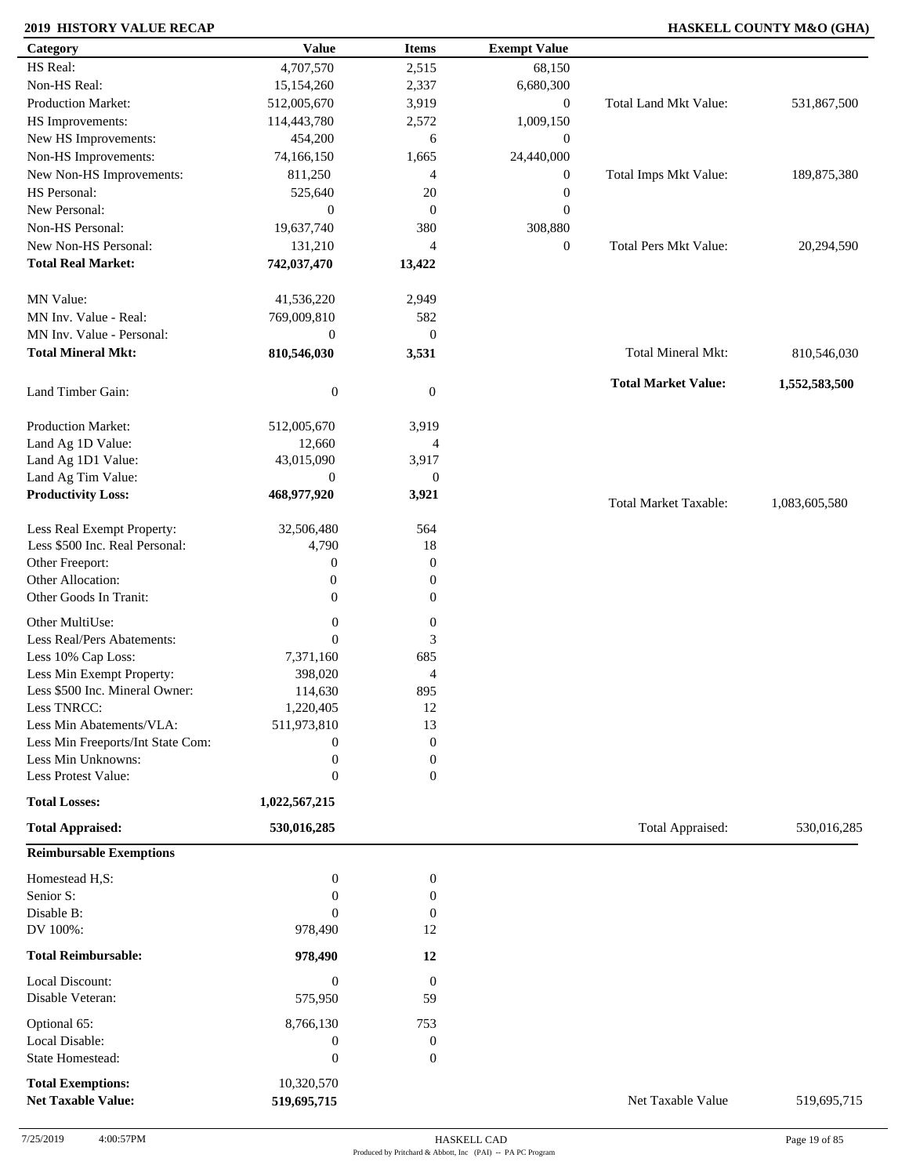### **2019 HISTORY VALUE RECAP HASKELL COUNTY M&O (GHA)**

| HS Real:<br>4,707,570<br>2,515<br>68,150<br>Non-HS Real:<br>2,337<br>15,154,260<br>6,680,300<br>Production Market:<br>Total Land Mkt Value:<br>3,919<br>$\boldsymbol{0}$<br>512,005,670<br>HS Improvements:<br>1,009,150<br>114,443,780<br>2,572<br>New HS Improvements:<br>454,200<br>6<br>$\boldsymbol{0}$<br>Non-HS Improvements:<br>74,166,150<br>1,665<br>24,440,000<br>New Non-HS Improvements:<br>811,250<br>Total Imps Mkt Value:<br>4<br>$\boldsymbol{0}$<br>HS Personal:<br>$\boldsymbol{0}$<br>525,640<br>20<br>New Personal:<br>$\boldsymbol{0}$<br>$\boldsymbol{0}$<br>$\boldsymbol{0}$<br>Non-HS Personal:<br>19,637,740<br>380<br>308,880<br>New Non-HS Personal:<br>131,210<br>$\boldsymbol{0}$<br><b>Total Pers Mkt Value:</b><br>$\overline{4}$<br><b>Total Real Market:</b><br>742,037,470<br>13,422<br>MN Value:<br>41,536,220<br>2,949<br>MN Inv. Value - Real:<br>769,009,810<br>582<br>MN Inv. Value - Personal:<br>$\boldsymbol{0}$<br>$\boldsymbol{0}$<br><b>Total Mineral Mkt:</b><br>Total Mineral Mkt:<br>810,546,030<br>3,531<br><b>Total Market Value:</b><br>$\boldsymbol{0}$<br>Land Timber Gain:<br>$\mathbf{0}$<br>Production Market:<br>512,005,670<br>3,919<br>Land Ag 1D Value:<br>12,660<br>$\overline{4}$<br>Land Ag 1D1 Value:<br>43,015,090<br>3,917<br>Land Ag Tim Value:<br>$\boldsymbol{0}$<br>$\boldsymbol{0}$<br><b>Productivity Loss:</b><br>468,977,920<br>3,921<br><b>Total Market Taxable:</b><br>1,083,605,580<br>Less Real Exempt Property:<br>32,506,480<br>564<br>Less \$500 Inc. Real Personal:<br>4,790<br>18<br>Other Freeport:<br>0<br>$\boldsymbol{0}$<br>Other Allocation:<br>$\boldsymbol{0}$<br>$\boldsymbol{0}$<br>Other Goods In Tranit:<br>0<br>$\boldsymbol{0}$<br>Other MultiUse:<br>$\boldsymbol{0}$<br>$\boldsymbol{0}$<br>$\mathbf{0}$<br>$\ensuremath{\mathfrak{Z}}$<br>Less Real/Pers Abatements:<br>Less 10% Cap Loss:<br>685<br>7,371,160<br>Less Min Exempt Property:<br>398,020<br>4<br>Less \$500 Inc. Mineral Owner:<br>114,630<br>895<br>Less TNRCC:<br>1,220,405<br>12<br>Less Min Abatements/VLA:<br>511,973,810<br>13<br>Less Min Freeports/Int State Com:<br>$\boldsymbol{0}$<br>$\mathbf{0}$<br>Less Min Unknowns:<br>$\boldsymbol{0}$<br>$\boldsymbol{0}$<br>Less Protest Value:<br>$\mathbf{0}$<br>$\boldsymbol{0}$<br><b>Total Losses:</b><br>1,022,567,215<br><b>Total Appraised:</b><br><b>Total Appraised:</b><br>530,016,285<br><b>Reimbursable Exemptions</b><br>Homestead H,S:<br>$\boldsymbol{0}$<br>$\boldsymbol{0}$<br>Senior S:<br>$\mathbf{0}$<br>$\boldsymbol{0}$<br>Disable B:<br>$\Omega$<br>$\mathbf{0}$<br>DV 100%:<br>978,490<br>12<br><b>Total Reimbursable:</b><br>978,490<br>12<br>Local Discount:<br>$\boldsymbol{0}$<br>$\boldsymbol{0}$<br>Disable Veteran:<br>59<br>575,950<br>Optional 65:<br>8,766,130<br>753<br>Local Disable:<br>$\boldsymbol{0}$<br>$\boldsymbol{0}$<br>$\boldsymbol{0}$<br>State Homestead:<br>$\mathbf{0}$<br><b>Total Exemptions:</b><br>10,320,570 | Category                  | <b>Value</b> | <b>Items</b> | <b>Exempt Value</b> |                   |               |
|--------------------------------------------------------------------------------------------------------------------------------------------------------------------------------------------------------------------------------------------------------------------------------------------------------------------------------------------------------------------------------------------------------------------------------------------------------------------------------------------------------------------------------------------------------------------------------------------------------------------------------------------------------------------------------------------------------------------------------------------------------------------------------------------------------------------------------------------------------------------------------------------------------------------------------------------------------------------------------------------------------------------------------------------------------------------------------------------------------------------------------------------------------------------------------------------------------------------------------------------------------------------------------------------------------------------------------------------------------------------------------------------------------------------------------------------------------------------------------------------------------------------------------------------------------------------------------------------------------------------------------------------------------------------------------------------------------------------------------------------------------------------------------------------------------------------------------------------------------------------------------------------------------------------------------------------------------------------------------------------------------------------------------------------------------------------------------------------------------------------------------------------------------------------------------------------------------------------------------------------------------------------------------------------------------------------------------------------------------------------------------------------------------------------------------------------------------------------------------------------------------------------------------------------------------------------------------------------------------------------------------------------------------------------------------------------------------------------------------------------------------------------------------------------------------------------------------------------------------------------------------------------------------------------------------------------------------------------------------------------|---------------------------|--------------|--------------|---------------------|-------------------|---------------|
|                                                                                                                                                                                                                                                                                                                                                                                                                                                                                                                                                                                                                                                                                                                                                                                                                                                                                                                                                                                                                                                                                                                                                                                                                                                                                                                                                                                                                                                                                                                                                                                                                                                                                                                                                                                                                                                                                                                                                                                                                                                                                                                                                                                                                                                                                                                                                                                                                                                                                                                                                                                                                                                                                                                                                                                                                                                                                                                                                                                            |                           |              |              |                     |                   |               |
|                                                                                                                                                                                                                                                                                                                                                                                                                                                                                                                                                                                                                                                                                                                                                                                                                                                                                                                                                                                                                                                                                                                                                                                                                                                                                                                                                                                                                                                                                                                                                                                                                                                                                                                                                                                                                                                                                                                                                                                                                                                                                                                                                                                                                                                                                                                                                                                                                                                                                                                                                                                                                                                                                                                                                                                                                                                                                                                                                                                            |                           |              |              |                     |                   |               |
|                                                                                                                                                                                                                                                                                                                                                                                                                                                                                                                                                                                                                                                                                                                                                                                                                                                                                                                                                                                                                                                                                                                                                                                                                                                                                                                                                                                                                                                                                                                                                                                                                                                                                                                                                                                                                                                                                                                                                                                                                                                                                                                                                                                                                                                                                                                                                                                                                                                                                                                                                                                                                                                                                                                                                                                                                                                                                                                                                                                            |                           |              |              |                     |                   | 531,867,500   |
|                                                                                                                                                                                                                                                                                                                                                                                                                                                                                                                                                                                                                                                                                                                                                                                                                                                                                                                                                                                                                                                                                                                                                                                                                                                                                                                                                                                                                                                                                                                                                                                                                                                                                                                                                                                                                                                                                                                                                                                                                                                                                                                                                                                                                                                                                                                                                                                                                                                                                                                                                                                                                                                                                                                                                                                                                                                                                                                                                                                            |                           |              |              |                     |                   |               |
|                                                                                                                                                                                                                                                                                                                                                                                                                                                                                                                                                                                                                                                                                                                                                                                                                                                                                                                                                                                                                                                                                                                                                                                                                                                                                                                                                                                                                                                                                                                                                                                                                                                                                                                                                                                                                                                                                                                                                                                                                                                                                                                                                                                                                                                                                                                                                                                                                                                                                                                                                                                                                                                                                                                                                                                                                                                                                                                                                                                            |                           |              |              |                     |                   |               |
|                                                                                                                                                                                                                                                                                                                                                                                                                                                                                                                                                                                                                                                                                                                                                                                                                                                                                                                                                                                                                                                                                                                                                                                                                                                                                                                                                                                                                                                                                                                                                                                                                                                                                                                                                                                                                                                                                                                                                                                                                                                                                                                                                                                                                                                                                                                                                                                                                                                                                                                                                                                                                                                                                                                                                                                                                                                                                                                                                                                            |                           |              |              |                     |                   |               |
|                                                                                                                                                                                                                                                                                                                                                                                                                                                                                                                                                                                                                                                                                                                                                                                                                                                                                                                                                                                                                                                                                                                                                                                                                                                                                                                                                                                                                                                                                                                                                                                                                                                                                                                                                                                                                                                                                                                                                                                                                                                                                                                                                                                                                                                                                                                                                                                                                                                                                                                                                                                                                                                                                                                                                                                                                                                                                                                                                                                            |                           |              |              |                     |                   | 189,875,380   |
|                                                                                                                                                                                                                                                                                                                                                                                                                                                                                                                                                                                                                                                                                                                                                                                                                                                                                                                                                                                                                                                                                                                                                                                                                                                                                                                                                                                                                                                                                                                                                                                                                                                                                                                                                                                                                                                                                                                                                                                                                                                                                                                                                                                                                                                                                                                                                                                                                                                                                                                                                                                                                                                                                                                                                                                                                                                                                                                                                                                            |                           |              |              |                     |                   |               |
|                                                                                                                                                                                                                                                                                                                                                                                                                                                                                                                                                                                                                                                                                                                                                                                                                                                                                                                                                                                                                                                                                                                                                                                                                                                                                                                                                                                                                                                                                                                                                                                                                                                                                                                                                                                                                                                                                                                                                                                                                                                                                                                                                                                                                                                                                                                                                                                                                                                                                                                                                                                                                                                                                                                                                                                                                                                                                                                                                                                            |                           |              |              |                     |                   |               |
|                                                                                                                                                                                                                                                                                                                                                                                                                                                                                                                                                                                                                                                                                                                                                                                                                                                                                                                                                                                                                                                                                                                                                                                                                                                                                                                                                                                                                                                                                                                                                                                                                                                                                                                                                                                                                                                                                                                                                                                                                                                                                                                                                                                                                                                                                                                                                                                                                                                                                                                                                                                                                                                                                                                                                                                                                                                                                                                                                                                            |                           |              |              |                     |                   |               |
|                                                                                                                                                                                                                                                                                                                                                                                                                                                                                                                                                                                                                                                                                                                                                                                                                                                                                                                                                                                                                                                                                                                                                                                                                                                                                                                                                                                                                                                                                                                                                                                                                                                                                                                                                                                                                                                                                                                                                                                                                                                                                                                                                                                                                                                                                                                                                                                                                                                                                                                                                                                                                                                                                                                                                                                                                                                                                                                                                                                            |                           |              |              |                     |                   | 20,294,590    |
|                                                                                                                                                                                                                                                                                                                                                                                                                                                                                                                                                                                                                                                                                                                                                                                                                                                                                                                                                                                                                                                                                                                                                                                                                                                                                                                                                                                                                                                                                                                                                                                                                                                                                                                                                                                                                                                                                                                                                                                                                                                                                                                                                                                                                                                                                                                                                                                                                                                                                                                                                                                                                                                                                                                                                                                                                                                                                                                                                                                            |                           |              |              |                     |                   |               |
|                                                                                                                                                                                                                                                                                                                                                                                                                                                                                                                                                                                                                                                                                                                                                                                                                                                                                                                                                                                                                                                                                                                                                                                                                                                                                                                                                                                                                                                                                                                                                                                                                                                                                                                                                                                                                                                                                                                                                                                                                                                                                                                                                                                                                                                                                                                                                                                                                                                                                                                                                                                                                                                                                                                                                                                                                                                                                                                                                                                            |                           |              |              |                     |                   |               |
|                                                                                                                                                                                                                                                                                                                                                                                                                                                                                                                                                                                                                                                                                                                                                                                                                                                                                                                                                                                                                                                                                                                                                                                                                                                                                                                                                                                                                                                                                                                                                                                                                                                                                                                                                                                                                                                                                                                                                                                                                                                                                                                                                                                                                                                                                                                                                                                                                                                                                                                                                                                                                                                                                                                                                                                                                                                                                                                                                                                            |                           |              |              |                     |                   |               |
|                                                                                                                                                                                                                                                                                                                                                                                                                                                                                                                                                                                                                                                                                                                                                                                                                                                                                                                                                                                                                                                                                                                                                                                                                                                                                                                                                                                                                                                                                                                                                                                                                                                                                                                                                                                                                                                                                                                                                                                                                                                                                                                                                                                                                                                                                                                                                                                                                                                                                                                                                                                                                                                                                                                                                                                                                                                                                                                                                                                            |                           |              |              |                     |                   |               |
|                                                                                                                                                                                                                                                                                                                                                                                                                                                                                                                                                                                                                                                                                                                                                                                                                                                                                                                                                                                                                                                                                                                                                                                                                                                                                                                                                                                                                                                                                                                                                                                                                                                                                                                                                                                                                                                                                                                                                                                                                                                                                                                                                                                                                                                                                                                                                                                                                                                                                                                                                                                                                                                                                                                                                                                                                                                                                                                                                                                            |                           |              |              |                     |                   |               |
|                                                                                                                                                                                                                                                                                                                                                                                                                                                                                                                                                                                                                                                                                                                                                                                                                                                                                                                                                                                                                                                                                                                                                                                                                                                                                                                                                                                                                                                                                                                                                                                                                                                                                                                                                                                                                                                                                                                                                                                                                                                                                                                                                                                                                                                                                                                                                                                                                                                                                                                                                                                                                                                                                                                                                                                                                                                                                                                                                                                            |                           |              |              |                     |                   | 810,546,030   |
|                                                                                                                                                                                                                                                                                                                                                                                                                                                                                                                                                                                                                                                                                                                                                                                                                                                                                                                                                                                                                                                                                                                                                                                                                                                                                                                                                                                                                                                                                                                                                                                                                                                                                                                                                                                                                                                                                                                                                                                                                                                                                                                                                                                                                                                                                                                                                                                                                                                                                                                                                                                                                                                                                                                                                                                                                                                                                                                                                                                            |                           |              |              |                     |                   | 1,552,583,500 |
|                                                                                                                                                                                                                                                                                                                                                                                                                                                                                                                                                                                                                                                                                                                                                                                                                                                                                                                                                                                                                                                                                                                                                                                                                                                                                                                                                                                                                                                                                                                                                                                                                                                                                                                                                                                                                                                                                                                                                                                                                                                                                                                                                                                                                                                                                                                                                                                                                                                                                                                                                                                                                                                                                                                                                                                                                                                                                                                                                                                            |                           |              |              |                     |                   |               |
|                                                                                                                                                                                                                                                                                                                                                                                                                                                                                                                                                                                                                                                                                                                                                                                                                                                                                                                                                                                                                                                                                                                                                                                                                                                                                                                                                                                                                                                                                                                                                                                                                                                                                                                                                                                                                                                                                                                                                                                                                                                                                                                                                                                                                                                                                                                                                                                                                                                                                                                                                                                                                                                                                                                                                                                                                                                                                                                                                                                            |                           |              |              |                     |                   |               |
|                                                                                                                                                                                                                                                                                                                                                                                                                                                                                                                                                                                                                                                                                                                                                                                                                                                                                                                                                                                                                                                                                                                                                                                                                                                                                                                                                                                                                                                                                                                                                                                                                                                                                                                                                                                                                                                                                                                                                                                                                                                                                                                                                                                                                                                                                                                                                                                                                                                                                                                                                                                                                                                                                                                                                                                                                                                                                                                                                                                            |                           |              |              |                     |                   |               |
|                                                                                                                                                                                                                                                                                                                                                                                                                                                                                                                                                                                                                                                                                                                                                                                                                                                                                                                                                                                                                                                                                                                                                                                                                                                                                                                                                                                                                                                                                                                                                                                                                                                                                                                                                                                                                                                                                                                                                                                                                                                                                                                                                                                                                                                                                                                                                                                                                                                                                                                                                                                                                                                                                                                                                                                                                                                                                                                                                                                            |                           |              |              |                     |                   |               |
|                                                                                                                                                                                                                                                                                                                                                                                                                                                                                                                                                                                                                                                                                                                                                                                                                                                                                                                                                                                                                                                                                                                                                                                                                                                                                                                                                                                                                                                                                                                                                                                                                                                                                                                                                                                                                                                                                                                                                                                                                                                                                                                                                                                                                                                                                                                                                                                                                                                                                                                                                                                                                                                                                                                                                                                                                                                                                                                                                                                            |                           |              |              |                     |                   |               |
|                                                                                                                                                                                                                                                                                                                                                                                                                                                                                                                                                                                                                                                                                                                                                                                                                                                                                                                                                                                                                                                                                                                                                                                                                                                                                                                                                                                                                                                                                                                                                                                                                                                                                                                                                                                                                                                                                                                                                                                                                                                                                                                                                                                                                                                                                                                                                                                                                                                                                                                                                                                                                                                                                                                                                                                                                                                                                                                                                                                            |                           |              |              |                     |                   |               |
|                                                                                                                                                                                                                                                                                                                                                                                                                                                                                                                                                                                                                                                                                                                                                                                                                                                                                                                                                                                                                                                                                                                                                                                                                                                                                                                                                                                                                                                                                                                                                                                                                                                                                                                                                                                                                                                                                                                                                                                                                                                                                                                                                                                                                                                                                                                                                                                                                                                                                                                                                                                                                                                                                                                                                                                                                                                                                                                                                                                            |                           |              |              |                     |                   |               |
|                                                                                                                                                                                                                                                                                                                                                                                                                                                                                                                                                                                                                                                                                                                                                                                                                                                                                                                                                                                                                                                                                                                                                                                                                                                                                                                                                                                                                                                                                                                                                                                                                                                                                                                                                                                                                                                                                                                                                                                                                                                                                                                                                                                                                                                                                                                                                                                                                                                                                                                                                                                                                                                                                                                                                                                                                                                                                                                                                                                            |                           |              |              |                     |                   |               |
|                                                                                                                                                                                                                                                                                                                                                                                                                                                                                                                                                                                                                                                                                                                                                                                                                                                                                                                                                                                                                                                                                                                                                                                                                                                                                                                                                                                                                                                                                                                                                                                                                                                                                                                                                                                                                                                                                                                                                                                                                                                                                                                                                                                                                                                                                                                                                                                                                                                                                                                                                                                                                                                                                                                                                                                                                                                                                                                                                                                            |                           |              |              |                     |                   |               |
|                                                                                                                                                                                                                                                                                                                                                                                                                                                                                                                                                                                                                                                                                                                                                                                                                                                                                                                                                                                                                                                                                                                                                                                                                                                                                                                                                                                                                                                                                                                                                                                                                                                                                                                                                                                                                                                                                                                                                                                                                                                                                                                                                                                                                                                                                                                                                                                                                                                                                                                                                                                                                                                                                                                                                                                                                                                                                                                                                                                            |                           |              |              |                     |                   |               |
|                                                                                                                                                                                                                                                                                                                                                                                                                                                                                                                                                                                                                                                                                                                                                                                                                                                                                                                                                                                                                                                                                                                                                                                                                                                                                                                                                                                                                                                                                                                                                                                                                                                                                                                                                                                                                                                                                                                                                                                                                                                                                                                                                                                                                                                                                                                                                                                                                                                                                                                                                                                                                                                                                                                                                                                                                                                                                                                                                                                            |                           |              |              |                     |                   |               |
|                                                                                                                                                                                                                                                                                                                                                                                                                                                                                                                                                                                                                                                                                                                                                                                                                                                                                                                                                                                                                                                                                                                                                                                                                                                                                                                                                                                                                                                                                                                                                                                                                                                                                                                                                                                                                                                                                                                                                                                                                                                                                                                                                                                                                                                                                                                                                                                                                                                                                                                                                                                                                                                                                                                                                                                                                                                                                                                                                                                            |                           |              |              |                     |                   |               |
|                                                                                                                                                                                                                                                                                                                                                                                                                                                                                                                                                                                                                                                                                                                                                                                                                                                                                                                                                                                                                                                                                                                                                                                                                                                                                                                                                                                                                                                                                                                                                                                                                                                                                                                                                                                                                                                                                                                                                                                                                                                                                                                                                                                                                                                                                                                                                                                                                                                                                                                                                                                                                                                                                                                                                                                                                                                                                                                                                                                            |                           |              |              |                     |                   |               |
|                                                                                                                                                                                                                                                                                                                                                                                                                                                                                                                                                                                                                                                                                                                                                                                                                                                                                                                                                                                                                                                                                                                                                                                                                                                                                                                                                                                                                                                                                                                                                                                                                                                                                                                                                                                                                                                                                                                                                                                                                                                                                                                                                                                                                                                                                                                                                                                                                                                                                                                                                                                                                                                                                                                                                                                                                                                                                                                                                                                            |                           |              |              |                     |                   |               |
|                                                                                                                                                                                                                                                                                                                                                                                                                                                                                                                                                                                                                                                                                                                                                                                                                                                                                                                                                                                                                                                                                                                                                                                                                                                                                                                                                                                                                                                                                                                                                                                                                                                                                                                                                                                                                                                                                                                                                                                                                                                                                                                                                                                                                                                                                                                                                                                                                                                                                                                                                                                                                                                                                                                                                                                                                                                                                                                                                                                            |                           |              |              |                     |                   |               |
|                                                                                                                                                                                                                                                                                                                                                                                                                                                                                                                                                                                                                                                                                                                                                                                                                                                                                                                                                                                                                                                                                                                                                                                                                                                                                                                                                                                                                                                                                                                                                                                                                                                                                                                                                                                                                                                                                                                                                                                                                                                                                                                                                                                                                                                                                                                                                                                                                                                                                                                                                                                                                                                                                                                                                                                                                                                                                                                                                                                            |                           |              |              |                     |                   |               |
|                                                                                                                                                                                                                                                                                                                                                                                                                                                                                                                                                                                                                                                                                                                                                                                                                                                                                                                                                                                                                                                                                                                                                                                                                                                                                                                                                                                                                                                                                                                                                                                                                                                                                                                                                                                                                                                                                                                                                                                                                                                                                                                                                                                                                                                                                                                                                                                                                                                                                                                                                                                                                                                                                                                                                                                                                                                                                                                                                                                            |                           |              |              |                     |                   |               |
|                                                                                                                                                                                                                                                                                                                                                                                                                                                                                                                                                                                                                                                                                                                                                                                                                                                                                                                                                                                                                                                                                                                                                                                                                                                                                                                                                                                                                                                                                                                                                                                                                                                                                                                                                                                                                                                                                                                                                                                                                                                                                                                                                                                                                                                                                                                                                                                                                                                                                                                                                                                                                                                                                                                                                                                                                                                                                                                                                                                            |                           |              |              |                     |                   |               |
|                                                                                                                                                                                                                                                                                                                                                                                                                                                                                                                                                                                                                                                                                                                                                                                                                                                                                                                                                                                                                                                                                                                                                                                                                                                                                                                                                                                                                                                                                                                                                                                                                                                                                                                                                                                                                                                                                                                                                                                                                                                                                                                                                                                                                                                                                                                                                                                                                                                                                                                                                                                                                                                                                                                                                                                                                                                                                                                                                                                            |                           |              |              |                     |                   |               |
|                                                                                                                                                                                                                                                                                                                                                                                                                                                                                                                                                                                                                                                                                                                                                                                                                                                                                                                                                                                                                                                                                                                                                                                                                                                                                                                                                                                                                                                                                                                                                                                                                                                                                                                                                                                                                                                                                                                                                                                                                                                                                                                                                                                                                                                                                                                                                                                                                                                                                                                                                                                                                                                                                                                                                                                                                                                                                                                                                                                            |                           |              |              |                     |                   |               |
|                                                                                                                                                                                                                                                                                                                                                                                                                                                                                                                                                                                                                                                                                                                                                                                                                                                                                                                                                                                                                                                                                                                                                                                                                                                                                                                                                                                                                                                                                                                                                                                                                                                                                                                                                                                                                                                                                                                                                                                                                                                                                                                                                                                                                                                                                                                                                                                                                                                                                                                                                                                                                                                                                                                                                                                                                                                                                                                                                                                            |                           |              |              |                     |                   |               |
|                                                                                                                                                                                                                                                                                                                                                                                                                                                                                                                                                                                                                                                                                                                                                                                                                                                                                                                                                                                                                                                                                                                                                                                                                                                                                                                                                                                                                                                                                                                                                                                                                                                                                                                                                                                                                                                                                                                                                                                                                                                                                                                                                                                                                                                                                                                                                                                                                                                                                                                                                                                                                                                                                                                                                                                                                                                                                                                                                                                            |                           |              |              |                     |                   |               |
|                                                                                                                                                                                                                                                                                                                                                                                                                                                                                                                                                                                                                                                                                                                                                                                                                                                                                                                                                                                                                                                                                                                                                                                                                                                                                                                                                                                                                                                                                                                                                                                                                                                                                                                                                                                                                                                                                                                                                                                                                                                                                                                                                                                                                                                                                                                                                                                                                                                                                                                                                                                                                                                                                                                                                                                                                                                                                                                                                                                            |                           |              |              |                     |                   | 530,016,285   |
|                                                                                                                                                                                                                                                                                                                                                                                                                                                                                                                                                                                                                                                                                                                                                                                                                                                                                                                                                                                                                                                                                                                                                                                                                                                                                                                                                                                                                                                                                                                                                                                                                                                                                                                                                                                                                                                                                                                                                                                                                                                                                                                                                                                                                                                                                                                                                                                                                                                                                                                                                                                                                                                                                                                                                                                                                                                                                                                                                                                            |                           |              |              |                     |                   |               |
|                                                                                                                                                                                                                                                                                                                                                                                                                                                                                                                                                                                                                                                                                                                                                                                                                                                                                                                                                                                                                                                                                                                                                                                                                                                                                                                                                                                                                                                                                                                                                                                                                                                                                                                                                                                                                                                                                                                                                                                                                                                                                                                                                                                                                                                                                                                                                                                                                                                                                                                                                                                                                                                                                                                                                                                                                                                                                                                                                                                            |                           |              |              |                     |                   |               |
|                                                                                                                                                                                                                                                                                                                                                                                                                                                                                                                                                                                                                                                                                                                                                                                                                                                                                                                                                                                                                                                                                                                                                                                                                                                                                                                                                                                                                                                                                                                                                                                                                                                                                                                                                                                                                                                                                                                                                                                                                                                                                                                                                                                                                                                                                                                                                                                                                                                                                                                                                                                                                                                                                                                                                                                                                                                                                                                                                                                            |                           |              |              |                     |                   |               |
|                                                                                                                                                                                                                                                                                                                                                                                                                                                                                                                                                                                                                                                                                                                                                                                                                                                                                                                                                                                                                                                                                                                                                                                                                                                                                                                                                                                                                                                                                                                                                                                                                                                                                                                                                                                                                                                                                                                                                                                                                                                                                                                                                                                                                                                                                                                                                                                                                                                                                                                                                                                                                                                                                                                                                                                                                                                                                                                                                                                            |                           |              |              |                     |                   |               |
|                                                                                                                                                                                                                                                                                                                                                                                                                                                                                                                                                                                                                                                                                                                                                                                                                                                                                                                                                                                                                                                                                                                                                                                                                                                                                                                                                                                                                                                                                                                                                                                                                                                                                                                                                                                                                                                                                                                                                                                                                                                                                                                                                                                                                                                                                                                                                                                                                                                                                                                                                                                                                                                                                                                                                                                                                                                                                                                                                                                            |                           |              |              |                     |                   |               |
|                                                                                                                                                                                                                                                                                                                                                                                                                                                                                                                                                                                                                                                                                                                                                                                                                                                                                                                                                                                                                                                                                                                                                                                                                                                                                                                                                                                                                                                                                                                                                                                                                                                                                                                                                                                                                                                                                                                                                                                                                                                                                                                                                                                                                                                                                                                                                                                                                                                                                                                                                                                                                                                                                                                                                                                                                                                                                                                                                                                            |                           |              |              |                     |                   |               |
|                                                                                                                                                                                                                                                                                                                                                                                                                                                                                                                                                                                                                                                                                                                                                                                                                                                                                                                                                                                                                                                                                                                                                                                                                                                                                                                                                                                                                                                                                                                                                                                                                                                                                                                                                                                                                                                                                                                                                                                                                                                                                                                                                                                                                                                                                                                                                                                                                                                                                                                                                                                                                                                                                                                                                                                                                                                                                                                                                                                            |                           |              |              |                     |                   |               |
|                                                                                                                                                                                                                                                                                                                                                                                                                                                                                                                                                                                                                                                                                                                                                                                                                                                                                                                                                                                                                                                                                                                                                                                                                                                                                                                                                                                                                                                                                                                                                                                                                                                                                                                                                                                                                                                                                                                                                                                                                                                                                                                                                                                                                                                                                                                                                                                                                                                                                                                                                                                                                                                                                                                                                                                                                                                                                                                                                                                            |                           |              |              |                     |                   |               |
|                                                                                                                                                                                                                                                                                                                                                                                                                                                                                                                                                                                                                                                                                                                                                                                                                                                                                                                                                                                                                                                                                                                                                                                                                                                                                                                                                                                                                                                                                                                                                                                                                                                                                                                                                                                                                                                                                                                                                                                                                                                                                                                                                                                                                                                                                                                                                                                                                                                                                                                                                                                                                                                                                                                                                                                                                                                                                                                                                                                            |                           |              |              |                     |                   |               |
|                                                                                                                                                                                                                                                                                                                                                                                                                                                                                                                                                                                                                                                                                                                                                                                                                                                                                                                                                                                                                                                                                                                                                                                                                                                                                                                                                                                                                                                                                                                                                                                                                                                                                                                                                                                                                                                                                                                                                                                                                                                                                                                                                                                                                                                                                                                                                                                                                                                                                                                                                                                                                                                                                                                                                                                                                                                                                                                                                                                            |                           |              |              |                     |                   |               |
|                                                                                                                                                                                                                                                                                                                                                                                                                                                                                                                                                                                                                                                                                                                                                                                                                                                                                                                                                                                                                                                                                                                                                                                                                                                                                                                                                                                                                                                                                                                                                                                                                                                                                                                                                                                                                                                                                                                                                                                                                                                                                                                                                                                                                                                                                                                                                                                                                                                                                                                                                                                                                                                                                                                                                                                                                                                                                                                                                                                            |                           |              |              |                     |                   |               |
|                                                                                                                                                                                                                                                                                                                                                                                                                                                                                                                                                                                                                                                                                                                                                                                                                                                                                                                                                                                                                                                                                                                                                                                                                                                                                                                                                                                                                                                                                                                                                                                                                                                                                                                                                                                                                                                                                                                                                                                                                                                                                                                                                                                                                                                                                                                                                                                                                                                                                                                                                                                                                                                                                                                                                                                                                                                                                                                                                                                            |                           |              |              |                     |                   |               |
|                                                                                                                                                                                                                                                                                                                                                                                                                                                                                                                                                                                                                                                                                                                                                                                                                                                                                                                                                                                                                                                                                                                                                                                                                                                                                                                                                                                                                                                                                                                                                                                                                                                                                                                                                                                                                                                                                                                                                                                                                                                                                                                                                                                                                                                                                                                                                                                                                                                                                                                                                                                                                                                                                                                                                                                                                                                                                                                                                                                            | <b>Net Taxable Value:</b> | 519,695,715  |              |                     | Net Taxable Value | 519,695,715   |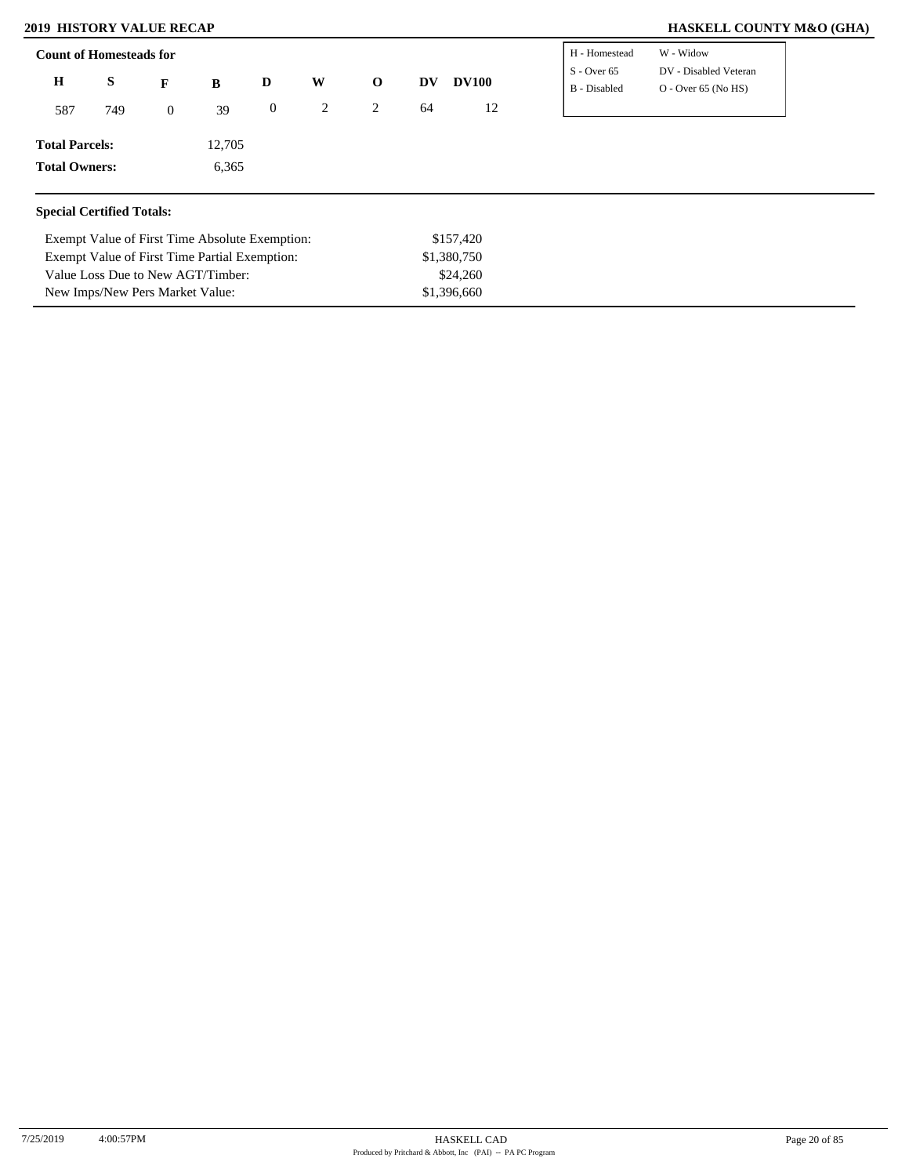Value Loss Due to New AGT/Timber: New Imps/New Pers Market Value:

### **2019 HISTORY VALUE RECAP HASKELL COUNTY M&O (GHA)**

| <b>Count of Homesteads for</b>   |     |                |                                                |                  |   |              |    |              | H - Homestead                 | W - Widow                                      |
|----------------------------------|-----|----------------|------------------------------------------------|------------------|---|--------------|----|--------------|-------------------------------|------------------------------------------------|
| Η                                | S   | F              | B                                              | D                | W | $\mathbf{o}$ | DV | <b>DV100</b> | $S - Over 65$<br>B - Disabled | DV - Disabled Veteran<br>$O -$ Over 65 (No HS) |
| 587                              | 749 | $\overline{0}$ | 39                                             | $\boldsymbol{0}$ | 2 | 2            | 64 | 12           |                               |                                                |
| <b>Total Parcels:</b>            |     |                | 12,705                                         |                  |   |              |    |              |                               |                                                |
| <b>Total Owners:</b>             |     |                | 6,365                                          |                  |   |              |    |              |                               |                                                |
| <b>Special Certified Totals:</b> |     |                |                                                |                  |   |              |    |              |                               |                                                |
|                                  |     |                | Exempt Value of First Time Absolute Exemption: |                  |   |              |    | \$157,420    |                               |                                                |
|                                  |     |                | Exempt Value of First Time Partial Exemption:  |                  |   |              |    | \$1,380,750  |                               |                                                |

\$24,260 \$1,396,660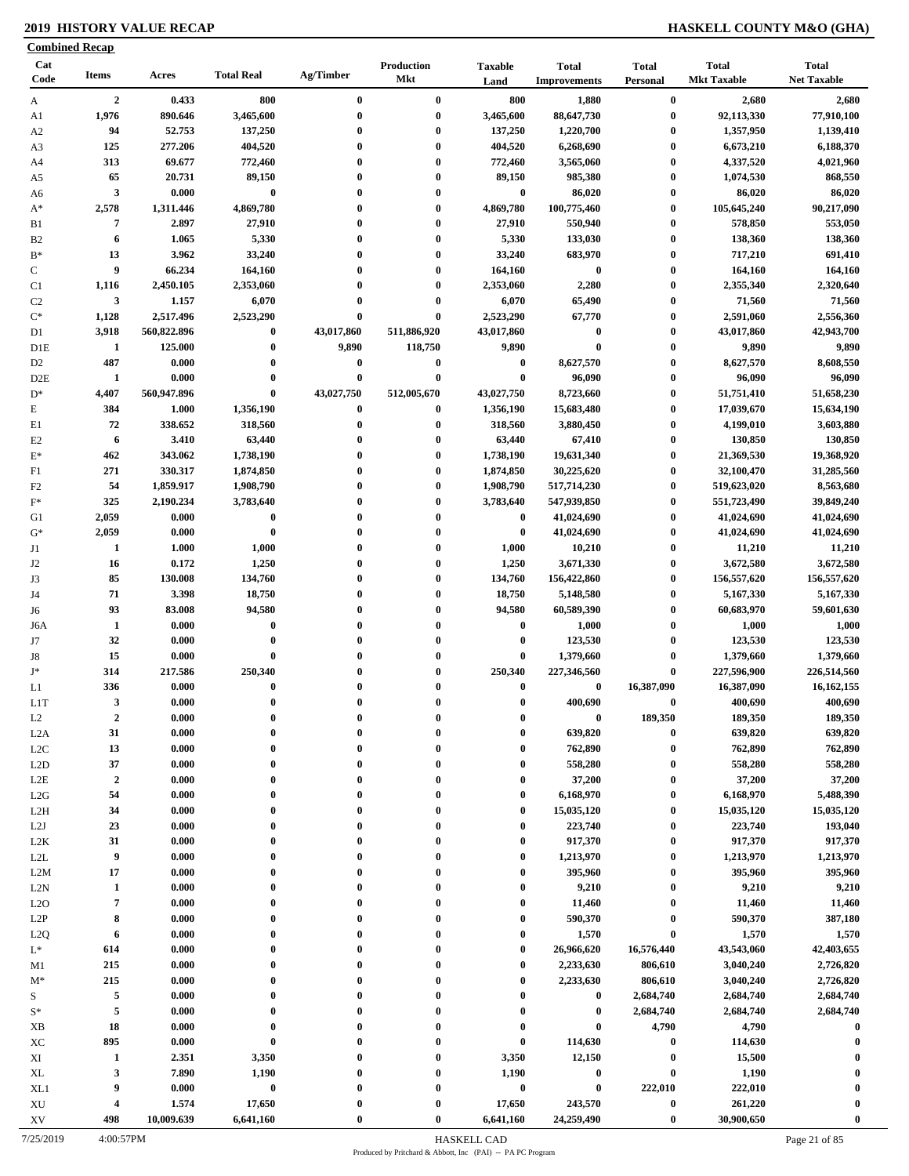### **2019 HISTORY VALUE RECAP HASKELL COUNTY M&O (GHA)**

| <b>Combined Recap</b>       |                         |             |                   |              |                   |                        |                                     |                          |                                    |                                    |
|-----------------------------|-------------------------|-------------|-------------------|--------------|-------------------|------------------------|-------------------------------------|--------------------------|------------------------------------|------------------------------------|
| Cat<br>Code                 | <b>Items</b>            | Acres       | <b>Total Real</b> | Ag/Timber    | Production<br>Mkt | <b>Taxable</b><br>Land | <b>Total</b><br><b>Improvements</b> | <b>Total</b><br>Personal | <b>Total</b><br><b>Mkt Taxable</b> | <b>Total</b><br><b>Net Taxable</b> |
| A                           | $\overline{2}$          | 0.433       | 800               | $\bf{0}$     | $\bf{0}$          | 800                    | 1,880                               | $\bf{0}$                 | 2,680                              | 2,680                              |
| A1                          | 1,976                   | 890.646     | 3,465,600         | $\bf{0}$     | $\bf{0}$          | 3,465,600              | 88,647,730                          | $\bf{0}$                 | 92,113,330                         | 77,910,100                         |
| A <sub>2</sub>              | 94                      | 52.753      | 137,250           | $\bf{0}$     | $\bf{0}$          | 137,250                | 1,220,700                           | $\bf{0}$                 | 1,357,950                          | 1,139,410                          |
| A3                          | 125                     | 277.206     | 404,520           | $\bf{0}$     | $\bf{0}$          | 404,520                | 6,268,690                           | $\bf{0}$                 | 6,673,210                          | 6,188,370                          |
| A4                          | 313                     | 69.677      | 772,460           | 0            | $\bf{0}$          | 772,460                | 3,565,060                           | $\bf{0}$                 | 4,337,520                          | 4,021,960                          |
| A5                          | 65                      | 20.731      | 89,150            | $\bf{0}$     | $\bf{0}$          | 89,150                 | 985,380                             | $\bf{0}$                 | 1,074,530                          | 868,550                            |
| A6                          | $\overline{\mathbf{3}}$ | 0.000       | $\bf{0}$          | $\bf{0}$     | $\bf{0}$          | $\bf{0}$               | 86,020                              | $\boldsymbol{0}$         | 86,020                             | 86,020                             |
| $A^*$                       | 2,578                   | 1,311.446   | 4,869,780         | $\bf{0}$     | $\bf{0}$          | 4,869,780              | 100,775,460                         | $\bf{0}$                 | 105,645,240                        | 90,217,090                         |
| B1                          | 7                       | 2.897       | 27,910            | $\bf{0}$     | $\bf{0}$          | 27,910                 | 550,940                             | $\boldsymbol{0}$         | 578,850                            | 553,050                            |
| B <sub>2</sub>              | 6                       | 1.065       | 5,330             | $\bf{0}$     | $\bf{0}$          | 5,330                  | 133,030                             | $\bf{0}$                 | 138,360                            | 138,360                            |
| $B^*$                       | 13                      | 3.962       | 33,240            | $\bf{0}$     | $\bf{0}$          | 33,240                 | 683,970                             | $\bf{0}$                 | 717,210                            | 691,410                            |
| ${\bf C}$                   | 9                       | 66.234      | 164,160           | $\bf{0}$     | $\bf{0}$          | 164,160                | $\bf{0}$                            | $\bf{0}$                 | 164,160                            | 164,160                            |
| C1                          | 1,116                   | 2,450.105   | 2,353,060         | $\bf{0}$     | $\bf{0}$          | 2,353,060              | 2,280                               | $\boldsymbol{0}$         | 2,355,340                          | 2,320,640                          |
| C <sub>2</sub>              | $\mathbf{3}$            | 1.157       | 6,070             | $\bf{0}$     | $\bf{0}$          | 6,070                  | 65,490                              | $\boldsymbol{0}$         | 71,560                             | 71,560                             |
| $\mathrm{C}^*$              | 1,128                   | 2,517.496   | 2,523,290         | $\bf{0}$     | $\bf{0}$          | 2,523,290              | 67,770                              | $\boldsymbol{0}$         | 2,591,060                          | 2,556,360                          |
| D1                          | 3,918                   | 560,822.896 | $\bf{0}$          | 43,017,860   | 511,886,920       | 43,017,860             | $\bf{0}$                            | $\boldsymbol{0}$         | 43,017,860                         | 42,943,700                         |
| D1E                         | -1                      | 125.000     | $\bf{0}$          | 9,890        | 118,750           | 9,890                  | $\bf{0}$                            | $\boldsymbol{0}$         | 9,890                              | 9,890                              |
| D <sub>2</sub>              | 487                     | 0.000       | $\bf{0}$          | $\bf{0}$     | $\bf{0}$          | $\bf{0}$               | 8,627,570                           | $\bf{0}$                 | 8,627,570                          | 8,608,550                          |
| D2E                         | 1                       | 0.000       | $\bf{0}$          | $\bf{0}$     | $\bf{0}$          | $\bf{0}$               | 96,090                              | $\boldsymbol{0}$         | 96,090                             | 96,090                             |
| $\mathrm{D}^*$              | 4,407                   | 560,947.896 | $\bf{0}$          | 43,027,750   | 512,005,670       | 43,027,750             | 8,723,660                           | $\boldsymbol{0}$         | 51,751,410                         | 51,658,230                         |
|                             | 384                     | 1.000       |                   | $\bf{0}$     | $\bf{0}$          |                        |                                     | $\boldsymbol{0}$         | 17,039,670                         |                                    |
| E                           |                         |             | 1,356,190         |              |                   | 1,356,190              | 15,683,480                          |                          |                                    | 15,634,190                         |
| E1                          | 72                      | 338.652     | 318,560           | $\bf{0}$     | $\bf{0}$          | 318,560                | 3,880,450                           | $\boldsymbol{0}$         | 4,199,010                          | 3,603,880                          |
| E2                          | 6                       | 3.410       | 63,440            | $\bf{0}$     | $\bf{0}$          | 63,440                 | 67,410                              | $\boldsymbol{0}$         | 130,850                            | 130,850                            |
| $\mathbf{E}^*$              | 462                     | 343.062     | 1,738,190         | $\bf{0}$     | $\bf{0}$          | 1,738,190              | 19,631,340                          | $\bf{0}$                 | 21,369,530                         | 19,368,920                         |
| F1                          | 271                     | 330.317     | 1,874,850         | $\bf{0}$     | $\bf{0}$          | 1,874,850              | 30,225,620                          | $\boldsymbol{0}$         | 32,100,470                         | 31,285,560                         |
| F2                          | 54                      | 1,859.917   | 1,908,790         | $\bf{0}$     | $\bf{0}$          | 1,908,790              | 517,714,230                         | $\boldsymbol{0}$         | 519,623,020                        | 8,563,680                          |
| $\mathbf{F}^*$              | 325                     | 2,190.234   | 3,783,640         | 0            | $\bf{0}$          | 3,783,640              | 547,939,850                         | $\boldsymbol{0}$         | 551,723,490                        | 39,849,240                         |
| G1                          | 2,059                   | 0.000       | $\bf{0}$          | $\bf{0}$     | $\bf{0}$          | $\bf{0}$               | 41,024,690                          | $\boldsymbol{0}$         | 41,024,690                         | 41,024,690                         |
| $G^*$                       | 2,059                   | 0.000       | $\bf{0}$          | $\bf{0}$     | $\bf{0}$          | $\bf{0}$               | 41,024,690                          | $\bf{0}$                 | 41,024,690                         | 41,024,690                         |
| J1                          | -1                      | 1.000       | 1,000             | $\bf{0}$     | $\bf{0}$          | 1,000                  | 10,210                              | $\boldsymbol{0}$         | 11,210                             | 11,210                             |
| J <sub>2</sub>              | 16                      | 0.172       | 1,250             | $\mathbf{0}$ | $\bf{0}$          | 1,250                  | 3,671,330                           | $\boldsymbol{0}$         | 3,672,580                          | 3,672,580                          |
| J3                          | 85                      | 130.008     | 134,760           | $\bf{0}$     | $\bf{0}$          | 134,760                | 156,422,860                         | $\boldsymbol{0}$         | 156,557,620                        | 156,557,620                        |
| J4                          | 71                      | 3.398       | 18,750            | $\bf{0}$     | $\bf{0}$          | 18,750                 | 5,148,580                           | $\boldsymbol{0}$         | 5,167,330                          | 5,167,330                          |
| J6                          | 93                      | 83.008      | 94,580            | $\bf{0}$     | $\boldsymbol{0}$  | 94,580                 | 60,589,390                          | $\boldsymbol{0}$         | 60,683,970                         | 59,601,630                         |
| J6A                         | 1                       | 0.000       | $\bf{0}$          | $\bf{0}$     | $\bf{0}$          | $\bf{0}$               | 1,000                               | $\bf{0}$                 | 1,000                              | 1,000                              |
| J7                          | 32                      | 0.000       | $\bf{0}$          | $\bf{0}$     | $\bf{0}$          | $\bf{0}$               | 123,530                             | $\bf{0}$                 | 123,530                            | 123,530                            |
| J8                          | 15                      | 0.000       | $\bf{0}$          | 0            | $\bf{0}$          | $\bf{0}$               | 1,379,660                           | $\bf{0}$                 | 1,379,660                          | 1,379,660                          |
| $\mathbf{J}^*$              | 314                     | 217.586     | 250,340           |              | $\bf{0}$          | 250,340                | 227,346,560                         | $\bf{0}$                 | 227,596,900                        | 226,514,560                        |
| L1                          | 336                     | 0.000       | $\bf{0}$          | $\bf{0}$     | $\bf{0}$          | $\bf{0}$               | $\bf{0}$                            | 16,387,090               | 16,387,090                         | 16, 162, 155                       |
| L1T                         | 3                       | 0.000       | $\bf{0}$          | 0            | 0                 | 0                      | 400,690                             | $\bf{0}$                 | 400.690                            | 400,690                            |
| L2                          | $\boldsymbol{2}$        | 0.000       | 0                 | 0            | $\bf{0}$          | 0                      | $\bf{0}$                            | 189,350                  | 189,350                            | 189,350                            |
| L2A                         | 31                      | 0.000       | $\bf{0}$          | 0            | $\bf{0}$          | 0                      | 639,820                             | $\bf{0}$                 | 639,820                            | 639,820                            |
| L2C                         | 13                      | 0.000       | $\bf{0}$          | $\bf{0}$     | $\bf{0}$          | $\bf{0}$               | 762,890                             | $\boldsymbol{0}$         | 762,890                            | 762,890                            |
| L2D                         | 37                      | 0.000       | $\bf{0}$          | $\bf{0}$     | $\bf{0}$          | 0                      | 558,280                             | $\boldsymbol{0}$         | 558,280                            | 558,280                            |
| L2E                         | $\overline{2}$          | 0.000       | 0                 | $\bf{0}$     | $\bf{0}$          | $\bf{0}$               | 37,200                              | $\boldsymbol{0}$         | 37,200                             | 37,200                             |
| L2G                         | 54                      | 0.000       | $\bf{0}$          | $\bf{0}$     | $\bf{0}$          | 0                      | 6,168,970                           | $\boldsymbol{0}$         | 6,168,970                          | 5,488,390                          |
| L2H                         | 34                      | 0.000       | $\bf{0}$          | $\bf{0}$     | $\bf{0}$          | $\bf{0}$               | 15,035,120                          | $\boldsymbol{0}$         | 15,035,120                         | 15,035,120                         |
| L2J                         | 23                      | 0.000       | $\mathbf{0}$      | $\bf{0}$     | $\bf{0}$          | $\mathbf{0}$           | 223,740                             | $\boldsymbol{0}$         | 223,740                            | 193,040                            |
|                             | 31                      | 0.000       | $\bf{0}$          | $\bf{0}$     | $\bf{0}$          | $\bf{0}$               | 917,370                             | $\bf{0}$                 | 917,370                            | 917,370                            |
| L2K<br>$\operatorname{L2L}$ | 9                       | 0.000       | $\mathbf{0}$      | $\bf{0}$     | $\bf{0}$          | $\bf{0}$               | 1,213,970                           | $\bf{0}$                 | 1,213,970                          | 1,213,970                          |
|                             |                         |             | $\bf{0}$          |              | $\bf{0}$          | $\bf{0}$               |                                     |                          | 395,960                            | 395,960                            |
| L2M                         | 17                      | 0.000       | $\mathbf{0}$      | $\bf{0}$     |                   |                        | 395,960                             | $\bf{0}$                 |                                    |                                    |
| L2N                         | 1                       | 0.000       |                   | $\bf{0}$     | $\bf{0}$          | $\bf{0}$               | 9,210                               | $\bf{0}$                 | 9,210                              | 9,210                              |
| L2O                         | 7                       | 0.000       | $\bf{0}$          | $\bf{0}$     | $\bf{0}$          | $\bf{0}$               | 11,460                              | $\bf{0}$                 | 11,460                             | 11,460                             |
| L2P                         | 8                       | 0.000       | $\bf{0}$          | $\bf{0}$     | $\bf{0}$          | $\mathbf{0}$           | 590,370                             | $\bf{0}$                 | 590,370                            | 387,180                            |
| L <sub>2</sub> Q            | 6                       | 0.000       | $\bf{0}$          | $\bf{0}$     | $\bf{0}$          | $\mathbf{0}$           | 1,570                               | $\bf{0}$                 | 1,570                              | 1,570                              |
| $L^*$                       | 614                     | 0.000       | $\bf{0}$          | $\bf{0}$     | $\bf{0}$          | $\bf{0}$               | 26,966,620                          | 16,576,440               | 43,543,060                         | 42,403,655                         |
| M1                          | 215                     | 0.000       | $\mathbf{0}$      | $\bf{0}$     | $\bf{0}$          | $\mathbf{0}$           | 2,233,630                           | 806,610                  | 3,040,240                          | 2,726,820                          |
| $M^*$                       | 215                     | 0.000       | $\mathbf{0}$      | $\bf{0}$     | $\bf{0}$          | $\mathbf{0}$           | 2,233,630                           | 806,610                  | 3,040,240                          | 2,726,820                          |
| S                           | 5                       | 0.000       | $\mathbf{0}$      | $\bf{0}$     | $\bf{0}$          | $\mathbf{0}$           | $\bf{0}$                            | 2,684,740                | 2,684,740                          | 2,684,740                          |
| $S^*$                       | 5                       | 0.000       | $\bf{0}$          | $\bf{0}$     | $\bf{0}$          | $\bf{0}$               | $\bf{0}$                            | 2,684,740                | 2,684,740                          | 2,684,740                          |
| XB                          | 18                      | 0.000       | $\bf{0}$          | 0            | $\bf{0}$          | $\bf{0}$               | $\pmb{0}$                           | 4,790                    | 4,790                              | $\bf{0}$                           |
| XC                          | 895                     | 0.000       | $\bf{0}$          | 0            | $\bf{0}$          | $\bf{0}$               | 114,630                             | $\bf{0}$                 | 114,630                            | $\bf{0}$                           |
| XI                          | $\mathbf{1}$            | 2.351       | 3,350             | $\bf{0}$     | $\bf{0}$          | 3,350                  | 12,150                              | $\boldsymbol{0}$         | 15,500                             | $\mathbf 0$                        |
| XL                          | 3                       | 7.890       | 1,190             | $\bf{0}$     | $\bf{0}$          | 1,190                  | $\boldsymbol{0}$                    | $\bf{0}$                 | 1,190                              | $\boldsymbol{0}$                   |
| XL1                         | 9                       | 0.000       | $\pmb{0}$         | 0            | $\bf{0}$          | $\pmb{0}$              | $\pmb{0}$                           | 222,010                  | 222,010                            | $\boldsymbol{0}$                   |
| XU                          | $\overline{\mathbf{4}}$ | 1.574       | 17,650            | $\bf{0}$     | $\bf{0}$          | 17,650                 | 243,570                             | $\boldsymbol{0}$         | 261,220                            | $\bf{0}$                           |
| ${\bf X}{\bf V}$            | 498                     | 10,009.639  | 6,641,160         | $\bf{0}$     | $\bf{0}$          | 6,641,160              | 24,259,490                          | $\bf{0}$                 | 30,900,650                         | $\bf{0}$                           |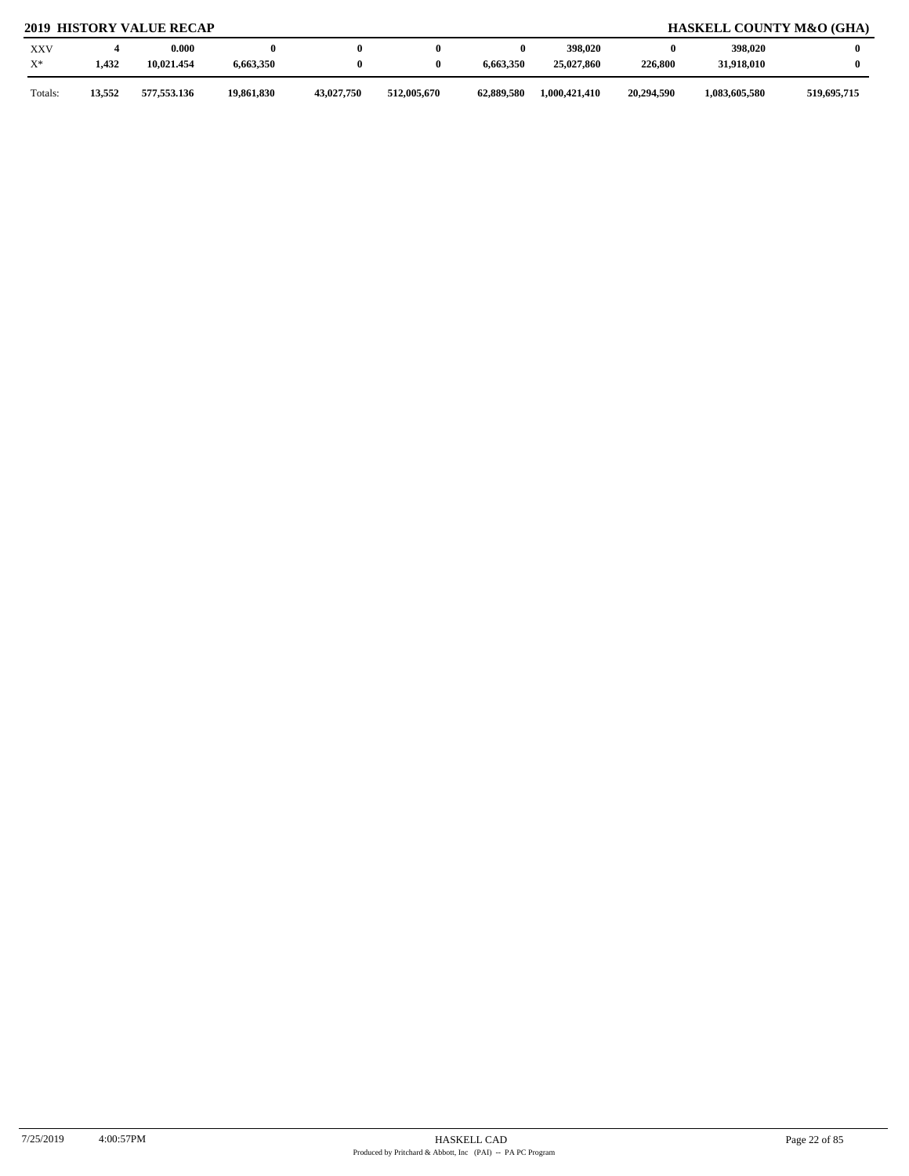### **2019 HISTORY VALUE RECAP HASKELL COUNTY M&O (GHA)**

| <b>XXV</b><br>$X^*$ | 1,432 | 0.000<br>10,021.454 | 6,663,350  |            |             | 6,663,350  | 398,020<br>25,027,860 | 0<br>226,800 | 398,020<br>31,918,010 |             |
|---------------------|-------|---------------------|------------|------------|-------------|------------|-----------------------|--------------|-----------------------|-------------|
| Totals:             | 3,552 | 577,553.136         | 19,861,830 | 43,027,750 | 512,005,670 | 62,889,580 | 1,000,421,410         | 20,294.590   | 1,083,605,580         | 519,695,715 |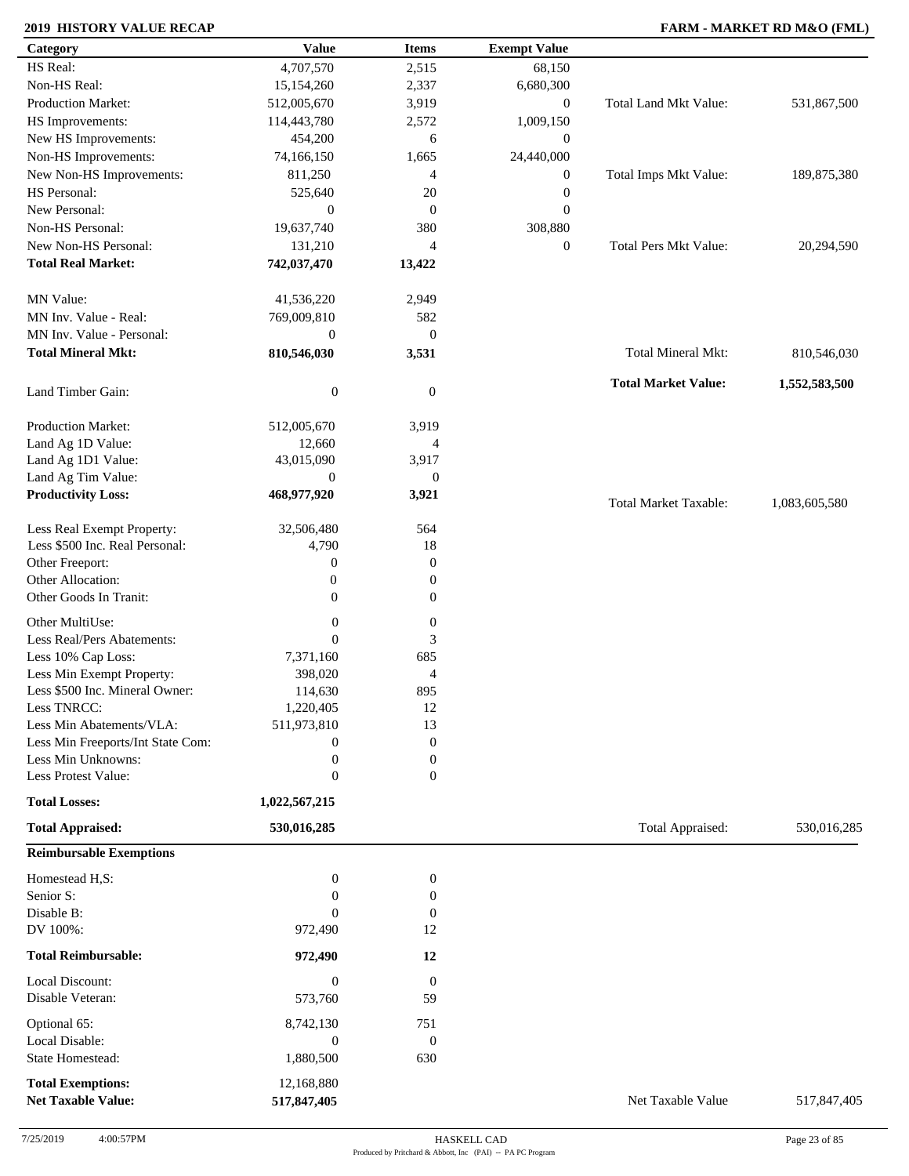### **2019 HISTORY VALUE RECAP FARM - MARKET RD M&O (FML)**

| Category                          | <b>Value</b>     | <b>Items</b>                | <b>Exempt Value</b> |                              |               |
|-----------------------------------|------------------|-----------------------------|---------------------|------------------------------|---------------|
| HS Real:                          | 4,707,570        | 2,515                       | 68,150              |                              |               |
| Non-HS Real:                      | 15,154,260       | 2,337                       | 6,680,300           |                              |               |
| <b>Production Market:</b>         | 512,005,670      | 3,919                       | $\boldsymbol{0}$    | Total Land Mkt Value:        | 531,867,500   |
| HS Improvements:                  | 114,443,780      | 2,572                       | 1,009,150           |                              |               |
| New HS Improvements:              | 454,200          | 6                           | $\boldsymbol{0}$    |                              |               |
| Non-HS Improvements:              | 74,166,150       | 1,665                       | 24,440,000          |                              |               |
| New Non-HS Improvements:          | 811,250          | 4                           | $\boldsymbol{0}$    | Total Imps Mkt Value:        | 189,875,380   |
| HS Personal:                      | 525,640          | 20                          | $\boldsymbol{0}$    |                              |               |
| New Personal:                     | $\boldsymbol{0}$ | $\mathbf{0}$                | $\boldsymbol{0}$    |                              |               |
| Non-HS Personal:                  | 19,637,740       | 380                         |                     |                              |               |
| New Non-HS Personal:              |                  |                             | 308,880             |                              |               |
|                                   | 131,210          | $\overline{4}$              | $\boldsymbol{0}$    | <b>Total Pers Mkt Value:</b> | 20,294,590    |
| <b>Total Real Market:</b>         | 742,037,470      | 13,422                      |                     |                              |               |
| MN Value:                         | 41,536,220       | 2,949                       |                     |                              |               |
| MN Inv. Value - Real:             | 769,009,810      | 582                         |                     |                              |               |
| MN Inv. Value - Personal:         | $\mathbf{0}$     | $\mathbf{0}$                |                     |                              |               |
| <b>Total Mineral Mkt:</b>         | 810,546,030      | 3,531                       |                     | Total Mineral Mkt:           | 810,546,030   |
|                                   |                  |                             |                     |                              |               |
| Land Timber Gain:                 | $\boldsymbol{0}$ | $\boldsymbol{0}$            |                     | <b>Total Market Value:</b>   | 1,552,583,500 |
| Production Market:                | 512,005,670      | 3,919                       |                     |                              |               |
| Land Ag 1D Value:                 | 12,660           | 4                           |                     |                              |               |
| Land Ag 1D1 Value:                | 43,015,090       | 3,917                       |                     |                              |               |
| Land Ag Tim Value:                | $\mathbf{0}$     | $\mathbf{0}$                |                     |                              |               |
| <b>Productivity Loss:</b>         | 468,977,920      | 3,921                       |                     |                              |               |
|                                   |                  |                             |                     | <b>Total Market Taxable:</b> | 1,083,605,580 |
| Less Real Exempt Property:        | 32,506,480       | 564                         |                     |                              |               |
| Less \$500 Inc. Real Personal:    | 4,790            | 18                          |                     |                              |               |
| Other Freeport:                   | $\boldsymbol{0}$ | $\mathbf{0}$                |                     |                              |               |
| Other Allocation:                 | $\boldsymbol{0}$ | $\mathbf{0}$                |                     |                              |               |
| Other Goods In Tranit:            | $\mathbf{0}$     | $\boldsymbol{0}$            |                     |                              |               |
| Other MultiUse:                   | $\boldsymbol{0}$ | $\boldsymbol{0}$            |                     |                              |               |
| Less Real/Pers Abatements:        | $\overline{0}$   | $\ensuremath{\mathfrak{Z}}$ |                     |                              |               |
| Less 10% Cap Loss:                | 7,371,160        | 685                         |                     |                              |               |
| Less Min Exempt Property:         | 398,020          | $\overline{4}$              |                     |                              |               |
| Less \$500 Inc. Mineral Owner:    | 114,630          | 895                         |                     |                              |               |
| Less TNRCC:                       | 1,220,405        | 12                          |                     |                              |               |
| Less Min Abatements/VLA:          | 511,973,810      | 13                          |                     |                              |               |
| Less Min Freeports/Int State Com: | $\boldsymbol{0}$ | $\mathbf{0}$                |                     |                              |               |
| Less Min Unknowns:                | $\boldsymbol{0}$ | $\boldsymbol{0}$            |                     |                              |               |
| Less Protest Value:               | $\mathbf{0}$     | $\overline{0}$              |                     |                              |               |
|                                   |                  |                             |                     |                              |               |
| <b>Total Losses:</b>              | 1,022,567,215    |                             |                     |                              |               |
| <b>Total Appraised:</b>           | 530,016,285      |                             |                     | Total Appraised:             | 530,016,285   |
| <b>Reimbursable Exemptions</b>    |                  |                             |                     |                              |               |
| Homestead H,S:                    | $\boldsymbol{0}$ | $\boldsymbol{0}$            |                     |                              |               |
| Senior S:                         | $\overline{0}$   | $\boldsymbol{0}$            |                     |                              |               |
| Disable B:                        | $\Omega$         | $\mathbf{0}$                |                     |                              |               |
| DV 100%:                          | 972,490          | 12                          |                     |                              |               |
| <b>Total Reimbursable:</b>        | 972,490          | 12                          |                     |                              |               |
|                                   |                  |                             |                     |                              |               |
| Local Discount:                   | $\boldsymbol{0}$ | $\boldsymbol{0}$            |                     |                              |               |
| Disable Veteran:                  | 573,760          | 59                          |                     |                              |               |
| Optional 65:                      | 8,742,130        | 751                         |                     |                              |               |
| Local Disable:                    | $\boldsymbol{0}$ | $\boldsymbol{0}$            |                     |                              |               |
| State Homestead:                  | 1,880,500        | 630                         |                     |                              |               |
| <b>Total Exemptions:</b>          | 12,168,880       |                             |                     |                              |               |
| <b>Net Taxable Value:</b>         | 517,847,405      |                             |                     | Net Taxable Value            | 517,847,405   |
|                                   |                  |                             |                     |                              |               |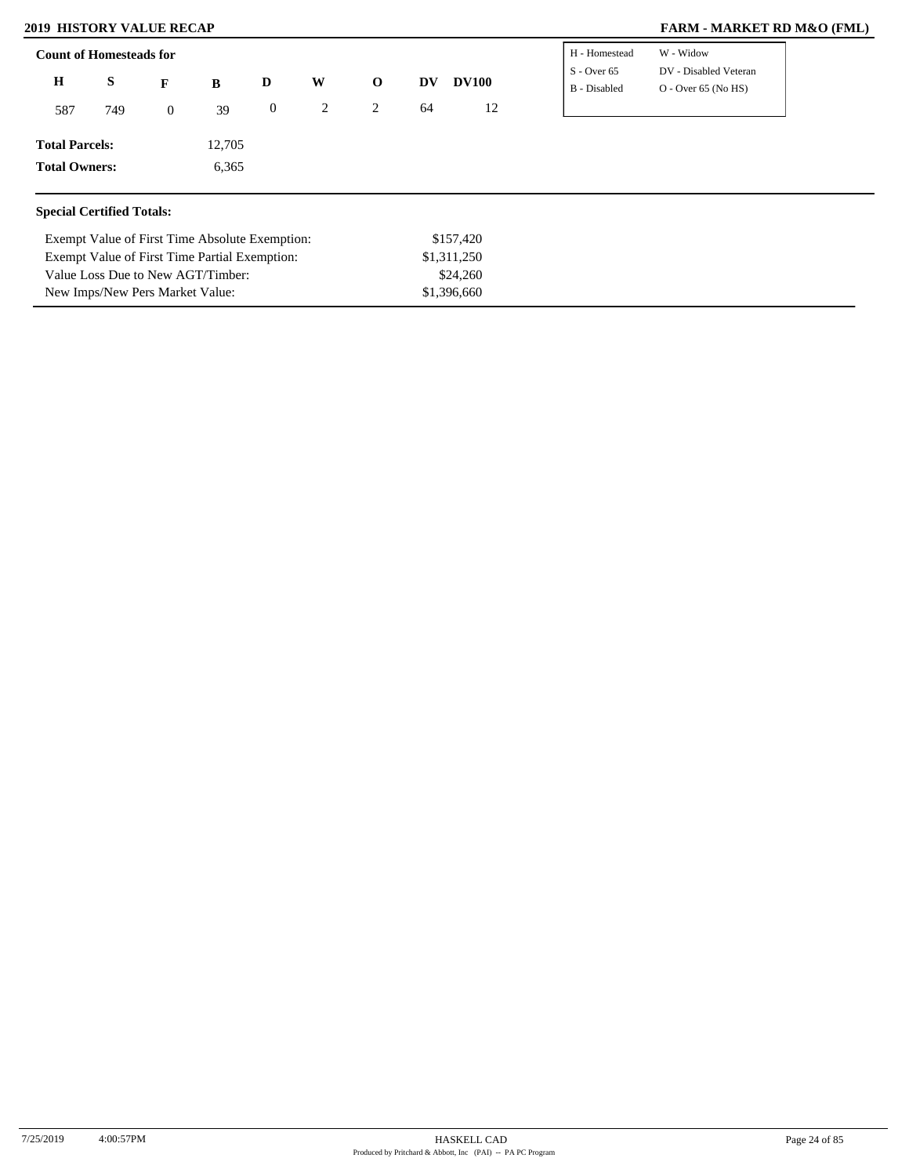New Imps/New Pers Market Value:

### **2019 HISTORY VALUE RECAP FARM - MARKET RD M&O (FML)**

| <b>Count of Homesteads for</b>   |     |                  |                                                |                  | H - Homestead | W - Widow    |           |              |                               |                                                |
|----------------------------------|-----|------------------|------------------------------------------------|------------------|---------------|--------------|-----------|--------------|-------------------------------|------------------------------------------------|
| $\mathbf H$                      | S   | $\mathbf{F}$     | B                                              | D                | W             | $\mathbf{o}$ | <b>DV</b> | <b>DV100</b> | $S -$ Over 65<br>B - Disabled | DV - Disabled Veteran<br>$O -$ Over 65 (No HS) |
| 587                              | 749 | $\boldsymbol{0}$ | 39                                             | $\boldsymbol{0}$ | 2             | 2            | 64        | 12           |                               |                                                |
| <b>Total Parcels:</b>            |     |                  | 12,705                                         |                  |               |              |           |              |                               |                                                |
| <b>Total Owners:</b>             |     |                  | 6,365                                          |                  |               |              |           |              |                               |                                                |
| <b>Special Certified Totals:</b> |     |                  |                                                |                  |               |              |           |              |                               |                                                |
|                                  |     |                  | Exempt Value of First Time Absolute Exemption: |                  |               |              |           | \$157,420    |                               |                                                |
|                                  |     |                  | Exempt Value of First Time Partial Exemption:  |                  |               |              |           | \$1,311,250  |                               |                                                |
|                                  |     |                  | Value Loss Due to New AGT/Timber:              |                  |               |              |           | \$24,260     |                               |                                                |

\$1,396,660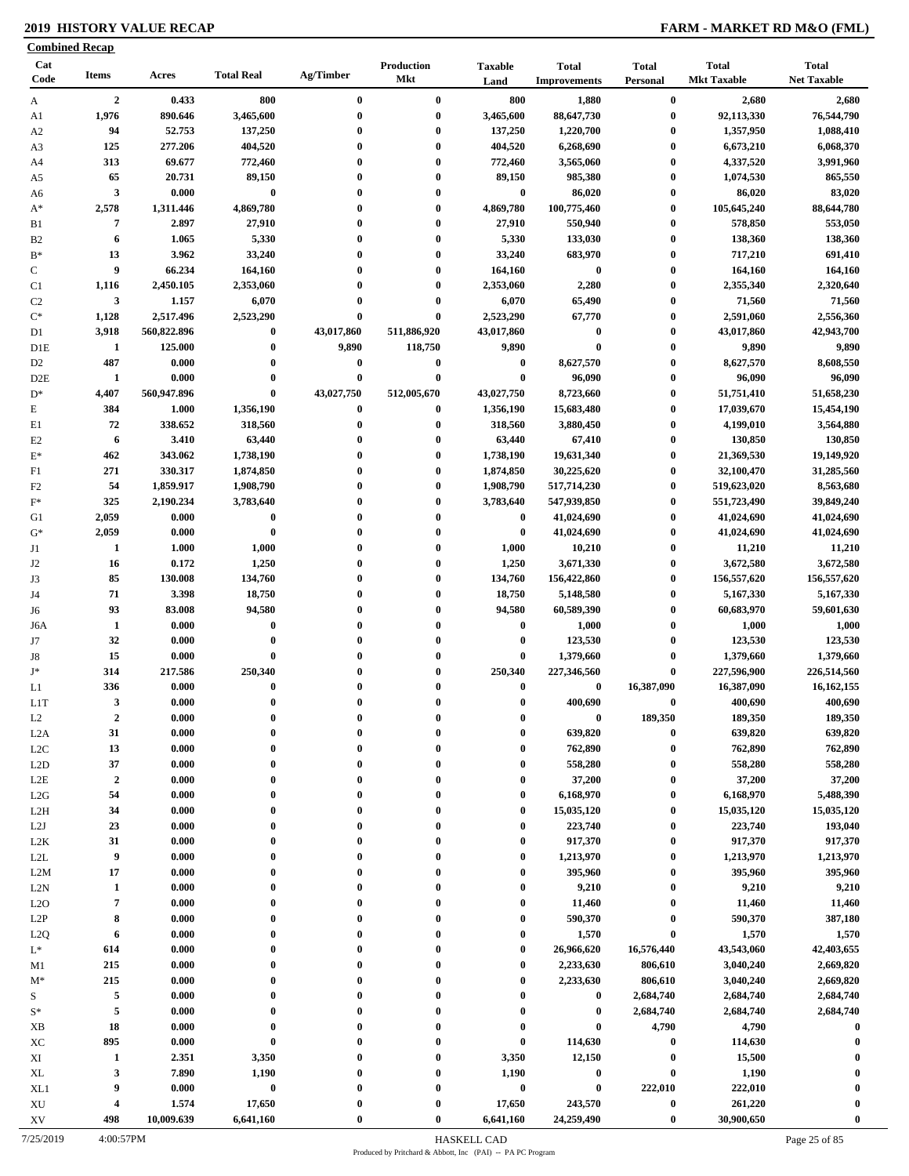### **2019 HISTORY VALUE RECAP FARM - MARKET RD M&O (FML)**

|                  | <b>Combined Recap</b>   |             |                   |            |                   |                        |                                     |                          |                                    |                                    |
|------------------|-------------------------|-------------|-------------------|------------|-------------------|------------------------|-------------------------------------|--------------------------|------------------------------------|------------------------------------|
| Cat<br>Code      | <b>Items</b>            | Acres       | <b>Total Real</b> | Ag/Timber  | Production<br>Mkt | <b>Taxable</b><br>Land | <b>Total</b><br><b>Improvements</b> | <b>Total</b><br>Personal | <b>Total</b><br><b>Mkt Taxable</b> | <b>Total</b><br><b>Net Taxable</b> |
| A                | $\overline{2}$          | 0.433       | 800               | $\bf{0}$   | $\bf{0}$          | 800                    | 1,880                               | $\bf{0}$                 | 2,680                              | 2,680                              |
| A1               | 1,976                   | 890.646     | 3,465,600         | $\bf{0}$   | $\bf{0}$          | 3,465,600              | 88,647,730                          | $\bf{0}$                 | 92,113,330                         | 76,544,790                         |
| A2               | 94                      | 52.753      | 137,250           | $\bf{0}$   | $\bf{0}$          | 137,250                | 1,220,700                           | $\boldsymbol{0}$         | 1,357,950                          | 1,088,410                          |
| A3               | 125                     | 277.206     | 404,520           | 0          | $\bf{0}$          | 404,520                | 6,268,690                           | $\bf{0}$                 | 6,673,210                          | 6,068,370                          |
| A4               | 313                     | 69.677      | 772,460           | $\bf{0}$   | $\bf{0}$          | 772,460                | 3,565,060                           | $\boldsymbol{0}$         | 4,337,520                          | 3,991,960                          |
| A5               | 65                      | 20.731      | 89,150            | $\bf{0}$   | $\bf{0}$          | 89,150                 | 985,380                             | $\bf{0}$                 | 1,074,530                          | 865,550                            |
| A6               | $\mathbf{3}$            | 0.000       | $\bf{0}$          | $\bf{0}$   | $\bf{0}$          | $\bf{0}$               | 86,020                              | $\boldsymbol{0}$         | 86,020                             | 83,020                             |
| $A^*$            | 2,578                   | 1,311.446   | 4,869,780         | $\bf{0}$   | $\bf{0}$          | 4,869,780              | 100,775,460                         | $\bf{0}$                 | 105,645,240                        | 88,644,780                         |
|                  | $\overline{7}$          | 2.897       | 27,910            | $\bf{0}$   | $\bf{0}$          | 27,910                 | 550,940                             | $\boldsymbol{0}$         | 578,850                            | 553,050                            |
| B1               |                         |             |                   |            |                   |                        |                                     |                          |                                    |                                    |
| B <sub>2</sub>   | 6                       | 1.065       | 5,330             | $\bf{0}$   | $\bf{0}$          | 5,330                  | 133,030                             | $\bf{0}$                 | 138,360                            | 138,360                            |
| $B^*$            | 13                      | 3.962       | 33,240            | $\bf{0}$   | $\bf{0}$          | 33,240                 | 683,970                             | $\bf{0}$                 | 717,210                            | 691,410                            |
| $\mathbf C$      | 9                       | 66.234      | 164,160           | $\bf{0}$   | $\bf{0}$          | 164,160                | $\bf{0}$                            | $\bf{0}$                 | 164,160                            | 164,160                            |
| C1               | 1,116                   | 2,450.105   | 2,353,060         | $\bf{0}$   | $\bf{0}$          | 2,353,060              | 2,280                               | $\boldsymbol{0}$         | 2,355,340                          | 2,320,640                          |
| C <sub>2</sub>   | 3                       | 1.157       | 6,070             | $\bf{0}$   | $\bf{0}$          | 6,070                  | 65,490                              | $\boldsymbol{0}$         | 71,560                             | 71,560                             |
| $\mathrm{C}^*$   | 1,128                   | 2,517.496   | 2,523,290         | $\bf{0}$   | $\bf{0}$          | 2,523,290              | 67,770                              | $\boldsymbol{0}$         | 2,591,060                          | 2,556,360                          |
| D1               | 3,918                   | 560,822.896 | $\bf{0}$          | 43,017,860 | 511,886,920       | 43,017,860             | $\boldsymbol{0}$                    | $\bf{0}$                 | 43,017,860                         | 42,943,700                         |
| D1E              | 1                       | 125.000     | $\bf{0}$          | 9,890      | 118,750           | 9,890                  | $\bf{0}$                            | $\boldsymbol{0}$         | 9,890                              | 9,890                              |
| D <sub>2</sub>   | 487                     | 0.000       | $\bf{0}$          | $\bf{0}$   | $\bf{0}$          | $\boldsymbol{0}$       | 8,627,570                           | $\bf{0}$                 | 8,627,570                          | 8,608,550                          |
| D2E              | 1                       | 0.000       | $\bf{0}$          | $\bf{0}$   | $\bf{0}$          | $\bf{0}$               | 96,090                              | $\bf{0}$                 | 96,090                             | 96,090                             |
| $D^*$            | 4,407                   | 560,947.896 | $\bf{0}$          | 43,027,750 | 512,005,670       | 43,027,750             | 8,723,660                           | $\boldsymbol{0}$         | 51,751,410                         | 51,658,230                         |
| Е                | 384                     | 1.000       | 1,356,190         | $\bf{0}$   | $\bf{0}$          | 1,356,190              | 15,683,480                          | $\boldsymbol{0}$         | 17,039,670                         | 15,454,190                         |
| E1               | 72                      | 338.652     | 318,560           | $\bf{0}$   | $\bf{0}$          | 318,560                | 3,880,450                           | $\boldsymbol{0}$         | 4,199,010                          | 3,564,880                          |
|                  |                         |             |                   |            |                   |                        |                                     |                          |                                    |                                    |
| E2               | 6                       | 3.410       | 63,440            | $\bf{0}$   | $\bf{0}$          | 63,440                 | 67,410                              | $\bf{0}$                 | 130,850                            | 130,850                            |
| $\mathbf{E}^*$   | 462                     | 343.062     | 1,738,190         | $\bf{0}$   | $\bf{0}$          | 1,738,190              | 19,631,340                          | $\bf{0}$                 | 21,369,530                         | 19,149,920                         |
| F1               | 271                     | 330.317     | 1,874,850         | $\bf{0}$   | $\bf{0}$          | 1,874,850              | 30,225,620                          | $\bf{0}$                 | 32,100,470                         | 31,285,560                         |
| F <sub>2</sub>   | 54                      | 1,859.917   | 1,908,790         | $\bf{0}$   | $\bf{0}$          | 1,908,790              | 517,714,230                         | $\boldsymbol{0}$         | 519,623,020                        | 8,563,680                          |
| $\mathbf{F}^*$   | 325                     | 2,190.234   | 3,783,640         | $\bf{0}$   | $\bf{0}$          | 3,783,640              | 547,939,850                         | $\boldsymbol{0}$         | 551,723,490                        | 39,849,240                         |
| G1               | 2,059                   | 0.000       | $\bf{0}$          | $\bf{0}$   | $\bf{0}$          | $\bf{0}$               | 41,024,690                          | $\boldsymbol{0}$         | 41,024,690                         | 41,024,690                         |
| $G^*$            | 2,059                   | 0.000       | $\bf{0}$          | $\bf{0}$   | $\bf{0}$          | $\bf{0}$               | 41,024,690                          | $\boldsymbol{0}$         | 41,024,690                         | 41,024,690                         |
| J1               | 1                       | 1.000       | 1,000             | $\bf{0}$   | $\boldsymbol{0}$  | 1,000                  | 10,210                              | $\boldsymbol{0}$         | 11,210                             | 11,210                             |
| J <sub>2</sub>   | 16                      | 0.172       | 1,250             | $\bf{0}$   | $\bf{0}$          | 1,250                  | 3,671,330                           | $\bf{0}$                 | 3,672,580                          | 3,672,580                          |
| J3               | 85                      | 130.008     | 134,760           | $\bf{0}$   | $\bf{0}$          | 134,760                | 156,422,860                         | $\bf{0}$                 | 156,557,620                        | 156,557,620                        |
| J4               | 71                      | 3.398       | 18,750            | $\bf{0}$   | $\bf{0}$          | 18,750                 | 5,148,580                           | $\boldsymbol{0}$         | 5,167,330                          | 5,167,330                          |
| J6               | 93                      | 83.008      | 94,580            | $\bf{0}$   | $\bf{0}$          | 94,580                 | 60,589,390                          | $\bf{0}$                 | 60,683,970                         | 59,601,630                         |
|                  | 1                       | 0.000       | $\bf{0}$          | $\bf{0}$   | $\bf{0}$          | $\bf{0}$               | 1,000                               | $\boldsymbol{0}$         | 1,000                              | 1,000                              |
| J6A              |                         |             |                   |            | $\bf{0}$          |                        |                                     |                          |                                    |                                    |
| J7               | 32                      | 0.000       | $\bf{0}$          | $\bf{0}$   |                   | $\bf{0}$               | 123,530                             | $\bf{0}$                 | 123,530                            | 123,530                            |
| J8               | 15                      | 0.000       | $\bf{0}$          | $\bf{0}$   | $\bf{0}$          | 0                      | 1,379,660                           | $\bf{0}$                 | 1,379,660                          | 1,379,660                          |
| $\mathbf{J}^*$   | 314                     | 217.586     | 250,340           |            | $\bf{0}$          | 250,340                | 227,346,560                         | $\bf{0}$                 | 227,596,900                        | 226,514,560                        |
| L1               | 336                     | 0.000       | $\bf{0}$          | $\bf{0}$   | $\bf{0}$          | $\bf{0}$               | $\bf{0}$                            | 16,387,090               | 16,387,090                         | 16, 162, 155                       |
| L <sub>1</sub> T | $\overline{\mathbf{3}}$ | 0.000       | $\bf{0}$          | 0          | $\theta$          | $\mathbf{0}$           | 400,690                             | $\bf{0}$                 | 400,690                            | 400,690                            |
| L <sub>2</sub>   | $\boldsymbol{2}$        | 0.000       | $\bf{0}$          | 0          | $\bf{0}$          | 0                      | $\pmb{0}$                           | 189,350                  | 189,350                            | 189,350                            |
| L <sub>2</sub> A | 31                      | 0.000       | $\bf{0}$          | 0          | $\bf{0}$          | 0                      | 639,820                             | $\bf{0}$                 | 639,820                            | 639,820                            |
| L2C              | 13                      | 0.000       | $\bf{0}$          | $\bf{0}$   | $\bf{0}$          | $\bf{0}$               | 762,890                             | $\bf{0}$                 | 762,890                            | 762,890                            |
| L2D              | 37                      | 0.000       | $\bf{0}$          | $\bf{0}$   | $\bf{0}$          | 0                      | 558,280                             | $\bf{0}$                 | 558,280                            | 558,280                            |
| $_{\rm L2E}$     | $\overline{2}$          | 0.000       | $\bf{0}$          | $\bf{0}$   | $\bf{0}$          | $\mathbf{0}$           | 37,200                              | $\bf{0}$                 | 37,200                             | 37,200                             |
| L2G              | 54                      | 0.000       | $\bf{0}$          | $\bf{0}$   | $\bf{0}$          | $\bf{0}$               | 6,168,970                           | $\bf{0}$                 | 6,168,970                          | 5,488,390                          |
| L <sub>2</sub> H | 34                      | 0.000       | $\bf{0}$          | $\bf{0}$   | $\bf{0}$          | $\bf{0}$               | 15,035,120                          | $\bf{0}$                 | 15,035,120                         | 15,035,120                         |
| L2J              | 23                      | 0.000       | 0                 | $\bf{0}$   | $\bf{0}$          | $\bf{0}$               | 223,740                             | $\boldsymbol{0}$         | 223,740                            | 193,040                            |
|                  | 31                      | 0.000       | $\bf{0}$          | $\bf{0}$   | $\bf{0}$          | $\mathbf{0}$           | 917,370                             | $\bf{0}$                 | 917,370                            | 917,370                            |
| L2K              | 9                       |             | $\mathbf{0}$      |            | $\bf{0}$          | $\bf{0}$               |                                     |                          | 1,213,970                          |                                    |
| L2L              |                         | 0.000       |                   | $\bf{0}$   |                   |                        | 1,213,970                           | $\bf{0}$                 |                                    | 1,213,970                          |
| L2M              | 17                      | 0.000       | $\bf{0}$          | $\bf{0}$   | $\bf{0}$          | $\mathbf{0}$           | 395,960                             | $\bf{0}$                 | 395,960                            | 395,960                            |
| L2N              | $\mathbf{1}$            | 0.000       | $\bf{0}$          | $\bf{0}$   | $\bf{0}$          | $\bf{0}$               | 9,210                               | $\boldsymbol{0}$         | 9,210                              | 9,210                              |
| L2O              | $\pmb{7}$               | 0.000       | $\bf{0}$          | $\bf{0}$   | $\bf{0}$          | $\mathbf{0}$           | 11,460                              | $\bf{0}$                 | 11,460                             | 11,460                             |
| L <sub>2</sub> P | 8                       | 0.000       | $\bf{0}$          | $\bf{0}$   | $\bf{0}$          | $\bf{0}$               | 590,370                             | $\bf{0}$                 | 590,370                            | 387,180                            |
| L2Q              | 6                       | 0.000       | $\bf{0}$          | $\bf{0}$   | $\bf{0}$          | $\mathbf{0}$           | 1,570                               | $\bf{0}$                 | 1,570                              | 1,570                              |
| $L^*$            | 614                     | 0.000       | $\bf{0}$          | $\bf{0}$   | $\bf{0}$          | $\bf{0}$               | 26,966,620                          | 16,576,440               | 43,543,060                         | 42,403,655                         |
| M1               | 215                     | 0.000       | $\mathbf{0}$      | $\bf{0}$   | $\bf{0}$          | $\mathbf{0}$           | 2,233,630                           | 806,610                  | 3,040,240                          | 2,669,820                          |
| $M^*$            | 215                     | 0.000       | $\bf{0}$          | $\bf{0}$   | $\bf{0}$          | $\bf{0}$               | 2,233,630                           | 806,610                  | 3,040,240                          | 2,669,820                          |
| S                | 5                       | 0.000       | $\bf{0}$          | $\bf{0}$   | $\bf{0}$          | $\bf{0}$               | $\bf{0}$                            | 2,684,740                | 2,684,740                          | 2,684,740                          |
| $\mathbf{S}^*$   | 5                       | 0.000       | $\bf{0}$          | $\bf{0}$   | $\bf{0}$          | $\mathbf{0}$           | $\bf{0}$                            | 2,684,740                | 2,684,740                          | 2,684,740                          |
| XB               | 18                      | 0.000       | $\bf{0}$          | 0          | $\bf{0}$          | $\mathbf{0}$           | $\bf{0}$                            | 4,790                    | 4,790                              | $\bf{0}$                           |
|                  |                         |             | $\bf{0}$          |            | $\bf{0}$          | $\bf{0}$               |                                     |                          |                                    |                                    |
| XC               | 895                     | 0.000       |                   | $\bf{0}$   |                   |                        | 114,630                             | $\bf{0}$                 | 114,630                            | $\bf{0}$                           |
| XI               | $\mathbf{1}$            | 2.351       | 3,350             | 0          | $\bf{0}$          | 3,350                  | 12,150                              | $\bf{0}$                 | 15,500                             | 0                                  |
| XL               | 3                       | 7.890       | 1,190             | 0          | $\bf{0}$          | 1,190                  | $\bf{0}$                            | $\bf{0}$                 | 1,190                              | $\boldsymbol{0}$                   |
| XL1              | 9                       | 0.000       | $\bf{0}$          | $\bf{0}$   | $\bf{0}$          | $\pmb{0}$              | $\bf{0}$                            | 222,010                  | 222,010                            | $\mathbf 0$                        |
| XU               | 4                       | 1.574       | 17,650            | $\bf{0}$   | $\bf{0}$          | 17,650                 | 243,570                             | $\bf{0}$                 | 261,220                            | -0                                 |
| XV               | 498                     | 10,009.639  | 6,641,160         | $\bf{0}$   | $\bf{0}$          | 6,641,160              | 24,259,490                          | $\pmb{0}$                | 30,900,650                         | $\mathbf{0}$                       |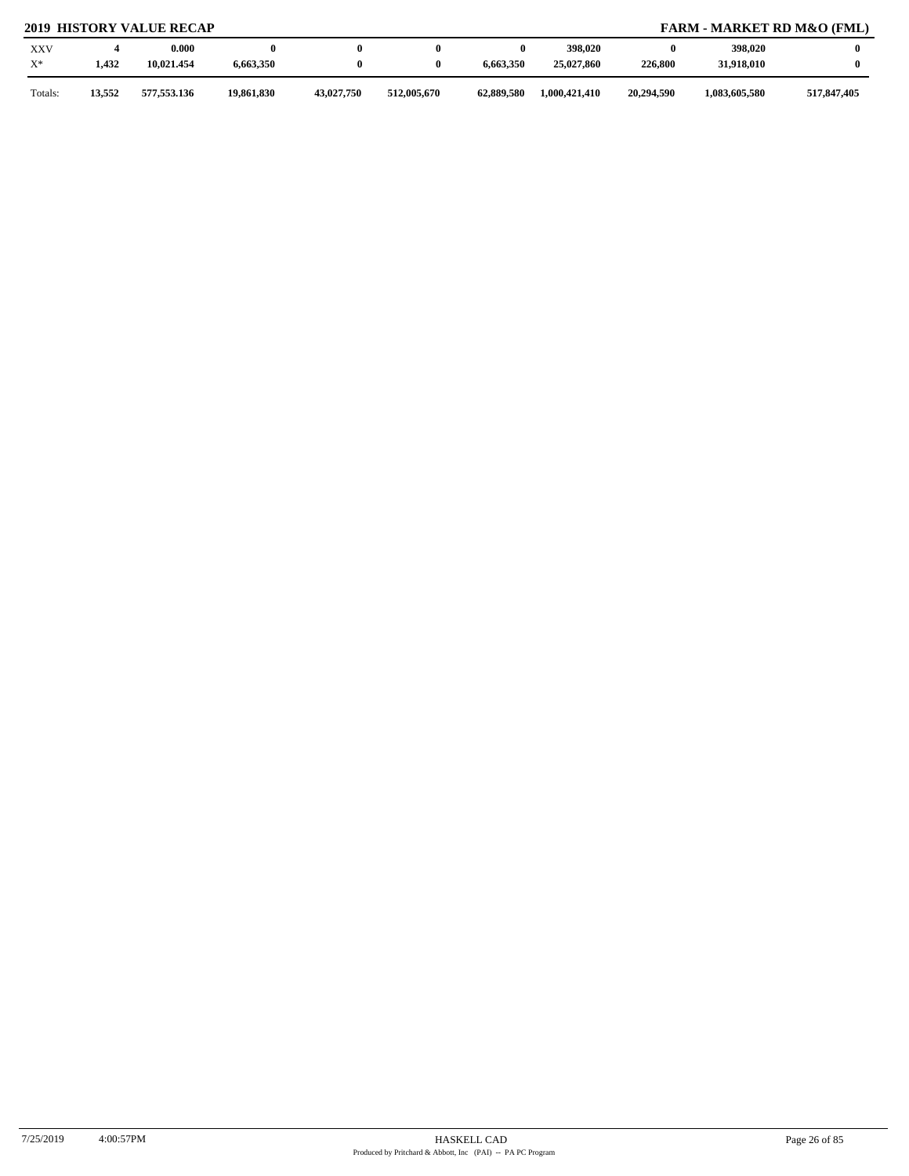## **2019 HISTORY VALUE RECAP FARM - MARKET RD M&O (FML)**

| <b>XXV</b><br>$X^*$ | 1,432  | 0.000<br>10.021.454 | 6,663,350  |            |             | 6,663,350  | 398,020<br>25,027,860 | 226,800    | 398,020<br>31,918,010 |             |
|---------------------|--------|---------------------|------------|------------|-------------|------------|-----------------------|------------|-----------------------|-------------|
| Totals.             | 13,552 | 577,553.136         | 19,861,830 | 43,027,750 | 512,005,670 | 62,889,580 | 1,000,421,410         | 20,294,590 | 1,083,605,580         | 517,847,405 |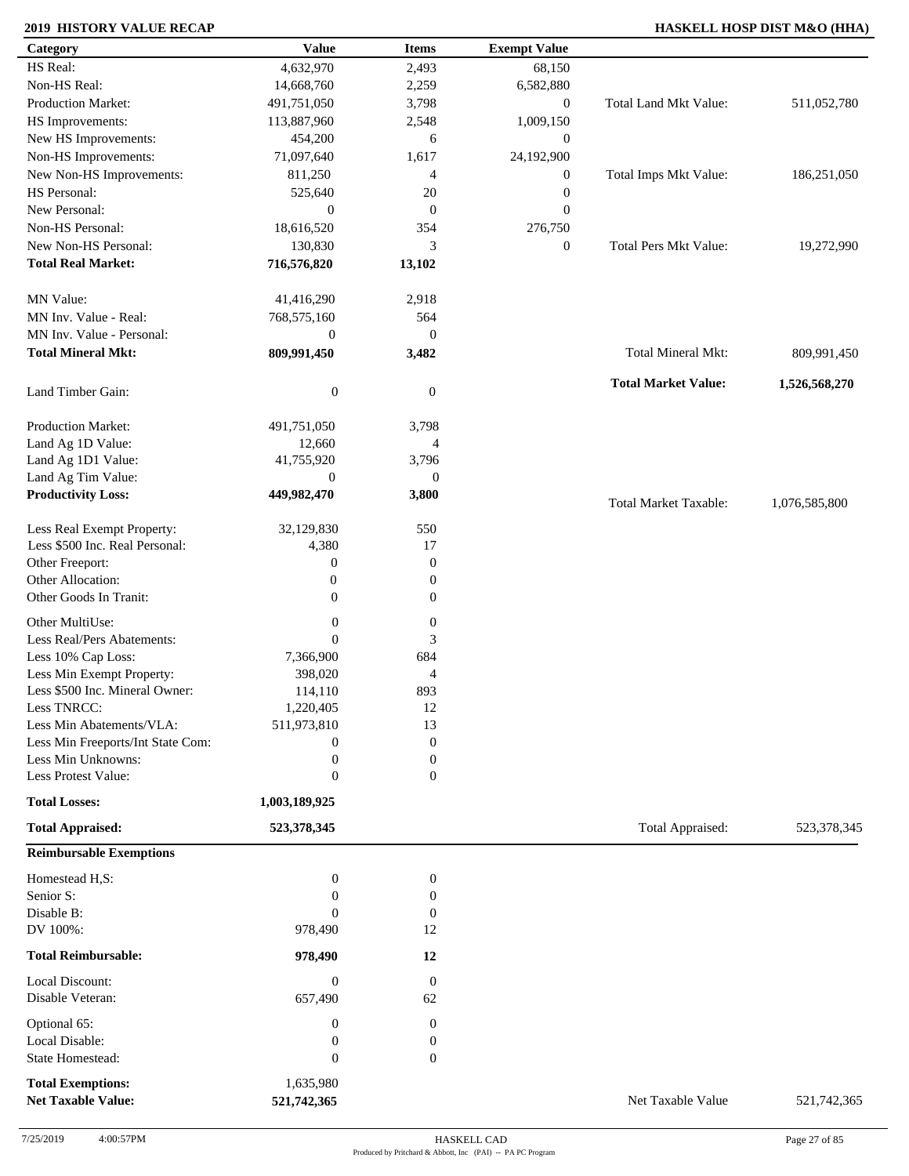### **2019 HISTORY VALUE RECAP HASKELL HOSP DIST M&O (HHA)**

| Category                                              | <b>Value</b>             | <b>Items</b>           | <b>Exempt Value</b> |                              |               |
|-------------------------------------------------------|--------------------------|------------------------|---------------------|------------------------------|---------------|
| HS Real:                                              | 4,632,970                | 2,493                  | 68,150              |                              |               |
| Non-HS Real:                                          | 14,668,760               | 2,259                  | 6,582,880           |                              |               |
| Production Market:                                    | 491,751,050              | 3,798                  | $\mathbf{0}$        | Total Land Mkt Value:        | 511,052,780   |
| HS Improvements:                                      | 113,887,960              | 2,548                  | 1,009,150           |                              |               |
| New HS Improvements:                                  | 454,200                  | 6                      | $\boldsymbol{0}$    |                              |               |
| Non-HS Improvements:                                  | 71,097,640               | 1,617                  | 24,192,900          |                              |               |
| New Non-HS Improvements:                              | 811,250                  | 4                      | $\boldsymbol{0}$    | Total Imps Mkt Value:        | 186,251,050   |
| HS Personal:                                          | 525,640                  | 20                     | $\boldsymbol{0}$    |                              |               |
| New Personal:                                         | $\boldsymbol{0}$         | $\mathbf{0}$           | $\mathbf{0}$        |                              |               |
| Non-HS Personal:                                      |                          |                        |                     |                              |               |
|                                                       | 18,616,520               | 354                    | 276,750             |                              |               |
| New Non-HS Personal:                                  | 130,830                  | 3                      | $\mathbf{0}$        | Total Pers Mkt Value:        | 19,272,990    |
| <b>Total Real Market:</b>                             | 716,576,820              | 13,102                 |                     |                              |               |
| MN Value:                                             | 41,416,290               | 2,918                  |                     |                              |               |
| MN Inv. Value - Real:                                 | 768,575,160              | 564                    |                     |                              |               |
| MN Inv. Value - Personal:                             | $\boldsymbol{0}$         | $\mathbf{0}$           |                     |                              |               |
| <b>Total Mineral Mkt:</b>                             | 809,991,450              | 3,482                  |                     | Total Mineral Mkt:           | 809,991,450   |
|                                                       |                          |                        |                     | <b>Total Market Value:</b>   | 1,526,568,270 |
| Land Timber Gain:                                     | $\boldsymbol{0}$         | $\overline{0}$         |                     |                              |               |
| Production Market:                                    | 491,751,050              | 3,798                  |                     |                              |               |
| Land Ag 1D Value:                                     | 12,660                   | 4                      |                     |                              |               |
| Land Ag 1D1 Value:                                    | 41,755,920               | 3,796                  |                     |                              |               |
| Land Ag Tim Value:                                    | $\theta$                 | $\mathbf{0}$           |                     |                              |               |
| <b>Productivity Loss:</b>                             | 449,982,470              | 3,800                  |                     | <b>Total Market Taxable:</b> | 1,076,585,800 |
| Less Real Exempt Property:                            | 32,129,830               | 550                    |                     |                              |               |
| Less \$500 Inc. Real Personal:                        | 4,380                    | 17                     |                     |                              |               |
| Other Freeport:                                       | $\boldsymbol{0}$         | $\mathbf{0}$           |                     |                              |               |
| Other Allocation:                                     | $\boldsymbol{0}$         | $\boldsymbol{0}$       |                     |                              |               |
| Other Goods In Tranit:                                | $\mathbf{0}$             | $\overline{0}$         |                     |                              |               |
| Other MultiUse:                                       | $\boldsymbol{0}$         | $\boldsymbol{0}$       |                     |                              |               |
| Less Real/Pers Abatements:                            | $\overline{0}$           | 3                      |                     |                              |               |
| Less 10% Cap Loss:                                    | 7,366,900                | 684                    |                     |                              |               |
| Less Min Exempt Property:                             | 398,020                  | 4                      |                     |                              |               |
| Less \$500 Inc. Mineral Owner:                        | 114,110                  | 893                    |                     |                              |               |
| Less TNRCC:                                           | 1,220,405                | 12                     |                     |                              |               |
| Less Min Abatements/VLA:                              | 511,973,810              | 13                     |                     |                              |               |
| Less Min Freeports/Int State Com:                     | $\boldsymbol{0}$         | $\boldsymbol{0}$       |                     |                              |               |
| Less Min Unknowns:                                    | $\boldsymbol{0}$         | $\boldsymbol{0}$       |                     |                              |               |
| Less Protest Value:                                   | $\overline{0}$           | $\mathbf{0}$           |                     |                              |               |
| <b>Total Losses:</b>                                  | 1,003,189,925            |                        |                     |                              |               |
| <b>Total Appraised:</b>                               | 523,378,345              |                        |                     | Total Appraised:             | 523,378,345   |
| <b>Reimbursable Exemptions</b>                        |                          |                        |                     |                              |               |
|                                                       |                          |                        |                     |                              |               |
| Homestead H,S:                                        | $\boldsymbol{0}$         | $\boldsymbol{0}$       |                     |                              |               |
| Senior S:<br>Disable B:                               | $\overline{0}$           | $\boldsymbol{0}$       |                     |                              |               |
| DV 100%:                                              | $\Omega$                 | $\boldsymbol{0}$<br>12 |                     |                              |               |
|                                                       | 978,490                  |                        |                     |                              |               |
| <b>Total Reimbursable:</b>                            | 978,490                  | 12                     |                     |                              |               |
| Local Discount:                                       | $\boldsymbol{0}$         | $\boldsymbol{0}$       |                     |                              |               |
| Disable Veteran:                                      | 657,490                  | 62                     |                     |                              |               |
| Optional 65:                                          | $\boldsymbol{0}$         | $\boldsymbol{0}$       |                     |                              |               |
| Local Disable:                                        | $\boldsymbol{0}$         | $\boldsymbol{0}$       |                     |                              |               |
| State Homestead:                                      | $\boldsymbol{0}$         | $\overline{0}$         |                     |                              |               |
|                                                       |                          |                        |                     |                              |               |
| <b>Total Exemptions:</b><br><b>Net Taxable Value:</b> | 1,635,980<br>521,742,365 |                        |                     | Net Taxable Value            | 521,742,365   |
|                                                       |                          |                        |                     |                              |               |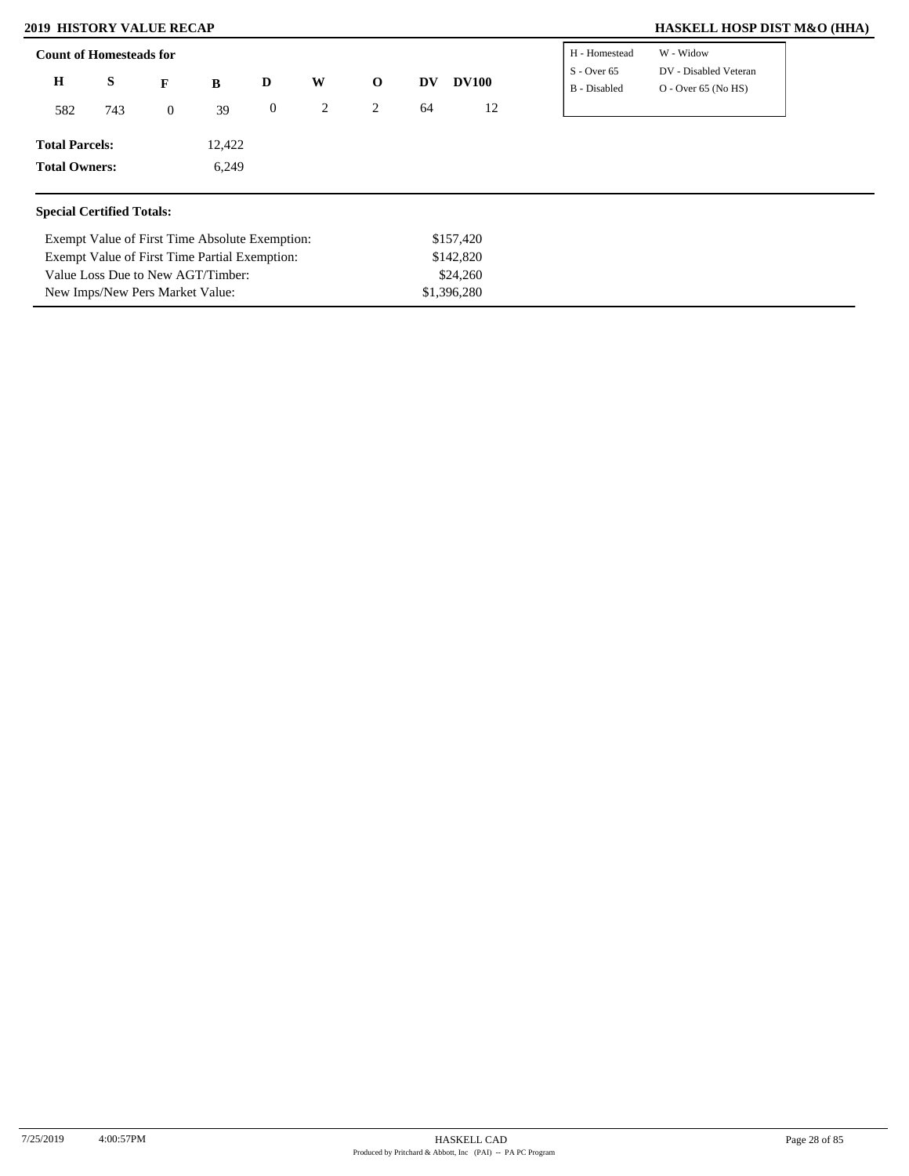New Imps/New Pers Market Value:

### **2019 HISTORY VALUE RECAP HASKELL HOSP DIST M&O (HHA)**

| <b>Count of Homesteads for</b>                |                                                |                |        |                  |   |             | H - Homestead | W - Widow    |                               |                                                |  |
|-----------------------------------------------|------------------------------------------------|----------------|--------|------------------|---|-------------|---------------|--------------|-------------------------------|------------------------------------------------|--|
| $\bf H$                                       | S                                              | F              | B      | D                | W | $\mathbf 0$ | DV            | <b>DV100</b> | $S -$ Over 65<br>B - Disabled | DV - Disabled Veteran<br>$O - Over 65 (No HS)$ |  |
| 582                                           | 743                                            | $\overline{0}$ | 39     | $\boldsymbol{0}$ | 2 | 2           | 64            | 12           |                               |                                                |  |
| <b>Total Parcels:</b>                         |                                                |                | 12,422 |                  |   |             |               |              |                               |                                                |  |
|                                               | <b>Total Owners:</b><br>6,249                  |                |        |                  |   |             |               |              |                               |                                                |  |
| <b>Special Certified Totals:</b>              |                                                |                |        |                  |   |             |               |              |                               |                                                |  |
|                                               | Exempt Value of First Time Absolute Exemption: |                |        |                  |   |             |               | \$157,420    |                               |                                                |  |
| Exempt Value of First Time Partial Exemption: |                                                |                |        |                  |   |             |               | \$142,820    |                               |                                                |  |
|                                               | Value Loss Due to New AGT/Timber:              |                |        |                  |   |             |               | \$24,260     |                               |                                                |  |

\$1,396,280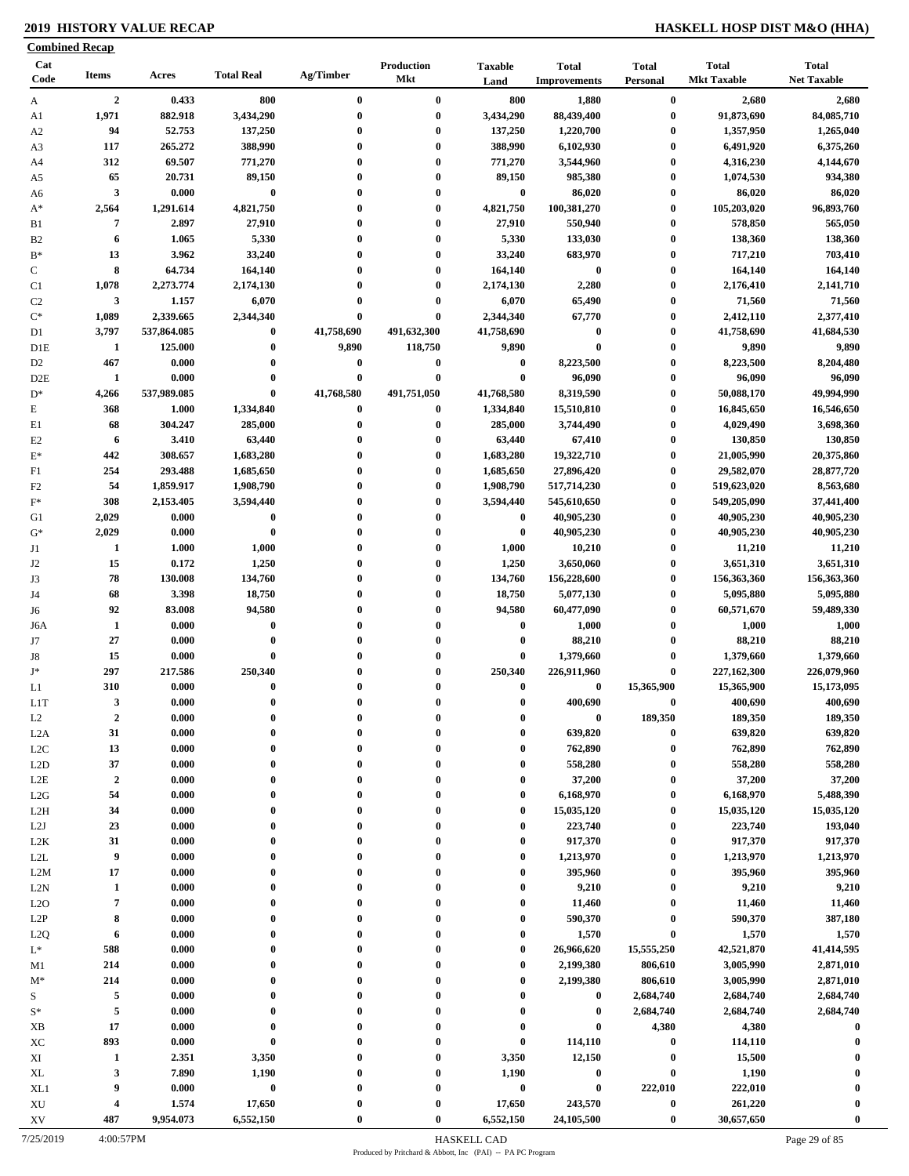### **2019 HISTORY VALUE RECAP HASKELL HOSP DIST M&O (HHA)**

|                        | <b>Combined Recap</b> |                    |                     |                      |                          |                        |                                     |                                      |                                    |                                    |
|------------------------|-----------------------|--------------------|---------------------|----------------------|--------------------------|------------------------|-------------------------------------|--------------------------------------|------------------------------------|------------------------------------|
| Cat<br>Code            | <b>Items</b>          | Acres              | <b>Total Real</b>   | Ag/Timber            | Production<br><b>Mkt</b> | <b>Taxable</b><br>Land | <b>Total</b><br><b>Improvements</b> | <b>Total</b><br><b>Personal</b>      | <b>Total</b><br><b>Mkt Taxable</b> | <b>Total</b><br><b>Net Taxable</b> |
| A                      | $\overline{2}$        | 0.433              | 800                 | $\bf{0}$             | $\bf{0}$                 | 800                    | 1,880                               | $\bf{0}$                             | 2,680                              | 2,680                              |
| A1                     | 1,971                 | 882.918            | 3,434,290           | $\bf{0}$             | $\bf{0}$                 | 3,434,290              | 88,439,400                          | $\bf{0}$                             | 91,873,690                         | 84,085,710                         |
| A <sub>2</sub>         | 94                    | 52.753             | 137,250             | $\mathbf{0}$         | $\bf{0}$                 | 137,250                | 1,220,700                           | $\boldsymbol{0}$                     | 1,357,950                          | 1,265,040                          |
| A3                     | 117                   | 265.272            | 388,990             | $\bf{0}$             | $\bf{0}$                 | 388,990                | 6,102,930                           | $\bf{0}$                             | 6,491,920                          | 6,375,260                          |
| A4                     | 312                   | 69.507             | 771,270             | 0                    | $\bf{0}$                 | 771,270                | 3,544,960                           | $\boldsymbol{0}$                     | 4,316,230                          | 4,144,670                          |
| A5                     | 65                    | 20.731             | 89,150              | $\bf{0}$             | $\bf{0}$                 | 89,150                 | 985,380                             | $\bf{0}$                             | 1,074,530                          | 934,380                            |
| A6                     | $\mathbf{3}$          | 0.000              | $\pmb{0}$           | $\bf{0}$<br>$\bf{0}$ | $\bf{0}$                 | $\bf{0}$               | 86,020                              | $\boldsymbol{0}$                     | 86,020                             | 86,020                             |
| $A^*$                  | 2,564<br>7            | 1,291.614<br>2.897 | 4,821,750<br>27,910 | $\bf{0}$             | $\bf{0}$<br>$\bf{0}$     | 4,821,750<br>27,910    | 100,381,270<br>550,940              | $\boldsymbol{0}$<br>$\boldsymbol{0}$ | 105,203,020<br>578,850             | 96,893,760<br>565,050              |
| B1<br>B <sub>2</sub>   | 6                     | 1.065              | 5,330               | $\bf{0}$             | $\bf{0}$                 | 5,330                  | 133,030                             | $\boldsymbol{0}$                     | 138,360                            | 138,360                            |
| $B*$                   | 13                    | 3.962              | 33,240              | $\mathbf{0}$         | $\bf{0}$                 | 33,240                 | 683,970                             | $\boldsymbol{0}$                     | 717,210                            | 703,410                            |
| $\mathbf C$            | 8                     | 64.734             | 164,140             | $\bf{0}$             | $\bf{0}$                 | 164,140                | $\bf{0}$                            | $\boldsymbol{0}$                     | 164,140                            | 164,140                            |
| C1                     | 1,078                 | 2,273.774          | 2,174,130           | 0                    | $\bf{0}$                 | 2,174,130              | 2,280                               | $\bf{0}$                             | 2,176,410                          | 2,141,710                          |
| C <sub>2</sub>         | 3                     | 1.157              | 6,070               | 0                    | $\bf{0}$                 | 6,070                  | 65,490                              | $\bf{0}$                             | 71,560                             | 71,560                             |
| $\mathrm{C}^*$         | 1,089                 | 2,339.665          | 2,344,340           | $\bf{0}$             | $\bf{0}$                 | 2,344,340              | 67,770                              | $\boldsymbol{0}$                     | 2,412,110                          | 2,377,410                          |
| D1                     | 3,797                 | 537,864.085        | $\bf{0}$            | 41,758,690           | 491,632,300              | 41,758,690             | $\bf{0}$                            | $\bf{0}$                             | 41,758,690                         | 41,684,530                         |
| D <sub>1</sub> E       | $\mathbf{1}$          | 125.000            | $\bf{0}$            | 9,890                | 118,750                  | 9,890                  | $\bf{0}$                            | $\bf{0}$                             | 9,890                              | 9,890                              |
| D <sub>2</sub>         | 467                   | 0.000              | $\bf{0}$            | $\bf{0}$             | $\boldsymbol{0}$         | $\bf{0}$               | 8,223,500                           | $\boldsymbol{0}$                     | 8,223,500                          | 8,204,480                          |
| D <sub>2</sub> E       | 1                     | 0.000              | $\bf{0}$            | $\bf{0}$             | $\bf{0}$                 | $\bf{0}$               | 96,090                              | $\bf{0}$                             | 96,090                             | 96,090                             |
| $D^*$                  | 4,266                 | 537,989.085        | $\bf{0}$            | 41,768,580           | 491,751,050              | 41,768,580             | 8,319,590                           | $\bf{0}$                             | 50,088,170                         | 49,994,990                         |
| $\mathbf E$            | 368                   | 1.000              | 1,334,840           | $\bf{0}$             | $\bf{0}$                 | 1,334,840              | 15,510,810                          | $\bf{0}$                             | 16,845,650                         | 16,546,650                         |
| E1                     | 68                    | 304.247            | 285,000             | $\bf{0}$             | $\bf{0}$                 | 285,000                | 3,744,490                           | $\boldsymbol{0}$                     | 4,029,490                          | 3,698,360                          |
| E2                     | 6                     | 3.410              | 63,440              | $\bf{0}$             | $\bf{0}$                 | 63,440                 | 67,410                              | $\bf{0}$                             | 130,850                            | 130,850                            |
| $\mathbf{E}^*$         | 442                   | 308.657            | 1,683,280           | $\bf{0}$             | $\bf{0}$                 | 1,683,280              | 19,322,710                          | $\bf{0}$                             | 21,005,990                         | 20,375,860                         |
| F1                     | 254                   | 293.488            | 1,685,650           | $\mathbf{0}$         | $\bf{0}$                 | 1,685,650              | 27,896,420                          | $\bf{0}$                             | 29,582,070                         | 28,877,720                         |
| F <sub>2</sub>         | 54                    | 1,859.917          | 1,908,790           | 0                    | $\bf{0}$                 | 1,908,790              | 517,714,230                         | $\bf{0}$                             | 519,623,020                        | 8,563,680                          |
| $F^*$                  | 308                   | 2,153.405          | 3,594,440           | $\bf{0}$             | $\bf{0}$                 | 3,594,440              | 545,610,650                         | $\bf{0}$                             | 549,205,090                        | 37,441,400                         |
| G1                     | 2,029                 | 0.000              | $\pmb{0}$           | $\mathbf{0}$         | $\bf{0}$                 | $\bf{0}$               | 40,905,230                          | $\bf{0}$                             | 40,905,230                         | 40,905,230                         |
| $G^*$                  | 2,029                 | 0.000              | $\bf{0}$            | $\bf{0}$             | $\bf{0}$                 | $\bf{0}$               | 40,905,230                          | $\bf{0}$                             | 40,905,230                         | 40,905,230                         |
| J1                     | 1                     | 1.000              | 1,000               | $\mathbf{0}$         | $\bf{0}$                 | 1,000                  | 10,210                              | $\bf{0}$                             | 11,210                             | 11,210                             |
| J2                     | 15                    | 0.172              | 1,250               | $\bf{0}$             | $\bf{0}$                 | 1,250                  | 3,650,060                           | $\bf{0}$                             | 3,651,310                          | 3,651,310                          |
| J3                     | 78                    | 130.008            | 134,760             | $\bf{0}$             | $\bf{0}$                 | 134,760                | 156,228,600                         | $\bf{0}$                             | 156,363,360                        | 156,363,360                        |
| J4                     | 68                    | 3.398              | 18,750              | $\bf{0}$             | $\bf{0}$                 | 18,750                 | 5,077,130                           | $\boldsymbol{0}$                     | 5,095,880                          | 5,095,880                          |
| J6                     | 92                    | 83.008             | 94,580              | $\bf{0}$             | $\bf{0}$                 | 94,580                 | 60,477,090                          | $\bf{0}$                             | 60,571,670                         | 59,489,330                         |
| J6A                    | $\mathbf{1}$          | 0.000              | $\bf{0}$            | 0                    | $\bf{0}$                 | $\bf{0}$               | 1,000                               | $\boldsymbol{0}$                     | 1,000                              | 1,000                              |
| J7                     | 27                    | 0.000              | $\bf{0}$            | $\mathbf{0}$         | $\bf{0}$                 | $\bf{0}$               | 88,210                              | $\bf{0}$                             | 88,210                             | 88,210                             |
| J8<br>$J^*$            | 15                    | 0.000              | $\bf{0}$            | $\mathbf{0}$         | $\bf{0}$                 | $\boldsymbol{0}$       | 1,379,660                           | $\bf{0}$                             | 1,379,660                          | 1,379,660                          |
|                        | 297<br>310            | 217.586<br>0.000   | 250,340<br>$\bf{0}$ | $\bf{0}$<br>$\bf{0}$ | $\bf{0}$<br>$\bf{0}$     | 250,340<br>$\bf{0}$    | 226,911,960<br>$\bf{0}$             | $\bf{0}$<br>15,365,900               | 227,162,300                        | 226,079,960                        |
| L1                     | $\mathbf{3}$          | 0.000              | $\theta$            |                      | $\theta$                 | $\Omega$               | 400,690                             | $\bf{0}$                             | 15,365,900<br>400,690              | 15,173,095<br>400,690              |
| LIT<br>L2              | $\boldsymbol{2}$      | 0.000              | $\mathbf 0$         | 0                    | $\mathbf{0}$             | $\mathbf 0$            | $\bf{0}$                            | 189,350                              | 189,350                            | 189,350                            |
| L <sub>2</sub> A       | 31                    | 0.000              | $\bf{0}$            | $\bf{0}$             | $\bf{0}$                 | $\bf{0}$               | 639,820                             | $\bf{0}$                             | 639,820                            | 639,820                            |
| L2C                    | 13                    | 0.000              | $\bf{0}$            | 0                    | $\boldsymbol{0}$         | $\boldsymbol{0}$       | 762,890                             | $\bf{0}$                             | 762,890                            | 762,890                            |
| L2D                    | 37                    | 0.000              | $\bf{0}$            | 0                    | $\mathbf{0}$             | $\bf{0}$               | 558,280                             | $\bf{0}$                             | 558,280                            | 558,280                            |
| $_{\rm L2E}$           | $\boldsymbol{2}$      | 0.000              | $\bf{0}$            | 0                    | $\bf{0}$                 | $\bf{0}$               | 37,200                              | $\bf{0}$                             | 37,200                             | 37,200                             |
| L2G                    | 54                    | 0.000              | $\bf{0}$            | 0                    | $\bf{0}$                 | $\bf{0}$               | 6,168,970                           | $\bf{0}$                             | 6,168,970                          | 5,488,390                          |
| L <sub>2</sub> H       | 34                    | 0.000              | $\bf{0}$            | $\bf{0}$             | $\bf{0}$                 | $\boldsymbol{0}$       | 15,035,120                          | $\bf{0}$                             | 15,035,120                         | 15,035,120                         |
| L2J                    | 23                    | 0.000              | $\bf{0}$            | $\bf{0}$             | $\bf{0}$                 | $\boldsymbol{0}$       | 223,740                             | $\bf{0}$                             | 223,740                            | 193,040                            |
| L <sub>2</sub> K       | 31                    | 0.000              | $\bf{0}$            | 0                    | $\bf{0}$                 | $\boldsymbol{0}$       | 917,370                             | $\bf{0}$                             | 917,370                            | 917,370                            |
| $\mbox{L2L}$           | 9                     | 0.000              | $\bf{0}$            | $\bf{0}$             | $\boldsymbol{0}$         | $\bf{0}$               | 1,213,970                           | $\bf{0}$                             | 1,213,970                          | 1,213,970                          |
| L2M                    | 17                    | 0.000              | $\bf{0}$            | 0                    | $\bf{0}$                 | $\boldsymbol{0}$       | 395,960                             | $\bf{0}$                             | 395,960                            | 395,960                            |
| L2N                    | $\mathbf{1}$          | 0.000              | $\bf{0}$            | $\bf{0}$             | $\mathbf{0}$             | $\boldsymbol{0}$       | 9,210                               | $\bf{0}$                             | 9,210                              | 9,210                              |
| L2O                    | $\overline{7}$        | 0.000              | $\bf{0}$            | 0                    | $\bf{0}$                 | $\bf{0}$               | 11,460                              | $\bf{0}$                             | 11,460                             | 11,460                             |
| L2P                    | 8                     | 0.000              | $\bf{0}$            | $\bf{0}$             | $\bf{0}$                 | $\bf{0}$               | 590,370                             | $\bf{0}$                             | 590,370                            | 387,180                            |
| L2Q                    | 6                     | 0.000              | $\bf{0}$            | $\bf{0}$             | $\mathbf{0}$             | $\bf{0}$               | 1,570                               | $\bf{0}$                             | 1,570                              | 1,570                              |
| $L^*$                  | 588                   | 0.000              | $\bf{0}$            | $\bf{0}$             | $\mathbf{0}$             | $\bf{0}$               | 26,966,620                          | 15,555,250                           | 42,521,870                         | 41,414,595                         |
| M1                     | 214                   | 0.000              | $\bf{0}$            | 0                    | $\boldsymbol{0}$         | $\boldsymbol{0}$       | 2,199,380                           | 806,610                              | 3,005,990                          | 2,871,010                          |
| $M^*$                  | 214                   | 0.000              | $\bf{0}$            |                      | $\boldsymbol{0}$         | $\boldsymbol{0}$       | 2,199,380                           | 806,610                              | 3,005,990                          | 2,871,010                          |
| S                      | 5                     | 0.000              | $\bf{0}$            | 0                    | $\mathbf{0}$             | $\boldsymbol{0}$       | $\bf{0}$                            | 2,684,740                            | 2,684,740                          | 2,684,740                          |
| $S^*$                  | 5                     | 0.000              | $\bf{0}$            | 0                    | $\boldsymbol{0}$         | $\bf{0}$               | $\bf{0}$                            | 2,684,740                            | 2,684,740                          | 2,684,740                          |
| XB                     | 17                    | 0.000              | $\bf{0}$            |                      | $\boldsymbol{0}$         | $\boldsymbol{0}$       | $\pmb{0}$                           | 4,380                                | 4,380                              | $\bf{0}$                           |
| XC                     | 893                   | 0.000              | $\pmb{0}$           |                      | $\bf{0}$                 | $\boldsymbol{0}$       | 114,110                             | $\bf{0}$                             | 114,110                            |                                    |
| XI                     | 1                     | 2.351              | 3,350               | $\bf{0}$             | $\bf{0}$                 | 3,350                  | 12,150                              | $\boldsymbol{0}$                     | 15,500                             |                                    |
| XL                     | 3                     | 7.890              | 1,190               | 0                    | $\bf{0}$                 | 1,190                  | $\boldsymbol{0}$                    | $\bf{0}$                             | 1,190                              |                                    |
| XL1                    | 9                     | 0.000              | $\bf{0}$            | 0                    | $\bf{0}$                 | $\pmb{0}$              | $\bf{0}$                            | 222,010                              | 222,010                            | $\boldsymbol{0}$                   |
| $\mathbf{X}\mathbf{U}$ | 4                     | 1.574              | 17,650              |                      | $\bf{0}$                 | 17,650                 | 243,570                             | $\pmb{0}$                            | 261,220                            |                                    |
| XV                     | 487                   | 9,954.073          | 6,552,150           |                      | $\bf{0}$                 | 6,552,150              | 24,105,500                          | $\boldsymbol{0}$                     | 30,657,650                         | $\bf{0}$                           |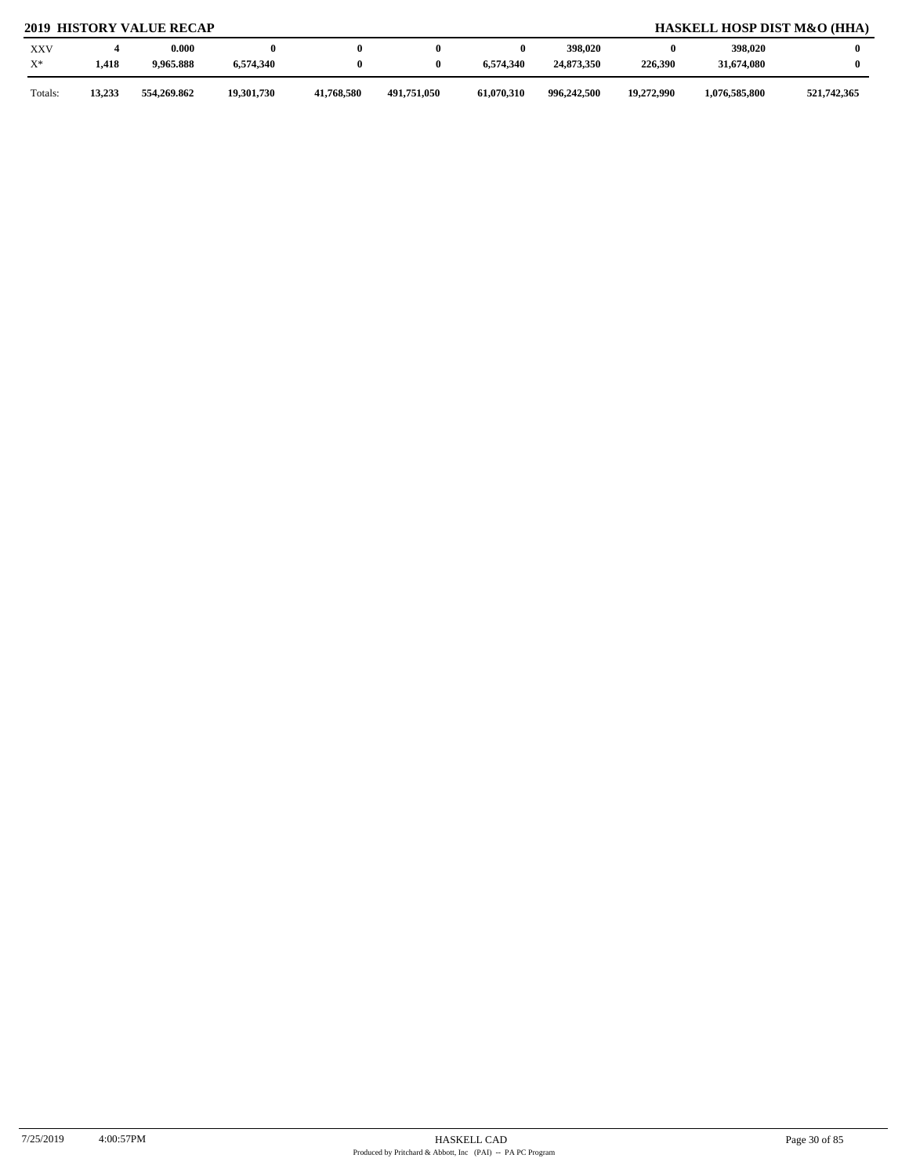### **2019 HISTORY VALUE RECAP HASKELL HOSP DIST M&O (HHA)**

| <b>XXV</b><br>$X^*$ | 1,418  | 0.000<br>9,965.888 | 6,574,340  |            |             | 6.574.340  | 398,020<br>24,873,350 | 226,390    | 398,020<br>31,674,080 |             |
|---------------------|--------|--------------------|------------|------------|-------------|------------|-----------------------|------------|-----------------------|-------------|
| Totals:             | 13,233 | 554,269.862        | 19,301,730 | 41,768,580 | 491,751,050 | 61,070,310 | 996,242,500           | 19,272,990 | 1,076,585,800         | 521,742,365 |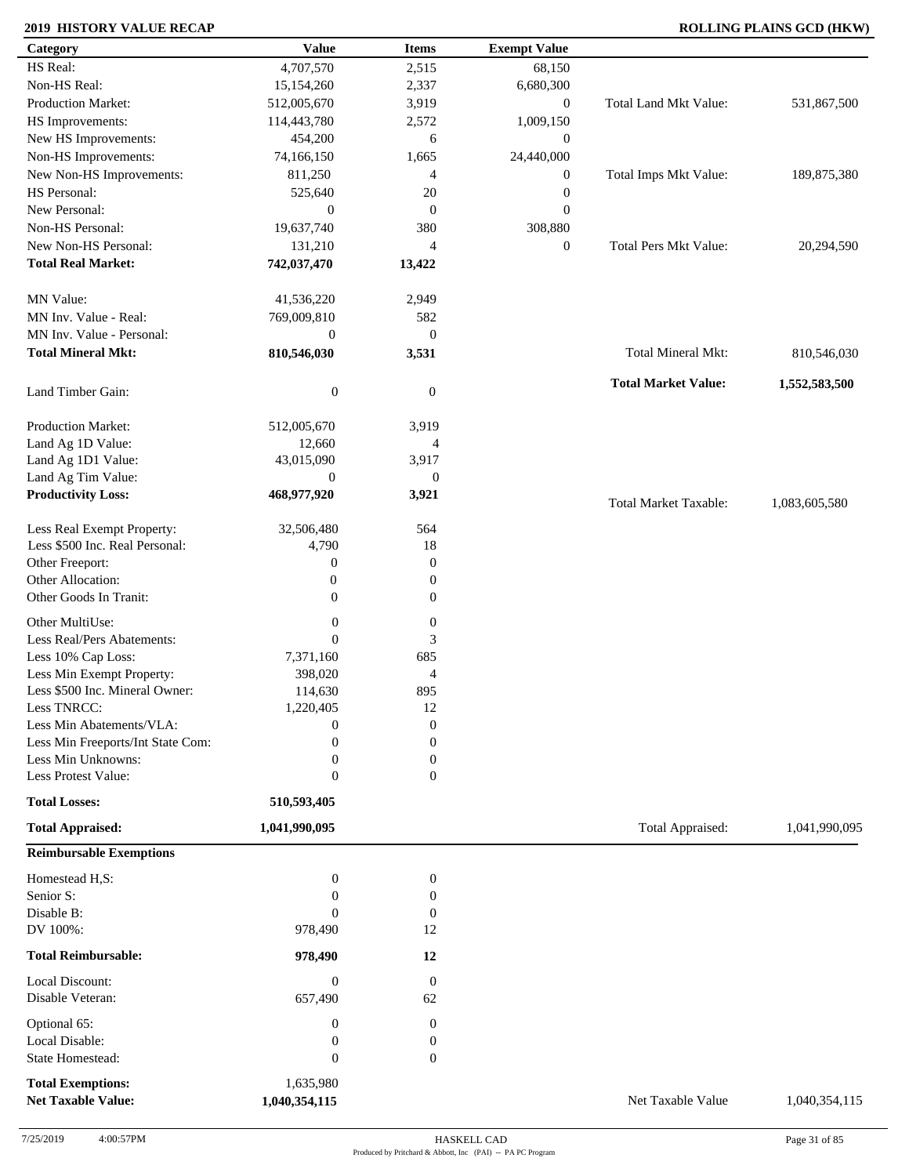| Category                                              | <b>Value</b>               | <b>Items</b>     | <b>Exempt Value</b> |                              |               |
|-------------------------------------------------------|----------------------------|------------------|---------------------|------------------------------|---------------|
| HS Real:                                              | 4,707,570                  | 2,515            | 68,150              |                              |               |
| Non-HS Real:                                          | 15,154,260                 | 2,337            | 6,680,300           |                              |               |
| Production Market:                                    | 512,005,670                | 3,919            | $\boldsymbol{0}$    | <b>Total Land Mkt Value:</b> | 531,867,500   |
| HS Improvements:                                      | 114,443,780                | 2,572            | 1,009,150           |                              |               |
| New HS Improvements:                                  | 454,200                    | 6                | $\mathbf{0}$        |                              |               |
| Non-HS Improvements:                                  | 74,166,150                 | 1,665            | 24,440,000          |                              |               |
| New Non-HS Improvements:                              | 811,250                    | $\overline{4}$   | $\boldsymbol{0}$    | Total Imps Mkt Value:        | 189,875,380   |
| HS Personal:                                          | 525,640                    | 20               | $\boldsymbol{0}$    |                              |               |
| New Personal:                                         | $\boldsymbol{0}$           | $\boldsymbol{0}$ | $\mathbf{0}$        |                              |               |
| Non-HS Personal:                                      | 19,637,740                 | 380              | 308,880             |                              |               |
| New Non-HS Personal:                                  | 131,210                    | $\overline{4}$   | $\boldsymbol{0}$    | <b>Total Pers Mkt Value:</b> | 20,294,590    |
| <b>Total Real Market:</b>                             | 742,037,470                | 13,422           |                     |                              |               |
| MN Value:                                             | 41,536,220                 | 2,949            |                     |                              |               |
| MN Inv. Value - Real:                                 | 769,009,810                | 582              |                     |                              |               |
| MN Inv. Value - Personal:                             | $\mathbf{0}$               | $\boldsymbol{0}$ |                     |                              |               |
| <b>Total Mineral Mkt:</b>                             | 810,546,030                | 3,531            |                     | Total Mineral Mkt:           | 810,546,030   |
| Land Timber Gain:                                     | $\boldsymbol{0}$           | $\mathbf{0}$     |                     | <b>Total Market Value:</b>   | 1,552,583,500 |
| Production Market:                                    | 512,005,670                | 3,919            |                     |                              |               |
| Land Ag 1D Value:                                     | 12,660                     | 4                |                     |                              |               |
| Land Ag 1D1 Value:                                    | 43,015,090                 | 3,917            |                     |                              |               |
| Land Ag Tim Value:                                    | $\mathbf{0}$               | $\mathbf{0}$     |                     |                              |               |
| <b>Productivity Loss:</b>                             | 468,977,920                | 3,921            |                     | <b>Total Market Taxable:</b> | 1,083,605,580 |
| Less Real Exempt Property:                            | 32,506,480                 | 564              |                     |                              |               |
| Less \$500 Inc. Real Personal:                        | 4,790                      | 18               |                     |                              |               |
| Other Freeport:                                       | $\boldsymbol{0}$           | $\boldsymbol{0}$ |                     |                              |               |
| Other Allocation:                                     | $\boldsymbol{0}$           | $\boldsymbol{0}$ |                     |                              |               |
| Other Goods In Tranit:                                | $\boldsymbol{0}$           | $\boldsymbol{0}$ |                     |                              |               |
| Other MultiUse:                                       | $\boldsymbol{0}$           | $\boldsymbol{0}$ |                     |                              |               |
| Less Real/Pers Abatements:                            | $\overline{0}$             | 3                |                     |                              |               |
| Less 10% Cap Loss:                                    | 7,371,160                  | 685              |                     |                              |               |
| Less Min Exempt Property:                             | 398,020                    | 4                |                     |                              |               |
| Less \$500 Inc. Mineral Owner:                        | 114,630                    | 895              |                     |                              |               |
| Less TNRCC:                                           | 1,220,405                  | 12               |                     |                              |               |
| Less Min Abatements/VLA:                              | $\boldsymbol{0}$           | $\boldsymbol{0}$ |                     |                              |               |
| Less Min Freeports/Int State Com:                     | 0                          | $\overline{0}$   |                     |                              |               |
| Less Min Unknowns:                                    | 0                          | $\boldsymbol{0}$ |                     |                              |               |
| Less Protest Value:                                   | $\boldsymbol{0}$           | $\overline{0}$   |                     |                              |               |
| <b>Total Losses:</b>                                  | 510,593,405                |                  |                     |                              |               |
| <b>Total Appraised:</b>                               | 1,041,990,095              |                  |                     | Total Appraised:             | 1,041,990,095 |
| <b>Reimbursable Exemptions</b>                        |                            |                  |                     |                              |               |
| Homestead H,S:                                        | $\boldsymbol{0}$           | $\boldsymbol{0}$ |                     |                              |               |
| Senior S:                                             | $\Omega$                   | 0                |                     |                              |               |
| Disable B:                                            | $\Omega$                   | $\boldsymbol{0}$ |                     |                              |               |
| DV 100%:                                              | 978,490                    | 12               |                     |                              |               |
| <b>Total Reimbursable:</b>                            | 978,490                    | 12               |                     |                              |               |
| Local Discount:                                       | $\boldsymbol{0}$           | $\boldsymbol{0}$ |                     |                              |               |
| Disable Veteran:                                      | 657,490                    | 62               |                     |                              |               |
| Optional 65:                                          | $\boldsymbol{0}$           | $\boldsymbol{0}$ |                     |                              |               |
| Local Disable:                                        | 0                          | $\boldsymbol{0}$ |                     |                              |               |
| State Homestead:                                      | $\overline{0}$             | $\mathbf{0}$     |                     |                              |               |
|                                                       |                            |                  |                     |                              |               |
| <b>Total Exemptions:</b><br><b>Net Taxable Value:</b> | 1,635,980<br>1,040,354,115 |                  |                     | Net Taxable Value            | 1,040,354,115 |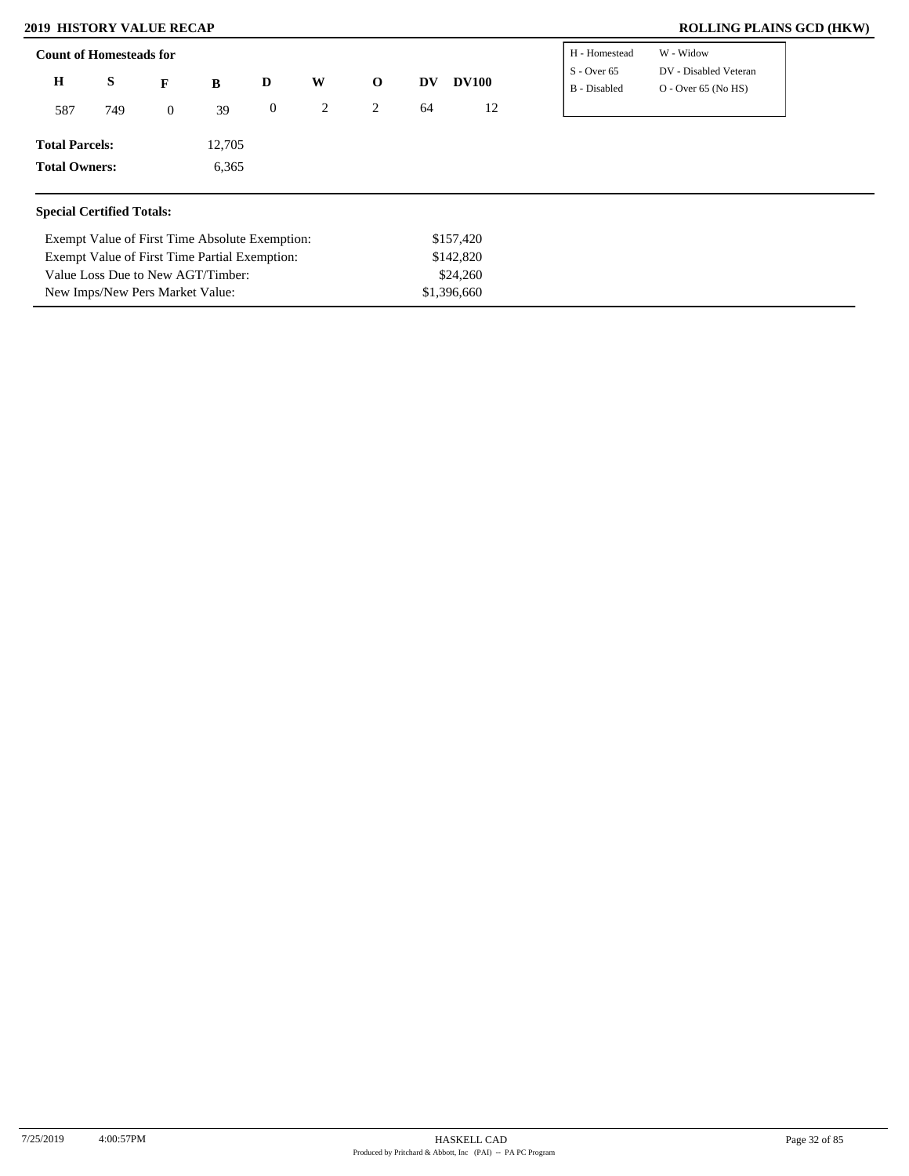Value Loss Due to New AGT/Timber: New Imps/New Pers Market Value:

| <b>Count of Homesteads for</b>   |                                               |                |                                                |                  | H - Homestead  | W - Widow    |    |              |                               |                                                |
|----------------------------------|-----------------------------------------------|----------------|------------------------------------------------|------------------|----------------|--------------|----|--------------|-------------------------------|------------------------------------------------|
| Η                                | S                                             | F              | B                                              | D                | W              | $\mathbf{o}$ | DV | <b>DV100</b> | $S - Over 65$<br>B - Disabled | DV - Disabled Veteran<br>$O -$ Over 65 (No HS) |
| 587                              | 749                                           | $\overline{0}$ | 39                                             | $\boldsymbol{0}$ | $\overline{2}$ | 2            | 64 | 12           |                               |                                                |
| <b>Total Parcels:</b>            |                                               |                | 12,705                                         |                  |                |              |    |              |                               |                                                |
|                                  | <b>Total Owners:</b><br>6,365                 |                |                                                |                  |                |              |    |              |                               |                                                |
| <b>Special Certified Totals:</b> |                                               |                |                                                |                  |                |              |    |              |                               |                                                |
|                                  |                                               |                | Exempt Value of First Time Absolute Exemption: |                  |                |              |    | \$157,420    |                               |                                                |
|                                  | Exempt Value of First Time Partial Exemption: |                |                                                |                  |                |              |    | \$142,820    |                               |                                                |

\$24,260 \$1,396,660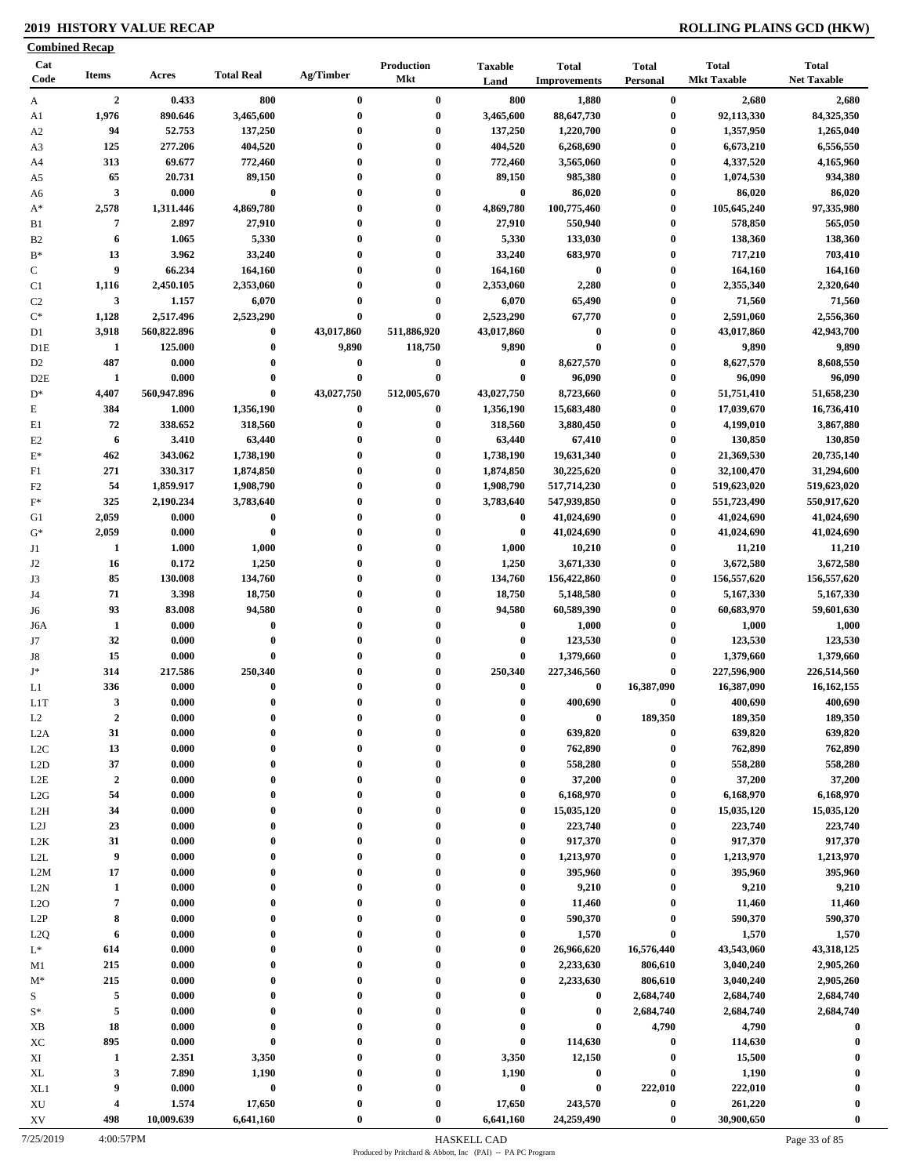|                        | <b>Combined Recap</b>  |                |                      |                      |                          |                        |                                     |                                      |                                    |                                    |
|------------------------|------------------------|----------------|----------------------|----------------------|--------------------------|------------------------|-------------------------------------|--------------------------------------|------------------------------------|------------------------------------|
| Cat<br>Code            | <b>Items</b>           | Acres          | <b>Total Real</b>    | Ag/Timber            | Production<br><b>Mkt</b> | <b>Taxable</b><br>Land | <b>Total</b><br><b>Improvements</b> | <b>Total</b><br>Personal             | <b>Total</b><br><b>Mkt Taxable</b> | <b>Total</b><br><b>Net Taxable</b> |
| A                      | $\overline{2}$         | 0.433          | 800                  | $\bf{0}$             | $\bf{0}$                 | 800                    | 1,880                               | $\bf{0}$                             | 2,680                              | 2,680                              |
| A1                     | 1,976                  | 890.646        | 3,465,600            | $\bf{0}$             | $\bf{0}$                 | 3,465,600              | 88,647,730                          | $\bf{0}$                             | 92,113,330                         | 84,325,350                         |
| A <sub>2</sub>         | 94                     | 52.753         | 137,250              | $\bf{0}$             | $\bf{0}$                 | 137,250                | 1,220,700                           | $\boldsymbol{0}$                     | 1,357,950                          | 1,265,040                          |
| A3                     | 125                    | 277.206        | 404,520              | $\bf{0}$             | $\bf{0}$                 | 404,520                | 6,268,690                           | $\bf{0}$                             | 6,673,210                          | 6,556,550                          |
| A4                     | 313                    | 69.677         | 772,460              | $\bf{0}$             | $\bf{0}$                 | 772,460                | 3,565,060                           | $\boldsymbol{0}$                     | 4,337,520                          | 4,165,960                          |
| A5                     | 65                     | 20.731         | 89,150               | $\bf{0}$             | $\bf{0}$                 | 89,150                 | 985,380                             | $\bf{0}$                             | 1,074,530                          | 934,380                            |
| A6                     | $\mathbf{3}$           | 0.000          | $\pmb{0}$            | $\bf{0}$             | $\bf{0}$                 | $\bf{0}$               | 86,020                              | $\boldsymbol{0}$                     | 86,020                             | 86,020                             |
| $A^*$                  | 2,578                  | 1,311.446      | 4,869,780            | $\bf{0}$             | $\bf{0}$                 | 4,869,780              | 100,775,460                         | $\boldsymbol{0}$                     | 105,645,240                        | 97,335,980                         |
| B1                     | 7                      | 2.897          | 27,910               | $\bf{0}$<br>$\bf{0}$ | $\bf{0}$<br>$\bf{0}$     | 27,910                 | 550,940                             | $\bf{0}$                             | 578,850                            | 565,050                            |
| B <sub>2</sub><br>$B*$ | 6<br>13                | 1.065<br>3.962 | 5,330<br>33,240      | $\mathbf{0}$         | $\bf{0}$                 | 5,330<br>33,240        | 133,030<br>683,970                  | $\boldsymbol{0}$<br>$\boldsymbol{0}$ | 138,360<br>717,210                 | 138,360<br>703,410                 |
| $\mathbf C$            | 9                      | 66.234         | 164,160              | $\bf{0}$             | $\bf{0}$                 | 164,160                | $\bf{0}$                            | $\boldsymbol{0}$                     | 164,160                            | 164,160                            |
| C1                     | 1,116                  | 2,450.105      | 2,353,060            | $\bf{0}$             | $\bf{0}$                 | 2,353,060              | 2,280                               | $\bf{0}$                             | 2,355,340                          | 2,320,640                          |
| C <sub>2</sub>         | $\mathbf{3}$           | 1.157          | 6,070                | $\bf{0}$             | $\bf{0}$                 | 6,070                  | 65,490                              | $\bf{0}$                             | 71,560                             | 71,560                             |
| $\mathrm{C}^*$         | 1,128                  | 2,517.496      | 2,523,290            | $\mathbf{0}$         | $\bf{0}$                 | 2,523,290              | 67,770                              | $\boldsymbol{0}$                     | 2,591,060                          | 2,556,360                          |
| D1                     | 3,918                  | 560,822.896    | $\bf{0}$             | 43,017,860           | 511,886,920              | 43,017,860             | $\bf{0}$                            | $\bf{0}$                             | 43,017,860                         | 42,943,700                         |
| D1E                    | 1                      | 125.000        | $\bf{0}$             | 9,890                | 118,750                  | 9,890                  | $\bf{0}$                            | $\bf{0}$                             | 9,890                              | 9,890                              |
| D <sub>2</sub>         | 487                    | 0.000          | $\bf{0}$             | $\bf{0}$             | $\bf{0}$                 | $\bf{0}$               | 8,627,570                           | $\bf{0}$                             | 8,627,570                          | 8,608,550                          |
| D <sub>2</sub> E       | $\mathbf{1}$           | 0.000          | $\bf{0}$             | $\bf{0}$             | $\bf{0}$                 | $\bf{0}$               | 96,090                              | $\bf{0}$                             | 96,090                             | 96,090                             |
| $D^*$                  | 4,407                  | 560,947.896    | $\bf{0}$             | 43,027,750           | 512,005,670              | 43,027,750             | 8,723,660                           | $\bf{0}$                             | 51,751,410                         | 51,658,230                         |
| $\mathbf E$            | 384                    | 1.000          | 1,356,190            | 0                    | $\bf{0}$                 | 1,356,190              | 15,683,480                          | $\bf{0}$                             | 17,039,670                         | 16,736,410                         |
| E1                     | 72                     | 338.652        | 318,560              | $\bf{0}$             | $\bf{0}$                 | 318,560                | 3,880,450                           | $\boldsymbol{0}$                     | 4,199,010                          | 3,867,880                          |
| E2                     | 6                      | 3.410          | 63,440               | $\bf{0}$             | $\bf{0}$                 | 63,440                 | 67,410                              | $\bf{0}$                             | 130,850                            | 130,850                            |
| $\mathbf{E}^*$         | 462                    | 343.062        | 1,738,190            | $\bf{0}$             | $\bf{0}$                 | 1,738,190              | 19,631,340                          | $\bf{0}$                             | 21,369,530                         | 20,735,140                         |
| F1                     | 271                    | 330.317        | 1,874,850            | $\bf{0}$             | $\bf{0}$                 | 1,874,850              | 30,225,620                          | $\bf{0}$                             | 32,100,470                         | 31,294,600                         |
| F <sub>2</sub>         | 54                     | 1,859.917      | 1,908,790            | 0                    | $\bf{0}$                 | 1,908,790              | 517,714,230                         | $\bf{0}$                             | 519,623,020                        | 519,623,020                        |
| $F^*$                  | 325                    | 2,190.234      | 3,783,640            | $\bf{0}$             | $\bf{0}$                 | 3,783,640              | 547,939,850                         | $\bf{0}$                             | 551,723,490                        | 550,917,620                        |
| G1                     | 2,059                  | 0.000          | $\pmb{0}$            | $\mathbf{0}$         | $\bf{0}$                 | $\bf{0}$               | 41,024,690                          | $\bf{0}$                             | 41,024,690                         | 41,024,690                         |
| $G^*$                  | 2,059                  | 0.000          | $\bf{0}$             | $\bf{0}$             | $\bf{0}$                 | $\bf{0}$               | 41,024,690                          | $\bf{0}$                             | 41,024,690                         | 41,024,690                         |
| J1                     | 1                      | 1.000          | 1,000                | $\mathbf{0}$         | $\bf{0}$                 | 1,000                  | 10,210                              | $\bf{0}$                             | 11,210                             | 11,210                             |
| J2<br>J3               | 16                     | 0.172          | 1,250                | $\bf{0}$             | $\bf{0}$                 | 1,250                  | 3,671,330                           | $\bf{0}$                             | 3,672,580                          | 3,672,580                          |
|                        | 85                     | 130.008        | 134,760              | $\bf{0}$             | $\bf{0}$                 | 134,760                | 156,422,860                         | $\bf{0}$                             | 156,557,620                        | 156,557,620                        |
| J4<br>J6               | 71                     | 3.398          | 18,750               | $\bf{0}$             | $\bf{0}$                 | 18,750                 | 5,148,580                           | $\boldsymbol{0}$                     | 5,167,330                          | 5,167,330                          |
|                        | 93                     | 83.008         | 94,580               | $\bf{0}$             | $\bf{0}$                 | 94,580                 | 60,589,390                          | $\bf{0}$                             | 60,683,970                         | 59,601,630                         |
| J6A                    | $\mathbf{1}$           | 0.000          | $\bf{0}$             | 0                    | $\bf{0}$                 | $\bf{0}$               | 1,000                               | $\boldsymbol{0}$                     | 1,000                              | 1,000                              |
| J7                     | 32                     | 0.000          | $\bf{0}$             | $\mathbf{0}$         | $\bf{0}$                 | $\bf{0}$               | 123,530                             | $\bf{0}$                             | 123,530                            | 123,530                            |
| J8<br>$\mathbf{J}^*$   | 15                     | 0.000          | $\bf{0}$             | $\mathbf{0}$         | $\bf{0}$                 | $\boldsymbol{0}$       | 1,379,660                           | $\boldsymbol{0}$                     | 1,379,660                          | 1,379,660                          |
|                        | 314                    | 217.586        | 250,340              | $\bf{0}$             | $\bf{0}$                 | 250,340                | 227,346,560                         | $\bf{0}$                             | 227,596,900                        | 226,514,560                        |
| L1                     | 336                    | 0.000          | $\bf{0}$<br>$\theta$ | $\bf{0}$             | $\bf{0}$<br>$\theta$     | $\bf{0}$<br>$\Omega$   | $\bf{0}$                            | 16,387,090                           | 16,387,090                         | 16, 162, 155                       |
| LIT                    | 3                      | 0.000          | $\mathbf 0$          | 0                    | $\mathbf{0}$             | $\mathbf 0$            | 400,690                             | $\bf{0}$                             | 400,690                            | 400,690                            |
| L2<br>L <sub>2</sub> A | $\boldsymbol{2}$<br>31 | 0.000<br>0.000 | $\bf{0}$             | $\bf{0}$             | $\bf{0}$                 | $\bf{0}$               | $\bf{0}$<br>639,820                 | 189,350<br>$\bf{0}$                  | 189,350<br>639,820                 | 189,350<br>639,820                 |
| L2C                    | 13                     | 0.000          | $\bf{0}$             |                      | $\boldsymbol{0}$         | $\boldsymbol{0}$       | 762,890                             | $\bf{0}$                             | 762,890                            | 762,890                            |
| L2D                    | 37                     | 0.000          | $\bf{0}$             | 0                    | $\mathbf{0}$             | $\bf{0}$               | 558,280                             | $\boldsymbol{0}$                     | 558,280                            | 558,280                            |
| $_{\rm L2E}$           | $\boldsymbol{2}$       | 0.000          | $\bf{0}$             | 0                    | $\bf{0}$                 | $\bf{0}$               | 37,200                              | $\bf{0}$                             | 37,200                             | 37,200                             |
| L2G                    | 54                     | 0.000          | $\bf{0}$             | 0                    | $\bf{0}$                 | $\bf{0}$               | 6,168,970                           | $\bf{0}$                             | 6,168,970                          | 6,168,970                          |
| L <sub>2</sub> H       | 34                     | 0.000          | $\bf{0}$             | 0                    | $\bf{0}$                 | $\boldsymbol{0}$       | 15,035,120                          | $\bf{0}$                             | 15,035,120                         | 15,035,120                         |
| L2J                    | 23                     | 0.000          | $\bf{0}$             | $\bf{0}$             | $\bf{0}$                 | $\boldsymbol{0}$       | 223,740                             | $\bf{0}$                             | 223,740                            | 223,740                            |
| L <sub>2</sub> K       | 31                     | 0.000          | $\bf{0}$             | 0                    | $\bf{0}$                 | $\boldsymbol{0}$       | 917,370                             | $\bf{0}$                             | 917,370                            | 917,370                            |
| L2L                    | 9                      | 0.000          | $\bf{0}$             | 0                    | $\boldsymbol{0}$         | $\bf{0}$               | 1,213,970                           | $\bf{0}$                             | 1,213,970                          | 1,213,970                          |
| L2M                    | 17                     | 0.000          | $\bf{0}$             |                      | $\bf{0}$                 | $\boldsymbol{0}$       | 395,960                             | $\bf{0}$                             | 395,960                            | 395,960                            |
| L2N                    | $\mathbf{1}$           | 0.000          | $\bf{0}$             | $\bf{0}$             | $\mathbf{0}$             | $\boldsymbol{0}$       | 9,210                               | $\bf{0}$                             | 9,210                              | 9,210                              |
| L2O                    | $\overline{7}$         | 0.000          | $\bf{0}$             | 0                    | $\bf{0}$                 | $\bf{0}$               | 11,460                              | $\bf{0}$                             | 11,460                             | 11,460                             |
| L2P                    | 8                      | 0.000          | $\bf{0}$             |                      | $\bf{0}$                 | $\bf{0}$               | 590,370                             | $\bf{0}$                             | 590,370                            | 590,370                            |
| L2Q                    | 6                      | 0.000          | $\bf{0}$             | 0                    | $\mathbf{0}$             | $\bf{0}$               | 1,570                               | $\bf{0}$                             | 1,570                              | 1,570                              |
| $L^*$                  | 614                    | 0.000          | $\bf{0}$             | 0                    | $\mathbf{0}$             | $\bf{0}$               | 26,966,620                          | 16,576,440                           | 43,543,060                         | 43,318,125                         |
| M1                     | 215                    | 0.000          | $\bf{0}$             | 0                    | $\boldsymbol{0}$         | $\boldsymbol{0}$       | 2,233,630                           | 806,610                              | 3,040,240                          | 2,905,260                          |
| $M^*$                  | 215                    | 0.000          | $\bf{0}$             |                      | $\boldsymbol{0}$         | $\boldsymbol{0}$       | 2,233,630                           | 806,610                              | 3,040,240                          | 2,905,260                          |
|                        | $\sqrt{5}$             | 0.000          | $\bf{0}$             |                      | $\mathbf{0}$             | $\boldsymbol{0}$       | $\bf{0}$                            | 2,684,740                            | 2,684,740                          | 2,684,740                          |
| $S^*$                  | $\sqrt{5}$             | 0.000          | $\bf{0}$             | 0                    | $\boldsymbol{0}$         | $\bf{0}$               | $\bf{0}$                            | 2,684,740                            | 2,684,740                          | 2,684,740                          |
| XB                     | 18                     | 0.000          | $\bf{0}$             |                      | $\boldsymbol{0}$         | $\boldsymbol{0}$       | $\pmb{0}$                           | 4,790                                | 4,790                              | $\bf{0}$                           |
| XC                     | 895                    | 0.000          | $\pmb{0}$            |                      | $\bf{0}$                 | $\boldsymbol{0}$       | 114,630                             | $\bf{0}$                             | 114,630                            |                                    |
| XI                     | 1                      | 2.351          | 3,350                | $\bf{0}$             | $\bf{0}$                 | 3,350                  | 12,150                              | $\boldsymbol{0}$                     | 15,500                             |                                    |
| XL                     | 3                      | 7.890          | 1,190                | 0                    | $\bf{0}$                 | 1,190                  | $\boldsymbol{0}$                    | $\bf{0}$                             | 1,190                              |                                    |
| XL1                    | 9                      | 0.000          | $\bf{0}$             |                      | $\bf{0}$                 | $\pmb{0}$              | $\bf{0}$                            | 222,010                              | 222,010                            | $\boldsymbol{0}$                   |
| XU                     | 4                      | 1.574          | 17,650               |                      | $\bf{0}$                 | 17,650                 | 243,570                             | $\pmb{0}$                            | 261,220                            |                                    |
| XV                     | 498                    | 10,009.639     | 6,641,160            |                      | $\bf{0}$                 | 6,641,160              | 24,259,490                          | $\boldsymbol{0}$                     | 30,900,650                         | $\bf{0}$                           |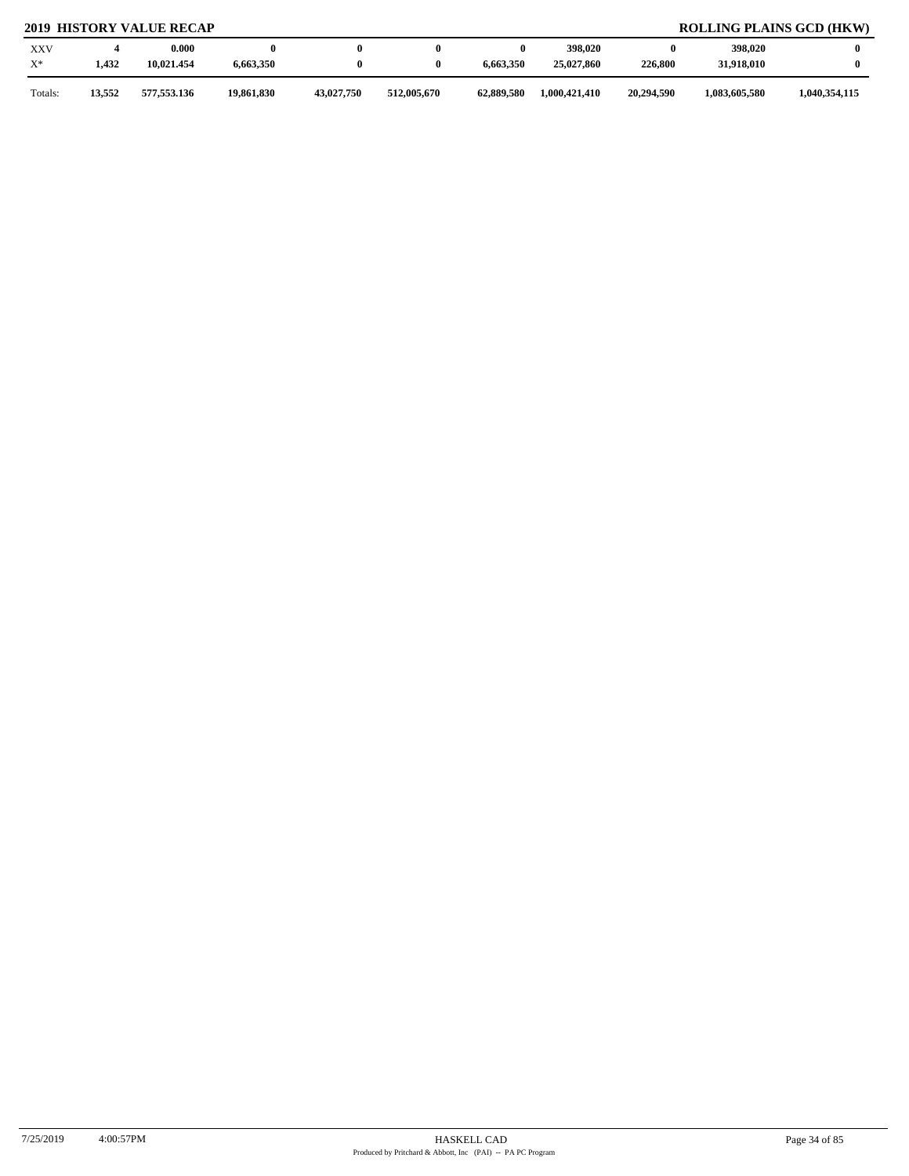| <b>XXV</b><br>$X^*$ | 1,432  | 0.000<br>10,021.454 | 6,663,350  |            |             | 6,663,350  | 398,020<br>25,027,860 | 0<br>226,800 | 398,020<br>31,918,010 |               |
|---------------------|--------|---------------------|------------|------------|-------------|------------|-----------------------|--------------|-----------------------|---------------|
| Totals:             | 13,552 | 577,553.136         | 19,861,830 | 43,027,750 | 512,005,670 | 62,889,580 | 1,000,421,410         | 20,294.590   | 1,083,605,580         | 1,040,354,115 |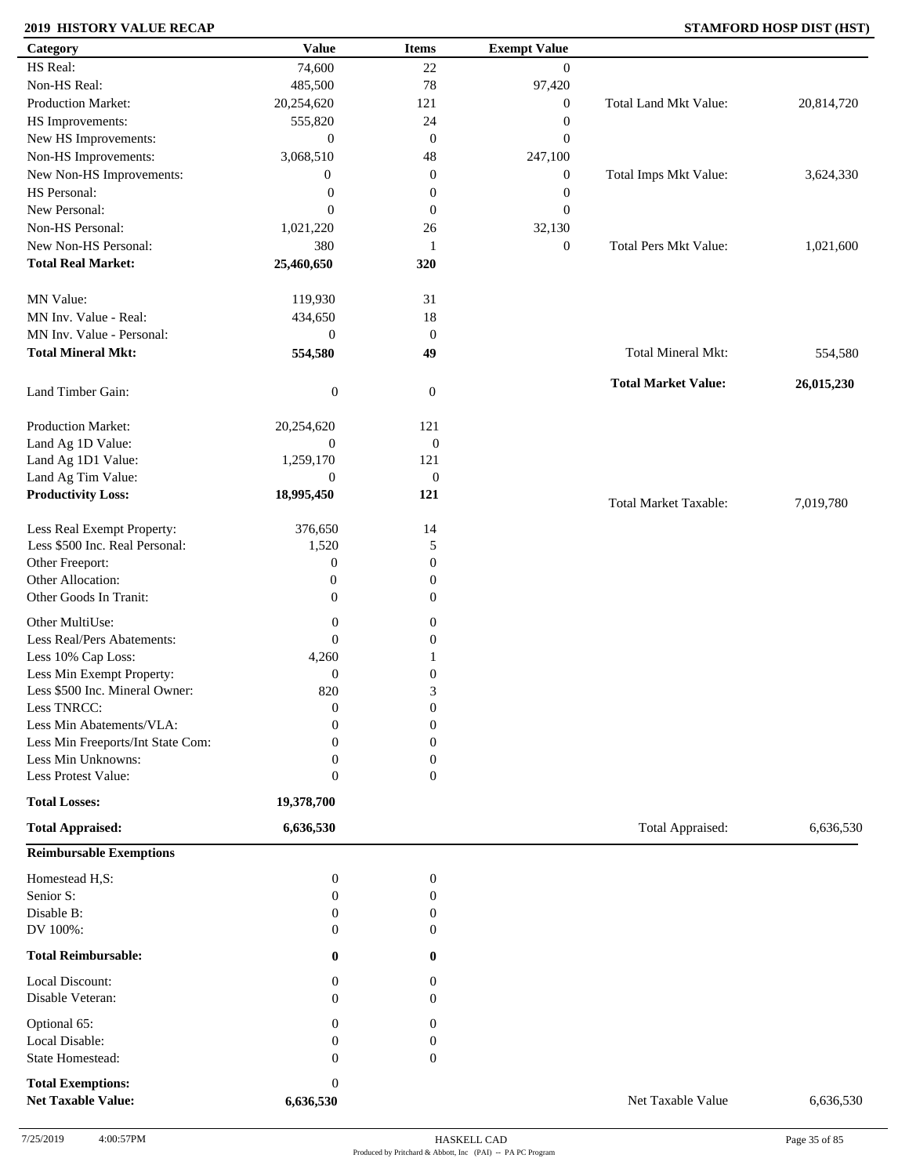### **2019 HISTORY VALUE RECAP STAMFORD HOSP DIST (HST)**

| Category                                              | <b>Value</b>                  | <b>Items</b>     | <b>Exempt Value</b> |                              |            |
|-------------------------------------------------------|-------------------------------|------------------|---------------------|------------------------------|------------|
| HS Real:                                              | 74,600                        | 22               | $\mathbf{0}$        |                              |            |
| Non-HS Real:                                          | 485,500                       | 78               | 97,420              |                              |            |
| Production Market:                                    | 20,254,620                    | 121              | $\boldsymbol{0}$    | Total Land Mkt Value:        | 20,814,720 |
| HS Improvements:                                      | 555,820                       | 24               | $\boldsymbol{0}$    |                              |            |
| New HS Improvements:                                  | $\mathbf{0}$                  | $\mathbf{0}$     | $\boldsymbol{0}$    |                              |            |
| Non-HS Improvements:                                  | 3,068,510                     | 48               | 247,100             |                              |            |
| New Non-HS Improvements:                              | $\mathbf{0}$                  | $\boldsymbol{0}$ | $\boldsymbol{0}$    | Total Imps Mkt Value:        | 3,624,330  |
| HS Personal:                                          | $\boldsymbol{0}$              | $\boldsymbol{0}$ | $\boldsymbol{0}$    |                              |            |
| New Personal:                                         | $\mathbf{0}$                  | $\mathbf{0}$     | $\boldsymbol{0}$    |                              |            |
| Non-HS Personal:                                      | 1,021,220                     |                  | 32,130              |                              |            |
| New Non-HS Personal:                                  |                               | 26               |                     | <b>Total Pers Mkt Value:</b> |            |
|                                                       | 380                           | 1                | $\boldsymbol{0}$    |                              | 1,021,600  |
| <b>Total Real Market:</b>                             | 25,460,650                    | 320              |                     |                              |            |
| MN Value:                                             | 119,930                       | 31               |                     |                              |            |
| MN Inv. Value - Real:                                 | 434,650                       | 18               |                     |                              |            |
| MN Inv. Value - Personal:                             | $\boldsymbol{0}$              | $\mathbf{0}$     |                     |                              |            |
| <b>Total Mineral Mkt:</b>                             | 554,580                       | 49               |                     | <b>Total Mineral Mkt:</b>    | 554,580    |
|                                                       |                               |                  |                     |                              |            |
| Land Timber Gain:                                     | $\boldsymbol{0}$              | $\boldsymbol{0}$ |                     | <b>Total Market Value:</b>   | 26,015,230 |
| Production Market:                                    | 20,254,620                    | 121              |                     |                              |            |
| Land Ag 1D Value:                                     | $\boldsymbol{0}$              | $\boldsymbol{0}$ |                     |                              |            |
| Land Ag 1D1 Value:                                    | 1,259,170                     | 121              |                     |                              |            |
| Land Ag Tim Value:                                    | $\boldsymbol{0}$              | $\boldsymbol{0}$ |                     |                              |            |
| <b>Productivity Loss:</b>                             | 18,995,450                    | 121              |                     |                              |            |
|                                                       |                               |                  |                     | <b>Total Market Taxable:</b> | 7,019,780  |
| Less Real Exempt Property:                            | 376,650                       | 14               |                     |                              |            |
| Less \$500 Inc. Real Personal:                        | 1,520                         | 5                |                     |                              |            |
| Other Freeport:                                       | $\boldsymbol{0}$              | $\boldsymbol{0}$ |                     |                              |            |
| Other Allocation:                                     | $\boldsymbol{0}$              | $\mathbf{0}$     |                     |                              |            |
| Other Goods In Tranit:                                | $\mathbf{0}$                  | $\mathbf{0}$     |                     |                              |            |
|                                                       |                               |                  |                     |                              |            |
| Other MultiUse:                                       | $\boldsymbol{0}$              | $\boldsymbol{0}$ |                     |                              |            |
| Less Real/Pers Abatements:                            | $\mathbf{0}$                  | $\boldsymbol{0}$ |                     |                              |            |
| Less 10% Cap Loss:                                    | 4,260                         |                  |                     |                              |            |
| Less Min Exempt Property:                             | $\boldsymbol{0}$              | $\boldsymbol{0}$ |                     |                              |            |
| Less \$500 Inc. Mineral Owner:                        | 820                           | 3                |                     |                              |            |
| Less TNRCC:                                           | $\mathbf{0}$                  | $\overline{0}$   |                     |                              |            |
| Less Min Abatements/VLA:                              | $\mathbf{0}$                  | $\boldsymbol{0}$ |                     |                              |            |
| Less Min Freeports/Int State Com:                     | 0                             | 0                |                     |                              |            |
| Less Min Unknowns:                                    | 0                             | 0                |                     |                              |            |
| Less Protest Value:                                   | $\boldsymbol{0}$              | $\overline{0}$   |                     |                              |            |
| <b>Total Losses:</b>                                  | 19,378,700                    |                  |                     |                              |            |
| <b>Total Appraised:</b>                               | 6,636,530                     |                  |                     | Total Appraised:             | 6,636,530  |
| <b>Reimbursable Exemptions</b>                        |                               |                  |                     |                              |            |
| Homestead H,S:                                        | $\boldsymbol{0}$              | $\boldsymbol{0}$ |                     |                              |            |
| Senior S:                                             | $\overline{0}$                | 0                |                     |                              |            |
| Disable B:                                            | $\overline{0}$                | 0                |                     |                              |            |
| DV 100%:                                              | $\theta$                      | 0                |                     |                              |            |
| <b>Total Reimbursable:</b>                            | 0                             | 0                |                     |                              |            |
| Local Discount:                                       | 0                             | 0                |                     |                              |            |
| Disable Veteran:                                      | 0                             | $\overline{0}$   |                     |                              |            |
| Optional 65:                                          | 0                             | $\mathbf{0}$     |                     |                              |            |
| Local Disable:                                        | 0                             | $\boldsymbol{0}$ |                     |                              |            |
| State Homestead:                                      | $\overline{0}$                | $\boldsymbol{0}$ |                     |                              |            |
|                                                       |                               |                  |                     |                              |            |
| <b>Total Exemptions:</b><br><b>Net Taxable Value:</b> | $\boldsymbol{0}$<br>6,636,530 |                  |                     | Net Taxable Value            | 6,636,530  |
|                                                       |                               |                  |                     |                              |            |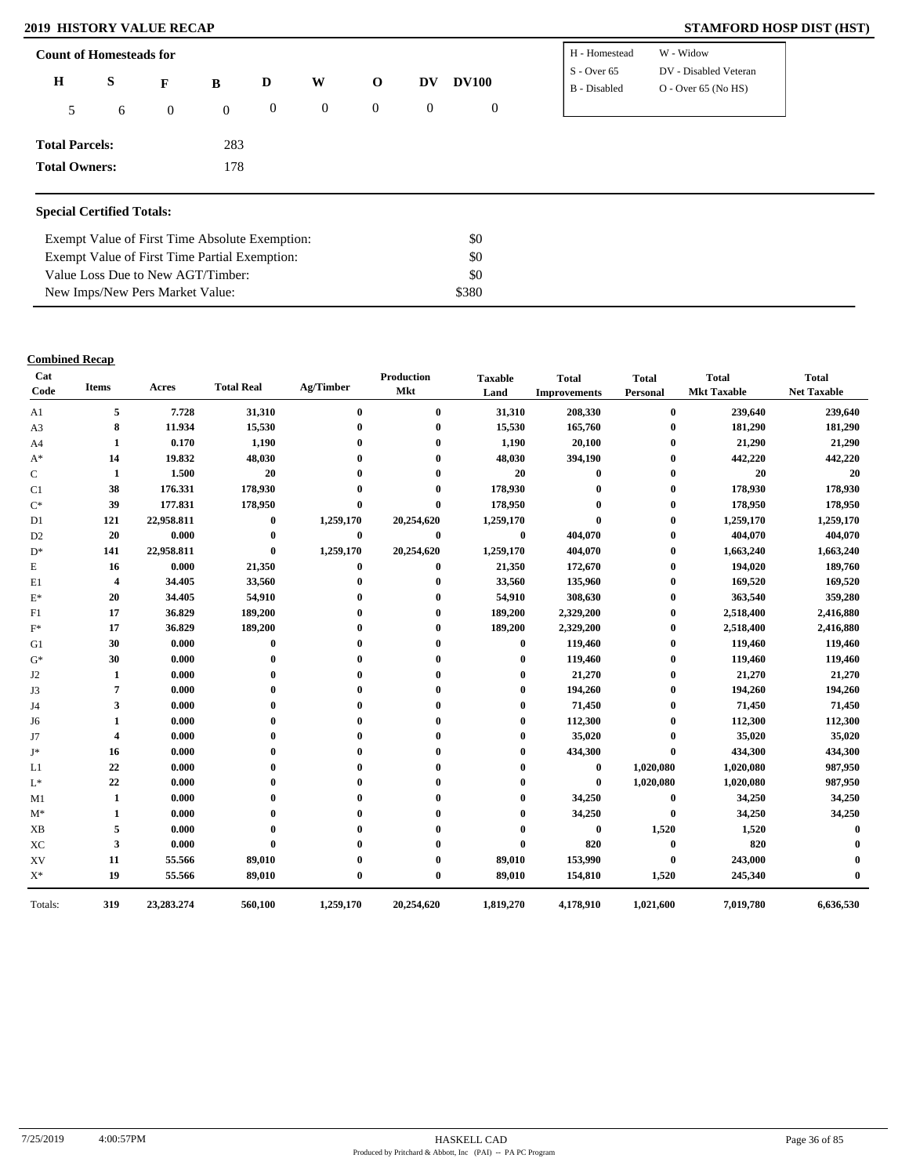### **2019 HISTORY VALUE RECAP STAMFORD HOSP DIST (HST)**

| <b>Count of Homesteads for</b> |   |                |                |                |          |                |          |                | H - Homestead | W - Widow             |
|--------------------------------|---|----------------|----------------|----------------|----------|----------------|----------|----------------|---------------|-----------------------|
| $\bf H$                        | S | $\mathbf{F}$   | B              | D              | W        | $\mathbf{o}$   | DV       | <b>DV100</b>   | $S -$ Over 65 | DV - Disabled Veteran |
|                                |   |                |                |                |          |                |          |                | B - Disabled  | $O -$ Over 65 (No HS) |
| 5                              | 6 | $\overline{0}$ | $\overline{0}$ | $\overline{0}$ | $\bf{0}$ | $\overline{0}$ | $\theta$ | $\overline{0}$ |               |                       |
|                                |   |                |                |                |          |                |          |                |               |                       |
| <b>Total Parcels:</b>          |   |                | 283            |                |          |                |          |                |               |                       |
| <b>Total Owners:</b>           |   |                | 178            |                |          |                |          |                |               |                       |
|                                |   |                |                |                |          |                |          |                |               |                       |

### **Special Certified Totals:**

| Exempt Value of First Time Absolute Exemption: | \$0   |  |
|------------------------------------------------|-------|--|
| Exempt Value of First Time Partial Exemption:  | SO.   |  |
| Value Loss Due to New AGT/Timber:              | -80   |  |
| New Imps/New Pers Market Value:                | \$380 |  |

### **Combined Recap**

| Cat<br>Code    | <b>Items</b>            | Acres      | <b>Total Real</b> | Ag/Timber    | Production<br><b>Mkt</b> | <b>Taxable</b><br>Land | <b>Total</b><br><b>Improvements</b> | <b>Total</b><br>Personal | <b>Total</b><br><b>Mkt Taxable</b> | <b>Total</b><br><b>Net Taxable</b> |
|----------------|-------------------------|------------|-------------------|--------------|--------------------------|------------------------|-------------------------------------|--------------------------|------------------------------------|------------------------------------|
| A1             | 5                       | 7.728      | 31,310            | $\bf{0}$     | $\bf{0}$                 | 31,310                 | 208,330                             | $\bf{0}$                 | 239,640                            | 239,640                            |
| A3             | 8                       | 11.934     | 15,530            | $\mathbf{0}$ | $\bf{0}$                 | 15,530                 | 165,760                             | $\bf{0}$                 | 181,290                            | 181,290                            |
| A <sub>4</sub> | 1                       | 0.170      | 1,190             |              | $\mathbf{0}$             | 1,190                  | 20,100                              | $\bf{0}$                 | 21,290                             | 21,290                             |
| $A^*$          | 14                      | 19.832     | 48,030            |              | $\mathbf{0}$             | 48,030                 | 394,190                             | $\bf{0}$                 | 442,220                            | 442,220                            |
| С              | 1                       | 1.500      | 20                |              | $\mathbf{0}$             | 20                     | $\bf{0}$                            | $\bf{0}$                 | 20                                 | 20                                 |
| C1             | 38                      | 176.331    | 178,930           |              |                          | 178,930                |                                     | $\bf{0}$                 | 178,930                            | 178,930                            |
| $\mathrm{C}^*$ | 39                      | 177.831    | 178,950           | $\mathbf{0}$ | $\mathbf{0}$             | 178,950                |                                     | 0                        | 178,950                            | 178,950                            |
| D1             | 121                     | 22,958.811 | $\bf{0}$          | 1,259,170    | 20,254,620               | 1,259,170              | $\theta$                            | $\bf{0}$                 | 1,259,170                          | 1,259,170                          |
| D <sub>2</sub> | 20                      | 0.000      | $\bf{0}$          | $\bf{0}$     | $\bf{0}$                 | $\bf{0}$               | 404,070                             | $\bf{0}$                 | 404,070                            | 404,070                            |
| $D^*$          | 141                     | 22,958.811 | $\bf{0}$          | 1,259,170    | 20,254,620               | 1,259,170              | 404,070                             | $\bf{0}$                 | 1,663,240                          | 1,663,240                          |
| E              | 16                      | 0.000      | 21,350            | $\bf{0}$     | $\bf{0}$                 | 21,350                 | 172,670                             | $\bf{0}$                 | 194,020                            | 189,760                            |
| E1             | 4                       | 34.405     | 33,560            | 0            | $\mathbf{0}$             | 33,560                 | 135,960                             | $\bf{0}$                 | 169,520                            | 169,520                            |
| $\mathbf{E}^*$ | 20                      | 34.405     | 54,910            |              | $\mathbf{0}$             | 54,910                 | 308,630                             | $\bf{0}$                 | 363,540                            | 359,280                            |
| F1             | 17                      | 36.829     | 189,200           |              | $\mathbf{0}$             | 189,200                | 2,329,200                           | $\bf{0}$                 | 2,518,400                          | 2,416,880                          |
| $F^*$          | 17                      | 36.829     | 189,200           |              | $\mathbf{0}$             | 189,200                | 2,329,200                           | $\bf{0}$                 | 2,518,400                          | 2,416,880                          |
| G1             | 30                      | 0.000      | $\mathbf 0$       |              | 0                        | $\bf{0}$               | 119,460                             | $\bf{0}$                 | 119,460                            | 119,460                            |
| $G^*$          | 30                      | 0.000      | $\mathbf{0}$      |              | 0                        | $\mathbf{0}$           | 119,460                             | $\bf{0}$                 | 119,460                            | 119,460                            |
| J <sub>2</sub> | 1                       | 0.000      | 0                 |              | 0                        | 0                      | 21,270                              | $\bf{0}$                 | 21,270                             | 21,270                             |
| J3             | 7                       | 0.000      | $\mathbf{0}$      |              | 0                        | 0                      | 194,260                             | $\bf{0}$                 | 194,260                            | 194,260                            |
| J4             | 3                       | 0.000      | 0                 |              | 0                        | 0                      | 71,450                              | $\bf{0}$                 | 71,450                             | 71,450                             |
| J6             | 1                       | 0.000      | 0                 |              | 0                        | 0                      | 112,300                             | $\bf{0}$                 | 112,300                            | 112,300                            |
| J7             | $\overline{\mathbf{4}}$ | 0.000      | 0                 |              | $\mathbf{0}$             | 0                      | 35,020                              | $\bf{0}$                 | 35,020                             | 35,020                             |
| J*             | 16                      | 0.000      |                   |              | $\mathbf{0}$             | 0                      | 434,300                             | $\bf{0}$                 | 434,300                            | 434,300                            |
| L1             | 22                      | 0.000      |                   |              | 0                        |                        | $\bf{0}$                            | 1,020,080                | 1,020,080                          | 987,950                            |
| $L^*$          | 22                      | 0.000      |                   |              |                          |                        | $\bf{0}$                            | 1,020,080                | 1,020,080                          | 987,950                            |
| M1             | 1                       | 0.000      |                   |              |                          |                        | 34,250                              | $\bf{0}$                 | 34,250                             | 34,250                             |
| $M^*$          | 1                       | 0.000      |                   |              | 0                        | 0                      | 34,250                              | $\bf{0}$                 | 34,250                             | 34,250                             |
| <b>XB</b>      | 5                       | 0.000      | $\mathbf{0}$      |              | 0                        | 0                      | $\bf{0}$                            | 1,520                    | 1,520                              | $\mathbf 0$                        |
| XC             | 3                       | 0.000      | $\mathbf 0$       |              | 0                        | $\bf{0}$               | 820                                 | $\bf{0}$                 | 820                                |                                    |
| XV             | 11                      | 55.566     | 89,010            |              | $\mathbf{0}$             | 89,010                 | 153,990                             | $\bf{0}$                 | 243,000                            |                                    |
| $\mathbf{X}^*$ | 19                      | 55.566     | 89,010            | $\mathbf{0}$ | $\mathbf{0}$             | 89,010                 | 154,810                             | 1,520                    | 245,340                            |                                    |
| Totals:        | 319                     | 23,283.274 | 560,100           | 1,259,170    | 20,254,620               | 1,819,270              | 4,178,910                           | 1,021,600                | 7,019,780                          | 6,636,530                          |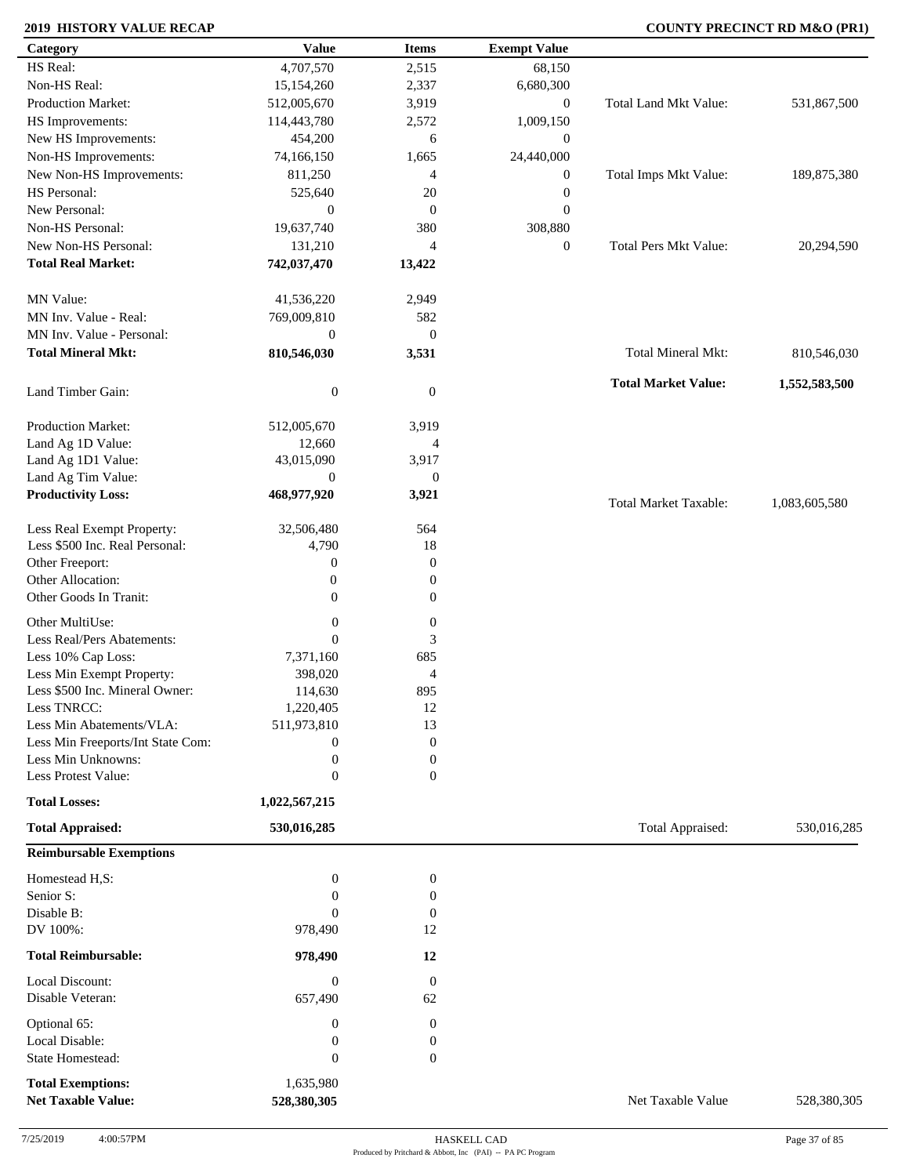### **2019 HISTORY VALUE RECAP COUNTY PRECINCT RD M&O (PR1)**

| Category                          | <b>Value</b>     | <b>Items</b>     | <b>Exempt Value</b> |                              |               |
|-----------------------------------|------------------|------------------|---------------------|------------------------------|---------------|
| HS Real:                          | 4,707,570        | 2,515            | 68,150              |                              |               |
| Non-HS Real:                      | 15,154,260       | 2,337            | 6,680,300           |                              |               |
| Production Market:                | 512,005,670      | 3,919            | $\boldsymbol{0}$    | Total Land Mkt Value:        | 531,867,500   |
| HS Improvements:                  | 114,443,780      | 2,572            | 1,009,150           |                              |               |
| New HS Improvements:              | 454,200          | 6                | $\mathbf{0}$        |                              |               |
| Non-HS Improvements:              | 74,166,150       | 1,665            | 24,440,000          |                              |               |
|                                   |                  |                  |                     |                              |               |
| New Non-HS Improvements:          | 811,250          | 4                | $\boldsymbol{0}$    | Total Imps Mkt Value:        | 189,875,380   |
| HS Personal:                      | 525,640          | 20               | $\boldsymbol{0}$    |                              |               |
| New Personal:                     | $\mathbf{0}$     | $\mathbf{0}$     | $\boldsymbol{0}$    |                              |               |
| Non-HS Personal:                  | 19,637,740       | 380              | 308,880             |                              |               |
| New Non-HS Personal:              | 131,210          | $\overline{4}$   | $\boldsymbol{0}$    | <b>Total Pers Mkt Value:</b> | 20,294,590    |
| <b>Total Real Market:</b>         | 742,037,470      | 13,422           |                     |                              |               |
|                                   |                  |                  |                     |                              |               |
| MN Value:                         | 41,536,220       | 2,949            |                     |                              |               |
| MN Inv. Value - Real:             | 769,009,810      | 582              |                     |                              |               |
| MN Inv. Value - Personal:         | $\boldsymbol{0}$ | $\mathbf{0}$     |                     |                              |               |
| <b>Total Mineral Mkt:</b>         | 810,546,030      |                  |                     | <b>Total Mineral Mkt:</b>    |               |
|                                   |                  | 3,531            |                     |                              | 810,546,030   |
|                                   |                  |                  |                     | <b>Total Market Value:</b>   | 1,552,583,500 |
| Land Timber Gain:                 | $\boldsymbol{0}$ | $\mathbf{0}$     |                     |                              |               |
|                                   |                  |                  |                     |                              |               |
| <b>Production Market:</b>         | 512,005,670      | 3,919            |                     |                              |               |
| Land Ag 1D Value:                 | 12,660           | $\overline{4}$   |                     |                              |               |
| Land Ag 1D1 Value:                | 43,015,090       | 3,917            |                     |                              |               |
| Land Ag Tim Value:                | $\boldsymbol{0}$ | $\boldsymbol{0}$ |                     |                              |               |
| <b>Productivity Loss:</b>         | 468,977,920      | 3,921            |                     | <b>Total Market Taxable:</b> | 1,083,605,580 |
|                                   |                  |                  |                     |                              |               |
| Less Real Exempt Property:        | 32,506,480       | 564              |                     |                              |               |
| Less \$500 Inc. Real Personal:    | 4,790            | 18               |                     |                              |               |
| Other Freeport:                   | $\boldsymbol{0}$ | $\boldsymbol{0}$ |                     |                              |               |
| Other Allocation:                 | $\boldsymbol{0}$ | $\boldsymbol{0}$ |                     |                              |               |
| Other Goods In Tranit:            | $\overline{0}$   | $\mathbf{0}$     |                     |                              |               |
|                                   |                  |                  |                     |                              |               |
| Other MultiUse:                   | $\boldsymbol{0}$ | $\boldsymbol{0}$ |                     |                              |               |
| Less Real/Pers Abatements:        | $\mathbf{0}$     | 3                |                     |                              |               |
| Less 10% Cap Loss:                | 7,371,160        | 685              |                     |                              |               |
| Less Min Exempt Property:         | 398,020          | $\overline{4}$   |                     |                              |               |
| Less \$500 Inc. Mineral Owner:    | 114,630          | 895              |                     |                              |               |
| Less TNRCC:                       | 1,220,405        | 12               |                     |                              |               |
| Less Min Abatements/VLA:          | 511,973,810      | 13               |                     |                              |               |
| Less Min Freeports/Int State Com: | $\boldsymbol{0}$ | $\boldsymbol{0}$ |                     |                              |               |
| Less Min Unknowns:                | $\boldsymbol{0}$ | $\boldsymbol{0}$ |                     |                              |               |
| Less Protest Value:               | $\mathbf{0}$     | $\boldsymbol{0}$ |                     |                              |               |
|                                   |                  |                  |                     |                              |               |
| <b>Total Losses:</b>              | 1,022,567,215    |                  |                     |                              |               |
| <b>Total Appraised:</b>           | 530,016,285      |                  |                     | Total Appraised:             | 530,016,285   |
| <b>Reimbursable Exemptions</b>    |                  |                  |                     |                              |               |
|                                   |                  |                  |                     |                              |               |
| Homestead H,S:                    | $\boldsymbol{0}$ | $\boldsymbol{0}$ |                     |                              |               |
| Senior S:                         | $\boldsymbol{0}$ | $\boldsymbol{0}$ |                     |                              |               |
| Disable B:                        | $\Omega$         | $\mathbf{0}$     |                     |                              |               |
| DV 100%:                          | 978,490          | 12               |                     |                              |               |
| <b>Total Reimbursable:</b>        | 978,490          | 12               |                     |                              |               |
|                                   |                  |                  |                     |                              |               |
| Local Discount:                   | $\boldsymbol{0}$ | $\boldsymbol{0}$ |                     |                              |               |
| Disable Veteran:                  | 657,490          | 62               |                     |                              |               |
| Optional 65:                      | $\boldsymbol{0}$ | $\mathbf{0}$     |                     |                              |               |
| Local Disable:                    | $\boldsymbol{0}$ | $\boldsymbol{0}$ |                     |                              |               |
| State Homestead:                  | $\mathbf{0}$     | $\boldsymbol{0}$ |                     |                              |               |
|                                   |                  |                  |                     |                              |               |
| <b>Total Exemptions:</b>          | 1,635,980        |                  |                     |                              |               |
| <b>Net Taxable Value:</b>         | 528,380,305      |                  |                     | Net Taxable Value            | 528,380,305   |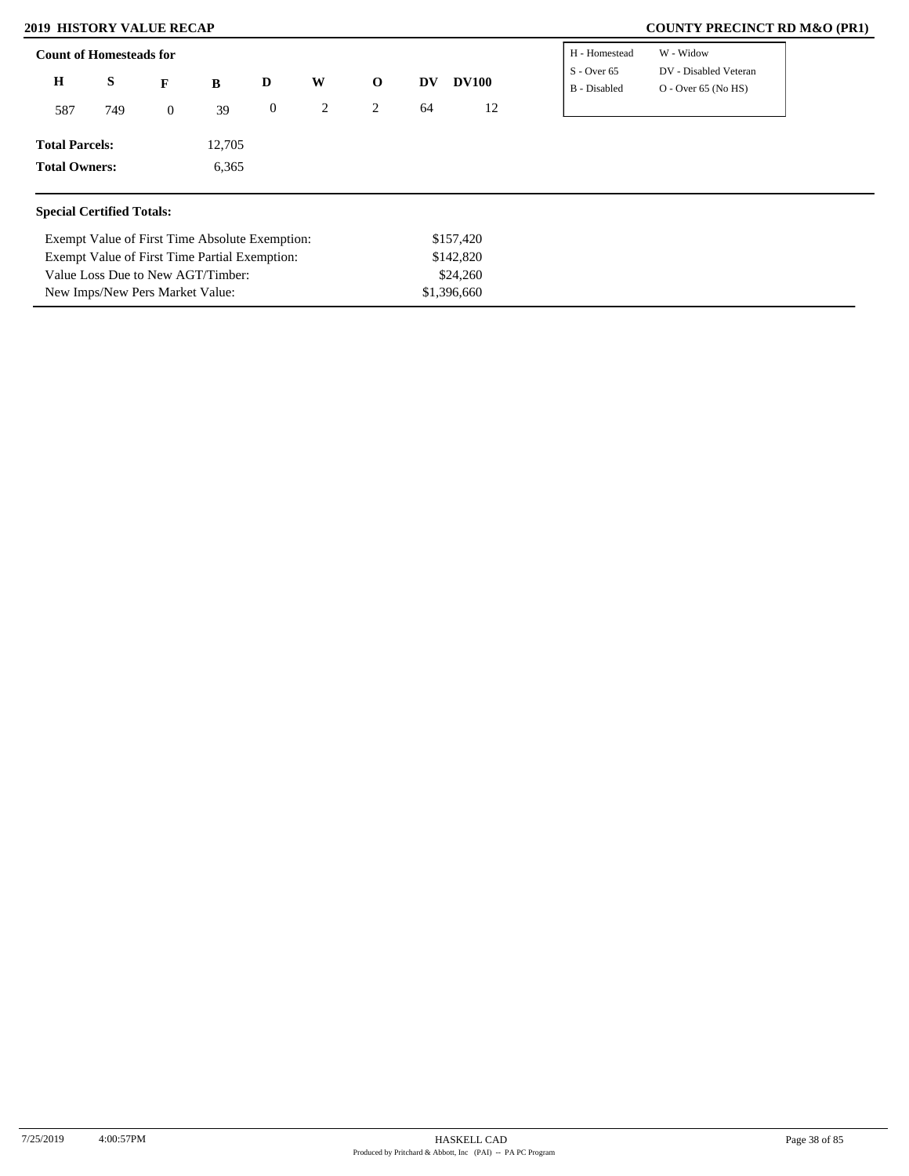New Imps/New Pers Market Value:

### **2019 HISTORY VALUE RECAP COUNTY PRECINCT RD M&O (PR1)**

| <b>Count of Homesteads for</b>   |     |                |                                                |                  |   |              |    |              | H - Homestead                 | W - Widow                                      |
|----------------------------------|-----|----------------|------------------------------------------------|------------------|---|--------------|----|--------------|-------------------------------|------------------------------------------------|
| $\mathbf H$                      | S   | $\mathbf{F}$   | B                                              | D                | W | $\mathbf{o}$ | DV | <b>DV100</b> | $S -$ Over 65<br>B - Disabled | DV - Disabled Veteran<br>$O - Over 65 (No HS)$ |
| 587                              | 749 | $\overline{0}$ | 39                                             | $\boldsymbol{0}$ | 2 | 2            | 64 | 12           |                               |                                                |
| <b>Total Parcels:</b>            |     |                | 12,705                                         |                  |   |              |    |              |                               |                                                |
| <b>Total Owners:</b>             |     |                | 6,365                                          |                  |   |              |    |              |                               |                                                |
| <b>Special Certified Totals:</b> |     |                |                                                |                  |   |              |    |              |                               |                                                |
|                                  |     |                | Exempt Value of First Time Absolute Exemption: |                  |   |              |    | \$157,420    |                               |                                                |
|                                  |     |                | Exempt Value of First Time Partial Exemption:  |                  |   |              |    | \$142,820    |                               |                                                |
|                                  |     |                | Value Loss Due to New AGT/Timber:              |                  |   |              |    | \$24,260     |                               |                                                |

\$1,396,660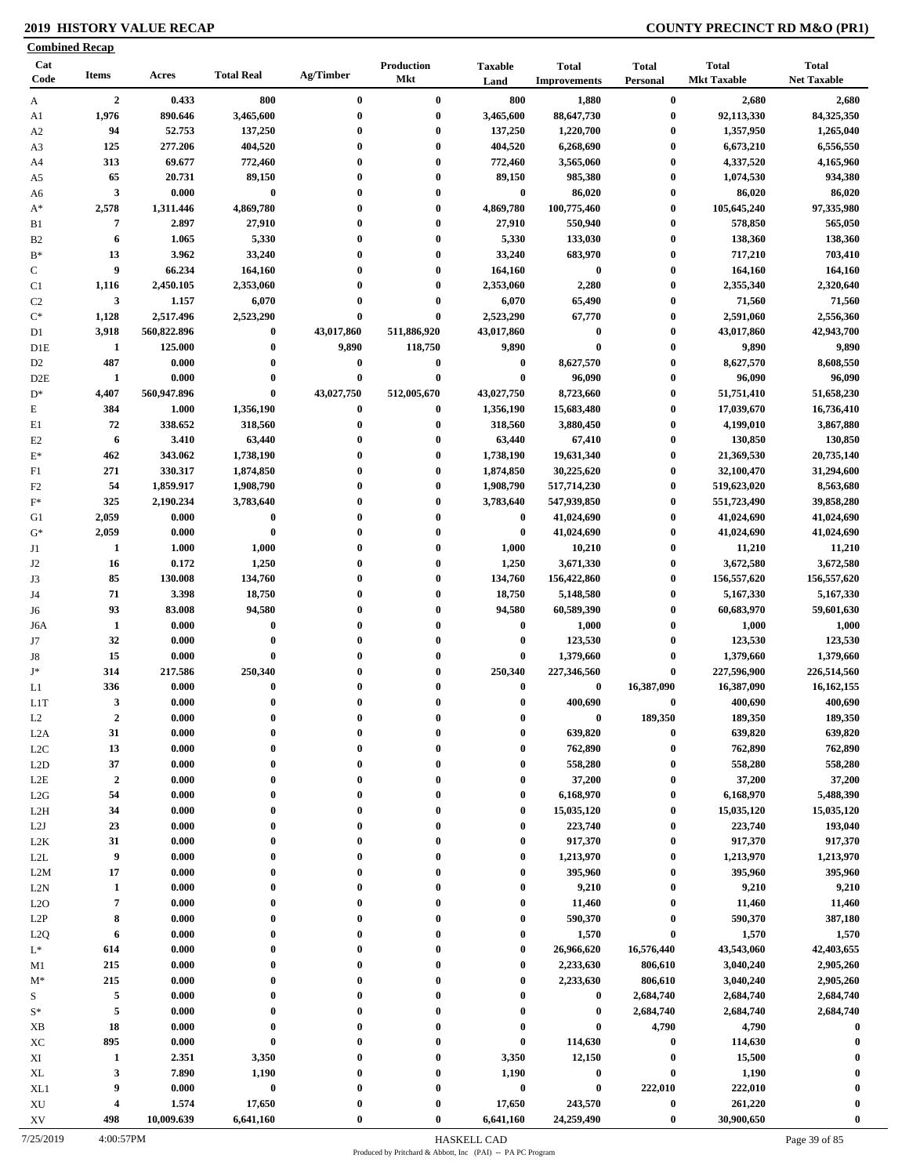### **2019 HISTORY VALUE RECAP COUNTY PRECINCT RD M&O (PR1)**

|                        | <b>Combined Recap</b>   |             |                   |              |                   |                        |                                     |                          |                                    |                                    |
|------------------------|-------------------------|-------------|-------------------|--------------|-------------------|------------------------|-------------------------------------|--------------------------|------------------------------------|------------------------------------|
| Cat<br>Code            | <b>Items</b>            | Acres       | <b>Total Real</b> | Ag/Timber    | Production<br>Mkt | <b>Taxable</b><br>Land | <b>Total</b><br><b>Improvements</b> | <b>Total</b><br>Personal | <b>Total</b><br><b>Mkt Taxable</b> | <b>Total</b><br><b>Net Taxable</b> |
| A                      | $\overline{2}$          | 0.433       | 800               | $\bf{0}$     | $\bf{0}$          | 800                    | 1,880                               | $\bf{0}$                 | 2,680                              | 2,680                              |
| A1                     | 1,976                   | 890.646     | 3,465,600         | $\bf{0}$     | $\bf{0}$          | 3,465,600              | 88,647,730                          | $\bf{0}$                 | 92,113,330                         | 84,325,350                         |
| A <sub>2</sub>         | 94                      | 52.753      | 137,250           | $\bf{0}$     | $\bf{0}$          | 137,250                | 1,220,700                           | $\bf{0}$                 | 1,357,950                          | 1,265,040                          |
| A3                     | 125                     | 277.206     | 404,520           | $\bf{0}$     | $\bf{0}$          | 404,520                | 6,268,690                           | $\bf{0}$                 | 6,673,210                          | 6,556,550                          |
| A4                     | 313                     | 69.677      | 772,460           | 0            | $\bf{0}$          | 772,460                | 3,565,060                           | $\bf{0}$                 | 4,337,520                          | 4,165,960                          |
| A5                     | 65                      | 20.731      | 89,150            | $\bf{0}$     | $\bf{0}$          | 89,150                 | 985,380                             | $\bf{0}$                 | 1,074,530                          | 934,380                            |
| A6                     | $\mathbf{3}$            | 0.000       | $\bf{0}$          | $\bf{0}$     | $\bf{0}$          | $\bf{0}$               | 86,020                              | $\boldsymbol{0}$         | 86,020                             | 86,020                             |
| $A^*$                  | 2,578                   | 1,311.446   | 4,869,780         | $\bf{0}$     | $\bf{0}$          | 4,869,780              | 100,775,460                         | $\bf{0}$                 | 105,645,240                        | 97,335,980                         |
| B1                     | 7                       | 2.897       | 27,910            | $\bf{0}$     | $\bf{0}$          | 27,910                 | 550,940                             | $\boldsymbol{0}$         | 578,850                            | 565,050                            |
| B <sub>2</sub>         | 6                       | 1.065       | 5,330             | $\bf{0}$     | $\bf{0}$          | 5,330                  | 133,030                             | $\bf{0}$                 | 138,360                            | 138,360                            |
| $B^*$                  | 13                      | 3.962       | 33,240            | $\bf{0}$     | $\bf{0}$          | 33,240                 | 683,970                             | $\bf{0}$                 | 717,210                            | 703,410                            |
| ${\bf C}$              | 9                       | 66.234      | 164,160           | $\bf{0}$     | $\bf{0}$          | 164,160                | $\bf{0}$                            | $\bf{0}$                 | 164,160                            | 164,160                            |
| C1                     | 1,116                   | 2,450.105   | 2,353,060         | $\bf{0}$     | $\bf{0}$          | 2,353,060              | 2,280                               | $\boldsymbol{0}$         | 2,355,340                          | 2,320,640                          |
| C <sub>2</sub>         | $\mathbf{3}$            | 1.157       | 6,070             | $\bf{0}$     | $\bf{0}$          | 6,070                  | 65,490                              | $\boldsymbol{0}$         | 71,560                             | 71,560                             |
| $C^*$                  | 1,128                   | 2,517.496   | 2,523,290         | $\bf{0}$     | $\bf{0}$          | 2,523,290              | 67,770                              | $\boldsymbol{0}$         | 2,591,060                          | 2,556,360                          |
| D1                     | 3,918                   | 560,822.896 | $\bf{0}$          | 43,017,860   | 511,886,920       | 43,017,860             | $\bf{0}$                            | $\boldsymbol{0}$         | 43,017,860                         | 42,943,700                         |
| D1E                    | $\mathbf{1}$            | 125.000     | $\bf{0}$          | 9,890        | 118,750           | 9,890                  | $\bf{0}$                            | $\boldsymbol{0}$         | 9,890                              | 9,890                              |
| D <sub>2</sub>         | 487                     | 0.000       | $\bf{0}$          | $\bf{0}$     | $\bf{0}$          | $\bf{0}$               | 8,627,570                           | $\bf{0}$                 | 8,627,570                          | 8,608,550                          |
| D2E                    | 1                       | 0.000       | $\bf{0}$          | $\bf{0}$     | $\bf{0}$          | $\bf{0}$               | 96,090                              | $\boldsymbol{0}$         | 96,090                             | 96,090                             |
| $\mathrm{D}^*$         | 4,407                   | 560,947.896 | $\bf{0}$          | 43,027,750   | 512,005,670       | 43,027,750             | 8,723,660                           | $\boldsymbol{0}$         | 51,751,410                         | 51,658,230                         |
|                        | 384                     | 1.000       |                   | $\bf{0}$     | $\bf{0}$          |                        |                                     | $\boldsymbol{0}$         | 17,039,670                         |                                    |
| E                      |                         |             | 1,356,190         |              |                   | 1,356,190              | 15,683,480                          |                          |                                    | 16,736,410                         |
| E1                     | 72                      | 338.652     | 318,560           | $\bf{0}$     | $\bf{0}$          | 318,560                | 3,880,450                           | $\boldsymbol{0}$         | 4,199,010                          | 3,867,880                          |
| E2                     | 6                       | 3.410       | 63,440            | $\bf{0}$     | $\bf{0}$          | 63,440                 | 67,410                              | $\boldsymbol{0}$         | 130,850                            | 130,850                            |
| $\mathbf{E}^*$         | 462                     | 343.062     | 1,738,190         | $\bf{0}$     | $\bf{0}$          | 1,738,190              | 19,631,340                          | $\bf{0}$                 | 21,369,530                         | 20,735,140                         |
| F1                     | 271                     | 330.317     | 1,874,850         | $\bf{0}$     | $\bf{0}$          | 1,874,850              | 30,225,620                          | $\boldsymbol{0}$         | 32,100,470                         | 31,294,600                         |
| F2                     | 54                      | 1,859.917   | 1,908,790         | $\bf{0}$     | $\bf{0}$          | 1,908,790              | 517,714,230                         | $\boldsymbol{0}$         | 519,623,020                        | 8,563,680                          |
| $\mathbf{F}^*$         | 325                     | 2,190.234   | 3,783,640         | 0            | $\bf{0}$          | 3,783,640              | 547,939,850                         | $\boldsymbol{0}$         | 551,723,490                        | 39,858,280                         |
| G1                     | 2,059                   | 0.000       | $\bf{0}$          | $\bf{0}$     | $\bf{0}$          | $\bf{0}$               | 41,024,690                          | $\boldsymbol{0}$         | 41,024,690                         | 41,024,690                         |
| $G^*$                  | 2,059                   | 0.000       | $\bf{0}$          | $\bf{0}$     | $\bf{0}$          | $\bf{0}$               | 41,024,690                          | $\bf{0}$                 | 41,024,690                         | 41,024,690                         |
| J1                     | -1                      | 1.000       | 1,000             | $\bf{0}$     | $\bf{0}$          | 1,000                  | 10,210                              | $\boldsymbol{0}$         | 11,210                             | 11,210                             |
| J <sub>2</sub>         | 16                      | 0.172       | 1,250             | $\mathbf{0}$ | $\bf{0}$          | 1,250                  | 3,671,330                           | $\boldsymbol{0}$         | 3,672,580                          | 3,672,580                          |
| J3                     | 85                      | 130.008     | 134,760           | $\bf{0}$     | $\bf{0}$          | 134,760                | 156,422,860                         | $\boldsymbol{0}$         | 156,557,620                        | 156,557,620                        |
| J4                     | 71                      | 3.398       | 18,750            | $\bf{0}$     | $\bf{0}$          | 18,750                 | 5,148,580                           | $\boldsymbol{0}$         | 5,167,330                          | 5,167,330                          |
| J6                     | 93                      | 83.008      | 94,580            | $\bf{0}$     | $\boldsymbol{0}$  | 94,580                 | 60,589,390                          | $\boldsymbol{0}$         | 60,683,970                         | 59,601,630                         |
| J6A                    | 1                       | 0.000       | $\bf{0}$          | $\bf{0}$     | $\bf{0}$          | $\bf{0}$               | 1,000                               | $\bf{0}$                 | 1,000                              | 1,000                              |
| J7                     | 32                      | 0.000       | $\bf{0}$          | $\bf{0}$     | $\bf{0}$          | $\bf{0}$               | 123,530                             | $\bf{0}$                 | 123,530                            | 123,530                            |
| J8                     | 15                      | 0.000       | $\bf{0}$          | 0            | $\mathbf{0}$      | 0                      | 1,379,660                           | $\bf{0}$                 | 1,379,660                          | 1,379,660                          |
| $\mathbf{J}^*$         | 314                     | 217.586     | 250,340           |              | $\bf{0}$          | 250,340                | 227,346,560                         | $\bf{0}$                 | 227,596,900                        | 226,514,560                        |
| L1                     | 336                     | 0.000       | $\bf{0}$          | $\bf{0}$     | $\bf{0}$          | $\bf{0}$               | $\bf{0}$                            | 16,387,090               | 16,387,090                         | 16, 162, 155                       |
| L1T                    | 3                       | 0.000       | $\bf{0}$          | 0            | 0                 | 0                      | 400,690                             | $\bf{0}$                 | 400.690                            | 400,690                            |
| L2                     | $\boldsymbol{2}$        | 0.000       | 0                 | 0            | $\bf{0}$          | 0                      | $\bf{0}$                            | 189,350                  | 189,350                            | 189,350                            |
| L2A                    | 31                      | 0.000       | $\bf{0}$          | 0            | $\bf{0}$          | 0                      | 639,820                             | $\bf{0}$                 | 639,820                            | 639,820                            |
| L2C                    | 13                      | 0.000       | $\bf{0}$          | $\bf{0}$     | $\bf{0}$          | $\bf{0}$               | 762,890                             | $\boldsymbol{0}$         | 762,890                            | 762,890                            |
| L2D                    | 37                      | 0.000       | $\bf{0}$          | $\bf{0}$     | $\bf{0}$          | 0                      | 558,280                             | $\boldsymbol{0}$         | 558,280                            | 558,280                            |
| L2E                    | $\overline{2}$          | 0.000       | 0                 | $\bf{0}$     | $\bf{0}$          | $\bf{0}$               | 37,200                              | $\boldsymbol{0}$         | 37,200                             | 37,200                             |
| L2G                    | 54                      | 0.000       | $\bf{0}$          | $\bf{0}$     | $\bf{0}$          | 0                      | 6,168,970                           | $\boldsymbol{0}$         | 6,168,970                          | 5,488,390                          |
| L2H                    | 34                      | 0.000       | $\bf{0}$          | $\bf{0}$     | $\bf{0}$          | $\bf{0}$               | 15,035,120                          | $\boldsymbol{0}$         | 15,035,120                         | 15,035,120                         |
| L2J                    | 23                      | 0.000       | $\mathbf{0}$      | $\bf{0}$     | $\bf{0}$          | $\mathbf{0}$           | 223,740                             | $\boldsymbol{0}$         | 223,740                            | 193,040                            |
|                        | 31                      | 0.000       | $\bf{0}$          | $\bf{0}$     | $\bf{0}$          | $\bf{0}$               | 917,370                             | $\bf{0}$                 | 917,370                            | 917,370                            |
| L2K                    | 9                       |             | $\mathbf{0}$      | $\bf{0}$     | $\bf{0}$          | $\bf{0}$               | 1,213,970                           |                          | 1,213,970                          | 1,213,970                          |
| $_{\rm L2L}$           |                         | 0.000       |                   |              |                   |                        |                                     | $\bf{0}$                 |                                    |                                    |
| L2M                    | 17                      | 0.000       | $\bf{0}$          | $\bf{0}$     | $\bf{0}$          | $\bf{0}$               | 395,960                             | $\bf{0}$                 | 395,960                            | 395,960                            |
| L2N                    | 1                       | 0.000       | $\mathbf{0}$      | $\bf{0}$     | $\bf{0}$          | $\bf{0}$               | 9,210                               | $\bf{0}$                 | 9,210                              | 9,210                              |
| L2O                    | 7                       | 0.000       | $\bf{0}$          | $\bf{0}$     | $\bf{0}$          | $\bf{0}$               | 11,460                              | $\bf{0}$                 | 11,460                             | 11,460                             |
| L2P                    | 8                       | 0.000       | $\bf{0}$          | $\bf{0}$     | $\bf{0}$          | $\mathbf{0}$           | 590,370                             | $\bf{0}$                 | 590,370                            | 387,180                            |
| L <sub>2</sub> Q       | 6                       | 0.000       | $\bf{0}$          | $\bf{0}$     | $\bf{0}$          | $\mathbf{0}$           | 1,570                               | $\bf{0}$                 | 1,570                              | 1,570                              |
| $L^*$                  | 614                     | 0.000       | $\bf{0}$          | $\bf{0}$     | $\bf{0}$          | $\bf{0}$               | 26,966,620                          | 16,576,440               | 43,543,060                         | 42,403,655                         |
| M1                     | 215                     | 0.000       | $\mathbf{0}$      | $\bf{0}$     | $\bf{0}$          | $\mathbf{0}$           | 2,233,630                           | 806,610                  | 3,040,240                          | 2,905,260                          |
| $M^*$                  | 215                     | 0.000       | $\mathbf{0}$      | $\bf{0}$     | $\bf{0}$          | $\mathbf{0}$           | 2,233,630                           | 806,610                  | 3,040,240                          | 2,905,260                          |
| S                      | 5                       | 0.000       | $\mathbf{0}$      | $\bf{0}$     | $\bf{0}$          | $\mathbf{0}$           | $\bf{0}$                            | 2,684,740                | 2,684,740                          | 2,684,740                          |
| $S^*$                  | 5                       | 0.000       | $\bf{0}$          | $\bf{0}$     | $\bf{0}$          | $\bf{0}$               | $\bf{0}$                            | 2,684,740                | 2,684,740                          | 2,684,740                          |
| XB                     | 18                      | 0.000       | $\bf{0}$          | 0            | $\bf{0}$          | $\bf{0}$               | $\pmb{0}$                           | 4,790                    | 4,790                              | $\bf{0}$                           |
| XC                     | 895                     | 0.000       | $\bf{0}$          | 0            | $\bf{0}$          | $\bf{0}$               | 114,630                             | $\bf{0}$                 | 114,630                            | $\bf{0}$                           |
| XI                     | $\mathbf{1}$            | 2.351       | 3,350             | $\bf{0}$     | $\bf{0}$          | 3,350                  | 12,150                              | $\boldsymbol{0}$         | 15,500                             | $\mathbf 0$                        |
| XL                     | 3                       | 7.890       | 1,190             | 0            | $\bf{0}$          | 1,190                  | $\boldsymbol{0}$                    | $\bf{0}$                 | 1,190                              | $\boldsymbol{0}$                   |
| XL1                    | 9                       | 0.000       | $\pmb{0}$         | 0            | $\bf{0}$          | $\pmb{0}$              | $\pmb{0}$                           | 222,010                  | 222,010                            | $\boldsymbol{0}$                   |
| XU                     | $\overline{\mathbf{4}}$ | 1.574       | 17,650            | $\bf{0}$     | $\bf{0}$          | 17,650                 | 243,570                             | $\boldsymbol{0}$         | 261,220                            | $\bf{0}$                           |
| $\mathbf{X}\mathbf{V}$ | 498                     | 10,009.639  | 6,641,160         | $\bf{0}$     | $\bf{0}$          | 6,641,160              | 24,259,490                          | $\bf{0}$                 | 30,900,650                         | $\bf{0}$                           |
|                        |                         |             |                   |              |                   |                        |                                     |                          |                                    |                                    |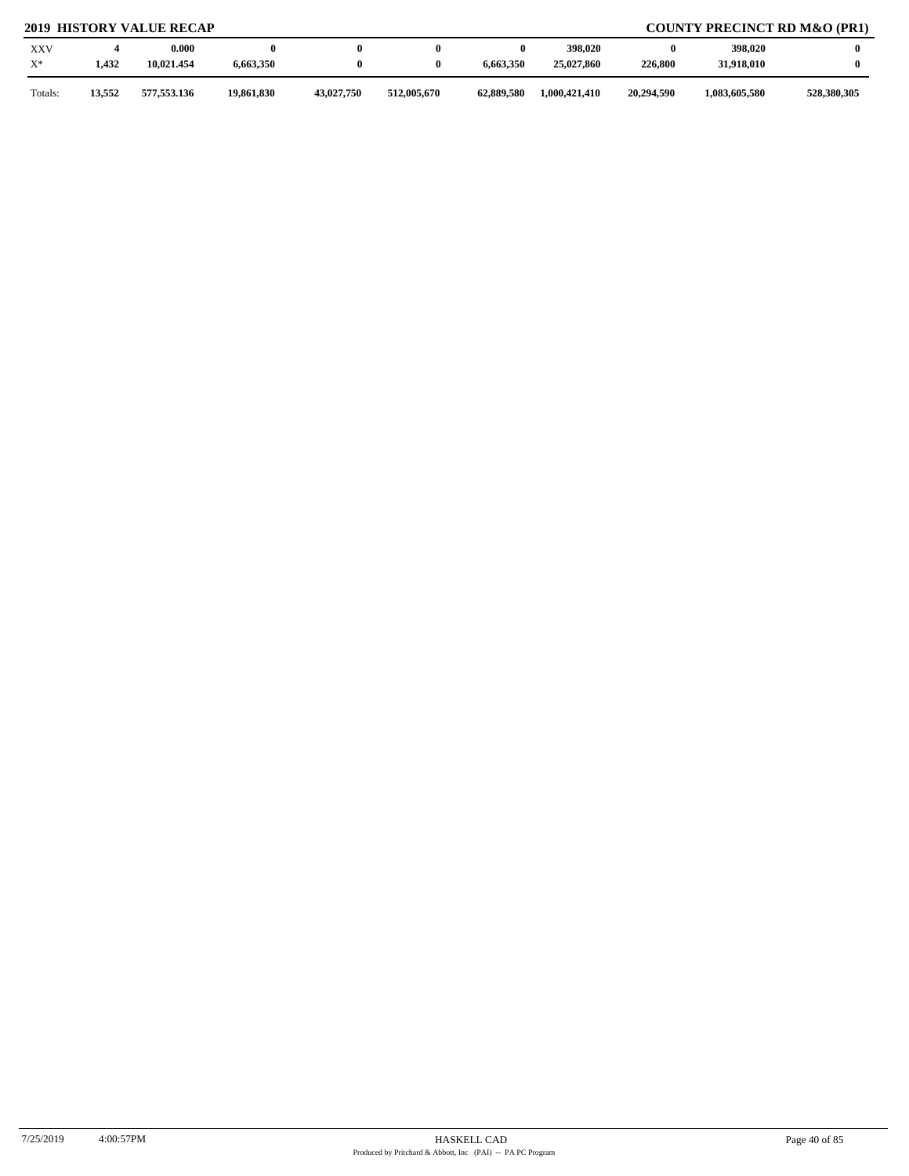# **2019 HISTORY VALUE RECAP COUNTY PRECINCT RD M&O (PR1)**

| <b>XXV</b><br>$X^*$ | 1,432  | 0.000<br>10,021.454 | 6,663,350  |            |             | 6,663,350  | 398,020<br>25,027,860 | 226,800    | 398,020<br>31,918,010 |             |
|---------------------|--------|---------------------|------------|------------|-------------|------------|-----------------------|------------|-----------------------|-------------|
| Totals:             | 13,552 | 577,553.136         | 19,861,830 | 43,027,750 | 512,005,670 | 62,889,580 | 1,000,421,410         | 20,294,590 | 1,083,605,580         | 528,380,305 |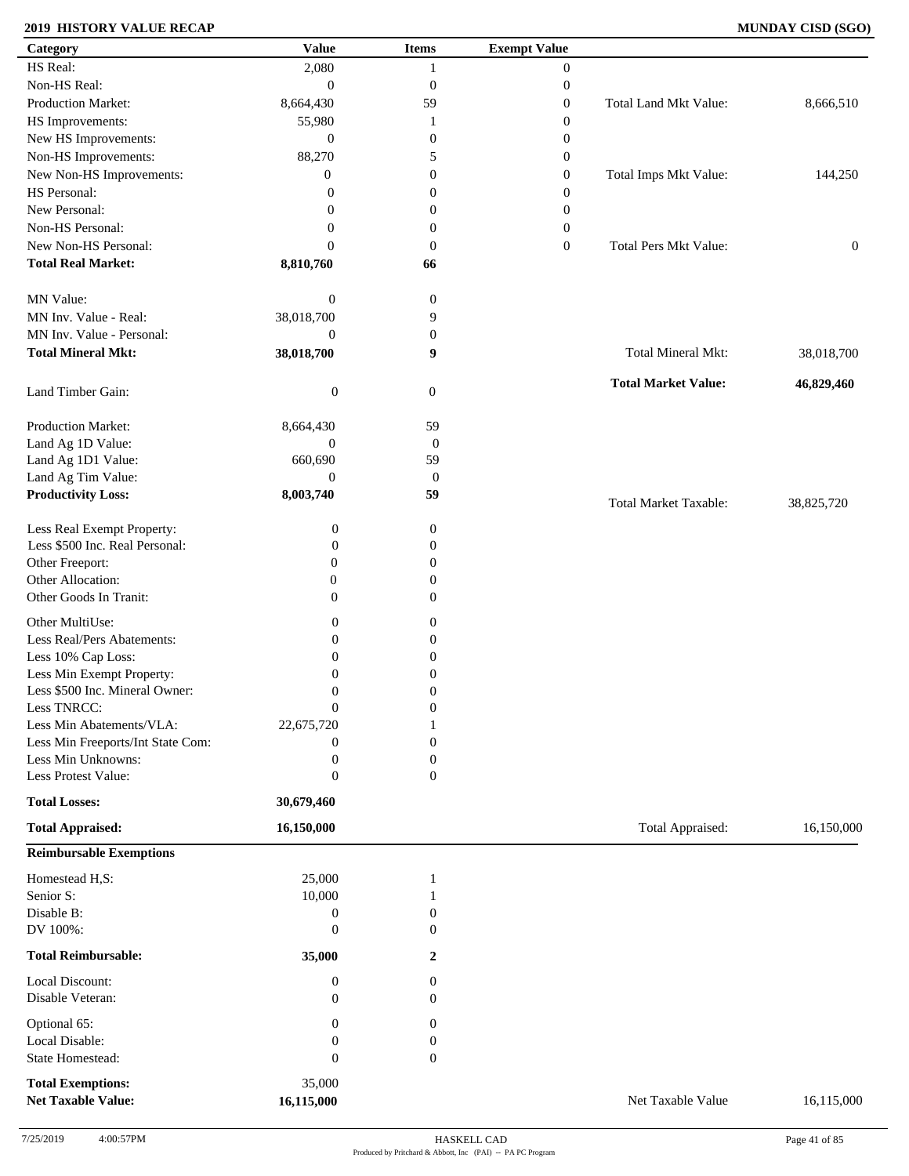### **2019 HISTORY VALUE RECAP MUNDAY CISD (SGO)**

| HS Real:<br>2,080<br>$\mathbf{0}$<br>1<br>Non-HS Real:<br>$\mathbf{0}$<br>$\boldsymbol{0}$<br>$\boldsymbol{0}$<br>Production Market:<br>Total Land Mkt Value:<br>8,664,430<br>59<br>$\boldsymbol{0}$<br>HS Improvements:<br>55,980<br>$\boldsymbol{0}$<br>1<br>New HS Improvements:<br>$\mathbf{0}$<br>$\boldsymbol{0}$<br>$\boldsymbol{0}$<br>Non-HS Improvements:<br>88,270<br>5<br>$\boldsymbol{0}$<br>New Non-HS Improvements:<br>Total Imps Mkt Value:<br>$\boldsymbol{0}$<br>$\boldsymbol{0}$<br>$\mathbf{0}$<br>HS Personal:<br>$\boldsymbol{0}$<br>$\boldsymbol{0}$<br>$\overline{0}$<br>New Personal:<br>$\boldsymbol{0}$<br>$\mathbf{0}$<br>$\boldsymbol{0}$<br>Non-HS Personal:<br>$\boldsymbol{0}$<br>$\boldsymbol{0}$<br>$\boldsymbol{0}$<br>New Non-HS Personal:<br>$\boldsymbol{0}$<br><b>Total Pers Mkt Value:</b><br>$\mathbf{0}$<br>$\mathbf{0}$<br><b>Total Real Market:</b><br>8,810,760<br>66<br>MN Value:<br>$\boldsymbol{0}$<br>$\boldsymbol{0}$<br>MN Inv. Value - Real:<br>38,018,700<br>9<br>MN Inv. Value - Personal:<br>$\boldsymbol{0}$<br>$\boldsymbol{0}$<br><b>Total Mineral Mkt:</b><br><b>Total Mineral Mkt:</b><br>38,018,700<br>9<br>38,018,700<br><b>Total Market Value:</b><br>Land Timber Gain:<br>$\boldsymbol{0}$<br>$\mathbf{0}$<br>Production Market:<br>59<br>8,664,430<br>$\boldsymbol{0}$<br>Land Ag 1D Value:<br>$\boldsymbol{0}$<br>59<br>Land Ag 1D1 Value:<br>660,690<br>Land Ag Tim Value:<br>$\mathbf{0}$<br>$\boldsymbol{0}$<br><b>Productivity Loss:</b><br>8,003,740<br>59<br><b>Total Market Taxable:</b><br>38,825,720<br>Less Real Exempt Property:<br>$\boldsymbol{0}$<br>$\boldsymbol{0}$<br>Less \$500 Inc. Real Personal:<br>$\boldsymbol{0}$<br>$\mathbf{0}$<br>Other Freeport:<br>$\mathbf{0}$<br>$\mathbf{0}$<br>Other Allocation:<br>$\boldsymbol{0}$<br>$\theta$<br>Other Goods In Tranit:<br>$\overline{0}$<br>$\mathbf{0}$<br>Other MultiUse:<br>$\boldsymbol{0}$<br>$\boldsymbol{0}$<br>Less Real/Pers Abatements:<br>$\boldsymbol{0}$<br>$\boldsymbol{0}$<br>Less 10% Cap Loss:<br>$\boldsymbol{0}$<br>$\mathbf{0}$<br>Less Min Exempt Property:<br>$\mathbf{0}$<br>$\mathbf{0}$<br>Less \$500 Inc. Mineral Owner:<br>$\mathbf{0}$<br>$\boldsymbol{0}$<br>Less TNRCC:<br>$\boldsymbol{0}$<br>$\boldsymbol{0}$<br>Less Min Abatements/VLA:<br>22,675,720<br>Less Min Freeports/Int State Com:<br>$\Omega$<br>$\boldsymbol{0}$<br>Less Min Unknowns:<br>$\boldsymbol{0}$<br>$\mathbf{0}$<br>Less Protest Value:<br>$\boldsymbol{0}$<br>$\overline{0}$<br><b>Total Losses:</b><br>30,679,460<br>Total Appraised:<br><b>Total Appraised:</b><br>16,150,000<br><b>Reimbursable Exemptions</b><br>Homestead H,S:<br>25,000<br>1<br>Senior S:<br>10,000<br>Disable B:<br>$\boldsymbol{0}$<br>$\mathbf{0}$<br>DV 100%:<br>$\boldsymbol{0}$<br>$\theta$<br><b>Total Reimbursable:</b><br>35,000<br>$\mathbf{2}$<br>Local Discount:<br>$\boldsymbol{0}$<br>$\overline{0}$<br>Disable Veteran:<br>$\mathbf{0}$<br>$\overline{0}$<br>Optional 65:<br>$\boldsymbol{0}$<br>0<br>Local Disable:<br>$\boldsymbol{0}$<br>$\boldsymbol{0}$<br>State Homestead:<br>$\boldsymbol{0}$<br>$\boldsymbol{0}$<br>35,000<br><b>Total Exemptions:</b><br><b>Net Taxable Value:</b><br>16,115,000<br>Net Taxable Value | Category | <b>Value</b> | <b>Items</b> | <b>Exempt Value</b> |                  |
|-------------------------------------------------------------------------------------------------------------------------------------------------------------------------------------------------------------------------------------------------------------------------------------------------------------------------------------------------------------------------------------------------------------------------------------------------------------------------------------------------------------------------------------------------------------------------------------------------------------------------------------------------------------------------------------------------------------------------------------------------------------------------------------------------------------------------------------------------------------------------------------------------------------------------------------------------------------------------------------------------------------------------------------------------------------------------------------------------------------------------------------------------------------------------------------------------------------------------------------------------------------------------------------------------------------------------------------------------------------------------------------------------------------------------------------------------------------------------------------------------------------------------------------------------------------------------------------------------------------------------------------------------------------------------------------------------------------------------------------------------------------------------------------------------------------------------------------------------------------------------------------------------------------------------------------------------------------------------------------------------------------------------------------------------------------------------------------------------------------------------------------------------------------------------------------------------------------------------------------------------------------------------------------------------------------------------------------------------------------------------------------------------------------------------------------------------------------------------------------------------------------------------------------------------------------------------------------------------------------------------------------------------------------------------------------------------------------------------------------------------------------------------------------------------------------------------------------------------------------------------------------------------------------------------------------------------------------------------------------------------------------------------------------------------------------------------------------------------------------------------------------------------------------------------------------------------------------------------------------------------------------------|----------|--------------|--------------|---------------------|------------------|
|                                                                                                                                                                                                                                                                                                                                                                                                                                                                                                                                                                                                                                                                                                                                                                                                                                                                                                                                                                                                                                                                                                                                                                                                                                                                                                                                                                                                                                                                                                                                                                                                                                                                                                                                                                                                                                                                                                                                                                                                                                                                                                                                                                                                                                                                                                                                                                                                                                                                                                                                                                                                                                                                                                                                                                                                                                                                                                                                                                                                                                                                                                                                                                                                                                                                   |          |              |              |                     |                  |
|                                                                                                                                                                                                                                                                                                                                                                                                                                                                                                                                                                                                                                                                                                                                                                                                                                                                                                                                                                                                                                                                                                                                                                                                                                                                                                                                                                                                                                                                                                                                                                                                                                                                                                                                                                                                                                                                                                                                                                                                                                                                                                                                                                                                                                                                                                                                                                                                                                                                                                                                                                                                                                                                                                                                                                                                                                                                                                                                                                                                                                                                                                                                                                                                                                                                   |          |              |              |                     |                  |
|                                                                                                                                                                                                                                                                                                                                                                                                                                                                                                                                                                                                                                                                                                                                                                                                                                                                                                                                                                                                                                                                                                                                                                                                                                                                                                                                                                                                                                                                                                                                                                                                                                                                                                                                                                                                                                                                                                                                                                                                                                                                                                                                                                                                                                                                                                                                                                                                                                                                                                                                                                                                                                                                                                                                                                                                                                                                                                                                                                                                                                                                                                                                                                                                                                                                   |          |              |              |                     | 8,666,510        |
|                                                                                                                                                                                                                                                                                                                                                                                                                                                                                                                                                                                                                                                                                                                                                                                                                                                                                                                                                                                                                                                                                                                                                                                                                                                                                                                                                                                                                                                                                                                                                                                                                                                                                                                                                                                                                                                                                                                                                                                                                                                                                                                                                                                                                                                                                                                                                                                                                                                                                                                                                                                                                                                                                                                                                                                                                                                                                                                                                                                                                                                                                                                                                                                                                                                                   |          |              |              |                     |                  |
|                                                                                                                                                                                                                                                                                                                                                                                                                                                                                                                                                                                                                                                                                                                                                                                                                                                                                                                                                                                                                                                                                                                                                                                                                                                                                                                                                                                                                                                                                                                                                                                                                                                                                                                                                                                                                                                                                                                                                                                                                                                                                                                                                                                                                                                                                                                                                                                                                                                                                                                                                                                                                                                                                                                                                                                                                                                                                                                                                                                                                                                                                                                                                                                                                                                                   |          |              |              |                     |                  |
|                                                                                                                                                                                                                                                                                                                                                                                                                                                                                                                                                                                                                                                                                                                                                                                                                                                                                                                                                                                                                                                                                                                                                                                                                                                                                                                                                                                                                                                                                                                                                                                                                                                                                                                                                                                                                                                                                                                                                                                                                                                                                                                                                                                                                                                                                                                                                                                                                                                                                                                                                                                                                                                                                                                                                                                                                                                                                                                                                                                                                                                                                                                                                                                                                                                                   |          |              |              |                     |                  |
|                                                                                                                                                                                                                                                                                                                                                                                                                                                                                                                                                                                                                                                                                                                                                                                                                                                                                                                                                                                                                                                                                                                                                                                                                                                                                                                                                                                                                                                                                                                                                                                                                                                                                                                                                                                                                                                                                                                                                                                                                                                                                                                                                                                                                                                                                                                                                                                                                                                                                                                                                                                                                                                                                                                                                                                                                                                                                                                                                                                                                                                                                                                                                                                                                                                                   |          |              |              |                     | 144,250          |
|                                                                                                                                                                                                                                                                                                                                                                                                                                                                                                                                                                                                                                                                                                                                                                                                                                                                                                                                                                                                                                                                                                                                                                                                                                                                                                                                                                                                                                                                                                                                                                                                                                                                                                                                                                                                                                                                                                                                                                                                                                                                                                                                                                                                                                                                                                                                                                                                                                                                                                                                                                                                                                                                                                                                                                                                                                                                                                                                                                                                                                                                                                                                                                                                                                                                   |          |              |              |                     |                  |
|                                                                                                                                                                                                                                                                                                                                                                                                                                                                                                                                                                                                                                                                                                                                                                                                                                                                                                                                                                                                                                                                                                                                                                                                                                                                                                                                                                                                                                                                                                                                                                                                                                                                                                                                                                                                                                                                                                                                                                                                                                                                                                                                                                                                                                                                                                                                                                                                                                                                                                                                                                                                                                                                                                                                                                                                                                                                                                                                                                                                                                                                                                                                                                                                                                                                   |          |              |              |                     |                  |
|                                                                                                                                                                                                                                                                                                                                                                                                                                                                                                                                                                                                                                                                                                                                                                                                                                                                                                                                                                                                                                                                                                                                                                                                                                                                                                                                                                                                                                                                                                                                                                                                                                                                                                                                                                                                                                                                                                                                                                                                                                                                                                                                                                                                                                                                                                                                                                                                                                                                                                                                                                                                                                                                                                                                                                                                                                                                                                                                                                                                                                                                                                                                                                                                                                                                   |          |              |              |                     |                  |
|                                                                                                                                                                                                                                                                                                                                                                                                                                                                                                                                                                                                                                                                                                                                                                                                                                                                                                                                                                                                                                                                                                                                                                                                                                                                                                                                                                                                                                                                                                                                                                                                                                                                                                                                                                                                                                                                                                                                                                                                                                                                                                                                                                                                                                                                                                                                                                                                                                                                                                                                                                                                                                                                                                                                                                                                                                                                                                                                                                                                                                                                                                                                                                                                                                                                   |          |              |              |                     | $\boldsymbol{0}$ |
|                                                                                                                                                                                                                                                                                                                                                                                                                                                                                                                                                                                                                                                                                                                                                                                                                                                                                                                                                                                                                                                                                                                                                                                                                                                                                                                                                                                                                                                                                                                                                                                                                                                                                                                                                                                                                                                                                                                                                                                                                                                                                                                                                                                                                                                                                                                                                                                                                                                                                                                                                                                                                                                                                                                                                                                                                                                                                                                                                                                                                                                                                                                                                                                                                                                                   |          |              |              |                     |                  |
|                                                                                                                                                                                                                                                                                                                                                                                                                                                                                                                                                                                                                                                                                                                                                                                                                                                                                                                                                                                                                                                                                                                                                                                                                                                                                                                                                                                                                                                                                                                                                                                                                                                                                                                                                                                                                                                                                                                                                                                                                                                                                                                                                                                                                                                                                                                                                                                                                                                                                                                                                                                                                                                                                                                                                                                                                                                                                                                                                                                                                                                                                                                                                                                                                                                                   |          |              |              |                     |                  |
|                                                                                                                                                                                                                                                                                                                                                                                                                                                                                                                                                                                                                                                                                                                                                                                                                                                                                                                                                                                                                                                                                                                                                                                                                                                                                                                                                                                                                                                                                                                                                                                                                                                                                                                                                                                                                                                                                                                                                                                                                                                                                                                                                                                                                                                                                                                                                                                                                                                                                                                                                                                                                                                                                                                                                                                                                                                                                                                                                                                                                                                                                                                                                                                                                                                                   |          |              |              |                     |                  |
|                                                                                                                                                                                                                                                                                                                                                                                                                                                                                                                                                                                                                                                                                                                                                                                                                                                                                                                                                                                                                                                                                                                                                                                                                                                                                                                                                                                                                                                                                                                                                                                                                                                                                                                                                                                                                                                                                                                                                                                                                                                                                                                                                                                                                                                                                                                                                                                                                                                                                                                                                                                                                                                                                                                                                                                                                                                                                                                                                                                                                                                                                                                                                                                                                                                                   |          |              |              |                     |                  |
|                                                                                                                                                                                                                                                                                                                                                                                                                                                                                                                                                                                                                                                                                                                                                                                                                                                                                                                                                                                                                                                                                                                                                                                                                                                                                                                                                                                                                                                                                                                                                                                                                                                                                                                                                                                                                                                                                                                                                                                                                                                                                                                                                                                                                                                                                                                                                                                                                                                                                                                                                                                                                                                                                                                                                                                                                                                                                                                                                                                                                                                                                                                                                                                                                                                                   |          |              |              |                     |                  |
|                                                                                                                                                                                                                                                                                                                                                                                                                                                                                                                                                                                                                                                                                                                                                                                                                                                                                                                                                                                                                                                                                                                                                                                                                                                                                                                                                                                                                                                                                                                                                                                                                                                                                                                                                                                                                                                                                                                                                                                                                                                                                                                                                                                                                                                                                                                                                                                                                                                                                                                                                                                                                                                                                                                                                                                                                                                                                                                                                                                                                                                                                                                                                                                                                                                                   |          |              |              |                     |                  |
|                                                                                                                                                                                                                                                                                                                                                                                                                                                                                                                                                                                                                                                                                                                                                                                                                                                                                                                                                                                                                                                                                                                                                                                                                                                                                                                                                                                                                                                                                                                                                                                                                                                                                                                                                                                                                                                                                                                                                                                                                                                                                                                                                                                                                                                                                                                                                                                                                                                                                                                                                                                                                                                                                                                                                                                                                                                                                                                                                                                                                                                                                                                                                                                                                                                                   |          |              |              |                     | 46,829,460       |
|                                                                                                                                                                                                                                                                                                                                                                                                                                                                                                                                                                                                                                                                                                                                                                                                                                                                                                                                                                                                                                                                                                                                                                                                                                                                                                                                                                                                                                                                                                                                                                                                                                                                                                                                                                                                                                                                                                                                                                                                                                                                                                                                                                                                                                                                                                                                                                                                                                                                                                                                                                                                                                                                                                                                                                                                                                                                                                                                                                                                                                                                                                                                                                                                                                                                   |          |              |              |                     |                  |
|                                                                                                                                                                                                                                                                                                                                                                                                                                                                                                                                                                                                                                                                                                                                                                                                                                                                                                                                                                                                                                                                                                                                                                                                                                                                                                                                                                                                                                                                                                                                                                                                                                                                                                                                                                                                                                                                                                                                                                                                                                                                                                                                                                                                                                                                                                                                                                                                                                                                                                                                                                                                                                                                                                                                                                                                                                                                                                                                                                                                                                                                                                                                                                                                                                                                   |          |              |              |                     |                  |
|                                                                                                                                                                                                                                                                                                                                                                                                                                                                                                                                                                                                                                                                                                                                                                                                                                                                                                                                                                                                                                                                                                                                                                                                                                                                                                                                                                                                                                                                                                                                                                                                                                                                                                                                                                                                                                                                                                                                                                                                                                                                                                                                                                                                                                                                                                                                                                                                                                                                                                                                                                                                                                                                                                                                                                                                                                                                                                                                                                                                                                                                                                                                                                                                                                                                   |          |              |              |                     |                  |
|                                                                                                                                                                                                                                                                                                                                                                                                                                                                                                                                                                                                                                                                                                                                                                                                                                                                                                                                                                                                                                                                                                                                                                                                                                                                                                                                                                                                                                                                                                                                                                                                                                                                                                                                                                                                                                                                                                                                                                                                                                                                                                                                                                                                                                                                                                                                                                                                                                                                                                                                                                                                                                                                                                                                                                                                                                                                                                                                                                                                                                                                                                                                                                                                                                                                   |          |              |              |                     |                  |
|                                                                                                                                                                                                                                                                                                                                                                                                                                                                                                                                                                                                                                                                                                                                                                                                                                                                                                                                                                                                                                                                                                                                                                                                                                                                                                                                                                                                                                                                                                                                                                                                                                                                                                                                                                                                                                                                                                                                                                                                                                                                                                                                                                                                                                                                                                                                                                                                                                                                                                                                                                                                                                                                                                                                                                                                                                                                                                                                                                                                                                                                                                                                                                                                                                                                   |          |              |              |                     |                  |
|                                                                                                                                                                                                                                                                                                                                                                                                                                                                                                                                                                                                                                                                                                                                                                                                                                                                                                                                                                                                                                                                                                                                                                                                                                                                                                                                                                                                                                                                                                                                                                                                                                                                                                                                                                                                                                                                                                                                                                                                                                                                                                                                                                                                                                                                                                                                                                                                                                                                                                                                                                                                                                                                                                                                                                                                                                                                                                                                                                                                                                                                                                                                                                                                                                                                   |          |              |              |                     |                  |
|                                                                                                                                                                                                                                                                                                                                                                                                                                                                                                                                                                                                                                                                                                                                                                                                                                                                                                                                                                                                                                                                                                                                                                                                                                                                                                                                                                                                                                                                                                                                                                                                                                                                                                                                                                                                                                                                                                                                                                                                                                                                                                                                                                                                                                                                                                                                                                                                                                                                                                                                                                                                                                                                                                                                                                                                                                                                                                                                                                                                                                                                                                                                                                                                                                                                   |          |              |              |                     |                  |
|                                                                                                                                                                                                                                                                                                                                                                                                                                                                                                                                                                                                                                                                                                                                                                                                                                                                                                                                                                                                                                                                                                                                                                                                                                                                                                                                                                                                                                                                                                                                                                                                                                                                                                                                                                                                                                                                                                                                                                                                                                                                                                                                                                                                                                                                                                                                                                                                                                                                                                                                                                                                                                                                                                                                                                                                                                                                                                                                                                                                                                                                                                                                                                                                                                                                   |          |              |              |                     |                  |
|                                                                                                                                                                                                                                                                                                                                                                                                                                                                                                                                                                                                                                                                                                                                                                                                                                                                                                                                                                                                                                                                                                                                                                                                                                                                                                                                                                                                                                                                                                                                                                                                                                                                                                                                                                                                                                                                                                                                                                                                                                                                                                                                                                                                                                                                                                                                                                                                                                                                                                                                                                                                                                                                                                                                                                                                                                                                                                                                                                                                                                                                                                                                                                                                                                                                   |          |              |              |                     |                  |
|                                                                                                                                                                                                                                                                                                                                                                                                                                                                                                                                                                                                                                                                                                                                                                                                                                                                                                                                                                                                                                                                                                                                                                                                                                                                                                                                                                                                                                                                                                                                                                                                                                                                                                                                                                                                                                                                                                                                                                                                                                                                                                                                                                                                                                                                                                                                                                                                                                                                                                                                                                                                                                                                                                                                                                                                                                                                                                                                                                                                                                                                                                                                                                                                                                                                   |          |              |              |                     |                  |
|                                                                                                                                                                                                                                                                                                                                                                                                                                                                                                                                                                                                                                                                                                                                                                                                                                                                                                                                                                                                                                                                                                                                                                                                                                                                                                                                                                                                                                                                                                                                                                                                                                                                                                                                                                                                                                                                                                                                                                                                                                                                                                                                                                                                                                                                                                                                                                                                                                                                                                                                                                                                                                                                                                                                                                                                                                                                                                                                                                                                                                                                                                                                                                                                                                                                   |          |              |              |                     |                  |
|                                                                                                                                                                                                                                                                                                                                                                                                                                                                                                                                                                                                                                                                                                                                                                                                                                                                                                                                                                                                                                                                                                                                                                                                                                                                                                                                                                                                                                                                                                                                                                                                                                                                                                                                                                                                                                                                                                                                                                                                                                                                                                                                                                                                                                                                                                                                                                                                                                                                                                                                                                                                                                                                                                                                                                                                                                                                                                                                                                                                                                                                                                                                                                                                                                                                   |          |              |              |                     |                  |
|                                                                                                                                                                                                                                                                                                                                                                                                                                                                                                                                                                                                                                                                                                                                                                                                                                                                                                                                                                                                                                                                                                                                                                                                                                                                                                                                                                                                                                                                                                                                                                                                                                                                                                                                                                                                                                                                                                                                                                                                                                                                                                                                                                                                                                                                                                                                                                                                                                                                                                                                                                                                                                                                                                                                                                                                                                                                                                                                                                                                                                                                                                                                                                                                                                                                   |          |              |              |                     |                  |
|                                                                                                                                                                                                                                                                                                                                                                                                                                                                                                                                                                                                                                                                                                                                                                                                                                                                                                                                                                                                                                                                                                                                                                                                                                                                                                                                                                                                                                                                                                                                                                                                                                                                                                                                                                                                                                                                                                                                                                                                                                                                                                                                                                                                                                                                                                                                                                                                                                                                                                                                                                                                                                                                                                                                                                                                                                                                                                                                                                                                                                                                                                                                                                                                                                                                   |          |              |              |                     |                  |
|                                                                                                                                                                                                                                                                                                                                                                                                                                                                                                                                                                                                                                                                                                                                                                                                                                                                                                                                                                                                                                                                                                                                                                                                                                                                                                                                                                                                                                                                                                                                                                                                                                                                                                                                                                                                                                                                                                                                                                                                                                                                                                                                                                                                                                                                                                                                                                                                                                                                                                                                                                                                                                                                                                                                                                                                                                                                                                                                                                                                                                                                                                                                                                                                                                                                   |          |              |              |                     |                  |
|                                                                                                                                                                                                                                                                                                                                                                                                                                                                                                                                                                                                                                                                                                                                                                                                                                                                                                                                                                                                                                                                                                                                                                                                                                                                                                                                                                                                                                                                                                                                                                                                                                                                                                                                                                                                                                                                                                                                                                                                                                                                                                                                                                                                                                                                                                                                                                                                                                                                                                                                                                                                                                                                                                                                                                                                                                                                                                                                                                                                                                                                                                                                                                                                                                                                   |          |              |              |                     |                  |
|                                                                                                                                                                                                                                                                                                                                                                                                                                                                                                                                                                                                                                                                                                                                                                                                                                                                                                                                                                                                                                                                                                                                                                                                                                                                                                                                                                                                                                                                                                                                                                                                                                                                                                                                                                                                                                                                                                                                                                                                                                                                                                                                                                                                                                                                                                                                                                                                                                                                                                                                                                                                                                                                                                                                                                                                                                                                                                                                                                                                                                                                                                                                                                                                                                                                   |          |              |              |                     |                  |
|                                                                                                                                                                                                                                                                                                                                                                                                                                                                                                                                                                                                                                                                                                                                                                                                                                                                                                                                                                                                                                                                                                                                                                                                                                                                                                                                                                                                                                                                                                                                                                                                                                                                                                                                                                                                                                                                                                                                                                                                                                                                                                                                                                                                                                                                                                                                                                                                                                                                                                                                                                                                                                                                                                                                                                                                                                                                                                                                                                                                                                                                                                                                                                                                                                                                   |          |              |              |                     |                  |
|                                                                                                                                                                                                                                                                                                                                                                                                                                                                                                                                                                                                                                                                                                                                                                                                                                                                                                                                                                                                                                                                                                                                                                                                                                                                                                                                                                                                                                                                                                                                                                                                                                                                                                                                                                                                                                                                                                                                                                                                                                                                                                                                                                                                                                                                                                                                                                                                                                                                                                                                                                                                                                                                                                                                                                                                                                                                                                                                                                                                                                                                                                                                                                                                                                                                   |          |              |              |                     |                  |
|                                                                                                                                                                                                                                                                                                                                                                                                                                                                                                                                                                                                                                                                                                                                                                                                                                                                                                                                                                                                                                                                                                                                                                                                                                                                                                                                                                                                                                                                                                                                                                                                                                                                                                                                                                                                                                                                                                                                                                                                                                                                                                                                                                                                                                                                                                                                                                                                                                                                                                                                                                                                                                                                                                                                                                                                                                                                                                                                                                                                                                                                                                                                                                                                                                                                   |          |              |              |                     |                  |
|                                                                                                                                                                                                                                                                                                                                                                                                                                                                                                                                                                                                                                                                                                                                                                                                                                                                                                                                                                                                                                                                                                                                                                                                                                                                                                                                                                                                                                                                                                                                                                                                                                                                                                                                                                                                                                                                                                                                                                                                                                                                                                                                                                                                                                                                                                                                                                                                                                                                                                                                                                                                                                                                                                                                                                                                                                                                                                                                                                                                                                                                                                                                                                                                                                                                   |          |              |              |                     |                  |
|                                                                                                                                                                                                                                                                                                                                                                                                                                                                                                                                                                                                                                                                                                                                                                                                                                                                                                                                                                                                                                                                                                                                                                                                                                                                                                                                                                                                                                                                                                                                                                                                                                                                                                                                                                                                                                                                                                                                                                                                                                                                                                                                                                                                                                                                                                                                                                                                                                                                                                                                                                                                                                                                                                                                                                                                                                                                                                                                                                                                                                                                                                                                                                                                                                                                   |          |              |              |                     | 16,150,000       |
|                                                                                                                                                                                                                                                                                                                                                                                                                                                                                                                                                                                                                                                                                                                                                                                                                                                                                                                                                                                                                                                                                                                                                                                                                                                                                                                                                                                                                                                                                                                                                                                                                                                                                                                                                                                                                                                                                                                                                                                                                                                                                                                                                                                                                                                                                                                                                                                                                                                                                                                                                                                                                                                                                                                                                                                                                                                                                                                                                                                                                                                                                                                                                                                                                                                                   |          |              |              |                     |                  |
|                                                                                                                                                                                                                                                                                                                                                                                                                                                                                                                                                                                                                                                                                                                                                                                                                                                                                                                                                                                                                                                                                                                                                                                                                                                                                                                                                                                                                                                                                                                                                                                                                                                                                                                                                                                                                                                                                                                                                                                                                                                                                                                                                                                                                                                                                                                                                                                                                                                                                                                                                                                                                                                                                                                                                                                                                                                                                                                                                                                                                                                                                                                                                                                                                                                                   |          |              |              |                     |                  |
|                                                                                                                                                                                                                                                                                                                                                                                                                                                                                                                                                                                                                                                                                                                                                                                                                                                                                                                                                                                                                                                                                                                                                                                                                                                                                                                                                                                                                                                                                                                                                                                                                                                                                                                                                                                                                                                                                                                                                                                                                                                                                                                                                                                                                                                                                                                                                                                                                                                                                                                                                                                                                                                                                                                                                                                                                                                                                                                                                                                                                                                                                                                                                                                                                                                                   |          |              |              |                     |                  |
|                                                                                                                                                                                                                                                                                                                                                                                                                                                                                                                                                                                                                                                                                                                                                                                                                                                                                                                                                                                                                                                                                                                                                                                                                                                                                                                                                                                                                                                                                                                                                                                                                                                                                                                                                                                                                                                                                                                                                                                                                                                                                                                                                                                                                                                                                                                                                                                                                                                                                                                                                                                                                                                                                                                                                                                                                                                                                                                                                                                                                                                                                                                                                                                                                                                                   |          |              |              |                     |                  |
|                                                                                                                                                                                                                                                                                                                                                                                                                                                                                                                                                                                                                                                                                                                                                                                                                                                                                                                                                                                                                                                                                                                                                                                                                                                                                                                                                                                                                                                                                                                                                                                                                                                                                                                                                                                                                                                                                                                                                                                                                                                                                                                                                                                                                                                                                                                                                                                                                                                                                                                                                                                                                                                                                                                                                                                                                                                                                                                                                                                                                                                                                                                                                                                                                                                                   |          |              |              |                     |                  |
|                                                                                                                                                                                                                                                                                                                                                                                                                                                                                                                                                                                                                                                                                                                                                                                                                                                                                                                                                                                                                                                                                                                                                                                                                                                                                                                                                                                                                                                                                                                                                                                                                                                                                                                                                                                                                                                                                                                                                                                                                                                                                                                                                                                                                                                                                                                                                                                                                                                                                                                                                                                                                                                                                                                                                                                                                                                                                                                                                                                                                                                                                                                                                                                                                                                                   |          |              |              |                     |                  |
|                                                                                                                                                                                                                                                                                                                                                                                                                                                                                                                                                                                                                                                                                                                                                                                                                                                                                                                                                                                                                                                                                                                                                                                                                                                                                                                                                                                                                                                                                                                                                                                                                                                                                                                                                                                                                                                                                                                                                                                                                                                                                                                                                                                                                                                                                                                                                                                                                                                                                                                                                                                                                                                                                                                                                                                                                                                                                                                                                                                                                                                                                                                                                                                                                                                                   |          |              |              |                     |                  |
|                                                                                                                                                                                                                                                                                                                                                                                                                                                                                                                                                                                                                                                                                                                                                                                                                                                                                                                                                                                                                                                                                                                                                                                                                                                                                                                                                                                                                                                                                                                                                                                                                                                                                                                                                                                                                                                                                                                                                                                                                                                                                                                                                                                                                                                                                                                                                                                                                                                                                                                                                                                                                                                                                                                                                                                                                                                                                                                                                                                                                                                                                                                                                                                                                                                                   |          |              |              |                     |                  |
|                                                                                                                                                                                                                                                                                                                                                                                                                                                                                                                                                                                                                                                                                                                                                                                                                                                                                                                                                                                                                                                                                                                                                                                                                                                                                                                                                                                                                                                                                                                                                                                                                                                                                                                                                                                                                                                                                                                                                                                                                                                                                                                                                                                                                                                                                                                                                                                                                                                                                                                                                                                                                                                                                                                                                                                                                                                                                                                                                                                                                                                                                                                                                                                                                                                                   |          |              |              |                     |                  |
|                                                                                                                                                                                                                                                                                                                                                                                                                                                                                                                                                                                                                                                                                                                                                                                                                                                                                                                                                                                                                                                                                                                                                                                                                                                                                                                                                                                                                                                                                                                                                                                                                                                                                                                                                                                                                                                                                                                                                                                                                                                                                                                                                                                                                                                                                                                                                                                                                                                                                                                                                                                                                                                                                                                                                                                                                                                                                                                                                                                                                                                                                                                                                                                                                                                                   |          |              |              |                     |                  |
|                                                                                                                                                                                                                                                                                                                                                                                                                                                                                                                                                                                                                                                                                                                                                                                                                                                                                                                                                                                                                                                                                                                                                                                                                                                                                                                                                                                                                                                                                                                                                                                                                                                                                                                                                                                                                                                                                                                                                                                                                                                                                                                                                                                                                                                                                                                                                                                                                                                                                                                                                                                                                                                                                                                                                                                                                                                                                                                                                                                                                                                                                                                                                                                                                                                                   |          |              |              |                     |                  |
|                                                                                                                                                                                                                                                                                                                                                                                                                                                                                                                                                                                                                                                                                                                                                                                                                                                                                                                                                                                                                                                                                                                                                                                                                                                                                                                                                                                                                                                                                                                                                                                                                                                                                                                                                                                                                                                                                                                                                                                                                                                                                                                                                                                                                                                                                                                                                                                                                                                                                                                                                                                                                                                                                                                                                                                                                                                                                                                                                                                                                                                                                                                                                                                                                                                                   |          |              |              |                     |                  |
|                                                                                                                                                                                                                                                                                                                                                                                                                                                                                                                                                                                                                                                                                                                                                                                                                                                                                                                                                                                                                                                                                                                                                                                                                                                                                                                                                                                                                                                                                                                                                                                                                                                                                                                                                                                                                                                                                                                                                                                                                                                                                                                                                                                                                                                                                                                                                                                                                                                                                                                                                                                                                                                                                                                                                                                                                                                                                                                                                                                                                                                                                                                                                                                                                                                                   |          |              |              |                     | 16,115,000       |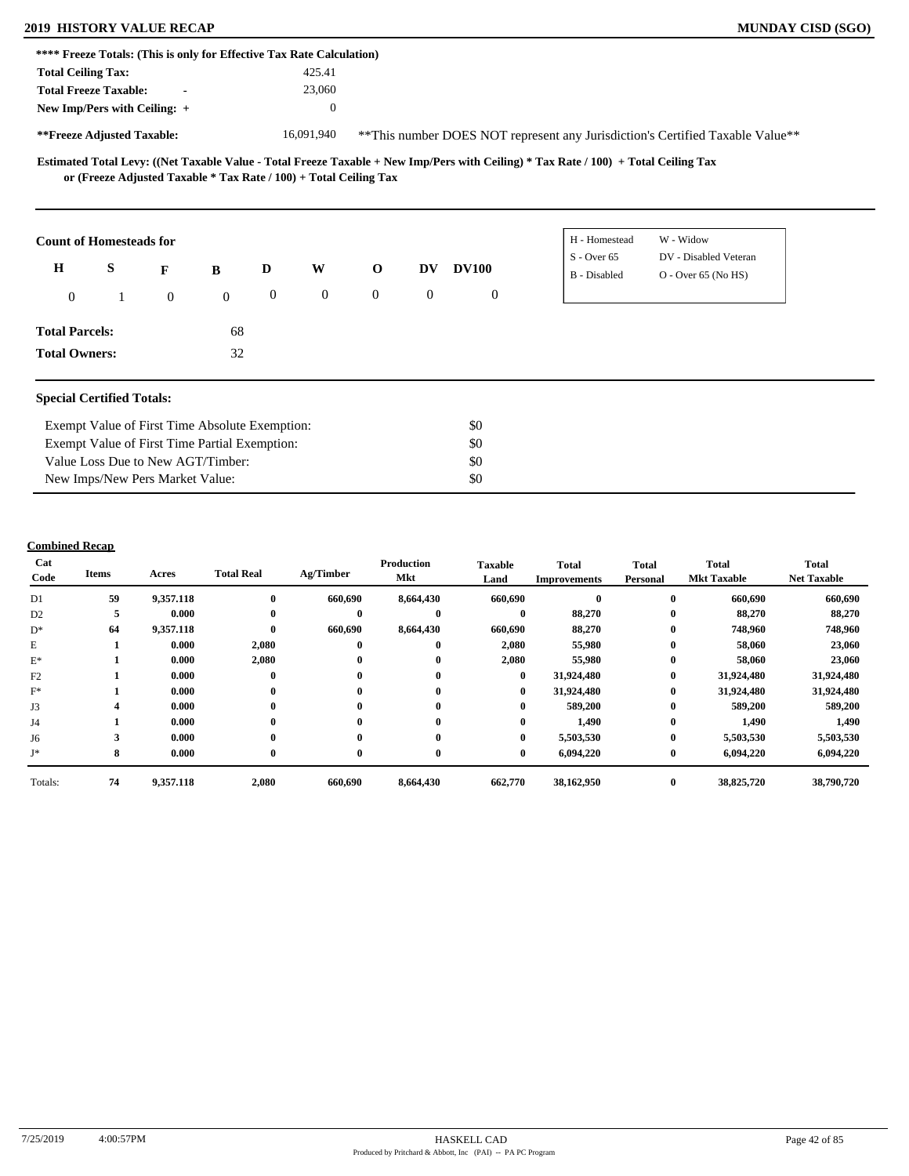### **2019 HISTORY VALUE RECAP MUNDAY CISD (SGO)**

| **** Freeze Totals: (This is only for Effective Tax Rate Calculation) |   |                                                |              |              |              |                                                                   |                                                                               |              |                                                                                                                                     |                                                |  |  |  |
|-----------------------------------------------------------------------|---|------------------------------------------------|--------------|--------------|--------------|-------------------------------------------------------------------|-------------------------------------------------------------------------------|--------------|-------------------------------------------------------------------------------------------------------------------------------------|------------------------------------------------|--|--|--|
| <b>Total Ceiling Tax:</b>                                             |   |                                                |              |              | 425.41       |                                                                   |                                                                               |              |                                                                                                                                     |                                                |  |  |  |
| <b>Total Freeze Taxable:</b>                                          |   |                                                |              |              | 23,060       |                                                                   |                                                                               |              |                                                                                                                                     |                                                |  |  |  |
| New Imp/Pers with Ceiling: +                                          |   |                                                |              |              | $\theta$     |                                                                   |                                                                               |              |                                                                                                                                     |                                                |  |  |  |
| **Freeze Adjusted Taxable:                                            |   |                                                |              |              | 16,091,940   |                                                                   | **This number DOES NOT represent any Jurisdiction's Certified Taxable Value** |              |                                                                                                                                     |                                                |  |  |  |
|                                                                       |   |                                                |              |              |              | or (Freeze Adjusted Taxable * Tax Rate / 100) + Total Ceiling Tax |                                                                               |              | Estimated Total Levy: ((Net Taxable Value - Total Freeze Taxable + New Imp/Pers with Ceiling) * Tax Rate / 100) + Total Ceiling Tax |                                                |  |  |  |
| <b>Count of Homesteads for</b>                                        |   |                                                |              |              |              |                                                                   |                                                                               |              | H - Homestead                                                                                                                       | W - Widow                                      |  |  |  |
| $\mathbf H$                                                           | S | F                                              | $\bf{B}$     | D            | W            | $\mathbf{o}$                                                      | DV                                                                            | <b>DV100</b> | $S -$ Over 65<br><b>B</b> - Disabled                                                                                                | DV - Disabled Veteran<br>$O -$ Over 65 (No HS) |  |  |  |
| $\overline{0}$                                                        |   | $\mathbf{0}$                                   | $\mathbf{0}$ | $\mathbf{0}$ | $\mathbf{0}$ | $\overline{0}$                                                    | $\overline{0}$                                                                | $\mathbf{0}$ |                                                                                                                                     |                                                |  |  |  |
| <b>Total Parcels:</b>                                                 |   |                                                | 68           |              |              |                                                                   |                                                                               |              |                                                                                                                                     |                                                |  |  |  |
| <b>Total Owners:</b>                                                  |   |                                                | 32           |              |              |                                                                   |                                                                               |              |                                                                                                                                     |                                                |  |  |  |
| <b>Special Certified Totals:</b>                                      |   |                                                |              |              |              |                                                                   |                                                                               |              |                                                                                                                                     |                                                |  |  |  |
|                                                                       |   | Exempt Value of First Time Absolute Exemption: |              |              |              |                                                                   |                                                                               | \$0          |                                                                                                                                     |                                                |  |  |  |
|                                                                       |   | Exempt Value of First Time Partial Exemption:  |              |              |              |                                                                   |                                                                               | \$0          |                                                                                                                                     |                                                |  |  |  |
| Value Loss Due to New AGT/Timber:                                     |   |                                                |              |              |              | \$0                                                               |                                                                               |              |                                                                                                                                     |                                                |  |  |  |

### **Combined Recap**

New Imps/New Pers Market Value:

| Cat<br>Code    | Items | Acres     | <b>Total Real</b> | Ag/Timber    | <b>Production</b><br>Mkt | <b>Taxable</b><br>Land | <b>Total</b><br><b>Improvements</b> | <b>Total</b><br>Personal | Total<br><b>Mkt Taxable</b> | <b>Total</b><br><b>Net Taxable</b> |
|----------------|-------|-----------|-------------------|--------------|--------------------------|------------------------|-------------------------------------|--------------------------|-----------------------------|------------------------------------|
| D1             | 59    | 9,357.118 | $\bf{0}$          | 660,690      | 8,664,430                | 660,690                |                                     | $\bf{0}$                 | 660,690                     | 660,690                            |
| D <sub>2</sub> | 5     | 0.000     | $\mathbf{0}$      | $\bf{0}$     | $\mathbf{0}$             | $\bf{0}$               | 88,270                              | $\bf{0}$                 | 88,270                      | 88,270                             |
| $D^*$          | 64    | 9,357.118 | $\mathbf{0}$      | 660,690      | 8,664,430                | 660,690                | 88,270                              | $\bf{0}$                 | 748,960                     | 748,960                            |
| E              |       | 0.000     | 2,080             | $\bf{0}$     | 0                        | 2,080                  | 55,980                              | $\bf{0}$                 | 58,060                      | 23,060                             |
| $E^*$          |       | 0.000     | 2,080             | $\bf{0}$     | 0                        | 2,080                  | 55,980                              | $\bf{0}$                 | 58,060                      | 23,060                             |
| F2             |       | 0.000     | $\bf{0}$          | $\bf{0}$     | 0                        | $\bf{0}$               | 31,924,480                          | $\bf{0}$                 | 31,924,480                  | 31,924,480                         |
| $F^*$          |       | 0.000     | $\bf{0}$          | $\mathbf{0}$ | $\bf{0}$                 | $\bf{0}$               | 31,924,480                          | $\bf{0}$                 | 31,924,480                  | 31,924,480                         |
| J3             |       | 0.000     | $\mathbf{0}$      | $\mathbf{0}$ | 0                        | $\bf{0}$               | 589,200                             | $\bf{0}$                 | 589,200                     | 589,200                            |
| J4             |       | 0.000     | $\mathbf{0}$      | $\mathbf{0}$ | 0                        | $\mathbf{0}$           | 1,490                               | $\bf{0}$                 | 1,490                       | 1,490                              |
| J6             |       | 0.000     | $\bf{0}$          | $\mathbf 0$  | 0                        | $\bf{0}$               | 5,503,530                           | $\bf{0}$                 | 5,503,530                   | 5,503,530                          |
| J*             | 8     | 0.000     | $\mathbf{0}$      | $\bf{0}$     | $\mathbf{0}$             | $\bf{0}$               | 6,094,220                           | $\bf{0}$                 | 6,094,220                   | 6,094,220                          |
| Totals:        | 74    | 9,357.118 | 2,080             | 660,690      | 8,664,430                | 662,770                | 38,162,950                          | $\bf{0}$                 | 38,825,720                  | 38,790,720                         |

\$0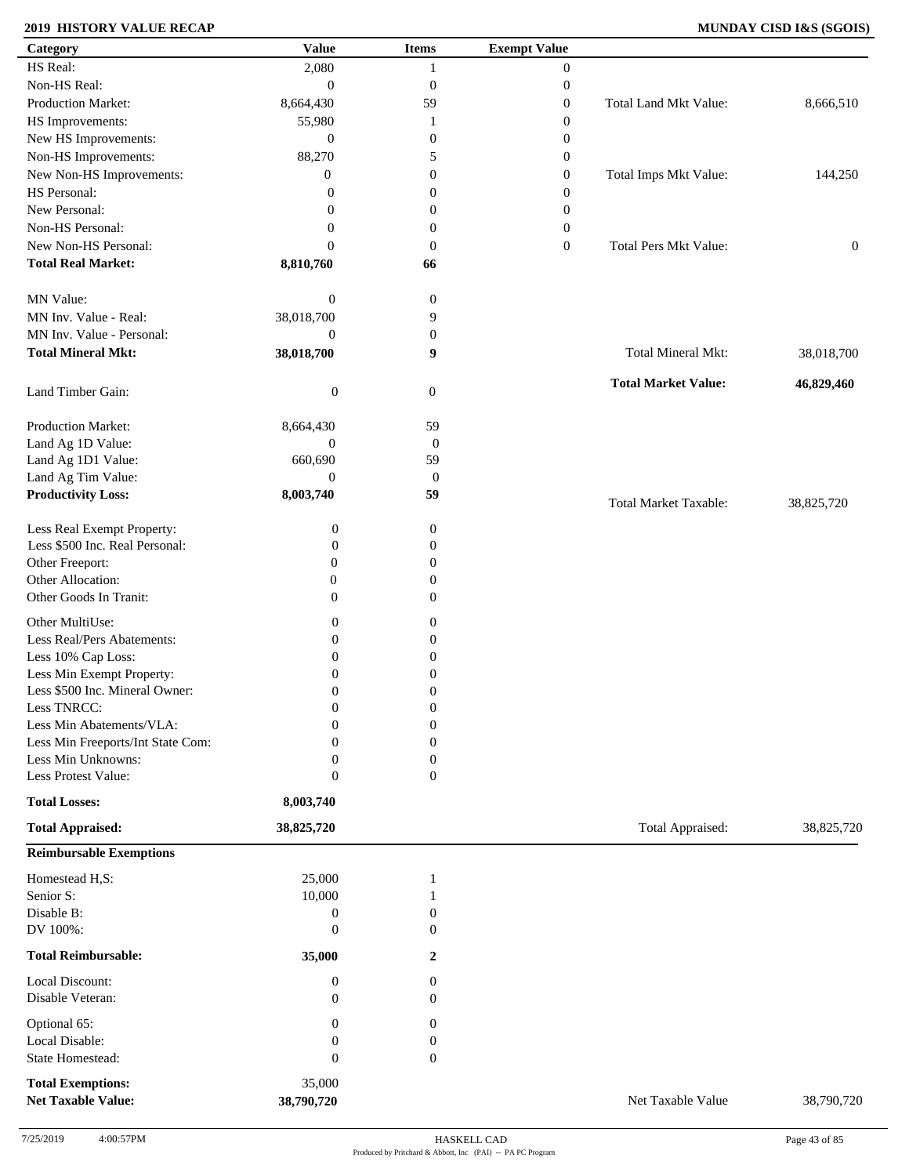### **2019 HISTORY VALUE RECAP MUNDAY CISD I&S (SGOIS)**

| Category                                        | <b>Value</b>                  | <b>Items</b>           | <b>Exempt Value</b> |                              |                  |
|-------------------------------------------------|-------------------------------|------------------------|---------------------|------------------------------|------------------|
| HS Real:                                        | 2,080                         | $\mathbf{1}$           | $\mathbf{0}$        |                              |                  |
| Non-HS Real:                                    | $\mathbf{0}$                  | $\boldsymbol{0}$       | $\boldsymbol{0}$    |                              |                  |
| Production Market:                              | 8,664,430                     | 59                     | $\boldsymbol{0}$    | Total Land Mkt Value:        | 8,666,510        |
| HS Improvements:                                | 55,980                        | 1                      | $\boldsymbol{0}$    |                              |                  |
| New HS Improvements:                            | $\mathbf{0}$                  | $\boldsymbol{0}$       | $\boldsymbol{0}$    |                              |                  |
| Non-HS Improvements:                            | 88,270                        | 5                      | $\boldsymbol{0}$    |                              |                  |
| New Non-HS Improvements:                        | $\overline{0}$                | $\boldsymbol{0}$       | $\boldsymbol{0}$    | Total Imps Mkt Value:        | 144,250          |
| HS Personal:                                    | $\overline{0}$                | $\boldsymbol{0}$       | $\boldsymbol{0}$    |                              |                  |
| New Personal:                                   | $\overline{0}$                | $\boldsymbol{0}$       | $\boldsymbol{0}$    |                              |                  |
| Non-HS Personal:                                | 0                             | $\boldsymbol{0}$       | $\boldsymbol{0}$    |                              |                  |
| New Non-HS Personal:                            | $\overline{0}$                | $\boldsymbol{0}$       |                     | <b>Total Pers Mkt Value:</b> |                  |
| <b>Total Real Market:</b>                       | 8,810,760                     | 66                     | $\boldsymbol{0}$    |                              | $\boldsymbol{0}$ |
|                                                 |                               |                        |                     |                              |                  |
| MN Value:                                       | $\boldsymbol{0}$              | $\boldsymbol{0}$       |                     |                              |                  |
| MN Inv. Value - Real:                           | 38,018,700                    | 9                      |                     |                              |                  |
| MN Inv. Value - Personal:                       | $\mathbf{0}$                  | $\boldsymbol{0}$       |                     |                              |                  |
| <b>Total Mineral Mkt:</b>                       | 38,018,700                    | 9                      |                     | Total Mineral Mkt:           | 38,018,700       |
|                                                 |                               |                        |                     |                              |                  |
| Land Timber Gain:                               | $\boldsymbol{0}$              | $\mathbf{0}$           |                     | <b>Total Market Value:</b>   | 46,829,460       |
|                                                 |                               |                        |                     |                              |                  |
| Production Market:                              | 8,664,430<br>$\boldsymbol{0}$ | 59                     |                     |                              |                  |
| Land Ag 1D Value:                               |                               | $\boldsymbol{0}$       |                     |                              |                  |
| Land Ag 1D1 Value:                              | 660,690<br>$\theta$           | 59                     |                     |                              |                  |
| Land Ag Tim Value:<br><b>Productivity Loss:</b> | 8,003,740                     | $\boldsymbol{0}$<br>59 |                     |                              |                  |
|                                                 |                               |                        |                     | <b>Total Market Taxable:</b> | 38,825,720       |
| Less Real Exempt Property:                      | $\boldsymbol{0}$              | $\boldsymbol{0}$       |                     |                              |                  |
| Less \$500 Inc. Real Personal:                  | $\overline{0}$                | $\boldsymbol{0}$       |                     |                              |                  |
| Other Freeport:                                 | $\mathbf{0}$                  | $\mathbf{0}$           |                     |                              |                  |
| Other Allocation:                               | $\boldsymbol{0}$              | $\boldsymbol{0}$       |                     |                              |                  |
| Other Goods In Tranit:                          | $\boldsymbol{0}$              | $\boldsymbol{0}$       |                     |                              |                  |
|                                                 |                               |                        |                     |                              |                  |
| Other MultiUse:                                 | $\boldsymbol{0}$              | $\boldsymbol{0}$       |                     |                              |                  |
| Less Real/Pers Abatements:                      | $\boldsymbol{0}$              | $\boldsymbol{0}$       |                     |                              |                  |
| Less 10% Cap Loss:                              | $\boldsymbol{0}$              | $\boldsymbol{0}$       |                     |                              |                  |
| Less Min Exempt Property:                       | $\theta$                      | $\overline{0}$         |                     |                              |                  |
| Less \$500 Inc. Mineral Owner:                  | $\boldsymbol{0}$              | $\boldsymbol{0}$       |                     |                              |                  |
| Less TNRCC:                                     | $\mathbf{0}$                  | $\Omega$<br>v          |                     |                              |                  |
| Less Min Abatements/VLA:                        | $\boldsymbol{0}$              | $\boldsymbol{0}$       |                     |                              |                  |
| Less Min Freeports/Int State Com:               | 0                             | $\overline{0}$         |                     |                              |                  |
| Less Min Unknowns:                              | 0                             | $\mathbf{0}$           |                     |                              |                  |
| Less Protest Value:                             | $\boldsymbol{0}$              | $\overline{0}$         |                     |                              |                  |
| <b>Total Losses:</b>                            | 8,003,740                     |                        |                     |                              |                  |
| <b>Total Appraised:</b>                         | 38,825,720                    |                        |                     | Total Appraised:             | 38,825,720       |
| <b>Reimbursable Exemptions</b>                  |                               |                        |                     |                              |                  |
| Homestead H,S:                                  | 25,000                        | -1                     |                     |                              |                  |
| Senior S:                                       | 10,000                        |                        |                     |                              |                  |
| Disable B:                                      | $\boldsymbol{0}$              | $\theta$               |                     |                              |                  |
| DV 100%:                                        | $\overline{0}$                | $\Omega$               |                     |                              |                  |
|                                                 |                               |                        |                     |                              |                  |
| <b>Total Reimbursable:</b>                      | 35,000                        | 2                      |                     |                              |                  |
| Local Discount:                                 | $\boldsymbol{0}$              | 0                      |                     |                              |                  |
| Disable Veteran:                                | $\overline{0}$                | $\overline{0}$         |                     |                              |                  |
| Optional 65:                                    | $\boldsymbol{0}$              | $\boldsymbol{0}$       |                     |                              |                  |
| Local Disable:                                  | $\boldsymbol{0}$              | $\boldsymbol{0}$       |                     |                              |                  |
| <b>State Homestead:</b>                         | $\overline{0}$                | $\boldsymbol{0}$       |                     |                              |                  |
|                                                 |                               |                        |                     |                              |                  |
| <b>Total Exemptions:</b>                        | 35,000                        |                        |                     |                              |                  |
| <b>Net Taxable Value:</b>                       | 38,790,720                    |                        |                     | Net Taxable Value            | 38,790,720       |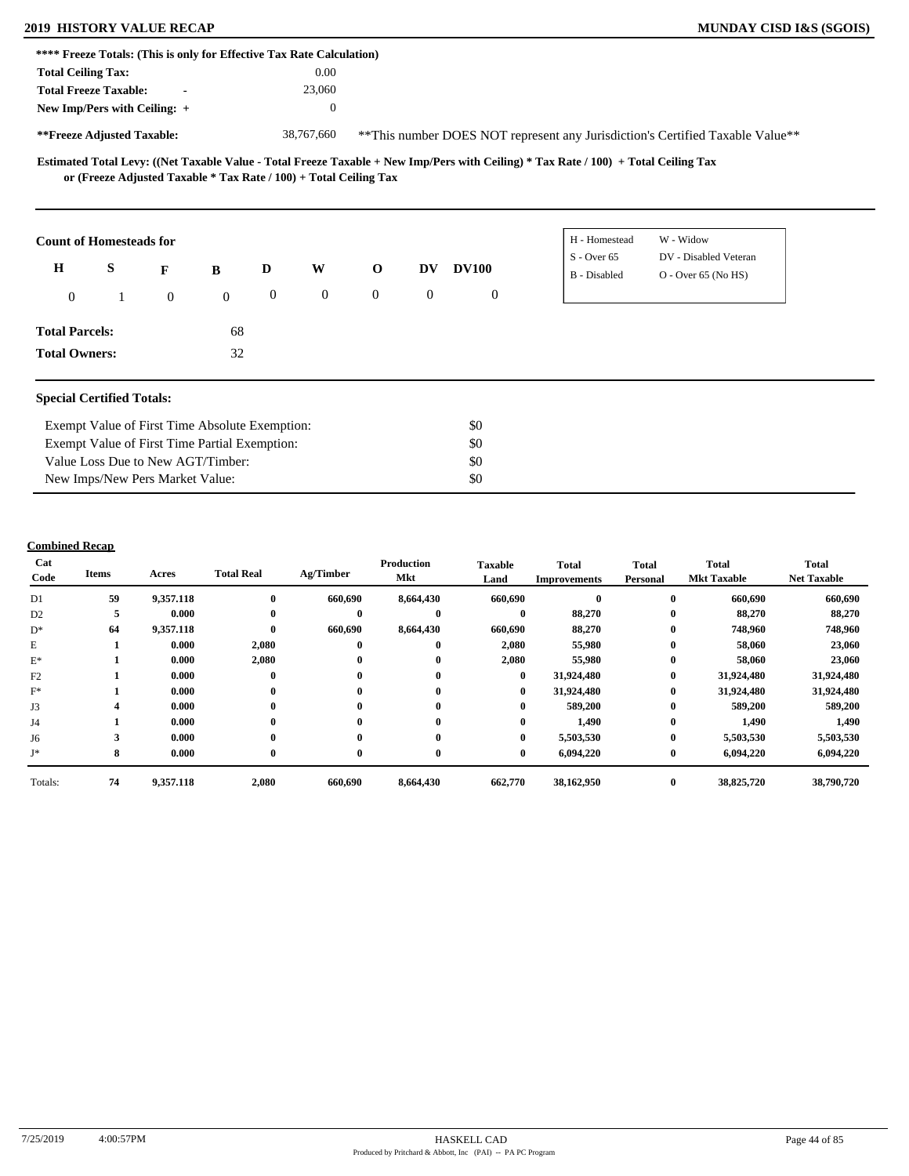# **2019 HISTORY VALUE RECAP MUNDAY CISD I&S (SGOIS)**

| MUNDAY CISD I&S (SGOIS) |  |  |  |
|-------------------------|--|--|--|
|-------------------------|--|--|--|

|                                  |   | **** Freeze Totals: (This is only for Effective Tax Rate Calculation) |              |              |                  |                |                |              |                                                                                                                                     |                                                                                |  |
|----------------------------------|---|-----------------------------------------------------------------------|--------------|--------------|------------------|----------------|----------------|--------------|-------------------------------------------------------------------------------------------------------------------------------------|--------------------------------------------------------------------------------|--|
| <b>Total Ceiling Tax:</b>        |   |                                                                       |              |              | 0.00             |                |                |              |                                                                                                                                     |                                                                                |  |
| <b>Total Freeze Taxable:</b>     |   |                                                                       |              |              | 23,060           |                |                |              |                                                                                                                                     |                                                                                |  |
| New Imp/Pers with Ceiling: +     |   |                                                                       |              |              | $\mathbf{0}$     |                |                |              |                                                                                                                                     |                                                                                |  |
| **Freeze Adjusted Taxable:       |   |                                                                       |              |              | 38,767,660       |                |                |              |                                                                                                                                     | ** This number DOES NOT represent any Jurisdiction's Certified Taxable Value** |  |
|                                  |   | or (Freeze Adjusted Taxable $*$ Tax Rate / 100) + Total Ceiling Tax   |              |              |                  |                |                |              | Estimated Total Levy: ((Net Taxable Value - Total Freeze Taxable + New Imp/Pers with Ceiling) * Tax Rate / 100) + Total Ceiling Tax |                                                                                |  |
| <b>Count of Homesteads for</b>   |   |                                                                       |              |              |                  |                |                |              | H - Homestead                                                                                                                       | W - Widow                                                                      |  |
| $\mathbf H$                      | S | F                                                                     | $\bf{B}$     | D            | W                | $\mathbf 0$    | DV             | <b>DV100</b> | $S -$ Over 65<br>B - Disabled                                                                                                       | DV - Disabled Veteran<br>$O -$ Over 65 (No HS)                                 |  |
| $\overline{0}$                   |   | $\mathbf{0}$                                                          | $\mathbf{0}$ | $\mathbf{0}$ | $\boldsymbol{0}$ | $\overline{0}$ | $\overline{0}$ | $\mathbf{0}$ |                                                                                                                                     |                                                                                |  |
| <b>Total Parcels:</b>            |   |                                                                       | 68           |              |                  |                |                |              |                                                                                                                                     |                                                                                |  |
| <b>Total Owners:</b>             |   |                                                                       | 32           |              |                  |                |                |              |                                                                                                                                     |                                                                                |  |
| <b>Special Certified Totals:</b> |   |                                                                       |              |              |                  |                |                |              |                                                                                                                                     |                                                                                |  |
|                                  |   | Exempt Value of First Time Absolute Exemption:                        |              |              |                  |                |                | \$0          |                                                                                                                                     |                                                                                |  |
|                                  |   | Exempt Value of First Time Partial Exemption:                         |              |              |                  |                |                | \$0          |                                                                                                                                     |                                                                                |  |
|                                  |   | Value Loss Due to New AGT/Timber:                                     |              |              |                  |                |                | \$0          |                                                                                                                                     |                                                                                |  |
|                                  |   | New Imps/New Pers Market Value:                                       |              |              |                  |                |                | \$0          |                                                                                                                                     |                                                                                |  |

## **Combined Recap**

| Cat<br>Code    | Items | Acres     | <b>Total Real</b> | Ag/Timber    | <b>Production</b><br>Mkt | <b>Taxable</b><br>Land | <b>Total</b><br><b>Improvements</b> | <b>Total</b><br>Personal | Total<br><b>Mkt Taxable</b> | <b>Total</b><br><b>Net Taxable</b> |
|----------------|-------|-----------|-------------------|--------------|--------------------------|------------------------|-------------------------------------|--------------------------|-----------------------------|------------------------------------|
| D1             | 59    | 9,357.118 | $\mathbf{0}$      | 660,690      | 8,664,430                | 660,690                |                                     | $\mathbf{0}$             | 660,690                     | 660,690                            |
| D <sub>2</sub> | 5     | 0.000     | $\mathbf{0}$      | $\mathbf{0}$ | $\mathbf{0}$             | $\mathbf{0}$           | 88,270                              | $\bf{0}$                 | 88,270                      | 88,270                             |
| $D^*$          | 64    | 9,357.118 | $\bf{0}$          | 660,690      | 8,664,430                | 660,690                | 88,270                              | $\bf{0}$                 | 748,960                     | 748,960                            |
| E              |       | 0.000     | 2,080             | $\bf{0}$     | $\mathbf{0}$             | 2,080                  | 55,980                              | $\bf{0}$                 | 58,060                      | 23,060                             |
| $E^*$          |       | 0.000     | 2,080             | $\bf{0}$     | $\bf{0}$                 | 2,080                  | 55,980                              | $\bf{0}$                 | 58,060                      | 23,060                             |
| F2             |       | 0.000     | $\bf{0}$          | $\bf{0}$     | $\bf{0}$                 | $\bf{0}$               | 31,924,480                          | $\bf{0}$                 | 31,924,480                  | 31,924,480                         |
| $F^*$          |       | 0.000     | $\bf{0}$          | $\mathbf{0}$ | $\mathbf{0}$             | $\bf{0}$               | 31,924,480                          | $\bf{0}$                 | 31,924,480                  | 31,924,480                         |
| J3             |       | 0.000     | $\bf{0}$          | $\bf{0}$     | 0                        | $\bf{0}$               | 589,200                             | $\bf{0}$                 | 589,200                     | 589,200                            |
| J4             |       | 0.000     | $\mathbf{0}$      | $\mathbf{0}$ | 0                        | $\mathbf{0}$           | 1,490                               | $\bf{0}$                 | 1,490                       | 1,490                              |
| J6             |       | 0.000     | $\mathbf{0}$      | $\mathbf{0}$ | $\mathbf{0}$             | $\mathbf{0}$           | 5,503,530                           | $\bf{0}$                 | 5,503,530                   | 5,503,530                          |
| J*             | 8     | 0.000     | $\bf{0}$          | $\bf{0}$     | $\mathbf{0}$             | $\bf{0}$               | 6,094,220                           | $\bf{0}$                 | 6,094,220                   | 6,094,220                          |
| Totals:        | 74    | 9,357.118 | 2,080             | 660,690      | 8,664,430                | 662,770                | 38,162,950                          | $\bf{0}$                 | 38,825,720                  | 38,790,720                         |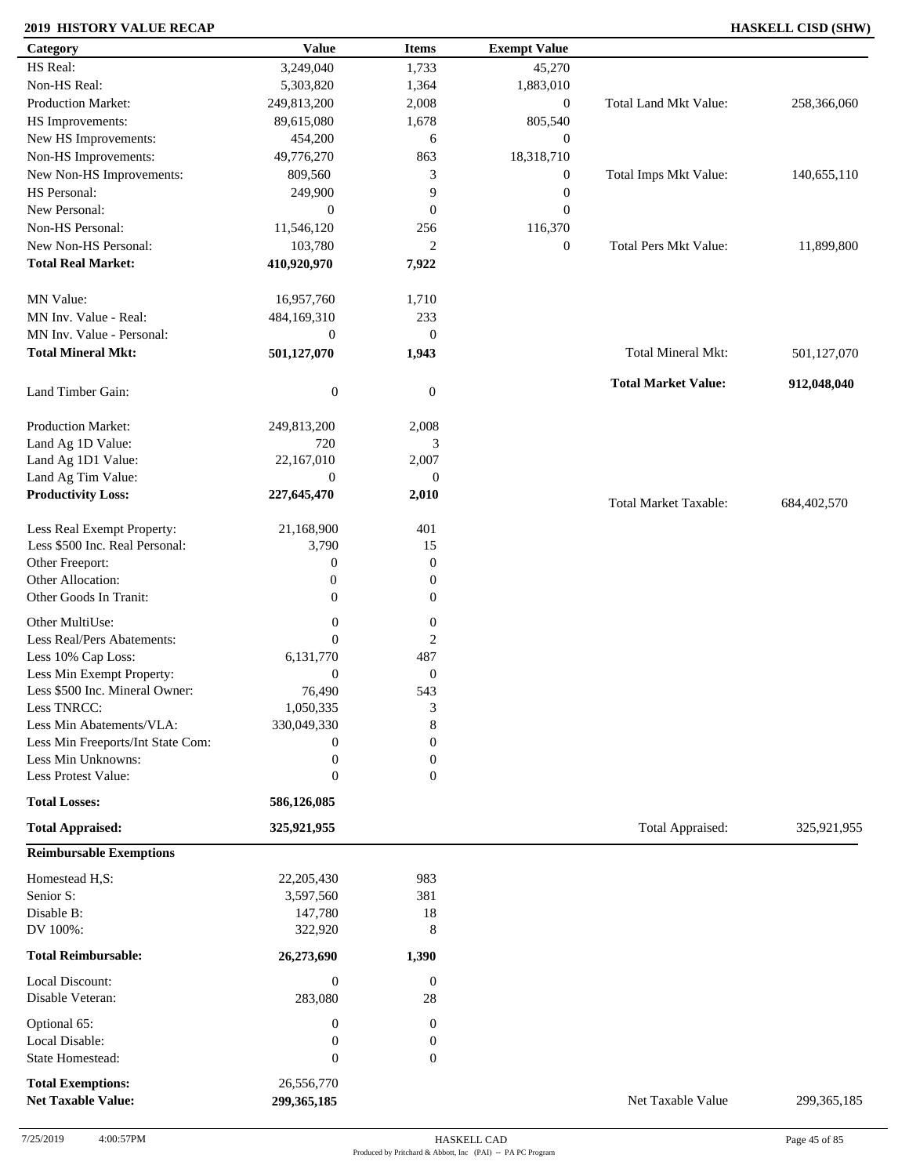### **2019 HISTORY VALUE RECAP HASKELL CISD (SHW)**

| Category                          | <b>Value</b>     | <b>Items</b>           | <b>Exempt Value</b> |                              |               |
|-----------------------------------|------------------|------------------------|---------------------|------------------------------|---------------|
| HS Real:                          | 3,249,040        | 1,733                  | 45,270              |                              |               |
| Non-HS Real:                      | 5,303,820        | 1,364                  | 1,883,010           |                              |               |
| <b>Production Market:</b>         | 249,813,200      | 2,008                  | $\boldsymbol{0}$    | Total Land Mkt Value:        | 258,366,060   |
| HS Improvements:                  | 89,615,080       | 1,678                  | 805,540             |                              |               |
| New HS Improvements:              | 454,200          | 6                      | $\mathbf{0}$        |                              |               |
| Non-HS Improvements:              | 49,776,270       | 863                    | 18,318,710          |                              |               |
| New Non-HS Improvements:          | 809,560          | 3                      | $\boldsymbol{0}$    | Total Imps Mkt Value:        | 140,655,110   |
| HS Personal:                      | 249,900          | 9                      | $\boldsymbol{0}$    |                              |               |
| New Personal:                     | $\mathbf{0}$     | $\mathbf{0}$           | $\boldsymbol{0}$    |                              |               |
| Non-HS Personal:                  |                  | 256                    |                     |                              |               |
|                                   | 11,546,120       |                        | 116,370             |                              |               |
| New Non-HS Personal:              | 103,780          | $\overline{2}$         | $\boldsymbol{0}$    | <b>Total Pers Mkt Value:</b> | 11,899,800    |
| <b>Total Real Market:</b>         | 410,920,970      | 7,922                  |                     |                              |               |
| MN Value:                         | 16,957,760       | 1,710                  |                     |                              |               |
| MN Inv. Value - Real:             | 484,169,310      | 233                    |                     |                              |               |
| MN Inv. Value - Personal:         | $\boldsymbol{0}$ | $\boldsymbol{0}$       |                     |                              |               |
| <b>Total Mineral Mkt:</b>         | 501,127,070      | 1,943                  |                     | Total Mineral Mkt:           | 501,127,070   |
| Land Timber Gain:                 | $\boldsymbol{0}$ | $\mathbf{0}$           |                     | <b>Total Market Value:</b>   | 912,048,040   |
| Production Market:                | 249,813,200      | 2,008                  |                     |                              |               |
| Land Ag 1D Value:                 | 720              | 3                      |                     |                              |               |
| Land Ag 1D1 Value:                | 22,167,010       | 2,007                  |                     |                              |               |
| Land Ag Tim Value:                | $\boldsymbol{0}$ | $\boldsymbol{0}$       |                     |                              |               |
|                                   |                  |                        |                     |                              |               |
| <b>Productivity Loss:</b>         | 227,645,470      | 2,010                  |                     | <b>Total Market Taxable:</b> | 684,402,570   |
| Less Real Exempt Property:        | 21,168,900       | 401                    |                     |                              |               |
| Less \$500 Inc. Real Personal:    | 3,790            | 15                     |                     |                              |               |
| Other Freeport:                   | $\boldsymbol{0}$ | $\boldsymbol{0}$       |                     |                              |               |
| Other Allocation:                 | $\boldsymbol{0}$ | $\boldsymbol{0}$       |                     |                              |               |
| Other Goods In Tranit:            | $\boldsymbol{0}$ | $\boldsymbol{0}$       |                     |                              |               |
|                                   |                  |                        |                     |                              |               |
| Other MultiUse:                   | $\boldsymbol{0}$ | $\boldsymbol{0}$       |                     |                              |               |
| Less Real/Pers Abatements:        | $\mathbf{0}$     | $\boldsymbol{2}$       |                     |                              |               |
| Less 10% Cap Loss:                | 6,131,770        | 487                    |                     |                              |               |
| Less Min Exempt Property:         | $\mathbf{0}$     | $\boldsymbol{0}$       |                     |                              |               |
| Less \$500 Inc. Mineral Owner:    | 76,490           | 543                    |                     |                              |               |
| Less TNRCC:                       | 1,050,335        | 3                      |                     |                              |               |
| Less Min Abatements/VLA:          | 330,049,330      | $\,$ 8 $\,$            |                     |                              |               |
| Less Min Freeports/Int State Com: | 0                | $\boldsymbol{0}$       |                     |                              |               |
| Less Min Unknowns:                | $\boldsymbol{0}$ | $\boldsymbol{0}$       |                     |                              |               |
| Less Protest Value:               | $\mathbf{0}$     | $\overline{0}$         |                     |                              |               |
| <b>Total Losses:</b>              | 586,126,085      |                        |                     |                              |               |
| <b>Total Appraised:</b>           | 325,921,955      |                        |                     | Total Appraised:             | 325,921,955   |
| <b>Reimbursable Exemptions</b>    |                  |                        |                     |                              |               |
| Homestead H,S:                    | 22,205,430       | 983                    |                     |                              |               |
| Senior S:                         | 3,597,560        | 381                    |                     |                              |               |
| Disable B:                        | 147,780          | 18                     |                     |                              |               |
| DV 100%:                          | 322,920          | 8                      |                     |                              |               |
| <b>Total Reimbursable:</b>        | 26,273,690       | 1,390                  |                     |                              |               |
| Local Discount:                   | $\boldsymbol{0}$ |                        |                     |                              |               |
| Disable Veteran:                  | 283,080          | $\boldsymbol{0}$<br>28 |                     |                              |               |
|                                   |                  |                        |                     |                              |               |
| Optional 65:                      | $\boldsymbol{0}$ | $\boldsymbol{0}$       |                     |                              |               |
| Local Disable:                    | $\boldsymbol{0}$ | $\boldsymbol{0}$       |                     |                              |               |
| State Homestead:                  | $\boldsymbol{0}$ | $\boldsymbol{0}$       |                     |                              |               |
| <b>Total Exemptions:</b>          | 26,556,770       |                        |                     |                              |               |
| <b>Net Taxable Value:</b>         | 299,365,185      |                        |                     | Net Taxable Value            | 299, 365, 185 |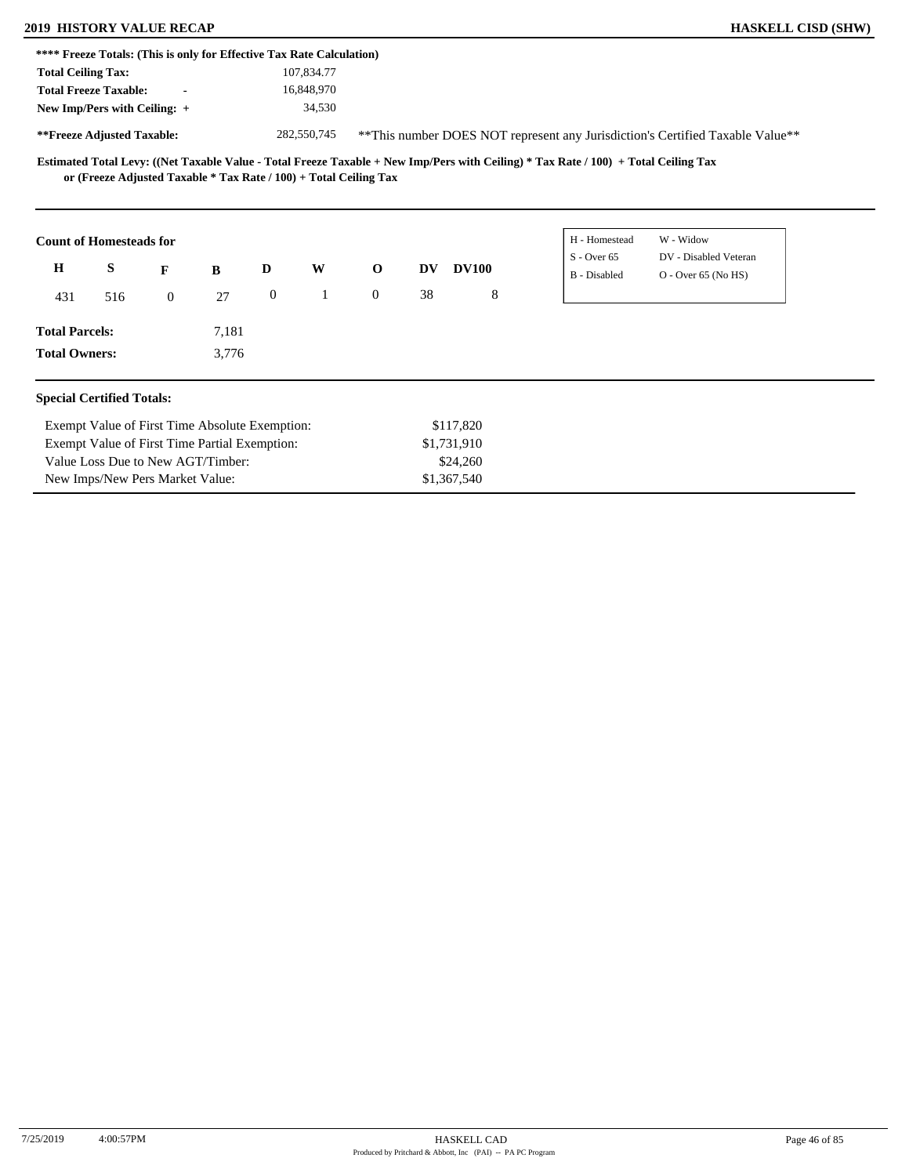### **2019 HISTORY VALUE RECAP HASKELL CISD (SHW)**

|                       | <b>Total Ceiling Tax:</b>                                         |                |       |                  | 107,834.77   |             |           |              |                               |                                                                               |
|-----------------------|-------------------------------------------------------------------|----------------|-------|------------------|--------------|-------------|-----------|--------------|-------------------------------|-------------------------------------------------------------------------------|
|                       | <b>Total Freeze Taxable:</b>                                      |                |       |                  | 16,848,970   |             |           |              |                               |                                                                               |
|                       | New Imp/Pers with Ceiling: +                                      |                |       |                  | 34,530       |             |           |              |                               |                                                                               |
|                       | **Freeze Adjusted Taxable:                                        |                |       |                  | 282,550,745  |             |           |              |                               | **This number DOES NOT represent any Jurisdiction's Certified Taxable Value** |
|                       | or (Freeze Adjusted Taxable * Tax Rate / 100) + Total Ceiling Tax |                |       |                  |              |             |           |              |                               |                                                                               |
|                       |                                                                   |                |       |                  |              |             |           |              |                               |                                                                               |
|                       | <b>Count of Homesteads for</b>                                    |                |       |                  |              |             |           |              | H - Homestead                 | W - Widow                                                                     |
| H                     | S                                                                 | F              | B     | D                | W            | $\mathbf 0$ | <b>DV</b> | <b>DV100</b> | $S -$ Over 65<br>B - Disabled | DV - Disabled Veteran<br>$O -$ Over 65 (No HS)                                |
| 431                   | 516                                                               | $\overline{0}$ | 27    | $\boldsymbol{0}$ | $\mathbf{1}$ | $\Omega$    | 38        | 8            |                               |                                                                               |
| <b>Total Parcels:</b> |                                                                   |                | 7,181 |                  |              |             |           |              |                               |                                                                               |

Exempt Value of First Time Partial Exemption: Value Loss Due to New AGT/Timber: New Imps/New Pers Market Value: \$1,731,910 \$24,260 \$1,367,540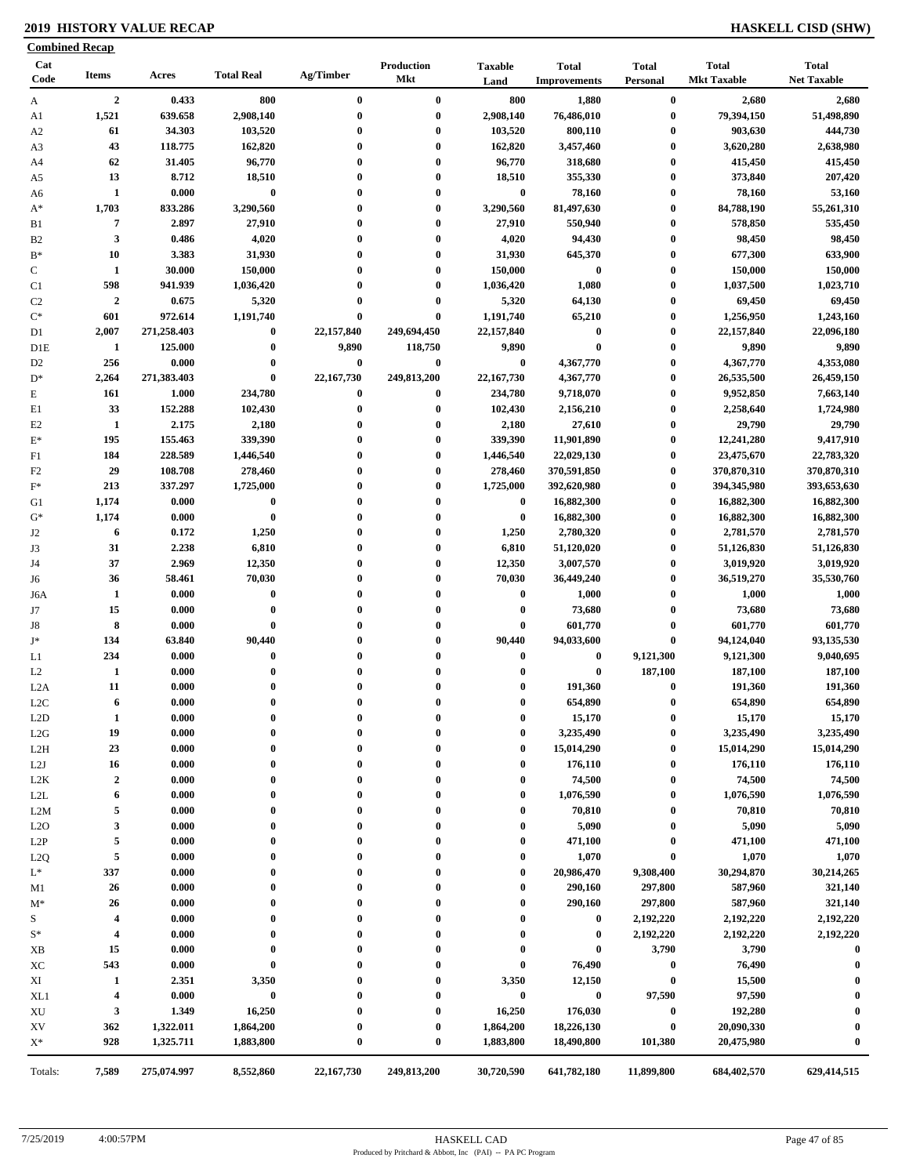### **2019 HISTORY VALUE RECAP HASKELL CISD (SHW)**

|                  | <b>Combined Recap</b>   |             |                   |              |                                 |                        |                                     |                          |                                    |                                    |
|------------------|-------------------------|-------------|-------------------|--------------|---------------------------------|------------------------|-------------------------------------|--------------------------|------------------------------------|------------------------------------|
| Cat<br>Code      | <b>Items</b>            | Acres       | <b>Total Real</b> | Ag/Timber    | <b>Production</b><br><b>Mkt</b> | <b>Taxable</b><br>Land | <b>Total</b><br><b>Improvements</b> | <b>Total</b><br>Personal | <b>Total</b><br><b>Mkt Taxable</b> | <b>Total</b><br><b>Net Taxable</b> |
| A                | $\overline{2}$          | 0.433       | 800               | $\bf{0}$     | $\bf{0}$                        | 800                    | 1,880                               | $\bf{0}$                 | 2,680                              | 2,680                              |
| A1               | 1,521                   | 639.658     | 2,908,140         | $\bf{0}$     | $\bf{0}$                        | 2,908,140              | 76,486,010                          | $\boldsymbol{0}$         | 79,394,150                         | 51,498,890                         |
| A <sub>2</sub>   | 61                      | 34.303      | 103,520           | $\bf{0}$     | $\bf{0}$                        | 103,520                | 800,110                             | $\boldsymbol{0}$         | 903,630                            | 444,730                            |
| A3               | 43                      | 118.775     | 162,820           | $\bf{0}$     | $\bf{0}$                        | 162,820                | 3,457,460                           | $\boldsymbol{0}$         | 3,620,280                          | 2,638,980                          |
| A4               | 62                      | 31.405      | 96,770            | 0            | $\bf{0}$                        | 96,770                 | 318,680                             | $\boldsymbol{0}$         | 415,450                            | 415,450                            |
| A5               | 13                      | 8.712       | 18,510            | $\bf{0}$     | $\bf{0}$                        | 18,510                 | 355,330                             | $\boldsymbol{0}$         | 373,840                            | 207,420                            |
| A6               | $\mathbf{1}$            | 0.000       | $\bf{0}$          | $\bf{0}$     | $\bf{0}$                        | $\bf{0}$               | 78,160                              | $\boldsymbol{0}$         | 78,160                             | 53,160                             |
| $A^*$            | 1,703                   | 833.286     | 3,290,560         | $\bf{0}$     | $\bf{0}$                        | 3,290,560              | 81,497,630                          | $\boldsymbol{0}$         | 84,788,190                         | 55,261,310                         |
| B1               | $\overline{7}$          | 2.897       | 27,910            | $\bf{0}$     | $\bf{0}$                        | 27,910                 | 550,940                             | $\bf{0}$                 | 578,850                            | 535,450                            |
| B <sub>2</sub>   | $\mathbf{3}$            | 0.486       | 4,020             | $\bf{0}$     | $\bf{0}$                        | 4,020                  | 94,430                              | $\boldsymbol{0}$         | 98,450                             | 98,450                             |
| $B*$             | 10                      | 3.383       | 31,930            | 0            | $\bf{0}$                        | 31,930                 | 645,370                             | $\boldsymbol{0}$         | 677,300                            | 633,900                            |
| $\mathbf C$      | 1                       | 30.000      | 150,000           | $\bf{0}$     | $\bf{0}$                        | 150,000                | $\bf{0}$                            | $\boldsymbol{0}$         | 150,000                            | 150,000                            |
| C1               | 598                     | 941.939     | 1,036,420         | 0            | $\bf{0}$                        | 1,036,420              | 1,080                               | $\bf{0}$                 | 1,037,500                          | 1,023,710                          |
| C <sub>2</sub>   | $\overline{2}$          | 0.675       | 5,320             | $\bf{0}$     | $\bf{0}$                        | 5,320                  | 64,130                              | $\bf{0}$                 | 69,450                             | 69,450                             |
| $\mathrm{C}^*$   | 601                     | 972.614     | 1,191,740         | 0            | $\bf{0}$                        | 1,191,740              | 65,210                              | $\boldsymbol{0}$         | 1,256,950                          | 1,243,160                          |
| D1               | 2,007                   | 271,258.403 | $\bf{0}$          | 22,157,840   | 249,694,450                     | 22,157,840             | $\bf{0}$                            | $\bf{0}$                 | 22,157,840                         | 22,096,180                         |
| D <sub>1</sub> E | $\mathbf{1}$            | 125.000     | $\bf{0}$          | 9,890        | 118,750                         | 9,890                  | $\bf{0}$                            | $\bf{0}$                 | 9,890                              | 9,890                              |
| D <sub>2</sub>   | 256                     | 0.000       | $\bf{0}$          | $\bf{0}$     | $\bf{0}$                        | $\bf{0}$               | 4,367,770                           | $\boldsymbol{0}$         | 4,367,770                          | 4,353,080                          |
| $D^*$            | 2,264                   | 271,383.403 | $\bf{0}$          | 22,167,730   | 249,813,200                     | 22,167,730             | 4,367,770                           | $\boldsymbol{0}$         | 26,535,500                         | 26,459,150                         |
| $\mathbf E$      | 161                     | 1.000       | 234,780           | $\bf{0}$     | $\bf{0}$                        | 234,780                | 9,718,070                           | $\boldsymbol{0}$         | 9,952,850                          | 7,663,140                          |
| E1               | 33                      | 152.288     | 102,430           | $\bf{0}$     | $\bf{0}$                        | 102,430                | 2,156,210                           | $\bf{0}$                 | 2,258,640                          | 1,724,980                          |
| E2               | $\mathbf{1}$            | 2.175       | 2,180             | $\bf{0}$     | $\bf{0}$                        | 2,180                  | 27,610                              | $\boldsymbol{0}$         | 29,790                             | 29,790                             |
| $\mathbf{E}^*$   | 195                     | 155.463     | 339,390           | $\bf{0}$     | $\bf{0}$                        | 339,390                | 11,901,890                          | $\bf{0}$                 | 12,241,280                         | 9,417,910                          |
| F1               | 184                     | 228.589     | 1,446,540         | $\bf{0}$     | $\bf{0}$                        | 1,446,540              | 22,029,130                          | $\bf{0}$                 | 23,475,670                         | 22,783,320                         |
| F <sub>2</sub>   | 29                      | 108.708     | 278,460           | $\bf{0}$     | $\bf{0}$                        | 278,460                | 370,591,850                         | $\bf{0}$                 | 370,870,310                        | 370,870,310                        |
| $\mathbf{F}^*$   | 213                     | 337.297     | 1,725,000         | $\bf{0}$     | $\bf{0}$                        | 1,725,000              | 392,620,980                         | $\boldsymbol{0}$         | 394,345,980                        | 393,653,630                        |
| G1               | 1,174                   | 0.000       | $\pmb{0}$         | 0            | $\bf{0}$                        | $\bf{0}$               | 16,882,300                          | $\bf{0}$                 | 16,882,300                         | 16,882,300                         |
| $G^*$            | 1,174                   | 0.000       | $\bf{0}$          | $\bf{0}$     | $\bf{0}$                        | $\bf{0}$               | 16,882,300                          | $\bf{0}$                 | 16,882,300                         | 16,882,300                         |
| J2               | 6                       | 0.172       | 1,250             | $\mathbf{0}$ | $\bf{0}$                        | 1,250                  | 2,780,320                           | $\bf{0}$                 | 2,781,570                          | 2,781,570                          |
| J3               | 31                      | 2.238       | 6,810             | 0            | $\bf{0}$                        | 6,810                  | 51,120,020                          | $\bf{0}$                 | 51,126,830                         | 51,126,830                         |
| J4               | 37                      | 2.969       | 12,350            | $\bf{0}$     | $\bf{0}$                        | 12,350                 | 3,007,570                           | $\bf{0}$                 | 3,019,920                          | 3,019,920                          |
| J6               | 36                      | 58.461      | 70,030            | $\mathbf{0}$ | $\bf{0}$                        | 70,030                 | 36,449,240                          | $\bf{0}$                 | 36,519,270                         | 35,530,760                         |
| J6A              | 1                       | 0.000       | $\pmb{0}$         | $\bf{0}$     | $\bf{0}$                        | $\bf{0}$               | 1,000                               | $\bf{0}$                 | 1,000                              | 1,000                              |
| J7               | 15                      | 0.000       | $\pmb{0}$         | $\bf{0}$     | $\bf{0}$                        | $\bf{0}$               | 73,680                              | $\bf{0}$                 | 73,680                             | 73,680                             |
| J8               | 8                       | 0.000       | $\bf{0}$          | $\bf{0}$     | $\bf{0}$                        | $\bf{0}$               | 601,770                             | $\bf{0}$                 | 601,770                            | 601,770                            |
| $\mathbf{J}^*$   | 134                     | 63.840      | 90,440            | $\mathbf{0}$ | $\bf{0}$                        | 90,440                 | 94,033,600                          | $\pmb{0}$                | 94,124,040                         | 93,135,530                         |
| L1               | 234                     | 0.000       | $\bf{0}$          | $\bf{0}$     | $\bf{0}$                        | $\bf{0}$               | $\bf{0}$                            | 9,121,300                | 9,121,300                          | 9,040,695                          |
| L2               | 1                       | 0.000       | $\bf{0}$          | $\bf{0}$     | $\bf{0}$                        | $\bf{0}$               | $\bf{0}$                            | 187,100                  | 187,100                            | 187,100                            |
| L2A              | 11                      | 0.000       | $\bf{0}$          | $\bf{0}$     | $\bf{0}$                        | $\bf{0}$               | 191,360                             | $\bf{0}$                 | 191,360                            | 191,360                            |
| L <sub>2</sub> C | 6                       | 0.000       | $\bf{0}$          |              | $\mathbf{0}$                    | $\bf{0}$               | 654,890                             | $\bf{0}$                 | 654,890                            | 654,890                            |
| L2D              | 1                       | 0.000       | $\bf{0}$          | $\bf{0}$     | $\boldsymbol{0}$                | $\bf{0}$               | 15,170                              | $\boldsymbol{0}$         | 15,170                             | 15,170                             |
| L2G              | 19                      | 0.000       | $\bf{0}$          | 0            | $\bf{0}$                        | $\bf{0}$               | 3,235,490                           | $\boldsymbol{0}$         | 3,235,490                          | 3,235,490                          |
| L <sub>2</sub> H | 23                      | 0.000       | $\bf{0}$          | $\bf{0}$     | $\boldsymbol{0}$                | $\bf{0}$               | 15,014,290                          | $\bf{0}$                 | 15,014,290                         | 15,014,290                         |
| L2J              | 16                      | 0.000       | $\bf{0}$          | $\bf{0}$     | $\mathbf{0}$                    | $\bf{0}$               | 176,110                             | $\boldsymbol{0}$         | 176,110                            | 176,110                            |
| L <sub>2</sub> K | $\boldsymbol{2}$        | 0.000       | $\bf{0}$          | 0            | $\bf{0}$                        | $\bf{0}$               | 74,500                              | $\boldsymbol{0}$         | 74,500                             | 74,500                             |
| L2L              | 6                       | 0.000       | $\boldsymbol{0}$  | 0            | $\boldsymbol{0}$                | $\bf{0}$               | 1,076,590                           | $\bf{0}$                 | 1,076,590                          | 1,076,590                          |
| L2M              | 5                       | 0.000       | $\bf{0}$          | $\bf{0}$     | $\bf{0}$                        | $\bf{0}$               | 70,810                              | $\bf{0}$                 | 70,810                             | 70,810                             |
| L2O              | 3                       | 0.000       | $\bf{0}$          | $\bf{0}$     | $\bf{0}$                        | $\boldsymbol{0}$       | 5,090                               | $\bf{0}$                 | 5,090                              | 5,090                              |
| L2P              | 5                       | 0.000       | $\bf{0}$          | 0            | $\bf{0}$                        | $\boldsymbol{0}$       | 471,100                             | $\bf{0}$                 | 471,100                            | 471,100                            |
| L <sub>2</sub> Q | 5                       | 0.000       | $\bf{0}$          | 0            | $\boldsymbol{0}$                | $\bf{0}$               | 1,070                               | $\bf{0}$                 | 1,070                              | 1,070                              |
| $L^*$            | 337                     | 0.000       | $\bf{0}$          | $\bf{0}$     | $\bf{0}$                        | $\bf{0}$               | 20,986,470                          | 9,308,400                | 30,294,870                         | 30,214,265                         |
| M1               | 26                      | 0.000       | $\bf{0}$          | $\bf{0}$     | $\boldsymbol{0}$                | $\bf{0}$               | 290,160                             | 297,800                  | 587,960                            | 321,140                            |
| $M^*$            | 26                      | 0.000       | $\bf{0}$          | 0            | $\boldsymbol{0}$                | $\bf{0}$               | 290,160                             | 297,800                  | 587,960                            | 321,140                            |
| S                | 4                       | 0.000       | $\bf{0}$          | 0            | $\boldsymbol{0}$                | $\bf{0}$               | 0                                   | 2,192,220                | 2,192,220                          | 2,192,220                          |
| $S^*$            | $\overline{\mathbf{4}}$ | 0.000       | $\bf{0}$          | 0            | $\boldsymbol{0}$                | $\boldsymbol{0}$       | $\bf{0}$                            | 2,192,220                | 2,192,220                          | 2,192,220                          |
| XB               | 15                      | 0.000       | $\bf{0}$          | 0            | $\bf{0}$                        | $\bf{0}$               | 0                                   | 3,790                    | 3,790                              | $\bf{0}$                           |
| XC               | 543                     | 0.000       | $\bf{0}$          | 0            | 0                               | $\boldsymbol{0}$       | 76,490                              | $\boldsymbol{0}$         | 76,490                             | $\bf{0}$                           |
| XI               | 1                       | 2.351       | 3,350             |              | $\boldsymbol{0}$                | 3,350                  | 12,150                              | $\bf{0}$                 | 15,500                             |                                    |
| XL1              | $\overline{\mathbf{4}}$ | 0.000       | $\bf{0}$          | 0            | $\boldsymbol{0}$                | $\bf{0}$               | $\bf{0}$                            | 97,590                   | 97,590                             | $\bf{0}$                           |
| XU               | 3                       | 1.349       | 16,250            | 0            | $\bf{0}$                        | 16,250                 | 176,030                             | $\bf{0}$                 | 192,280                            | $\bf{0}$                           |
| XV               | 362                     | 1,322.011   | 1,864,200         | 0            | $\bf{0}$                        | 1,864,200              | 18,226,130                          | $\bf{0}$                 | 20,090,330                         |                                    |
| $X^*$            | 928                     | 1,325.711   | 1,883,800         | 0            | $\bf{0}$                        | 1,883,800              | 18,490,800                          | 101,380                  | 20,475,980                         | $\bf{0}$                           |
| Totals:          | 7,589                   | 275,074.997 | 8,552,860         | 22,167,730   | 249,813,200                     | 30,720,590             | 641,782,180                         | 11,899,800               | 684,402,570                        | 629,414,515                        |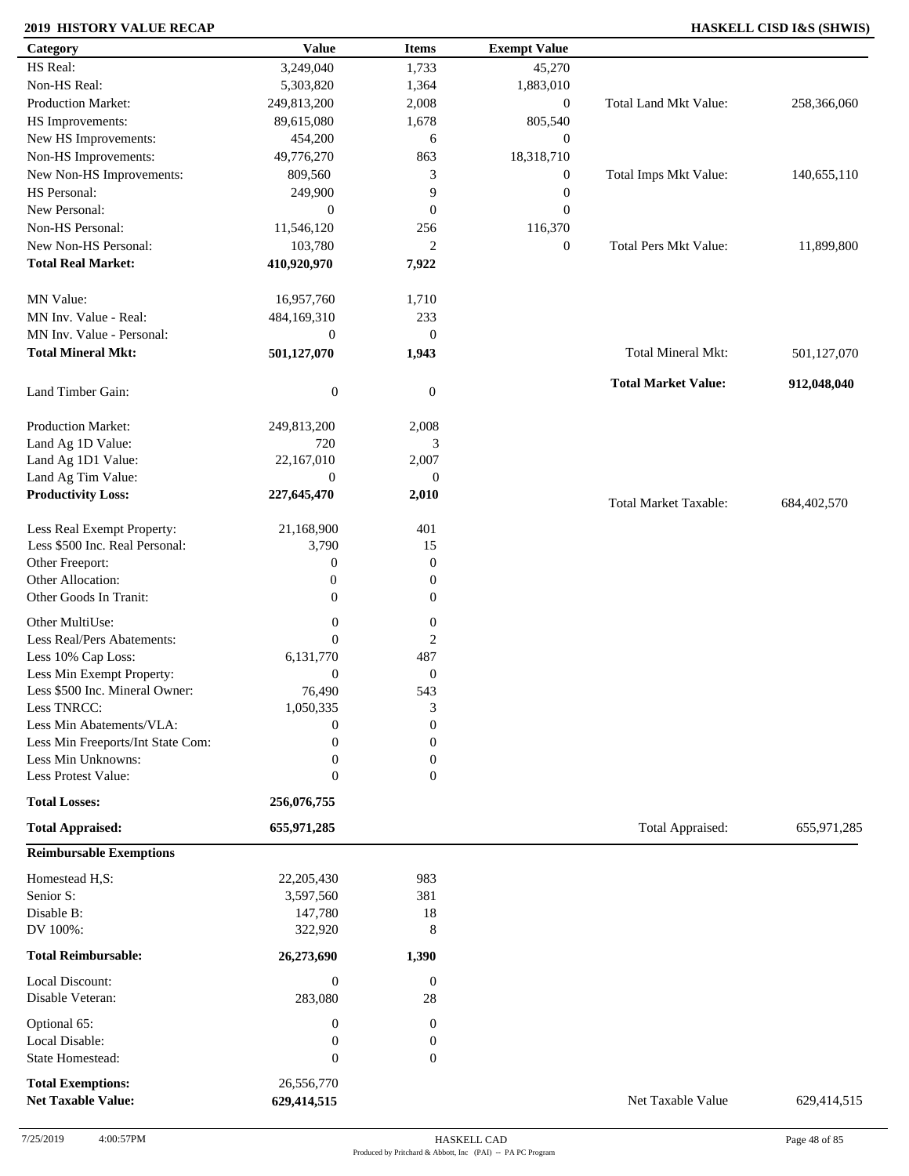### **2019 HISTORY VALUE RECAP HASKELL CISD I&S (SHWIS)**

| Category                                 | <b>Value</b>                   | <b>Items</b>      | <b>Exempt Value</b> |                              |             |
|------------------------------------------|--------------------------------|-------------------|---------------------|------------------------------|-------------|
| HS Real:                                 | 3,249,040                      | 1,733             | 45,270              |                              |             |
| Non-HS Real:                             | 5,303,820                      | 1,364             | 1,883,010           |                              |             |
| Production Market:                       | 249,813,200                    | 2,008             | $\boldsymbol{0}$    | Total Land Mkt Value:        | 258,366,060 |
| HS Improvements:                         | 89,615,080                     | 1,678             | 805,540             |                              |             |
| New HS Improvements:                     | 454,200                        | 6                 | $\mathbf{0}$        |                              |             |
| Non-HS Improvements:                     | 49,776,270                     | 863               | 18,318,710          |                              |             |
| New Non-HS Improvements:                 | 809,560                        | 3                 | $\boldsymbol{0}$    | Total Imps Mkt Value:        | 140,655,110 |
| HS Personal:                             | 249,900                        | 9                 | $\boldsymbol{0}$    |                              |             |
| New Personal:                            | $\boldsymbol{0}$               | $\mathbf{0}$      | $\boldsymbol{0}$    |                              |             |
| Non-HS Personal:                         | 11,546,120                     | 256               | 116,370             |                              |             |
| New Non-HS Personal:                     | 103,780                        | $\overline{2}$    | $\boldsymbol{0}$    | <b>Total Pers Mkt Value:</b> | 11,899,800  |
| <b>Total Real Market:</b>                | 410,920,970                    | 7,922             |                     |                              |             |
|                                          |                                |                   |                     |                              |             |
| MN Value:                                | 16,957,760                     | 1,710             |                     |                              |             |
| MN Inv. Value - Real:                    | 484,169,310                    | 233               |                     |                              |             |
| MN Inv. Value - Personal:                | $\boldsymbol{0}$               | $\mathbf{0}$      |                     |                              |             |
| <b>Total Mineral Mkt:</b>                | 501,127,070                    | 1,943             |                     | <b>Total Mineral Mkt:</b>    | 501,127,070 |
|                                          |                                |                   |                     |                              |             |
| Land Timber Gain:                        | $\boldsymbol{0}$               | $\boldsymbol{0}$  |                     | <b>Total Market Value:</b>   | 912,048,040 |
|                                          |                                |                   |                     |                              |             |
| Production Market:                       | 249,813,200<br>720             | 2,008             |                     |                              |             |
| Land Ag 1D Value:                        |                                | 3                 |                     |                              |             |
| Land Ag 1D1 Value:<br>Land Ag Tim Value: | 22,167,010<br>$\boldsymbol{0}$ | 2,007<br>$\theta$ |                     |                              |             |
| <b>Productivity Loss:</b>                | 227,645,470                    | 2,010             |                     |                              |             |
|                                          |                                |                   |                     | <b>Total Market Taxable:</b> | 684,402,570 |
| Less Real Exempt Property:               | 21,168,900                     | 401               |                     |                              |             |
| Less \$500 Inc. Real Personal:           | 3,790                          | 15                |                     |                              |             |
| Other Freeport:                          | $\boldsymbol{0}$               | $\boldsymbol{0}$  |                     |                              |             |
| Other Allocation:                        | $\boldsymbol{0}$               | $\boldsymbol{0}$  |                     |                              |             |
| Other Goods In Tranit:                   | $\overline{0}$                 | $\boldsymbol{0}$  |                     |                              |             |
| Other MultiUse:                          | $\boldsymbol{0}$               | $\boldsymbol{0}$  |                     |                              |             |
| Less Real/Pers Abatements:               | $\theta$                       | $\boldsymbol{2}$  |                     |                              |             |
| Less 10% Cap Loss:                       | 6,131,770                      | 487               |                     |                              |             |
| Less Min Exempt Property:                | $\mathbf{0}$                   | $\mathbf{0}$      |                     |                              |             |
| Less \$500 Inc. Mineral Owner:           | 76,490                         | 543               |                     |                              |             |
| Less TNRCC:                              | 1,050,335                      | 3                 |                     |                              |             |
| Less Min Abatements/VLA:                 | $\boldsymbol{0}$               | $\boldsymbol{0}$  |                     |                              |             |
| Less Min Freeports/Int State Com:        | $\theta$                       | $\Omega$          |                     |                              |             |
| Less Min Unknowns:                       | $\boldsymbol{0}$               | $\Omega$          |                     |                              |             |
| Less Protest Value:                      | $\boldsymbol{0}$               | $\mathbf{0}$      |                     |                              |             |
| <b>Total Losses:</b>                     | 256,076,755                    |                   |                     |                              |             |
| <b>Total Appraised:</b>                  | 655,971,285                    |                   |                     | Total Appraised:             | 655,971,285 |
| <b>Reimbursable Exemptions</b>           |                                |                   |                     |                              |             |
| Homestead H,S:                           | 22,205,430                     | 983               |                     |                              |             |
| Senior S:                                | 3,597,560                      | 381               |                     |                              |             |
| Disable B:                               | 147,780                        | 18                |                     |                              |             |
| DV 100%:                                 | 322,920                        | 8                 |                     |                              |             |
|                                          |                                |                   |                     |                              |             |
| <b>Total Reimbursable:</b>               | 26,273,690                     | 1,390             |                     |                              |             |
| Local Discount:                          | $\boldsymbol{0}$               | $\overline{0}$    |                     |                              |             |
| Disable Veteran:                         | 283,080                        | $28\,$            |                     |                              |             |
| Optional 65:                             | $\boldsymbol{0}$               | $\boldsymbol{0}$  |                     |                              |             |
| Local Disable:                           | $\boldsymbol{0}$               | $\boldsymbol{0}$  |                     |                              |             |
| State Homestead:                         | $\boldsymbol{0}$               | $\mathbf{0}$      |                     |                              |             |
| <b>Total Exemptions:</b>                 | 26,556,770                     |                   |                     |                              |             |
| <b>Net Taxable Value:</b>                | 629,414,515                    |                   |                     | Net Taxable Value            | 629,414,515 |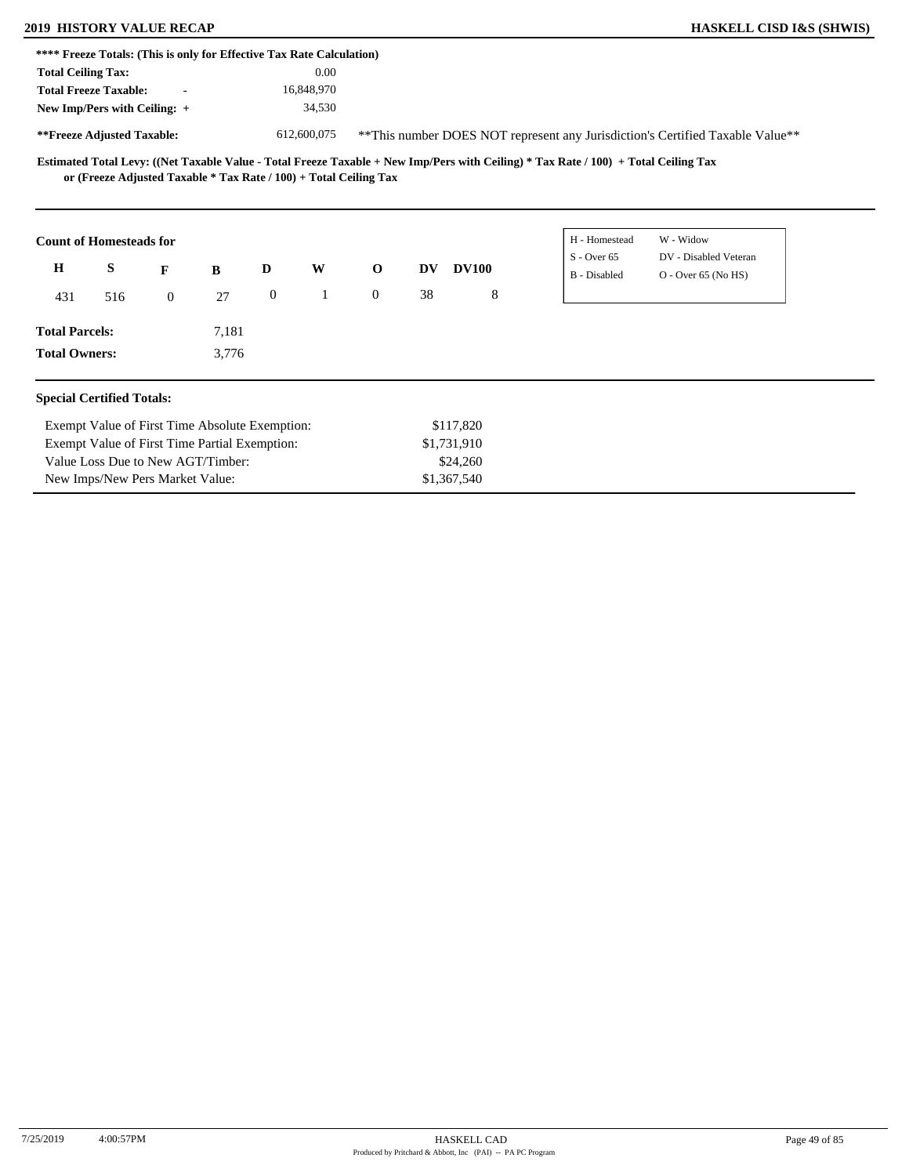## **2019 HISTORY VALUE RECAP**

New Imps/New Pers Market Value:

| <b>HASKELL CISD I&amp;S (SHWIS)</b> |  |  |  |
|-------------------------------------|--|--|--|
|-------------------------------------|--|--|--|

| 2019 HISTORY VALUE KECAP                                              |                                                |                |       |                  |             |                                                                   |    |              |   |                                                                                                                                     | HASKELL CISD I&S (SHWIS)                                                       |  |
|-----------------------------------------------------------------------|------------------------------------------------|----------------|-------|------------------|-------------|-------------------------------------------------------------------|----|--------------|---|-------------------------------------------------------------------------------------------------------------------------------------|--------------------------------------------------------------------------------|--|
| **** Freeze Totals: (This is only for Effective Tax Rate Calculation) |                                                |                |       |                  |             |                                                                   |    |              |   |                                                                                                                                     |                                                                                |  |
| <b>Total Ceiling Tax:</b>                                             |                                                |                |       |                  | 0.00        |                                                                   |    |              |   |                                                                                                                                     |                                                                                |  |
| <b>Total Freeze Taxable:</b>                                          |                                                |                |       |                  | 16,848,970  |                                                                   |    |              |   |                                                                                                                                     |                                                                                |  |
| New Imp/Pers with Ceiling: +                                          |                                                |                |       |                  | 34,530      |                                                                   |    |              |   |                                                                                                                                     |                                                                                |  |
| **Freeze Adjusted Taxable:                                            |                                                |                |       |                  | 612,600,075 |                                                                   |    |              |   |                                                                                                                                     | ** This number DOES NOT represent any Jurisdiction's Certified Taxable Value** |  |
|                                                                       |                                                |                |       |                  |             | or (Freeze Adjusted Taxable * Tax Rate / 100) + Total Ceiling Tax |    |              |   | Estimated Total Levy: ((Net Taxable Value - Total Freeze Taxable + New Imp/Pers with Ceiling) * Tax Rate / 100) + Total Ceiling Tax |                                                                                |  |
| <b>Count of Homesteads for</b>                                        |                                                |                |       |                  |             |                                                                   |    |              |   | H - Homestead<br>$S -$ Over 65                                                                                                      | W - Widow<br>DV - Disabled Veteran                                             |  |
| $\mathbf H$                                                           | S                                              | F              | B     | D                | W           | $\mathbf{o}$                                                      | DV | <b>DV100</b> |   | <b>B</b> - Disabled                                                                                                                 | O - Over 65 (No HS)                                                            |  |
| 431                                                                   | 516                                            | $\overline{0}$ | 27    | $\boldsymbol{0}$ |             | $\overline{0}$                                                    | 38 |              | 8 |                                                                                                                                     |                                                                                |  |
| <b>Total Parcels:</b>                                                 |                                                |                | 7,181 |                  |             |                                                                   |    |              |   |                                                                                                                                     |                                                                                |  |
| <b>Total Owners:</b>                                                  |                                                |                | 3,776 |                  |             |                                                                   |    |              |   |                                                                                                                                     |                                                                                |  |
|                                                                       |                                                |                |       |                  |             |                                                                   |    |              |   |                                                                                                                                     |                                                                                |  |
| <b>Special Certified Totals:</b>                                      |                                                |                |       |                  |             |                                                                   |    |              |   |                                                                                                                                     |                                                                                |  |
|                                                                       | Exempt Value of First Time Absolute Exemption: |                |       |                  |             |                                                                   |    | \$117,820    |   |                                                                                                                                     |                                                                                |  |
|                                                                       | Exempt Value of First Time Partial Exemption:  |                |       |                  |             |                                                                   |    | \$1,731,910  |   |                                                                                                                                     |                                                                                |  |
|                                                                       | Value Loss Due to New AGT/Timber:              |                |       |                  |             |                                                                   |    | \$24,260     |   |                                                                                                                                     |                                                                                |  |

\$1,367,540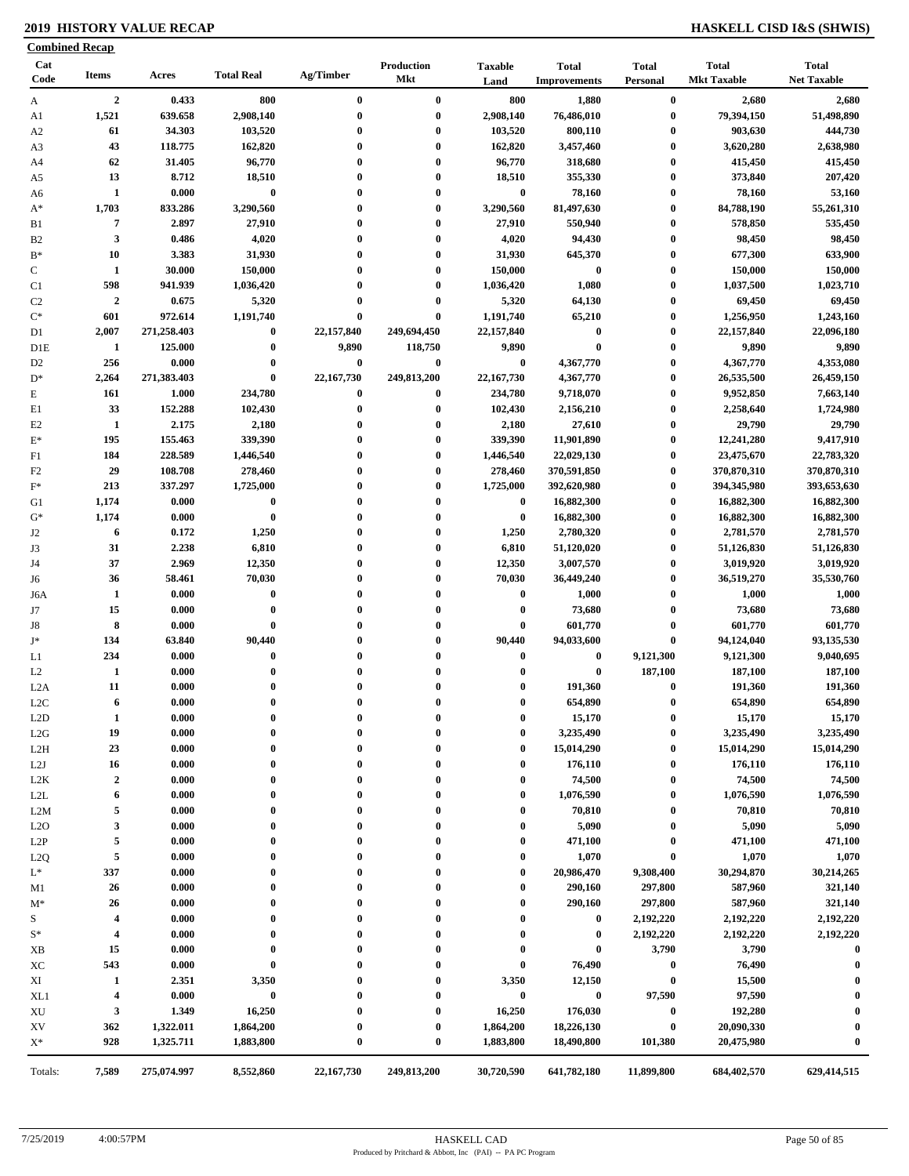### **2019 HISTORY VALUE RECAP HASKELL CISD I&S (SHWIS)**

|                | <b>Combined Recap</b>   |             |                   |                  |                   |                        |                                     |                          |                                    |                                    |
|----------------|-------------------------|-------------|-------------------|------------------|-------------------|------------------------|-------------------------------------|--------------------------|------------------------------------|------------------------------------|
| Cat<br>Code    | <b>Items</b>            | Acres       | <b>Total Real</b> | Ag/Timber        | Production<br>Mkt | <b>Taxable</b><br>Land | <b>Total</b><br><b>Improvements</b> | <b>Total</b><br>Personal | <b>Total</b><br><b>Mkt Taxable</b> | <b>Total</b><br><b>Net Taxable</b> |
| A              | $\boldsymbol{2}$        | 0.433       | 800               | $\bf{0}$         | $\bf{0}$          | 800                    | 1,880                               | $\boldsymbol{0}$         | 2,680                              | 2,680                              |
| A1             | 1,521                   | 639.658     | 2,908,140         | $\bf{0}$         | $\bf{0}$          | 2,908,140              | 76,486,010                          | $\bf{0}$                 | 79,394,150                         | 51,498,890                         |
| A <sub>2</sub> | 61                      | 34.303      | 103,520           | $\mathbf 0$      | $\bf{0}$          | 103,520                | 800,110                             | $\bf{0}$                 | 903,630                            | 444,730                            |
| A <sub>3</sub> | 43                      | 118.775     | 162,820           | $\mathbf 0$      | $\bf{0}$          | 162,820                | 3,457,460                           | $\boldsymbol{0}$         | 3,620,280                          | 2,638,980                          |
| A4             | 62                      | 31.405      | 96,770            | $\mathbf 0$      | $\bf{0}$          | 96,770                 | 318,680                             | 0                        | 415,450                            | 415,450                            |
| A5             | 13                      | 8.712       | 18,510            | $\boldsymbol{0}$ | $\bf{0}$          | 18,510                 | 355,330                             | 0                        | 373,840                            | 207,420                            |
| A6             | $\mathbf{1}$            | 0.000       | $\bf{0}$          | $\mathbf 0$      | $\bf{0}$          | $\bf{0}$               | 78,160                              | 0                        | 78,160                             | 53,160                             |
| $A^*$          | 1,703                   | 833.286     | 3,290,560         | $\mathbf 0$      | $\bf{0}$          | 3,290,560              | 81,497,630                          | $\bf{0}$                 | 84,788,190                         | 55,261,310                         |
| B1             | 7                       | 2.897       | 27,910            | $\boldsymbol{0}$ | $\bf{0}$          | 27,910                 | 550,940                             | $\bf{0}$                 | 578,850                            | 535,450                            |
| B <sub>2</sub> | $\mathbf{3}$            | 0.486       | 4,020             | $\boldsymbol{0}$ | $\bf{0}$          | 4,020                  | 94,430                              | 0                        | 98,450                             | 98,450                             |
| $B*$           | 10                      | 3.383       | 31,930            | $\mathbf 0$      | $\bf{0}$          | 31,930                 | 645,370                             | 0                        | 677,300                            | 633,900                            |
| $\mathbf C$    | $\mathbf{1}$            | 30.000      | 150,000           | $\mathbf{0}$     | $\bf{0}$          | 150,000                | $\bf{0}$                            | $\bf{0}$                 | 150,000                            | 150,000                            |
| C1             | 598                     | 941.939     | 1,036,420         | $\mathbf 0$      | $\bf{0}$          | 1,036,420              | 1,080                               | 0                        | 1,037,500                          | 1,023,710                          |
| C <sub>2</sub> | $\boldsymbol{2}$        | 0.675       | 5,320             | $\mathbf 0$      | $\bf{0}$          | 5,320                  | 64,130                              | $\bf{0}$                 | 69,450                             | 69,450                             |
| $\mathrm{C}^*$ | 601                     | 972.614     | 1,191,740         | $\bf{0}$         | $\bf{0}$          | 1,191,740              | 65,210                              | 0                        | 1,256,950                          | 1,243,160                          |
| D1             | 2,007                   | 271,258.403 | $\bf{0}$          | 22,157,840       | 249,694,450       | 22,157,840             | $\boldsymbol{0}$                    | 0                        | 22,157,840                         | 22,096,180                         |
| D1E            | 1                       | 125.000     | $\bf{0}$          | 9,890            | 118,750           | 9,890                  | $\bf{0}$                            | $\bf{0}$                 | 9,890                              | 9,890                              |
| D <sub>2</sub> | 256                     | 0.000       | $\boldsymbol{0}$  | $\bf{0}$         | $\bf{0}$          | $\bf{0}$               | 4,367,770                           | $\bf{0}$                 | 4,367,770                          | 4,353,080                          |
| $D^*$          | 2,264                   | 271,383.403 | $\bf{0}$          | 22,167,730       | 249,813,200       | 22,167,730             | 4,367,770                           | 0                        | 26,535,500                         | 26,459,150                         |
| $\mathbf E$    | 161                     | 1.000       | 234,780           | $\bf{0}$         | $\bf{0}$          | 234,780                | 9,718,070                           | $\bf{0}$                 | 9,952,850                          | 7,663,140                          |
| E1             | 33                      | 152.288     | 102,430           | $\bf{0}$         | $\bf{0}$          | 102,430                | 2,156,210                           | 0                        | 2,258,640                          | 1,724,980                          |
| E2             | 1                       | 2.175       | 2,180             | $\boldsymbol{0}$ | $\bf{0}$          | 2,180                  | 27,610                              | 0                        | 29,790                             | 29,790                             |
| $\mathbf{E}^*$ | 195                     | 155.463     | 339,390           | $\mathbf 0$      | $\bf{0}$          | 339,390                | 11,901,890                          | 0                        | 12,241,280                         | 9,417,910                          |
| F1             | 184                     | 228.589     | 1,446,540         | $\boldsymbol{0}$ | $\bf{0}$          | 1,446,540              | 22,029,130                          | $\bf{0}$                 | 23,475,670                         | 22,783,320                         |
| F2             | 29                      | 108.708     | 278,460           | $\mathbf 0$      | $\bf{0}$          | 278,460                | 370,591,850                         | 0                        | 370,870,310                        | 370,870,310                        |
| $F^*$          | 213                     | 337.297     | 1,725,000         | $\mathbf 0$      | $\bf{0}$          | 1,725,000              | 392,620,980                         | $\mathbf{0}$             | 394,345,980                        | 393,653,630                        |
| G1             | 1,174                   | 0.000       | $\bf{0}$          | $\mathbf{0}$     | $\bf{0}$          | $\bf{0}$               | 16,882,300                          | $\bf{0}$                 | 16,882,300                         | 16,882,300                         |
| $G^*$          | 1,174                   | 0.000       | $\bf{0}$          | $\mathbf 0$      | $\bf{0}$          | $\bf{0}$               | 16,882,300                          | $\bf{0}$                 | 16,882,300                         | 16,882,300                         |
| J2             | 6                       | 0.172       | 1,250             |                  | $\bf{0}$          | 1,250                  | 2,780,320                           | $\bf{0}$                 | 2,781,570                          | 2,781,570                          |
| J3             | 31                      | 2.238       | 6,810             |                  | $\bf{0}$          | 6,810                  | 51,120,020                          | 0                        | 51,126,830                         | 51,126,830                         |
| J4             | 37                      | 2.969       | 12,350            | $\mathbf 0$      | $\bf{0}$          | 12,350                 | 3,007,570                           | $\bf{0}$                 | 3,019,920                          | 3,019,920                          |
| J6             | 36                      | 58.461      | 70,030            | $\mathbf 0$      | $\bf{0}$          | 70,030                 | 36,449,240                          | $\bf{0}$                 | 36,519,270                         | 35,530,760                         |
| J6A            | 1                       | 0.000       | $\bf{0}$          |                  | $\bf{0}$          | $\bf{0}$               | 1,000                               | $\bf{0}$                 | 1,000                              | 1,000                              |
| J7             | 15                      | 0.000       | $\bf{0}$          | $\mathbf 0$      | $\bf{0}$          | $\bf{0}$               | 73,680                              | $\bf{0}$                 | 73,680                             | 73,680                             |
| J8             | 8                       | 0.000       | $\bf{0}$          | $\mathbf 0$      | $\bf{0}$          | $\bf{0}$               | 601,770                             | 0                        | 601,770                            | 601,770                            |
| $\mathbf{J}^*$ | 134                     | 63.840      | 90,440            | $\mathbf 0$      | $\bf{0}$          | 90,440                 | 94,033,600                          | 0                        | 94,124,040                         | 93,135,530                         |
| L1             | 234                     | 0.000       | $\bf{0}$          |                  | $\bf{0}$          | $\bf{0}$               | $\bf{0}$                            | 9,121,300                | 9,121,300                          | 9,040,695                          |
| L2             | 1                       | 0.000       | $\bf{0}$          |                  | $\bf{0}$          | $\bf{0}$               | $\bf{0}$                            | 187,100                  | 187,100                            | 187,100                            |
| L2A            | 11                      | 0.000       | $\bf{0}$          | 0                | $\bf{0}$          | $\bf{0}$               | 191,360                             | $\boldsymbol{0}$         | 191,360                            | 191,360                            |
| L2C            | 6                       | 0.000       | $\bf{0}$          | $\bf{0}$         | $\bf{0}$          | $\bf{0}$               | 654,890                             | $\bf{0}$                 | 654,890                            | 654,890                            |
|                | $\mathbf{1}$            | 0.000       | $\bf{0}$          | $\boldsymbol{0}$ | $\bf{0}$          | 0                      |                                     | $\bf{0}$                 |                                    |                                    |
| L2D            | 19                      | 0.000       | $\bf{0}$          |                  | $\bf{0}$          | 0                      | 15,170<br>3,235,490                 | 0                        | 15,170<br>3,235,490                | 15,170<br>3,235,490                |
| L2G            |                         |             | $\bf{0}$          | 0                |                   | 0                      |                                     | 0                        |                                    |                                    |
| L2H            | 23                      | 0.000       |                   |                  | 0<br>$\bf{0}$     | 0                      | 15,014,290                          | 0                        | 15,014,290                         | 15,014,290                         |
| L2J            | 16<br>$\boldsymbol{2}$  | 0.000       | $\bf{0}$          |                  | $\bf{0}$          |                        | 176,110                             |                          | 176,110<br>74,500                  | 176,110<br>74,500                  |
| L2K            |                         | 0.000       | $\bf{0}$          | $\boldsymbol{0}$ |                   | 0                      | 74,500                              | 0                        |                                    |                                    |
| L2L            | 6                       | 0.000       | $\bf{0}$          | 0                | $\bf{0}$          | $\bf{0}$               | 1,076,590                           | 0                        | 1,076,590                          | 1,076,590                          |
| L2M            | 5                       | 0.000       | $\bf{0}$          | $\boldsymbol{0}$ | 0                 | $\bf{0}$               | 70,810                              | 0                        | 70,810                             | 70,810                             |
| L2O            | $\mathbf{3}$            | 0.000       | $\bf{0}$          |                  | $\bf{0}$          | 0                      | 5,090                               | $\boldsymbol{0}$         | 5,090                              | 5,090                              |
| L2P            | 5                       | 0.000       | $\bf{0}$          | $\boldsymbol{0}$ | 0                 | 0                      | 471,100                             | $\boldsymbol{0}$         | 471,100                            | 471,100                            |
| L2Q            | 5                       | 0.000       | $\bf{0}$          | $\boldsymbol{0}$ | $\bf{0}$          | 0                      | 1,070                               | $\bf{0}$                 | 1,070                              | 1,070                              |
| $L^*$          | 337                     | 0.000       | $\bf{0}$          | $\boldsymbol{0}$ | 0                 | 0                      | 20,986,470                          | 9,308,400                | 30,294,870                         | 30,214,265                         |
| M1             | 26                      | 0.000       | $\bf{0}$          | $\boldsymbol{0}$ | $\bf{0}$          | $\bf{0}$               | 290,160                             | 297,800                  | 587,960                            | 321,140                            |
| $M^*$          | 26                      | 0.000       | $\bf{0}$          | $\boldsymbol{0}$ | $\bf{0}$          | 0                      | 290,160                             | 297,800                  | 587,960                            | 321,140                            |
| S              | $\overline{\mathbf{4}}$ | 0.000       | $\bf{0}$          | $\boldsymbol{0}$ | 0                 | $\bf{0}$               | $\bf{0}$                            | 2,192,220                | 2,192,220                          | 2,192,220                          |
| $S^*$          | $\overline{\mathbf{4}}$ | 0.000       | $\bf{0}$          |                  | 0                 | $\bf{0}$               | $\bf{0}$                            | 2,192,220                | 2,192,220                          | 2,192,220                          |
| XB             | 15                      | 0.000       | $\bf{0}$          |                  | 0                 | $\bf{0}$               | $\bf{0}$                            | 3,790                    | 3,790                              | $\boldsymbol{0}$                   |
| XC             | 543                     | 0.000       | $\bf{0}$          | 0                | 0                 | $\bf{0}$               | 76,490                              | $\bf{0}$                 | 76,490                             | -0                                 |
| XI             | 1                       | 2.351       | 3,350             | 0                | 0                 | 3,350                  | 12,150                              | $\bf{0}$                 | 15,500                             |                                    |
| XL1            | $\overline{\mathbf{4}}$ | 0.000       | $\bf{0}$          | 0                | $\bf{0}$          | $\bf{0}$               | $\bf{0}$                            | 97,590                   | 97,590                             | 0                                  |
| XU             | $\mathbf{3}$            | 1.349       | 16,250            | 0                | $\bf{0}$          | 16,250                 | 176,030                             | $\bf{0}$                 | 192,280                            | $\mathbf 0$                        |
| XV             | 362                     | 1,322.011   | 1,864,200         | $\boldsymbol{0}$ | $\bf{0}$          | 1,864,200              | 18,226,130                          | $\bf{0}$                 | 20,090,330                         |                                    |
| $X^*$          | 928                     | 1,325.711   | 1,883,800         | $\boldsymbol{0}$ | $\bf{0}$          | 1,883,800              | 18,490,800                          | 101,380                  | 20,475,980                         | $\mathbf 0$                        |
| Totals:        | 7,589                   | 275,074.997 | 8,552,860         | 22,167,730       | 249,813,200       | 30,720,590             | 641,782,180                         | 11,899,800               | 684,402,570                        | 629,414,515                        |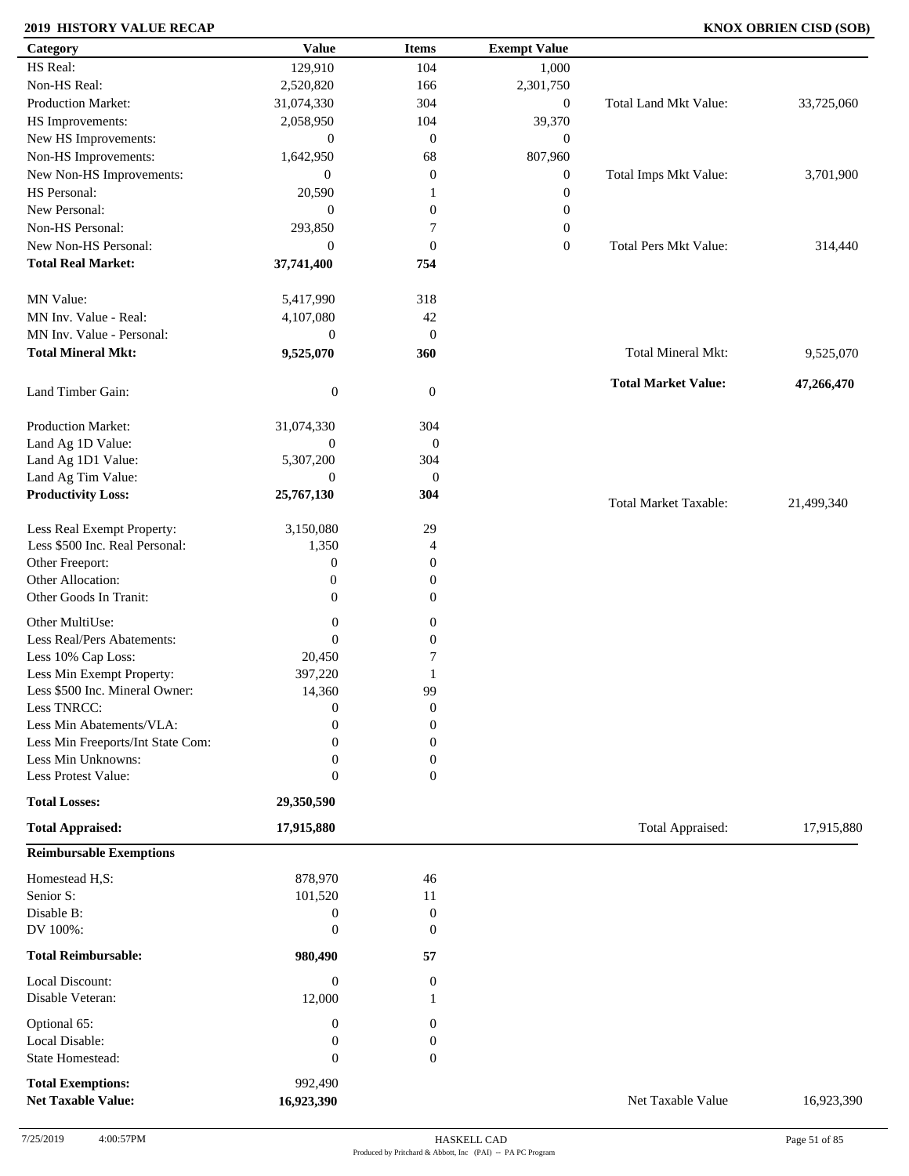### **2019 HISTORY VALUE RECAP KNOX OBRIEN CISD (SOB)**

| Category                                  | <b>Value</b>     | <b>Items</b>     | <b>Exempt Value</b> |                              |            |
|-------------------------------------------|------------------|------------------|---------------------|------------------------------|------------|
| HS Real:                                  | 129,910          | 104              | 1,000               |                              |            |
| Non-HS Real:                              | 2,520,820        | 166              | 2,301,750           |                              |            |
| Production Market:                        | 31,074,330       | 304              | $\boldsymbol{0}$    | Total Land Mkt Value:        | 33,725,060 |
| HS Improvements:                          | 2,058,950        | 104              | 39,370              |                              |            |
| New HS Improvements:                      | $\boldsymbol{0}$ | $\mathbf{0}$     | $\boldsymbol{0}$    |                              |            |
| Non-HS Improvements:                      | 1,642,950        | 68               | 807,960             |                              |            |
| New Non-HS Improvements:                  | $\mathbf{0}$     | $\boldsymbol{0}$ | $\boldsymbol{0}$    | Total Imps Mkt Value:        | 3,701,900  |
| HS Personal:                              | 20,590           | -1               | $\boldsymbol{0}$    |                              |            |
| New Personal:                             | $\overline{0}$   | $\boldsymbol{0}$ | $\boldsymbol{0}$    |                              |            |
| Non-HS Personal:                          | 293,850          | 7                | $\boldsymbol{0}$    |                              |            |
| New Non-HS Personal:                      | $\overline{0}$   | $\mathbf{0}$     | $\boldsymbol{0}$    | <b>Total Pers Mkt Value:</b> | 314,440    |
| <b>Total Real Market:</b>                 | 37,741,400       | 754              |                     |                              |            |
|                                           |                  |                  |                     |                              |            |
| MN Value:                                 | 5,417,990        | 318              |                     |                              |            |
| MN Inv. Value - Real:                     | 4,107,080        | 42               |                     |                              |            |
| MN Inv. Value - Personal:                 | $\boldsymbol{0}$ | $\boldsymbol{0}$ |                     |                              |            |
| <b>Total Mineral Mkt:</b>                 | 9,525,070        | 360              |                     | Total Mineral Mkt:           | 9,525,070  |
|                                           |                  |                  |                     |                              |            |
| Land Timber Gain:                         | $\boldsymbol{0}$ | $\mathbf{0}$     |                     | <b>Total Market Value:</b>   | 47,266,470 |
|                                           |                  |                  |                     |                              |            |
| Production Market:                        | 31,074,330       | 304              |                     |                              |            |
| Land Ag 1D Value:                         | $\overline{0}$   | $\boldsymbol{0}$ |                     |                              |            |
| Land Ag 1D1 Value:                        | 5,307,200        | 304              |                     |                              |            |
| Land Ag Tim Value:                        | $\overline{0}$   | $\boldsymbol{0}$ |                     |                              |            |
| <b>Productivity Loss:</b>                 | 25,767,130       | 304              |                     | <b>Total Market Taxable:</b> | 21,499,340 |
| Less Real Exempt Property:                | 3,150,080        | 29               |                     |                              |            |
| Less \$500 Inc. Real Personal:            | 1,350            | $\overline{4}$   |                     |                              |            |
| Other Freeport:                           | $\boldsymbol{0}$ | $\mathbf{0}$     |                     |                              |            |
| Other Allocation:                         | $\boldsymbol{0}$ | $\boldsymbol{0}$ |                     |                              |            |
| Other Goods In Tranit:                    | $\overline{0}$   | $\boldsymbol{0}$ |                     |                              |            |
| Other MultiUse:                           |                  |                  |                     |                              |            |
|                                           | $\boldsymbol{0}$ | $\boldsymbol{0}$ |                     |                              |            |
| Less Real/Pers Abatements:                | $\boldsymbol{0}$ | $\boldsymbol{0}$ |                     |                              |            |
| Less 10% Cap Loss:                        | 20,450           | 7                |                     |                              |            |
| Less Min Exempt Property:                 | 397,220          | 1                |                     |                              |            |
| Less \$500 Inc. Mineral Owner:            | 14,360           | 99               |                     |                              |            |
| Less TNRCC:                               | $\overline{0}$   | $\boldsymbol{0}$ |                     |                              |            |
| Less Min Abatements/VLA:                  | $\boldsymbol{0}$ | $\boldsymbol{0}$ |                     |                              |            |
| Less Min Freeports/Int State Com:         | $\Omega$         | $\Omega$         |                     |                              |            |
| Less Min Unknowns:<br>Less Protest Value: | $\mathbf{0}$     | $\Omega$         |                     |                              |            |
| <b>Total Losses:</b>                      | $\boldsymbol{0}$ | $\overline{0}$   |                     |                              |            |
|                                           | 29,350,590       |                  |                     |                              |            |
| <b>Total Appraised:</b>                   | 17,915,880       |                  |                     | Total Appraised:             | 17,915,880 |
| <b>Reimbursable Exemptions</b>            |                  |                  |                     |                              |            |
| Homestead H,S:                            | 878,970          | 46               |                     |                              |            |
| Senior S:                                 | 101,520          | 11               |                     |                              |            |
| Disable B:                                | $\boldsymbol{0}$ | $\boldsymbol{0}$ |                     |                              |            |
| DV 100%:                                  | $\boldsymbol{0}$ | $\mathbf{0}$     |                     |                              |            |
| <b>Total Reimbursable:</b>                | 980,490          | 57               |                     |                              |            |
| Local Discount:                           | $\boldsymbol{0}$ | $\overline{0}$   |                     |                              |            |
| Disable Veteran:                          | 12,000           | 1                |                     |                              |            |
|                                           |                  |                  |                     |                              |            |
| Optional 65:                              | $\boldsymbol{0}$ | $\overline{0}$   |                     |                              |            |
| Local Disable:                            | $\boldsymbol{0}$ | $\boldsymbol{0}$ |                     |                              |            |
| State Homestead:                          | $\boldsymbol{0}$ | $\boldsymbol{0}$ |                     |                              |            |
| <b>Total Exemptions:</b>                  | 992,490          |                  |                     |                              |            |
| <b>Net Taxable Value:</b>                 | 16,923,390       |                  |                     | Net Taxable Value            | 16,923,390 |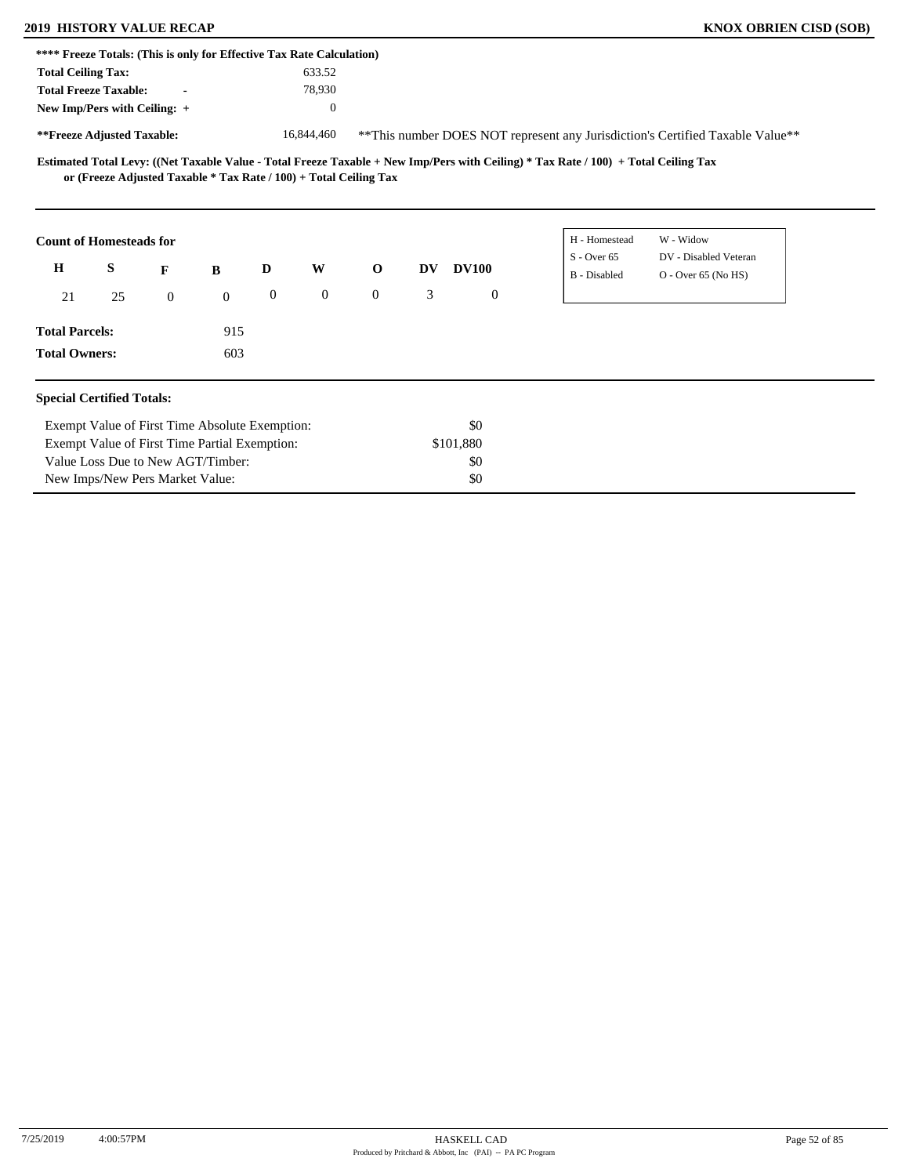### **2019 HISTORY VALUE RECAP KNOX OBRIEN CISD (SOB)**

| **** Freeze Totals: (This is only for Effective Tax Rate Calculation) |                                                                   |                |              |                  |              |              |    |              |                |                                                                                                                                     |                                                                               |  |
|-----------------------------------------------------------------------|-------------------------------------------------------------------|----------------|--------------|------------------|--------------|--------------|----|--------------|----------------|-------------------------------------------------------------------------------------------------------------------------------------|-------------------------------------------------------------------------------|--|
| <b>Total Ceiling Tax:</b>                                             |                                                                   |                |              |                  | 633.52       |              |    |              |                |                                                                                                                                     |                                                                               |  |
| <b>Total Freeze Taxable:</b>                                          |                                                                   |                |              |                  | 78,930       |              |    |              |                |                                                                                                                                     |                                                                               |  |
| New Imp/Pers with Ceiling: +                                          |                                                                   |                |              |                  | $\theta$     |              |    |              |                |                                                                                                                                     |                                                                               |  |
| **Freeze Adjusted Taxable:                                            |                                                                   |                |              |                  | 16,844,460   |              |    |              |                |                                                                                                                                     | **This number DOES NOT represent any Jurisdiction's Certified Taxable Value** |  |
|                                                                       | or (Freeze Adjusted Taxable * Tax Rate / 100) + Total Ceiling Tax |                |              |                  |              |              |    |              |                | Estimated Total Levy: ((Net Taxable Value - Total Freeze Taxable + New Imp/Pers with Ceiling) * Tax Rate / 100) + Total Ceiling Tax |                                                                               |  |
| <b>Count of Homesteads for</b>                                        |                                                                   |                |              |                  |              |              |    |              |                | H - Homestead<br>$S -$ Over 65                                                                                                      | W - Widow<br>DV - Disabled Veteran                                            |  |
| $\mathbf H$                                                           | S                                                                 | F              | B            | D                | W            | $\mathbf 0$  | DV | <b>DV100</b> |                | <b>B</b> - Disabled                                                                                                                 | O - Over 65 (No HS)                                                           |  |
| 21                                                                    | 25                                                                | $\overline{0}$ | $\mathbf{0}$ | $\boldsymbol{0}$ | $\mathbf{0}$ | $\mathbf{0}$ | 3  |              | $\overline{0}$ |                                                                                                                                     |                                                                               |  |
| <b>Total Parcels:</b>                                                 |                                                                   |                | 915          |                  |              |              |    |              |                |                                                                                                                                     |                                                                               |  |
| <b>Total Owners:</b>                                                  |                                                                   |                | 603          |                  |              |              |    |              |                |                                                                                                                                     |                                                                               |  |
| <b>Special Certified Totals:</b>                                      |                                                                   |                |              |                  |              |              |    |              |                |                                                                                                                                     |                                                                               |  |
|                                                                       | Exempt Value of First Time Absolute Exemption:                    |                |              |                  |              |              |    | \$0          |                |                                                                                                                                     |                                                                               |  |
|                                                                       | Exempt Value of First Time Partial Exemption:                     |                |              |                  |              |              |    | \$101,880    |                |                                                                                                                                     |                                                                               |  |
|                                                                       | Value Loss Due to New AGT/Timber:                                 |                |              |                  |              |              |    | \$0          |                |                                                                                                                                     |                                                                               |  |
|                                                                       | New Imps/New Pers Market Value:                                   |                |              |                  |              |              |    | \$0          |                |                                                                                                                                     |                                                                               |  |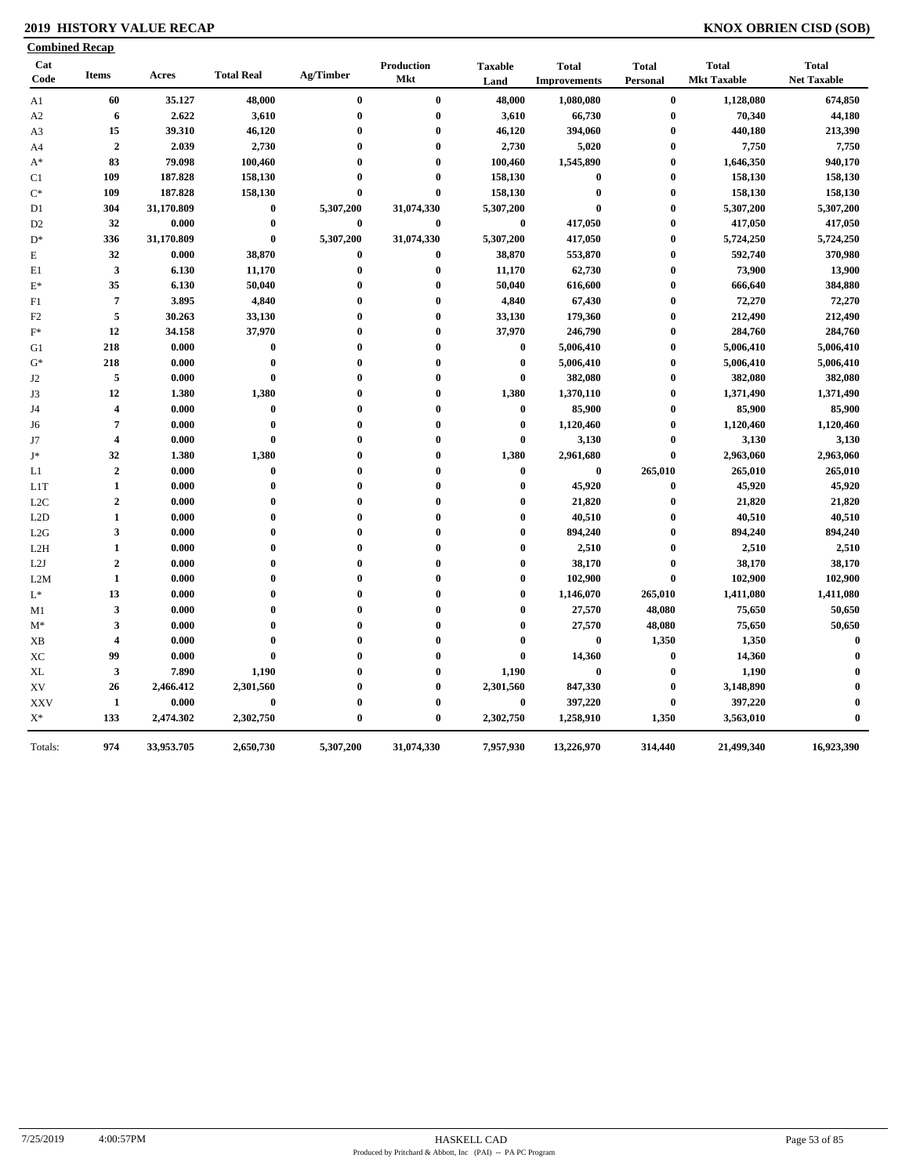### **2019 HISTORY VALUE RECAP KNOX OBRIEN CISD (SOB)**

|                  | <b>Combined Recap</b>   |            |                   |              |                          |                        |                                     |                          |                                    |                                    |
|------------------|-------------------------|------------|-------------------|--------------|--------------------------|------------------------|-------------------------------------|--------------------------|------------------------------------|------------------------------------|
| Cat<br>Code      | <b>Items</b>            | Acres      | <b>Total Real</b> | Ag/Timber    | Production<br><b>Mkt</b> | <b>Taxable</b><br>Land | <b>Total</b><br><b>Improvements</b> | <b>Total</b><br>Personal | <b>Total</b><br><b>Mkt Taxable</b> | <b>Total</b><br><b>Net Taxable</b> |
| A <sub>1</sub>   | 60                      | 35.127     | 48,000            | $\bf{0}$     | $\bf{0}$                 | 48,000                 | 1,080,080                           | $\bf{0}$                 | 1,128,080                          | 674,850                            |
| A <sub>2</sub>   | 6                       | 2.622      | 3,610             | $\bf{0}$     | $\bf{0}$                 | 3,610                  | 66,730                              | $\bf{0}$                 | 70,340                             | 44,180                             |
| A <sub>3</sub>   | 15                      | 39.310     | 46,120            | $\bf{0}$     | $\bf{0}$                 | 46,120                 | 394,060                             | $\bf{0}$                 | 440,180                            | 213,390                            |
| A4               | $\overline{2}$          | 2.039      | 2,730             | 0            | $\bf{0}$                 | 2,730                  | 5,020                               | $\bf{0}$                 | 7,750                              | 7,750                              |
| $A^*$            | 83                      | 79.098     | 100,460           | $\bf{0}$     | $\bf{0}$                 | 100,460                | 1,545,890                           | $\boldsymbol{0}$         | 1,646,350                          | 940,170                            |
| C <sub>1</sub>   | 109                     | 187.828    | 158,130           | $\bf{0}$     | $\bf{0}$                 | 158,130                | $\bf{0}$                            | $\bf{0}$                 | 158,130                            | 158,130                            |
| $C^*$            | 109                     | 187.828    | 158,130           | $\bf{0}$     | $\bf{0}$                 | 158,130                | $\bf{0}$                            | $\bf{0}$                 | 158,130                            | 158,130                            |
| D1               | 304                     | 31,170.809 | $\bf{0}$          | 5,307,200    | 31,074,330               | 5,307,200              | $\bf{0}$                            | $\bf{0}$                 | 5,307,200                          | 5,307,200                          |
| D <sub>2</sub>   | 32                      | 0.000      | $\bf{0}$          | $\mathbf{0}$ | $\bf{0}$                 | $\bf{0}$               | 417,050                             | $\bf{0}$                 | 417,050                            | 417,050                            |
| $D^*$            | 336                     | 31,170.809 | $\bf{0}$          | 5,307,200    | 31,074,330               | 5,307,200              | 417,050                             | $\bf{0}$                 | 5,724,250                          | 5,724,250                          |
| ${\bf E}$        | 32                      | 0.000      | 38,870            | 0            | $\bf{0}$                 | 38,870                 | 553,870                             | $\bf{0}$                 | 592,740                            | 370,980                            |
| E1               | 3                       | 6.130      | 11,170            | $\bf{0}$     | $\bf{0}$                 | 11,170                 | 62,730                              | $\bf{0}$                 | 73,900                             | 13,900                             |
| $E^*$            | 35                      | 6.130      | 50,040            | 0            | $\bf{0}$                 | 50,040                 | 616,600                             | $\bf{0}$                 | 666,640                            | 384,880                            |
| F1               | $\overline{7}$          | 3.895      | 4,840             | $\bf{0}$     | $\bf{0}$                 | 4,840                  | 67,430                              | $\bf{0}$                 | 72,270                             | 72,270                             |
| F2               | 5                       | 30.263     | 33,130            | $\bf{0}$     | $\bf{0}$                 | 33,130                 | 179,360                             | $\bf{0}$                 | 212,490                            | 212,490                            |
| $F^*$            | 12                      | 34.158     | 37,970            | $\bf{0}$     | $\bf{0}$                 | 37,970                 | 246,790                             | $\bf{0}$                 | 284,760                            | 284,760                            |
| G1               | 218                     | 0.000      | $\bf{0}$          | 0            | $\bf{0}$                 | $\bf{0}$               | 5,006,410                           | $\bf{0}$                 | 5,006,410                          | 5,006,410                          |
| $G^*$            | 218                     | 0.000      | $\pmb{0}$         | $\bf{0}$     | $\bf{0}$                 | $\bf{0}$               | 5,006,410                           | $\bf{0}$                 | 5,006,410                          | 5,006,410                          |
| J2               | 5                       | 0.000      | $\bf{0}$          | $\bf{0}$     | $\bf{0}$                 | $\bf{0}$               | 382,080                             | $\bf{0}$                 | 382,080                            | 382,080                            |
| J3               | 12                      | 1.380      | 1,380             | $\bf{0}$     | $\bf{0}$                 | 1,380                  | 1,370,110                           | $\bf{0}$                 | 1,371,490                          | 1,371,490                          |
| J4               | $\overline{4}$          | 0.000      | $\bf{0}$          | $\bf{0}$     | $\bf{0}$                 | $\bf{0}$               | 85,900                              | $\bf{0}$                 | 85,900                             | 85,900                             |
| J6               | $\overline{7}$          | 0.000      | $\bf{0}$          | $\bf{0}$     | $\bf{0}$                 | $\bf{0}$               | 1,120,460                           | $\bf{0}$                 | 1,120,460                          | 1,120,460                          |
| J7               | $\overline{4}$          | 0.000      | $\bf{0}$          | $\bf{0}$     | $\bf{0}$                 | $\bf{0}$               | 3,130                               | $\boldsymbol{0}$         | 3,130                              | 3,130                              |
| $J^*$            | 32                      | 1.380      | 1,380             | $\mathbf{0}$ | $\bf{0}$                 | 1,380                  | 2,961,680                           | $\pmb{0}$                | 2,963,060                          | 2,963,060                          |
| L1               | $\boldsymbol{2}$        | 0.000      | $\bf{0}$          | $\bf{0}$     | $\bf{0}$                 | $\bf{0}$               | $\bf{0}$                            | 265,010                  | 265,010                            | 265,010                            |
| L <sub>1</sub> T | $\mathbf{1}$            | 0.000      | $\bf{0}$          | $\bf{0}$     | $\bf{0}$                 | $\boldsymbol{0}$       | 45,920                              | $\pmb{0}$                | 45,920                             | 45,920                             |
| L2C              | $\overline{2}$          | 0.000      | $\bf{0}$          | $\bf{0}$     | $\bf{0}$                 | $\bf{0}$               | 21,820                              | $\boldsymbol{0}$         | 21,820                             | 21,820                             |
| L2D              | $\mathbf{1}$            | 0.000      | $\bf{0}$          | $\mathbf{0}$ | $\bf{0}$                 | $\bf{0}$               | 40,510                              | $\bf{0}$                 | 40,510                             | 40,510                             |
| L2G              | $\mathbf{3}$            | 0.000      | $\bf{0}$          | $\mathbf{0}$ | $\bf{0}$                 | $\bf{0}$               | 894,240                             | $\bf{0}$                 | 894,240                            | 894,240                            |
| L2H              | $\mathbf{1}$            | 0.000      | $\bf{0}$          | $\mathbf{0}$ | $\bf{0}$                 | $\bf{0}$               | 2,510                               | $\bf{0}$                 | 2,510                              | 2,510                              |
| L2J              | $\mathbf 2$             | 0.000      | $\bf{0}$          | $\bf{0}$     | $\bf{0}$                 | $\bf{0}$               | 38,170                              | $\bf{0}$                 | 38,170                             | 38,170                             |
| L2M              | 1                       | 0.000      | $\bf{0}$          | $\mathbf{0}$ | $\bf{0}$                 | $\bf{0}$               | 102,900                             | $\bf{0}$                 | 102,900                            | 102,900                            |
| $\mathcal{L}^*$  | 13                      | 0.000      | $\bf{0}$          | $\bf{0}$     | $\bf{0}$                 | $\bf{0}$               | 1,146,070                           | 265,010                  | 1,411,080                          | 1,411,080                          |
| M1               | $\mathbf{3}$            | 0.000      | $\bf{0}$          | $\mathbf{0}$ | $\bf{0}$                 | $\bf{0}$               | 27,570                              | 48,080                   | 75,650                             | 50,650                             |
| $M^*$            | 3                       | 0.000      | $\bf{0}$          | $\mathbf{0}$ | $\bf{0}$                 | $\bf{0}$               | 27,570                              | 48,080                   | 75,650                             | 50,650                             |
| XB               | $\overline{\mathbf{4}}$ | 0.000      | $\bf{0}$          | 0            | $\bf{0}$                 | $\bf{0}$               | $\bf{0}$                            | 1,350                    | 1,350                              | $\bf{0}$                           |
| XC               | 99                      | 0.000      | $\bf{0}$          | $\mathbf{0}$ | $\bf{0}$                 | $\bf{0}$               | 14,360                              | $\bf{0}$                 | 14,360                             | $\bf{0}$                           |
| XL               | $\mathbf{3}$            | 7.890      | 1,190             | $\bf{0}$     | $\bf{0}$                 | 1,190                  | $\bf{0}$                            | $\bf{0}$                 | 1,190                              | $\bf{0}$                           |
| XV               | 26                      | 2,466.412  | 2,301,560         | $\bf{0}$     | $\bf{0}$                 | 2,301,560              | 847,330                             | $\bf{0}$                 | 3,148,890                          | $\bf{0}$                           |
| <b>XXV</b>       | 1                       | 0.000      | $\bf{0}$          | $\bf{0}$     | $\bf{0}$                 | $\bf{0}$               | 397,220                             | $\bf{0}$                 | 397,220                            | $\bf{0}$                           |
| $X^*$            | 133                     | 2,474.302  | 2,302,750         | $\bf{0}$     | $\bf{0}$                 | 2,302,750              | 1,258,910                           | 1,350                    | 3,563,010                          | $\bf{0}$                           |
| Totals:          | 974                     | 33,953.705 | 2,650,730         | 5,307,200    | 31,074,330               | 7,957,930              | 13,226,970                          | 314,440                  | 21,499,340                         | 16,923,390                         |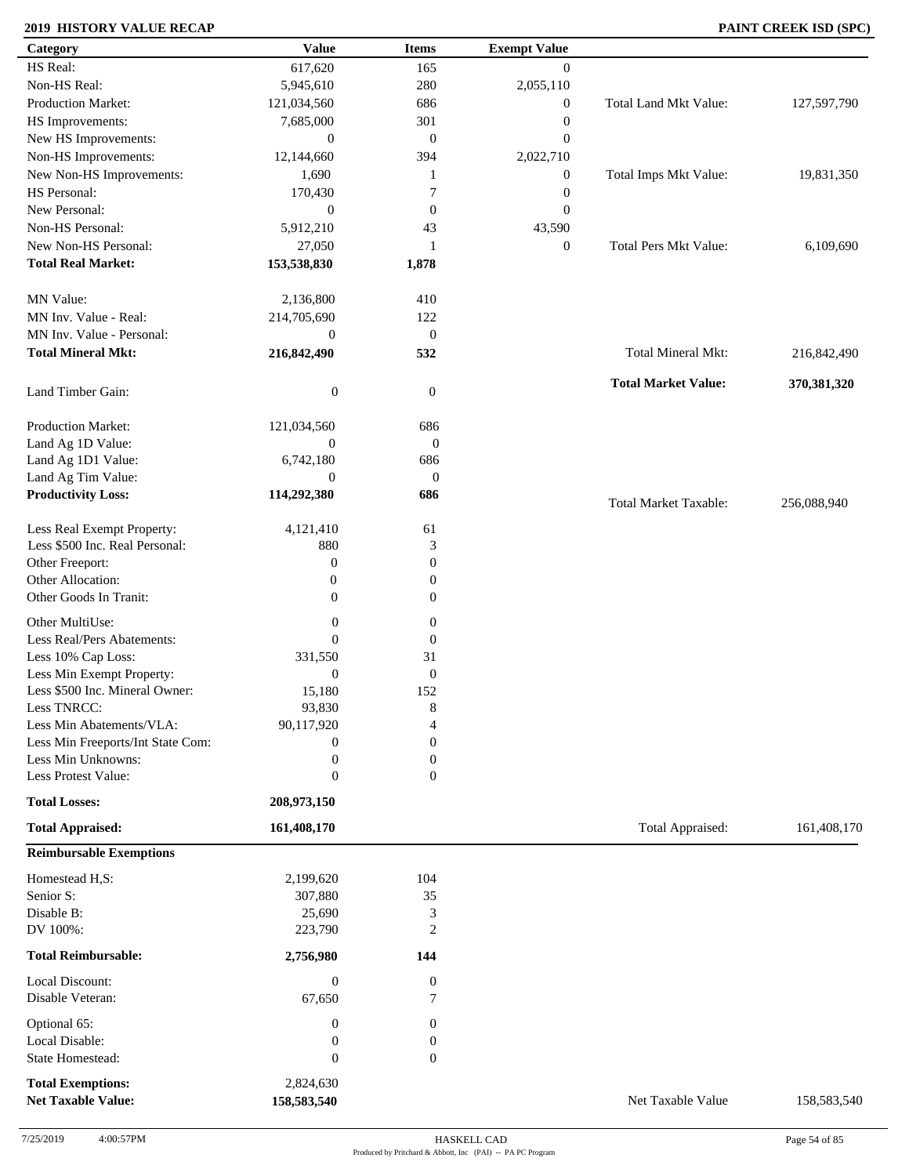### **2019 HISTORY VALUE RECAP PAINT CREEK ISD (SPC)**

| Category                          | <b>Value</b>     | <b>Items</b>          | <b>Exempt Value</b> |                              |             |
|-----------------------------------|------------------|-----------------------|---------------------|------------------------------|-------------|
| HS Real:                          | 617,620          | 165                   | $\mathbf{0}$        |                              |             |
| Non-HS Real:                      | 5,945,610        | 280                   | 2,055,110           |                              |             |
| Production Market:                | 121,034,560      | 686                   | $\boldsymbol{0}$    | Total Land Mkt Value:        | 127,597,790 |
| HS Improvements:                  | 7,685,000        | 301                   | $\boldsymbol{0}$    |                              |             |
| New HS Improvements:              | $\mathbf{0}$     | $\mathbf{0}$          | $\mathbf{0}$        |                              |             |
| Non-HS Improvements:              | 12,144,660       | 394                   | 2,022,710           |                              |             |
| New Non-HS Improvements:          | 1,690            | 1                     | $\boldsymbol{0}$    | Total Imps Mkt Value:        | 19,831,350  |
| HS Personal:                      | 170,430          | $\overline{7}$        | $\boldsymbol{0}$    |                              |             |
| New Personal:                     | $\mathbf{0}$     | $\boldsymbol{0}$      | $\boldsymbol{0}$    |                              |             |
| Non-HS Personal:                  |                  |                       |                     |                              |             |
|                                   | 5,912,210        | 43                    | 43,590              |                              |             |
| New Non-HS Personal:              | 27,050           | 1                     | $\boldsymbol{0}$    | <b>Total Pers Mkt Value:</b> | 6,109,690   |
| <b>Total Real Market:</b>         | 153,538,830      | 1,878                 |                     |                              |             |
| MN Value:                         | 2,136,800        | 410                   |                     |                              |             |
| MN Inv. Value - Real:             | 214,705,690      | 122                   |                     |                              |             |
| MN Inv. Value - Personal:         | $\boldsymbol{0}$ | $\mathbf{0}$          |                     |                              |             |
| <b>Total Mineral Mkt:</b>         | 216,842,490      | 532                   |                     | Total Mineral Mkt:           | 216,842,490 |
| Land Timber Gain:                 | $\boldsymbol{0}$ | $\mathbf{0}$          |                     | <b>Total Market Value:</b>   | 370,381,320 |
| <b>Production Market:</b>         |                  |                       |                     |                              |             |
|                                   | 121,034,560      | 686                   |                     |                              |             |
| Land Ag 1D Value:                 | $\mathbf{0}$     | $\boldsymbol{0}$      |                     |                              |             |
| Land Ag 1D1 Value:                | 6,742,180        | 686                   |                     |                              |             |
| Land Ag Tim Value:                | $\mathbf{0}$     | $\boldsymbol{0}$      |                     |                              |             |
| <b>Productivity Loss:</b>         | 114,292,380      | 686                   |                     | <b>Total Market Taxable:</b> | 256,088,940 |
| Less Real Exempt Property:        | 4,121,410        | 61                    |                     |                              |             |
| Less \$500 Inc. Real Personal:    | 880              | 3                     |                     |                              |             |
| Other Freeport:                   | $\boldsymbol{0}$ | $\mathbf{0}$          |                     |                              |             |
| Other Allocation:                 | $\boldsymbol{0}$ | $\mathbf{0}$          |                     |                              |             |
| Other Goods In Tranit:            | $\mathbf{0}$     | $\boldsymbol{0}$      |                     |                              |             |
|                                   |                  |                       |                     |                              |             |
| Other MultiUse:                   | $\boldsymbol{0}$ | $\boldsymbol{0}$      |                     |                              |             |
| Less Real/Pers Abatements:        | $\boldsymbol{0}$ | $\boldsymbol{0}$      |                     |                              |             |
| Less 10% Cap Loss:                | 331,550          | 31                    |                     |                              |             |
| Less Min Exempt Property:         | $\boldsymbol{0}$ | $\mathbf{0}$          |                     |                              |             |
| Less \$500 Inc. Mineral Owner:    | 15,180           | 152                   |                     |                              |             |
| Less TNRCC:                       | 93,830           | 8                     |                     |                              |             |
| Less Min Abatements/VLA:          | 90,117,920       | 4                     |                     |                              |             |
| Less Min Freeports/Int State Com: | $\boldsymbol{0}$ | $\mathbf{0}$          |                     |                              |             |
| Less Min Unknowns:                | $\boldsymbol{0}$ | $\mathbf{0}$          |                     |                              |             |
| Less Protest Value:               | $\mathbf{0}$     | $\overline{0}$        |                     |                              |             |
| <b>Total Losses:</b>              | 208,973,150      |                       |                     |                              |             |
| <b>Total Appraised:</b>           | 161,408,170      |                       |                     | Total Appraised:             | 161,408,170 |
| <b>Reimbursable Exemptions</b>    |                  |                       |                     |                              |             |
| Homestead H,S:                    | 2,199,620        | 104                   |                     |                              |             |
| Senior S:                         | 307,880          | 35                    |                     |                              |             |
| Disable B:                        | 25,690           | 3                     |                     |                              |             |
| DV 100%:                          | 223,790          | 2                     |                     |                              |             |
| <b>Total Reimbursable:</b>        | 2,756,980        | 144                   |                     |                              |             |
| Local Discount:                   | $\boldsymbol{0}$ |                       |                     |                              |             |
| Disable Veteran:                  | 67,650           | $\boldsymbol{0}$<br>7 |                     |                              |             |
|                                   |                  |                       |                     |                              |             |
| Optional 65:                      | $\boldsymbol{0}$ | $\mathbf{0}$          |                     |                              |             |
| Local Disable:                    | $\boldsymbol{0}$ | $\boldsymbol{0}$      |                     |                              |             |
| State Homestead:                  | $\boldsymbol{0}$ | $\mathbf{0}$          |                     |                              |             |
| <b>Total Exemptions:</b>          | 2,824,630        |                       |                     |                              |             |
| <b>Net Taxable Value:</b>         | 158,583,540      |                       |                     | Net Taxable Value            | 158,583,540 |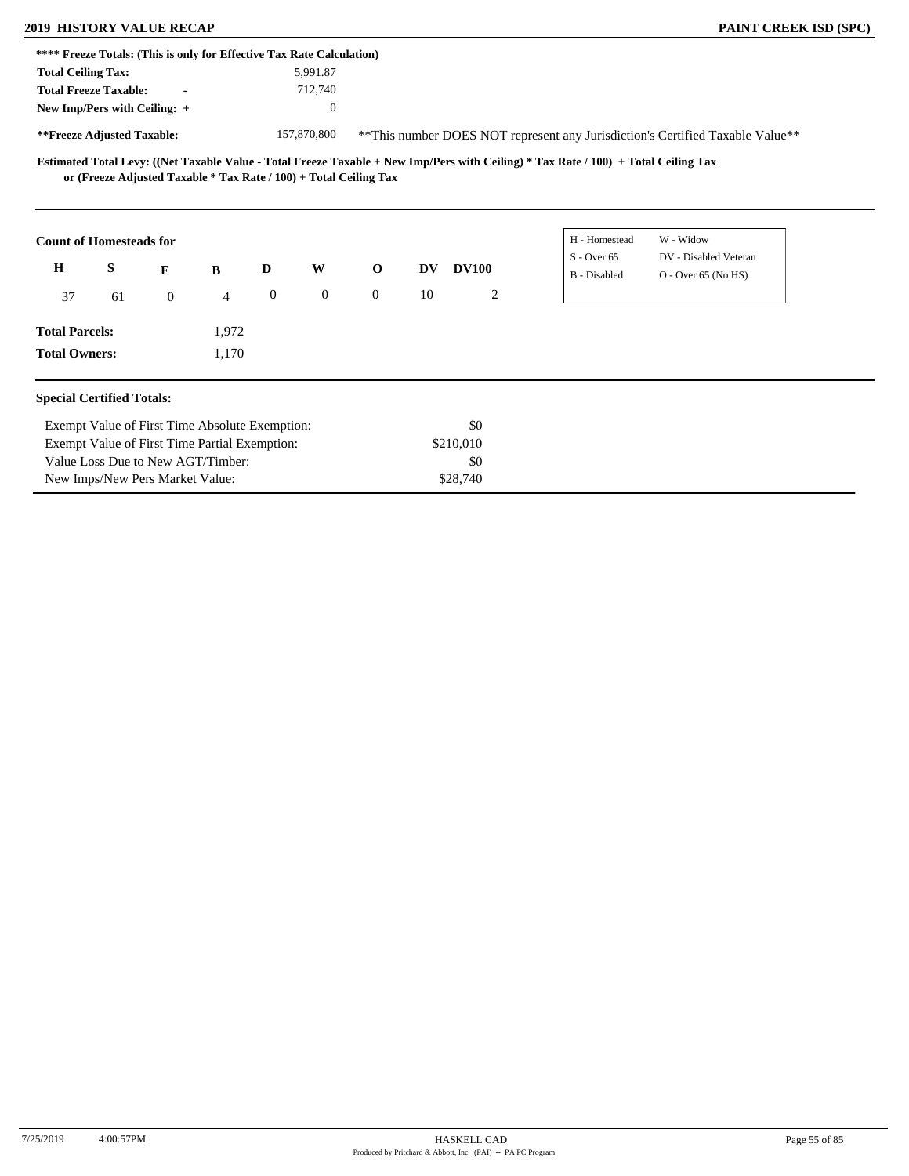### **2019 HISTORY VALUE RECAP PAINT CREEK ISD (SPC)**

|                                               | **** Freeze Totals: (This is only for Effective Tax Rate Calculation) |                |       |                  |              |                |           |              |                                                                                                                                     |                                                                                |
|-----------------------------------------------|-----------------------------------------------------------------------|----------------|-------|------------------|--------------|----------------|-----------|--------------|-------------------------------------------------------------------------------------------------------------------------------------|--------------------------------------------------------------------------------|
| <b>Total Ceiling Tax:</b>                     |                                                                       |                |       |                  | 5,991.87     |                |           |              |                                                                                                                                     |                                                                                |
|                                               | <b>Total Freeze Taxable:</b>                                          |                |       |                  | 712,740      |                |           |              |                                                                                                                                     |                                                                                |
|                                               | New Imp/Pers with Ceiling: +                                          |                |       |                  | $\theta$     |                |           |              |                                                                                                                                     |                                                                                |
|                                               | **Freeze Adjusted Taxable:                                            |                |       |                  | 157,870,800  |                |           |              |                                                                                                                                     | ** This number DOES NOT represent any Jurisdiction's Certified Taxable Value** |
|                                               | or (Freeze Adjusted Taxable * Tax Rate / 100) + Total Ceiling Tax     |                |       |                  |              |                |           |              | Estimated Total Levy: ((Net Taxable Value - Total Freeze Taxable + New Imp/Pers with Ceiling) * Tax Rate / 100) + Total Ceiling Tax |                                                                                |
|                                               | <b>Count of Homesteads for</b>                                        |                |       |                  |              |                |           |              | H - Homestead<br>$S - Over 65$                                                                                                      | W - Widow<br>DV - Disabled Veteran                                             |
| H                                             | S                                                                     | F              | B     | D                | W            | $\mathbf{o}$   | <b>DV</b> | <b>DV100</b> | B - Disabled                                                                                                                        | $O -$ Over 65 (No HS)                                                          |
| 37                                            | 61                                                                    | $\overline{0}$ | 4     | $\boldsymbol{0}$ | $\mathbf{0}$ | $\overline{0}$ | 10        | 2            |                                                                                                                                     |                                                                                |
| <b>Total Parcels:</b>                         |                                                                       |                | 1,972 |                  |              |                |           |              |                                                                                                                                     |                                                                                |
| <b>Total Owners:</b>                          |                                                                       |                | 1,170 |                  |              |                |           |              |                                                                                                                                     |                                                                                |
|                                               | <b>Special Certified Totals:</b>                                      |                |       |                  |              |                |           |              |                                                                                                                                     |                                                                                |
|                                               | Exempt Value of First Time Absolute Exemption:                        |                |       |                  |              |                |           | \$0          |                                                                                                                                     |                                                                                |
|                                               |                                                                       |                |       |                  |              | \$210,010      |           |              |                                                                                                                                     |                                                                                |
| Exempt Value of First Time Partial Exemption: |                                                                       |                |       |                  |              |                |           |              |                                                                                                                                     |                                                                                |
|                                               | Value Loss Due to New AGT/Timber:                                     |                |       |                  |              |                |           | \$0          |                                                                                                                                     |                                                                                |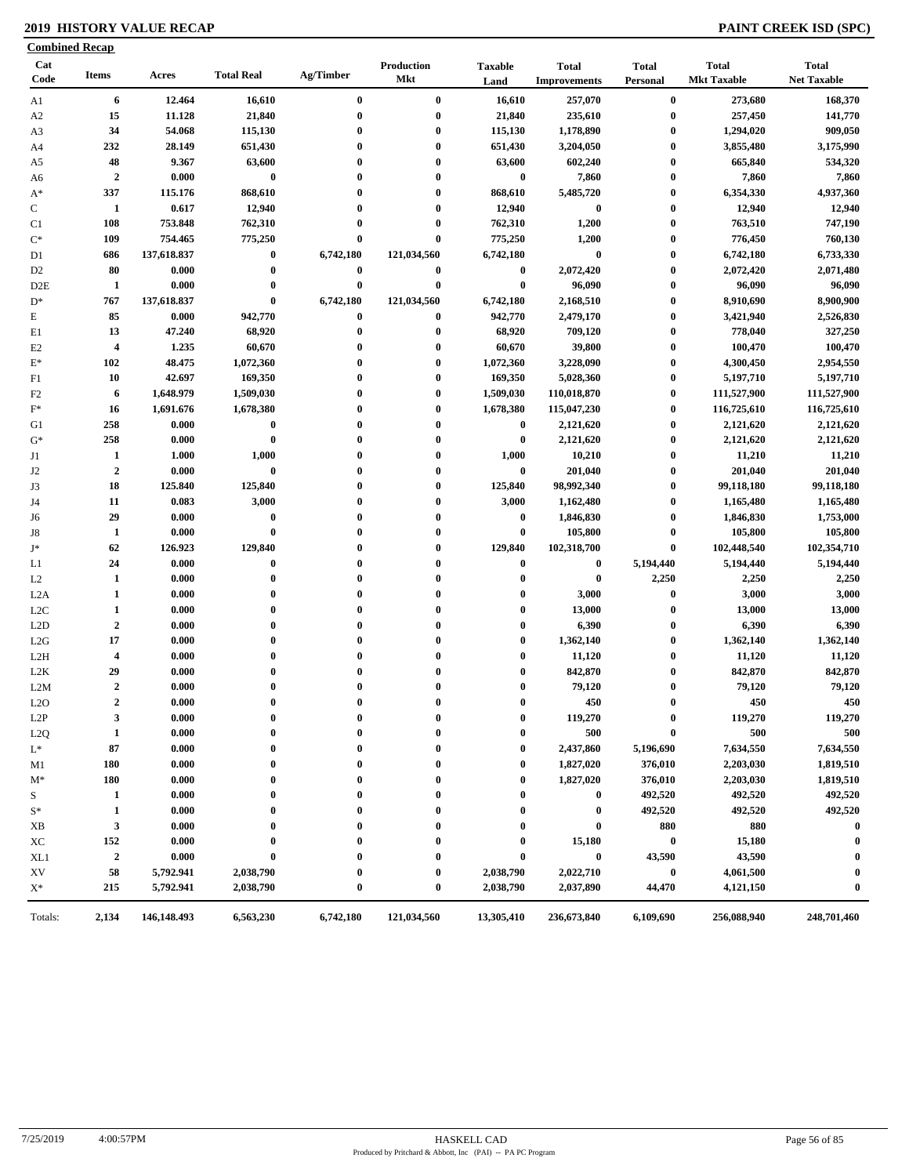### **2019 HISTORY VALUE RECAP PAINT CREEK ISD (SPC)**

| Cat<br>Code      | <b>Items</b>            | Acres       | <b>Total Real</b> | Ag/Timber | Production<br>Mkt | <b>Taxable</b><br>Land | <b>Total</b><br><b>Improvements</b> | <b>Total</b><br>Personal | <b>Total</b><br><b>Mkt Taxable</b> | <b>Total</b><br><b>Net Taxable</b> |
|------------------|-------------------------|-------------|-------------------|-----------|-------------------|------------------------|-------------------------------------|--------------------------|------------------------------------|------------------------------------|
| A1               | 6                       | 12.464      | 16,610            | $\bf{0}$  | $\bf{0}$          | 16,610                 | 257,070                             | $\bf{0}$                 | 273,680                            | 168,370                            |
| A <sub>2</sub>   | 15                      | 11.128      | 21,840            | $\bf{0}$  | $\boldsymbol{0}$  | 21,840                 | 235,610                             | $\bf{0}$                 | 257,450                            | 141,770                            |
| A3               | 34                      | 54.068      | 115,130           | $\bf{0}$  | $\bf{0}$          | 115,130                | 1,178,890                           | $\bf{0}$                 | 1,294,020                          | 909,050                            |
| A4               | 232                     | 28.149      | 651,430           | $\bf{0}$  | $\bf{0}$          | 651,430                | 3,204,050                           | $\bf{0}$                 | 3,855,480                          | 3,175,990                          |
| A5               | 48                      | 9.367       | 63,600            | $\bf{0}$  | $\bf{0}$          | 63,600                 | 602,240                             | $\bf{0}$                 | 665,840                            | 534,320                            |
| A6               | $\overline{2}$          | 0.000       | $\bf{0}$          | $\bf{0}$  | $\bf{0}$          | $\bf{0}$               | 7,860                               | $\bf{0}$                 | 7,860                              | 7,860                              |
| $A^*$            | 337                     | 115.176     | 868,610           | $\bf{0}$  | $\bf{0}$          | 868,610                | 5,485,720                           | $\bf{0}$                 | 6,354,330                          | 4,937,360                          |
| ${\bf C}$        | 1                       | 0.617       | 12,940            | $\bf{0}$  | $\bf{0}$          | 12,940                 | $\bf{0}$                            | $\bf{0}$                 | 12,940                             | 12,940                             |
| C1               | 108                     | 753.848     | 762,310           | $\bf{0}$  | $\bf{0}$          | 762,310                | 1,200                               | $\bf{0}$                 | 763,510                            | 747,190                            |
| $\mathrm{C}^*$   | 109                     | 754.465     | 775,250           | $\bf{0}$  | $\bf{0}$          | 775,250                | 1,200                               | $\bf{0}$                 | 776,450                            | 760,130                            |
| D <sub>1</sub>   | 686                     | 137,618.837 | $\bf{0}$          | 6,742,180 | 121,034,560       | 6,742,180              | $\bf{0}$                            | $\bf{0}$                 | 6,742,180                          | 6,733,330                          |
| D <sub>2</sub>   | 80                      | 0.000       | $\bf{0}$          | $\bf{0}$  | $\bf{0}$          | $\bf{0}$               | 2,072,420                           | $\bf{0}$                 | 2,072,420                          | 2,071,480                          |
| D2E              | $\mathbf{1}$            | 0.000       | $\bf{0}$          | $\bf{0}$  | $\bf{0}$          | $\bf{0}$               | 96,090                              | $\boldsymbol{0}$         | 96,090                             | 96,090                             |
| $D^*$            | 767                     | 137,618.837 | $\bf{0}$          | 6,742,180 | 121,034,560       | 6,742,180              | 2,168,510                           | $\bf{0}$                 | 8,910,690                          | 8,900,900                          |
| E                | 85                      | 0.000       | 942,770           | $\bf{0}$  | $\bf{0}$          | 942,770                | 2,479,170                           | $\bf{0}$                 | 3,421,940                          | 2,526,830                          |
| E1               | 13                      | 47.240      | 68,920            | $\bf{0}$  | $\bf{0}$          | 68,920                 | 709,120                             | $\bf{0}$                 | 778,040                            | 327,250                            |
| E <sub>2</sub>   | $\overline{\mathbf{4}}$ | 1.235       | 60,670            | $\bf{0}$  | $\bf{0}$          | 60,670                 | 39,800                              | $\bf{0}$                 | 100,470                            | 100,470                            |
| $\mathbf{E}^*$   | 102                     | 48.475      | 1,072,360         | $\bf{0}$  | $\bf{0}$          | 1,072,360              | 3,228,090                           | $\boldsymbol{0}$         | 4,300,450                          | 2,954,550                          |
| F1               | 10                      | 42.697      | 169,350           | $\bf{0}$  | $\bf{0}$          | 169,350                | 5,028,360                           | $\bf{0}$                 |                                    | 5,197,710                          |
| F2               | 6                       |             |                   | $\bf{0}$  | $\bf{0}$          |                        |                                     |                          | 5,197,710                          |                                    |
|                  |                         | 1,648.979   | 1,509,030         |           |                   | 1,509,030              | 110,018,870                         | $\bf{0}$                 | 111,527,900                        | 111,527,900                        |
| $\mathbf{F}^*$   | 16                      | 1,691.676   | 1,678,380         | $\bf{0}$  | $\bf{0}$          | 1,678,380              | 115,047,230                         | $\bf{0}$                 | 116,725,610                        | 116,725,610                        |
| G1               | 258                     | 0.000       | $\bf{0}$          | $\bf{0}$  | $\bf{0}$          | $\bf{0}$               | 2,121,620                           | $\bf{0}$                 | 2,121,620                          | 2,121,620                          |
| $G^*$            | 258                     | 0.000       | $\bf{0}$          | $\bf{0}$  | $\bf{0}$          | $\bf{0}$               | 2,121,620                           | $\bf{0}$                 | 2,121,620                          | 2,121,620                          |
|                  | $\mathbf{1}$            | 1.000       | 1,000             | $\bf{0}$  | $\bf{0}$          | 1,000                  | 10,210                              | $\bf{0}$                 | 11,210                             | 11,210                             |
|                  | $\overline{2}$          | 0.000       | $\bf{0}$          | $\bf{0}$  | $\bf{0}$          | $\bf{0}$               | 201,040                             | $\bf{0}$                 | 201,040                            | 201,040                            |
|                  | 18                      | 125.840     | 125,840           | $\bf{0}$  | $\bf{0}$          | 125,840                | 98,992,340                          | $\bf{0}$                 | 99,118,180                         | 99,118,180                         |
|                  | 11                      | 0.083       | 3,000             | $\bf{0}$  | $\bf{0}$          | 3,000                  | 1,162,480                           | $\bf{0}$                 | 1,165,480                          | 1,165,480                          |
|                  | 29                      | 0.000       | $\bf{0}$          | $\bf{0}$  | $\bf{0}$          | $\bf{0}$               | 1,846,830                           | $\bf{0}$                 | 1,846,830                          | 1,753,000                          |
| J8               | 1                       | 0.000       | $\bf{0}$          | $\bf{0}$  | $\bf{0}$          | $\bf{0}$               | 105,800                             | $\bf{0}$                 | 105,800                            | 105,800                            |
|                  | 62                      | 126.923     | 129,840           | $\bf{0}$  | $\bf{0}$          | 129,840                | 102,318,700                         | $\bf{0}$                 | 102,448,540                        | 102,354,710                        |
| L1               | 24                      | 0.000       | $\bf{0}$          | $\bf{0}$  | $\bf{0}$          | $\bf{0}$               | $\bf{0}$                            | 5,194,440                | 5,194,440                          | 5,194,440                          |
| L <sub>2</sub>   | $\mathbf{1}$            | 0.000       | $\bf{0}$          | $\bf{0}$  | $\bf{0}$          | $\bf{0}$               | $\bf{0}$                            | 2,250                    | 2,250                              | 2,250                              |
| L <sub>2</sub> A | 1                       | 0.000       | $\bf{0}$          | $\bf{0}$  | $\bf{0}$          | $\bf{0}$               | 3,000                               | $\boldsymbol{0}$         | 3,000                              | 3,000                              |
| L2C              | $\mathbf{1}$            | 0.000       | $\bf{0}$          | $\bf{0}$  | $\bf{0}$          | $\bf{0}$               | 13,000                              | $\boldsymbol{0}$         | 13,000                             | 13,000                             |
| L <sub>2</sub> D | $\boldsymbol{2}$        | 0.000       | $\bf{0}$          | $\bf{0}$  | $\bf{0}$          | $\bf{0}$               | 6,390                               | $\boldsymbol{0}$         | 6,390                              | 6,390                              |
| L2G              | 17                      | 0.000       | $\bf{0}$          | $\bf{0}$  | $\bf{0}$          | $\bf{0}$               | 1,362,140                           | $\bf{0}$                 | 1,362,140                          | 1,362,140                          |
| L2H              | $\overline{\mathbf{4}}$ | 0.000       | $\bf{0}$          | $\bf{0}$  | $\bf{0}$          | $\bf{0}$               | 11,120                              | $\boldsymbol{0}$         | 11,120                             | 11,120                             |
| L2K              | 29                      | 0.000       | $\bf{0}$          | $\bf{0}$  | $\bf{0}$          | $\bf{0}$               | 842,870                             | $\boldsymbol{0}$         | 842,870                            | 842,870                            |
| L2M              | $\overline{2}$          | 0.000       | $\bf{0}$          | $\bf{0}$  | $\bf{0}$          | $\bf{0}$               | 79,120                              | $\boldsymbol{0}$         | 79,120                             | 79,120                             |
| L2O              | $\overline{2}$          | 0.000       | $\bf{0}$          | $\bf{0}$  | $\bf{0}$          | 0                      | 450                                 | $\bf{0}$                 | 450                                | 450                                |
| L <sub>2</sub> P | 3                       | 0.000       | $\bf{0}$          | $\bf{0}$  | $\bf{0}$          | 0                      | 119,270                             | $\boldsymbol{0}$         | 119,270                            | 119,270                            |
| L <sub>2</sub> Q | $\mathbf{1}$            | 0.000       | 0                 | $\bf{0}$  | 0                 | 0                      | 500                                 | $\bf{0}$                 | 500                                | 500                                |
| $L^*$            | 87                      | 0.000       | $\bf{0}$          | $\bf{0}$  | 0                 | 0                      | 2,437,860                           | 5,196,690                | 7,634,550                          | 7,634,550                          |
| M1               | 180                     | 0.000       | 0                 | 0         | $\bf{0}$          | $\bf{0}$               | 1,827,020                           | 376,010                  | 2,203,030                          | 1,819,510                          |
| $M^*$            | 180                     | 0.000       | 0                 | $\bf{0}$  | 0                 | $\bf{0}$               | 1,827,020                           | 376,010                  | 2,203,030                          | 1,819,510                          |
|                  | $\mathbf{1}$            | 0.000       | 0                 | $\bf{0}$  | 0                 | $\bf{0}$               | $\bf{0}$                            | 492,520                  | 492,520                            | 492,520                            |
|                  | 1                       | 0.000       | 0                 | $\bf{0}$  | 0                 | $\bf{0}$               | $\bf{0}$                            | 492,520                  | 492,520                            | 492,520                            |
| $S^*$            | $\mathbf{3}$            | 0.000       | 0                 | 0         | 0                 | $\bf{0}$               | $\bf{0}$                            | 880                      | 880                                | $\bf{0}$                           |
| XB               |                         |             |                   |           |                   |                        |                                     |                          |                                    |                                    |
| XС               | 152                     | 0.000       | 0                 | $\bf{0}$  | 0                 | $\bf{0}$               | 15,180                              | $\boldsymbol{0}$         | 15,180                             | $\boldsymbol{0}$                   |
| XL1              | $\boldsymbol{2}$        | 0.000       | 0                 | $\bf{0}$  | 0                 | $\bf{0}$               | $\bf{0}$                            | 43,590                   | 43,590                             | $\mathbf 0$                        |
| XV               | 58                      | 5,792.941   | 2,038,790         | 0         | 0                 | 2,038,790              | 2,022,710                           | $\bf{0}$                 | 4,061,500                          | 0                                  |
| $\mathbf{X}^*$   | 215                     | 5,792.941   | 2,038,790         | $\bf{0}$  | $\bf{0}$          | 2,038,790              | 2,037,890                           | 44,470                   | 4,121,150                          | $\bf{0}$                           |
| Totals:          | 2,134                   | 146,148.493 | 6,563,230         | 6,742,180 | 121,034,560       | 13,305,410             | 236,673,840                         | 6,109,690                | 256,088,940                        | 248,701,460                        |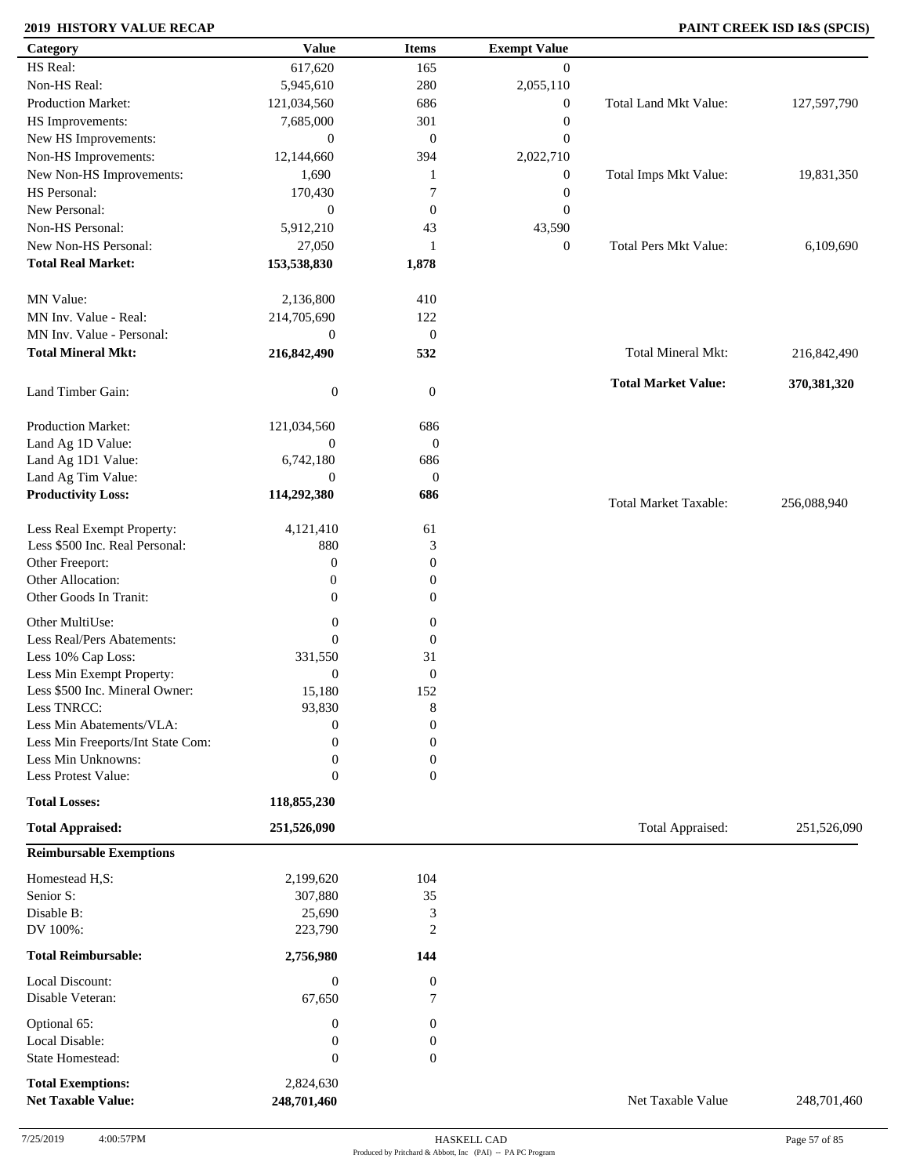### **2019 HISTORY VALUE RECAP PAINT CREEK ISD I&S (SPCIS)**

| Category                          | <b>Value</b>     | <b>Items</b>     | <b>Exempt Value</b> |                              |             |
|-----------------------------------|------------------|------------------|---------------------|------------------------------|-------------|
| HS Real:                          | 617,620          | 165              | $\overline{0}$      |                              |             |
| Non-HS Real:                      | 5,945,610        | 280              | 2,055,110           |                              |             |
| Production Market:                | 121,034,560      | 686              | $\boldsymbol{0}$    | Total Land Mkt Value:        | 127,597,790 |
| HS Improvements:                  | 7,685,000        | 301              | $\boldsymbol{0}$    |                              |             |
| New HS Improvements:              | $\boldsymbol{0}$ | $\boldsymbol{0}$ | $\boldsymbol{0}$    |                              |             |
| Non-HS Improvements:              | 12,144,660       | 394              | 2,022,710           |                              |             |
| New Non-HS Improvements:          | 1,690            | 1                | $\boldsymbol{0}$    | Total Imps Mkt Value:        | 19,831,350  |
| HS Personal:                      | 170,430          | 7                | $\boldsymbol{0}$    |                              |             |
| New Personal:                     | $\boldsymbol{0}$ | $\boldsymbol{0}$ | $\boldsymbol{0}$    |                              |             |
| Non-HS Personal:                  |                  |                  |                     |                              |             |
|                                   | 5,912,210        | 43               | 43,590              |                              |             |
| New Non-HS Personal:              | 27,050           | 1                | $\boldsymbol{0}$    | <b>Total Pers Mkt Value:</b> | 6,109,690   |
| <b>Total Real Market:</b>         | 153,538,830      | 1,878            |                     |                              |             |
| MN Value:                         | 2,136,800        | 410              |                     |                              |             |
| MN Inv. Value - Real:             | 214,705,690      | 122              |                     |                              |             |
| MN Inv. Value - Personal:         | $\boldsymbol{0}$ | $\boldsymbol{0}$ |                     |                              |             |
| <b>Total Mineral Mkt:</b>         | 216,842,490      | 532              |                     | Total Mineral Mkt:           | 216,842,490 |
| Land Timber Gain:                 | $\boldsymbol{0}$ | $\boldsymbol{0}$ |                     | <b>Total Market Value:</b>   | 370,381,320 |
| Production Market:                | 121,034,560      | 686              |                     |                              |             |
| Land Ag 1D Value:                 | $\overline{0}$   | $\mathbf{0}$     |                     |                              |             |
| Land Ag 1D1 Value:                | 6,742,180        | 686              |                     |                              |             |
| Land Ag Tim Value:                | $\mathbf{0}$     | $\mathbf{0}$     |                     |                              |             |
| <b>Productivity Loss:</b>         | 114,292,380      | 686              |                     |                              |             |
|                                   |                  |                  |                     | <b>Total Market Taxable:</b> | 256,088,940 |
| Less Real Exempt Property:        | 4,121,410        | 61               |                     |                              |             |
| Less \$500 Inc. Real Personal:    | 880              | 3                |                     |                              |             |
| Other Freeport:                   | $\boldsymbol{0}$ | $\boldsymbol{0}$ |                     |                              |             |
| Other Allocation:                 | $\boldsymbol{0}$ | $\boldsymbol{0}$ |                     |                              |             |
| Other Goods In Tranit:            | $\boldsymbol{0}$ | $\boldsymbol{0}$ |                     |                              |             |
|                                   |                  |                  |                     |                              |             |
| Other MultiUse:                   | $\boldsymbol{0}$ | $\boldsymbol{0}$ |                     |                              |             |
| Less Real/Pers Abatements:        | $\mathbf{0}$     | $\mathbf{0}$     |                     |                              |             |
| Less 10% Cap Loss:                | 331,550          | 31               |                     |                              |             |
| Less Min Exempt Property:         | $\mathbf{0}$     | $\mathbf{0}$     |                     |                              |             |
| Less \$500 Inc. Mineral Owner:    | 15,180           | 152              |                     |                              |             |
| Less TNRCC:                       | 93,830           | 8                |                     |                              |             |
| Less Min Abatements/VLA:          | $\boldsymbol{0}$ | $\boldsymbol{0}$ |                     |                              |             |
| Less Min Freeports/Int State Com: | 0                | $\overline{0}$   |                     |                              |             |
| Less Min Unknowns:                | $\mathbf{0}$     | $\boldsymbol{0}$ |                     |                              |             |
| Less Protest Value:               | $\mathbf{0}$     | $\overline{0}$   |                     |                              |             |
| <b>Total Losses:</b>              | 118,855,230      |                  |                     |                              |             |
| <b>Total Appraised:</b>           | 251,526,090      |                  |                     | Total Appraised:             | 251,526,090 |
| <b>Reimbursable Exemptions</b>    |                  |                  |                     |                              |             |
| Homestead H,S:                    | 2,199,620        | 104              |                     |                              |             |
| Senior S:                         | 307,880          | 35               |                     |                              |             |
| Disable B:                        | 25,690           | 3                |                     |                              |             |
| DV 100%:                          | 223,790          | $\overline{2}$   |                     |                              |             |
| <b>Total Reimbursable:</b>        | 2,756,980        | 144              |                     |                              |             |
| Local Discount:                   | $\boldsymbol{0}$ | $\boldsymbol{0}$ |                     |                              |             |
| Disable Veteran:                  | 67,650           | $\tau$           |                     |                              |             |
| Optional 65:                      | $\boldsymbol{0}$ | $\boldsymbol{0}$ |                     |                              |             |
| Local Disable:                    | $\boldsymbol{0}$ | $\boldsymbol{0}$ |                     |                              |             |
| State Homestead:                  | $\boldsymbol{0}$ | $\boldsymbol{0}$ |                     |                              |             |
|                                   |                  |                  |                     |                              |             |
| <b>Total Exemptions:</b>          | 2,824,630        |                  |                     |                              |             |
| <b>Net Taxable Value:</b>         | 248,701,460      |                  |                     | Net Taxable Value            | 248,701,460 |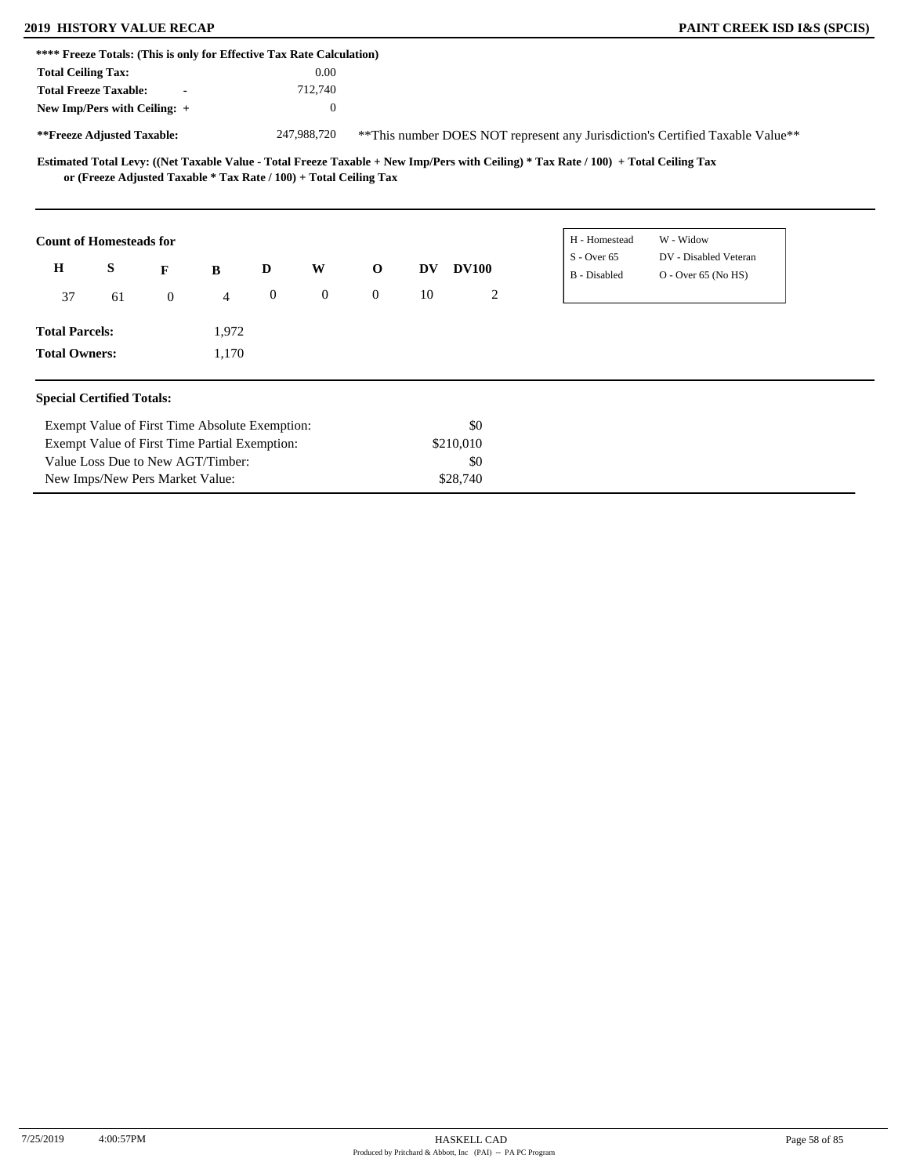### **2019 HISTORY VALUE RECAP PAINT CREEK ISD I&S (SPCIS)**

|                           |                                  |                | **** Freeze Totals: (This is only for Effective Tax Rate Calculation) |                  |              |                |     |              |                                                                                                                                     |                                                                               |
|---------------------------|----------------------------------|----------------|-----------------------------------------------------------------------|------------------|--------------|----------------|-----|--------------|-------------------------------------------------------------------------------------------------------------------------------------|-------------------------------------------------------------------------------|
| <b>Total Ceiling Tax:</b> |                                  |                |                                                                       |                  | 0.00         |                |     |              |                                                                                                                                     |                                                                               |
|                           | <b>Total Freeze Taxable:</b>     | $\blacksquare$ |                                                                       |                  | 712,740      |                |     |              |                                                                                                                                     |                                                                               |
|                           | New Imp/Pers with Ceiling: +     |                |                                                                       |                  | $\theta$     |                |     |              |                                                                                                                                     |                                                                               |
|                           | **Freeze Adjusted Taxable:       |                |                                                                       |                  | 247,988,720  |                |     |              |                                                                                                                                     | **This number DOES NOT represent any Jurisdiction's Certified Taxable Value** |
|                           |                                  |                | or (Freeze Adjusted Taxable $*$ Tax Rate / 100) + Total Ceiling Tax   |                  |              |                |     |              | Estimated Total Levy: ((Net Taxable Value - Total Freeze Taxable + New Imp/Pers with Ceiling) * Tax Rate / 100) + Total Ceiling Tax |                                                                               |
|                           | <b>Count of Homesteads for</b>   |                |                                                                       |                  |              |                |     |              | H - Homestead                                                                                                                       | W - Widow                                                                     |
| H                         | S                                | F              | B                                                                     | D                | W            | $\mathbf{o}$   | DV. | <b>DV100</b> | $S -$ Over 65<br>B - Disabled                                                                                                       | DV - Disabled Veteran<br>O - Over 65 (No HS)                                  |
| 37                        | 61                               | $\overline{0}$ | $\overline{4}$                                                        | $\boldsymbol{0}$ | $\mathbf{0}$ | $\overline{0}$ | 10  | 2            |                                                                                                                                     |                                                                               |
| <b>Total Parcels:</b>     |                                  |                | 1,972                                                                 |                  |              |                |     |              |                                                                                                                                     |                                                                               |
| <b>Total Owners:</b>      |                                  |                | 1,170                                                                 |                  |              |                |     |              |                                                                                                                                     |                                                                               |
|                           | <b>Special Certified Totals:</b> |                |                                                                       |                  |              |                |     |              |                                                                                                                                     |                                                                               |
|                           |                                  |                | Exempt Value of First Time Absolute Exemption:                        |                  |              |                |     | \$0          |                                                                                                                                     |                                                                               |
|                           |                                  |                | Exempt Value of First Time Partial Exemption:                         |                  |              |                |     | \$210,010    |                                                                                                                                     |                                                                               |
|                           |                                  |                | Value Loss Due to New AGT/Timber:                                     |                  |              |                |     | \$0          |                                                                                                                                     |                                                                               |
|                           | New Imps/New Pers Market Value:  |                |                                                                       |                  |              |                |     | \$28,740     |                                                                                                                                     |                                                                               |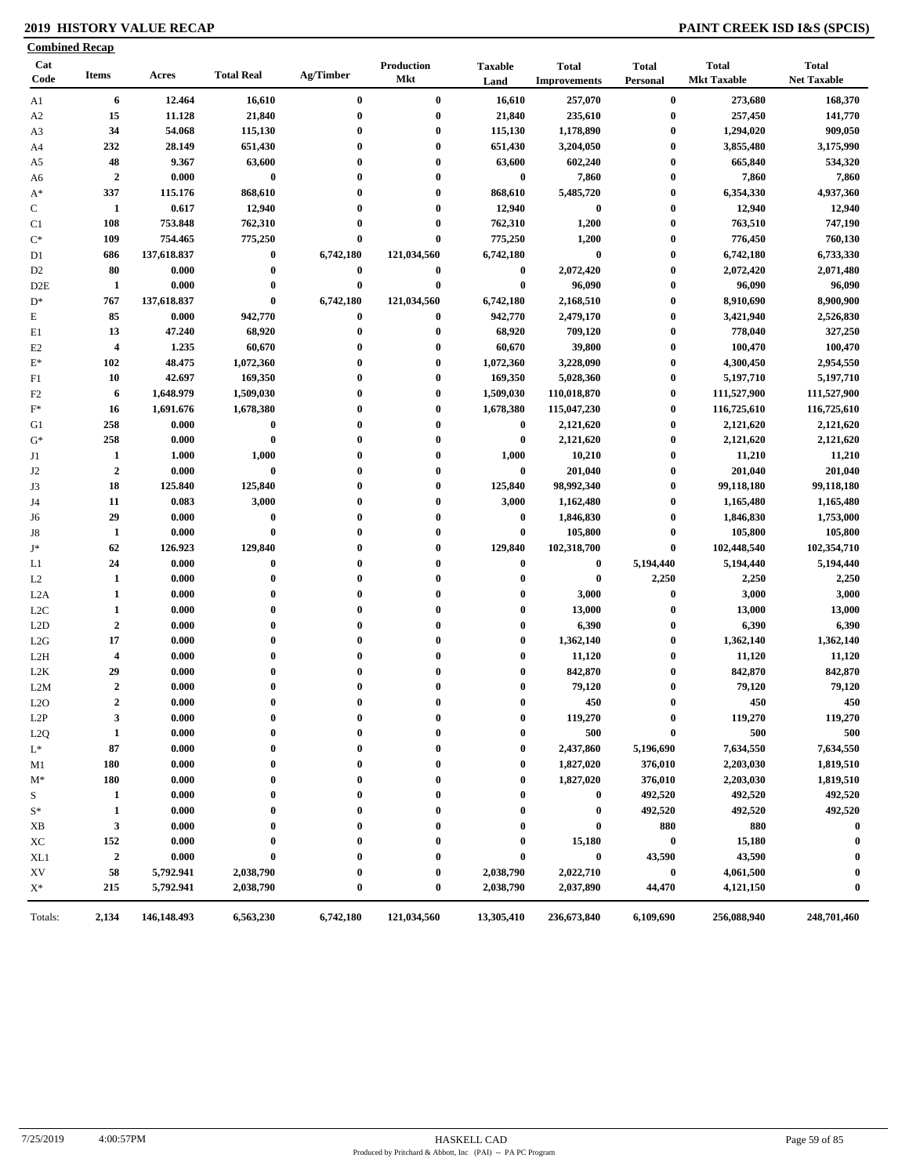### **2019 HISTORY VALUE RECAP PAINT CREEK ISD I&S (SPCIS)**

| 6<br>12.464<br>$\bf{0}$<br>$\bf{0}$<br>16,610<br>257,070<br>$\bf{0}$<br>273,680<br>16,610<br>Al<br>15<br>11.128<br>21,840<br>21,840<br>235,610<br>257,450<br>$\bf{0}$<br>$\bf{0}$<br>$\bf{0}$<br>A2<br>34<br>$\bf{0}$<br>1,178,890<br>$\bf{0}$<br>1,294,020<br>54.068<br>115,130<br>$\bf{0}$<br>115,130<br>A3<br>232<br>28.149<br>3,855,480<br>651,430<br>$\bf{0}$<br>$\bf{0}$<br>651,430<br>3,204,050<br>$\bf{0}$<br>A4<br>48<br>9.367<br>63,600<br>$\bf{0}$<br>0<br>63,600<br>602,240<br>$\bf{0}$<br>665,840<br>A5<br>$\boldsymbol{2}$<br>$\bf{0}$<br>$\bf{0}$<br>7,860<br>0.000<br>$\bf{0}$<br>$\bf{0}$<br>7,860<br>$\bf{0}$<br>A6<br>337<br>868,610<br>$\bf{0}$<br>6,354,330<br>115.176<br>$\mathbf{0}$<br>868,610<br>5,485,720<br>$\bf{0}$<br>$A^*$<br>$\mathbf C$<br>0.617<br>12,940<br>12,940<br>$\bf{0}$<br>12,940<br>1<br>$\bf{0}$<br>$\bf{0}$<br>$\bf{0}$<br>108<br>753.848<br>762,310<br>$\bf{0}$<br>$\bf{0}$<br>762,310<br>1,200<br>$\bf{0}$<br>763,510<br>C1<br>1,200<br>$\mathrm{C}^*$<br>109<br>754.465<br>775,250<br>$\bf{0}$<br>$\bf{0}$<br>775,250<br>$\bf{0}$<br>776,450<br>$\bf{0}$<br>137,618.837<br>$\bf{0}$<br>6,742,180<br>121,034,560<br>6,742,180<br>$\bf{0}$<br>6,742,180<br>D1<br>686<br>80<br>0.000<br>$\bf{0}$<br>$\bf{0}$<br>$\bf{0}$<br>$\bf{0}$<br>2,072,420<br>$\bf{0}$<br>2,072,420<br>D <sub>2</sub><br>1<br>0.000<br>$\bf{0}$<br>$\bf{0}$<br>$\bf{0}$<br>$\bf{0}$<br>96,090<br>96,090<br>D <sub>2</sub> E<br>$\bf{0}$<br>$\bf{0}$<br>767<br>137,618.837<br>6,742,180<br>121,034,560<br>6,742,180<br>2,168,510<br>$\bf{0}$<br>8,910,690<br>$D^*$<br>85<br>E<br>0.000<br>942,770<br>942,770<br>2,479,170<br>$\bf{0}$<br>3,421,940<br>$\bf{0}$<br>$\bf{0}$<br>13<br>47.240<br>68,920<br>$\bf{0}$<br>0<br>68,920<br>709,120<br>$\bf{0}$<br>778,040<br>E1<br>60,670<br>39,800<br>100,470<br>$\overline{\mathbf{4}}$<br>1.235<br>60,670<br>0<br>$\bf{0}$<br>E2<br>$\bf{0}$<br>$\bf{0}$<br>$\pmb{0}$<br>$\mathbf{E}^*$<br>102<br>48.475<br>1,072,360<br>$\bf{0}$<br>1,072,360<br>3,228,090<br>4,300,450<br>42.697<br>169,350<br>5,028,360<br>10<br>$\bf{0}$<br>$\bf{0}$<br>169,350<br>$\bf{0}$<br>5,197,710<br>F1<br>F2<br>6<br>1,648.979<br>1,509,030<br>$\bf{0}$<br>0<br>1,509,030<br>110,018,870<br>$\bf{0}$<br>111,527,900<br>$\mathbf{F}^*$<br>1,691.676<br>1,678,380<br>0<br>1,678,380<br>115,047,230<br>$\bf{0}$<br>116,725,610<br>16<br>$\bf{0}$<br>258<br>0.000<br>$\bf{0}$<br>$\mathbf{0}$<br>0<br>$\bf{0}$<br>2,121,620<br>$\bf{0}$<br>2,121,620<br>G1<br>$G^*$<br>258<br>0.000<br>$\bf{0}$<br>0<br>$\bf{0}$<br>2,121,620<br>$\bf{0}$<br>2,121,620<br>$\bf{0}$<br>1<br>1,000<br>0<br>1,000<br>10,210<br>$\bf{0}$<br>11,210<br>J1<br>1.000<br>$\bf{0}$<br>$\overline{2}$<br>$\bf{0}$<br>$\bf{0}$<br>J2<br>0.000<br>0<br>201,040<br>$\bf{0}$<br>201,040<br>$\bf{0}$<br>J3<br>18<br>125.840<br>125,840<br>0<br>125,840<br>98,992,340<br>$\bf{0}$<br>99,118,180<br>$\bf{0}$<br>11<br>0.083<br>3,000<br>0<br>3,000<br>1,162,480<br>$\bf{0}$<br>1,165,480<br>J4<br>$\mathbf{0}$<br>29<br>$\bf{0}$<br>0<br>$\bf{0}$<br>1,846,830<br>$\bf{0}$<br>1,846,830<br>0.000<br>$\mathbf{0}$<br>J6<br>$\bf{0}$<br>$\bf{0}$<br>$\bf{0}$<br>105,800<br>$\bf{0}$<br>105,800<br>1<br>0.000<br>J8<br>0<br>62<br>126.923<br>129,840<br>$\bf{0}$<br>129,840<br>102,318,700<br>$\bf{0}$<br>102,448,540<br>J*<br>$\mathbf{0}$<br>$\bf{0}$<br>5,194,440<br>24<br>0.000<br>$\bf{0}$<br>$\bf{0}$<br>$\bf{0}$<br>5,194,440<br>$\mathbf{0}$<br>L1<br>2,250<br>$\mathbf{1}$<br>0.000<br>$\bf{0}$<br>$\bf{0}$<br>$\bf{0}$<br>$\bf{0}$<br>2,250<br>L2<br>$\bf{0}$<br>$\mathbf{1}$<br>$\bf{0}$<br>$\pmb{0}$<br>3,000<br>0.000<br>$\bf{0}$<br>$\mathbf{0}$<br>$\bf{0}$<br>3,000<br>L <sub>2</sub> A<br>$\mathbf{1}$<br>13,000<br>13,000<br>0.000<br>$\bf{0}$<br>$\bf{0}$<br>$\bf{0}$<br>$\bf{0}$<br>L <sub>2</sub> C<br>$\bf{0}$<br>$\boldsymbol{2}$<br>6,390<br>0.000<br>$\bf{0}$<br>$\bf{0}$<br>$\bf{0}$<br>$\bf{0}$<br>6,390<br>L2D<br>$\bf{0}$<br>17<br>0.000<br>$\bf{0}$<br>$\bf{0}$<br>$\bf{0}$<br>1,362,140<br>$\bf{0}$<br>1,362,140<br>L2G<br>$\bf{0}$<br>$\boldsymbol{4}$<br>0.000<br>$\bf{0}$<br>0<br>$\bf{0}$<br>11,120<br>$\bf{0}$<br>11,120<br>L2H<br>$\bf{0}$<br>29<br>842,870<br>842,870<br>L2K<br>0.000<br>$\bf{0}$<br>$\bf{0}$<br>$\bf{0}$<br>0<br>$\bf{0}$<br>$\boldsymbol{2}$<br>$\bf{0}$<br>79,120<br>$\bf{0}$<br>79,120<br>L2M<br>0.000<br>$\bf{0}$<br>$\bf{0}$<br>0<br>$\overline{2}$<br>450<br>0.000<br>$\bf{0}$<br>$\bf{0}$<br>$\mathbf{0}$<br>450<br>$\bf{0}$<br>L2O<br>$\bf{0}$<br>119,270<br>3<br>0.000<br>$\bf{0}$<br>119,270<br>L2P<br>0<br>$\bf{0}$<br>0<br>$\bf{0}$<br>500<br>$\mathbf{1}$<br>0.000<br>$\bf{0}$<br>500<br>L <sub>2</sub> Q<br>$\bf{0}$<br>$\mathbf{0}$<br>$\bf{0}$<br>$\bf{0}$<br>87<br>$L^*$<br>0.000<br>2,437,860<br>5,196,690<br>7,634,550<br>0<br>$\bf{0}$<br>0<br>0<br>180<br>0.000<br>1,827,020<br>376,010<br>2,203,030<br>0<br>0<br>0<br>M1<br>0<br>180<br>0.000<br>1,827,020<br>376,010<br>2,203,030<br>$\bf{0}$<br>$\bf{0}$<br>0<br>$\bf{0}$<br>$M^*$<br>492,520<br>S<br>$\mathbf{1}$<br>0.000<br>$\bf{0}$<br>492,520<br>$\bf{0}$<br>0<br>0<br>0<br>$\mathbf{1}$<br>0.000<br>492,520<br>492,520<br>$S^*$<br>0<br>$\boldsymbol{0}$<br>0<br>$\mathbf{3}$<br>880<br>880<br>0.000<br>$\bf{0}$<br>XB<br>$\bf{0}$<br>0<br>0<br>152<br>0.000<br>15,180<br>15,180<br>$\bf{0}$<br>ХC<br>$\bf{0}$<br>0<br>0<br>$\boldsymbol{2}$<br>43,590<br>0.000<br>$\bf{0}$<br>43,590<br>XL1<br>$\bf{0}$<br>$\bf{0}$<br>0<br>0<br>2,022,710<br>58<br>5,792.941<br>2,038,790<br>2,038,790<br>4,061,500<br>XV<br>$\bf{0}$<br>0<br>0<br>$\mathbf{X}^*$<br>215<br>5,792.941<br>2,038,790<br>$\bf{0}$<br>$\bf{0}$<br>2,038,790<br>2,037,890<br>44,470<br>4,121,150 | Cat<br>Code | <b>Items</b> | Acres | <b>Total Real</b> | Ag/Timber | Production<br>Mkt | <b>Taxable</b><br>Land | <b>Total</b><br><b>Improvements</b> | <b>Total</b><br>Personal | <b>Total</b><br><b>Mkt Taxable</b> | <b>Total</b><br><b>Net Taxable</b> |
|-----------------------------------------------------------------------------------------------------------------------------------------------------------------------------------------------------------------------------------------------------------------------------------------------------------------------------------------------------------------------------------------------------------------------------------------------------------------------------------------------------------------------------------------------------------------------------------------------------------------------------------------------------------------------------------------------------------------------------------------------------------------------------------------------------------------------------------------------------------------------------------------------------------------------------------------------------------------------------------------------------------------------------------------------------------------------------------------------------------------------------------------------------------------------------------------------------------------------------------------------------------------------------------------------------------------------------------------------------------------------------------------------------------------------------------------------------------------------------------------------------------------------------------------------------------------------------------------------------------------------------------------------------------------------------------------------------------------------------------------------------------------------------------------------------------------------------------------------------------------------------------------------------------------------------------------------------------------------------------------------------------------------------------------------------------------------------------------------------------------------------------------------------------------------------------------------------------------------------------------------------------------------------------------------------------------------------------------------------------------------------------------------------------------------------------------------------------------------------------------------------------------------------------------------------------------------------------------------------------------------------------------------------------------------------------------------------------------------------------------------------------------------------------------------------------------------------------------------------------------------------------------------------------------------------------------------------------------------------------------------------------------------------------------------------------------------------------------------------------------------------------------------------------------------------------------------------------------------------------------------------------------------------------------------------------------------------------------------------------------------------------------------------------------------------------------------------------------------------------------------------------------------------------------------------------------------------------------------------------------------------------------------------------------------------------------------------------------------------------------------------------------------------------------------------------------------------------------------------------------------------------------------------------------------------------------------------------------------------------------------------------------------------------------------------------------------------------------------------------------------------------------------------------------------------------------------------------------------------------------------------------------------------------------------------------------------------------------------------------------------------------------------------------------------------------------------------------------------------------------------------------------------------------------------------------------------------------------------------------------------------------------------------------------------------------------------------------------------------------------------------------------------------------------------------------------------------------------------------------------------------------------------------------------------------------------------------------------------------------------------------------------------------------------------------------------------------------------------------------------------------------------------------------------------------------------------------------------------------------------------------------------------------------------------------------------------------------------------------------------------------------------------------------------------------------------------------------------------------------------------------------------------------------------------------------------------------------------------------------------------------------------------------------------------------------------------------|-------------|--------------|-------|-------------------|-----------|-------------------|------------------------|-------------------------------------|--------------------------|------------------------------------|------------------------------------|
|                                                                                                                                                                                                                                                                                                                                                                                                                                                                                                                                                                                                                                                                                                                                                                                                                                                                                                                                                                                                                                                                                                                                                                                                                                                                                                                                                                                                                                                                                                                                                                                                                                                                                                                                                                                                                                                                                                                                                                                                                                                                                                                                                                                                                                                                                                                                                                                                                                                                                                                                                                                                                                                                                                                                                                                                                                                                                                                                                                                                                                                                                                                                                                                                                                                                                                                                                                                                                                                                                                                                                                                                                                                                                                                                                                                                                                                                                                                                                                                                                                                                                                                                                                                                                                                                                                                                                                                                                                                                                                                                                                                                                                                                                                                                                                                                                                                                                                                                                                                                                                                                                                                                                                                                                                                                                                                                                                                                                                                                                                                                                                                                                                                                                                     |             |              |       |                   |           |                   |                        |                                     |                          |                                    | 168,370                            |
|                                                                                                                                                                                                                                                                                                                                                                                                                                                                                                                                                                                                                                                                                                                                                                                                                                                                                                                                                                                                                                                                                                                                                                                                                                                                                                                                                                                                                                                                                                                                                                                                                                                                                                                                                                                                                                                                                                                                                                                                                                                                                                                                                                                                                                                                                                                                                                                                                                                                                                                                                                                                                                                                                                                                                                                                                                                                                                                                                                                                                                                                                                                                                                                                                                                                                                                                                                                                                                                                                                                                                                                                                                                                                                                                                                                                                                                                                                                                                                                                                                                                                                                                                                                                                                                                                                                                                                                                                                                                                                                                                                                                                                                                                                                                                                                                                                                                                                                                                                                                                                                                                                                                                                                                                                                                                                                                                                                                                                                                                                                                                                                                                                                                                                     |             |              |       |                   |           |                   |                        |                                     |                          |                                    | 141,770                            |
|                                                                                                                                                                                                                                                                                                                                                                                                                                                                                                                                                                                                                                                                                                                                                                                                                                                                                                                                                                                                                                                                                                                                                                                                                                                                                                                                                                                                                                                                                                                                                                                                                                                                                                                                                                                                                                                                                                                                                                                                                                                                                                                                                                                                                                                                                                                                                                                                                                                                                                                                                                                                                                                                                                                                                                                                                                                                                                                                                                                                                                                                                                                                                                                                                                                                                                                                                                                                                                                                                                                                                                                                                                                                                                                                                                                                                                                                                                                                                                                                                                                                                                                                                                                                                                                                                                                                                                                                                                                                                                                                                                                                                                                                                                                                                                                                                                                                                                                                                                                                                                                                                                                                                                                                                                                                                                                                                                                                                                                                                                                                                                                                                                                                                                     |             |              |       |                   |           |                   |                        |                                     |                          |                                    | 909,050                            |
|                                                                                                                                                                                                                                                                                                                                                                                                                                                                                                                                                                                                                                                                                                                                                                                                                                                                                                                                                                                                                                                                                                                                                                                                                                                                                                                                                                                                                                                                                                                                                                                                                                                                                                                                                                                                                                                                                                                                                                                                                                                                                                                                                                                                                                                                                                                                                                                                                                                                                                                                                                                                                                                                                                                                                                                                                                                                                                                                                                                                                                                                                                                                                                                                                                                                                                                                                                                                                                                                                                                                                                                                                                                                                                                                                                                                                                                                                                                                                                                                                                                                                                                                                                                                                                                                                                                                                                                                                                                                                                                                                                                                                                                                                                                                                                                                                                                                                                                                                                                                                                                                                                                                                                                                                                                                                                                                                                                                                                                                                                                                                                                                                                                                                                     |             |              |       |                   |           |                   |                        |                                     |                          |                                    | 3,175,990                          |
|                                                                                                                                                                                                                                                                                                                                                                                                                                                                                                                                                                                                                                                                                                                                                                                                                                                                                                                                                                                                                                                                                                                                                                                                                                                                                                                                                                                                                                                                                                                                                                                                                                                                                                                                                                                                                                                                                                                                                                                                                                                                                                                                                                                                                                                                                                                                                                                                                                                                                                                                                                                                                                                                                                                                                                                                                                                                                                                                                                                                                                                                                                                                                                                                                                                                                                                                                                                                                                                                                                                                                                                                                                                                                                                                                                                                                                                                                                                                                                                                                                                                                                                                                                                                                                                                                                                                                                                                                                                                                                                                                                                                                                                                                                                                                                                                                                                                                                                                                                                                                                                                                                                                                                                                                                                                                                                                                                                                                                                                                                                                                                                                                                                                                                     |             |              |       |                   |           |                   |                        |                                     |                          |                                    | 534,320                            |
|                                                                                                                                                                                                                                                                                                                                                                                                                                                                                                                                                                                                                                                                                                                                                                                                                                                                                                                                                                                                                                                                                                                                                                                                                                                                                                                                                                                                                                                                                                                                                                                                                                                                                                                                                                                                                                                                                                                                                                                                                                                                                                                                                                                                                                                                                                                                                                                                                                                                                                                                                                                                                                                                                                                                                                                                                                                                                                                                                                                                                                                                                                                                                                                                                                                                                                                                                                                                                                                                                                                                                                                                                                                                                                                                                                                                                                                                                                                                                                                                                                                                                                                                                                                                                                                                                                                                                                                                                                                                                                                                                                                                                                                                                                                                                                                                                                                                                                                                                                                                                                                                                                                                                                                                                                                                                                                                                                                                                                                                                                                                                                                                                                                                                                     |             |              |       |                   |           |                   |                        |                                     |                          |                                    | 7,860                              |
|                                                                                                                                                                                                                                                                                                                                                                                                                                                                                                                                                                                                                                                                                                                                                                                                                                                                                                                                                                                                                                                                                                                                                                                                                                                                                                                                                                                                                                                                                                                                                                                                                                                                                                                                                                                                                                                                                                                                                                                                                                                                                                                                                                                                                                                                                                                                                                                                                                                                                                                                                                                                                                                                                                                                                                                                                                                                                                                                                                                                                                                                                                                                                                                                                                                                                                                                                                                                                                                                                                                                                                                                                                                                                                                                                                                                                                                                                                                                                                                                                                                                                                                                                                                                                                                                                                                                                                                                                                                                                                                                                                                                                                                                                                                                                                                                                                                                                                                                                                                                                                                                                                                                                                                                                                                                                                                                                                                                                                                                                                                                                                                                                                                                                                     |             |              |       |                   |           |                   |                        |                                     |                          |                                    | 4,937,360                          |
|                                                                                                                                                                                                                                                                                                                                                                                                                                                                                                                                                                                                                                                                                                                                                                                                                                                                                                                                                                                                                                                                                                                                                                                                                                                                                                                                                                                                                                                                                                                                                                                                                                                                                                                                                                                                                                                                                                                                                                                                                                                                                                                                                                                                                                                                                                                                                                                                                                                                                                                                                                                                                                                                                                                                                                                                                                                                                                                                                                                                                                                                                                                                                                                                                                                                                                                                                                                                                                                                                                                                                                                                                                                                                                                                                                                                                                                                                                                                                                                                                                                                                                                                                                                                                                                                                                                                                                                                                                                                                                                                                                                                                                                                                                                                                                                                                                                                                                                                                                                                                                                                                                                                                                                                                                                                                                                                                                                                                                                                                                                                                                                                                                                                                                     |             |              |       |                   |           |                   |                        |                                     |                          |                                    | 12,940                             |
|                                                                                                                                                                                                                                                                                                                                                                                                                                                                                                                                                                                                                                                                                                                                                                                                                                                                                                                                                                                                                                                                                                                                                                                                                                                                                                                                                                                                                                                                                                                                                                                                                                                                                                                                                                                                                                                                                                                                                                                                                                                                                                                                                                                                                                                                                                                                                                                                                                                                                                                                                                                                                                                                                                                                                                                                                                                                                                                                                                                                                                                                                                                                                                                                                                                                                                                                                                                                                                                                                                                                                                                                                                                                                                                                                                                                                                                                                                                                                                                                                                                                                                                                                                                                                                                                                                                                                                                                                                                                                                                                                                                                                                                                                                                                                                                                                                                                                                                                                                                                                                                                                                                                                                                                                                                                                                                                                                                                                                                                                                                                                                                                                                                                                                     |             |              |       |                   |           |                   |                        |                                     |                          |                                    | 747,190                            |
|                                                                                                                                                                                                                                                                                                                                                                                                                                                                                                                                                                                                                                                                                                                                                                                                                                                                                                                                                                                                                                                                                                                                                                                                                                                                                                                                                                                                                                                                                                                                                                                                                                                                                                                                                                                                                                                                                                                                                                                                                                                                                                                                                                                                                                                                                                                                                                                                                                                                                                                                                                                                                                                                                                                                                                                                                                                                                                                                                                                                                                                                                                                                                                                                                                                                                                                                                                                                                                                                                                                                                                                                                                                                                                                                                                                                                                                                                                                                                                                                                                                                                                                                                                                                                                                                                                                                                                                                                                                                                                                                                                                                                                                                                                                                                                                                                                                                                                                                                                                                                                                                                                                                                                                                                                                                                                                                                                                                                                                                                                                                                                                                                                                                                                     |             |              |       |                   |           |                   |                        |                                     |                          |                                    | 760,130                            |
|                                                                                                                                                                                                                                                                                                                                                                                                                                                                                                                                                                                                                                                                                                                                                                                                                                                                                                                                                                                                                                                                                                                                                                                                                                                                                                                                                                                                                                                                                                                                                                                                                                                                                                                                                                                                                                                                                                                                                                                                                                                                                                                                                                                                                                                                                                                                                                                                                                                                                                                                                                                                                                                                                                                                                                                                                                                                                                                                                                                                                                                                                                                                                                                                                                                                                                                                                                                                                                                                                                                                                                                                                                                                                                                                                                                                                                                                                                                                                                                                                                                                                                                                                                                                                                                                                                                                                                                                                                                                                                                                                                                                                                                                                                                                                                                                                                                                                                                                                                                                                                                                                                                                                                                                                                                                                                                                                                                                                                                                                                                                                                                                                                                                                                     |             |              |       |                   |           |                   |                        |                                     |                          |                                    | 6,733,330                          |
|                                                                                                                                                                                                                                                                                                                                                                                                                                                                                                                                                                                                                                                                                                                                                                                                                                                                                                                                                                                                                                                                                                                                                                                                                                                                                                                                                                                                                                                                                                                                                                                                                                                                                                                                                                                                                                                                                                                                                                                                                                                                                                                                                                                                                                                                                                                                                                                                                                                                                                                                                                                                                                                                                                                                                                                                                                                                                                                                                                                                                                                                                                                                                                                                                                                                                                                                                                                                                                                                                                                                                                                                                                                                                                                                                                                                                                                                                                                                                                                                                                                                                                                                                                                                                                                                                                                                                                                                                                                                                                                                                                                                                                                                                                                                                                                                                                                                                                                                                                                                                                                                                                                                                                                                                                                                                                                                                                                                                                                                                                                                                                                                                                                                                                     |             |              |       |                   |           |                   |                        |                                     |                          |                                    | 2,071,480                          |
|                                                                                                                                                                                                                                                                                                                                                                                                                                                                                                                                                                                                                                                                                                                                                                                                                                                                                                                                                                                                                                                                                                                                                                                                                                                                                                                                                                                                                                                                                                                                                                                                                                                                                                                                                                                                                                                                                                                                                                                                                                                                                                                                                                                                                                                                                                                                                                                                                                                                                                                                                                                                                                                                                                                                                                                                                                                                                                                                                                                                                                                                                                                                                                                                                                                                                                                                                                                                                                                                                                                                                                                                                                                                                                                                                                                                                                                                                                                                                                                                                                                                                                                                                                                                                                                                                                                                                                                                                                                                                                                                                                                                                                                                                                                                                                                                                                                                                                                                                                                                                                                                                                                                                                                                                                                                                                                                                                                                                                                                                                                                                                                                                                                                                                     |             |              |       |                   |           |                   |                        |                                     |                          |                                    | 96,090                             |
|                                                                                                                                                                                                                                                                                                                                                                                                                                                                                                                                                                                                                                                                                                                                                                                                                                                                                                                                                                                                                                                                                                                                                                                                                                                                                                                                                                                                                                                                                                                                                                                                                                                                                                                                                                                                                                                                                                                                                                                                                                                                                                                                                                                                                                                                                                                                                                                                                                                                                                                                                                                                                                                                                                                                                                                                                                                                                                                                                                                                                                                                                                                                                                                                                                                                                                                                                                                                                                                                                                                                                                                                                                                                                                                                                                                                                                                                                                                                                                                                                                                                                                                                                                                                                                                                                                                                                                                                                                                                                                                                                                                                                                                                                                                                                                                                                                                                                                                                                                                                                                                                                                                                                                                                                                                                                                                                                                                                                                                                                                                                                                                                                                                                                                     |             |              |       |                   |           |                   |                        |                                     |                          |                                    | 8,900,900                          |
|                                                                                                                                                                                                                                                                                                                                                                                                                                                                                                                                                                                                                                                                                                                                                                                                                                                                                                                                                                                                                                                                                                                                                                                                                                                                                                                                                                                                                                                                                                                                                                                                                                                                                                                                                                                                                                                                                                                                                                                                                                                                                                                                                                                                                                                                                                                                                                                                                                                                                                                                                                                                                                                                                                                                                                                                                                                                                                                                                                                                                                                                                                                                                                                                                                                                                                                                                                                                                                                                                                                                                                                                                                                                                                                                                                                                                                                                                                                                                                                                                                                                                                                                                                                                                                                                                                                                                                                                                                                                                                                                                                                                                                                                                                                                                                                                                                                                                                                                                                                                                                                                                                                                                                                                                                                                                                                                                                                                                                                                                                                                                                                                                                                                                                     |             |              |       |                   |           |                   |                        |                                     |                          |                                    | 2,526,830                          |
|                                                                                                                                                                                                                                                                                                                                                                                                                                                                                                                                                                                                                                                                                                                                                                                                                                                                                                                                                                                                                                                                                                                                                                                                                                                                                                                                                                                                                                                                                                                                                                                                                                                                                                                                                                                                                                                                                                                                                                                                                                                                                                                                                                                                                                                                                                                                                                                                                                                                                                                                                                                                                                                                                                                                                                                                                                                                                                                                                                                                                                                                                                                                                                                                                                                                                                                                                                                                                                                                                                                                                                                                                                                                                                                                                                                                                                                                                                                                                                                                                                                                                                                                                                                                                                                                                                                                                                                                                                                                                                                                                                                                                                                                                                                                                                                                                                                                                                                                                                                                                                                                                                                                                                                                                                                                                                                                                                                                                                                                                                                                                                                                                                                                                                     |             |              |       |                   |           |                   |                        |                                     |                          |                                    | 327,250                            |
|                                                                                                                                                                                                                                                                                                                                                                                                                                                                                                                                                                                                                                                                                                                                                                                                                                                                                                                                                                                                                                                                                                                                                                                                                                                                                                                                                                                                                                                                                                                                                                                                                                                                                                                                                                                                                                                                                                                                                                                                                                                                                                                                                                                                                                                                                                                                                                                                                                                                                                                                                                                                                                                                                                                                                                                                                                                                                                                                                                                                                                                                                                                                                                                                                                                                                                                                                                                                                                                                                                                                                                                                                                                                                                                                                                                                                                                                                                                                                                                                                                                                                                                                                                                                                                                                                                                                                                                                                                                                                                                                                                                                                                                                                                                                                                                                                                                                                                                                                                                                                                                                                                                                                                                                                                                                                                                                                                                                                                                                                                                                                                                                                                                                                                     |             |              |       |                   |           |                   |                        |                                     |                          |                                    | 100,470                            |
|                                                                                                                                                                                                                                                                                                                                                                                                                                                                                                                                                                                                                                                                                                                                                                                                                                                                                                                                                                                                                                                                                                                                                                                                                                                                                                                                                                                                                                                                                                                                                                                                                                                                                                                                                                                                                                                                                                                                                                                                                                                                                                                                                                                                                                                                                                                                                                                                                                                                                                                                                                                                                                                                                                                                                                                                                                                                                                                                                                                                                                                                                                                                                                                                                                                                                                                                                                                                                                                                                                                                                                                                                                                                                                                                                                                                                                                                                                                                                                                                                                                                                                                                                                                                                                                                                                                                                                                                                                                                                                                                                                                                                                                                                                                                                                                                                                                                                                                                                                                                                                                                                                                                                                                                                                                                                                                                                                                                                                                                                                                                                                                                                                                                                                     |             |              |       |                   |           |                   |                        |                                     |                          |                                    | 2,954,550                          |
|                                                                                                                                                                                                                                                                                                                                                                                                                                                                                                                                                                                                                                                                                                                                                                                                                                                                                                                                                                                                                                                                                                                                                                                                                                                                                                                                                                                                                                                                                                                                                                                                                                                                                                                                                                                                                                                                                                                                                                                                                                                                                                                                                                                                                                                                                                                                                                                                                                                                                                                                                                                                                                                                                                                                                                                                                                                                                                                                                                                                                                                                                                                                                                                                                                                                                                                                                                                                                                                                                                                                                                                                                                                                                                                                                                                                                                                                                                                                                                                                                                                                                                                                                                                                                                                                                                                                                                                                                                                                                                                                                                                                                                                                                                                                                                                                                                                                                                                                                                                                                                                                                                                                                                                                                                                                                                                                                                                                                                                                                                                                                                                                                                                                                                     |             |              |       |                   |           |                   |                        |                                     |                          |                                    | 5,197,710                          |
|                                                                                                                                                                                                                                                                                                                                                                                                                                                                                                                                                                                                                                                                                                                                                                                                                                                                                                                                                                                                                                                                                                                                                                                                                                                                                                                                                                                                                                                                                                                                                                                                                                                                                                                                                                                                                                                                                                                                                                                                                                                                                                                                                                                                                                                                                                                                                                                                                                                                                                                                                                                                                                                                                                                                                                                                                                                                                                                                                                                                                                                                                                                                                                                                                                                                                                                                                                                                                                                                                                                                                                                                                                                                                                                                                                                                                                                                                                                                                                                                                                                                                                                                                                                                                                                                                                                                                                                                                                                                                                                                                                                                                                                                                                                                                                                                                                                                                                                                                                                                                                                                                                                                                                                                                                                                                                                                                                                                                                                                                                                                                                                                                                                                                                     |             |              |       |                   |           |                   |                        |                                     |                          |                                    |                                    |
|                                                                                                                                                                                                                                                                                                                                                                                                                                                                                                                                                                                                                                                                                                                                                                                                                                                                                                                                                                                                                                                                                                                                                                                                                                                                                                                                                                                                                                                                                                                                                                                                                                                                                                                                                                                                                                                                                                                                                                                                                                                                                                                                                                                                                                                                                                                                                                                                                                                                                                                                                                                                                                                                                                                                                                                                                                                                                                                                                                                                                                                                                                                                                                                                                                                                                                                                                                                                                                                                                                                                                                                                                                                                                                                                                                                                                                                                                                                                                                                                                                                                                                                                                                                                                                                                                                                                                                                                                                                                                                                                                                                                                                                                                                                                                                                                                                                                                                                                                                                                                                                                                                                                                                                                                                                                                                                                                                                                                                                                                                                                                                                                                                                                                                     |             |              |       |                   |           |                   |                        |                                     |                          |                                    | 111,527,900                        |
|                                                                                                                                                                                                                                                                                                                                                                                                                                                                                                                                                                                                                                                                                                                                                                                                                                                                                                                                                                                                                                                                                                                                                                                                                                                                                                                                                                                                                                                                                                                                                                                                                                                                                                                                                                                                                                                                                                                                                                                                                                                                                                                                                                                                                                                                                                                                                                                                                                                                                                                                                                                                                                                                                                                                                                                                                                                                                                                                                                                                                                                                                                                                                                                                                                                                                                                                                                                                                                                                                                                                                                                                                                                                                                                                                                                                                                                                                                                                                                                                                                                                                                                                                                                                                                                                                                                                                                                                                                                                                                                                                                                                                                                                                                                                                                                                                                                                                                                                                                                                                                                                                                                                                                                                                                                                                                                                                                                                                                                                                                                                                                                                                                                                                                     |             |              |       |                   |           |                   |                        |                                     |                          |                                    | 116,725,610                        |
|                                                                                                                                                                                                                                                                                                                                                                                                                                                                                                                                                                                                                                                                                                                                                                                                                                                                                                                                                                                                                                                                                                                                                                                                                                                                                                                                                                                                                                                                                                                                                                                                                                                                                                                                                                                                                                                                                                                                                                                                                                                                                                                                                                                                                                                                                                                                                                                                                                                                                                                                                                                                                                                                                                                                                                                                                                                                                                                                                                                                                                                                                                                                                                                                                                                                                                                                                                                                                                                                                                                                                                                                                                                                                                                                                                                                                                                                                                                                                                                                                                                                                                                                                                                                                                                                                                                                                                                                                                                                                                                                                                                                                                                                                                                                                                                                                                                                                                                                                                                                                                                                                                                                                                                                                                                                                                                                                                                                                                                                                                                                                                                                                                                                                                     |             |              |       |                   |           |                   |                        |                                     |                          |                                    | 2,121,620                          |
|                                                                                                                                                                                                                                                                                                                                                                                                                                                                                                                                                                                                                                                                                                                                                                                                                                                                                                                                                                                                                                                                                                                                                                                                                                                                                                                                                                                                                                                                                                                                                                                                                                                                                                                                                                                                                                                                                                                                                                                                                                                                                                                                                                                                                                                                                                                                                                                                                                                                                                                                                                                                                                                                                                                                                                                                                                                                                                                                                                                                                                                                                                                                                                                                                                                                                                                                                                                                                                                                                                                                                                                                                                                                                                                                                                                                                                                                                                                                                                                                                                                                                                                                                                                                                                                                                                                                                                                                                                                                                                                                                                                                                                                                                                                                                                                                                                                                                                                                                                                                                                                                                                                                                                                                                                                                                                                                                                                                                                                                                                                                                                                                                                                                                                     |             |              |       |                   |           |                   |                        |                                     |                          |                                    | 2,121,620                          |
|                                                                                                                                                                                                                                                                                                                                                                                                                                                                                                                                                                                                                                                                                                                                                                                                                                                                                                                                                                                                                                                                                                                                                                                                                                                                                                                                                                                                                                                                                                                                                                                                                                                                                                                                                                                                                                                                                                                                                                                                                                                                                                                                                                                                                                                                                                                                                                                                                                                                                                                                                                                                                                                                                                                                                                                                                                                                                                                                                                                                                                                                                                                                                                                                                                                                                                                                                                                                                                                                                                                                                                                                                                                                                                                                                                                                                                                                                                                                                                                                                                                                                                                                                                                                                                                                                                                                                                                                                                                                                                                                                                                                                                                                                                                                                                                                                                                                                                                                                                                                                                                                                                                                                                                                                                                                                                                                                                                                                                                                                                                                                                                                                                                                                                     |             |              |       |                   |           |                   |                        |                                     |                          |                                    | 11,210                             |
|                                                                                                                                                                                                                                                                                                                                                                                                                                                                                                                                                                                                                                                                                                                                                                                                                                                                                                                                                                                                                                                                                                                                                                                                                                                                                                                                                                                                                                                                                                                                                                                                                                                                                                                                                                                                                                                                                                                                                                                                                                                                                                                                                                                                                                                                                                                                                                                                                                                                                                                                                                                                                                                                                                                                                                                                                                                                                                                                                                                                                                                                                                                                                                                                                                                                                                                                                                                                                                                                                                                                                                                                                                                                                                                                                                                                                                                                                                                                                                                                                                                                                                                                                                                                                                                                                                                                                                                                                                                                                                                                                                                                                                                                                                                                                                                                                                                                                                                                                                                                                                                                                                                                                                                                                                                                                                                                                                                                                                                                                                                                                                                                                                                                                                     |             |              |       |                   |           |                   |                        |                                     |                          |                                    | 201,040                            |
|                                                                                                                                                                                                                                                                                                                                                                                                                                                                                                                                                                                                                                                                                                                                                                                                                                                                                                                                                                                                                                                                                                                                                                                                                                                                                                                                                                                                                                                                                                                                                                                                                                                                                                                                                                                                                                                                                                                                                                                                                                                                                                                                                                                                                                                                                                                                                                                                                                                                                                                                                                                                                                                                                                                                                                                                                                                                                                                                                                                                                                                                                                                                                                                                                                                                                                                                                                                                                                                                                                                                                                                                                                                                                                                                                                                                                                                                                                                                                                                                                                                                                                                                                                                                                                                                                                                                                                                                                                                                                                                                                                                                                                                                                                                                                                                                                                                                                                                                                                                                                                                                                                                                                                                                                                                                                                                                                                                                                                                                                                                                                                                                                                                                                                     |             |              |       |                   |           |                   |                        |                                     |                          |                                    | 99,118,180                         |
|                                                                                                                                                                                                                                                                                                                                                                                                                                                                                                                                                                                                                                                                                                                                                                                                                                                                                                                                                                                                                                                                                                                                                                                                                                                                                                                                                                                                                                                                                                                                                                                                                                                                                                                                                                                                                                                                                                                                                                                                                                                                                                                                                                                                                                                                                                                                                                                                                                                                                                                                                                                                                                                                                                                                                                                                                                                                                                                                                                                                                                                                                                                                                                                                                                                                                                                                                                                                                                                                                                                                                                                                                                                                                                                                                                                                                                                                                                                                                                                                                                                                                                                                                                                                                                                                                                                                                                                                                                                                                                                                                                                                                                                                                                                                                                                                                                                                                                                                                                                                                                                                                                                                                                                                                                                                                                                                                                                                                                                                                                                                                                                                                                                                                                     |             |              |       |                   |           |                   |                        |                                     |                          |                                    | 1,165,480                          |
|                                                                                                                                                                                                                                                                                                                                                                                                                                                                                                                                                                                                                                                                                                                                                                                                                                                                                                                                                                                                                                                                                                                                                                                                                                                                                                                                                                                                                                                                                                                                                                                                                                                                                                                                                                                                                                                                                                                                                                                                                                                                                                                                                                                                                                                                                                                                                                                                                                                                                                                                                                                                                                                                                                                                                                                                                                                                                                                                                                                                                                                                                                                                                                                                                                                                                                                                                                                                                                                                                                                                                                                                                                                                                                                                                                                                                                                                                                                                                                                                                                                                                                                                                                                                                                                                                                                                                                                                                                                                                                                                                                                                                                                                                                                                                                                                                                                                                                                                                                                                                                                                                                                                                                                                                                                                                                                                                                                                                                                                                                                                                                                                                                                                                                     |             |              |       |                   |           |                   |                        |                                     |                          |                                    | 1,753,000                          |
|                                                                                                                                                                                                                                                                                                                                                                                                                                                                                                                                                                                                                                                                                                                                                                                                                                                                                                                                                                                                                                                                                                                                                                                                                                                                                                                                                                                                                                                                                                                                                                                                                                                                                                                                                                                                                                                                                                                                                                                                                                                                                                                                                                                                                                                                                                                                                                                                                                                                                                                                                                                                                                                                                                                                                                                                                                                                                                                                                                                                                                                                                                                                                                                                                                                                                                                                                                                                                                                                                                                                                                                                                                                                                                                                                                                                                                                                                                                                                                                                                                                                                                                                                                                                                                                                                                                                                                                                                                                                                                                                                                                                                                                                                                                                                                                                                                                                                                                                                                                                                                                                                                                                                                                                                                                                                                                                                                                                                                                                                                                                                                                                                                                                                                     |             |              |       |                   |           |                   |                        |                                     |                          |                                    | 105,800                            |
|                                                                                                                                                                                                                                                                                                                                                                                                                                                                                                                                                                                                                                                                                                                                                                                                                                                                                                                                                                                                                                                                                                                                                                                                                                                                                                                                                                                                                                                                                                                                                                                                                                                                                                                                                                                                                                                                                                                                                                                                                                                                                                                                                                                                                                                                                                                                                                                                                                                                                                                                                                                                                                                                                                                                                                                                                                                                                                                                                                                                                                                                                                                                                                                                                                                                                                                                                                                                                                                                                                                                                                                                                                                                                                                                                                                                                                                                                                                                                                                                                                                                                                                                                                                                                                                                                                                                                                                                                                                                                                                                                                                                                                                                                                                                                                                                                                                                                                                                                                                                                                                                                                                                                                                                                                                                                                                                                                                                                                                                                                                                                                                                                                                                                                     |             |              |       |                   |           |                   |                        |                                     |                          |                                    | 102,354,710                        |
|                                                                                                                                                                                                                                                                                                                                                                                                                                                                                                                                                                                                                                                                                                                                                                                                                                                                                                                                                                                                                                                                                                                                                                                                                                                                                                                                                                                                                                                                                                                                                                                                                                                                                                                                                                                                                                                                                                                                                                                                                                                                                                                                                                                                                                                                                                                                                                                                                                                                                                                                                                                                                                                                                                                                                                                                                                                                                                                                                                                                                                                                                                                                                                                                                                                                                                                                                                                                                                                                                                                                                                                                                                                                                                                                                                                                                                                                                                                                                                                                                                                                                                                                                                                                                                                                                                                                                                                                                                                                                                                                                                                                                                                                                                                                                                                                                                                                                                                                                                                                                                                                                                                                                                                                                                                                                                                                                                                                                                                                                                                                                                                                                                                                                                     |             |              |       |                   |           |                   |                        |                                     |                          |                                    | 5,194,440                          |
|                                                                                                                                                                                                                                                                                                                                                                                                                                                                                                                                                                                                                                                                                                                                                                                                                                                                                                                                                                                                                                                                                                                                                                                                                                                                                                                                                                                                                                                                                                                                                                                                                                                                                                                                                                                                                                                                                                                                                                                                                                                                                                                                                                                                                                                                                                                                                                                                                                                                                                                                                                                                                                                                                                                                                                                                                                                                                                                                                                                                                                                                                                                                                                                                                                                                                                                                                                                                                                                                                                                                                                                                                                                                                                                                                                                                                                                                                                                                                                                                                                                                                                                                                                                                                                                                                                                                                                                                                                                                                                                                                                                                                                                                                                                                                                                                                                                                                                                                                                                                                                                                                                                                                                                                                                                                                                                                                                                                                                                                                                                                                                                                                                                                                                     |             |              |       |                   |           |                   |                        |                                     |                          |                                    | 2,250                              |
|                                                                                                                                                                                                                                                                                                                                                                                                                                                                                                                                                                                                                                                                                                                                                                                                                                                                                                                                                                                                                                                                                                                                                                                                                                                                                                                                                                                                                                                                                                                                                                                                                                                                                                                                                                                                                                                                                                                                                                                                                                                                                                                                                                                                                                                                                                                                                                                                                                                                                                                                                                                                                                                                                                                                                                                                                                                                                                                                                                                                                                                                                                                                                                                                                                                                                                                                                                                                                                                                                                                                                                                                                                                                                                                                                                                                                                                                                                                                                                                                                                                                                                                                                                                                                                                                                                                                                                                                                                                                                                                                                                                                                                                                                                                                                                                                                                                                                                                                                                                                                                                                                                                                                                                                                                                                                                                                                                                                                                                                                                                                                                                                                                                                                                     |             |              |       |                   |           |                   |                        |                                     |                          |                                    | 3,000                              |
|                                                                                                                                                                                                                                                                                                                                                                                                                                                                                                                                                                                                                                                                                                                                                                                                                                                                                                                                                                                                                                                                                                                                                                                                                                                                                                                                                                                                                                                                                                                                                                                                                                                                                                                                                                                                                                                                                                                                                                                                                                                                                                                                                                                                                                                                                                                                                                                                                                                                                                                                                                                                                                                                                                                                                                                                                                                                                                                                                                                                                                                                                                                                                                                                                                                                                                                                                                                                                                                                                                                                                                                                                                                                                                                                                                                                                                                                                                                                                                                                                                                                                                                                                                                                                                                                                                                                                                                                                                                                                                                                                                                                                                                                                                                                                                                                                                                                                                                                                                                                                                                                                                                                                                                                                                                                                                                                                                                                                                                                                                                                                                                                                                                                                                     |             |              |       |                   |           |                   |                        |                                     |                          |                                    | 13,000                             |
|                                                                                                                                                                                                                                                                                                                                                                                                                                                                                                                                                                                                                                                                                                                                                                                                                                                                                                                                                                                                                                                                                                                                                                                                                                                                                                                                                                                                                                                                                                                                                                                                                                                                                                                                                                                                                                                                                                                                                                                                                                                                                                                                                                                                                                                                                                                                                                                                                                                                                                                                                                                                                                                                                                                                                                                                                                                                                                                                                                                                                                                                                                                                                                                                                                                                                                                                                                                                                                                                                                                                                                                                                                                                                                                                                                                                                                                                                                                                                                                                                                                                                                                                                                                                                                                                                                                                                                                                                                                                                                                                                                                                                                                                                                                                                                                                                                                                                                                                                                                                                                                                                                                                                                                                                                                                                                                                                                                                                                                                                                                                                                                                                                                                                                     |             |              |       |                   |           |                   |                        |                                     |                          |                                    | 6,390                              |
|                                                                                                                                                                                                                                                                                                                                                                                                                                                                                                                                                                                                                                                                                                                                                                                                                                                                                                                                                                                                                                                                                                                                                                                                                                                                                                                                                                                                                                                                                                                                                                                                                                                                                                                                                                                                                                                                                                                                                                                                                                                                                                                                                                                                                                                                                                                                                                                                                                                                                                                                                                                                                                                                                                                                                                                                                                                                                                                                                                                                                                                                                                                                                                                                                                                                                                                                                                                                                                                                                                                                                                                                                                                                                                                                                                                                                                                                                                                                                                                                                                                                                                                                                                                                                                                                                                                                                                                                                                                                                                                                                                                                                                                                                                                                                                                                                                                                                                                                                                                                                                                                                                                                                                                                                                                                                                                                                                                                                                                                                                                                                                                                                                                                                                     |             |              |       |                   |           |                   |                        |                                     |                          |                                    | 1,362,140                          |
|                                                                                                                                                                                                                                                                                                                                                                                                                                                                                                                                                                                                                                                                                                                                                                                                                                                                                                                                                                                                                                                                                                                                                                                                                                                                                                                                                                                                                                                                                                                                                                                                                                                                                                                                                                                                                                                                                                                                                                                                                                                                                                                                                                                                                                                                                                                                                                                                                                                                                                                                                                                                                                                                                                                                                                                                                                                                                                                                                                                                                                                                                                                                                                                                                                                                                                                                                                                                                                                                                                                                                                                                                                                                                                                                                                                                                                                                                                                                                                                                                                                                                                                                                                                                                                                                                                                                                                                                                                                                                                                                                                                                                                                                                                                                                                                                                                                                                                                                                                                                                                                                                                                                                                                                                                                                                                                                                                                                                                                                                                                                                                                                                                                                                                     |             |              |       |                   |           |                   |                        |                                     |                          |                                    | 11,120                             |
|                                                                                                                                                                                                                                                                                                                                                                                                                                                                                                                                                                                                                                                                                                                                                                                                                                                                                                                                                                                                                                                                                                                                                                                                                                                                                                                                                                                                                                                                                                                                                                                                                                                                                                                                                                                                                                                                                                                                                                                                                                                                                                                                                                                                                                                                                                                                                                                                                                                                                                                                                                                                                                                                                                                                                                                                                                                                                                                                                                                                                                                                                                                                                                                                                                                                                                                                                                                                                                                                                                                                                                                                                                                                                                                                                                                                                                                                                                                                                                                                                                                                                                                                                                                                                                                                                                                                                                                                                                                                                                                                                                                                                                                                                                                                                                                                                                                                                                                                                                                                                                                                                                                                                                                                                                                                                                                                                                                                                                                                                                                                                                                                                                                                                                     |             |              |       |                   |           |                   |                        |                                     |                          |                                    | 842,870                            |
|                                                                                                                                                                                                                                                                                                                                                                                                                                                                                                                                                                                                                                                                                                                                                                                                                                                                                                                                                                                                                                                                                                                                                                                                                                                                                                                                                                                                                                                                                                                                                                                                                                                                                                                                                                                                                                                                                                                                                                                                                                                                                                                                                                                                                                                                                                                                                                                                                                                                                                                                                                                                                                                                                                                                                                                                                                                                                                                                                                                                                                                                                                                                                                                                                                                                                                                                                                                                                                                                                                                                                                                                                                                                                                                                                                                                                                                                                                                                                                                                                                                                                                                                                                                                                                                                                                                                                                                                                                                                                                                                                                                                                                                                                                                                                                                                                                                                                                                                                                                                                                                                                                                                                                                                                                                                                                                                                                                                                                                                                                                                                                                                                                                                                                     |             |              |       |                   |           |                   |                        |                                     |                          |                                    | 79,120                             |
|                                                                                                                                                                                                                                                                                                                                                                                                                                                                                                                                                                                                                                                                                                                                                                                                                                                                                                                                                                                                                                                                                                                                                                                                                                                                                                                                                                                                                                                                                                                                                                                                                                                                                                                                                                                                                                                                                                                                                                                                                                                                                                                                                                                                                                                                                                                                                                                                                                                                                                                                                                                                                                                                                                                                                                                                                                                                                                                                                                                                                                                                                                                                                                                                                                                                                                                                                                                                                                                                                                                                                                                                                                                                                                                                                                                                                                                                                                                                                                                                                                                                                                                                                                                                                                                                                                                                                                                                                                                                                                                                                                                                                                                                                                                                                                                                                                                                                                                                                                                                                                                                                                                                                                                                                                                                                                                                                                                                                                                                                                                                                                                                                                                                                                     |             |              |       |                   |           |                   |                        |                                     |                          |                                    | 450                                |
|                                                                                                                                                                                                                                                                                                                                                                                                                                                                                                                                                                                                                                                                                                                                                                                                                                                                                                                                                                                                                                                                                                                                                                                                                                                                                                                                                                                                                                                                                                                                                                                                                                                                                                                                                                                                                                                                                                                                                                                                                                                                                                                                                                                                                                                                                                                                                                                                                                                                                                                                                                                                                                                                                                                                                                                                                                                                                                                                                                                                                                                                                                                                                                                                                                                                                                                                                                                                                                                                                                                                                                                                                                                                                                                                                                                                                                                                                                                                                                                                                                                                                                                                                                                                                                                                                                                                                                                                                                                                                                                                                                                                                                                                                                                                                                                                                                                                                                                                                                                                                                                                                                                                                                                                                                                                                                                                                                                                                                                                                                                                                                                                                                                                                                     |             |              |       |                   |           |                   |                        |                                     |                          |                                    | 119,270                            |
|                                                                                                                                                                                                                                                                                                                                                                                                                                                                                                                                                                                                                                                                                                                                                                                                                                                                                                                                                                                                                                                                                                                                                                                                                                                                                                                                                                                                                                                                                                                                                                                                                                                                                                                                                                                                                                                                                                                                                                                                                                                                                                                                                                                                                                                                                                                                                                                                                                                                                                                                                                                                                                                                                                                                                                                                                                                                                                                                                                                                                                                                                                                                                                                                                                                                                                                                                                                                                                                                                                                                                                                                                                                                                                                                                                                                                                                                                                                                                                                                                                                                                                                                                                                                                                                                                                                                                                                                                                                                                                                                                                                                                                                                                                                                                                                                                                                                                                                                                                                                                                                                                                                                                                                                                                                                                                                                                                                                                                                                                                                                                                                                                                                                                                     |             |              |       |                   |           |                   |                        |                                     |                          |                                    | 500                                |
|                                                                                                                                                                                                                                                                                                                                                                                                                                                                                                                                                                                                                                                                                                                                                                                                                                                                                                                                                                                                                                                                                                                                                                                                                                                                                                                                                                                                                                                                                                                                                                                                                                                                                                                                                                                                                                                                                                                                                                                                                                                                                                                                                                                                                                                                                                                                                                                                                                                                                                                                                                                                                                                                                                                                                                                                                                                                                                                                                                                                                                                                                                                                                                                                                                                                                                                                                                                                                                                                                                                                                                                                                                                                                                                                                                                                                                                                                                                                                                                                                                                                                                                                                                                                                                                                                                                                                                                                                                                                                                                                                                                                                                                                                                                                                                                                                                                                                                                                                                                                                                                                                                                                                                                                                                                                                                                                                                                                                                                                                                                                                                                                                                                                                                     |             |              |       |                   |           |                   |                        |                                     |                          |                                    | 7,634,550                          |
|                                                                                                                                                                                                                                                                                                                                                                                                                                                                                                                                                                                                                                                                                                                                                                                                                                                                                                                                                                                                                                                                                                                                                                                                                                                                                                                                                                                                                                                                                                                                                                                                                                                                                                                                                                                                                                                                                                                                                                                                                                                                                                                                                                                                                                                                                                                                                                                                                                                                                                                                                                                                                                                                                                                                                                                                                                                                                                                                                                                                                                                                                                                                                                                                                                                                                                                                                                                                                                                                                                                                                                                                                                                                                                                                                                                                                                                                                                                                                                                                                                                                                                                                                                                                                                                                                                                                                                                                                                                                                                                                                                                                                                                                                                                                                                                                                                                                                                                                                                                                                                                                                                                                                                                                                                                                                                                                                                                                                                                                                                                                                                                                                                                                                                     |             |              |       |                   |           |                   |                        |                                     |                          |                                    | 1,819,510                          |
|                                                                                                                                                                                                                                                                                                                                                                                                                                                                                                                                                                                                                                                                                                                                                                                                                                                                                                                                                                                                                                                                                                                                                                                                                                                                                                                                                                                                                                                                                                                                                                                                                                                                                                                                                                                                                                                                                                                                                                                                                                                                                                                                                                                                                                                                                                                                                                                                                                                                                                                                                                                                                                                                                                                                                                                                                                                                                                                                                                                                                                                                                                                                                                                                                                                                                                                                                                                                                                                                                                                                                                                                                                                                                                                                                                                                                                                                                                                                                                                                                                                                                                                                                                                                                                                                                                                                                                                                                                                                                                                                                                                                                                                                                                                                                                                                                                                                                                                                                                                                                                                                                                                                                                                                                                                                                                                                                                                                                                                                                                                                                                                                                                                                                                     |             |              |       |                   |           |                   |                        |                                     |                          |                                    | 1,819,510                          |
|                                                                                                                                                                                                                                                                                                                                                                                                                                                                                                                                                                                                                                                                                                                                                                                                                                                                                                                                                                                                                                                                                                                                                                                                                                                                                                                                                                                                                                                                                                                                                                                                                                                                                                                                                                                                                                                                                                                                                                                                                                                                                                                                                                                                                                                                                                                                                                                                                                                                                                                                                                                                                                                                                                                                                                                                                                                                                                                                                                                                                                                                                                                                                                                                                                                                                                                                                                                                                                                                                                                                                                                                                                                                                                                                                                                                                                                                                                                                                                                                                                                                                                                                                                                                                                                                                                                                                                                                                                                                                                                                                                                                                                                                                                                                                                                                                                                                                                                                                                                                                                                                                                                                                                                                                                                                                                                                                                                                                                                                                                                                                                                                                                                                                                     |             |              |       |                   |           |                   |                        |                                     |                          |                                    | 492,520                            |
|                                                                                                                                                                                                                                                                                                                                                                                                                                                                                                                                                                                                                                                                                                                                                                                                                                                                                                                                                                                                                                                                                                                                                                                                                                                                                                                                                                                                                                                                                                                                                                                                                                                                                                                                                                                                                                                                                                                                                                                                                                                                                                                                                                                                                                                                                                                                                                                                                                                                                                                                                                                                                                                                                                                                                                                                                                                                                                                                                                                                                                                                                                                                                                                                                                                                                                                                                                                                                                                                                                                                                                                                                                                                                                                                                                                                                                                                                                                                                                                                                                                                                                                                                                                                                                                                                                                                                                                                                                                                                                                                                                                                                                                                                                                                                                                                                                                                                                                                                                                                                                                                                                                                                                                                                                                                                                                                                                                                                                                                                                                                                                                                                                                                                                     |             |              |       |                   |           |                   |                        |                                     |                          |                                    | 492,520                            |
|                                                                                                                                                                                                                                                                                                                                                                                                                                                                                                                                                                                                                                                                                                                                                                                                                                                                                                                                                                                                                                                                                                                                                                                                                                                                                                                                                                                                                                                                                                                                                                                                                                                                                                                                                                                                                                                                                                                                                                                                                                                                                                                                                                                                                                                                                                                                                                                                                                                                                                                                                                                                                                                                                                                                                                                                                                                                                                                                                                                                                                                                                                                                                                                                                                                                                                                                                                                                                                                                                                                                                                                                                                                                                                                                                                                                                                                                                                                                                                                                                                                                                                                                                                                                                                                                                                                                                                                                                                                                                                                                                                                                                                                                                                                                                                                                                                                                                                                                                                                                                                                                                                                                                                                                                                                                                                                                                                                                                                                                                                                                                                                                                                                                                                     |             |              |       |                   |           |                   |                        |                                     |                          |                                    | $\boldsymbol{0}$                   |
|                                                                                                                                                                                                                                                                                                                                                                                                                                                                                                                                                                                                                                                                                                                                                                                                                                                                                                                                                                                                                                                                                                                                                                                                                                                                                                                                                                                                                                                                                                                                                                                                                                                                                                                                                                                                                                                                                                                                                                                                                                                                                                                                                                                                                                                                                                                                                                                                                                                                                                                                                                                                                                                                                                                                                                                                                                                                                                                                                                                                                                                                                                                                                                                                                                                                                                                                                                                                                                                                                                                                                                                                                                                                                                                                                                                                                                                                                                                                                                                                                                                                                                                                                                                                                                                                                                                                                                                                                                                                                                                                                                                                                                                                                                                                                                                                                                                                                                                                                                                                                                                                                                                                                                                                                                                                                                                                                                                                                                                                                                                                                                                                                                                                                                     |             |              |       |                   |           |                   |                        |                                     |                          |                                    | $\boldsymbol{0}$                   |
|                                                                                                                                                                                                                                                                                                                                                                                                                                                                                                                                                                                                                                                                                                                                                                                                                                                                                                                                                                                                                                                                                                                                                                                                                                                                                                                                                                                                                                                                                                                                                                                                                                                                                                                                                                                                                                                                                                                                                                                                                                                                                                                                                                                                                                                                                                                                                                                                                                                                                                                                                                                                                                                                                                                                                                                                                                                                                                                                                                                                                                                                                                                                                                                                                                                                                                                                                                                                                                                                                                                                                                                                                                                                                                                                                                                                                                                                                                                                                                                                                                                                                                                                                                                                                                                                                                                                                                                                                                                                                                                                                                                                                                                                                                                                                                                                                                                                                                                                                                                                                                                                                                                                                                                                                                                                                                                                                                                                                                                                                                                                                                                                                                                                                                     |             |              |       |                   |           |                   |                        |                                     |                          |                                    | $\mathbf 0$                        |
|                                                                                                                                                                                                                                                                                                                                                                                                                                                                                                                                                                                                                                                                                                                                                                                                                                                                                                                                                                                                                                                                                                                                                                                                                                                                                                                                                                                                                                                                                                                                                                                                                                                                                                                                                                                                                                                                                                                                                                                                                                                                                                                                                                                                                                                                                                                                                                                                                                                                                                                                                                                                                                                                                                                                                                                                                                                                                                                                                                                                                                                                                                                                                                                                                                                                                                                                                                                                                                                                                                                                                                                                                                                                                                                                                                                                                                                                                                                                                                                                                                                                                                                                                                                                                                                                                                                                                                                                                                                                                                                                                                                                                                                                                                                                                                                                                                                                                                                                                                                                                                                                                                                                                                                                                                                                                                                                                                                                                                                                                                                                                                                                                                                                                                     |             |              |       |                   |           |                   |                        |                                     |                          |                                    | 0                                  |
|                                                                                                                                                                                                                                                                                                                                                                                                                                                                                                                                                                                                                                                                                                                                                                                                                                                                                                                                                                                                                                                                                                                                                                                                                                                                                                                                                                                                                                                                                                                                                                                                                                                                                                                                                                                                                                                                                                                                                                                                                                                                                                                                                                                                                                                                                                                                                                                                                                                                                                                                                                                                                                                                                                                                                                                                                                                                                                                                                                                                                                                                                                                                                                                                                                                                                                                                                                                                                                                                                                                                                                                                                                                                                                                                                                                                                                                                                                                                                                                                                                                                                                                                                                                                                                                                                                                                                                                                                                                                                                                                                                                                                                                                                                                                                                                                                                                                                                                                                                                                                                                                                                                                                                                                                                                                                                                                                                                                                                                                                                                                                                                                                                                                                                     |             |              |       |                   |           |                   |                        |                                     |                          |                                    | $\bf{0}$                           |
| 2,134<br>146,148.493<br>6,563,230<br>6,742,180<br>121,034,560<br>13,305,410<br>236,673,840<br>6,109,690<br>256,088,940<br>Totals:                                                                                                                                                                                                                                                                                                                                                                                                                                                                                                                                                                                                                                                                                                                                                                                                                                                                                                                                                                                                                                                                                                                                                                                                                                                                                                                                                                                                                                                                                                                                                                                                                                                                                                                                                                                                                                                                                                                                                                                                                                                                                                                                                                                                                                                                                                                                                                                                                                                                                                                                                                                                                                                                                                                                                                                                                                                                                                                                                                                                                                                                                                                                                                                                                                                                                                                                                                                                                                                                                                                                                                                                                                                                                                                                                                                                                                                                                                                                                                                                                                                                                                                                                                                                                                                                                                                                                                                                                                                                                                                                                                                                                                                                                                                                                                                                                                                                                                                                                                                                                                                                                                                                                                                                                                                                                                                                                                                                                                                                                                                                                                   |             |              |       |                   |           |                   |                        |                                     |                          |                                    | 248,701,460                        |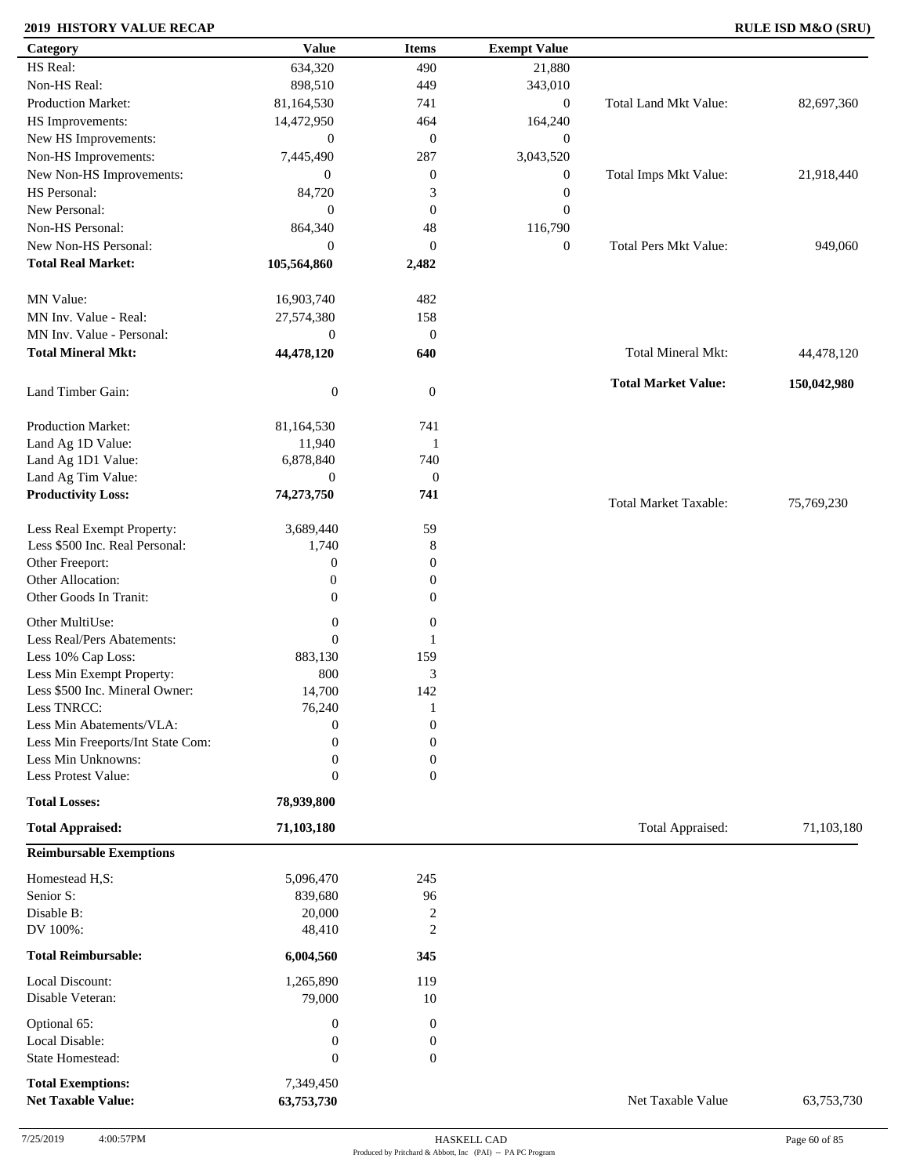### **2019 HISTORY VALUE RECAP RULE ISD M&O (SRU)**

| Category                                        | <b>Value</b>        | <b>Items</b>     | <b>Exempt Value</b> |                              |             |
|-------------------------------------------------|---------------------|------------------|---------------------|------------------------------|-------------|
| HS Real:                                        | 634,320             | 490              | 21,880              |                              |             |
| Non-HS Real:                                    | 898,510             | 449              | 343,010             |                              |             |
| Production Market:                              | 81,164,530          | 741              | $\mathbf{0}$        | <b>Total Land Mkt Value:</b> | 82,697,360  |
| HS Improvements:                                | 14,472,950          | 464              | 164,240             |                              |             |
| New HS Improvements:                            | $\boldsymbol{0}$    | $\mathbf{0}$     | $\mathbf{0}$        |                              |             |
| Non-HS Improvements:                            | 7,445,490           | 287              | 3,043,520           |                              |             |
|                                                 |                     |                  |                     |                              |             |
| New Non-HS Improvements:                        | $\overline{0}$      | $\boldsymbol{0}$ | $\mathbf{0}$        | Total Imps Mkt Value:        | 21,918,440  |
| HS Personal:                                    | 84,720              | 3                | $\mathbf{0}$        |                              |             |
| New Personal:                                   | $\overline{0}$      | $\mathbf{0}$     | $\mathbf{0}$        |                              |             |
| Non-HS Personal:                                | 864,340             | $48\,$           | 116,790             |                              |             |
| New Non-HS Personal:                            | $\overline{0}$      | $\mathbf{0}$     | $\mathbf{0}$        | <b>Total Pers Mkt Value:</b> | 949,060     |
| <b>Total Real Market:</b>                       | 105,564,860         | 2,482            |                     |                              |             |
| MN Value:                                       | 16,903,740          | 482              |                     |                              |             |
| MN Inv. Value - Real:                           | 27,574,380          | 158              |                     |                              |             |
| MN Inv. Value - Personal:                       | $\boldsymbol{0}$    | $\mathbf{0}$     |                     |                              |             |
| <b>Total Mineral Mkt:</b>                       | 44,478,120          | 640              |                     | Total Mineral Mkt:           | 44,478,120  |
|                                                 |                     |                  |                     |                              |             |
| Land Timber Gain:                               | $\boldsymbol{0}$    | $\mathbf{0}$     |                     | <b>Total Market Value:</b>   | 150,042,980 |
| Production Market:                              | 81,164,530          | 741              |                     |                              |             |
| Land Ag 1D Value:                               | 11,940              | $\mathbf{1}$     |                     |                              |             |
| Land Ag 1D1 Value:                              | 6,878,840           | 740              |                     |                              |             |
| Land Ag Tim Value:                              | $\mathbf{0}$        | $\boldsymbol{0}$ |                     |                              |             |
| <b>Productivity Loss:</b>                       | 74,273,750          | 741              |                     | <b>Total Market Taxable:</b> | 75,769,230  |
| Less Real Exempt Property:                      | 3,689,440           | 59               |                     |                              |             |
| Less \$500 Inc. Real Personal:                  | 1,740               | $\,8\,$          |                     |                              |             |
| Other Freeport:                                 | $\boldsymbol{0}$    | $\boldsymbol{0}$ |                     |                              |             |
| Other Allocation:                               | $\mathbf{0}$        | $\boldsymbol{0}$ |                     |                              |             |
|                                                 |                     |                  |                     |                              |             |
| Other Goods In Tranit:                          | $\overline{0}$      | $\mathbf{0}$     |                     |                              |             |
| Other MultiUse:                                 | $\boldsymbol{0}$    | $\mathbf{0}$     |                     |                              |             |
| Less Real/Pers Abatements:                      | $\theta$            | 1                |                     |                              |             |
| Less 10% Cap Loss:                              | 883,130             | 159              |                     |                              |             |
| Less Min Exempt Property:                       | 800                 | $\mathfrak 3$    |                     |                              |             |
| Less \$500 Inc. Mineral Owner:                  | 14,700              | 142              |                     |                              |             |
| Less TNRCC:                                     | 76,240              | $\mathbf{1}$     |                     |                              |             |
| Less Min Abatements/VLA:                        | $\mathbf{0}$        | $\boldsymbol{0}$ |                     |                              |             |
| Less Min Freeports/Int State Com:               | $\Omega$            |                  |                     |                              |             |
|                                                 |                     | $\boldsymbol{0}$ |                     |                              |             |
| Less Min Unknowns:                              | $\overline{0}$      | $\boldsymbol{0}$ |                     |                              |             |
| Less Protest Value:                             | $\theta$            | $\mathbf{0}$     |                     |                              |             |
| <b>Total Losses:</b><br><b>Total Appraised:</b> | 78,939,800          |                  |                     | Total Appraised:             | 71,103,180  |
|                                                 | 71,103,180          |                  |                     |                              |             |
| <b>Reimbursable Exemptions</b>                  |                     |                  |                     |                              |             |
| Homestead H,S:                                  | 5,096,470           | 245              |                     |                              |             |
| Senior S:                                       | 839,680             | 96               |                     |                              |             |
| Disable B:                                      | 20,000              | $\sqrt{2}$       |                     |                              |             |
| DV 100%:                                        | 48,410              | $\mathbf{2}$     |                     |                              |             |
| <b>Total Reimbursable:</b>                      | 6,004,560           | 345              |                     |                              |             |
|                                                 |                     |                  |                     |                              |             |
| Local Discount:<br>Disable Veteran:             | 1,265,890<br>79,000 | 119<br>10        |                     |                              |             |
| Optional 65:                                    |                     | $\boldsymbol{0}$ |                     |                              |             |
| Local Disable:                                  | $\boldsymbol{0}$    |                  |                     |                              |             |
|                                                 | $\boldsymbol{0}$    | $\boldsymbol{0}$ |                     |                              |             |
| State Homestead:                                | $\theta$            | $\mathbf{0}$     |                     |                              |             |
| <b>Total Exemptions:</b>                        | 7,349,450           |                  |                     |                              |             |
| <b>Net Taxable Value:</b>                       | 63,753,730          |                  |                     | Net Taxable Value            | 63,753,730  |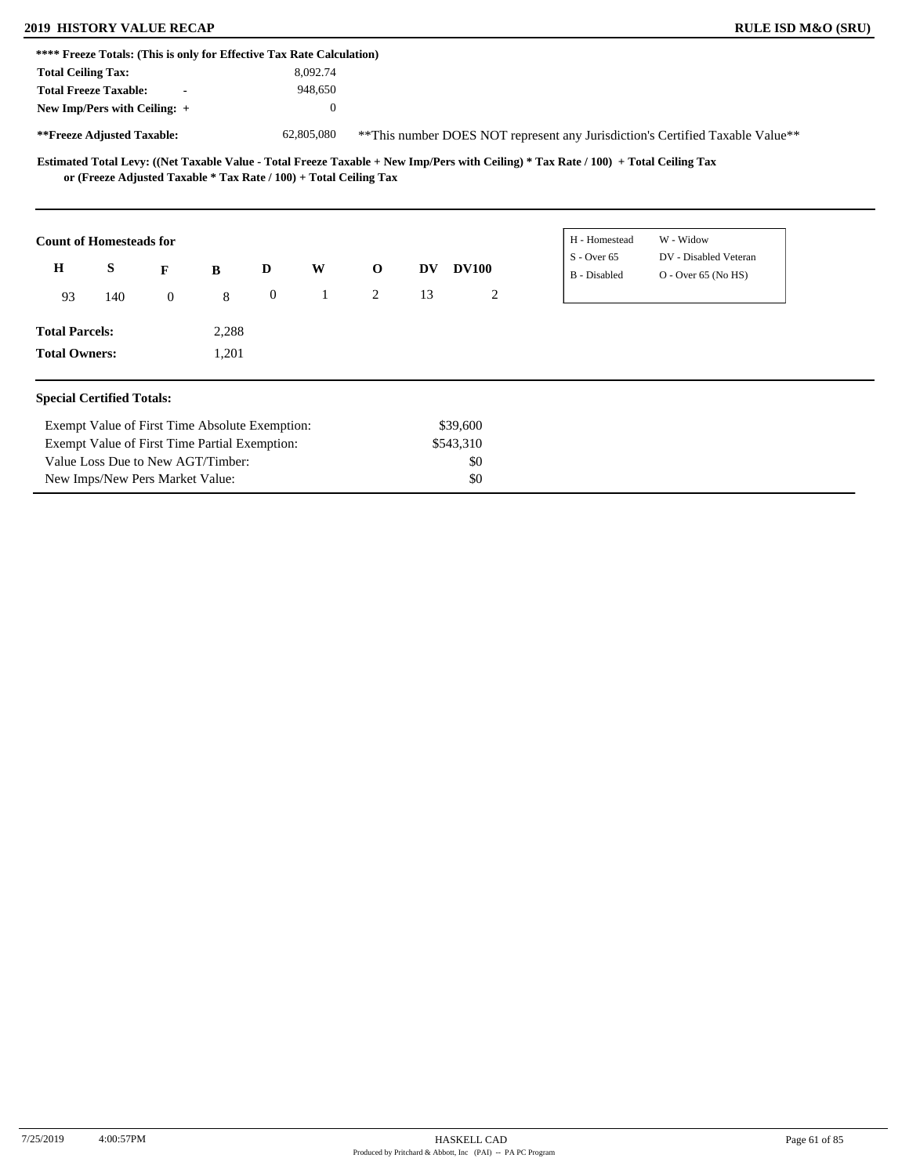New Imps/New Pers Market Value:

|                                                                       | <b>2019 HISTORY VALUE RECAP</b> |                |          |              |              |                                                                   |    |                |                                                                                                                                     | <b>RULE ISD M&amp;O (SRU)</b>                                                  |  |
|-----------------------------------------------------------------------|---------------------------------|----------------|----------|--------------|--------------|-------------------------------------------------------------------|----|----------------|-------------------------------------------------------------------------------------------------------------------------------------|--------------------------------------------------------------------------------|--|
| **** Freeze Totals: (This is only for Effective Tax Rate Calculation) |                                 |                |          |              |              |                                                                   |    |                |                                                                                                                                     |                                                                                |  |
| <b>Total Ceiling Tax:</b>                                             |                                 |                |          |              | 8,092.74     |                                                                   |    |                |                                                                                                                                     |                                                                                |  |
| <b>Total Freeze Taxable:</b>                                          |                                 |                |          |              | 948,650      |                                                                   |    |                |                                                                                                                                     |                                                                                |  |
| New Imp/Pers with Ceiling: +                                          |                                 |                |          |              | $\mathbf{0}$ |                                                                   |    |                |                                                                                                                                     |                                                                                |  |
| **Freeze Adjusted Taxable:                                            |                                 |                |          |              | 62,805,080   |                                                                   |    |                |                                                                                                                                     | ** This number DOES NOT represent any Jurisdiction's Certified Taxable Value** |  |
|                                                                       |                                 |                |          |              |              | or (Freeze Adjusted Taxable * Tax Rate / 100) + Total Ceiling Tax |    |                | Estimated Total Levy: ((Net Taxable Value - Total Freeze Taxable + New Imp/Pers with Ceiling) * Tax Rate / 100) + Total Ceiling Tax |                                                                                |  |
|                                                                       | <b>Count of Homesteads for</b>  |                |          |              |              |                                                                   |    |                | H - Homestead                                                                                                                       | W - Widow                                                                      |  |
|                                                                       |                                 |                |          |              |              |                                                                   |    |                |                                                                                                                                     |                                                                                |  |
| $\bf H$                                                               | S                               | $\mathbf{F}$   | $\bf{B}$ | D            | W            | $\mathbf{o}$                                                      | DV | <b>DV100</b>   | $S -$ Over 65<br>B - Disabled                                                                                                       | DV - Disabled Veteran<br>$O -$ Over 65 (No HS)                                 |  |
| 93                                                                    | 140                             | $\overline{0}$ | 8        | $\mathbf{0}$ | $\mathbf{1}$ | $\overline{2}$                                                    | 13 | $\overline{2}$ |                                                                                                                                     |                                                                                |  |
| <b>Total Parcels:</b>                                                 |                                 |                | 2,288    |              |              |                                                                   |    |                |                                                                                                                                     |                                                                                |  |

\$0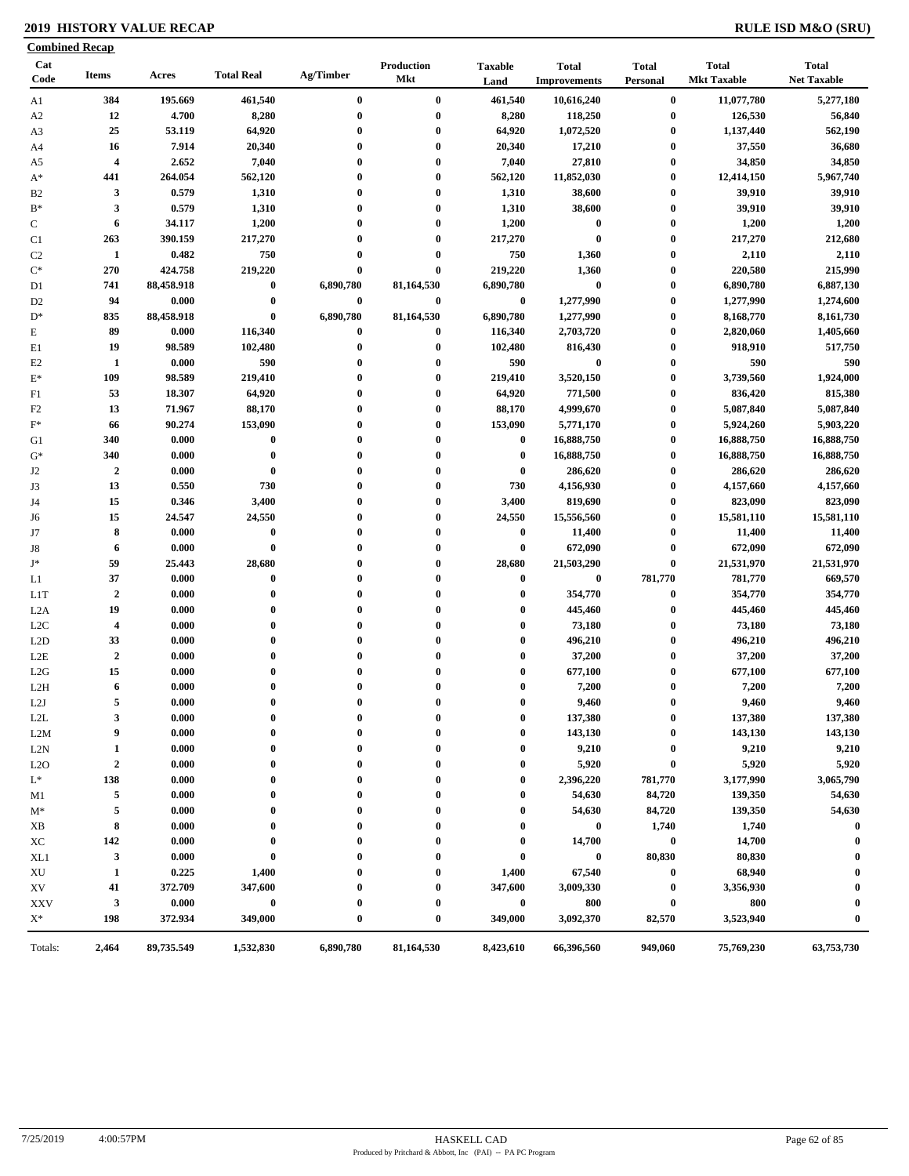### **2019 HISTORY VALUE RECAP RULE ISD M&O (SRU)**

| Cat<br>Code            | <b>Items</b>            | Acres          | <b>Total Real</b>   | Ag/Timber            | <b>Production</b><br>Mkt | <b>Taxable</b><br>Land | <b>Total</b><br><b>Improvements</b> | <b>Total</b><br>Personal             | <b>Total</b><br><b>Mkt Taxable</b> | <b>Total</b><br><b>Net Taxable</b> |
|------------------------|-------------------------|----------------|---------------------|----------------------|--------------------------|------------------------|-------------------------------------|--------------------------------------|------------------------------------|------------------------------------|
| A1                     | 384                     | 195.669        | 461,540             | $\bf{0}$             | $\bf{0}$                 | 461,540                | 10,616,240                          | $\bf{0}$                             | 11,077,780                         | 5,277,180                          |
| A <sub>2</sub>         | 12                      | 4.700          | 8,280               | $\bf{0}$             | $\pmb{0}$                | 8,280                  | 118,250                             | $\bf{0}$                             | 126,530                            | 56,840                             |
| A3                     | 25                      | 53.119         | 64,920              | $\bf{0}$             | $\bf{0}$                 | 64,920                 | 1,072,520                           | $\bf{0}$                             | 1,137,440                          | 562,190                            |
| A4                     | 16                      | 7.914          | 20,340              | $\bf{0}$             | $\bf{0}$                 | 20,340                 | 17,210                              | $\bf{0}$                             | 37,550                             | 36,680                             |
| A5                     | $\overline{\mathbf{4}}$ | 2.652          | 7,040               | $\bf{0}$             | $\bf{0}$                 | 7,040                  | 27,810                              | $\bf{0}$                             | 34,850                             | 34,850                             |
| $A^*$                  | 441                     | 264.054        | 562,120             | $\bf{0}$             | $\bf{0}$                 | 562,120                | 11,852,030                          | $\bf{0}$                             | 12,414,150                         | 5,967,740                          |
| B2                     | 3                       | 0.579          | 1,310               | $\bf{0}$             | $\bf{0}$                 | 1,310                  | 38,600                              | $\bf{0}$                             | 39,910                             | 39,910                             |
| $\mathbf{B}^*$         | 3                       | 0.579          | 1,310               | $\bf{0}$             | $\bf{0}$                 | 1,310                  | 38,600                              | $\bf{0}$                             | 39,910                             | 39,910                             |
| ${\bf C}$              | 6                       | 34.117         | 1,200               | $\bf{0}$             | $\bf{0}$                 | 1,200                  | $\bf{0}$                            | $\bf{0}$                             | 1,200                              | 1,200                              |
| C1                     | 263                     | 390.159        | 217,270             | $\bf{0}$             | $\bf{0}$                 | 217,270                | $\bf{0}$                            | $\bf{0}$                             | 217,270                            | 212,680                            |
| C2                     | $\mathbf{1}$            | 0.482          | 750                 | $\bf{0}$             | $\bf{0}$                 | 750                    | 1,360                               | $\bf{0}$                             | 2,110                              | 2,110                              |
| $\mathrm{C}^*$         | 270                     | 424.758        | 219,220             | $\bf{0}$             | $\bf{0}$                 | 219,220                | 1,360                               | $\bf{0}$                             | 220,580                            | 215,990                            |
| D <sub>1</sub>         | 741                     | 88,458.918     | $\bf{0}$            | 6,890,780            | 81,164,530               | 6,890,780              | $\bf{0}$                            | $\boldsymbol{0}$                     | 6,890,780                          | 6,887,130                          |
| D <sub>2</sub>         | 94                      | 0.000          | $\bf{0}$            | $\bf{0}$             | $\boldsymbol{0}$         | $\bf{0}$               | 1,277,990                           | $\bf{0}$                             | 1,277,990                          | 1,274,600                          |
| $D^*$                  | 835                     | 88,458.918     | $\bf{0}$            | 6,890,780            | 81,164,530               | 6,890,780              | 1,277,990                           | $\bf{0}$                             | 8,168,770                          | 8,161,730                          |
| E                      | 89                      | 0.000          | 116,340             | $\bf{0}$             | $\bf{0}$                 | 116,340                | 2,703,720                           | $\bf{0}$                             | 2,820,060                          | 1,405,660                          |
| E1                     | 19                      | 98.589         | 102,480             | $\bf{0}$             | $\bf{0}$                 | 102,480                | 816,430                             | $\bf{0}$                             | 918,910                            | 517,750                            |
| E2                     | 1                       | 0.000          | 590                 | $\bf{0}$             | $\bf{0}$                 | 590                    | $\bf{0}$                            | $\boldsymbol{0}$                     | 590                                | 590                                |
| $\mathbf{E}^*$         | 109                     | 98.589         | 219,410             | $\bf{0}$             | $\bf{0}$                 | 219,410                | 3,520,150                           | $\bf{0}$                             | 3,739,560                          | 1,924,000                          |
| F1                     | 53                      | 18.307         | 64,920              | $\bf{0}$             | $\bf{0}$                 | 64,920                 | 771,500                             | $\bf{0}$                             | 836,420                            | 815,380                            |
| F2                     | 13                      | 71.967         | 88,170              | $\bf{0}$             | $\bf{0}$                 | 88,170                 | 4,999,670                           | $\bf{0}$                             | 5,087,840                          | 5,087,840                          |
| $\mathbf{F}^*$         | 66                      | 90.274         | 153,090             | $\bf{0}$             | $\bf{0}$                 | 153,090                | 5,771,170                           | $\bf{0}$                             | 5,924,260                          | 5,903,220                          |
| G1                     | 340                     | 0.000          | $\bf{0}$            | $\bf{0}$             | $\bf{0}$                 | $\bf{0}$               | 16,888,750                          | $\bf{0}$                             | 16,888,750                         | 16,888,750                         |
| $\mathrm{G}^*$         | 340                     | 0.000          | $\bf{0}$            | $\bf{0}$             | $\bf{0}$                 | $\bf{0}$               | 16,888,750                          | $\bf{0}$                             | 16,888,750                         | 16,888,750                         |
|                        | $\overline{2}$          | 0.000          | $\bf{0}$            | $\bf{0}$             | $\bf{0}$                 | $\bf{0}$               | 286,620                             | $\bf{0}$                             | 286,620                            | 286,620                            |
| J <sub>2</sub><br>J3   | 13                      | 0.550          | 730                 | $\bf{0}$             | $\bf{0}$                 | 730                    | 4,156,930                           | $\bf{0}$                             | 4,157,660                          | 4,157,660                          |
| J4                     | 15                      | 0.346          | 3,400               | $\bf{0}$             | $\bf{0}$                 | 3,400                  | 819,690                             | $\bf{0}$                             | 823,090                            | 823,090                            |
|                        | 15                      | 24.547         | 24,550              | $\bf{0}$             | $\bf{0}$                 | 24,550                 | 15,556,560                          | $\boldsymbol{0}$                     | 15,581,110                         | 15,581,110                         |
| J6<br>J7               | 8                       | 0.000          | $\bf{0}$            | $\bf{0}$             | $\bf{0}$                 | $\bf{0}$               | 11,400                              | $\bf{0}$                             | 11,400                             | 11,400                             |
| J8                     | 6                       | 0.000          | $\bf{0}$            | $\bf{0}$             | $\bf{0}$                 | $\bf{0}$               | 672,090                             | $\bf{0}$                             | 672,090                            | 672,090                            |
| J*                     | 59                      | 25.443         | 28,680              | $\bf{0}$             | $\bf{0}$                 | 28,680                 | 21,503,290                          | $\bf{0}$                             | 21,531,970                         | 21,531,970                         |
| L1                     | 37                      | 0.000          | $\bf{0}$            | $\bf{0}$             | $\bf{0}$                 | $\bf{0}$               | $\bf{0}$                            | 781,770                              | 781,770                            | 669,570                            |
| L <sub>1</sub> T       | $\overline{2}$          | 0.000          | $\bf{0}$            | $\bf{0}$             | $\bf{0}$                 | $\bf{0}$               | 354,770                             | $\bf{0}$                             | 354,770                            | 354,770                            |
| L <sub>2</sub> A       | 19                      | 0.000          | $\bf{0}$            | $\bf{0}$             | $\bf{0}$                 | $\bf{0}$               | 445,460                             | $\bf{0}$                             | 445,460                            | 445,460                            |
| L <sub>2</sub> C       | $\overline{4}$          | 0.000          | $\bf{0}$            | $\bf{0}$             | $\bf{0}$                 | $\bf{0}$               | 73,180                              | $\bf{0}$                             | 73,180                             | 73,180                             |
| L <sub>2</sub> D       | 33                      | 0.000          | $\bf{0}$            | $\bf{0}$             | $\bf{0}$                 | $\bf{0}$               | 496,210                             | $\bf{0}$                             | 496,210                            | 496,210                            |
| L2E                    | $\overline{2}$          | 0.000          | $\bf{0}$            | $\bf{0}$             | $\bf{0}$                 | $\bf{0}$               | 37,200                              | $\bf{0}$                             | 37,200                             | 37,200                             |
| L2G                    | 15                      | 0.000          | $\bf{0}$            | $\bf{0}$             | $\bf{0}$                 | $\bf{0}$               | 677,100                             | $\bf{0}$                             | 677,100                            | 677,100                            |
| L2H                    | 6                       | 0.000          | $\bf{0}$            | $\bf{0}$             | $\bf{0}$                 | $\bf{0}$               | 7,200                               | $\bf{0}$                             | 7,200                              | 7,200                              |
| L2J                    | 5                       | 0.000          | $\bf{0}$            | $\bf{0}$             | $\bf{0}$                 | 0                      | 9,460                               | $\bf{0}$                             | 9,460                              | 9,460                              |
|                        | 3                       |                | $\bf{0}$            | $\bf{0}$             | $\bf{0}$                 | $\bf{0}$               |                                     |                                      | 137,380                            |                                    |
| L2L                    | 9                       | 0.000<br>0.000 | 0                   | $\bf{0}$             | $\bf{0}$                 | $\bf{0}$               | 137,380<br>143,130                  | $\boldsymbol{0}$<br>$\boldsymbol{0}$ | 143,130                            | 137,380<br>143,130                 |
| L2M<br>L2N             |                         | 0.000          | 0                   | 0                    | 0                        | $\bf{0}$               | 9,210                               | $\boldsymbol{0}$                     | 9,210                              | 9,210                              |
|                        | 1                       |                | 0                   |                      | 0                        | $\bf{0}$               | 5,920                               |                                      | 5,920                              | 5,920                              |
| L2O                    | $\mathbf 2$<br>138      | 0.000          | 0                   | 0                    | 0                        | $\bf{0}$               |                                     | $\bf{0}$                             | 3,177,990                          | 3,065,790                          |
| $\mathrm{L}^*$         | 5                       | 0.000<br>0.000 | 0                   | $\bf{0}$<br>$\bf{0}$ | 0                        | $\bf{0}$               | 2,396,220                           | 781,770                              |                                    | 54,630                             |
| M1                     |                         |                |                     |                      |                          |                        | 54,630                              | 84,720                               | 139,350                            |                                    |
| $M^*$                  | 5                       | 0.000          | 0                   | 0                    |                          | 0                      | 54,630                              | 84,720                               | 139,350                            | 54,630                             |
| XB                     | 8                       | 0.000          | 0                   | 0                    | 0                        | $\bf{0}$               | $\bf{0}$                            | 1,740                                | 1,740                              | $\boldsymbol{0}$                   |
| XС                     | 142                     | 0.000          | 0                   | 0                    | 0                        | $\bf{0}$               | 14,700                              | $\bf{0}$                             | 14,700                             | $\boldsymbol{0}$                   |
| XL1                    | 3                       | 0.000          | $\bf{0}$            | 0                    | 0                        | $\bf{0}$               | $\bf{0}$                            | 80,830                               | 80,830                             | $\boldsymbol{0}$                   |
| $\mathbf{X}\mathbf{U}$ | 1                       | 0.225          | 1,400               | 0                    | 0                        | 1,400                  | 67,540                              | $\boldsymbol{0}$                     | 68,940                             | $\boldsymbol{0}$                   |
| XV                     | 41                      | 372.709        | 347,600             | $\bf{0}$             | $\bf{0}$                 | 347,600                | 3,009,330                           | $\bf{0}$                             | 3,356,930                          | $\boldsymbol{0}$                   |
| <b>XXV</b>             | 3<br>198                | 0.000          | $\bf{0}$<br>349,000 | $\bf{0}$<br>$\bf{0}$ | $\bf{0}$<br>$\bf{0}$     | $\bf{0}$<br>349,000    | 800                                 | $\bf{0}$                             | 800                                | $\bf{0}$<br>$\bf{0}$               |
| $X^*$                  |                         | 372.934        |                     |                      |                          |                        | 3,092,370                           | 82,570                               | 3,523,940                          |                                    |
| Totals:                | 2,464                   | 89,735.549     | 1,532,830           | 6,890,780            | 81,164,530               | 8,423,610              | 66,396,560                          | 949,060                              | 75,769,230                         | 63,753,730                         |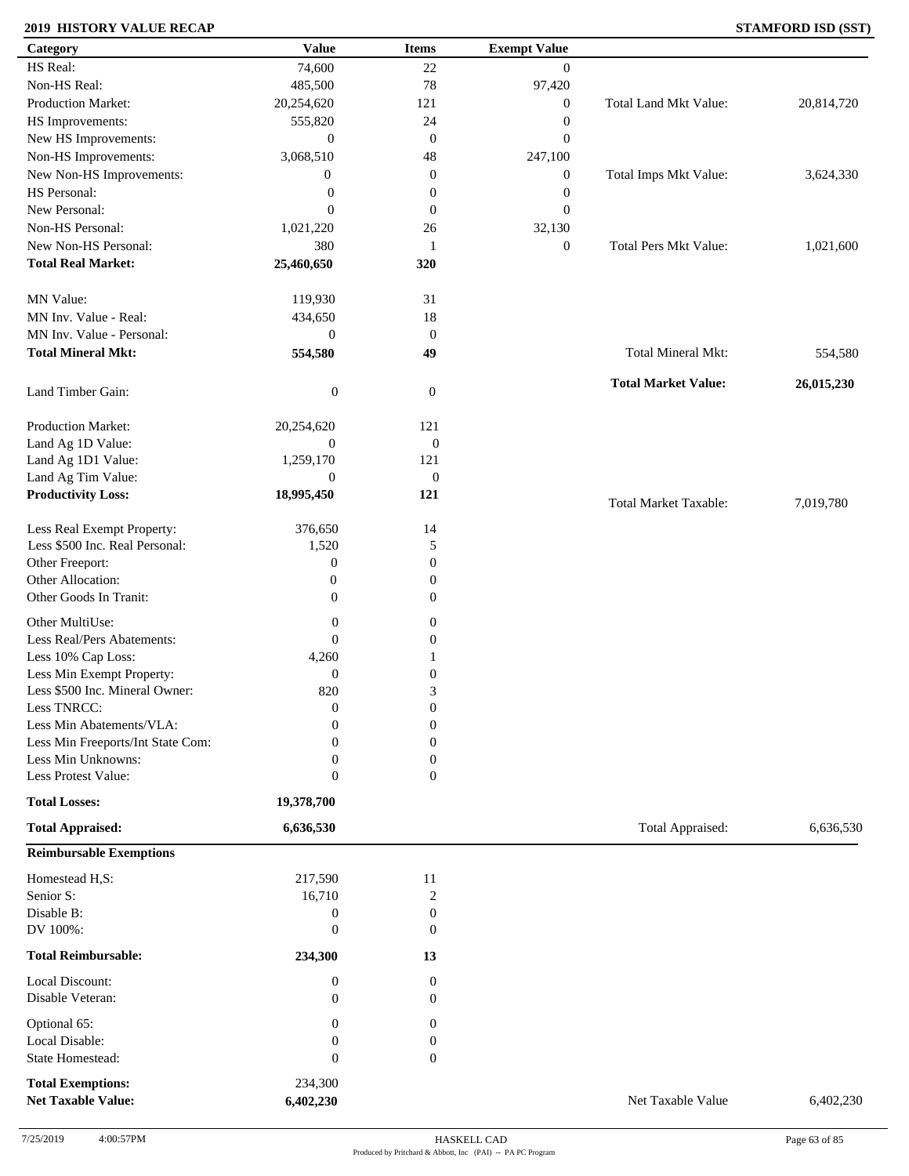### **2019 HISTORY VALUE RECAP STAMFORD ISD (SST)**

| Category                            | <b>Value</b>                     | <b>Items</b>                         | <b>Exempt Value</b> |                              |            |
|-------------------------------------|----------------------------------|--------------------------------------|---------------------|------------------------------|------------|
| HS Real:                            | 74,600                           | 22                                   | $\overline{0}$      |                              |            |
| Non-HS Real:                        | 485,500                          | 78                                   | 97,420              |                              |            |
| Production Market:                  | 20,254,620                       | 121                                  | $\boldsymbol{0}$    | Total Land Mkt Value:        | 20,814,720 |
| HS Improvements:                    | 555,820                          | 24                                   | $\boldsymbol{0}$    |                              |            |
| New HS Improvements:                | $\boldsymbol{0}$                 | $\mathbf{0}$                         | $\mathbf{0}$        |                              |            |
| Non-HS Improvements:                | 3,068,510                        | 48                                   | 247,100             |                              |            |
| New Non-HS Improvements:            | $\boldsymbol{0}$                 | $\mathbf{0}$                         | $\boldsymbol{0}$    | Total Imps Mkt Value:        | 3,624,330  |
| HS Personal:                        | $\boldsymbol{0}$                 | $\boldsymbol{0}$                     | $\boldsymbol{0}$    |                              |            |
| New Personal:                       |                                  |                                      |                     |                              |            |
|                                     | $\overline{0}$                   | $\mathbf{0}$                         | $\mathbf{0}$        |                              |            |
| Non-HS Personal:                    | 1,021,220                        | 26                                   | 32,130              |                              |            |
| New Non-HS Personal:                | 380                              | $\mathbf{1}$                         | $\boldsymbol{0}$    | <b>Total Pers Mkt Value:</b> | 1,021,600  |
| <b>Total Real Market:</b>           | 25,460,650                       | 320                                  |                     |                              |            |
| MN Value:                           | 119,930                          | 31                                   |                     |                              |            |
| MN Inv. Value - Real:               | 434,650                          | $18\,$                               |                     |                              |            |
| MN Inv. Value - Personal:           | $\boldsymbol{0}$                 | $\mathbf{0}$                         |                     |                              |            |
| <b>Total Mineral Mkt:</b>           | 554,580                          | 49                                   |                     | <b>Total Mineral Mkt:</b>    | 554,580    |
| Land Timber Gain:                   | $\boldsymbol{0}$                 | $\mathbf{0}$                         |                     | <b>Total Market Value:</b>   | 26,015,230 |
|                                     |                                  |                                      |                     |                              |            |
| Production Market:                  | 20,254,620                       | 121                                  |                     |                              |            |
| Land Ag 1D Value:                   | $\boldsymbol{0}$                 | $\mathbf{0}$                         |                     |                              |            |
| Land Ag 1D1 Value:                  | 1,259,170                        | 121                                  |                     |                              |            |
| Land Ag Tim Value:                  | $\boldsymbol{0}$                 | $\boldsymbol{0}$                     |                     |                              |            |
| <b>Productivity Loss:</b>           | 18,995,450                       | 121                                  |                     | <b>Total Market Taxable:</b> | 7,019,780  |
| Less Real Exempt Property:          | 376,650                          | 14                                   |                     |                              |            |
| Less \$500 Inc. Real Personal:      | 1,520                            | 5                                    |                     |                              |            |
| Other Freeport:                     | $\mathbf{0}$                     | $\mathbf{0}$                         |                     |                              |            |
| Other Allocation:                   | $\boldsymbol{0}$                 | $\overline{0}$                       |                     |                              |            |
| Other Goods In Tranit:              | 0                                | $\boldsymbol{0}$                     |                     |                              |            |
| Other MultiUse:                     | $\boldsymbol{0}$                 | $\boldsymbol{0}$                     |                     |                              |            |
| Less Real/Pers Abatements:          | $\mathbf{0}$                     | $\boldsymbol{0}$                     |                     |                              |            |
| Less 10% Cap Loss:                  | 4,260                            | 1                                    |                     |                              |            |
| Less Min Exempt Property:           | $\boldsymbol{0}$                 | $\boldsymbol{0}$                     |                     |                              |            |
| Less \$500 Inc. Mineral Owner:      | 820                              | 3                                    |                     |                              |            |
| Less TNRCC:                         | $\mathbf{0}$                     | $\boldsymbol{0}$                     |                     |                              |            |
| Less Min Abatements/VLA:            | $\boldsymbol{0}$                 | $\boldsymbol{0}$                     |                     |                              |            |
| Less Min Freeports/Int State Com:   | $\Omega$                         | $\mathbf{0}$                         |                     |                              |            |
| Less Min Unknowns:                  |                                  |                                      |                     |                              |            |
| Less Protest Value:                 | $\Omega$<br>$\mathbf{0}$         | $\boldsymbol{0}$<br>$\mathbf{0}$     |                     |                              |            |
| <b>Total Losses:</b>                | 19,378,700                       |                                      |                     |                              |            |
| <b>Total Appraised:</b>             | 6,636,530                        |                                      |                     | Total Appraised:             | 6,636,530  |
| <b>Reimbursable Exemptions</b>      |                                  |                                      |                     |                              |            |
| Homestead H,S:                      | 217,590                          | 11                                   |                     |                              |            |
| Senior S:                           | 16,710                           | $\boldsymbol{2}$                     |                     |                              |            |
| Disable B:                          | $\boldsymbol{0}$                 | $\boldsymbol{0}$                     |                     |                              |            |
| DV 100%:                            | $\boldsymbol{0}$                 | $\overline{0}$                       |                     |                              |            |
| <b>Total Reimbursable:</b>          | 234,300                          | 13                                   |                     |                              |            |
|                                     |                                  |                                      |                     |                              |            |
| Local Discount:<br>Disable Veteran: | $\boldsymbol{0}$<br>$\mathbf{0}$ | $\boldsymbol{0}$<br>$\overline{0}$   |                     |                              |            |
| Optional 65:                        | $\boldsymbol{0}$                 | $\boldsymbol{0}$                     |                     |                              |            |
| Local Disable:                      | $\boldsymbol{0}$                 |                                      |                     |                              |            |
| State Homestead:                    | $\boldsymbol{0}$                 | $\boldsymbol{0}$<br>$\boldsymbol{0}$ |                     |                              |            |
|                                     |                                  |                                      |                     |                              |            |
| <b>Total Exemptions:</b>            | 234,300                          |                                      |                     |                              |            |
| <b>Net Taxable Value:</b>           | 6,402,230                        |                                      |                     | Net Taxable Value            | 6,402,230  |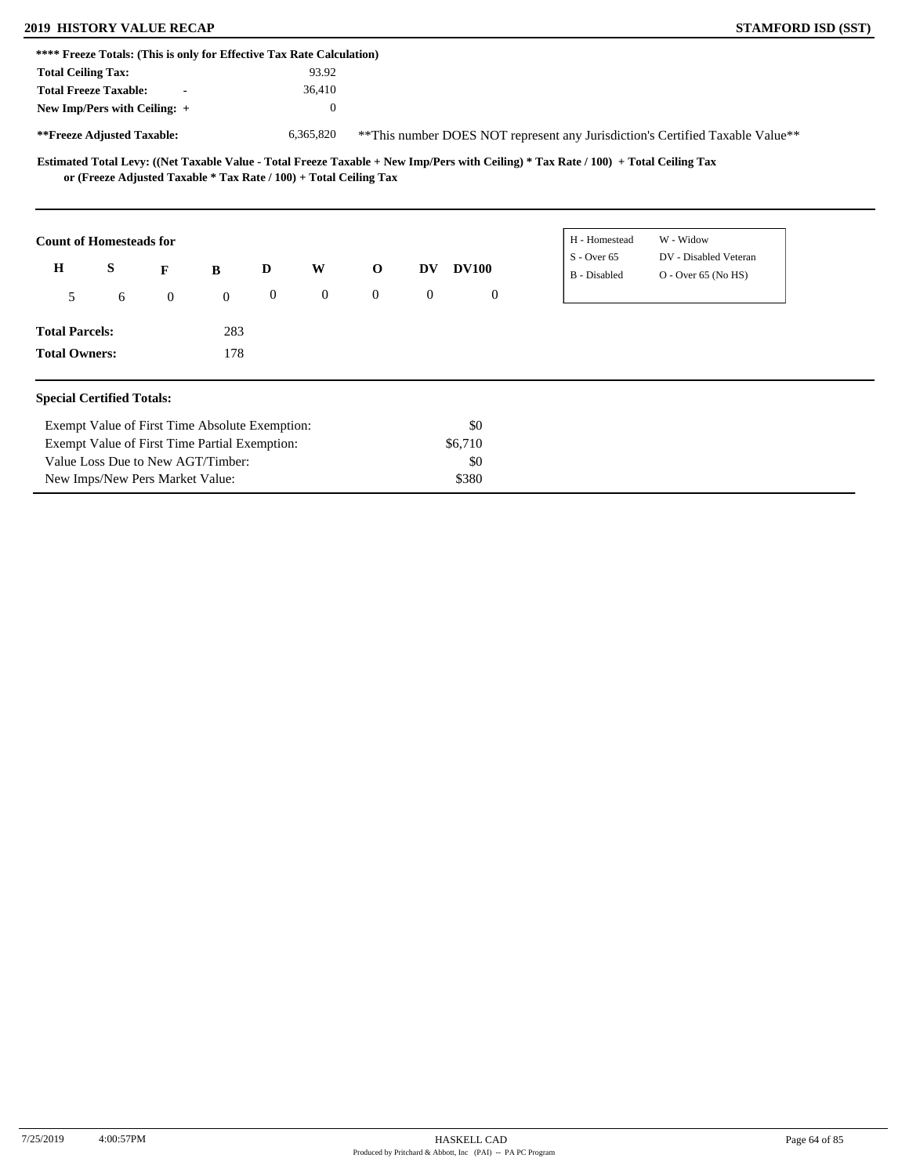## **2019 HISTORY VALUE RECAP STAMFORD ISD (SST)**

| <b>STAMFORD ISD (SST</b> |  |
|--------------------------|--|
|                          |  |

|                           | **** Freeze Totals: (This is only for Effective Tax Rate Calculation) |              |                |                  |                |                |                  |              |                                                                                                                                     |                                                                                |  |
|---------------------------|-----------------------------------------------------------------------|--------------|----------------|------------------|----------------|----------------|------------------|--------------|-------------------------------------------------------------------------------------------------------------------------------------|--------------------------------------------------------------------------------|--|
| <b>Total Ceiling Tax:</b> |                                                                       |              |                |                  | 93.92          |                |                  |              |                                                                                                                                     |                                                                                |  |
|                           | <b>Total Freeze Taxable:</b>                                          |              |                |                  | 36,410         |                |                  |              |                                                                                                                                     |                                                                                |  |
|                           | New Imp/Pers with Ceiling: +                                          |              |                |                  | $\mathbf{0}$   |                |                  |              |                                                                                                                                     |                                                                                |  |
|                           | **Freeze Adjusted Taxable:                                            |              |                |                  | 6,365,820      |                |                  |              |                                                                                                                                     | ** This number DOES NOT represent any Jurisdiction's Certified Taxable Value** |  |
|                           | or (Freeze Adjusted Taxable * Tax Rate / 100) + Total Ceiling Tax     |              |                |                  |                |                |                  |              | Estimated Total Levy: ((Net Taxable Value - Total Freeze Taxable + New Imp/Pers with Ceiling) * Tax Rate / 100) + Total Ceiling Tax |                                                                                |  |
|                           | <b>Count of Homesteads for</b>                                        |              |                |                  |                |                |                  |              | H - Homestead                                                                                                                       | W - Widow                                                                      |  |
| $\mathbf H$               | S                                                                     | F            | B              | D                | W              | $\mathbf 0$    | DV               | <b>DV100</b> | $S -$ Over 65<br>B - Disabled                                                                                                       | DV - Disabled Veteran<br>$O -$ Over 65 (No HS)                                 |  |
| 5                         | 6                                                                     | $\mathbf{0}$ | $\overline{0}$ | $\boldsymbol{0}$ | $\overline{0}$ | $\overline{0}$ | $\boldsymbol{0}$ | $\mathbf{0}$ |                                                                                                                                     |                                                                                |  |
| <b>Total Parcels:</b>     |                                                                       |              | 283            |                  |                |                |                  |              |                                                                                                                                     |                                                                                |  |
| <b>Total Owners:</b>      |                                                                       |              | 178            |                  |                |                |                  |              |                                                                                                                                     |                                                                                |  |
|                           | <b>Special Certified Totals:</b>                                      |              |                |                  |                |                |                  |              |                                                                                                                                     |                                                                                |  |
|                           | Exempt Value of First Time Absolute Exemption:                        |              |                |                  |                |                |                  | \$0          |                                                                                                                                     |                                                                                |  |
|                           | Exempt Value of First Time Partial Exemption:                         |              |                |                  |                |                |                  | \$6,710      |                                                                                                                                     |                                                                                |  |
|                           | Value Loss Due to New AGT/Timber:                                     |              |                |                  |                |                |                  | \$0          |                                                                                                                                     |                                                                                |  |
|                           | New Imps/New Pers Market Value:                                       |              |                |                  |                |                |                  | \$380        |                                                                                                                                     |                                                                                |  |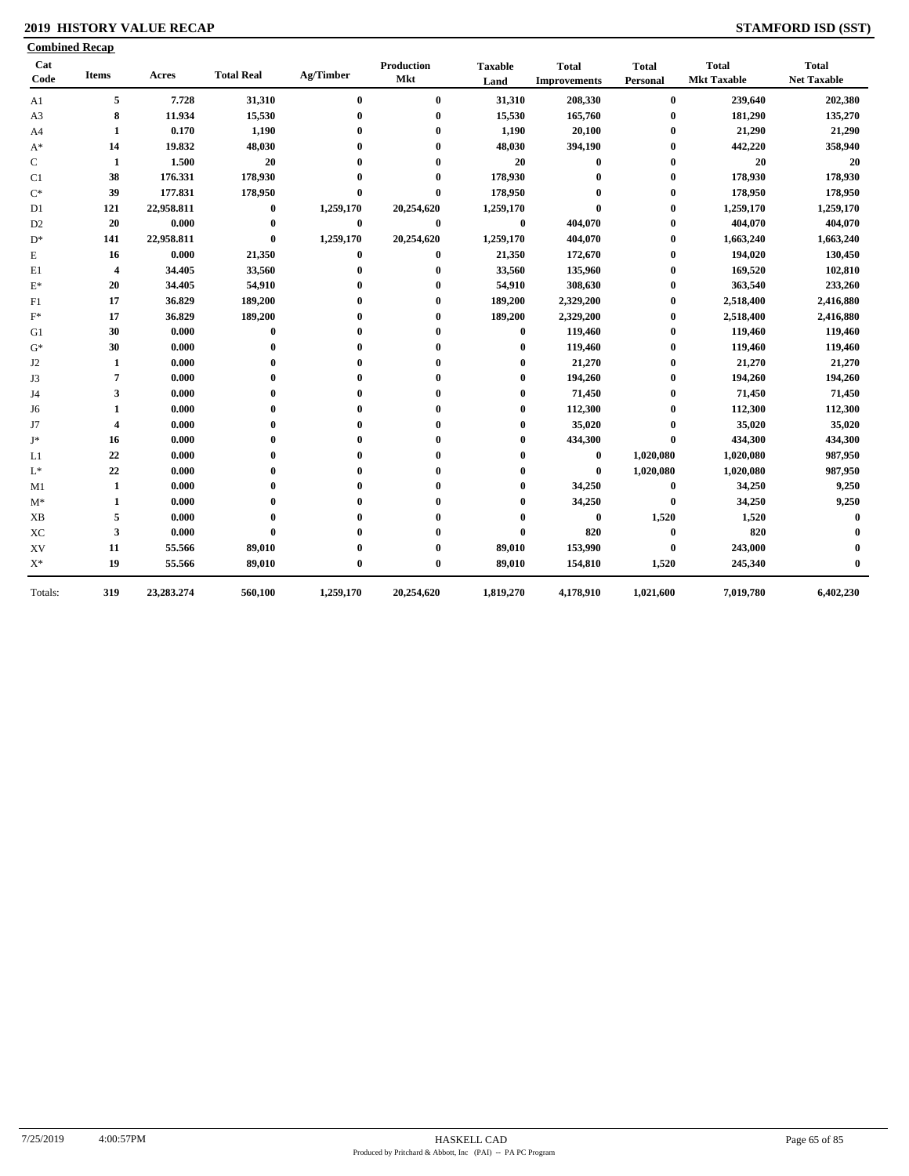### **2019 HISTORY VALUE RECAP STAMFORD ISD (SST)**

|                        | <b>Combined Recap</b>   |            |                   |                  |                   |                        |                                     |                          |                                    |                                    |
|------------------------|-------------------------|------------|-------------------|------------------|-------------------|------------------------|-------------------------------------|--------------------------|------------------------------------|------------------------------------|
| Cat<br>$\mathbf{Code}$ | <b>Items</b>            | Acres      | <b>Total Real</b> | Ag/Timber        | Production<br>Mkt | <b>Taxable</b><br>Land | <b>Total</b><br><b>Improvements</b> | <b>Total</b><br>Personal | <b>Total</b><br><b>Mkt Taxable</b> | <b>Total</b><br><b>Net Taxable</b> |
| A1                     | 5                       | 7.728      | 31,310            | $\bf{0}$         | $\bf{0}$          | 31,310                 | 208,330                             | $\bf{0}$                 | 239,640                            | 202,380                            |
| A <sub>3</sub>         | $\bf{8}$                | 11.934     | 15,530            | $\boldsymbol{0}$ | $\bf{0}$          | 15,530                 | 165,760                             | 0                        | 181,290                            | 135,270                            |
| A4                     | 1                       | 0.170      | 1,190             | 0                | 0                 | 1,190                  | 20,100                              | 0                        | 21,290                             | 21,290                             |
| $A^*$                  | 14                      | 19.832     | 48,030            |                  | 0                 | 48,030                 | 394,190                             | 0                        | 442,220                            | 358,940                            |
| C                      | 1                       | 1.500      | 20                |                  | 0                 | 20                     | $\bf{0}$                            | 0                        | 20                                 | 20                                 |
| C <sub>1</sub>         | 38                      | 176.331    | 178,930           |                  | $\bf{0}$          | 178,930                | $\bf{0}$                            | 0                        | 178,930                            | 178,930                            |
| $\mathrm{C}^*$         | 39                      | 177.831    | 178,950           | $\mathbf{0}$     | $\mathbf{0}$      | 178,950                | $\mathbf{0}$                        | $\bf{0}$                 | 178,950                            | 178,950                            |
| D1                     | 121                     | 22,958.811 | $\bf{0}$          | 1,259,170        | 20,254,620        | 1,259,170              | $\mathbf{0}$                        | 0                        | 1,259,170                          | 1,259,170                          |
| D <sub>2</sub>         | 20                      | 0.000      | $\bf{0}$          | $\bf{0}$         | $\bf{0}$          | $\bf{0}$               | 404,070                             | 0                        | 404,070                            | 404,070                            |
| $D^*$                  | 141                     | 22,958.811 | $\bf{0}$          | 1,259,170        | 20,254,620        | 1,259,170              | 404,070                             | 0                        | 1,663,240                          | 1,663,240                          |
| E                      | 16                      | 0.000      | 21,350            | $\bf{0}$         | $\bf{0}$          | 21,350                 | 172,670                             | $\bf{0}$                 | 194,020                            | 130,450                            |
| E1                     | $\overline{\mathbf{4}}$ | 34.405     | 33,560            | $\mathbf 0$      | 0                 | 33,560                 | 135,960                             | $\bf{0}$                 | 169,520                            | 102,810                            |
| $E^*$                  | 20                      | 34.405     | 54,910            | $\mathbf 0$      | $\bf{0}$          | 54,910                 | 308,630                             | 0                        | 363,540                            | 233,260                            |
| F1                     | 17                      | 36.829     | 189,200           |                  | $\bf{0}$          | 189,200                | 2,329,200                           | 0                        | 2,518,400                          | 2,416,880                          |
| $F^*$                  | 17                      | 36.829     | 189,200           |                  | $\bf{0}$          | 189,200                | 2,329,200                           | 0                        | 2,518,400                          | 2,416,880                          |
| G1                     | 30                      | 0.000      | $\bf{0}$          |                  | $\bf{0}$          | $\bf{0}$               | 119,460                             | $\bf{0}$                 | 119,460                            | 119,460                            |
| $G^*$                  | 30                      | 0.000      | $\bf{0}$          |                  | $\bf{0}$          | $\bf{0}$               | 119,460                             | 0                        | 119,460                            | 119,460                            |
| J <sub>2</sub>         | 1                       | 0.000      | $\bf{0}$          |                  | 0                 | $\bf{0}$               | 21,270                              | 0                        | 21,270                             | 21,270                             |
| J3                     | 7                       | 0.000      | $\mathbf{0}$      |                  | 0                 | $\bf{0}$               | 194,260                             | 0                        | 194,260                            | 194,260                            |
| J4                     | 3                       | 0.000      | 0                 |                  | 0                 | 0                      | 71,450                              | 0                        | 71,450                             | 71,450                             |
| J6                     | 1                       | 0.000      | $\mathbf{0}$      |                  | 0                 | $\bf{0}$               | 112,300                             | $\bf{0}$                 | 112,300                            | 112,300                            |
| J7                     | $\overline{\mathbf{4}}$ | 0.000      | $\bf{0}$          |                  | 0                 | $\bf{0}$               | 35,020                              | $\bf{0}$                 | 35,020                             | 35,020                             |
| J*                     | 16                      | 0.000      | $\bf{0}$          |                  | 0                 | $\bf{0}$               | 434,300                             | $\bf{0}$                 | 434,300                            | 434,300                            |
| L1                     | 22                      | 0.000      | $\bf{0}$          |                  | 0                 | $\bf{0}$               | $\bf{0}$                            | 1,020,080                | 1,020,080                          | 987,950                            |
| $\mathcal{L}^*$        | 22                      | 0.000      | $\bf{0}$          |                  | 0                 | $\bf{0}$               | $\bf{0}$                            | 1,020,080                | 1,020,080                          | 987,950                            |
| M1                     | 1                       | 0.000      | $\mathbf{0}$      |                  | 0                 | $\bf{0}$               | 34,250                              | $\bf{0}$                 | 34,250                             | 9,250                              |
| $M^*$                  | 1                       | 0.000      | $\mathbf{0}$      |                  | 0                 | $\bf{0}$               | 34,250                              | $\bf{0}$                 | 34,250                             | 9,250                              |
| <b>XB</b>              | 5                       | 0.000      | $\mathbf{0}$      |                  | 0                 | $\bf{0}$               | $\bf{0}$                            | 1,520                    | 1,520                              | $\bf{0}$                           |
| $\rm XC$               | 3                       | 0.000      | $\bf{0}$          |                  | 0                 | $\bf{0}$               | 820                                 | 0                        | 820                                |                                    |
| XV                     | 11                      | 55.566     | 89,010            |                  | 0                 | 89,010                 | 153,990                             | $\bf{0}$                 | 243,000                            |                                    |
| $X^*$                  | 19                      | 55.566     | 89,010            | $\mathbf 0$      | $\bf{0}$          | 89,010                 | 154,810                             | 1,520                    | 245,340                            | 0                                  |
| Totals:                | 319                     | 23,283.274 | 560,100           | 1,259,170        | 20,254,620        | 1,819,270              | 4,178,910                           | 1,021,600                | 7,019,780                          | 6,402,230                          |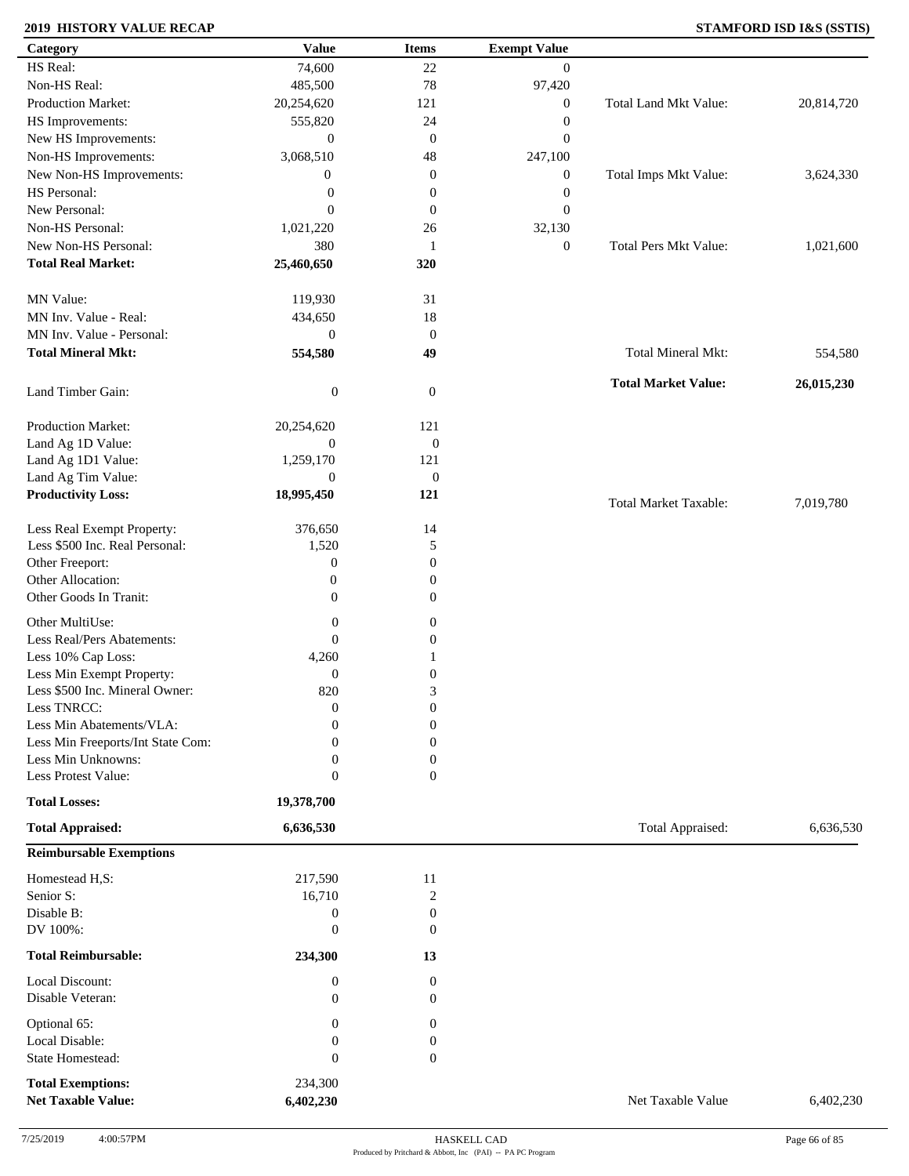### **2019 HISTORY VALUE RECAP STAMFORD ISD I&S (SSTIS)**

| Category                          | <b>Value</b>     | <b>Items</b>     | <b>Exempt Value</b> |                              |            |
|-----------------------------------|------------------|------------------|---------------------|------------------------------|------------|
| HS Real:                          | 74,600           | $22\,$           | $\overline{0}$      |                              |            |
| Non-HS Real:                      | 485,500          | 78               | 97,420              |                              |            |
| Production Market:                | 20,254,620       | 121              | $\boldsymbol{0}$    | Total Land Mkt Value:        | 20,814,720 |
| HS Improvements:                  | 555,820          | 24               | $\boldsymbol{0}$    |                              |            |
| New HS Improvements:              | $\boldsymbol{0}$ | $\mathbf{0}$     | $\boldsymbol{0}$    |                              |            |
| Non-HS Improvements:              | 3,068,510        | 48               | 247,100             |                              |            |
| New Non-HS Improvements:          | $\boldsymbol{0}$ | $\boldsymbol{0}$ | $\boldsymbol{0}$    | Total Imps Mkt Value:        | 3,624,330  |
| HS Personal:                      | $\boldsymbol{0}$ | $\boldsymbol{0}$ | $\boldsymbol{0}$    |                              |            |
| New Personal:                     | $\mathbf{0}$     | $\mathbf{0}$     | $\boldsymbol{0}$    |                              |            |
| Non-HS Personal:                  |                  |                  | 32,130              |                              |            |
| New Non-HS Personal:              | 1,021,220        | 26               |                     |                              |            |
|                                   | 380              | 1                | $\boldsymbol{0}$    | <b>Total Pers Mkt Value:</b> | 1,021,600  |
| <b>Total Real Market:</b>         | 25,460,650       | 320              |                     |                              |            |
| MN Value:                         | 119,930          | 31               |                     |                              |            |
| MN Inv. Value - Real:             | 434,650          | 18               |                     |                              |            |
| MN Inv. Value - Personal:         | $\boldsymbol{0}$ | $\mathbf{0}$     |                     |                              |            |
| <b>Total Mineral Mkt:</b>         | 554,580          | 49               |                     | Total Mineral Mkt:           | 554,580    |
|                                   |                  |                  |                     | <b>Total Market Value:</b>   | 26,015,230 |
| Land Timber Gain:                 | $\boldsymbol{0}$ | $\mathbf{0}$     |                     |                              |            |
| Production Market:                | 20,254,620       | 121              |                     |                              |            |
| Land Ag 1D Value:                 | $\boldsymbol{0}$ | $\boldsymbol{0}$ |                     |                              |            |
| Land Ag 1D1 Value:                | 1,259,170        | 121              |                     |                              |            |
| Land Ag Tim Value:                | $\boldsymbol{0}$ | $\mathbf{0}$     |                     |                              |            |
| <b>Productivity Loss:</b>         | 18,995,450       | 121              |                     | <b>Total Market Taxable:</b> | 7,019,780  |
| Less Real Exempt Property:        | 376,650          | 14               |                     |                              |            |
| Less \$500 Inc. Real Personal:    | 1,520            | 5                |                     |                              |            |
| Other Freeport:                   | $\boldsymbol{0}$ | $\boldsymbol{0}$ |                     |                              |            |
| Other Allocation:                 | $\mathbf{0}$     | $\boldsymbol{0}$ |                     |                              |            |
| Other Goods In Tranit:            | $\mathbf{0}$     | $\boldsymbol{0}$ |                     |                              |            |
|                                   |                  |                  |                     |                              |            |
| Other MultiUse:                   | $\boldsymbol{0}$ | $\boldsymbol{0}$ |                     |                              |            |
| Less Real/Pers Abatements:        | $\mathbf{0}$     | $\boldsymbol{0}$ |                     |                              |            |
| Less 10% Cap Loss:                | 4,260            |                  |                     |                              |            |
| Less Min Exempt Property:         | $\mathbf{0}$     | $\boldsymbol{0}$ |                     |                              |            |
| Less \$500 Inc. Mineral Owner:    | 820              | 3                |                     |                              |            |
| Less TNRCC:                       | $\mathbf{0}$     | $\boldsymbol{0}$ |                     |                              |            |
| Less Min Abatements/VLA:          | $\mathbf{0}$     | $\boldsymbol{0}$ |                     |                              |            |
| Less Min Freeports/Int State Com: | 0                | $\theta$         |                     |                              |            |
| Less Min Unknowns:                | 0                | $\boldsymbol{0}$ |                     |                              |            |
| Less Protest Value:               | $\mathbf{0}$     | $\overline{0}$   |                     |                              |            |
| <b>Total Losses:</b>              | 19,378,700       |                  |                     |                              |            |
| <b>Total Appraised:</b>           | 6,636,530        |                  |                     | Total Appraised:             | 6,636,530  |
| <b>Reimbursable Exemptions</b>    |                  |                  |                     |                              |            |
| Homestead H,S:                    | 217,590          | 11               |                     |                              |            |
| Senior S:                         | 16,710           | $\overline{c}$   |                     |                              |            |
| Disable B:                        | $\boldsymbol{0}$ | $\boldsymbol{0}$ |                     |                              |            |
| DV 100%:                          | $\mathbf{0}$     | $\boldsymbol{0}$ |                     |                              |            |
| <b>Total Reimbursable:</b>        | 234,300          | 13               |                     |                              |            |
| Local Discount:                   | $\mathbf{0}$     | $\boldsymbol{0}$ |                     |                              |            |
| Disable Veteran:                  | $\mathbf{0}$     | $\overline{0}$   |                     |                              |            |
| Optional 65:                      | $\boldsymbol{0}$ | $\boldsymbol{0}$ |                     |                              |            |
| Local Disable:                    | $\boldsymbol{0}$ | $\boldsymbol{0}$ |                     |                              |            |
| State Homestead:                  | $\mathbf{0}$     | $\boldsymbol{0}$ |                     |                              |            |
|                                   |                  |                  |                     |                              |            |
| <b>Total Exemptions:</b>          | 234,300          |                  |                     |                              |            |
| <b>Net Taxable Value:</b>         | 6,402,230        |                  |                     | Net Taxable Value            | 6,402,230  |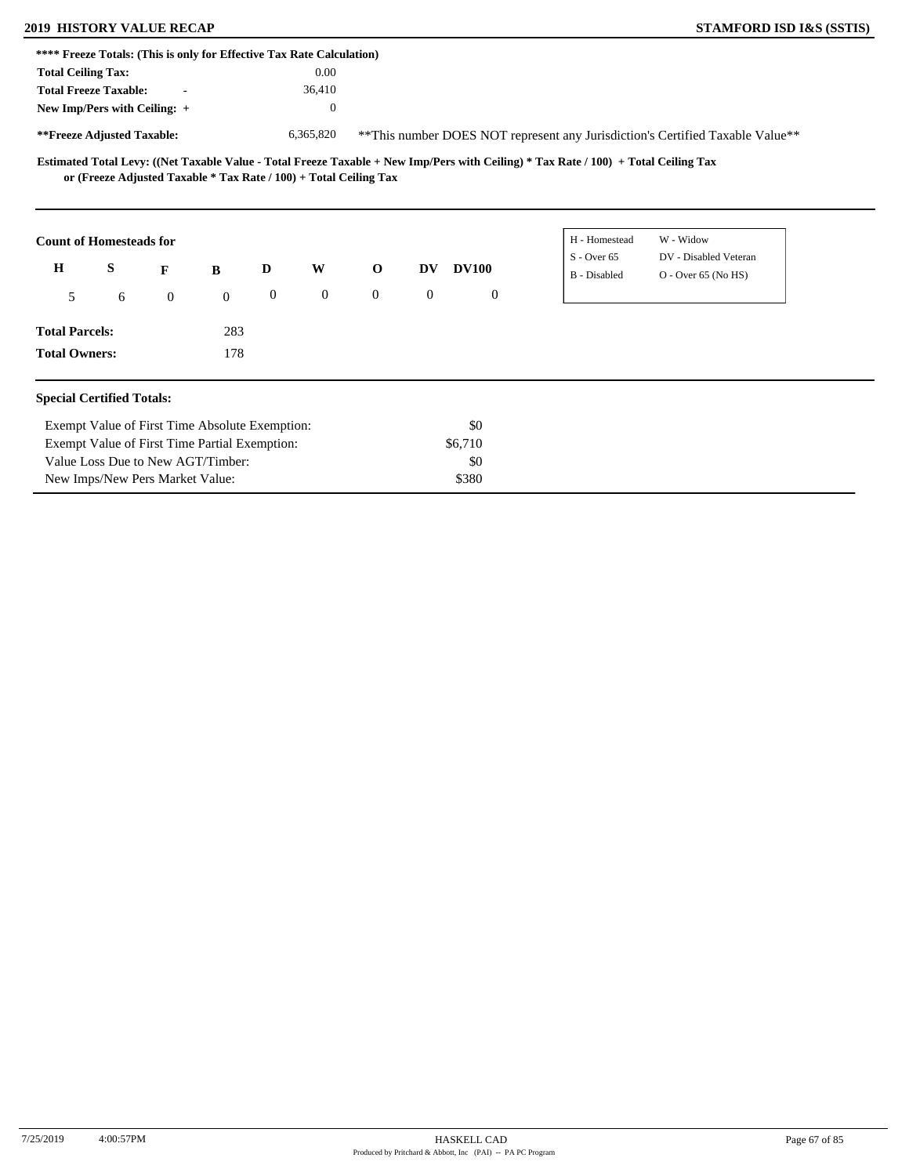# **2019 HISTORY VALUE RECAP STAMFORD ISD I&S (SSTIS)**

| **** Freeze Totals: (This is only for Effective Tax Rate Calculation) |                                                                   |                |                                 |                  |                  |                |              |                  |                                                                                                                                     |
|-----------------------------------------------------------------------|-------------------------------------------------------------------|----------------|---------------------------------|------------------|------------------|----------------|--------------|------------------|-------------------------------------------------------------------------------------------------------------------------------------|
| <b>Total Ceiling Tax:</b>                                             |                                                                   |                |                                 |                  | 0.00             |                |              |                  |                                                                                                                                     |
|                                                                       |                                                                   |                |                                 |                  |                  |                |              |                  |                                                                                                                                     |
| <b>Total Freeze Taxable:</b>                                          |                                                                   |                |                                 |                  | 36,410           |                |              |                  |                                                                                                                                     |
| New Imp/Pers with Ceiling: +                                          |                                                                   |                |                                 |                  | $\boldsymbol{0}$ |                |              |                  |                                                                                                                                     |
| **Freeze Adjusted Taxable:                                            |                                                                   |                |                                 |                  | 6,365,820        |                |              |                  | ** This number DOES NOT represent any Jurisdiction's Certified Taxable Value**                                                      |
|                                                                       | or (Freeze Adjusted Taxable * Tax Rate / 100) + Total Ceiling Tax |                |                                 |                  |                  |                |              |                  | Estimated Total Levy: ((Net Taxable Value - Total Freeze Taxable + New Imp/Pers with Ceiling) * Tax Rate / 100) + Total Ceiling Tax |
| <b>Count of Homesteads for</b>                                        |                                                                   |                |                                 |                  |                  |                |              |                  | W - Widow<br>H - Homestead                                                                                                          |
| $\mathbf H$                                                           | S                                                                 | F              | $\bf{B}$                        | D                | W                | $\mathbf{o}$   | DV.          | <b>DV100</b>     | $S -$ Over 65<br>DV - Disabled Veteran<br>O - Over 65 (No HS)<br>B - Disabled                                                       |
| 5                                                                     | 6                                                                 | $\overline{0}$ | $\mathbf{0}$                    | $\boldsymbol{0}$ | $\boldsymbol{0}$ | $\overline{0}$ | $\mathbf{0}$ | $\boldsymbol{0}$ |                                                                                                                                     |
| <b>Total Parcels:</b>                                                 |                                                                   |                | 283                             |                  |                  |                |              |                  |                                                                                                                                     |
| <b>Total Owners:</b>                                                  |                                                                   |                | 178                             |                  |                  |                |              |                  |                                                                                                                                     |
| <b>Special Certified Totals:</b>                                      |                                                                   |                |                                 |                  |                  |                |              |                  |                                                                                                                                     |
|                                                                       | Exempt Value of First Time Absolute Exemption:                    |                |                                 |                  |                  |                |              | \$0              |                                                                                                                                     |
|                                                                       | Exempt Value of First Time Partial Exemption:                     |                |                                 |                  |                  |                |              | \$6,710          |                                                                                                                                     |
|                                                                       | Value Loss Due to New AGT/Timber:                                 |                |                                 |                  |                  |                |              | \$0              |                                                                                                                                     |
|                                                                       |                                                                   |                | New Imps/New Pers Market Value: |                  |                  |                |              | \$380            |                                                                                                                                     |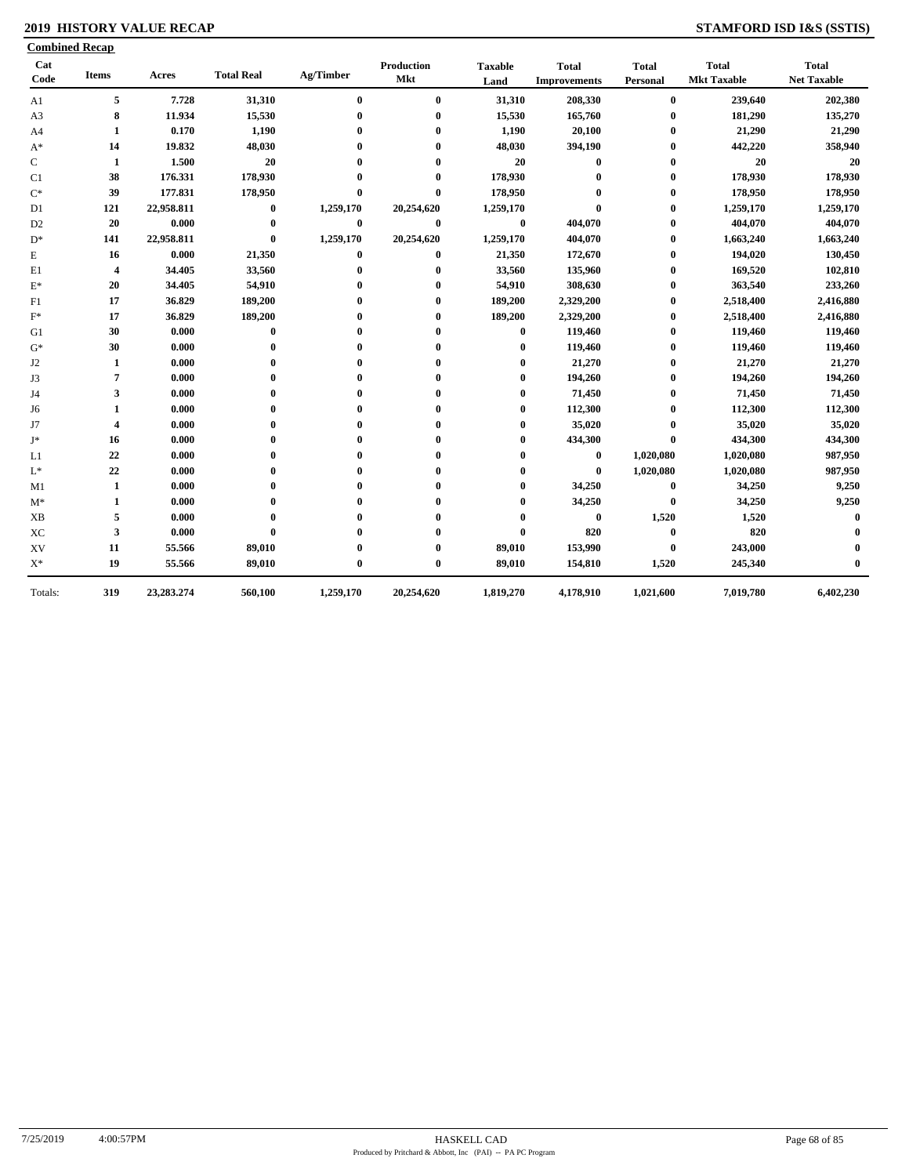### **2019 HISTORY VALUE RECAP STAMFORD ISD I&S (SSTIS)**

| Cat<br>Code    | <b>Items</b>            | Acres      | <b>Total Real</b> | Ag/Timber        | <b>Production</b><br><b>Mkt</b> | <b>Taxable</b><br>Land | <b>Total</b><br><b>Improvements</b> | <b>Total</b><br>Personal | <b>Total</b><br><b>Mkt Taxable</b> | <b>Total</b><br><b>Net Taxable</b> |
|----------------|-------------------------|------------|-------------------|------------------|---------------------------------|------------------------|-------------------------------------|--------------------------|------------------------------------|------------------------------------|
| A1             | 5                       | 7.728      | 31,310            | $\bf{0}$         | $\bf{0}$                        | 31,310                 | 208,330                             | $\bf{0}$                 | 239,640                            | 202,380                            |
| A3             | 8                       | 11.934     | 15,530            | $\mathbf{0}$     | $\bf{0}$                        | 15,530                 | 165,760                             | $\bf{0}$                 | 181,290                            | 135,270                            |
| A <sub>4</sub> | 1                       | 0.170      | 1,190             |                  | 0                               | 1,190                  | 20,100                              | $\bf{0}$                 | 21,290                             | 21,290                             |
| $A^*$          | 14                      | 19.832     | 48,030            |                  | 0                               | 48,030                 | 394,190                             | $\bf{0}$                 | 442,220                            | 358,940                            |
| $\mathbf C$    | 1                       | 1.500      | 20                |                  |                                 | 20                     | $\mathbf{0}$                        | $\bf{0}$                 | 20                                 | 20                                 |
| C1             | 38                      | 176.331    | 178,930           |                  | 0                               | 178,930                | $\mathbf{0}$                        | $\bf{0}$                 | 178,930                            | 178,930                            |
| $C^*$          | 39                      | 177.831    | 178,950           | $\mathbf{0}$     | $\bf{0}$                        | 178,950                |                                     | $\bf{0}$                 | 178,950                            | 178,950                            |
| D1             | 121                     | 22,958.811 | $\bf{0}$          | 1,259,170        | 20,254,620                      | 1,259,170              |                                     | $\bf{0}$                 | 1,259,170                          | 1,259,170                          |
| D <sub>2</sub> | 20                      | 0.000      | $\bf{0}$          | $\bf{0}$         | $\bf{0}$                        | $\bf{0}$               | 404,070                             | $\bf{0}$                 | 404,070                            | 404,070                            |
| $D^*$          | 141                     | 22,958.811 | $\bf{0}$          | 1,259,170        | 20,254,620                      | 1,259,170              | 404,070                             | $\bf{0}$                 | 1,663,240                          | 1,663,240                          |
| E              | 16                      | 0.000      | 21,350            | $\bf{0}$         | $\mathbf{0}$                    | 21,350                 | 172,670                             | $\bf{0}$                 | 194,020                            | 130,450                            |
| E1             | $\overline{\mathbf{4}}$ | 34.405     | 33,560            | $\mathbf{0}$     | $\mathbf{0}$                    | 33,560                 | 135,960                             | $\bf{0}$                 | 169,520                            | 102,810                            |
| $\mathbf{E}^*$ | 20                      | 34.405     | 54,910            |                  | $\mathbf{0}$                    | 54,910                 | 308,630                             | $\bf{0}$                 | 363,540                            | 233,260                            |
| F1             | 17                      | 36.829     | 189,200           |                  | $\mathbf{0}$                    | 189,200                | 2,329,200                           | $\bf{0}$                 | 2,518,400                          | 2,416,880                          |
| $F^*$          | 17                      | 36.829     | 189,200           |                  | $\mathbf 0$                     | 189,200                | 2,329,200                           | $\bf{0}$                 | 2,518,400                          | 2,416,880                          |
| G1             | 30                      | 0.000      | $\mathbf 0$       |                  | $\mathbf 0$                     | 0                      | 119,460                             | $\bf{0}$                 | 119,460                            | 119,460                            |
| $G^*$          | 30                      | 0.000      | $\mathbf{0}$      |                  | 0                               |                        | 119,460                             | $\bf{0}$                 | 119,460                            | 119,460                            |
| J2             | 1                       | 0.000      |                   |                  |                                 |                        | 21,270                              | $\bf{0}$                 | 21,270                             | 21,270                             |
| J3             | 7                       | 0.000      |                   |                  |                                 |                        | 194,260                             | 0                        | 194,260                            | 194,260                            |
| J4             | 3                       | 0.000      |                   |                  |                                 |                        | 71,450                              | $\bf{0}$                 | 71,450                             | 71,450                             |
| J6             | 1                       | 0.000      |                   |                  | 0                               |                        | 112,300                             | $\mathbf{0}$             | 112,300                            | 112,300                            |
| J7             | 4                       | 0.000      |                   |                  |                                 |                        | 35,020                              | 0                        | 35,020                             | 35,020                             |
| J*             | 16                      | 0.000      |                   |                  |                                 | 0                      | 434,300                             |                          | 434,300                            | 434,300                            |
| L1             | 22                      | 0.000      | 0                 |                  | 0                               | 0                      | $\bf{0}$                            | 1,020,080                | 1,020,080                          | 987,950                            |
| $L^*$          | 22                      | 0.000      |                   |                  | 0                               |                        | $\bf{0}$                            | 1,020,080                | 1,020,080                          | 987,950                            |
| M1             | 1                       | 0.000      |                   |                  | 0                               | 0                      | 34,250                              | $\bf{0}$                 | 34,250                             | 9,250                              |
| $M^*$          | 1                       | 0.000      |                   |                  | $\mathbf 0$                     | 0                      | 34,250                              | $\bf{0}$                 | 34,250                             | 9,250                              |
| <b>XB</b>      | 5                       | 0.000      |                   |                  | $\mathbf{0}$                    | 0                      | $\bf{0}$                            | 1,520                    | 1,520                              | $\mathbf{0}$                       |
| <b>XC</b>      | 3                       | 0.000      | $\mathbf 0$       |                  | $\mathbf{0}$                    | 0                      | 820                                 | $\mathbf{0}$             | 820                                |                                    |
| XV             | 11                      | 55.566     | 89,010            |                  |                                 | 89,010                 | 153,990                             | $\bf{0}$                 | 243,000                            |                                    |
| $\mathbf{X}^*$ | 19                      | 55.566     | 89,010            | $\boldsymbol{0}$ | $\boldsymbol{0}$                | 89,010                 | 154,810                             | 1,520                    | 245,340                            |                                    |
| Totals:        | 319                     | 23,283,274 | 560,100           | 1,259,170        | 20,254,620                      | 1,819,270              | 4,178,910                           | 1,021,600                | 7,019,780                          | 6,402,230                          |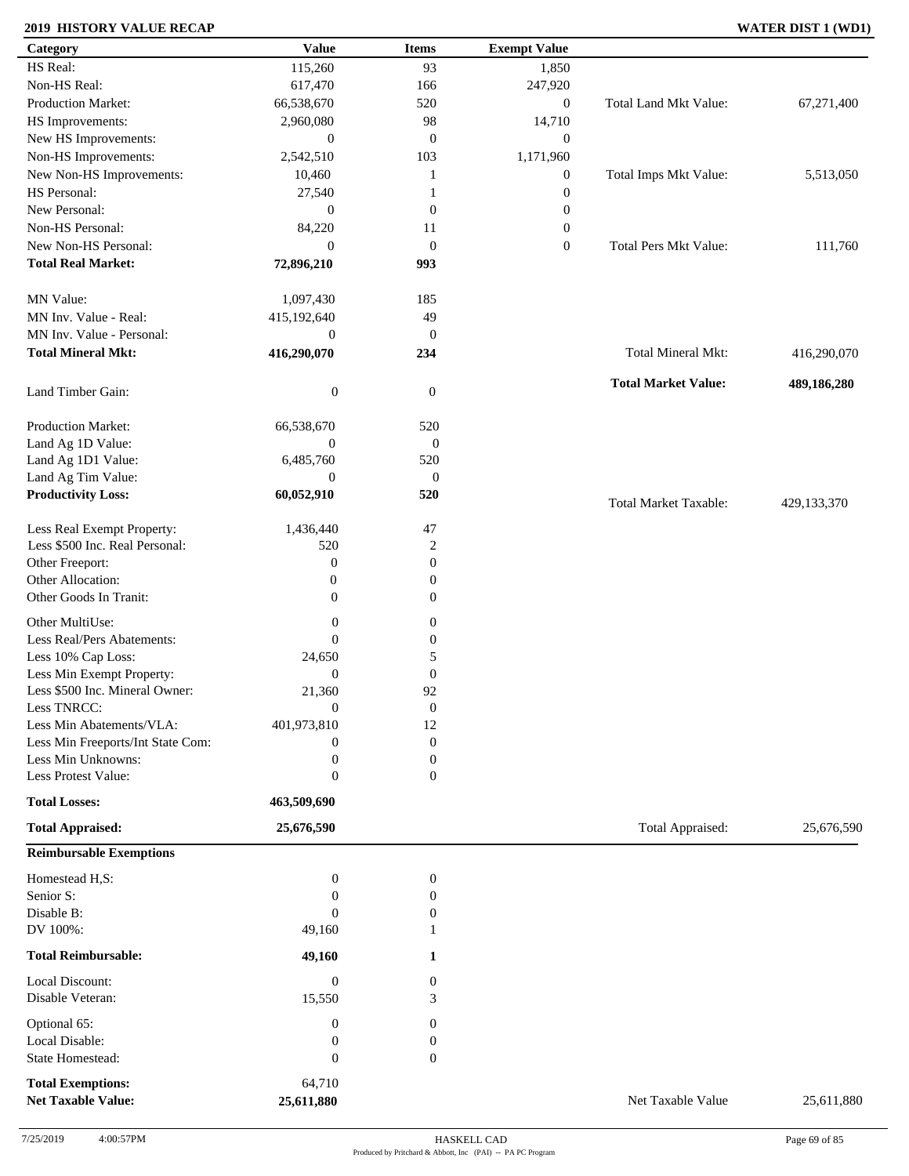### **2019 HISTORY VALUE RECAP WATER DIST 1 (WD1)**

| Category                          | <b>Value</b>     | <b>Items</b>     | <b>Exempt Value</b> |                              |             |
|-----------------------------------|------------------|------------------|---------------------|------------------------------|-------------|
| HS Real:                          | 115,260          | 93               | 1,850               |                              |             |
| Non-HS Real:                      | 617,470          | 166              | 247,920             |                              |             |
| Production Market:                | 66,538,670       | 520              | $\boldsymbol{0}$    | Total Land Mkt Value:        | 67,271,400  |
| HS Improvements:                  | 2,960,080        | 98               | 14,710              |                              |             |
| New HS Improvements:              | $\boldsymbol{0}$ | $\mathbf{0}$     | $\boldsymbol{0}$    |                              |             |
| Non-HS Improvements:              | 2,542,510        | 103              | 1,171,960           |                              |             |
| New Non-HS Improvements:          | 10,460           | 1                | $\boldsymbol{0}$    | Total Imps Mkt Value:        | 5,513,050   |
| HS Personal:                      | 27,540           | 1                | $\boldsymbol{0}$    |                              |             |
| New Personal:                     | $\overline{0}$   | $\mathbf{0}$     | $\boldsymbol{0}$    |                              |             |
| Non-HS Personal:                  | 84,220           | 11               | $\boldsymbol{0}$    |                              |             |
| New Non-HS Personal:              | $\overline{0}$   | $\mathbf{0}$     | $\mathbf{0}$        | Total Pers Mkt Value:        | 111,760     |
| <b>Total Real Market:</b>         | 72,896,210       | 993              |                     |                              |             |
|                                   |                  |                  |                     |                              |             |
| MN Value:                         | 1,097,430        | 185              |                     |                              |             |
| MN Inv. Value - Real:             | 415,192,640      | 49               |                     |                              |             |
| MN Inv. Value - Personal:         |                  |                  |                     |                              |             |
|                                   | $\boldsymbol{0}$ | $\mathbf{0}$     |                     |                              |             |
| <b>Total Mineral Mkt:</b>         | 416,290,070      | 234              |                     | Total Mineral Mkt:           | 416,290,070 |
|                                   |                  |                  |                     | <b>Total Market Value:</b>   | 489,186,280 |
| Land Timber Gain:                 | $\boldsymbol{0}$ | $\boldsymbol{0}$ |                     |                              |             |
|                                   |                  |                  |                     |                              |             |
| Production Market:                | 66,538,670       | 520              |                     |                              |             |
| Land Ag 1D Value:                 | $\boldsymbol{0}$ | $\boldsymbol{0}$ |                     |                              |             |
| Land Ag 1D1 Value:                | 6,485,760        | 520              |                     |                              |             |
| Land Ag Tim Value:                | $\boldsymbol{0}$ | $\boldsymbol{0}$ |                     |                              |             |
| <b>Productivity Loss:</b>         | 60,052,910       | 520              |                     | <b>Total Market Taxable:</b> | 429,133,370 |
| Less Real Exempt Property:        | 1,436,440        | 47               |                     |                              |             |
| Less \$500 Inc. Real Personal:    | 520              | $\overline{2}$   |                     |                              |             |
| Other Freeport:                   | $\boldsymbol{0}$ | $\mathbf{0}$     |                     |                              |             |
| Other Allocation:                 | 0                | $\boldsymbol{0}$ |                     |                              |             |
| Other Goods In Tranit:            | $\overline{0}$   | $\boldsymbol{0}$ |                     |                              |             |
|                                   |                  |                  |                     |                              |             |
| Other MultiUse:                   | $\boldsymbol{0}$ | $\boldsymbol{0}$ |                     |                              |             |
| Less Real/Pers Abatements:        | $\theta$         | $\boldsymbol{0}$ |                     |                              |             |
| Less 10% Cap Loss:                | 24,650           | 5                |                     |                              |             |
| Less Min Exempt Property:         | $\boldsymbol{0}$ | $\boldsymbol{0}$ |                     |                              |             |
| Less \$500 Inc. Mineral Owner:    | 21,360           | 92               |                     |                              |             |
| Less TNRCC:                       | $\theta$         | $\theta$         |                     |                              |             |
| Less Min Abatements/VLA:          | 401,973,810      | 12               |                     |                              |             |
| Less Min Freeports/Int State Com: | $\boldsymbol{0}$ | $\boldsymbol{0}$ |                     |                              |             |
| Less Min Unknowns:                | $\boldsymbol{0}$ | $\boldsymbol{0}$ |                     |                              |             |
| Less Protest Value:               | $\boldsymbol{0}$ | $\boldsymbol{0}$ |                     |                              |             |
| <b>Total Losses:</b>              | 463,509,690      |                  |                     |                              |             |
| <b>Total Appraised:</b>           | 25,676,590       |                  |                     | Total Appraised:             | 25,676,590  |
|                                   |                  |                  |                     |                              |             |
| <b>Reimbursable Exemptions</b>    |                  |                  |                     |                              |             |
| Homestead H,S:                    | $\boldsymbol{0}$ | $\boldsymbol{0}$ |                     |                              |             |
| Senior S:                         | $\mathbf{0}$     | $\boldsymbol{0}$ |                     |                              |             |
| Disable B:                        | $\overline{0}$   | $\boldsymbol{0}$ |                     |                              |             |
| DV 100%:                          | 49,160           | 1                |                     |                              |             |
| <b>Total Reimbursable:</b>        | 49,160           | 1                |                     |                              |             |
| Local Discount:                   | $\mathbf{0}$     | $\boldsymbol{0}$ |                     |                              |             |
|                                   |                  |                  |                     |                              |             |
| Disable Veteran:                  | 15,550           | 3                |                     |                              |             |
| Optional 65:                      | $\mathbf{0}$     | $\boldsymbol{0}$ |                     |                              |             |
| Local Disable:                    | $\boldsymbol{0}$ | $\boldsymbol{0}$ |                     |                              |             |
| State Homestead:                  | $\mathbf{0}$     | $\mathbf{0}$     |                     |                              |             |
| <b>Total Exemptions:</b>          | 64,710           |                  |                     |                              |             |
| <b>Net Taxable Value:</b>         | 25,611,880       |                  |                     | Net Taxable Value            | 25,611,880  |
|                                   |                  |                  |                     |                              |             |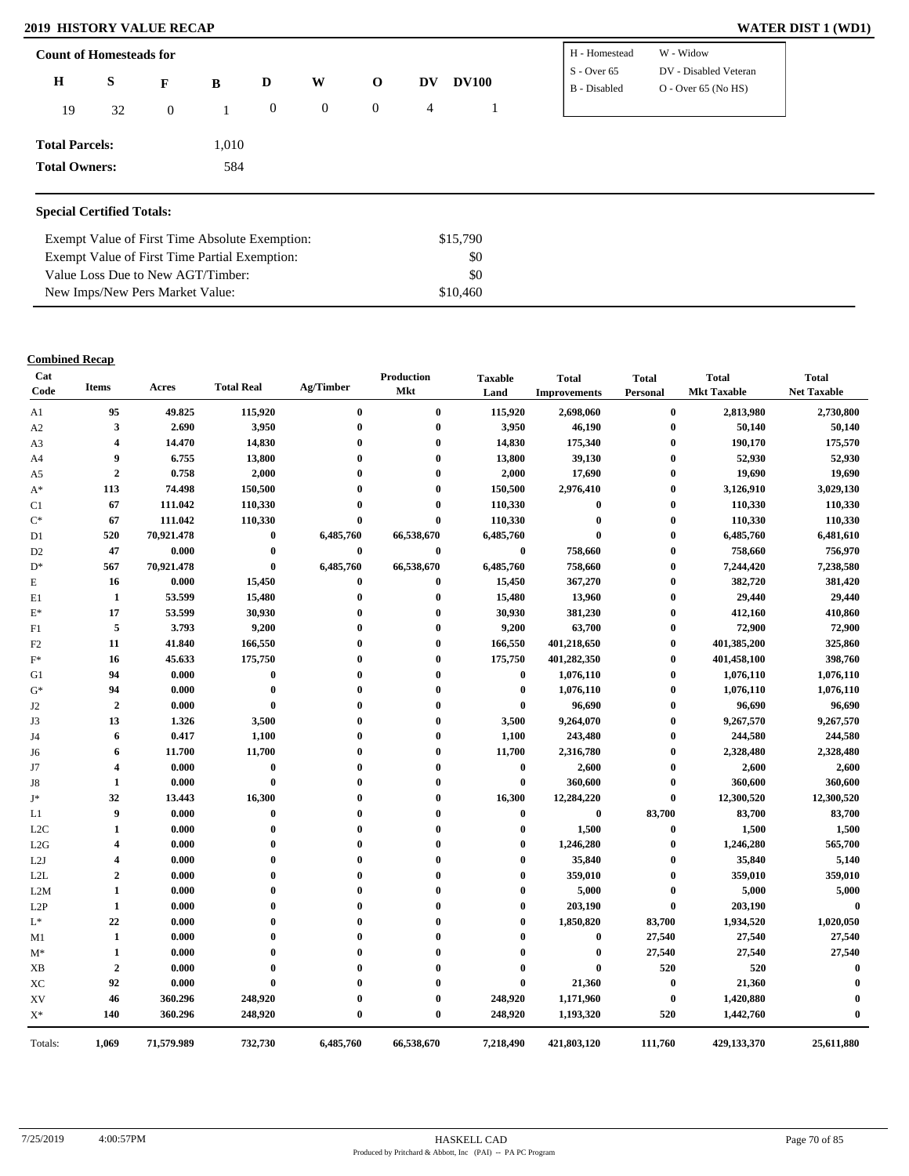### **2019 HISTORY VALUE RECAP**

| <b>WATER DIST 1 (WD1)</b> |  |  |  |  |  |
|---------------------------|--|--|--|--|--|
|---------------------------|--|--|--|--|--|

| <b>Count of Homesteads for</b> |    |              |       |                  |          |              |    |              | H - Homestead | W - Widow             |  |
|--------------------------------|----|--------------|-------|------------------|----------|--------------|----|--------------|---------------|-----------------------|--|
| $\mathbf H$                    | S  | F            | B     | D                | W        | $\mathbf{o}$ | DV | <b>DV100</b> | $S -$ Over 65 | DV - Disabled Veteran |  |
| 19                             | 32 | $\mathbf{0}$ |       | $\boldsymbol{0}$ | $\bf{0}$ | $\mathbf 0$  | 4  |              | B - Disabled  | $O - Over 65 (No HS)$ |  |
| <b>Total Parcels:</b>          |    |              | 1,010 |                  |          |              |    |              |               |                       |  |
| <b>Total Owners:</b>           |    |              | 584   |                  |          |              |    |              |               |                       |  |
|                                |    |              |       |                  |          |              |    |              |               |                       |  |

### **Special Certified Totals:**

| Exempt Value of First Time Absolute Exemption: | \$15,790 |  |
|------------------------------------------------|----------|--|
| Exempt Value of First Time Partial Exemption:  | SO.      |  |
| Value Loss Due to New AGT/Timber:              | SO.      |  |
| New Imps/New Pers Market Value:                | \$10,460 |  |

### **Combined Recap**

| Cat<br>Code      | Items                   | Acres      | <b>Total Real</b> | Ag/Timber        | <b>Production</b><br><b>Mkt</b> | <b>Taxable</b><br>Land | <b>Total</b><br><b>Improvements</b> | <b>Total</b><br>Personal | <b>Total</b><br><b>Mkt Taxable</b> | <b>Total</b><br><b>Net Taxable</b> |
|------------------|-------------------------|------------|-------------------|------------------|---------------------------------|------------------------|-------------------------------------|--------------------------|------------------------------------|------------------------------------|
| A1               | 95                      | 49.825     | 115,920           | $\bf{0}$         | $\bf{0}$                        | 115,920                | 2,698,060                           | $\bf{0}$                 | 2,813,980                          | 2,730,800                          |
| A2               | 3                       | 2.690      | 3,950             | $\bf{0}$         | $\mathbf 0$                     | 3,950                  | 46,190                              | $\bf{0}$                 | 50,140                             | 50,140                             |
| A3               | 4                       | 14.470     | 14,830            | $\mathbf 0$      | $\mathbf 0$                     | 14,830                 | 175,340                             | $\bf{0}$                 | 190,170                            | 175,570                            |
| A4               | 9                       | 6.755      | 13,800            | $\mathbf{0}$     | $\mathbf 0$                     | 13,800                 | 39,130                              | $\bf{0}$                 | 52,930                             | 52,930                             |
| A5               | $\boldsymbol{2}$        | 0.758      | 2,000             | $\mathbf{0}$     | $\mathbf 0$                     | 2,000                  | 17,690                              | $\bf{0}$                 | 19,690                             | 19,690                             |
| $A^*$            | 113                     | 74.498     | 150,500           | 0                | 0                               | 150,500                | 2,976,410                           | $\bf{0}$                 | 3,126,910                          | 3,029,130                          |
| C1               | 67                      | 111.042    | 110,330           | $\mathbf 0$      | $\mathbf 0$                     | 110,330                | $\pmb{0}$                           | $\bf{0}$                 | 110,330                            | 110,330                            |
| $C^*$            | 67                      | 111.042    | 110,330           | $\mathbf{0}$     | $\mathbf{0}$                    | 110,330                | $\bf{0}$                            | $\bf{0}$                 | 110,330                            | 110,330                            |
| D1               | 520                     | 70,921.478 | $\boldsymbol{0}$  | 6,485,760        | 66,538,670                      | 6,485,760              | $\bf{0}$                            | $\bf{0}$                 | 6,485,760                          | 6,481,610                          |
| D <sub>2</sub>   | 47                      | 0.000      | $\boldsymbol{0}$  | $\bf{0}$         | $\bf{0}$                        | $\bf{0}$               | 758,660                             | $\bf{0}$                 | 758,660                            | 756,970                            |
| $\mathbf{D}^*$   | 567                     | 70,921.478 | $\bf{0}$          | 6,485,760        | 66,538,670                      | 6,485,760              | 758,660                             | $\bf{0}$                 | 7,244,420                          | 7,238,580                          |
| Е                | 16                      | 0.000      | 15,450            | $\boldsymbol{0}$ | $\boldsymbol{0}$                | 15,450                 | 367,270                             | $\bf{0}$                 | 382,720                            | 381,420                            |
| E1               | 1                       | 53.599     | 15,480            | $\bf{0}$         | $\bf{0}$                        | 15,480                 | 13,960                              | $\bf{0}$                 | 29,440                             | 29,440                             |
| $E^*$            | 17                      | 53.599     | 30,930            | $\boldsymbol{0}$ | 0                               | 30,930                 | 381,230                             | $\bf{0}$                 | 412,160                            | 410,860                            |
| F1               | 5                       | 3.793      | 9,200             | $\mathbf 0$      | $\boldsymbol{0}$                | 9,200                  | 63,700                              | $\bf{0}$                 | 72,900                             | 72,900                             |
| F2               | 11                      | 41.840     | 166,550           | $\mathbf 0$      | $\mathbf 0$                     | 166,550                | 401,218,650                         | $\bf{0}$                 | 401,385,200                        | 325,860                            |
| $\mathbf{F}^*$   | 16                      | 45.633     | 175,750           | $\mathbf 0$      | $\mathbf{0}$                    | 175,750                | 401,282,350                         | $\bf{0}$                 | 401,458,100                        | 398,760                            |
| G1               | 94                      | 0.000      | $\boldsymbol{0}$  | $\mathbf 0$      | $\mathbf 0$                     | $\bf{0}$               | 1,076,110                           | $\bf{0}$                 | 1,076,110                          | 1,076,110                          |
| $G^*$            | 94                      | 0.000      | $\boldsymbol{0}$  | 0                | $\mathbf 0$                     | $\bf{0}$               | 1,076,110                           | $\bf{0}$                 | 1,076,110                          | 1,076,110                          |
| J2               | $\overline{2}$          | 0.000      | $\bf{0}$          | 0                | 0                               | $\bf{0}$               | 96,690                              | $\bf{0}$                 | 96,690                             | 96,690                             |
| J3               | 13                      | 1.326      | 3,500             | $\mathbf 0$      | $\mathbf 0$                     | 3,500                  | 9,264,070                           | $\bf{0}$                 | 9,267,570                          | 9,267,570                          |
| J4               | 6                       | 0.417      | 1,100             | $\mathbf 0$      | $\mathbf 0$                     | 1,100                  | 243,480                             | $\bf{0}$                 | 244,580                            | 244,580                            |
| J6               | 6                       | 11.700     | 11,700            | $\mathbf 0$      | $\mathbf 0$                     | 11,700                 | 2,316,780                           | $\bf{0}$                 | 2,328,480                          | 2,328,480                          |
| J7               | 4                       | 0.000      | $\boldsymbol{0}$  | $\mathbf 0$      | 0                               | $\bf{0}$               | 2,600                               | $\bf{0}$                 | 2,600                              | 2,600                              |
| J8               | 1                       | 0.000      | $\bf{0}$          | $\mathbf 0$      |                                 | $\bf{0}$               | 360,600                             | $\bf{0}$                 | 360,600                            | 360,600                            |
| J*               | 32                      | 13.443     | 16,300            |                  | $\mathbf 0$                     | 16,300                 | 12,284,220                          | $\bf{0}$                 | 12,300,520                         | 12,300,520                         |
| L1               | 9                       | 0.000      | $\bf{0}$          | $\mathbf{0}$     | $\mathbf{0}$                    | $\bf{0}$               | $\bf{0}$                            | 83,700                   | 83,700                             | 83,700                             |
| L <sub>2</sub> C | 1                       | 0.000      | $\bf{0}$          | $\mathbf 0$      | 0                               | $\bf{0}$               | 1,500                               | $\bf{0}$                 | 1,500                              | 1,500                              |
| L2G              | $\overline{\mathbf{4}}$ | 0.000      | $\mathbf 0$       | $\mathbf 0$      | $\mathbf{0}$                    | $\bf{0}$               | 1,246,280                           | $\bf{0}$                 | 1,246,280                          | 565,700                            |
| L2J              | $\overline{\mathbf{4}}$ | 0.000      | $\bf{0}$          | $\mathbf 0$      | $\mathbf 0$                     | $\bf{0}$               | 35,840                              | $\bf{0}$                 | 35,840                             | 5,140                              |
| L2L              | $\boldsymbol{2}$        | 0.000      | $\boldsymbol{0}$  | $\mathbf{0}$     | $\mathbf{0}$                    | $\bf{0}$               | 359,010                             | $\bf{0}$                 | 359,010                            | 359,010                            |
| L2M              | 1                       | 0.000      | $\mathbf{0}$      |                  |                                 | $\boldsymbol{0}$       | 5,000                               | $\bf{0}$                 | 5,000                              | 5,000                              |
| L2P              | 1                       | 0.000      | $\mathbf 0$       | $\mathbf 0$      | 0                               | $\bf{0}$               | 203,190                             | $\bf{0}$                 | 203,190                            | $\bf{0}$                           |
| $\mathrm{L}^*$   | 22                      | 0.000      | $\mathbf 0$       | $\mathbf 0$      | 0                               | $\bf{0}$               | 1,850,820                           | 83,700                   | 1,934,520                          | 1,020,050                          |
| M1               | $\mathbf{1}$            | 0.000      | $\mathbf 0$       | $\mathbf{0}$     |                                 | $\bf{0}$               | $\bf{0}$                            | 27,540                   | 27,540                             | 27,540                             |
| $M^*$            | 1                       | 0.000      | $\theta$          |                  |                                 | $\mathbf{0}$           | $\bf{0}$                            | 27,540                   | 27,540                             | 27,540                             |
| XB               | $\overline{2}$          | 0.000      | $\bf{0}$          | $\mathbf{0}$     |                                 | $\bf{0}$               | $\mathbf{0}$                        | 520                      | 520                                | $\mathbf{0}$                       |
| XC               | 92                      | 0.000      | $\bf{0}$          |                  |                                 | $\bf{0}$               | 21,360                              | $\bf{0}$                 | 21,360                             | 0                                  |
| XV               | 46                      | 360.296    | 248,920           | $\boldsymbol{0}$ | $\mathbf 0$                     | 248,920                | 1,171,960                           | $\bf{0}$                 | 1,420,880                          | $\mathbf{0}$                       |
| $X^*$            | 140                     | 360.296    | 248,920           | $\bf{0}$         | $\bf{0}$                        | 248,920                | 1,193,320                           | 520                      | 1,442,760                          | $\mathbf{0}$                       |
| Totals:          | 1,069                   | 71,579.989 | 732,730           | 6,485,760        | 66,538,670                      | 7,218,490              | 421,803,120                         | 111,760                  | 429,133,370                        | 25,611,880                         |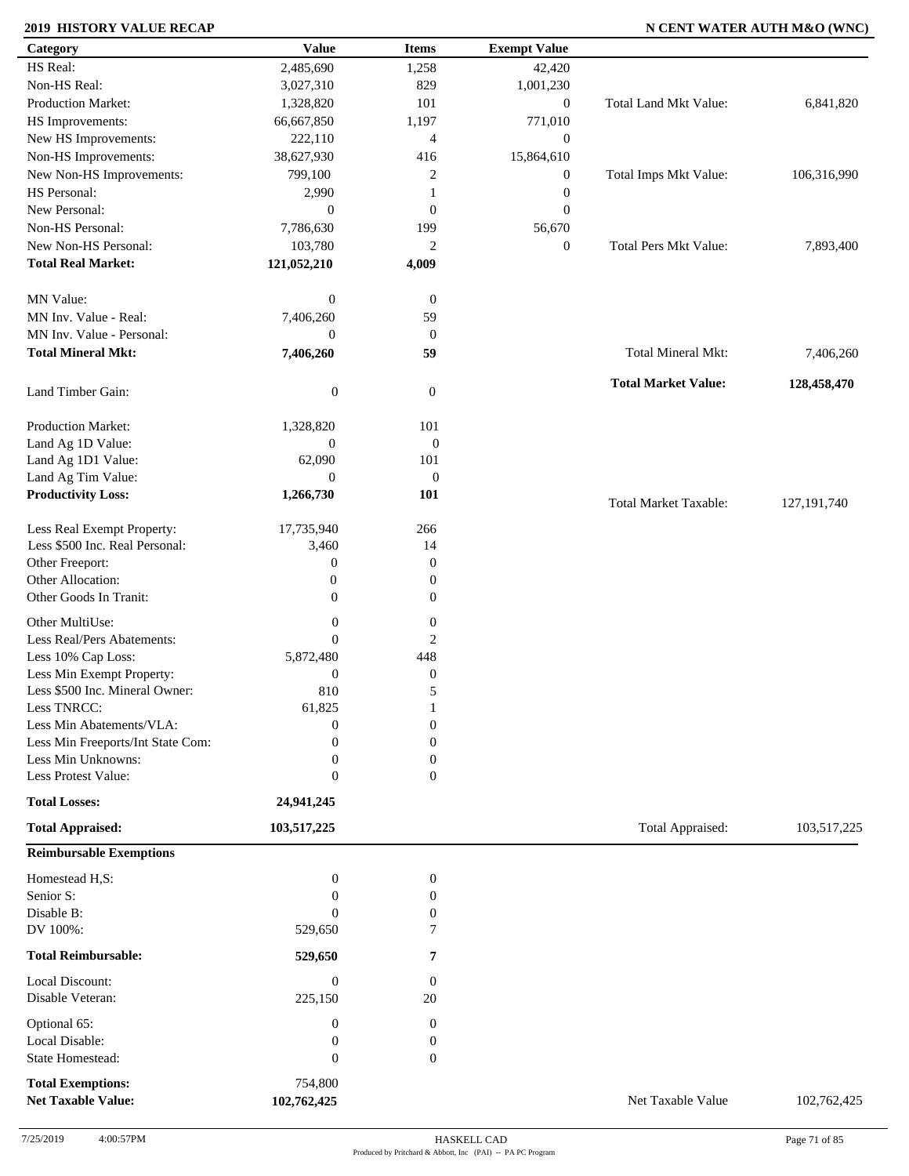### **2019 HISTORY VALUE RECAP N CENT WATER AUTH M&O (WNC)**

| Category                                              | <b>Value</b>           | <b>Items</b>     | <b>Exempt Value</b> |                              |               |
|-------------------------------------------------------|------------------------|------------------|---------------------|------------------------------|---------------|
| HS Real:                                              | 2,485,690              | 1,258            | 42,420              |                              |               |
| Non-HS Real:                                          | 3,027,310              | 829              | 1,001,230           |                              |               |
| Production Market:                                    | 1,328,820              | 101              | $\boldsymbol{0}$    | <b>Total Land Mkt Value:</b> | 6,841,820     |
| HS Improvements:                                      | 66,667,850             | 1,197            | 771,010             |                              |               |
| New HS Improvements:                                  | 222,110                | $\overline{4}$   | $\boldsymbol{0}$    |                              |               |
| Non-HS Improvements:                                  | 38,627,930             | 416              | 15,864,610          |                              |               |
| New Non-HS Improvements:                              | 799,100                | 2                | $\boldsymbol{0}$    | Total Imps Mkt Value:        | 106,316,990   |
| HS Personal:                                          | 2,990                  | 1                | $\boldsymbol{0}$    |                              |               |
| New Personal:                                         | $\boldsymbol{0}$       | $\boldsymbol{0}$ | $\mathbf{0}$        |                              |               |
| Non-HS Personal:                                      | 7,786,630              | 199              |                     |                              |               |
| New Non-HS Personal:                                  |                        |                  | 56,670              | <b>Total Pers Mkt Value:</b> |               |
|                                                       | 103,780                | $\overline{c}$   | $\boldsymbol{0}$    |                              | 7,893,400     |
| <b>Total Real Market:</b>                             | 121,052,210            | 4,009            |                     |                              |               |
| MN Value:                                             | $\boldsymbol{0}$       | $\boldsymbol{0}$ |                     |                              |               |
| MN Inv. Value - Real:                                 | 7,406,260              | 59               |                     |                              |               |
| MN Inv. Value - Personal:                             | $\boldsymbol{0}$       | $\boldsymbol{0}$ |                     |                              |               |
| <b>Total Mineral Mkt:</b>                             | 7,406,260              | 59               |                     | Total Mineral Mkt:           | 7,406,260     |
| Land Timber Gain:                                     | $\boldsymbol{0}$       | $\mathbf{0}$     |                     | <b>Total Market Value:</b>   | 128,458,470   |
| Production Market:                                    | 1,328,820              | 101              |                     |                              |               |
| Land Ag 1D Value:                                     | $\boldsymbol{0}$       | $\boldsymbol{0}$ |                     |                              |               |
| Land Ag 1D1 Value:                                    | 62,090                 | 101              |                     |                              |               |
| Land Ag Tim Value:                                    | $\overline{0}$         | $\boldsymbol{0}$ |                     |                              |               |
| <b>Productivity Loss:</b>                             | 1,266,730              | 101              |                     |                              |               |
|                                                       |                        |                  |                     | <b>Total Market Taxable:</b> | 127, 191, 740 |
| Less Real Exempt Property:                            | 17,735,940             | 266              |                     |                              |               |
| Less \$500 Inc. Real Personal:                        | 3,460                  | 14               |                     |                              |               |
| Other Freeport:                                       | $\boldsymbol{0}$       | $\boldsymbol{0}$ |                     |                              |               |
| Other Allocation:                                     | $\boldsymbol{0}$       | $\mathbf{0}$     |                     |                              |               |
| Other Goods In Tranit:                                | $\boldsymbol{0}$       | $\mathbf{0}$     |                     |                              |               |
| Other MultiUse:                                       | $\boldsymbol{0}$       | $\boldsymbol{0}$ |                     |                              |               |
| Less Real/Pers Abatements:                            | $\overline{0}$         | 2                |                     |                              |               |
|                                                       |                        |                  |                     |                              |               |
| Less 10% Cap Loss:                                    | 5,872,480              | 448              |                     |                              |               |
| Less Min Exempt Property:                             | $\boldsymbol{0}$       | $\boldsymbol{0}$ |                     |                              |               |
| Less \$500 Inc. Mineral Owner:                        | 810                    | 5                |                     |                              |               |
| Less TNRCC:                                           | 61,825                 | 1                |                     |                              |               |
| Less Min Abatements/VLA:                              | $\mathbf{0}$           | $\boldsymbol{0}$ |                     |                              |               |
| Less Min Freeports/Int State Com:                     | 0                      | $\overline{0}$   |                     |                              |               |
| Less Min Unknowns:                                    | 0                      | $\boldsymbol{0}$ |                     |                              |               |
| Less Protest Value:                                   | $\overline{0}$         | $\overline{0}$   |                     |                              |               |
| <b>Total Losses:</b>                                  | 24,941,245             |                  |                     |                              |               |
| <b>Total Appraised:</b>                               | 103,517,225            |                  |                     | Total Appraised:             | 103,517,225   |
| <b>Reimbursable Exemptions</b>                        |                        |                  |                     |                              |               |
| Homestead H,S:                                        | $\boldsymbol{0}$       | $\boldsymbol{0}$ |                     |                              |               |
| Senior S:                                             | $\overline{0}$         | 0                |                     |                              |               |
| Disable B:                                            | $\Omega$               | $\boldsymbol{0}$ |                     |                              |               |
| DV 100%:                                              | 529,650                | 7                |                     |                              |               |
| <b>Total Reimbursable:</b>                            | 529,650                | 7                |                     |                              |               |
| Local Discount:                                       | $\boldsymbol{0}$       | $\boldsymbol{0}$ |                     |                              |               |
| Disable Veteran:                                      | 225,150                | 20               |                     |                              |               |
| Optional 65:                                          | $\boldsymbol{0}$       | $\boldsymbol{0}$ |                     |                              |               |
| Local Disable:                                        | 0                      | $\boldsymbol{0}$ |                     |                              |               |
| <b>State Homestead:</b>                               | $\overline{0}$         | $\mathbf{0}$     |                     |                              |               |
|                                                       |                        |                  |                     |                              |               |
| <b>Total Exemptions:</b><br><b>Net Taxable Value:</b> | 754,800<br>102,762,425 |                  |                     | Net Taxable Value            | 102,762,425   |
|                                                       |                        |                  |                     |                              |               |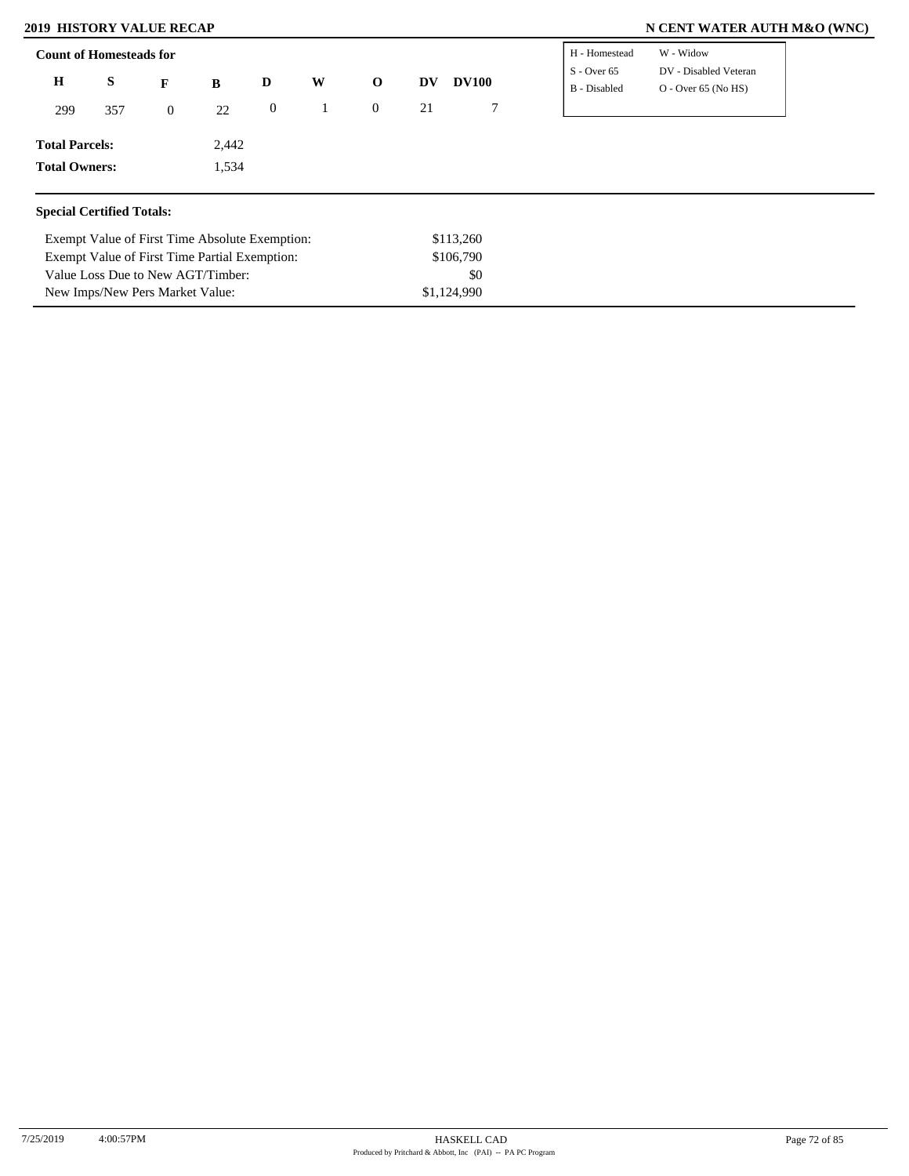Value Loss Due to New AGT/Timber: New Imps/New Pers Market Value:

### **2019 HISTORY VALUE RECAP N CENT WATER AUTH M&O (WNC)**

| <b>Count of Homesteads for</b>   |                                                |                  |       |              |   |                  |    |              | H - Homestead                 | W - Widow                                      |
|----------------------------------|------------------------------------------------|------------------|-------|--------------|---|------------------|----|--------------|-------------------------------|------------------------------------------------|
| $\mathbf H$                      | S                                              | $\mathbf{F}$     | B     | D            | W | $\mathbf{o}$     | DV | <b>DV100</b> | $S - Over 65$<br>B - Disabled | DV - Disabled Veteran<br>$O -$ Over 65 (No HS) |
| 299                              | 357                                            | $\boldsymbol{0}$ | 22    | $\mathbf{0}$ |   | $\boldsymbol{0}$ | 21 | $\tau$       |                               |                                                |
| <b>Total Parcels:</b>            |                                                |                  | 2,442 |              |   |                  |    |              |                               |                                                |
| <b>Total Owners:</b>             |                                                |                  | 1,534 |              |   |                  |    |              |                               |                                                |
| <b>Special Certified Totals:</b> |                                                |                  |       |              |   |                  |    |              |                               |                                                |
|                                  | Exempt Value of First Time Absolute Exemption: |                  |       |              |   |                  |    | \$113,260    |                               |                                                |
|                                  | Exempt Value of First Time Partial Exemption:  |                  |       |              |   |                  |    | \$106,790    |                               |                                                |

\$0

\$1,124,990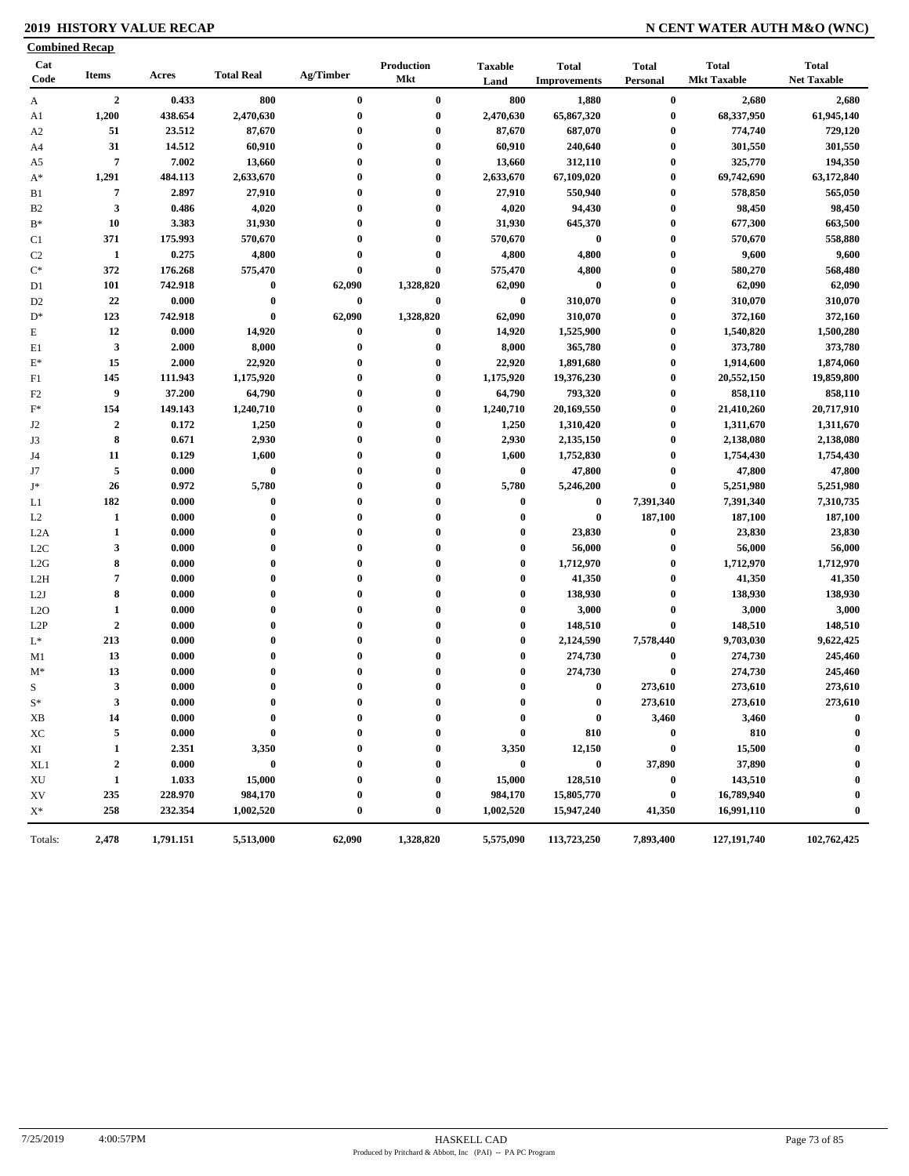# **2019 HISTORY VALUE RECAP N CENT WATER AUTH M&O (WNC)**

| <b>Combined Recap</b> |                  |           |                   |                    |                                 |                        |                                     |                              |                                    |                                    |
|-----------------------|------------------|-----------|-------------------|--------------------|---------------------------------|------------------------|-------------------------------------|------------------------------|------------------------------------|------------------------------------|
| Cat<br>Code           | <b>Items</b>     | Acres     | <b>Total Real</b> | Ag/Timber          | <b>Production</b><br><b>Mkt</b> | <b>Taxable</b><br>Land | <b>Total</b><br><b>Improvements</b> | <b>Total</b><br>Personal     | <b>Total</b><br><b>Mkt Taxable</b> | <b>Total</b><br><b>Net Taxable</b> |
| A                     | $\overline{2}$   | 0.433     | 800               | $\bf{0}$           | $\bf{0}$                        | 800                    | 1,880                               | $\bf{0}$                     | 2,680                              | 2,680                              |
| A1                    | 1,200            | 438.654   | 2,470,630         | $\bf{0}$           | $\bf{0}$                        | 2,470,630              | 65,867,320                          | $\bf{0}$                     | 68,337,950                         | 61,945,140                         |
| A <sub>2</sub>        | 51               | 23.512    | 87,670            | $\bf{0}$           | $\bf{0}$                        | 87,670                 | 687,070                             | $\boldsymbol{0}$             | 774,740                            | 729,120                            |
| A4                    | 31               | 14.512    | 60,910            | 0                  | $\bf{0}$                        | 60,910                 | 240,640                             | $\bf{0}$                     | 301,550                            | 301,550                            |
| A5                    | $\overline{7}$   | 7.002     | 13,660            | 0                  | $\bf{0}$                        | 13,660                 | 312,110                             | $\boldsymbol{0}$             | 325,770                            | 194,350                            |
| $A^*$                 | 1,291            | 484.113   | 2,633,670         | $\bf{0}$           | $\bf{0}$                        | 2,633,670              | 67,109,020                          | $\bf{0}$                     | 69,742,690                         | 63,172,840                         |
| B1                    | $\overline{7}$   | 2.897     | 27,910            | $\bf{0}$           | $\bf{0}$                        | 27,910                 | 550,940                             | $\boldsymbol{0}$             | 578,850                            | 565,050                            |
| B <sub>2</sub>        | $\mathbf{3}$     | 0.486     | 4,020             | $\bf{0}$           | $\bf{0}$                        | 4,020                  | 94,430                              | $\boldsymbol{0}$             | 98,450                             | 98,450                             |
| $B*$                  | 10               | 3.383     | 31,930            | $\bf{0}$           | $\bf{0}$                        | 31,930                 | 645,370                             | $\boldsymbol{0}$             | 677,300                            | 663,500                            |
| C1                    | 371              | 175.993   | 570,670           | $\bf{0}$           | $\bf{0}$                        | 570,670                | $\bf{0}$                            | $\boldsymbol{0}$             | 570,670                            | 558,880                            |
| C <sub>2</sub>        | 1                | 0.275     | 4,800             | $\bf{0}$           | $\bf{0}$                        | 4,800                  | 4,800                               | $\boldsymbol{0}$             | 9,600                              | 9,600                              |
| $\mathrm{C}^*$        | 372              | 176.268   | 575,470           | $\bf{0}$           | $\bf{0}$                        | 575,470                | 4,800                               | $\boldsymbol{0}$             | 580,270                            | 568,480                            |
| D1                    | 101              | 742.918   | $\bf{0}$          | 62,090             | 1,328,820                       | 62,090                 | $\bf{0}$                            | $\bf{0}$                     | 62,090                             | 62,090                             |
|                       | 22               | 0.000     | $\bf{0}$          | 0                  | $\bf{0}$                        | $\bf{0}$               | 310,070                             | $\boldsymbol{0}$             | 310,070                            | 310,070                            |
| D <sub>2</sub>        |                  |           | $\bf{0}$          |                    | 1,328,820                       | 62,090                 |                                     |                              |                                    |                                    |
| $D^*$                 | 123              | 742.918   | 14,920            | 62,090<br>$\bf{0}$ |                                 |                        | 310,070                             | $\boldsymbol{0}$<br>$\bf{0}$ | 372,160                            | 372,160                            |
| E                     | 12               | 0.000     |                   |                    | $\boldsymbol{0}$                | 14,920                 | 1,525,900                           |                              | 1,540,820                          | 1,500,280                          |
| E1                    | $\mathbf{3}$     | 2.000     | 8,000             | 0                  | $\bf{0}$                        | 8,000                  | 365,780                             | $\bf{0}$                     | 373,780                            | 373,780                            |
| $E^*$                 | 15               | 2.000     | 22,920            | 0                  | $\bf{0}$                        | 22,920                 | 1,891,680                           | $\bf{0}$                     | 1,914,600                          | 1,874,060                          |
| F1                    | 145              | 111.943   | 1,175,920         | $\bf{0}$           | $\bf{0}$                        | 1,175,920              | 19,376,230                          | $\bf{0}$                     | 20,552,150                         | 19,859,800                         |
| F <sub>2</sub>        | 9                | 37.200    | 64,790            | 0                  | $\bf{0}$                        | 64,790                 | 793,320                             | $\boldsymbol{0}$             | 858,110                            | 858,110                            |
| $\mathbf{F}^*$        | 154              | 149.143   | 1,240,710         | $\bf{0}$           | $\bf{0}$                        | 1,240,710              | 20,169,550                          | $\bf{0}$                     | 21,410,260                         | 20,717,910                         |
| J2                    | $\overline{2}$   | 0.172     | 1,250             | $\bf{0}$           | $\bf{0}$                        | 1,250                  | 1,310,420                           | $\bf{0}$                     | 1,311,670                          | 1,311,670                          |
| J3                    | 8                | 0.671     | 2,930             | $\bf{0}$           | $\bf{0}$                        | 2,930                  | 2,135,150                           | $\boldsymbol{0}$             | 2,138,080                          | 2,138,080                          |
| J4                    | 11               | 0.129     | 1,600             | $\bf{0}$           | $\bf{0}$                        | 1,600                  | 1,752,830                           | $\boldsymbol{0}$             | 1,754,430                          | 1,754,430                          |
| J7                    | $\overline{5}$   | 0.000     | $\bf{0}$          | $\bf{0}$           | $\bf{0}$                        | $\bf{0}$               | 47,800                              | $\boldsymbol{0}$             | 47,800                             | 47,800                             |
| $J^*$                 | 26               | 0.972     | 5,780             | $\bf{0}$           | $\bf{0}$                        | 5,780                  | 5,246,200                           | $\bf{0}$                     | 5,251,980                          | 5,251,980                          |
| L1                    | 182              | 0.000     | $\bf{0}$          | 0                  | $\bf{0}$                        | $\bf{0}$               | $\bf{0}$                            | 7,391,340                    | 7,391,340                          | 7,310,735                          |
| L2                    | 1                | 0.000     | $\bf{0}$          | $\bf{0}$           | $\bf{0}$                        | $\bf{0}$               | $\bf{0}$                            | 187,100                      | 187,100                            | 187,100                            |
| L2A                   | 1                | 0.000     | $\bf{0}$          | $\mathbf{0}$       | $\bf{0}$                        | $\bf{0}$               | 23,830                              | $\boldsymbol{0}$             | 23,830                             | 23,830                             |
| L <sub>2</sub> C      | 3                | 0.000     | $\bf{0}$          | $\mathbf{0}$       | $\bf{0}$                        | $\bf{0}$               | 56,000                              | $\boldsymbol{0}$             | 56,000                             | 56,000                             |
| L2G                   | 8                | 0.000     | $\bf{0}$          | $\bf{0}$           | $\bf{0}$                        | $\bf{0}$               | 1,712,970                           | $\boldsymbol{0}$             | 1,712,970                          | 1,712,970                          |
| L2H                   | $\overline{7}$   | 0.000     | $\bf{0}$          | $\bf{0}$           | $\bf{0}$                        | $\bf{0}$               | 41,350                              | $\bf{0}$                     | 41,350                             | 41,350                             |
| L2J                   | 8                | 0.000     | $\bf{0}$          | $\bf{0}$           | $\bf{0}$                        | $\bf{0}$               | 138,930                             | $\bf{0}$                     | 138,930                            | 138,930                            |
| L2O                   | $\mathbf{1}$     | 0.000     | $\bf{0}$          | $\bf{0}$           | $\bf{0}$                        | $\bf{0}$               | 3,000                               | $\bf{0}$                     | 3,000                              | 3,000                              |
| L <sub>2</sub> P      | $\boldsymbol{2}$ | 0.000     | $\bf{0}$          | $\bf{0}$           | $\bf{0}$                        | $\bf{0}$               | 148,510                             | $\bf{0}$                     | 148,510                            | 148,510                            |
| $\mathbf{L}^*$        | 213              | 0.000     | $\bf{0}$          | $\mathbf{0}$       | $\bf{0}$                        | $\bf{0}$               | 2,124,590                           | 7,578,440                    | 9,703,030                          | 9,622,425                          |
| M1                    | 13               | 0.000     | $\bf{0}$          | 0                  | $\bf{0}$                        | $\bf{0}$               | 274,730                             | $\bf{0}$                     | 274,730                            | 245,460                            |
| $M^*$                 | 13               | 0.000     | $\bf{0}$          | $\bf{0}$           | $\bf{0}$                        | $\bf{0}$               | 274,730                             | $\boldsymbol{0}$             | 274,730                            | 245,460                            |
| S                     | $\mathbf{3}$     | 0.000     | $\bf{0}$          | $\bf{0}$           | $\bf{0}$                        | $\bf{0}$               | $\bf{0}$                            | 273,610                      | 273,610                            | 273,610                            |
| $S^*$                 | 3                | 0.000     | $\mathbf{0}$      |                    | $\theta$                        | $\mathbf{0}$           | $\bf{0}$                            | 273,610                      | 273,610                            | 273,610                            |
| XВ                    | 14               | 0.000     | $\bf{0}$          | 0                  | 0                               | 0                      | $\bf{0}$                            | 3,460                        | 3,460                              | $\bf{0}$                           |
| XC                    | 5                | 0.000     | $\bf{0}$          | 0                  | $\bf{0}$                        | $\bf{0}$               | 810                                 | $\bf{0}$                     | 810                                | $\bf{0}$                           |
| XI                    | 1                | 2.351     | 3,350             |                    | 0                               | 3,350                  | 12,150                              | $\bf{0}$                     | 15,500                             |                                    |
| XL1                   | $\mathbf{2}$     | 0.000     | $\bf{0}$          |                    | $\bf{0}$                        | $\bf{0}$               | $\bf{0}$                            | 37,890                       | 37,890                             | 0                                  |
| XU                    | 1                | 1.033     | 15,000            |                    | $\bf{0}$                        | 15,000                 | 128,510                             | $\bf{0}$                     | 143,510                            | 0                                  |
| XV                    | 235              | 228.970   | 984,170           |                    | 0                               | 984,170                | 15,805,770                          | $\bf{0}$                     | 16,789,940                         |                                    |
| $X^*$                 | 258              | 232.354   | 1,002,520         | 0                  | $\bf{0}$                        | 1,002,520              | 15,947,240                          | 41,350                       | 16,991,110                         | $\boldsymbol{0}$                   |
|                       |                  |           |                   |                    |                                 |                        |                                     |                              |                                    |                                    |
| Totals:               | 2,478            | 1,791.151 | 5,513,000         | 62,090             | 1,328,820                       | 5,575,090              | 113,723,250                         | 7,893,400                    | 127, 191, 740                      | 102,762,425                        |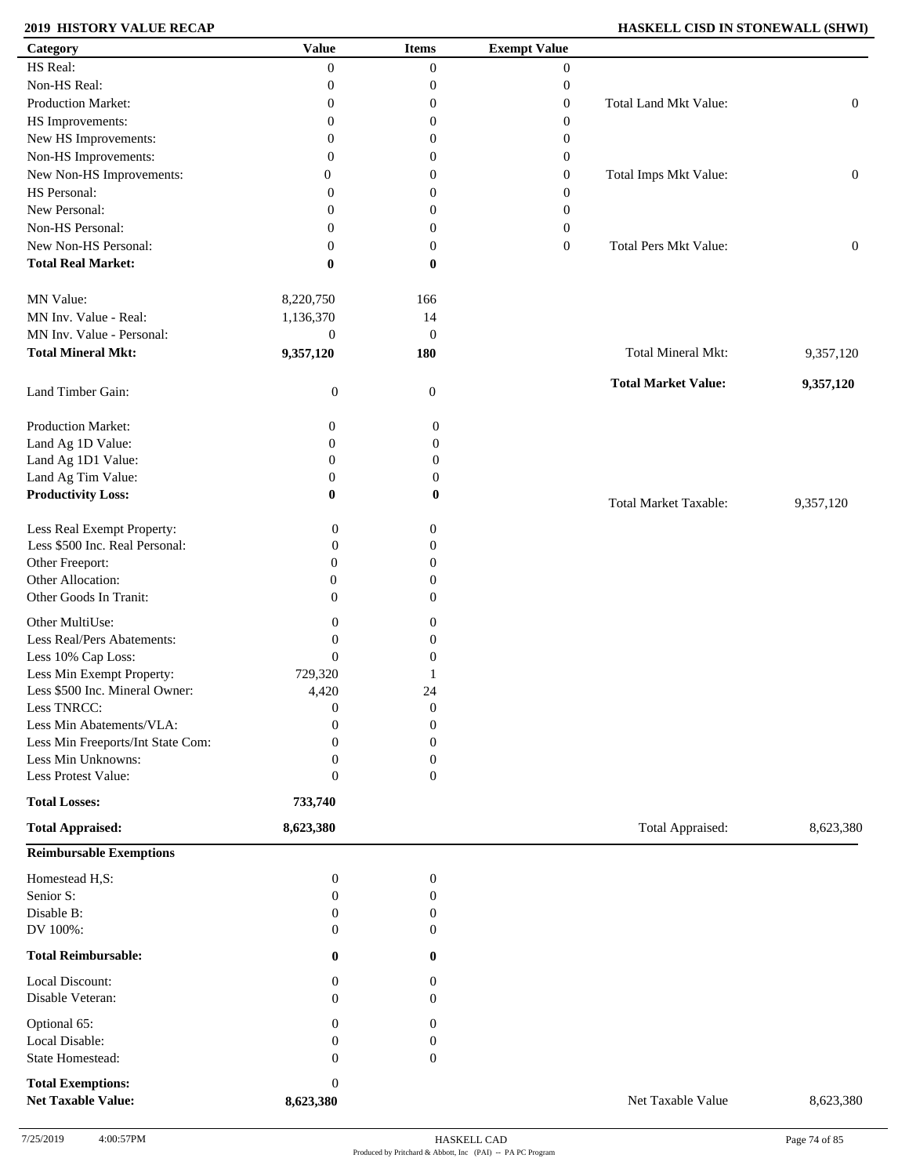# **2019 HISTORY VALUE RECAP HASKELL CISD IN STONEWALL (SHWI)**

| Category                                              | <b>Value</b>              | <b>Items</b>        | <b>Exempt Value</b> |                              |                  |
|-------------------------------------------------------|---------------------------|---------------------|---------------------|------------------------------|------------------|
| HS Real:                                              | $\overline{0}$            | $\overline{0}$      | $\boldsymbol{0}$    |                              |                  |
| Non-HS Real:                                          | $\boldsymbol{0}$          | $\boldsymbol{0}$    | $\boldsymbol{0}$    |                              |                  |
| Production Market:                                    | $\boldsymbol{0}$          | $\boldsymbol{0}$    | $\boldsymbol{0}$    | Total Land Mkt Value:        | $\boldsymbol{0}$ |
| HS Improvements:                                      | $\boldsymbol{0}$          | $\boldsymbol{0}$    | $\boldsymbol{0}$    |                              |                  |
| New HS Improvements:                                  | $\boldsymbol{0}$          | $\boldsymbol{0}$    | $\boldsymbol{0}$    |                              |                  |
| Non-HS Improvements:                                  | $\overline{0}$            | $\boldsymbol{0}$    | $\boldsymbol{0}$    |                              |                  |
| New Non-HS Improvements:                              | $\overline{0}$            | $\boldsymbol{0}$    |                     | Total Imps Mkt Value:        |                  |
| HS Personal:                                          |                           |                     | $\boldsymbol{0}$    |                              | $\boldsymbol{0}$ |
|                                                       | $\overline{0}$            | 0                   | $\boldsymbol{0}$    |                              |                  |
| New Personal:                                         | $\overline{0}$            | $\boldsymbol{0}$    | $\boldsymbol{0}$    |                              |                  |
| Non-HS Personal:                                      | $\mathbf{0}$              | $\boldsymbol{0}$    | $\boldsymbol{0}$    |                              |                  |
| New Non-HS Personal:                                  | $\mathbf{0}$              | $\boldsymbol{0}$    | $\boldsymbol{0}$    | <b>Total Pers Mkt Value:</b> | $\boldsymbol{0}$ |
| <b>Total Real Market:</b>                             | $\bf{0}$                  | 0                   |                     |                              |                  |
| MN Value:                                             | 8,220,750                 | 166                 |                     |                              |                  |
| MN Inv. Value - Real:                                 | 1,136,370                 | 14                  |                     |                              |                  |
| MN Inv. Value - Personal:                             | $\boldsymbol{0}$          | $\mathbf{0}$        |                     |                              |                  |
| <b>Total Mineral Mkt:</b>                             | 9,357,120                 | 180                 |                     | Total Mineral Mkt:           | 9,357,120        |
| Land Timber Gain:                                     | $\boldsymbol{0}$          | $\boldsymbol{0}$    |                     | <b>Total Market Value:</b>   | 9,357,120        |
| Production Market:                                    | 0                         | $\boldsymbol{0}$    |                     |                              |                  |
| Land Ag 1D Value:                                     | $\mathbf{0}$              | $\boldsymbol{0}$    |                     |                              |                  |
| Land Ag 1D1 Value:                                    | $\boldsymbol{0}$          | $\boldsymbol{0}$    |                     |                              |                  |
| Land Ag Tim Value:                                    | $\boldsymbol{0}$          | $\boldsymbol{0}$    |                     |                              |                  |
| <b>Productivity Loss:</b>                             | $\bf{0}$                  | $\bf{0}$            |                     | <b>Total Market Taxable:</b> | 9,357,120        |
| Less Real Exempt Property:                            | $\mathbf{0}$              | 0                   |                     |                              |                  |
| Less \$500 Inc. Real Personal:                        | $\theta$                  | $\boldsymbol{0}$    |                     |                              |                  |
| Other Freeport:                                       | $\theta$                  | $\boldsymbol{0}$    |                     |                              |                  |
| Other Allocation:                                     | $\overline{0}$            | $\boldsymbol{0}$    |                     |                              |                  |
| Other Goods In Tranit:                                | $\Omega$                  | $\Omega$            |                     |                              |                  |
| Other MultiUse:                                       | $\mathbf{0}$              | 0                   |                     |                              |                  |
| Less Real/Pers Abatements:                            | $\mathbf{0}$              | 0                   |                     |                              |                  |
| Less 10% Cap Loss:                                    | $\mathbf{0}$              | 0                   |                     |                              |                  |
| Less Min Exempt Property:                             | 729,320                   |                     |                     |                              |                  |
| Less \$500 Inc. Mineral Owner:                        | 4,420                     | 24                  |                     |                              |                  |
| Less TNRCC:                                           | $\boldsymbol{0}$          | $\boldsymbol{0}$    |                     |                              |                  |
| Less Min Abatements/VLA:                              | $\mathbf{0}$              | $\boldsymbol{0}$    |                     |                              |                  |
| Less Min Freeports/Int State Com:                     | $\Omega$                  | $\boldsymbol{0}$    |                     |                              |                  |
| Less Min Unknowns:                                    | $\mathbf{0}$              | 0                   |                     |                              |                  |
| Less Protest Value:                                   | $\mathbf{0}$              | $\boldsymbol{0}$    |                     |                              |                  |
| <b>Total Losses:</b>                                  | 733,740                   |                     |                     |                              |                  |
| <b>Total Appraised:</b>                               | 8,623,380                 |                     |                     | Total Appraised:             | 8,623,380        |
| <b>Reimbursable Exemptions</b>                        |                           |                     |                     |                              |                  |
| Homestead H,S:                                        | $\boldsymbol{0}$          | $\boldsymbol{0}$    |                     |                              |                  |
| Senior S:                                             | $\boldsymbol{0}$          | 0                   |                     |                              |                  |
| Disable B:                                            | $\mathbf{0}$              | 0                   |                     |                              |                  |
| DV 100%:                                              | $\theta$                  | 0                   |                     |                              |                  |
| <b>Total Reimbursable:</b>                            | $\bf{0}$                  | $\bf{0}$            |                     |                              |                  |
|                                                       |                           |                     |                     |                              |                  |
| Local Discount:<br>Disable Veteran:                   | $\theta$<br>$\theta$      | 0<br>$\overline{0}$ |                     |                              |                  |
| Optional 65:                                          | $\mathbf{0}$              | 0                   |                     |                              |                  |
| Local Disable:                                        | $\mathbf{0}$              | 0                   |                     |                              |                  |
| State Homestead:                                      | $\theta$                  | $\mathbf{0}$        |                     |                              |                  |
|                                                       |                           |                     |                     |                              |                  |
| <b>Total Exemptions:</b><br><b>Net Taxable Value:</b> | $\mathbf{0}$<br>8,623,380 |                     |                     | Net Taxable Value            | 8,623,380        |
|                                                       |                           |                     |                     |                              |                  |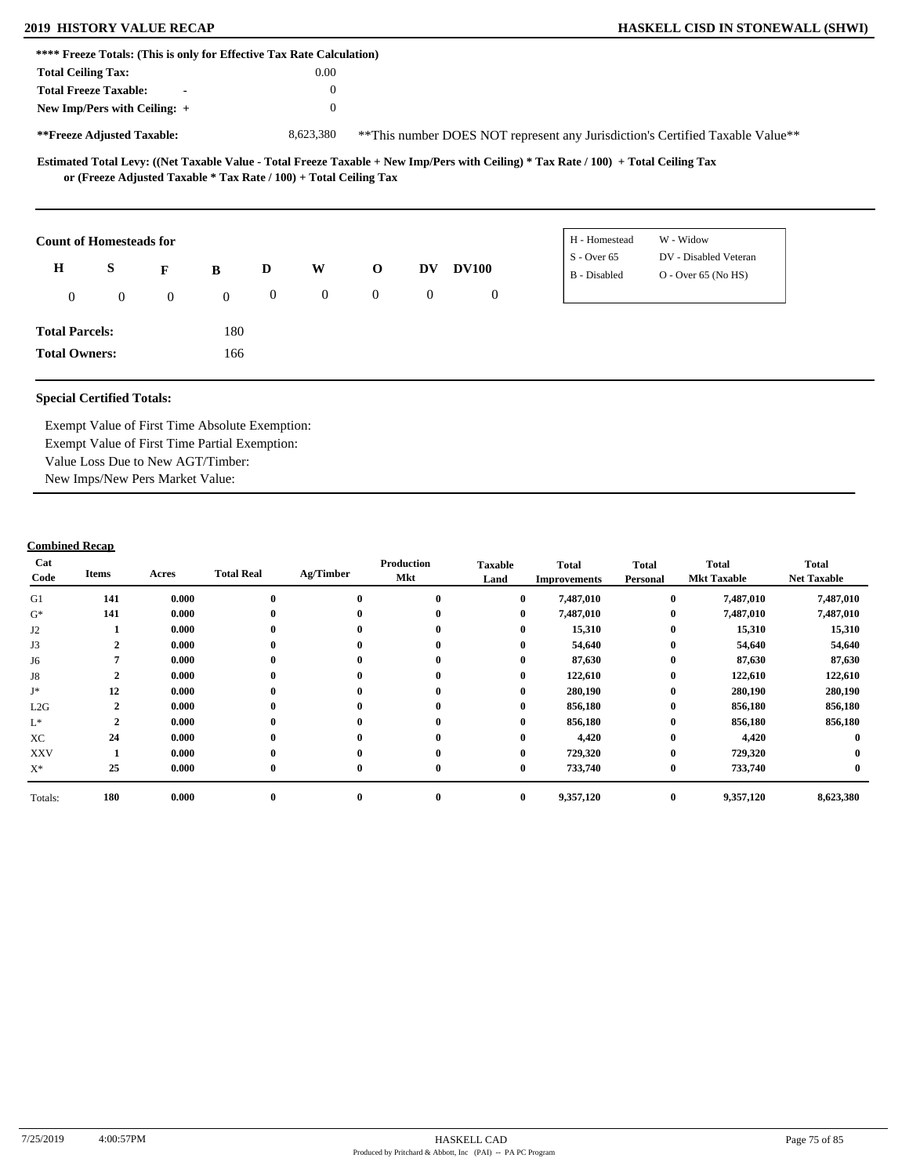| **** Freeze Totals: (This is only for Effective Tax Rate Calculation) |              |                |              |                  |                |                                                                   |                |              |                                                                                                                                     |
|-----------------------------------------------------------------------|--------------|----------------|--------------|------------------|----------------|-------------------------------------------------------------------|----------------|--------------|-------------------------------------------------------------------------------------------------------------------------------------|
| <b>Total Ceiling Tax:</b>                                             |              |                |              |                  | $0.00\,$       |                                                                   |                |              |                                                                                                                                     |
| <b>Total Freeze Taxable:</b>                                          |              | $\blacksquare$ |              |                  | $\theta$       |                                                                   |                |              |                                                                                                                                     |
| New Imp/Pers with Ceiling: $+$                                        |              |                |              |                  | $\mathbf{0}$   |                                                                   |                |              |                                                                                                                                     |
| **Freeze Adjusted Taxable:                                            |              |                |              |                  | 8,623,380      |                                                                   |                |              | **This number DOES NOT represent any Jurisdiction's Certified Taxable Value**                                                       |
|                                                                       |              |                |              |                  |                | or (Freeze Adjusted Taxable * Tax Rate / 100) + Total Ceiling Tax |                |              | Estimated Total Levy: ((Net Taxable Value - Total Freeze Taxable + New Imp/Pers with Ceiling) * Tax Rate / 100) + Total Ceiling Tax |
| <b>Count of Homesteads for</b>                                        |              |                |              |                  |                |                                                                   |                |              | W - Widow<br>H - Homestead                                                                                                          |
| H                                                                     | S            | F              | B            | D                | W              | $\mathbf 0$                                                       | <b>DV</b>      | <b>DV100</b> | $S -$ Over 65<br>DV - Disabled Veteran<br>B - Disabled<br>$O - Over 65 (No HS)$                                                     |
| $\mathbf{0}$                                                          | $\mathbf{0}$ | $\overline{0}$ | $\mathbf{0}$ | $\boldsymbol{0}$ | $\overline{0}$ | $\overline{0}$                                                    | $\overline{0}$ | $\mathbf{0}$ |                                                                                                                                     |
| <b>Total Parcels:</b>                                                 |              |                | 180          |                  |                |                                                                   |                |              |                                                                                                                                     |

**Total Owners:**

Exempt Value of First Time Absolute Exemption: Exempt Value of First Time Partial Exemption: Value Loss Due to New AGT/Timber: New Imps/New Pers Market Value:

166

| Cat<br>Code     | Items         | Acres | <b>Total Real</b> | Ag/Timber | Production<br>Mkt | <b>Taxable</b><br>Land | <b>Total</b><br><b>Improvements</b> | <b>Total</b><br>Personal | <b>Total</b><br><b>Mkt Taxable</b> | <b>Total</b><br><b>Net Taxable</b> |
|-----------------|---------------|-------|-------------------|-----------|-------------------|------------------------|-------------------------------------|--------------------------|------------------------------------|------------------------------------|
| G1              | 141           | 0.000 | $\bf{0}$          | $\bf{0}$  | $\mathbf{0}$      | $\bf{0}$               | 7,487,010                           | $\bf{0}$                 | 7,487,010                          | 7,487,010                          |
| $G^*$           | 141           | 0.000 | $\bf{0}$          | $\bf{0}$  | $\bf{0}$          | $\bf{0}$               | 7,487,010                           | $\bf{0}$                 | 7,487,010                          | 7,487,010                          |
| J2              |               | 0.000 | $\bf{0}$          | $\bf{0}$  |                   | $\bf{0}$               | 15,310                              | $\bf{0}$                 | 15,310                             | 15,310                             |
| J3              |               | 0.000 | $\bf{0}$          | $\bf{0}$  | $\bf{0}$          | $\bf{0}$               | 54,640                              | $\bf{0}$                 | 54,640                             | 54,640                             |
| J6              |               | 0.000 |                   | $\bf{0}$  |                   | $\bf{0}$               | 87,630                              | $\bf{0}$                 | 87,630                             | 87,630                             |
| J8              | $\rightarrow$ | 0.000 | 0                 | $\bf{0}$  |                   | $\bf{0}$               | 122,610                             | $\bf{0}$                 | 122,610                            | 122,610                            |
| J*              | 12            | 0.000 | $\bf{0}$          | $\bf{0}$  | $\bf{0}$          | $\bf{0}$               | 280,190                             | $\bf{0}$                 | 280,190                            | 280,190                            |
| L2G             |               | 0.000 | 0                 | $\bf{0}$  | $\mathbf{0}$      | $\mathbf{0}$           | 856,180                             | $\bf{0}$                 | 856,180                            | 856,180                            |
| $\mathcal{L}^*$ | ◠             | 0.000 |                   | $\bf{0}$  |                   | $\mathbf{0}$           | 856,180                             | $\bf{0}$                 | 856,180                            | 856,180                            |
| XC              | 24            | 0.000 | 0                 | $\bf{0}$  | $\bf{0}$          | $\bf{0}$               | 4,420                               | $\bf{0}$                 | 4,420                              |                                    |
| <b>XXV</b>      |               | 0.000 | $\bf{0}$          | $\bf{0}$  | $\mathbf{0}$      | $\bf{0}$               | 729,320                             | $\bf{0}$                 | 729,320                            |                                    |
| $X^*$           | 25            | 0.000 | $\bf{0}$          | $\bf{0}$  | $\mathbf{0}$      | $\bf{0}$               | 733,740                             | $\bf{0}$                 | 733,740                            |                                    |
| Totals:         | 180           | 0.000 | $\bf{0}$          | $\bf{0}$  | $\bf{0}$          | $\bf{0}$               | 9,357,120                           | $\bf{0}$                 | 9,357,120                          | 8,623,380                          |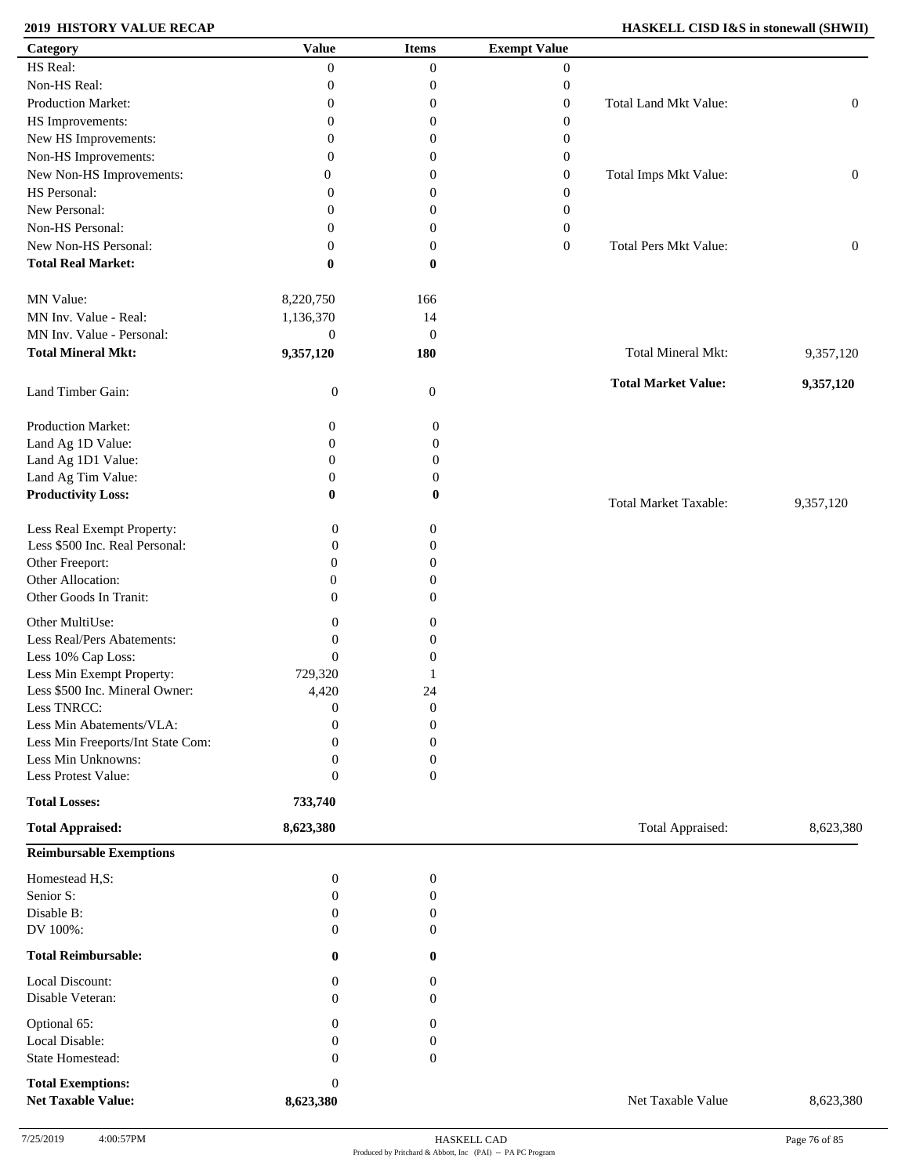### **2019 HISTORY VALUE RECAP**

| <b>HASKELL CISD I&amp;S in stonewall (SHWII)</b> |  |  |  |  |
|--------------------------------------------------|--|--|--|--|
|--------------------------------------------------|--|--|--|--|

| Category                                  | <b>Value</b>                         | <b>Items</b>                         | <b>Exempt Value</b> |                              |                  |
|-------------------------------------------|--------------------------------------|--------------------------------------|---------------------|------------------------------|------------------|
| HS Real:                                  | $\mathbf{0}$                         | $\boldsymbol{0}$                     | $\mathbf{0}$        |                              |                  |
| Non-HS Real:                              | $\boldsymbol{0}$                     | $\boldsymbol{0}$                     | $\boldsymbol{0}$    |                              |                  |
| Production Market:                        | $\mathbf{0}$                         | $\boldsymbol{0}$                     | $\overline{0}$      | Total Land Mkt Value:        | $\boldsymbol{0}$ |
| HS Improvements:                          | $\mathbf{0}$                         | $\boldsymbol{0}$                     | $\mathbf{0}$        |                              |                  |
| New HS Improvements:                      | $\mathbf{0}$                         | $\theta$                             | 0                   |                              |                  |
| Non-HS Improvements:                      | $\mathbf{0}$                         | $\mathbf{0}$                         | $\overline{0}$      |                              |                  |
| New Non-HS Improvements:                  | 0                                    | $\mathbf{0}$                         | $\overline{0}$      | Total Imps Mkt Value:        | $\boldsymbol{0}$ |
| HS Personal:                              | $\Omega$                             | $\mathbf{0}$                         | $\overline{0}$      |                              |                  |
| New Personal:                             | $\Omega$                             | $\overline{0}$                       | $\overline{0}$      |                              |                  |
| Non-HS Personal:                          | $\Omega$                             | $\boldsymbol{0}$                     | $\overline{0}$      |                              |                  |
| New Non-HS Personal:                      | $\theta$                             | $\boldsymbol{0}$                     | $\overline{0}$      | Total Pers Mkt Value:        | $\boldsymbol{0}$ |
| <b>Total Real Market:</b>                 | $\bf{0}$                             | $\bf{0}$                             |                     |                              |                  |
|                                           |                                      |                                      |                     |                              |                  |
| MN Value:                                 | 8,220,750                            | 166                                  |                     |                              |                  |
| MN Inv. Value - Real:                     | 1,136,370                            | 14                                   |                     |                              |                  |
| MN Inv. Value - Personal:                 | $\boldsymbol{0}$                     | $\boldsymbol{0}$                     |                     |                              |                  |
| <b>Total Mineral Mkt:</b>                 | 9,357,120                            | 180                                  |                     | Total Mineral Mkt:           | 9,357,120        |
|                                           |                                      |                                      |                     |                              |                  |
| Land Timber Gain:                         | $\boldsymbol{0}$                     | $\boldsymbol{0}$                     |                     | <b>Total Market Value:</b>   | 9,357,120        |
| Production Market:                        | $\boldsymbol{0}$                     | $\boldsymbol{0}$                     |                     |                              |                  |
| Land Ag 1D Value:                         | $\boldsymbol{0}$                     | $\boldsymbol{0}$                     |                     |                              |                  |
| Land Ag 1D1 Value:                        | $\mathbf{0}$                         | $\boldsymbol{0}$                     |                     |                              |                  |
| Land Ag Tim Value:                        | $\boldsymbol{0}$                     | $\boldsymbol{0}$                     |                     |                              |                  |
| <b>Productivity Loss:</b>                 | $\bf{0}$                             | $\bf{0}$                             |                     |                              |                  |
|                                           |                                      |                                      |                     | <b>Total Market Taxable:</b> | 9,357,120        |
| Less Real Exempt Property:                | $\boldsymbol{0}$                     | $\boldsymbol{0}$                     |                     |                              |                  |
| Less \$500 Inc. Real Personal:            | $\boldsymbol{0}$                     | $\boldsymbol{0}$                     |                     |                              |                  |
| Other Freeport:                           | $\boldsymbol{0}$                     | $\boldsymbol{0}$                     |                     |                              |                  |
| Other Allocation:                         | $\boldsymbol{0}$                     | $\boldsymbol{0}$                     |                     |                              |                  |
| Other Goods In Tranit:                    | $\overline{0}$                       | $\boldsymbol{0}$                     |                     |                              |                  |
| Other MultiUse:                           | $\boldsymbol{0}$                     | $\boldsymbol{0}$                     |                     |                              |                  |
| Less Real/Pers Abatements:                | $\boldsymbol{0}$                     | $\boldsymbol{0}$                     |                     |                              |                  |
| Less 10% Cap Loss:                        | $\boldsymbol{0}$                     | $\boldsymbol{0}$                     |                     |                              |                  |
| Less Min Exempt Property:                 | 729,320                              | 1                                    |                     |                              |                  |
| Less \$500 Inc. Mineral Owner:            |                                      | 24                                   |                     |                              |                  |
|                                           | 4,420                                |                                      |                     |                              |                  |
| Less TNRCC:<br>Less Min Abatements/VLA:   | $\boldsymbol{0}$<br>$\boldsymbol{0}$ | $\boldsymbol{0}$<br>$\boldsymbol{0}$ |                     |                              |                  |
| Less Min Freeports/Int State Com:         |                                      |                                      |                     |                              |                  |
|                                           | 0                                    | $\boldsymbol{0}$                     |                     |                              |                  |
| Less Min Unknowns:<br>Less Protest Value: | $\boldsymbol{0}$                     | $\boldsymbol{0}$                     |                     |                              |                  |
|                                           | $\boldsymbol{0}$                     | $\boldsymbol{0}$                     |                     |                              |                  |
| <b>Total Losses:</b>                      | 733,740                              |                                      |                     |                              |                  |
| <b>Total Appraised:</b>                   | 8,623,380                            |                                      |                     | Total Appraised:             | 8,623,380        |
| <b>Reimbursable Exemptions</b>            |                                      |                                      |                     |                              |                  |
| Homestead H,S:                            | $\boldsymbol{0}$                     | $\boldsymbol{0}$                     |                     |                              |                  |
| Senior S:                                 | $\boldsymbol{0}$                     | $\boldsymbol{0}$                     |                     |                              |                  |
| Disable B:                                | $\mathbf{0}$                         | $\boldsymbol{0}$                     |                     |                              |                  |
| DV 100%:                                  | $\mathbf{0}$                         | $\theta$                             |                     |                              |                  |
| <b>Total Reimbursable:</b>                | $\bf{0}$                             | $\bf{0}$                             |                     |                              |                  |
| Local Discount:                           | $\boldsymbol{0}$                     | $\boldsymbol{0}$                     |                     |                              |                  |
| Disable Veteran:                          | $\mathbf{0}$                         | $\boldsymbol{0}$                     |                     |                              |                  |
| Optional 65:                              | $\boldsymbol{0}$                     | $\boldsymbol{0}$                     |                     |                              |                  |
| Local Disable:                            | $\boldsymbol{0}$                     | $\boldsymbol{0}$                     |                     |                              |                  |
| State Homestead:                          | $\mathbf{0}$                         | $\boldsymbol{0}$                     |                     |                              |                  |
| <b>Total Exemptions:</b>                  | $\boldsymbol{0}$                     |                                      |                     |                              |                  |
| <b>Net Taxable Value:</b>                 | 8,623,380                            |                                      |                     | Net Taxable Value            | 8,623,380        |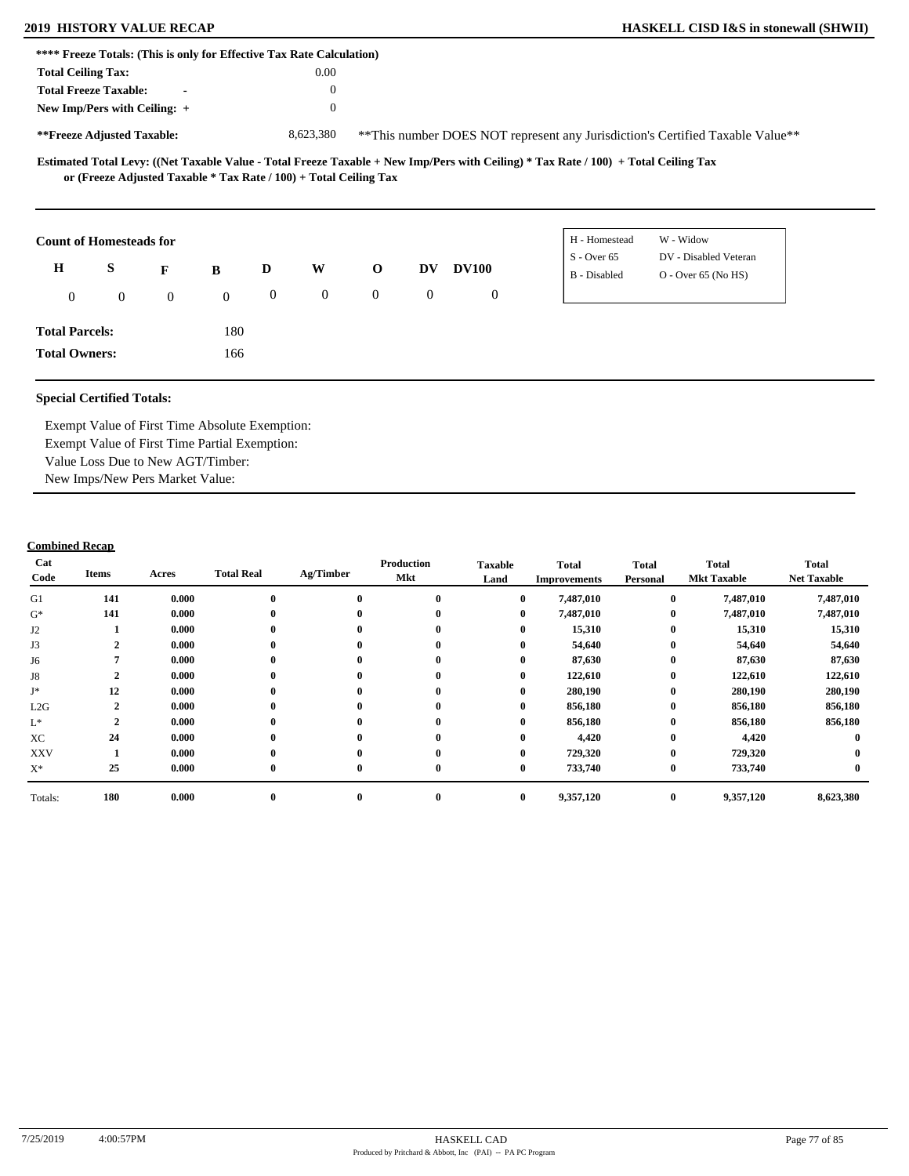| **** Freeze Totals: (This is only for Effective Tax Rate Calculation) |              |                |              |                  |                |                                                                   |                  |              |                                                                                                                                     |
|-----------------------------------------------------------------------|--------------|----------------|--------------|------------------|----------------|-------------------------------------------------------------------|------------------|--------------|-------------------------------------------------------------------------------------------------------------------------------------|
| <b>Total Ceiling Tax:</b>                                             |              |                |              |                  | 0.00           |                                                                   |                  |              |                                                                                                                                     |
| <b>Total Freeze Taxable:</b>                                          |              | $\blacksquare$ |              |                  | $\theta$       |                                                                   |                  |              |                                                                                                                                     |
| New Imp/Pers with Ceiling: +                                          |              |                |              |                  | $\theta$       |                                                                   |                  |              |                                                                                                                                     |
| **Freeze Adjusted Taxable:                                            |              |                |              |                  | 8,623,380      |                                                                   |                  |              | **This number DOES NOT represent any Jurisdiction's Certified Taxable Value**                                                       |
|                                                                       |              |                |              |                  |                | or (Freeze Adjusted Taxable * Tax Rate / 100) + Total Ceiling Tax |                  |              | Estimated Total Levy: ((Net Taxable Value - Total Freeze Taxable + New Imp/Pers with Ceiling) * Tax Rate / 100) + Total Ceiling Tax |
| <b>Count of Homesteads for</b>                                        |              |                |              |                  |                |                                                                   |                  |              | W - Widow<br>H - Homestead                                                                                                          |
| H                                                                     | S            | F              | B            | D                | W              | $\mathbf 0$                                                       | DV.              | <b>DV100</b> | $S -$ Over 65<br>DV - Disabled Veteran                                                                                              |
|                                                                       |              |                |              |                  |                |                                                                   |                  |              | B - Disabled<br>$O - Over 65 (No HS)$                                                                                               |
| $\mathbf{0}$                                                          | $\mathbf{0}$ | $\overline{0}$ | $\mathbf{0}$ | $\boldsymbol{0}$ | $\overline{0}$ | $\overline{0}$                                                    | $\boldsymbol{0}$ | $\mathbf{0}$ |                                                                                                                                     |
| <b>Total Parcels:</b>                                                 |              |                | 180          |                  |                |                                                                   |                  |              |                                                                                                                                     |

**Total Owners:**

Exempt Value of First Time Absolute Exemption: Exempt Value of First Time Partial Exemption: Value Loss Due to New AGT/Timber: New Imps/New Pers Market Value:

166

| Cat<br>Code     | Items        | Acres | <b>Total Real</b> | Ag/Timber        | Production<br>Mkt | <b>Taxable</b><br>Land | <b>Total</b><br><b>Improvements</b> | <b>Total</b><br>Personal | <b>Total</b><br><b>Mkt Taxable</b> | <b>Total</b><br><b>Net Taxable</b> |
|-----------------|--------------|-------|-------------------|------------------|-------------------|------------------------|-------------------------------------|--------------------------|------------------------------------|------------------------------------|
| G1              | 141          | 0.000 | $\mathbf 0$       | $\bf{0}$         | $\bf{0}$          | $\bf{0}$               | 7,487,010                           | $\bf{0}$                 | 7,487,010                          | 7,487,010                          |
| $G^*$           | 141          | 0.000 |                   | $\bf{0}$         | $\mathbf{0}$      | $\bf{0}$               | 7,487,010                           | $\bf{0}$                 | 7,487,010                          | 7,487,010                          |
| J <sub>2</sub>  |              | 0.000 | $\bf{0}$          | $\bf{0}$         | $\mathbf{0}$      | $\bf{0}$               | 15,310                              | $\bf{0}$                 | 15,310                             | 15,310                             |
| J3              | 2            | 0.000 | $\mathbf{0}$      | $\bf{0}$         | 0                 | $\bf{0}$               | 54,640                              | $\bf{0}$                 | 54,640                             | 54,640                             |
| J6              |              | 0.000 | $\mathbf{0}$      | $\bf{0}$         | $\mathbf{0}$      | 0                      | 87,630                              | $\bf{0}$                 | 87,630                             | 87,630                             |
| J8              | $\mathbf{2}$ | 0.000 | $\bf{0}$          | $\bf{0}$         | $\mathbf{0}$      | $\bf{0}$               | 122,610                             | $\bf{0}$                 | 122,610                            | 122,610                            |
| $\mathbf{J}^*$  | 12           | 0.000 | $\mathbf 0$       | $\boldsymbol{0}$ | $\bf{0}$          | 0                      | 280,190                             | $\bf{0}$                 | 280,190                            | 280,190                            |
| L2G             | $\mathbf{2}$ | 0.000 |                   | $\bf{0}$         | $\mathbf{0}$      | 0                      | 856,180                             | $\bf{0}$                 | 856,180                            | 856,180                            |
| $\mathcal{L}^*$ | $\mathbf{2}$ | 0.000 |                   | $\bf{0}$         | $\mathbf{0}$      | 0                      | 856,180                             | $\bf{0}$                 | 856,180                            | 856,180                            |
| XC              | 24           | 0.000 |                   | $\bf{0}$         | $\mathbf{0}$      | 0                      | 4,420                               | $\bf{0}$                 | 4,420                              |                                    |
| <b>XXV</b>      |              | 0.000 |                   | $\mathbf{0}$     | $\bf{0}$          | $\bf{0}$               | 729,320                             | $\bf{0}$                 | 729,320                            |                                    |
| $X^*$           | 25           | 0.000 | $\mathbf 0$       | $\bf{0}$         | $\mathbf{0}$      | $\bf{0}$               | 733,740                             | $\bf{0}$                 | 733,740                            |                                    |
| Totals:         | 180          | 0.000 | $\bf{0}$          | $\bf{0}$         | $\bf{0}$          | $\bf{0}$               | 9,357,120                           | $\bf{0}$                 | 9,357,120                          | 8,623,380                          |
|                 |              |       |                   |                  |                   |                        |                                     |                          |                                    |                                    |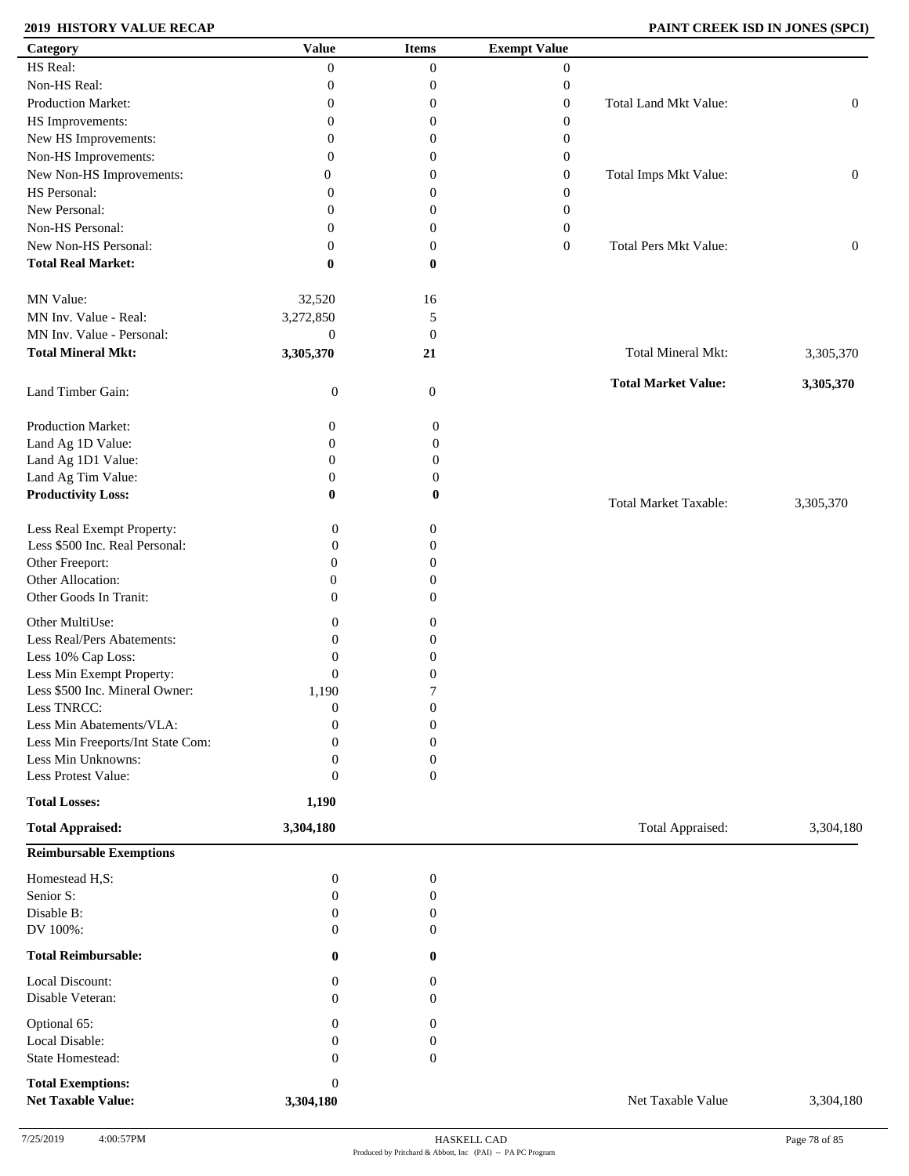# **2019 HISTORY VALUE RECAP PAINT CREEK ISD IN JONES (SPCI)**

| Category                                              | <b>Value</b>                  | <b>Items</b>                     | <b>Exempt Value</b> |                              |                  |
|-------------------------------------------------------|-------------------------------|----------------------------------|---------------------|------------------------------|------------------|
| HS Real:                                              | $\overline{0}$                | $\boldsymbol{0}$                 | $\boldsymbol{0}$    |                              |                  |
| Non-HS Real:                                          | $\boldsymbol{0}$              | $\boldsymbol{0}$                 | $\boldsymbol{0}$    |                              |                  |
| Production Market:                                    | $\boldsymbol{0}$              | 0                                | $\boldsymbol{0}$    | Total Land Mkt Value:        | $\boldsymbol{0}$ |
| HS Improvements:                                      | $\boldsymbol{0}$              | 0                                | $\boldsymbol{0}$    |                              |                  |
| New HS Improvements:                                  | $\overline{0}$                | $\mathbf{0}$                     | $\boldsymbol{0}$    |                              |                  |
|                                                       | $\overline{0}$                | 0                                |                     |                              |                  |
| Non-HS Improvements:                                  |                               |                                  | $\boldsymbol{0}$    |                              |                  |
| New Non-HS Improvements:                              | 0                             | 0                                | $\boldsymbol{0}$    | Total Imps Mkt Value:        | $\boldsymbol{0}$ |
| HS Personal:                                          | 0                             | 0                                | $\boldsymbol{0}$    |                              |                  |
| New Personal:                                         | 0                             | 0                                | $\boldsymbol{0}$    |                              |                  |
| Non-HS Personal:                                      | 0                             | 0                                | $\boldsymbol{0}$    |                              |                  |
| New Non-HS Personal:                                  | $\overline{0}$                | $\boldsymbol{0}$                 | $\overline{0}$      | Total Pers Mkt Value:        | $\boldsymbol{0}$ |
| <b>Total Real Market:</b>                             | 0                             | $\bf{0}$                         |                     |                              |                  |
| MN Value:                                             | 32,520                        | 16                               |                     |                              |                  |
| MN Inv. Value - Real:                                 | 3,272,850                     | 5                                |                     |                              |                  |
| MN Inv. Value - Personal:                             | $\boldsymbol{0}$              | $\mathbf{0}$                     |                     |                              |                  |
| <b>Total Mineral Mkt:</b>                             | 3,305,370                     | 21                               |                     | Total Mineral Mkt:           | 3,305,370        |
| Land Timber Gain:                                     | $\boldsymbol{0}$              | $\mathbf{0}$                     |                     | <b>Total Market Value:</b>   | 3,305,370        |
| Production Market:                                    | 0                             | $\mathbf{0}$                     |                     |                              |                  |
| Land Ag 1D Value:                                     | $\boldsymbol{0}$              | $\boldsymbol{0}$                 |                     |                              |                  |
| Land Ag 1D1 Value:                                    | $\boldsymbol{0}$              | $\boldsymbol{0}$                 |                     |                              |                  |
| Land Ag Tim Value:                                    | $\boldsymbol{0}$              | 0                                |                     |                              |                  |
| <b>Productivity Loss:</b>                             | $\bf{0}$                      | 0                                |                     | <b>Total Market Taxable:</b> | 3,305,370        |
| Less Real Exempt Property:                            | $\boldsymbol{0}$              | $\boldsymbol{0}$                 |                     |                              |                  |
| Less \$500 Inc. Real Personal:                        | $\boldsymbol{0}$              | $\overline{0}$                   |                     |                              |                  |
| Other Freeport:                                       | $\overline{0}$                | $\overline{0}$                   |                     |                              |                  |
| Other Allocation:                                     | $\mathbf{0}$                  | 0                                |                     |                              |                  |
| Other Goods In Tranit:                                | $\overline{0}$                | $\mathbf{0}$                     |                     |                              |                  |
| Other MultiUse:                                       | $\overline{0}$                | $\mathbf{0}$                     |                     |                              |                  |
| Less Real/Pers Abatements:                            | $\Omega$                      | 0                                |                     |                              |                  |
| Less 10% Cap Loss:                                    | $\mathbf{0}$                  |                                  |                     |                              |                  |
|                                                       |                               | 0                                |                     |                              |                  |
| Less Min Exempt Property:                             | $\boldsymbol{0}$              | 0                                |                     |                              |                  |
| Less \$500 Inc. Mineral Owner:                        | 1,190                         | 7                                |                     |                              |                  |
| Less TNRCC:                                           | $\boldsymbol{0}$              | $\boldsymbol{0}$                 |                     |                              |                  |
| Less Min Abatements/VLA:                              | $\overline{0}$                | $\boldsymbol{0}$                 |                     |                              |                  |
| Less Min Freeports/Int State Com:                     | $\Omega$                      | $\mathbf{0}$                     |                     |                              |                  |
| Less Min Unknowns:                                    | $\overline{0}$                | $\boldsymbol{0}$                 |                     |                              |                  |
| Less Protest Value:                                   | $\theta$                      | $\boldsymbol{0}$                 |                     |                              |                  |
| <b>Total Losses:</b><br><b>Total Appraised:</b>       | 1,190<br>3,304,180            |                                  |                     | Total Appraised:             | 3,304,180        |
| <b>Reimbursable Exemptions</b>                        |                               |                                  |                     |                              |                  |
| Homestead H,S:                                        | $\boldsymbol{0}$              | $\boldsymbol{0}$                 |                     |                              |                  |
| Senior S:                                             | $\boldsymbol{0}$              | $\boldsymbol{0}$                 |                     |                              |                  |
| Disable B:                                            | $\boldsymbol{0}$              | $\boldsymbol{0}$                 |                     |                              |                  |
| DV 100%:                                              | $\mathbf{0}$                  | $\mathbf{0}$                     |                     |                              |                  |
|                                                       |                               |                                  |                     |                              |                  |
| <b>Total Reimbursable:</b>                            | $\bf{0}$                      | $\bf{0}$                         |                     |                              |                  |
| Local Discount:<br>Disable Veteran:                   | $\mathbf{0}$<br>$\mathbf{0}$  | $\overline{0}$<br>$\overline{0}$ |                     |                              |                  |
| Optional 65:                                          | $\mathbf{0}$                  | $\overline{0}$                   |                     |                              |                  |
| Local Disable:                                        | $\theta$                      | $\mathbf{0}$                     |                     |                              |                  |
| State Homestead:                                      | $\mathbf{0}$                  | $\boldsymbol{0}$                 |                     |                              |                  |
|                                                       |                               |                                  |                     |                              |                  |
| <b>Total Exemptions:</b><br><b>Net Taxable Value:</b> | $\boldsymbol{0}$<br>3,304,180 |                                  |                     | Net Taxable Value            | 3,304,180        |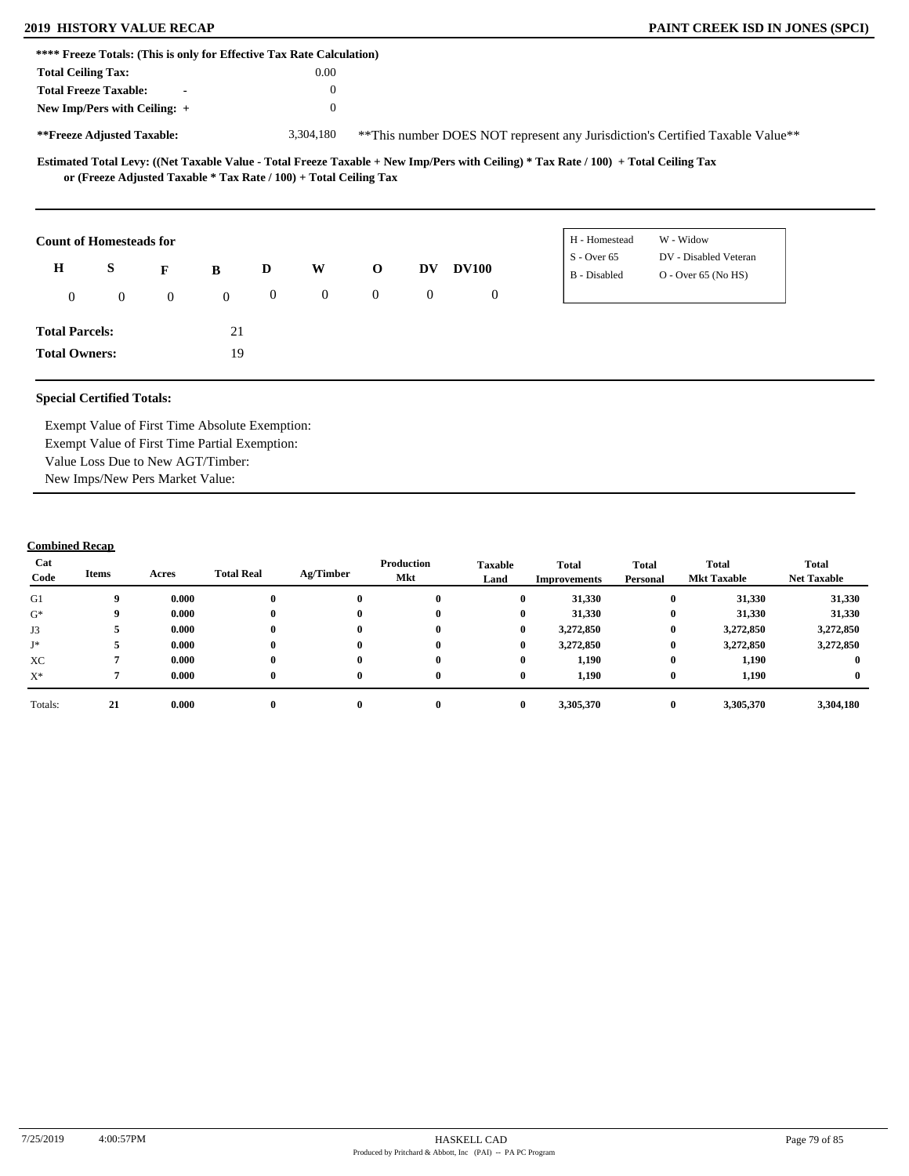|                           | **** Freeze Totals: (This is only for Effective Tax Rate Calculation) |                |              |                  |                |                |                  |              |              |                                                                                                                                     |                                                                               |  |
|---------------------------|-----------------------------------------------------------------------|----------------|--------------|------------------|----------------|----------------|------------------|--------------|--------------|-------------------------------------------------------------------------------------------------------------------------------------|-------------------------------------------------------------------------------|--|
| <b>Total Ceiling Tax:</b> |                                                                       |                |              |                  | 0.00           |                |                  |              |              |                                                                                                                                     |                                                                               |  |
|                           | <b>Total Freeze Taxable:</b>                                          | $\blacksquare$ |              |                  | $\theta$       |                |                  |              |              |                                                                                                                                     |                                                                               |  |
|                           | New Imp/Pers with Ceiling: +                                          |                |              |                  | $\mathbf{0}$   |                |                  |              |              |                                                                                                                                     |                                                                               |  |
|                           | **Freeze Adjusted Taxable:                                            |                |              |                  | 3,304,180      |                |                  |              |              |                                                                                                                                     | **This number DOES NOT represent any Jurisdiction's Certified Taxable Value** |  |
|                           | or (Freeze Adjusted Taxable * Tax Rate / 100) + Total Ceiling Tax     |                |              |                  |                |                |                  |              |              | Estimated Total Levy: ((Net Taxable Value - Total Freeze Taxable + New Imp/Pers with Ceiling) * Tax Rate / 100) + Total Ceiling Tax |                                                                               |  |
|                           | <b>Count of Homesteads for</b>                                        |                |              |                  |                |                |                  |              |              | H - Homestead                                                                                                                       | W - Widow                                                                     |  |
| $\bf H$                   | S                                                                     |                |              | D                | W              | $\mathbf 0$    | <b>DV</b>        | <b>DV100</b> |              | $S -$ Over 65                                                                                                                       | DV - Disabled Veteran                                                         |  |
|                           |                                                                       | F              | B            |                  |                |                |                  |              |              | B - Disabled                                                                                                                        | $O - Over 65 (No HS)$                                                         |  |
| $\mathbf{0}$              | $\mathbf{0}$                                                          | $\overline{0}$ | $\mathbf{0}$ | $\boldsymbol{0}$ | $\overline{0}$ | $\overline{0}$ | $\boldsymbol{0}$ |              | $\mathbf{0}$ |                                                                                                                                     |                                                                               |  |
| <b>Total Parcels:</b>     |                                                                       |                | 21           |                  |                |                |                  |              |              |                                                                                                                                     |                                                                               |  |
| <b>Total Owners:</b>      |                                                                       |                | 19           |                  |                |                |                  |              |              |                                                                                                                                     |                                                                               |  |

Exempt Value of First Time Absolute Exemption: Exempt Value of First Time Partial Exemption: Value Loss Due to New AGT/Timber: New Imps/New Pers Market Value:

| Cat<br>Code | Items | Acres | <b>Total Real</b> | Ag/Timber | Production<br>Mkt | <b>Taxable</b><br>Land | <b>Total</b><br>Improvements | <b>Total</b><br>Personal | Total<br><b>Mkt Taxable</b> | <b>Total</b><br><b>Net Taxable</b> |
|-------------|-------|-------|-------------------|-----------|-------------------|------------------------|------------------------------|--------------------------|-----------------------------|------------------------------------|
| G1          | 9     | 0.000 |                   | $\bf{0}$  |                   | $\mathbf{0}$           | 31,330                       | $\bf{0}$                 | 31,330                      | 31,330                             |
| $G^*$       | 9     | 0.000 |                   | $\bf{0}$  | $\mathbf{0}$      | $\bf{0}$               | 31,330                       | $\bf{0}$                 | 31,330                      | 31,330                             |
| J3          |       | 0.000 |                   | $\bf{0}$  | $\mathbf{0}$      | $\bf{0}$               | 3,272,850                    | $\bf{0}$                 | 3,272,850                   | 3,272,850                          |
| J*          |       | 0.000 |                   | $\bf{0}$  |                   | $\bf{0}$               | 3,272,850                    | $\bf{0}$                 | 3,272,850                   | 3,272,850                          |
| XC          |       | 0.000 |                   | $\bf{0}$  | $\mathbf{0}$      | $\mathbf{0}$           | 1,190                        | $\bf{0}$                 | 1,190                       |                                    |
| $X^*$       |       | 0.000 | 0                 | $\bf{0}$  | $\mathbf{0}$      | $\bf{0}$               | 1,190                        | $\bf{0}$                 | 1,190                       |                                    |
| Totals:     | 21    | 0.000 |                   | $\bf{0}$  |                   | $\mathbf{0}$           | 3,305,370                    | $\bf{0}$                 | 3,305,370                   | 3,304,180                          |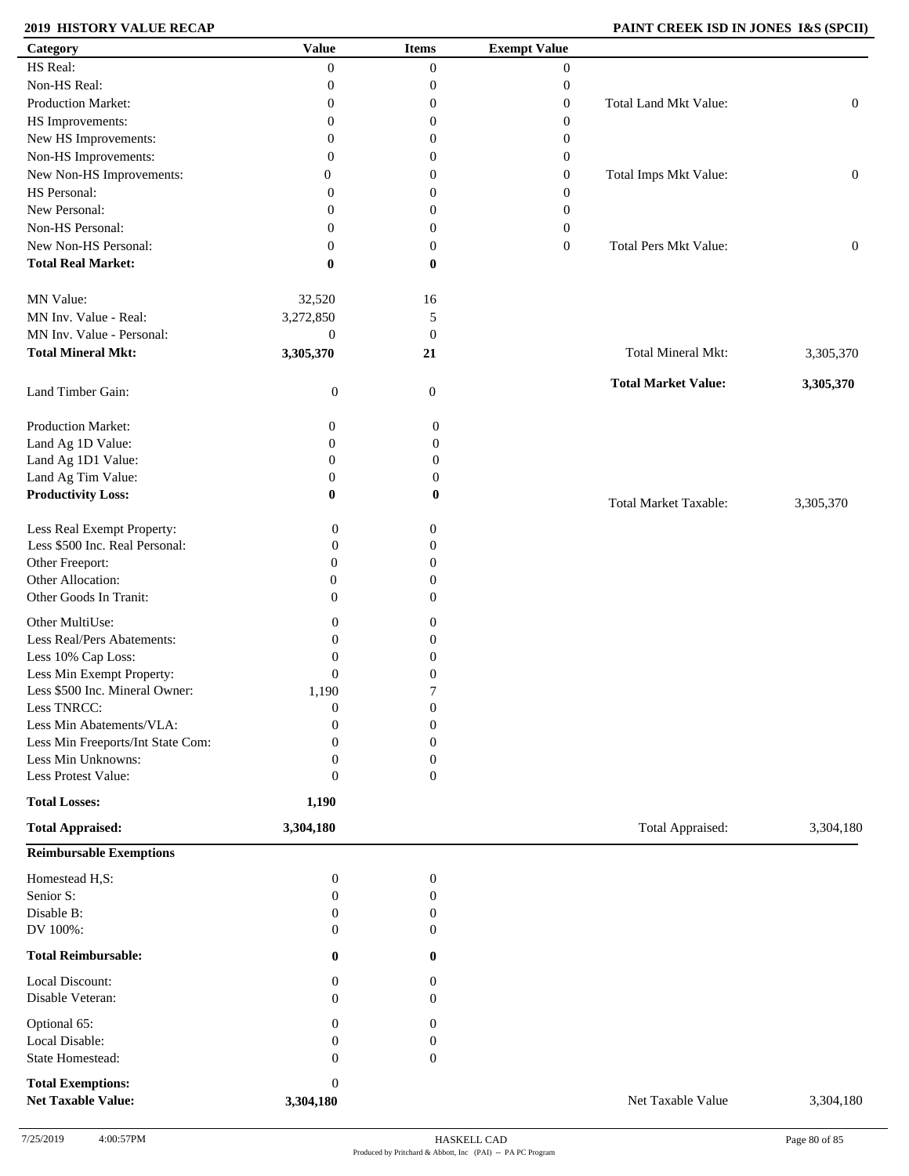# **2019 HISTORY VALUE RECAP PAINT CREEK ISD IN JONES I&S (SPCII)**

| HS Real:<br>$\overline{0}$<br>$\boldsymbol{0}$<br>$\boldsymbol{0}$<br>Non-HS Real:<br>$\boldsymbol{0}$<br>0<br>$\boldsymbol{0}$<br>Production Market:<br>Total Land Mkt Value:<br>$\boldsymbol{0}$<br>0<br>$\boldsymbol{0}$<br>HS Improvements:<br>0<br>$\boldsymbol{0}$<br>$\boldsymbol{0}$<br>New HS Improvements:<br>$\boldsymbol{0}$<br>$\boldsymbol{0}$<br>0<br>Non-HS Improvements:<br>0<br>$\boldsymbol{0}$<br>$\theta$<br>New Non-HS Improvements:<br>Total Imps Mkt Value:<br>0<br>$\boldsymbol{0}$<br>$\mathbf{0}$<br>HS Personal:<br>$\boldsymbol{0}$<br>0<br>$\theta$<br>New Personal:<br>$\boldsymbol{0}$<br>0<br>$\theta$<br>Non-HS Personal:<br>$\boldsymbol{0}$<br>0<br>$\mathbf{0}$<br>New Non-HS Personal:<br>$\boldsymbol{0}$<br><b>Total Pers Mkt Value:</b><br>$\mathbf{0}$<br>0<br><b>Total Real Market:</b><br>$\bf{0}$<br>0<br>MN Value:<br>32,520<br>16<br>MN Inv. Value - Real:<br>3,272,850<br>5<br>MN Inv. Value - Personal:<br>$\boldsymbol{0}$<br>$\boldsymbol{0}$<br><b>Total Mineral Mkt:</b><br>3,305,370<br>Total Mineral Mkt:<br>21 | $\boldsymbol{0}$<br>$\boldsymbol{0}$<br>$\boldsymbol{0}$ |
|------------------------------------------------------------------------------------------------------------------------------------------------------------------------------------------------------------------------------------------------------------------------------------------------------------------------------------------------------------------------------------------------------------------------------------------------------------------------------------------------------------------------------------------------------------------------------------------------------------------------------------------------------------------------------------------------------------------------------------------------------------------------------------------------------------------------------------------------------------------------------------------------------------------------------------------------------------------------------------------------------------------------------------------------------------------------|----------------------------------------------------------|
|                                                                                                                                                                                                                                                                                                                                                                                                                                                                                                                                                                                                                                                                                                                                                                                                                                                                                                                                                                                                                                                                        |                                                          |
|                                                                                                                                                                                                                                                                                                                                                                                                                                                                                                                                                                                                                                                                                                                                                                                                                                                                                                                                                                                                                                                                        |                                                          |
|                                                                                                                                                                                                                                                                                                                                                                                                                                                                                                                                                                                                                                                                                                                                                                                                                                                                                                                                                                                                                                                                        |                                                          |
|                                                                                                                                                                                                                                                                                                                                                                                                                                                                                                                                                                                                                                                                                                                                                                                                                                                                                                                                                                                                                                                                        |                                                          |
|                                                                                                                                                                                                                                                                                                                                                                                                                                                                                                                                                                                                                                                                                                                                                                                                                                                                                                                                                                                                                                                                        |                                                          |
|                                                                                                                                                                                                                                                                                                                                                                                                                                                                                                                                                                                                                                                                                                                                                                                                                                                                                                                                                                                                                                                                        |                                                          |
|                                                                                                                                                                                                                                                                                                                                                                                                                                                                                                                                                                                                                                                                                                                                                                                                                                                                                                                                                                                                                                                                        |                                                          |
|                                                                                                                                                                                                                                                                                                                                                                                                                                                                                                                                                                                                                                                                                                                                                                                                                                                                                                                                                                                                                                                                        |                                                          |
|                                                                                                                                                                                                                                                                                                                                                                                                                                                                                                                                                                                                                                                                                                                                                                                                                                                                                                                                                                                                                                                                        |                                                          |
|                                                                                                                                                                                                                                                                                                                                                                                                                                                                                                                                                                                                                                                                                                                                                                                                                                                                                                                                                                                                                                                                        |                                                          |
|                                                                                                                                                                                                                                                                                                                                                                                                                                                                                                                                                                                                                                                                                                                                                                                                                                                                                                                                                                                                                                                                        |                                                          |
|                                                                                                                                                                                                                                                                                                                                                                                                                                                                                                                                                                                                                                                                                                                                                                                                                                                                                                                                                                                                                                                                        |                                                          |
|                                                                                                                                                                                                                                                                                                                                                                                                                                                                                                                                                                                                                                                                                                                                                                                                                                                                                                                                                                                                                                                                        |                                                          |
|                                                                                                                                                                                                                                                                                                                                                                                                                                                                                                                                                                                                                                                                                                                                                                                                                                                                                                                                                                                                                                                                        |                                                          |
|                                                                                                                                                                                                                                                                                                                                                                                                                                                                                                                                                                                                                                                                                                                                                                                                                                                                                                                                                                                                                                                                        |                                                          |
|                                                                                                                                                                                                                                                                                                                                                                                                                                                                                                                                                                                                                                                                                                                                                                                                                                                                                                                                                                                                                                                                        |                                                          |
|                                                                                                                                                                                                                                                                                                                                                                                                                                                                                                                                                                                                                                                                                                                                                                                                                                                                                                                                                                                                                                                                        | 3,305,370                                                |
| <b>Total Market Value:</b><br>Land Timber Gain:<br>$\boldsymbol{0}$<br>$\mathbf{0}$                                                                                                                                                                                                                                                                                                                                                                                                                                                                                                                                                                                                                                                                                                                                                                                                                                                                                                                                                                                    | 3,305,370                                                |
| Production Market:<br>$\boldsymbol{0}$<br>0                                                                                                                                                                                                                                                                                                                                                                                                                                                                                                                                                                                                                                                                                                                                                                                                                                                                                                                                                                                                                            |                                                          |
| Land Ag 1D Value:<br>$\boldsymbol{0}$<br>$\boldsymbol{0}$                                                                                                                                                                                                                                                                                                                                                                                                                                                                                                                                                                                                                                                                                                                                                                                                                                                                                                                                                                                                              |                                                          |
| Land Ag 1D1 Value:<br>$\boldsymbol{0}$<br>$\boldsymbol{0}$                                                                                                                                                                                                                                                                                                                                                                                                                                                                                                                                                                                                                                                                                                                                                                                                                                                                                                                                                                                                             |                                                          |
| Land Ag Tim Value:<br>$\boldsymbol{0}$<br>$\boldsymbol{0}$                                                                                                                                                                                                                                                                                                                                                                                                                                                                                                                                                                                                                                                                                                                                                                                                                                                                                                                                                                                                             |                                                          |
| <b>Productivity Loss:</b><br>$\bf{0}$<br>$\bf{0}$                                                                                                                                                                                                                                                                                                                                                                                                                                                                                                                                                                                                                                                                                                                                                                                                                                                                                                                                                                                                                      |                                                          |
| <b>Total Market Taxable:</b>                                                                                                                                                                                                                                                                                                                                                                                                                                                                                                                                                                                                                                                                                                                                                                                                                                                                                                                                                                                                                                           | 3,305,370                                                |
| Less Real Exempt Property:<br>$\mathbf{0}$<br>$\boldsymbol{0}$                                                                                                                                                                                                                                                                                                                                                                                                                                                                                                                                                                                                                                                                                                                                                                                                                                                                                                                                                                                                         |                                                          |
| Less \$500 Inc. Real Personal:<br>$\theta$<br>$\boldsymbol{0}$                                                                                                                                                                                                                                                                                                                                                                                                                                                                                                                                                                                                                                                                                                                                                                                                                                                                                                                                                                                                         |                                                          |
| Other Freeport:<br>$\mathbf{0}$<br>$\boldsymbol{0}$                                                                                                                                                                                                                                                                                                                                                                                                                                                                                                                                                                                                                                                                                                                                                                                                                                                                                                                                                                                                                    |                                                          |
| Other Allocation:<br>$\boldsymbol{0}$<br>0                                                                                                                                                                                                                                                                                                                                                                                                                                                                                                                                                                                                                                                                                                                                                                                                                                                                                                                                                                                                                             |                                                          |
| Other Goods In Tranit:<br>$\overline{0}$<br>$\Omega$                                                                                                                                                                                                                                                                                                                                                                                                                                                                                                                                                                                                                                                                                                                                                                                                                                                                                                                                                                                                                   |                                                          |
|                                                                                                                                                                                                                                                                                                                                                                                                                                                                                                                                                                                                                                                                                                                                                                                                                                                                                                                                                                                                                                                                        |                                                          |
| Other MultiUse:<br>$\theta$<br>0                                                                                                                                                                                                                                                                                                                                                                                                                                                                                                                                                                                                                                                                                                                                                                                                                                                                                                                                                                                                                                       |                                                          |
| Less Real/Pers Abatements:<br>$\theta$<br>0                                                                                                                                                                                                                                                                                                                                                                                                                                                                                                                                                                                                                                                                                                                                                                                                                                                                                                                                                                                                                            |                                                          |
| Less 10% Cap Loss:<br>$\mathbf{0}$<br>0                                                                                                                                                                                                                                                                                                                                                                                                                                                                                                                                                                                                                                                                                                                                                                                                                                                                                                                                                                                                                                |                                                          |
| Less Min Exempt Property:<br>$\theta$<br>0                                                                                                                                                                                                                                                                                                                                                                                                                                                                                                                                                                                                                                                                                                                                                                                                                                                                                                                                                                                                                             |                                                          |
| Less \$500 Inc. Mineral Owner:<br>1,190<br>7                                                                                                                                                                                                                                                                                                                                                                                                                                                                                                                                                                                                                                                                                                                                                                                                                                                                                                                                                                                                                           |                                                          |
| Less TNRCC:<br>$\boldsymbol{0}$<br>$\boldsymbol{0}$                                                                                                                                                                                                                                                                                                                                                                                                                                                                                                                                                                                                                                                                                                                                                                                                                                                                                                                                                                                                                    |                                                          |
| Less Min Abatements/VLA:<br>$\boldsymbol{0}$<br>$\theta$                                                                                                                                                                                                                                                                                                                                                                                                                                                                                                                                                                                                                                                                                                                                                                                                                                                                                                                                                                                                               |                                                          |
| Less Min Freeports/Int State Com:<br>$\Omega$<br>$\boldsymbol{0}$                                                                                                                                                                                                                                                                                                                                                                                                                                                                                                                                                                                                                                                                                                                                                                                                                                                                                                                                                                                                      |                                                          |
| Less Min Unknowns:<br>$\mathbf{0}$<br>0                                                                                                                                                                                                                                                                                                                                                                                                                                                                                                                                                                                                                                                                                                                                                                                                                                                                                                                                                                                                                                |                                                          |
| Less Protest Value:<br>$\mathbf{0}$<br>$\mathbf{0}$                                                                                                                                                                                                                                                                                                                                                                                                                                                                                                                                                                                                                                                                                                                                                                                                                                                                                                                                                                                                                    |                                                          |
| <b>Total Losses:</b><br>1,190                                                                                                                                                                                                                                                                                                                                                                                                                                                                                                                                                                                                                                                                                                                                                                                                                                                                                                                                                                                                                                          |                                                          |
| Total Appraised:<br><b>Total Appraised:</b><br>3,304,180                                                                                                                                                                                                                                                                                                                                                                                                                                                                                                                                                                                                                                                                                                                                                                                                                                                                                                                                                                                                               | 3,304,180                                                |
| <b>Reimbursable Exemptions</b>                                                                                                                                                                                                                                                                                                                                                                                                                                                                                                                                                                                                                                                                                                                                                                                                                                                                                                                                                                                                                                         |                                                          |
| Homestead H,S:<br>$\boldsymbol{0}$<br>$\boldsymbol{0}$                                                                                                                                                                                                                                                                                                                                                                                                                                                                                                                                                                                                                                                                                                                                                                                                                                                                                                                                                                                                                 |                                                          |
| Senior S:<br>$\boldsymbol{0}$<br>$\mathbf{0}$                                                                                                                                                                                                                                                                                                                                                                                                                                                                                                                                                                                                                                                                                                                                                                                                                                                                                                                                                                                                                          |                                                          |
|                                                                                                                                                                                                                                                                                                                                                                                                                                                                                                                                                                                                                                                                                                                                                                                                                                                                                                                                                                                                                                                                        |                                                          |
| Disable B:<br>$\boldsymbol{0}$<br>$\boldsymbol{0}$                                                                                                                                                                                                                                                                                                                                                                                                                                                                                                                                                                                                                                                                                                                                                                                                                                                                                                                                                                                                                     |                                                          |
| DV 100%:<br>$\theta$<br>$\boldsymbol{0}$                                                                                                                                                                                                                                                                                                                                                                                                                                                                                                                                                                                                                                                                                                                                                                                                                                                                                                                                                                                                                               |                                                          |
| <b>Total Reimbursable:</b><br>$\bf{0}$<br>$\bf{0}$                                                                                                                                                                                                                                                                                                                                                                                                                                                                                                                                                                                                                                                                                                                                                                                                                                                                                                                                                                                                                     |                                                          |
|                                                                                                                                                                                                                                                                                                                                                                                                                                                                                                                                                                                                                                                                                                                                                                                                                                                                                                                                                                                                                                                                        |                                                          |
| Local Discount:<br>$\boldsymbol{0}$<br>0<br>Disable Veteran:<br>$\theta$<br>$\boldsymbol{0}$                                                                                                                                                                                                                                                                                                                                                                                                                                                                                                                                                                                                                                                                                                                                                                                                                                                                                                                                                                           |                                                          |
| $\Omega$<br>0                                                                                                                                                                                                                                                                                                                                                                                                                                                                                                                                                                                                                                                                                                                                                                                                                                                                                                                                                                                                                                                          |                                                          |
| Optional 65:                                                                                                                                                                                                                                                                                                                                                                                                                                                                                                                                                                                                                                                                                                                                                                                                                                                                                                                                                                                                                                                           |                                                          |
| Local Disable:<br>0<br>0                                                                                                                                                                                                                                                                                                                                                                                                                                                                                                                                                                                                                                                                                                                                                                                                                                                                                                                                                                                                                                               |                                                          |
| State Homestead:<br>$\mathbf{0}$<br>$\mathbf{0}$<br><b>Total Exemptions:</b><br>$\boldsymbol{0}$                                                                                                                                                                                                                                                                                                                                                                                                                                                                                                                                                                                                                                                                                                                                                                                                                                                                                                                                                                       |                                                          |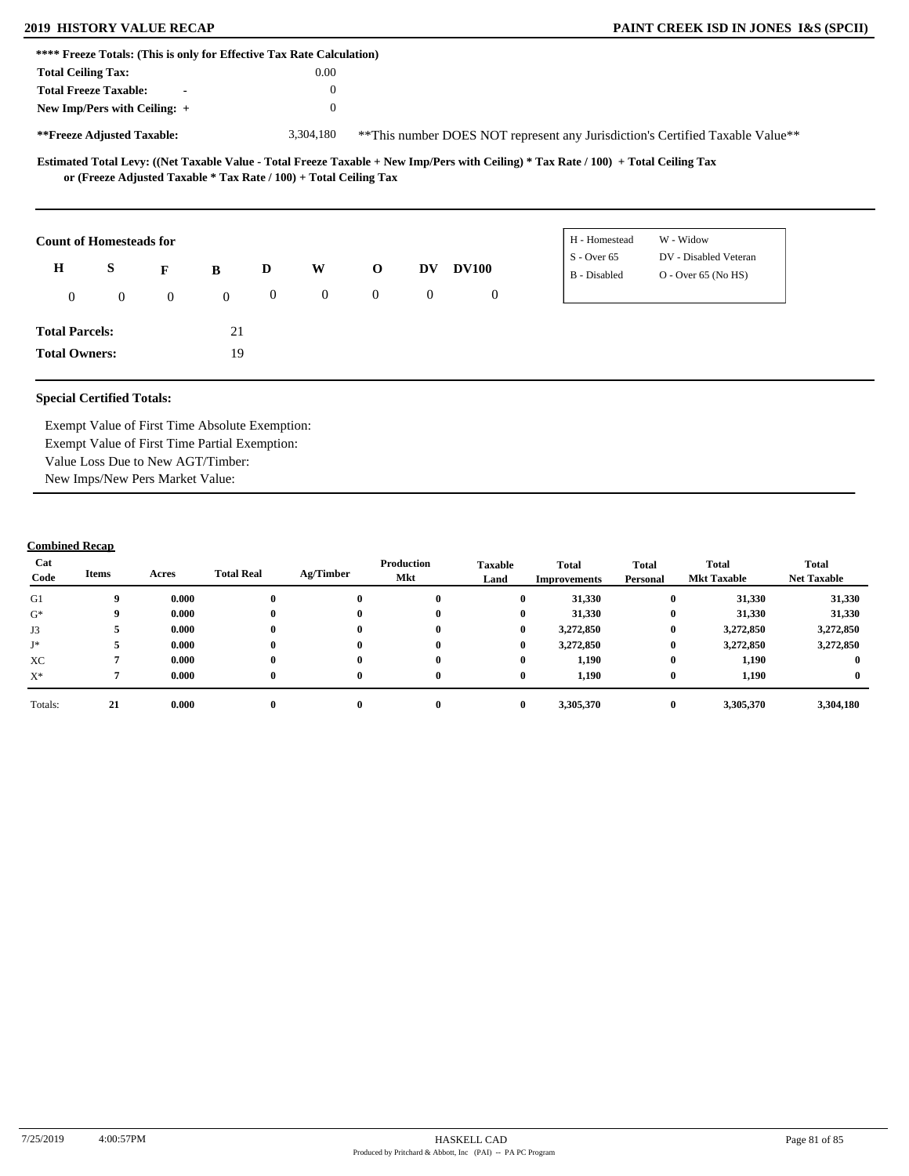| **** Freeze Totals: (This is only for Effective Tax Rate Calculation) |                                                                   |                |                  |                  |                |                |                  |                |                                                                                                                                     |
|-----------------------------------------------------------------------|-------------------------------------------------------------------|----------------|------------------|------------------|----------------|----------------|------------------|----------------|-------------------------------------------------------------------------------------------------------------------------------------|
| <b>Total Ceiling Tax:</b>                                             |                                                                   |                |                  |                  | 0.00           |                |                  |                |                                                                                                                                     |
| <b>Total Freeze Taxable:</b>                                          |                                                                   | $\blacksquare$ |                  |                  | $\theta$       |                |                  |                |                                                                                                                                     |
| New Imp/Pers with Ceiling: $+$                                        |                                                                   |                |                  |                  | $\theta$       |                |                  |                |                                                                                                                                     |
| **Freeze Adjusted Taxable:                                            |                                                                   |                |                  |                  | 3,304,180      |                |                  |                | **This number DOES NOT represent any Jurisdiction's Certified Taxable Value**                                                       |
|                                                                       | or (Freeze Adjusted Taxable * Tax Rate / 100) + Total Ceiling Tax |                |                  |                  |                |                |                  |                | Estimated Total Levy: ((Net Taxable Value - Total Freeze Taxable + New Imp/Pers with Ceiling) * Tax Rate / 100) + Total Ceiling Tax |
| <b>Count of Homesteads for</b>                                        |                                                                   |                |                  |                  |                |                |                  |                | W - Widow<br>H - Homestead                                                                                                          |
| H                                                                     | S                                                                 | F              | B                | D                | W              | $\mathbf 0$    | <b>DV</b>        | <b>DV100</b>   | DV - Disabled Veteran<br>$S -$ Over 65                                                                                              |
|                                                                       |                                                                   |                |                  |                  |                |                |                  |                | B - Disabled<br>$O - Over 65 (No HS)$                                                                                               |
| $\theta$                                                              | $\mathbf{0}$                                                      | $\overline{0}$ | $\boldsymbol{0}$ | $\boldsymbol{0}$ | $\overline{0}$ | $\overline{0}$ | $\boldsymbol{0}$ | $\overline{0}$ |                                                                                                                                     |
| <b>Total Parcels:</b>                                                 |                                                                   |                | 21               |                  |                |                |                  |                |                                                                                                                                     |

**Total Owners:**

Exempt Value of First Time Absolute Exemption: Exempt Value of First Time Partial Exemption: Value Loss Due to New AGT/Timber: New Imps/New Pers Market Value:

19

| Cat<br>Code | Items | Acres | <b>Total Real</b> | Ag/Timber | Production<br>Mkt | <b>Taxable</b><br>Land | <b>Total</b><br>Improvements | <b>Total</b><br>Personal | Total<br><b>Mkt Taxable</b> | <b>Total</b><br><b>Net Taxable</b> |
|-------------|-------|-------|-------------------|-----------|-------------------|------------------------|------------------------------|--------------------------|-----------------------------|------------------------------------|
| G1          | 9     | 0.000 |                   | $\bf{0}$  |                   | $\mathbf{0}$           | 31,330                       | $\bf{0}$                 | 31,330                      | 31,330                             |
| $G^*$       | 9     | 0.000 |                   | $\bf{0}$  | $\mathbf{0}$      | $\bf{0}$               | 31,330                       | $\bf{0}$                 | 31,330                      | 31,330                             |
| J3          |       | 0.000 |                   | $\bf{0}$  | $\mathbf{0}$      | $\bf{0}$               | 3,272,850                    | $\bf{0}$                 | 3,272,850                   | 3,272,850                          |
| J*          |       | 0.000 |                   | $\bf{0}$  |                   | $\bf{0}$               | 3,272,850                    | $\bf{0}$                 | 3,272,850                   | 3,272,850                          |
| XC          |       | 0.000 |                   | $\bf{0}$  | $\mathbf{0}$      | $\mathbf{0}$           | 1,190                        | $\bf{0}$                 | 1,190                       |                                    |
| $X^*$       |       | 0.000 | 0                 | $\bf{0}$  | $\mathbf{0}$      | $\bf{0}$               | 1,190                        | $\bf{0}$                 | 1,190                       |                                    |
| Totals:     | 21    | 0.000 |                   | $\bf{0}$  |                   | $\mathbf{0}$           | 3,305,370                    | $\bf{0}$                 | 3,305,370                   | 3,304,180                          |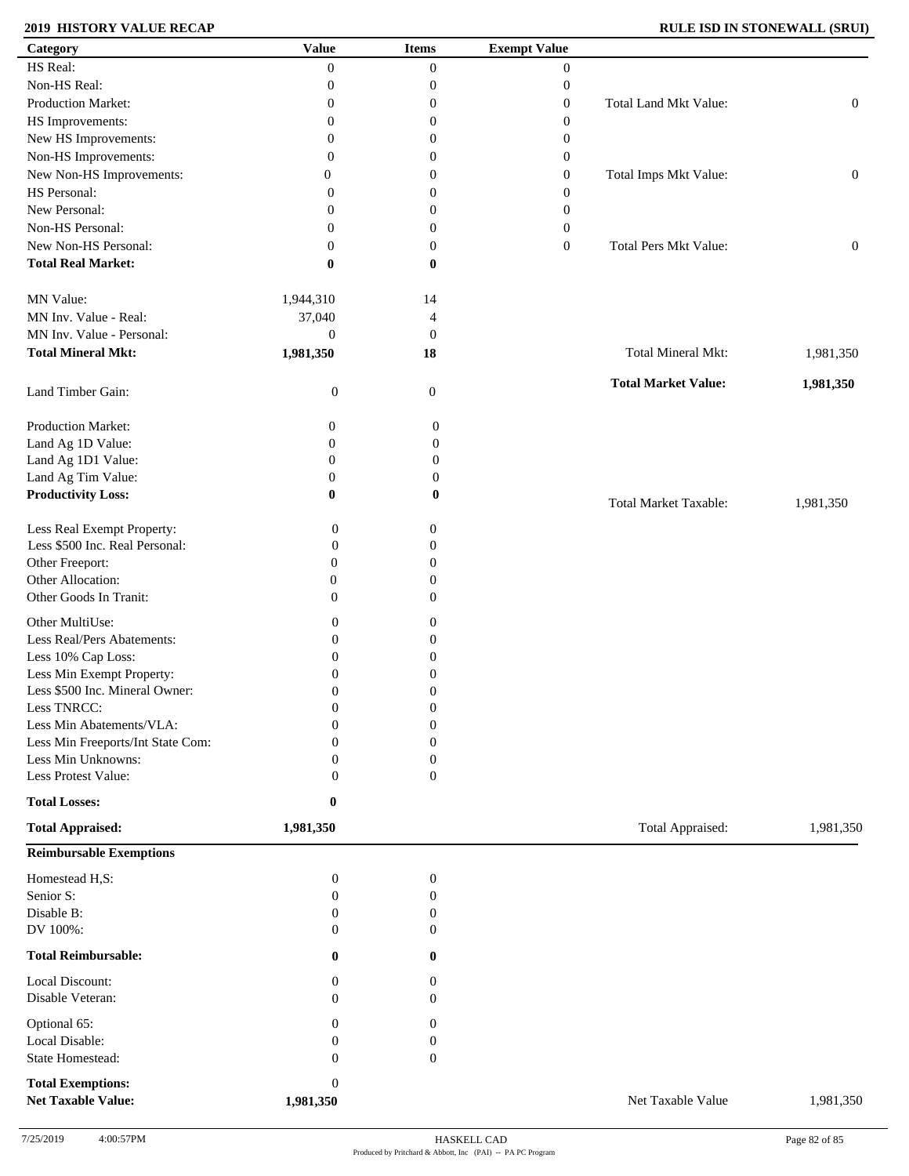# **2019 HISTORY VALUE RECAP RULE ISD IN STONEWALL (SRUI)**

| Category                          | <b>Value</b>     | <b>Items</b>     | <b>Exempt Value</b> |                              |                  |
|-----------------------------------|------------------|------------------|---------------------|------------------------------|------------------|
| HS Real:                          | $\boldsymbol{0}$ | $\overline{0}$   | $\overline{0}$      |                              |                  |
| Non-HS Real:                      | $\mathbf{0}$     | $\boldsymbol{0}$ | $\boldsymbol{0}$    |                              |                  |
| Production Market:                | $\mathbf{0}$     | $\boldsymbol{0}$ | $\boldsymbol{0}$    | Total Land Mkt Value:        | $\boldsymbol{0}$ |
| HS Improvements:                  | $\mathbf{0}$     | $\boldsymbol{0}$ | $\boldsymbol{0}$    |                              |                  |
| New HS Improvements:              | $\mathbf{0}$     | $\boldsymbol{0}$ | 0                   |                              |                  |
| Non-HS Improvements:              | $\mathbf{0}$     | $\boldsymbol{0}$ | $\boldsymbol{0}$    |                              |                  |
| New Non-HS Improvements:          | 0                | $\boldsymbol{0}$ | $\boldsymbol{0}$    | Total Imps Mkt Value:        | $\boldsymbol{0}$ |
|                                   |                  |                  |                     |                              |                  |
| HS Personal:                      | $\mathbf{0}$     | $\boldsymbol{0}$ | $\boldsymbol{0}$    |                              |                  |
| New Personal:                     | $\mathbf{0}$     | $\boldsymbol{0}$ | $\boldsymbol{0}$    |                              |                  |
| Non-HS Personal:                  | $\boldsymbol{0}$ | $\boldsymbol{0}$ | $\boldsymbol{0}$    |                              |                  |
| New Non-HS Personal:              | $\mathbf{0}$     | $\boldsymbol{0}$ | $\boldsymbol{0}$    | <b>Total Pers Mkt Value:</b> | $\boldsymbol{0}$ |
| <b>Total Real Market:</b>         | $\bf{0}$         | $\bf{0}$         |                     |                              |                  |
| MN Value:                         | 1,944,310        | 14               |                     |                              |                  |
| MN Inv. Value - Real:             | 37,040           | $\overline{4}$   |                     |                              |                  |
| MN Inv. Value - Personal:         | $\boldsymbol{0}$ | $\boldsymbol{0}$ |                     |                              |                  |
| <b>Total Mineral Mkt:</b>         | 1,981,350        | 18               |                     | <b>Total Mineral Mkt:</b>    | 1,981,350        |
| Land Timber Gain:                 | $\mathbf{0}$     | $\boldsymbol{0}$ |                     | <b>Total Market Value:</b>   | 1,981,350        |
|                                   |                  |                  |                     |                              |                  |
| Production Market:                | $\boldsymbol{0}$ | $\boldsymbol{0}$ |                     |                              |                  |
| Land Ag 1D Value:                 | $\boldsymbol{0}$ | $\boldsymbol{0}$ |                     |                              |                  |
| Land Ag 1D1 Value:                | $\boldsymbol{0}$ | $\boldsymbol{0}$ |                     |                              |                  |
| Land Ag Tim Value:                | $\boldsymbol{0}$ | $\boldsymbol{0}$ |                     |                              |                  |
| <b>Productivity Loss:</b>         | $\bf{0}$         | $\bf{0}$         |                     | <b>Total Market Taxable:</b> | 1,981,350        |
| Less Real Exempt Property:        | $\boldsymbol{0}$ | $\boldsymbol{0}$ |                     |                              |                  |
| Less \$500 Inc. Real Personal:    | $\boldsymbol{0}$ | $\boldsymbol{0}$ |                     |                              |                  |
| Other Freeport:                   | $\overline{0}$   | $\boldsymbol{0}$ |                     |                              |                  |
| Other Allocation:                 | $\mathbf{0}$     | $\boldsymbol{0}$ |                     |                              |                  |
| Other Goods In Tranit:            | $\overline{0}$   | $\boldsymbol{0}$ |                     |                              |                  |
|                                   |                  |                  |                     |                              |                  |
| Other MultiUse:                   | $\boldsymbol{0}$ | $\boldsymbol{0}$ |                     |                              |                  |
| Less Real/Pers Abatements:        | $\boldsymbol{0}$ | $\boldsymbol{0}$ |                     |                              |                  |
| Less 10% Cap Loss:                | $\overline{0}$   | $\boldsymbol{0}$ |                     |                              |                  |
| Less Min Exempt Property:         | $\Omega$         | $\boldsymbol{0}$ |                     |                              |                  |
| Less \$500 Inc. Mineral Owner:    | $\boldsymbol{0}$ | $\boldsymbol{0}$ |                     |                              |                  |
| Less TNRCC:                       | $\boldsymbol{0}$ | $\boldsymbol{0}$ |                     |                              |                  |
| Less Min Abatements/VLA:          | $\boldsymbol{0}$ | $\boldsymbol{0}$ |                     |                              |                  |
| Less Min Freeports/Int State Com: | $\mathbf{0}$     | $\boldsymbol{0}$ |                     |                              |                  |
| Less Min Unknowns:                | $\Omega$         | $\boldsymbol{0}$ |                     |                              |                  |
| Less Protest Value:               | $\Omega$         | $\boldsymbol{0}$ |                     |                              |                  |
| <b>Total Losses:</b>              | $\boldsymbol{0}$ |                  |                     |                              |                  |
| <b>Total Appraised:</b>           | 1,981,350        |                  |                     | Total Appraised:             | 1,981,350        |
| <b>Reimbursable Exemptions</b>    |                  |                  |                     |                              |                  |
| Homestead H,S:                    | $\boldsymbol{0}$ | $\boldsymbol{0}$ |                     |                              |                  |
| Senior S:                         | $\boldsymbol{0}$ | $\boldsymbol{0}$ |                     |                              |                  |
| Disable B:                        | $\mathbf{0}$     | $\boldsymbol{0}$ |                     |                              |                  |
| DV 100%:                          | $\Omega$         | $\overline{0}$   |                     |                              |                  |
| <b>Total Reimbursable:</b>        | $\mathbf{0}$     | $\bf{0}$         |                     |                              |                  |
| Local Discount:                   | $\mathbf{0}$     | 0                |                     |                              |                  |
| Disable Veteran:                  | $\Omega$         | $\overline{0}$   |                     |                              |                  |
| Optional 65:                      | $\boldsymbol{0}$ | 0                |                     |                              |                  |
| Local Disable:                    | $\mathbf{0}$     | $\boldsymbol{0}$ |                     |                              |                  |
| State Homestead:                  | $\mathbf{0}$     | $\boldsymbol{0}$ |                     |                              |                  |
| <b>Total Exemptions:</b>          | $\boldsymbol{0}$ |                  |                     |                              |                  |
| <b>Net Taxable Value:</b>         | 1,981,350        |                  |                     | Net Taxable Value            | 1,981,350        |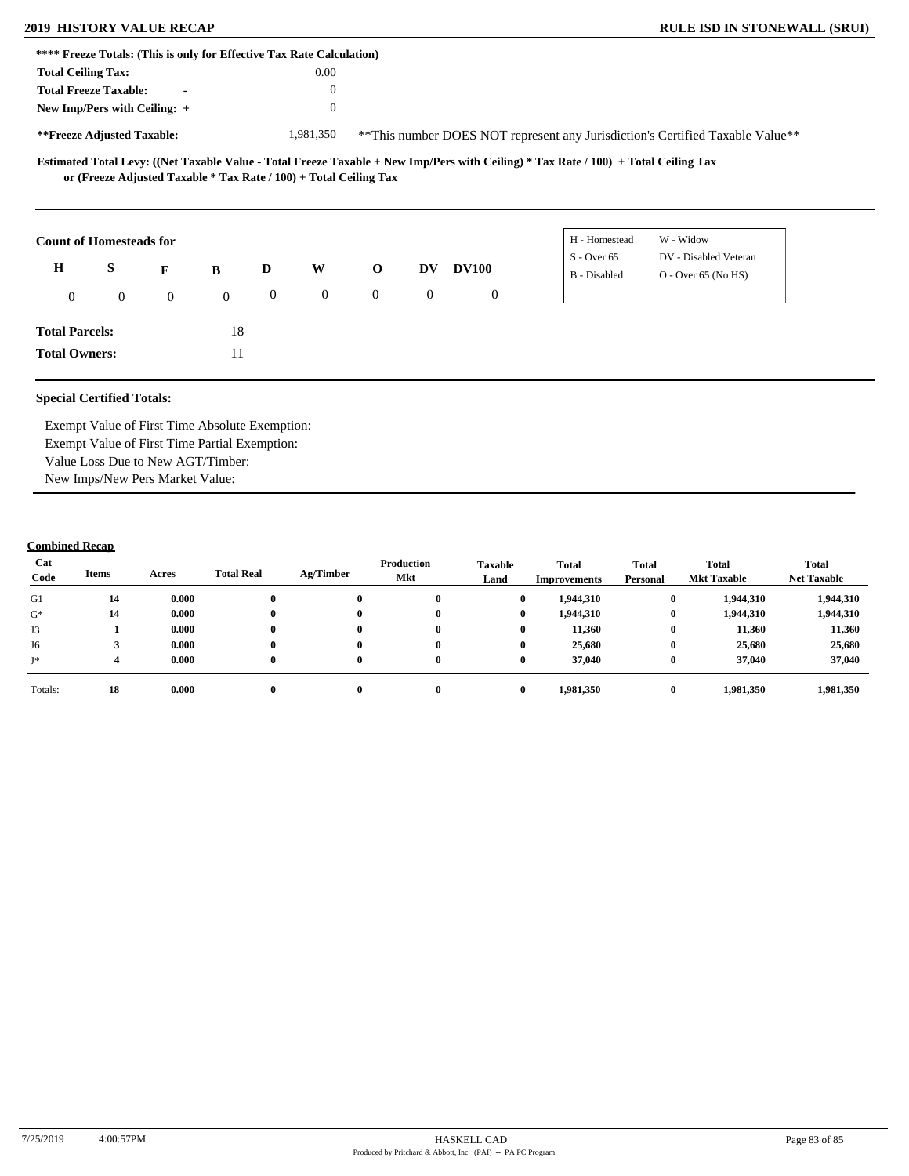| **** Freeze Totals: (This is only for Effective Tax Rate Calculation) |                                                                   |              |              |                |                |                |                |                |                                                                                                                                     |                                                                               |  |
|-----------------------------------------------------------------------|-------------------------------------------------------------------|--------------|--------------|----------------|----------------|----------------|----------------|----------------|-------------------------------------------------------------------------------------------------------------------------------------|-------------------------------------------------------------------------------|--|
| <b>Total Ceiling Tax:</b>                                             |                                                                   |              |              |                | 0.00           |                |                |                |                                                                                                                                     |                                                                               |  |
| <b>Total Freeze Taxable:</b>                                          |                                                                   |              |              |                | $\theta$       |                |                |                |                                                                                                                                     |                                                                               |  |
| New Imp/Pers with Ceiling: +                                          |                                                                   |              |              |                | $\theta$       |                |                |                |                                                                                                                                     |                                                                               |  |
| **Freeze Adjusted Taxable:                                            |                                                                   |              |              |                | 1,981,350      |                |                |                |                                                                                                                                     | **This number DOES NOT represent any Jurisdiction's Certified Taxable Value** |  |
|                                                                       | or (Freeze Adjusted Taxable * Tax Rate / 100) + Total Ceiling Tax |              |              |                |                |                |                |                | Estimated Total Levy: ((Net Taxable Value - Total Freeze Taxable + New Imp/Pers with Ceiling) * Tax Rate / 100) + Total Ceiling Tax |                                                                               |  |
|                                                                       |                                                                   |              |              |                |                |                |                |                |                                                                                                                                     |                                                                               |  |
|                                                                       |                                                                   |              |              |                |                |                |                |                | H - Homestead                                                                                                                       | W - Widow                                                                     |  |
| $\mathbf H$                                                           | S                                                                 | F            | B            | D              | W              | $\mathbf 0$    | DV             | <b>DV100</b>   | $S - Over 65$<br>B - Disabled                                                                                                       | DV - Disabled Veteran<br>$O -$ Over 65 (No HS)                                |  |
| <b>Count of Homesteads for</b><br>$\theta$                            | $\mathbf{0}$                                                      | $\mathbf{0}$ | $\mathbf{0}$ | $\overline{0}$ | $\overline{0}$ | $\overline{0}$ | $\overline{0}$ | $\overline{0}$ |                                                                                                                                     |                                                                               |  |
| <b>Total Parcels:</b>                                                 |                                                                   |              | 18           |                |                |                |                |                |                                                                                                                                     |                                                                               |  |

Exempt Value of First Time Absolute Exemption: Exempt Value of First Time Partial Exemption: Value Loss Due to New AGT/Timber: New Imps/New Pers Market Value:

| Cat<br>Code | Items | Acres | <b>Total Real</b> | Ag/Timber | Production<br>Mkt | <b>Taxable</b><br>Land |          | <b>Total</b><br>Improvements | <b>Total</b><br>Personal | Total<br><b>Mkt Taxable</b> | <b>Total</b><br><b>Net Taxable</b> |
|-------------|-------|-------|-------------------|-----------|-------------------|------------------------|----------|------------------------------|--------------------------|-----------------------------|------------------------------------|
| G1          | 14    | 0.000 |                   | 0         | $\mathbf 0$       |                        | 0        | 1,944,310                    | $\bf{0}$                 | 1,944,310                   | 1,944,310                          |
| $G^*$       | 14    | 0.000 |                   | 0         | 0                 |                        | $\bf{0}$ | 1,944,310                    | $\bf{0}$                 | 1,944,310                   | 1,944,310                          |
| J3          |       | 0.000 |                   | $\bf{0}$  | $\mathbf{0}$      |                        | 0        | 11,360                       | $\bf{0}$                 | 11,360                      | 11,360                             |
| J6          |       | 0.000 |                   | 0         | $\mathbf{0}$      |                        | 0        | 25,680                       | $\bf{0}$                 | 25,680                      | 25,680                             |
| J*          |       | 0.000 |                   | 0         | $\mathbf{0}$      |                        | 0        | 37,040                       | $\bf{0}$                 | 37.040                      | 37,040                             |
| Totals:     | 18    | 0.000 |                   | 0         | $\mathbf{0}$      |                        | 0        | 1,981,350                    | $\bf{0}$                 | 1,981,350                   | 1,981,350                          |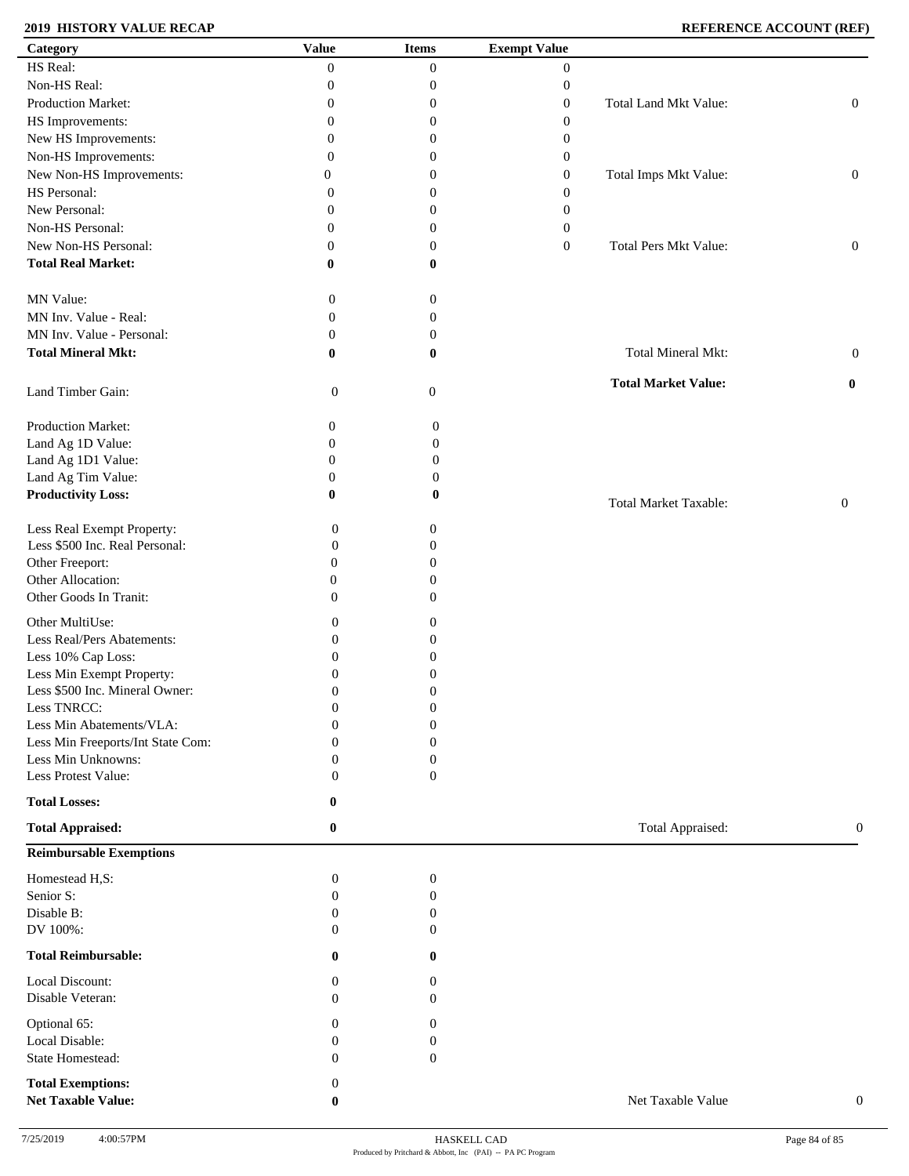# **2019 HISTORY VALUE RECAP REFERENCE ACCOUNT (REF)**

| Category                          | <b>Value</b>     | <b>Items</b>     | <b>Exempt Value</b> |                              |                  |
|-----------------------------------|------------------|------------------|---------------------|------------------------------|------------------|
| HS Real:                          | $\Omega$         | $\boldsymbol{0}$ | $\overline{0}$      |                              |                  |
| Non-HS Real:                      | 0                | $\boldsymbol{0}$ | $\boldsymbol{0}$    |                              |                  |
| Production Market:                | 0                | $\boldsymbol{0}$ | $\boldsymbol{0}$    | Total Land Mkt Value:        | $\boldsymbol{0}$ |
| HS Improvements:                  | $\overline{0}$   | $\boldsymbol{0}$ | $\boldsymbol{0}$    |                              |                  |
| New HS Improvements:              | $\overline{0}$   | $\boldsymbol{0}$ |                     |                              |                  |
|                                   |                  |                  | $\boldsymbol{0}$    |                              |                  |
| Non-HS Improvements:              | $\overline{0}$   | $\boldsymbol{0}$ | $\boldsymbol{0}$    |                              |                  |
| New Non-HS Improvements:          | $\theta$         | $\boldsymbol{0}$ | $\boldsymbol{0}$    | Total Imps Mkt Value:        | $\boldsymbol{0}$ |
| HS Personal:                      | 0                | $\boldsymbol{0}$ | $\boldsymbol{0}$    |                              |                  |
| New Personal:                     | $\overline{0}$   | $\boldsymbol{0}$ | $\boldsymbol{0}$    |                              |                  |
| Non-HS Personal:                  | $\overline{0}$   | $\boldsymbol{0}$ | $\boldsymbol{0}$    |                              |                  |
| New Non-HS Personal:              | $\overline{0}$   | $\boldsymbol{0}$ | $\boldsymbol{0}$    | Total Pers Mkt Value:        | $\boldsymbol{0}$ |
| <b>Total Real Market:</b>         | $\bf{0}$         | $\bf{0}$         |                     |                              |                  |
|                                   |                  |                  |                     |                              |                  |
| MN Value:                         | $\boldsymbol{0}$ | $\boldsymbol{0}$ |                     |                              |                  |
|                                   |                  |                  |                     |                              |                  |
| MN Inv. Value - Real:             | $\boldsymbol{0}$ | $\boldsymbol{0}$ |                     |                              |                  |
| MN Inv. Value - Personal:         | $\boldsymbol{0}$ | $\boldsymbol{0}$ |                     |                              |                  |
| <b>Total Mineral Mkt:</b>         | $\bf{0}$         | $\bf{0}$         |                     | Total Mineral Mkt:           | $\boldsymbol{0}$ |
|                                   |                  |                  |                     |                              |                  |
| Land Timber Gain:                 | $\boldsymbol{0}$ | $\mathbf{0}$     |                     | <b>Total Market Value:</b>   | $\bf{0}$         |
|                                   |                  |                  |                     |                              |                  |
| Production Market:                | $\boldsymbol{0}$ | $\boldsymbol{0}$ |                     |                              |                  |
|                                   | $\boldsymbol{0}$ | $\boldsymbol{0}$ |                     |                              |                  |
| Land Ag 1D Value:                 |                  |                  |                     |                              |                  |
| Land Ag 1D1 Value:                | $\boldsymbol{0}$ | $\boldsymbol{0}$ |                     |                              |                  |
| Land Ag Tim Value:                | $\boldsymbol{0}$ | $\boldsymbol{0}$ |                     |                              |                  |
| <b>Productivity Loss:</b>         | $\bf{0}$         | 0                |                     | <b>Total Market Taxable:</b> | $\boldsymbol{0}$ |
|                                   |                  |                  |                     |                              |                  |
| Less Real Exempt Property:        | $\boldsymbol{0}$ | $\boldsymbol{0}$ |                     |                              |                  |
| Less \$500 Inc. Real Personal:    | $\boldsymbol{0}$ | $\theta$         |                     |                              |                  |
| Other Freeport:                   | $\boldsymbol{0}$ | $\overline{0}$   |                     |                              |                  |
| Other Allocation:                 | $\boldsymbol{0}$ | $\overline{0}$   |                     |                              |                  |
| Other Goods In Tranit:            | $\mathbf{0}$     | $\mathbf{0}$     |                     |                              |                  |
|                                   |                  |                  |                     |                              |                  |
| Other MultiUse:                   | $\boldsymbol{0}$ | 0                |                     |                              |                  |
| Less Real/Pers Abatements:        | $\boldsymbol{0}$ | $\overline{0}$   |                     |                              |                  |
| Less 10% Cap Loss:                | $\boldsymbol{0}$ | $\boldsymbol{0}$ |                     |                              |                  |
| Less Min Exempt Property:         | $\mathbf{0}$     | $\boldsymbol{0}$ |                     |                              |                  |
| Less \$500 Inc. Mineral Owner:    | $\boldsymbol{0}$ | $\boldsymbol{0}$ |                     |                              |                  |
| Less TNRCC:                       | $\boldsymbol{0}$ | $\boldsymbol{0}$ |                     |                              |                  |
| Less Min Abatements/VLA:          | $\boldsymbol{0}$ | $\boldsymbol{0}$ |                     |                              |                  |
| Less Min Freeports/Int State Com: | $\Omega$         | $\mathbf{0}$     |                     |                              |                  |
| Less Min Unknowns:                | $\boldsymbol{0}$ | $\boldsymbol{0}$ |                     |                              |                  |
| Less Protest Value:               | $\mathbf{0}$     | $\boldsymbol{0}$ |                     |                              |                  |
|                                   |                  |                  |                     |                              |                  |
| <b>Total Losses:</b>              | 0                |                  |                     |                              |                  |
| <b>Total Appraised:</b>           | $\bf{0}$         |                  |                     | Total Appraised:             | $\mathbf{0}$     |
|                                   |                  |                  |                     |                              |                  |
| <b>Reimbursable Exemptions</b>    |                  |                  |                     |                              |                  |
| Homestead H,S:                    | $\boldsymbol{0}$ | $\boldsymbol{0}$ |                     |                              |                  |
| Senior S:                         | $\overline{0}$   | $\boldsymbol{0}$ |                     |                              |                  |
| Disable B:                        | $\boldsymbol{0}$ | $\mathbf{0}$     |                     |                              |                  |
| DV 100%:                          | $\mathbf{0}$     | $\mathbf{0}$     |                     |                              |                  |
|                                   |                  |                  |                     |                              |                  |
| <b>Total Reimbursable:</b>        | $\bf{0}$         | $\mathbf{0}$     |                     |                              |                  |
|                                   |                  |                  |                     |                              |                  |
| Local Discount:                   | $\mathbf{0}$     | $\overline{0}$   |                     |                              |                  |
| Disable Veteran:                  | $\Omega$         | $\Omega$         |                     |                              |                  |
| Optional 65:                      | $\mathbf{0}$     | $\mathbf{0}$     |                     |                              |                  |
| Local Disable:                    | $\boldsymbol{0}$ | 0                |                     |                              |                  |
| State Homestead:                  | $\mathbf{0}$     | $\mathbf{0}$     |                     |                              |                  |
|                                   |                  |                  |                     |                              |                  |
| <b>Total Exemptions:</b>          | $\boldsymbol{0}$ |                  |                     |                              |                  |
| <b>Net Taxable Value:</b>         | $\bf{0}$         |                  |                     | Net Taxable Value            | $\boldsymbol{0}$ |